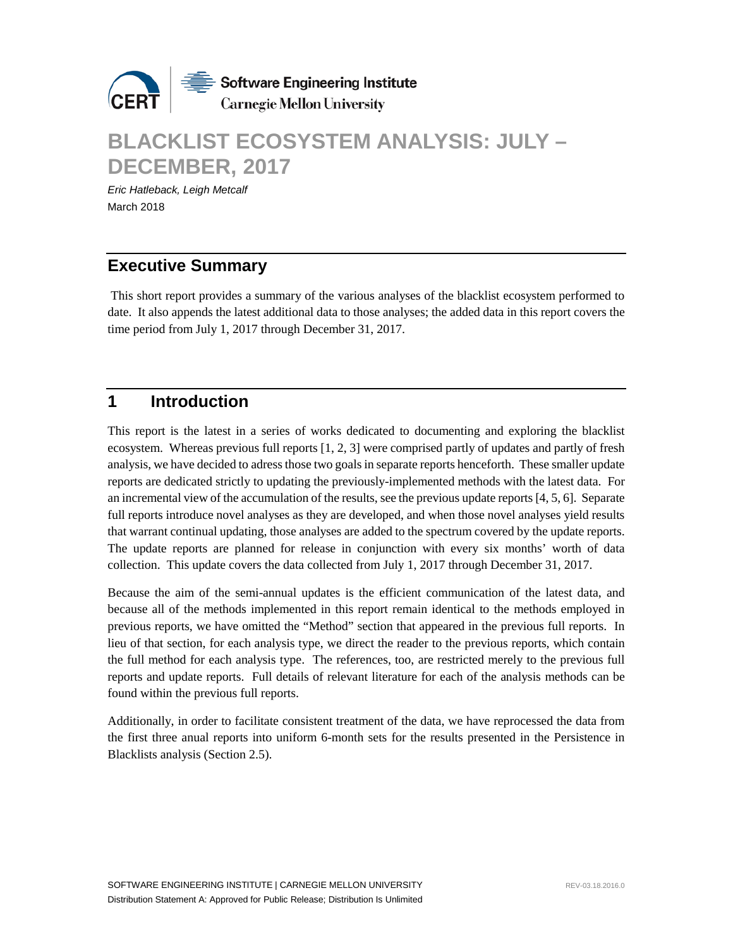

# **BLACKLIST ECOSYSTEM ANALYSIS: JULY – DECEMBER, 2017**

*Eric Hatleback, Leigh Metcalf* March 2018

## **Executive Summary**

This short report provides a summary of the various analyses of the blacklist ecosystem performed to date. It also appends the latest additional data to those analyses; the added data in this report covers the time period from July 1, 2017 through December 31, 2017.

## **1 Introduction**

This report is the latest in a series of works dedicated to documenting and exploring the blacklist ecosystem. Whereas previous full reports [1, 2, 3] were comprised partly of updates and partly of fresh analysis, we have decided to adress those two goals in separate reports henceforth. These smaller update reports are dedicated strictly to updating the previously-implemented methods with the latest data. For an incremental view of the accumulation of the results, see the previous update reports[4, 5, 6]. Separate full reports introduce novel analyses as they are developed, and when those novel analyses yield results that warrant continual updating, those analyses are added to the spectrum covered by the update reports. The update reports are planned for release in conjunction with every six months' worth of data collection. This update covers the data collected from July 1, 2017 through December 31, 2017.

Because the aim of the semi-annual updates is the efficient communication of the latest data, and because all of the methods implemented in this report remain identical to the methods employed in previous reports, we have omitted the "Method" section that appeared in the previous full reports. In lieu of that section, for each analysis type, we direct the reader to the previous reports, which contain the full method for each analysis type. The references, too, are restricted merely to the previous full reports and update reports. Full details of relevant literature for each of the analysis methods can be found within the previous full reports.

Additionally, in order to facilitate consistent treatment of the data, we have reprocessed the data from the first three anual reports into uniform 6-month sets for the results presented in the Persistence in Blacklists analysis (Section 2.5).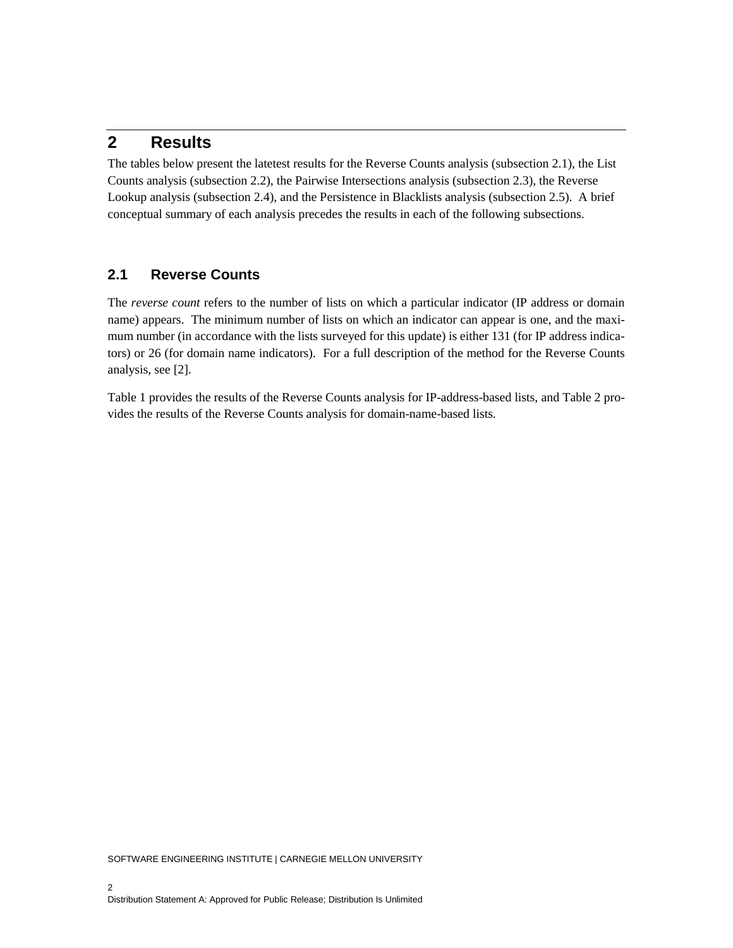## **2 Results**

The tables below present the latetest results for the Reverse Counts analysis (subsection 2.1), the List Counts analysis (subsection 2.2), the Pairwise Intersections analysis (subsection 2.3), the Reverse Lookup analysis (subsection 2.4), and the Persistence in Blacklists analysis (subsection 2.5). A brief conceptual summary of each analysis precedes the results in each of the following subsections.

#### **2.1 Reverse Counts**

The *reverse count* refers to the number of lists on which a particular indicator (IP address or domain name) appears. The minimum number of lists on which an indicator can appear is one, and the maximum number (in accordance with the lists surveyed for this update) is either 131 (for IP address indicators) or 26 (for domain name indicators). For a full description of the method for the Reverse Counts analysis, see [2].

Table 1 provides the results of the Reverse Counts analysis for IP-address-based lists, and Table 2 provides the results of the Reverse Counts analysis for domain-name-based lists.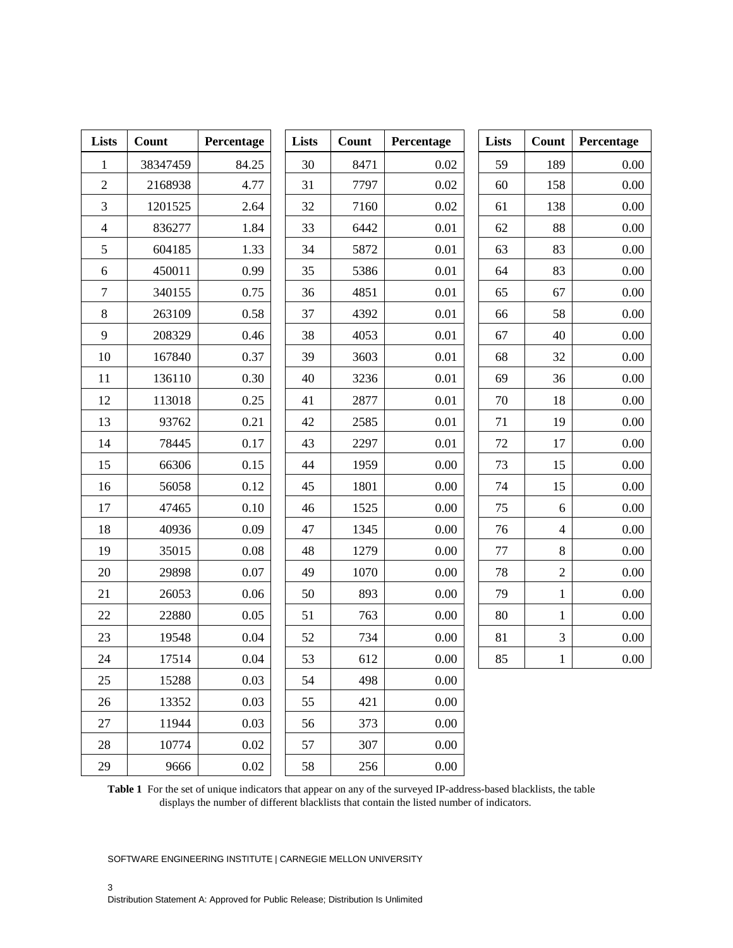| Lists          | Count    | Percentage | Lists | Count | Percentage | Lists | Count          | Percentage |
|----------------|----------|------------|-------|-------|------------|-------|----------------|------------|
| $\mathbf{1}$   | 38347459 | 84.25      | 30    | 8471  | 0.02       | 59    | 189            | 0.00       |
| $\overline{2}$ | 2168938  | 4.77       | 31    | 7797  | $0.02\,$   | 60    | 158            | 0.00       |
| 3              | 1201525  | 2.64       | 32    | 7160  | $0.02\,$   | 61    | 138            | 0.00       |
| $\overline{4}$ | 836277   | 1.84       | 33    | 6442  | 0.01       | 62    | 88             | 0.00       |
| 5              | 604185   | 1.33       | 34    | 5872  | 0.01       | 63    | 83             | 0.00       |
| 6              | 450011   | 0.99       | 35    | 5386  | 0.01       | 64    | 83             | 0.00       |
| $\tau$         | 340155   | 0.75       | 36    | 4851  | 0.01       | 65    | 67             | 0.00       |
| 8              | 263109   | 0.58       | 37    | 4392  | 0.01       | 66    | 58             | 0.00       |
| 9              | 208329   | 0.46       | 38    | 4053  | 0.01       | 67    | 40             | 0.00       |
| 10             | 167840   | 0.37       | 39    | 3603  | 0.01       | 68    | 32             | 0.00       |
| 11             | 136110   | 0.30       | 40    | 3236  | 0.01       | 69    | 36             | 0.00       |
| 12             | 113018   | 0.25       | 41    | 2877  | 0.01       | 70    | 18             | 0.00       |
| 13             | 93762    | 0.21       | 42    | 2585  | 0.01       | 71    | 19             | 0.00       |
| 14             | 78445    | 0.17       | 43    | 2297  | 0.01       | 72    | 17             | 0.00       |
| 15             | 66306    | 0.15       | 44    | 1959  | 0.00       | 73    | 15             | 0.00       |
| 16             | 56058    | 0.12       | 45    | 1801  | 0.00       | 74    | 15             | 0.00       |
| 17             | 47465    | 0.10       | 46    | 1525  | 0.00       | 75    | 6              | 0.00       |
| 18             | 40936    | 0.09       | 47    | 1345  | $0.00\,$   | 76    | $\overline{4}$ | 0.00       |
| 19             | 35015    | 0.08       | 48    | 1279  | 0.00       | 77    | 8              | 0.00       |
| 20             | 29898    | 0.07       | 49    | 1070  | 0.00       | 78    | $\overline{2}$ | 0.00       |
| 21             | 26053    | 0.06       | 50    | 893   | 0.00       | 79    | $\mathbf{1}$   | 0.00       |
| 22             | 22880    | 0.05       | 51    | 763   | 0.00       | 80    | $\mathbf{1}$   | 0.00       |
| 23             | 19548    | 0.04       | 52    | 734   | 0.00       | 81    | $\overline{3}$ | 0.00       |
| 24             | 17514    | 0.04       | 53    | 612   | 0.00       | 85    | $\mathbf{1}$   | 0.00       |
| 25             | 15288    | 0.03       | 54    | 498   | 0.00       |       |                |            |
| 26             | 13352    | 0.03       | 55    | 421   | 0.00       |       |                |            |
| 27             | 11944    | 0.03       | 56    | 373   | 0.00       |       |                |            |
| 28             | 10774    | $0.02\,$   | 57    | 307   | 0.00       |       |                |            |
| 29             | 9666     | $0.02\,$   | 58    | 256   | $0.00\,$   |       |                |            |

**Table 1** For the set of unique indicators that appear on any of the surveyed IP-address-based blacklists, the table displays the number of different blacklists that contain the listed number of indicators.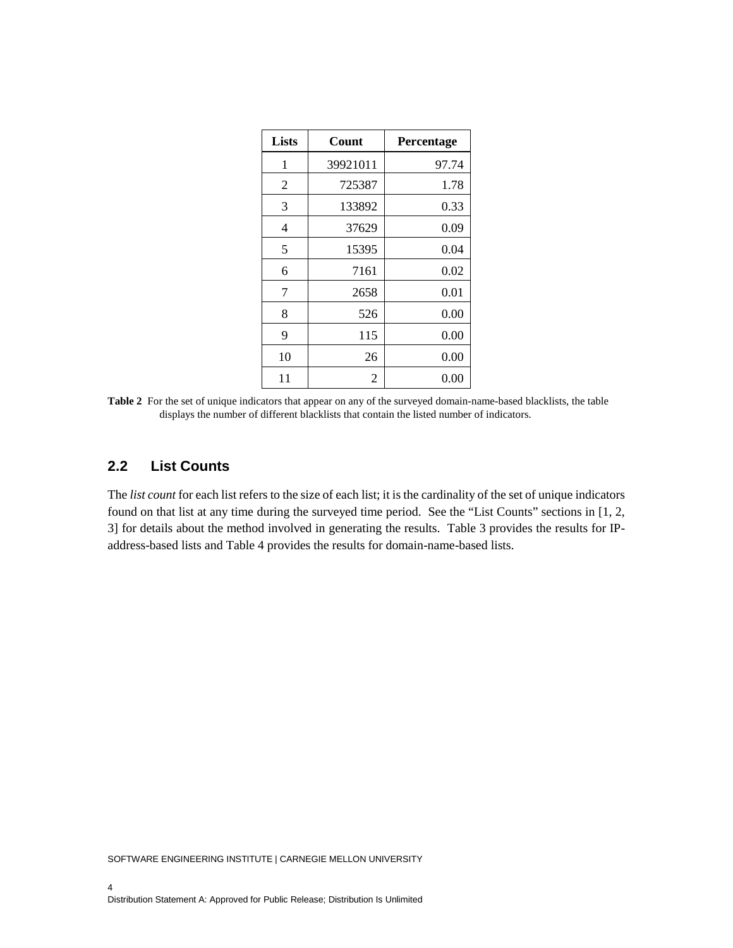| <b>Lists</b> | Count    | Percentage |
|--------------|----------|------------|
| 1            | 39921011 | 97.74      |
| 2            | 725387   | 1.78       |
| 3            | 133892   | 0.33       |
| 4            | 37629    | 0.09       |
| 5            | 15395    | 0.04       |
| 6            | 7161     | 0.02       |
| 7            | 2658     | 0.01       |
| 8            | 526      | 0.00       |
| 9            | 115      | 0.00       |
| 10           | 26       | 0.00       |
| 11           | 2        | 0.00       |

**Table 2** For the set of unique indicators that appear on any of the surveyed domain-name-based blacklists, the table displays the number of different blacklists that contain the listed number of indicators.

#### **2.2 List Counts**

The *list count* for each list refers to the size of each list; it is the cardinality of the set of unique indicators found on that list at any time during the surveyed time period. See the "List Counts" sections in [1, 2, 3] for details about the method involved in generating the results. Table 3 provides the results for IPaddress-based lists and Table 4 provides the results for domain-name-based lists.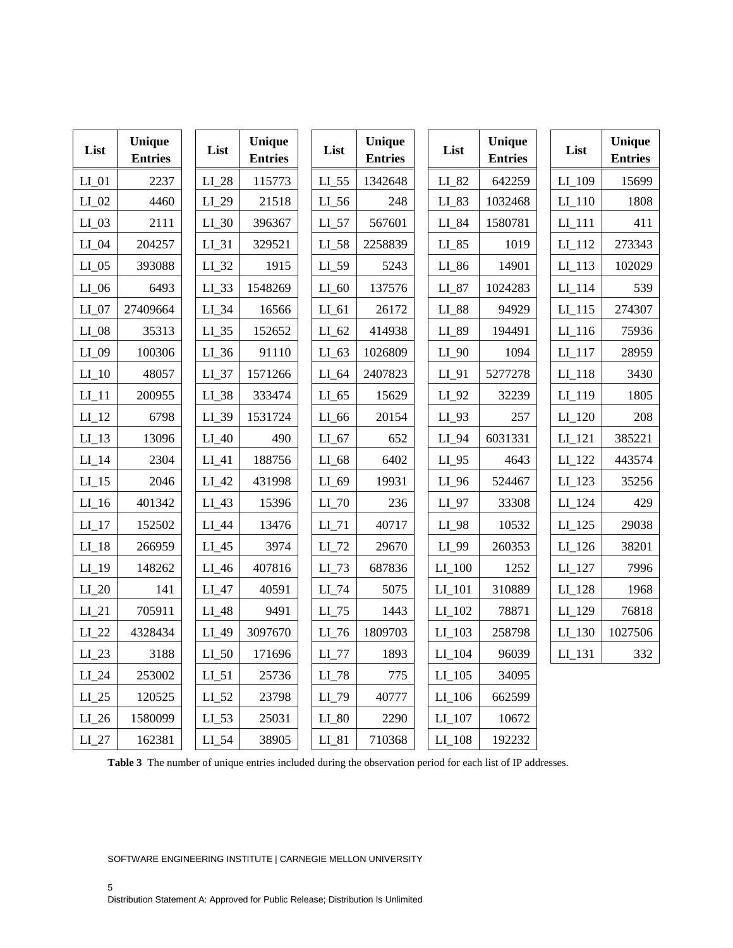| List     | <b>Unique</b><br><b>Entries</b> | List     | Unique<br><b>Entries</b> | List                | Unique<br><b>Entries</b> | List                | Unique<br><b>Entries</b> | List                | Unique<br><b>Entries</b> |
|----------|---------------------------------|----------|--------------------------|---------------------|--------------------------|---------------------|--------------------------|---------------------|--------------------------|
| LI 01    | 2237                            | LI 28    | 115773                   | $LI$ 55             | 1342648                  | $LI_82$             | 642259                   | LI_109              | 15699                    |
| $LI_02$  | 4460                            | $LI_29$  | 21518                    | $LI_56$             | 248                      | $LI_83$             | 1032468                  | $LI_110$            | 1808                     |
| $LI_03$  | 2111                            | $LI_30$  | 396367                   | $LI_57$             | 567601                   | $LI_84$             | 1580781                  | $LI_111$            | 411                      |
| $LI_04$  | 204257                          | $LI_31$  | 329521                   | LI_58               | 2258839                  | $LI_85$             | 1019                     | $LI_112$            | 273343                   |
| LI 05    | 393088                          | $LI_32$  | 1915                     | LI 59               | 5243                     | $LI_86$             | 14901                    | $LI_113$            | 102029                   |
| $LI_0$ 6 | 6493                            | $LI_33$  | 1548269                  | $LI_60$             | 137576                   | $LI_87$             | 1024283                  | $LI_114$            | 539                      |
| $LI_07$  | 27409664                        | $LI_34$  | 16566                    | $LI_61$             | 26172                    | $LI_88$             | 94929                    | $LI_115$            | 274307                   |
| $LI_08$  | 35313                           | $LI_35$  | 152652                   | $LI_62$             | 414938                   | LI_89               | 194491                   | LI 116              | 75936                    |
| LI_09    | 100306                          | $LI_36$  | 91110                    | $LI$ 63             | 1026809                  | $LI_90$             | 1094                     | $LI$ <sup>117</sup> | 28959                    |
| $LI_1$   | 48057                           | $LI_37$  | 1571266                  | $LI_64$             | 2407823                  | $LI_91$             | 5277278                  | $LI$ 118            | 3430                     |
| $LI_11$  | 200955                          | $LI_38$  | 333474                   | $LI$ 65             | 15629                    | $LI_92$             | 32239                    | $LI$ <sup>119</sup> | 1805                     |
| $LI_12$  | 6798                            | LI_39    | 1531724                  | $LI_66$             | 20154                    | $LI_93$             | 257                      | $LI_120$            | 208                      |
| $LI_13$  | 13096                           | $LI_40$  | 490                      | $LI_67$             | 652                      | $LI_94$             | 6031331                  | $LI_121$            | 385221                   |
| $LI_14$  | 2304                            | $LI_41$  | 188756                   | $LI_68$             | 6402                     | $LI_95$             | 4643                     | $LI_122$            | 443574                   |
| $LI_15$  | 2046                            | $LI_42$  | 431998                   | $LI_69$             | 19931                    | $LI_96$             | 524467                   | $LI$ 123            | 35256                    |
| $LI_16$  | 401342                          | $LI_43$  | 15396                    | $LI$ 70             | 236                      | $LI_97$             | 33308                    | $LI_124$            | 429                      |
| $LI_17$  | 152502                          | $LI_44$  | 13476                    | $LI_71$             | 40717                    | LI_98               | 10532                    | $LI$ 125            | 29038                    |
| $LI$ 18  | 266959                          | LI_45    | 3974                     | $LI$ 72             | 29670                    | LI_99               | 260353                   | $LI$ 126            | 38201                    |
| $LI$ 19  | 148262                          | $LI_46$  | 407816                   | $LI$ 73             | 687836                   | $LI_100$            | 1252                     | $LI_127$            | 7996                     |
| $LI_2$   | 141                             | $LI_47$  | 40591                    | $LI$ 74             | 5075                     | $LI_101$            | 310889                   | $LI_128$            | 1968                     |
| $LI_21$  | 705911                          | LI_48    | 9491                     | $LI$ 75             | 1443                     | $LI_102$            | 78871                    | $LI_129$            | 76818                    |
| LI 22    | 4328434                         | $LI_49$  | 3097670                  | $LI$ 76             | 1809703                  | $LI$ 103            | 258798                   | $LI$ 130            | 1027506                  |
| $LI_23$  | 3188                            | $LI_50$  | 171696                   | $LI$ 77             | 1893                     | $LI_104$            | 96039                    | $LI$ <sup>131</sup> | 332                      |
| $LI_24$  | 253002                          | $LI_51$  | 25736                    | $LI$ <sub>-78</sub> | 775                      | $LI$ <sub>105</sub> | 34095                    |                     |                          |
| $LI_25$  | 120525                          | $LI_52$  | 23798                    | LI_79               | 40777                    | $LI$ 106            | 662599                   |                     |                          |
| $LI_26$  | 1580099                         | $LI$ _53 | 25031                    | $LI_80$             | 2290                     | $LI$ <sub>107</sub> | 10672                    |                     |                          |
| $LI_27$  | 162381                          | $LI_54$  | 38905                    | $LI_81$             | 710368                   | $LI$ <sub>108</sub> | 192232                   |                     |                          |

**Table 3** The number of unique entries included during the observation period for each list of IP addresses.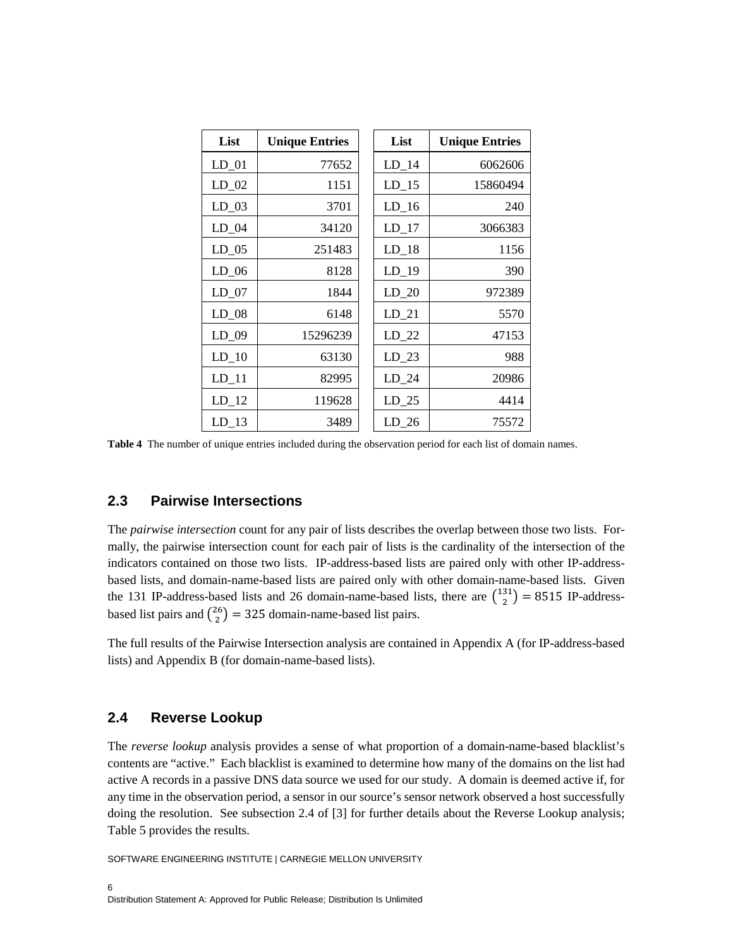| List    | <b>Unique Entries</b> | List             | <b>Unique Entries</b> |
|---------|-----------------------|------------------|-----------------------|
| $LD_01$ | 77652                 | $LD_14$          | 6062606               |
| $LD_02$ | 1151                  | $LD_15$          | 15860494              |
| $LD_03$ | 3701                  | $LD_16$          | 240                   |
| $LD_04$ | 34120                 | $LD_17$          | 3066383               |
| $LD_05$ | 251483                | $LD_18$          | 1156                  |
| $LD_06$ | 8128                  | $LD_19$          | 390                   |
| $LD_07$ | 1844                  | $LD_20$          | 972389                |
| $LD_08$ | 6148                  | $LD_21$          | 5570                  |
| $LD_09$ | 15296239              | $LD_22$          | 47153                 |
| $LD_10$ | 63130                 | $LD_23$          | 988                   |
| $LD_11$ | 82995                 | $LD_24$          | 20986                 |
| $LD_12$ | 119628                | $LD_25$          | 4414                  |
| $LD_13$ | 3489                  | LD <sub>26</sub> | 75572                 |

**Table 4** The number of unique entries included during the observation period for each list of domain names.

#### **2.3 Pairwise Intersections**

The *pairwise intersection* count for any pair of lists describes the overlap between those two lists. Formally, the pairwise intersection count for each pair of lists is the cardinality of the intersection of the indicators contained on those two lists. IP-address-based lists are paired only with other IP-addressbased lists, and domain-name-based lists are paired only with other domain-name-based lists. Given the 131 IP-address-based lists and 26 domain-name-based lists, there are  $\binom{131}{2} = 8515$  IP-addressbased list pairs and  $\binom{26}{2}$  = 325 domain-name-based list pairs.

The full results of the Pairwise Intersection analysis are contained in Appendix A (for IP-address-based lists) and Appendix B (for domain-name-based lists).

#### **2.4 Reverse Lookup**

The *reverse lookup* analysis provides a sense of what proportion of a domain-name-based blacklist's contents are "active." Each blacklist is examined to determine how many of the domains on the list had active A records in a passive DNS data source we used for our study. A domain is deemed active if, for any time in the observation period, a sensor in our source's sensor network observed a host successfully doing the resolution. See subsection 2.4 of [3] for further details about the Reverse Lookup analysis; Table 5 provides the results.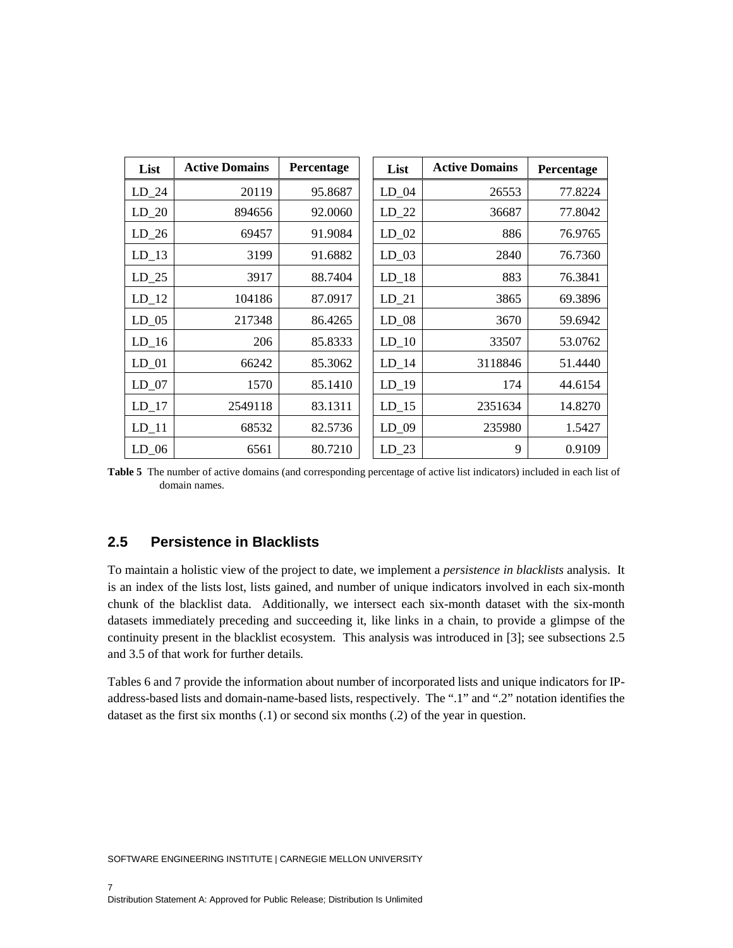| List    | <b>Active Domains</b> | Percentage | List    | <b>Active Domains</b> | Percentage |
|---------|-----------------------|------------|---------|-----------------------|------------|
| $LD_24$ | 20119                 | 95.8687    | $LD_04$ | 26553                 | 77.8224    |
| $LD_20$ | 894656                | 92.0060    | $LD_22$ | 36687                 | 77.8042    |
| $LD_26$ | 69457                 | 91.9084    | $LD_02$ | 886                   | 76.9765    |
| $LD_13$ | 3199                  | 91.6882    | $LD_03$ | 2840                  | 76.7360    |
| $LD_25$ | 3917                  | 88.7404    | $LD_18$ | 883                   | 76.3841    |
| $LD_12$ | 104186                | 87.0917    | $LD_21$ | 3865                  | 69.3896    |
| $LD_05$ | 217348                | 86.4265    | $LD_08$ | 3670                  | 59.6942    |
| $LD_16$ | 206                   | 85.8333    | $LD_10$ | 33507                 | 53.0762    |
| $LD_01$ | 66242                 | 85.3062    | $LD_14$ | 3118846               | 51.4440    |
| $LD_07$ | 1570                  | 85.1410    | $LD_19$ | 174                   | 44.6154    |
| $LD_17$ | 2549118               | 83.1311    | $LD_15$ | 2351634               | 14.8270    |
| $LD_11$ | 68532                 | 82.5736    | $LD_09$ | 235980                | 1.5427     |
| $LD_06$ | 6561                  | 80.7210    | $LD_23$ | 9                     | 0.9109     |

**Table 5** The number of active domains (and corresponding percentage of active list indicators) included in each list of domain names.

#### **2.5 Persistence in Blacklists**

To maintain a holistic view of the project to date, we implement a *persistence in blacklists* analysis. It is an index of the lists lost, lists gained, and number of unique indicators involved in each six-month chunk of the blacklist data. Additionally, we intersect each six-month dataset with the six-month datasets immediately preceding and succeeding it, like links in a chain, to provide a glimpse of the continuity present in the blacklist ecosystem. This analysis was introduced in [3]; see subsections 2.5 and 3.5 of that work for further details.

Tables 6 and 7 provide the information about number of incorporated lists and unique indicators for IPaddress-based lists and domain-name-based lists, respectively. The ".1" and ".2" notation identifies the dataset as the first six months (.1) or second six months (.2) of the year in question.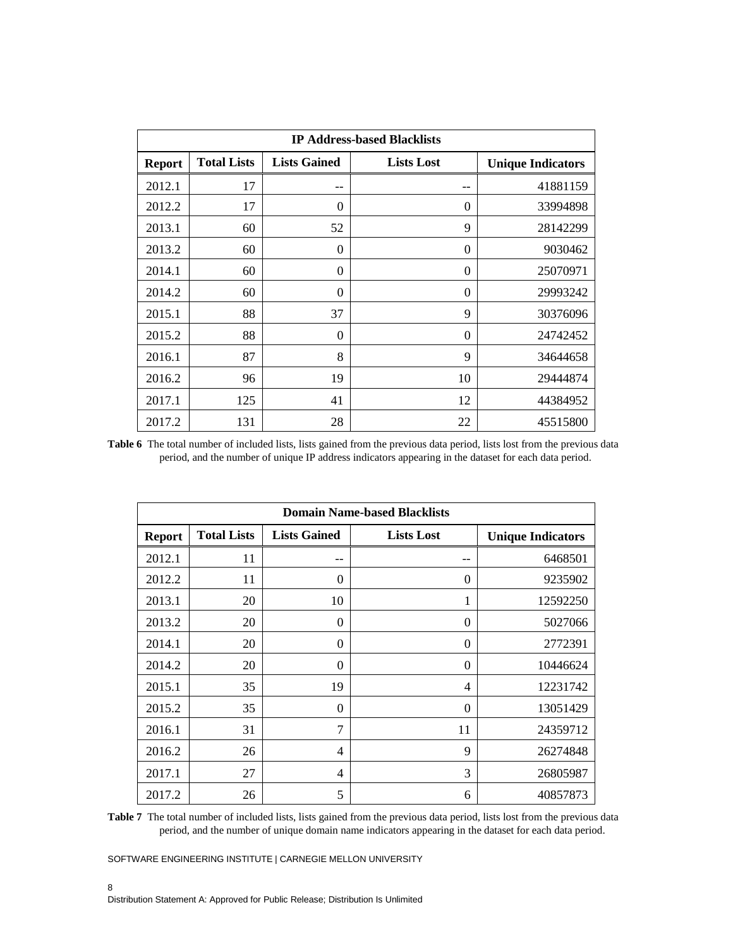| <b>IP Address-based Blacklists</b> |                    |                     |                   |                          |  |  |  |  |  |
|------------------------------------|--------------------|---------------------|-------------------|--------------------------|--|--|--|--|--|
| <b>Report</b>                      | <b>Total Lists</b> | <b>Lists Gained</b> | <b>Lists Lost</b> | <b>Unique Indicators</b> |  |  |  |  |  |
| 2012.1                             | 17                 | --                  | --                | 41881159                 |  |  |  |  |  |
| 2012.2                             | 17                 | $\theta$            | 0                 | 33994898                 |  |  |  |  |  |
| 2013.1                             | 60                 | 52                  | 9                 | 28142299                 |  |  |  |  |  |
| 2013.2                             | 60                 | $\theta$            | $\boldsymbol{0}$  | 9030462                  |  |  |  |  |  |
| 2014.1                             | 60                 | $\Omega$            | 0                 | 25070971                 |  |  |  |  |  |
| 2014.2                             | 60                 | $\Omega$            | $\theta$          | 29993242                 |  |  |  |  |  |
| 2015.1                             | 88                 | 37                  | 9                 | 30376096                 |  |  |  |  |  |
| 2015.2                             | 88                 | $\theta$            | $\theta$          | 24742452                 |  |  |  |  |  |
| 2016.1                             | 87                 | 8                   | 9                 | 34644658                 |  |  |  |  |  |
| 2016.2                             | 96                 | 19                  | 10                | 29444874                 |  |  |  |  |  |
| 2017.1                             | 125                | 41                  | 12                | 44384952                 |  |  |  |  |  |
| 2017.2                             | 131                | 28                  | 22                | 45515800                 |  |  |  |  |  |

Table 6 The total number of included lists, lists gained from the previous data period, lists lost from the previous data period, and the number of unique IP address indicators appearing in the dataset for each data period.

|               | <b>Domain Name-based Blacklists</b> |                     |                   |                          |  |  |  |  |  |  |
|---------------|-------------------------------------|---------------------|-------------------|--------------------------|--|--|--|--|--|--|
| <b>Report</b> | <b>Total Lists</b>                  | <b>Lists Gained</b> | <b>Lists Lost</b> | <b>Unique Indicators</b> |  |  |  |  |  |  |
| 2012.1        | 11                                  | --                  | $ -$              | 6468501                  |  |  |  |  |  |  |
| 2012.2        | 11                                  | 0                   | 0                 | 9235902                  |  |  |  |  |  |  |
| 2013.1        | 20                                  | 10                  | 1                 | 12592250                 |  |  |  |  |  |  |
| 2013.2        | 20                                  | 0                   | $\theta$          | 5027066                  |  |  |  |  |  |  |
| 2014.1        | 20                                  | 0                   | 0                 | 2772391                  |  |  |  |  |  |  |
| 2014.2        | 20                                  | 0                   | $\theta$          | 10446624                 |  |  |  |  |  |  |
| 2015.1        | 35                                  | 19                  | 4                 | 12231742                 |  |  |  |  |  |  |
| 2015.2        | 35                                  | 0                   | $\theta$          | 13051429                 |  |  |  |  |  |  |
| 2016.1        | 31                                  | $\overline{7}$      | 11                | 24359712                 |  |  |  |  |  |  |
| 2016.2        | 26                                  | 4                   | 9                 | 26274848                 |  |  |  |  |  |  |
| 2017.1        | 27                                  | 4                   | 3                 | 26805987                 |  |  |  |  |  |  |
| 2017.2        | 26                                  | 5                   | 6                 | 40857873                 |  |  |  |  |  |  |

**Table 7** The total number of included lists, lists gained from the previous data period, lists lost from the previous data period, and the number of unique domain name indicators appearing in the dataset for each data period.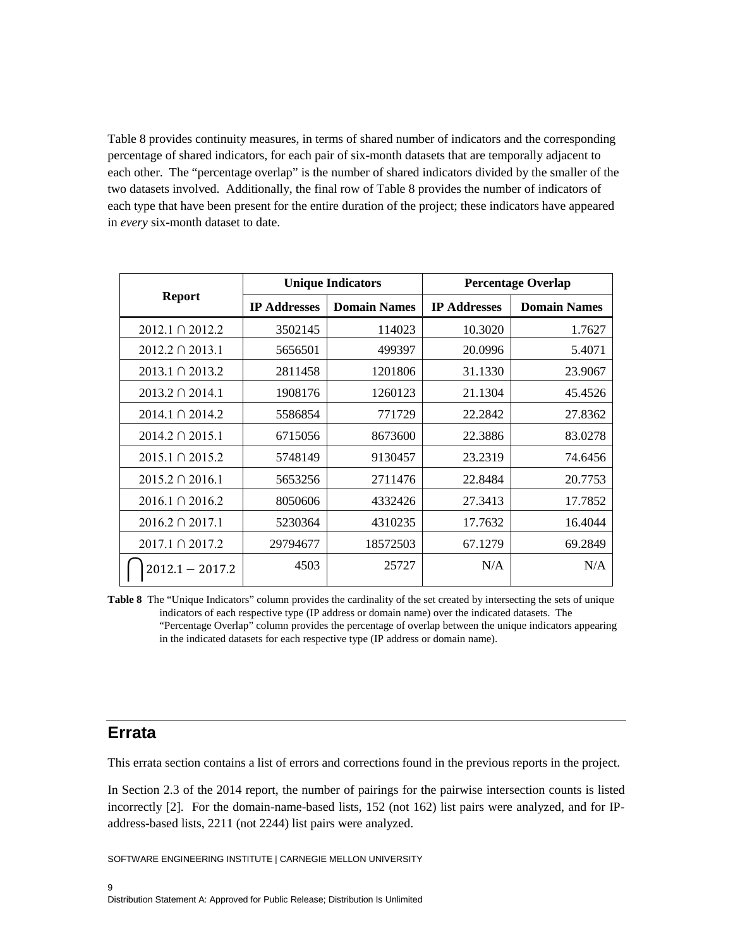Table 8 provides continuity measures, in terms of shared number of indicators and the corresponding percentage of shared indicators, for each pair of six-month datasets that are temporally adjacent to each other. The "percentage overlap" is the number of shared indicators divided by the smaller of the two datasets involved. Additionally, the final row of Table 8 provides the number of indicators of each type that have been present for the entire duration of the project; these indicators have appeared in *every* six-month dataset to date.

|                      |                     | <b>Unique Indicators</b> | <b>Percentage Overlap</b> |                     |  |
|----------------------|---------------------|--------------------------|---------------------------|---------------------|--|
| <b>Report</b>        | <b>IP Addresses</b> | <b>Domain Names</b>      | <b>IP Addresses</b>       | <b>Domain Names</b> |  |
| 2012.1 0 2012.2      | 3502145             | 114023                   | 10.3020                   | 1.7627              |  |
| 2012.2 0 2013.1      | 5656501             | 499397                   | 20.0996                   | 5.4071              |  |
| 2013.1 ∩ 2013.2      | 2811458             | 1201806                  | 31.1330                   | 23.9067             |  |
| $2013.2 \cap 2014.1$ | 1908176             | 1260123                  | 21.1304                   | 45.4526             |  |
| 2014.1 ∩ 2014.2      | 5586854             | 771729                   | 22.2842                   | 27.8362             |  |
| $2014.2 \cap 2015.1$ | 6715056             | 8673600                  | 22.3886                   | 83.0278             |  |
| 2015.1 ∩ 2015.2      | 5748149             | 9130457                  | 23.2319                   | 74.6456             |  |
| $2015.2 \cap 2016.1$ | 5653256             | 2711476                  | 22.8484                   | 20.7753             |  |
| 2016.1 ∩ 2016.2      | 8050606             | 4332426                  | 27.3413                   | 17.7852             |  |
| $2016.2 \cap 2017.1$ | 5230364             | 4310235                  | 17.7632                   | 16.4044             |  |
| $2017.1 \cap 2017.2$ | 29794677            | 18572503                 | 67.1279                   | 69.2849             |  |
| $2012.1 - 2017.2$    | 4503                | 25727                    | N/A                       | N/A                 |  |

**Table 8** The "Unique Indicators" column provides the cardinality of the set created by intersecting the sets of unique indicators of each respective type (IP address or domain name) over the indicated datasets. The "Percentage Overlap" column provides the percentage of overlap between the unique indicators appearing in the indicated datasets for each respective type (IP address or domain name).

## **Errata**

This errata section contains a list of errors and corrections found in the previous reports in the project.

In Section 2.3 of the 2014 report, the number of pairings for the pairwise intersection counts is listed incorrectly [2]. For the domain-name-based lists, 152 (not 162) list pairs were analyzed, and for IPaddress-based lists, 2211 (not 2244) list pairs were analyzed.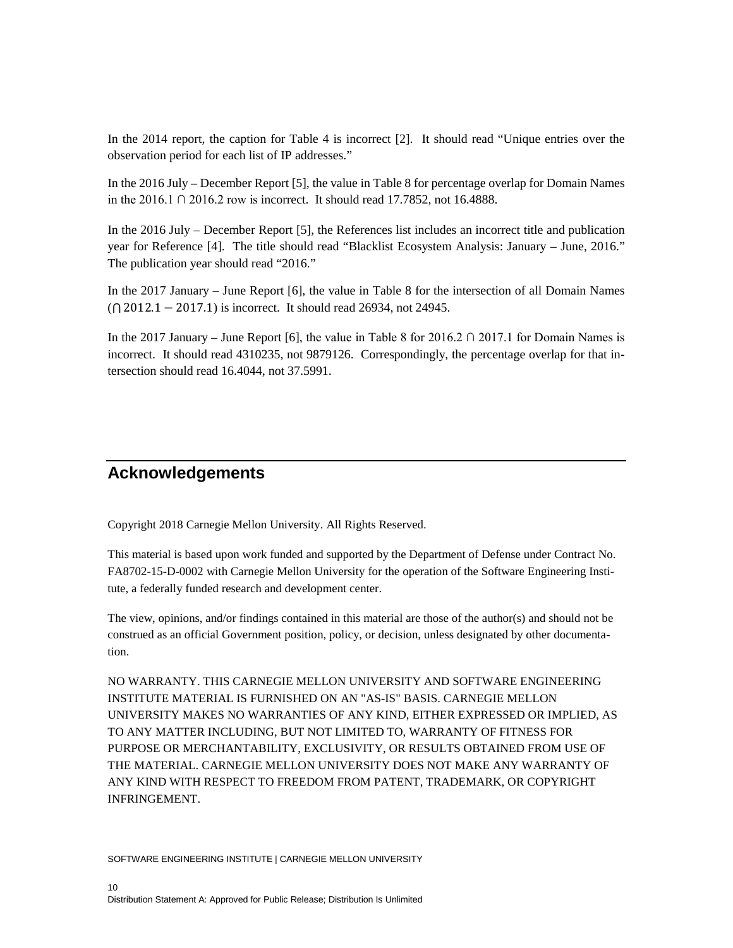In the 2014 report, the caption for Table 4 is incorrect [2]. It should read "Unique entries over the observation period for each list of IP addresses."

In the 2016 July – December Report [5], the value in Table 8 for percentage overlap for Domain Names in the 2016.1 ∩ 2016.2 row is incorrect. It should read 17.7852, not 16.4888.

In the 2016 July – December Report [5], the References list includes an incorrect title and publication year for Reference [4]. The title should read "Blacklist Ecosystem Analysis: January – June, 2016." The publication year should read "2016."

In the 2017 January – June Report [6], the value in Table 8 for the intersection of all Domain Names (⋂ 2012.1 − 2017.1) is incorrect. It should read 26934, not 24945.

In the 2017 January – June Report [6], the value in Table 8 for  $2016.2 \cap 2017.1$  for Domain Names is incorrect. It should read 4310235, not 9879126. Correspondingly, the percentage overlap for that intersection should read 16.4044, not 37.5991.

## **Acknowledgements**

Copyright 2018 Carnegie Mellon University. All Rights Reserved.

This material is based upon work funded and supported by the Department of Defense under Contract No. FA8702-15-D-0002 with Carnegie Mellon University for the operation of the Software Engineering Institute, a federally funded research and development center.

The view, opinions, and/or findings contained in this material are those of the author(s) and should not be construed as an official Government position, policy, or decision, unless designated by other documentation.

NO WARRANTY. THIS CARNEGIE MELLON UNIVERSITY AND SOFTWARE ENGINEERING INSTITUTE MATERIAL IS FURNISHED ON AN "AS-IS" BASIS. CARNEGIE MELLON UNIVERSITY MAKES NO WARRANTIES OF ANY KIND, EITHER EXPRESSED OR IMPLIED, AS TO ANY MATTER INCLUDING, BUT NOT LIMITED TO, WARRANTY OF FITNESS FOR PURPOSE OR MERCHANTABILITY, EXCLUSIVITY, OR RESULTS OBTAINED FROM USE OF THE MATERIAL. CARNEGIE MELLON UNIVERSITY DOES NOT MAKE ANY WARRANTY OF ANY KIND WITH RESPECT TO FREEDOM FROM PATENT, TRADEMARK, OR COPYRIGHT INFRINGEMENT.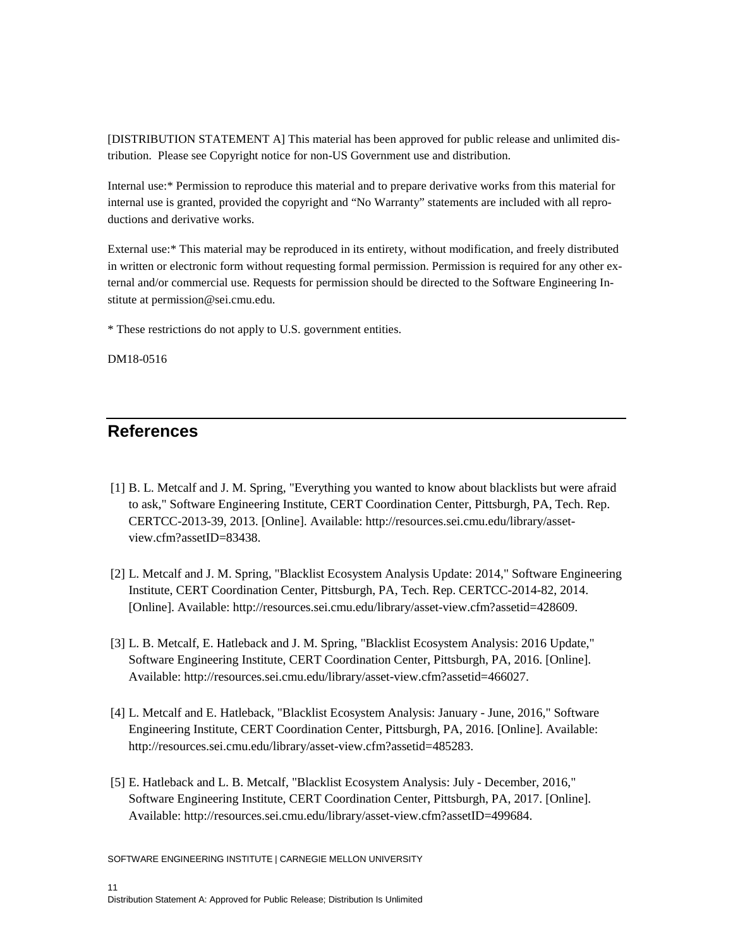[DISTRIBUTION STATEMENT A] This material has been approved for public release and unlimited distribution. Please see Copyright notice for non-US Government use and distribution.

Internal use:\* Permission to reproduce this material and to prepare derivative works from this material for internal use is granted, provided the copyright and "No Warranty" statements are included with all reproductions and derivative works.

External use:\* This material may be reproduced in its entirety, without modification, and freely distributed in written or electronic form without requesting formal permission. Permission is required for any other external and/or commercial use. Requests for permission should be directed to the Software Engineering Institute at permission@sei.cmu.edu.

\* These restrictions do not apply to U.S. government entities.

DM18-0516

## **References**

- [1] B. L. Metcalf and J. M. Spring, "Everything you wanted to know about blacklists but were afraid to ask," Software Engineering Institute, CERT Coordination Center, Pittsburgh, PA, Tech. Rep. CERTCC-2013-39, 2013. [Online]. Available: http://resources.sei.cmu.edu/library/assetview.cfm?assetID=83438.
- [2] L. Metcalf and J. M. Spring, "Blacklist Ecosystem Analysis Update: 2014," Software Engineering Institute, CERT Coordination Center, Pittsburgh, PA, Tech. Rep. CERTCC-2014-82, 2014. [Online]. Available: http://resources.sei.cmu.edu/library/asset-view.cfm?assetid=428609.
- [3] L. B. Metcalf, E. Hatleback and J. M. Spring, "Blacklist Ecosystem Analysis: 2016 Update," Software Engineering Institute, CERT Coordination Center, Pittsburgh, PA, 2016. [Online]. Available: http://resources.sei.cmu.edu/library/asset-view.cfm?assetid=466027.
- [4] L. Metcalf and E. Hatleback, "Blacklist Ecosystem Analysis: January June, 2016," Software Engineering Institute, CERT Coordination Center, Pittsburgh, PA, 2016. [Online]. Available: http://resources.sei.cmu.edu/library/asset-view.cfm?assetid=485283.
- [5] E. Hatleback and L. B. Metcalf, "Blacklist Ecosystem Analysis: July December, 2016," Software Engineering Institute, CERT Coordination Center, Pittsburgh, PA, 2017. [Online]. Available: http://resources.sei.cmu.edu/library/asset-view.cfm?assetID=499684.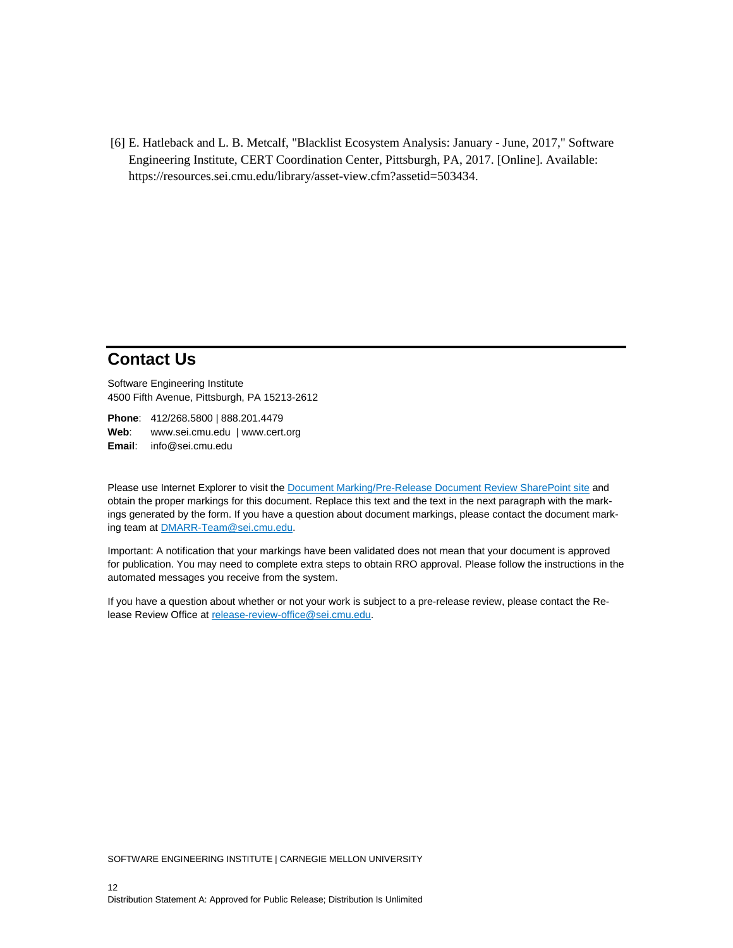[6] E. Hatleback and L. B. Metcalf, "Blacklist Ecosystem Analysis: January - June, 2017," Software Engineering Institute, CERT Coordination Center, Pittsburgh, PA, 2017. [Online]. Available: https://resources.sei.cmu.edu/library/asset-view.cfm?assetid=503434.

### **Contact Us**

Software Engineering Institute 4500 Fifth Avenue, Pittsburgh, PA 15213-2612

**Phone**: 412/268.5800 | 888.201.4479 Web: [www.sei.cmu.edu](http://www.sei.cmu.edu/) | [www.cert.org](http://www.cert.org/) **Email**: [info@sei.cmu.edu](mailto:info@sei.cmu.edu)

Please use Internet Explorer to visit the [Document Marking/Pre-Release Document Review SharePoint site](https://collaboration.sei.cmu.edu/forms/dm/default.aspx) and obtain the proper markings for this document. Replace this text and the text in the next paragraph with the markings generated by the form. If you have a question about document markings, please contact the document marking team at [DMARR-Team@sei.cmu.edu.](mailto:DMARR-Team@sei.cmu.edu?subject=Document%20Marking%20Question) 

Important: A notification that your markings have been validated does not mean that your document is approved for publication. You may need to complete extra steps to obtain RRO approval. Please follow the instructions in the automated messages you receive from the system.

If you have a question about whether or not your work is subject to a pre-release review, please contact the Release Review Office at [release-review-office@sei.cmu.edu.](mailto:release-review-office@sei.cmu.edu)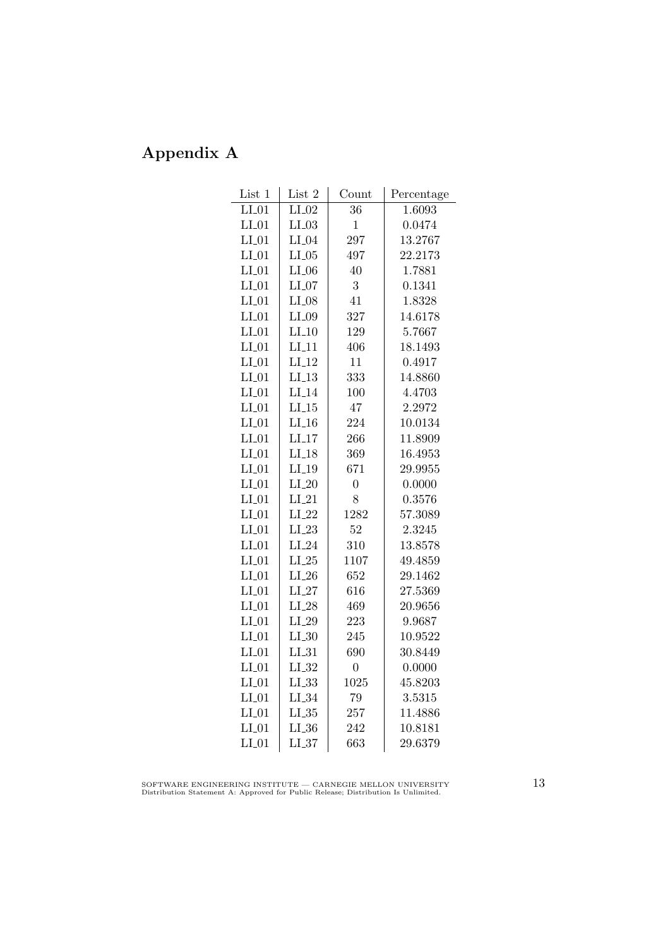## Appendix A

| List 1  | List 2     | Count          | Percentage |
|---------|------------|----------------|------------|
| $LI_01$ | $LI_02$    | 36             | 1.6093     |
| $LI_01$ | $LI_03$    | $\mathbf{1}$   | 0.0474     |
| $LI_01$ | $LI_04$    | 297            | 13.2767    |
| $LI_01$ | $LI_05$    | 497            | 22.2173    |
| $LI_01$ | $LI_06$    | 40             | 1.7881     |
| $LI_01$ | $LI_07$    | 3              | 0.1341     |
| $LI_01$ | $LI_08$    | 41             | 1.8328     |
| $LI_01$ | $LI_09$    | 327            | 14.6178    |
| $LI_01$ | $LI_10$    | 129            | 5.7667     |
| $LI_01$ | $LI_11$    | 406            | 18.1493    |
| $LI_01$ | $LI_12$    | 11             | 0.4917     |
| $LI_01$ | $LI_13$    | 333            | 14.8860    |
| $LI_01$ | $LI_14$    | 100            | 4.4703     |
| $LI_01$ | $LI_15$    | 47             | 2.2972     |
| $LI_01$ | $LI_16$    | 224            | 10.0134    |
| $LI_01$ | $LI_17$    | 266            | 11.8909    |
| $LI_01$ | $LI_18$    | 369            | 16.4953    |
| $LI_01$ | $LI_19$    | 671            | 29.9955    |
| $LI_01$ | $LI_20$    | $\overline{0}$ | 0.0000     |
| $LI_01$ | $LI_21$    | 8              | 0.3576     |
| $LI_01$ | $LI_22$    | 1282           | 57.3089    |
| $LI_01$ | $LI_23$    | 52             | 2.3245     |
| $LI_01$ | $LI_24$    | 310            | 13.8578    |
| $LI_01$ | $LI_25$    | 1107           | 49.4859    |
| $LI_01$ | $LI_26$    | 652            | 29.1462    |
| $LI_01$ | $LI_27$    | 616            | 27.5369    |
| $LI_01$ | $LI_28$    | 469            | 20.9656    |
| $LI_01$ | $LI_29$    | 223            | 9.9687     |
| $LI_01$ | $LI_30$    | 245            | 10.9522    |
| $LI_01$ | $LI_31$    | 690            | 30.8449    |
| $LI_01$ | $LL_{.32}$ | $\overline{0}$ | 0.0000     |
| $LI_01$ | $LL_{.33}$ | 1025           | 45.8203    |
| $LI_01$ | $LI_34$    | 79             | 3.5315     |
| $LI_01$ | LL35       | 257            | 11.4886    |
| $LI_01$ | LI.36      | 242            | 10.8181    |
| $LI_01$ | LL37       | 663            | 29.6379    |

SOFTWARE ENGINEERING INSTITUTE — CARNEGIE MELLON UNIVERSITY Distribution Statement A: Approved for Public Release; Distribution Is Unlimited.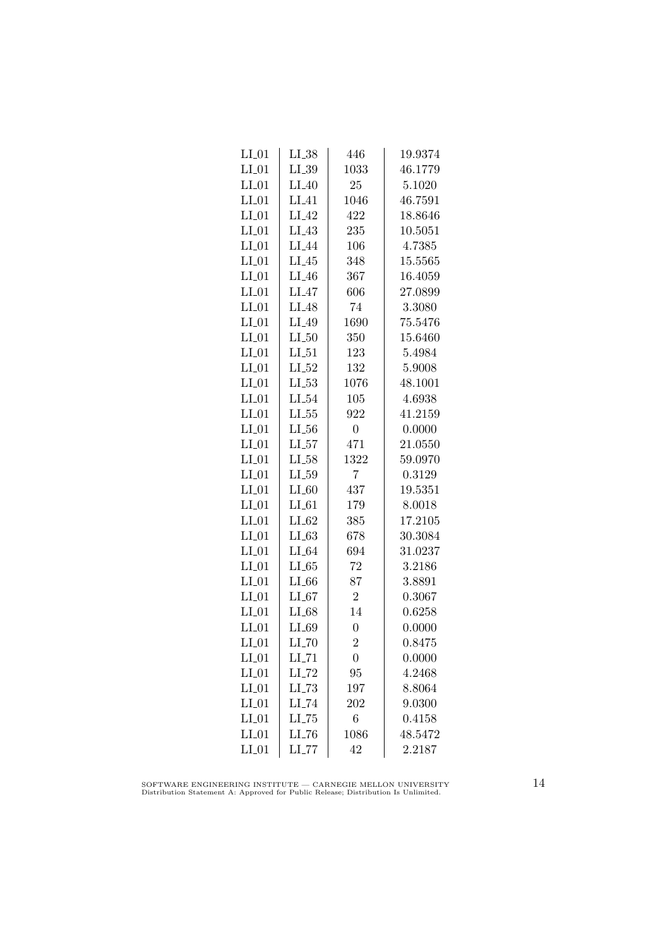| $LI_01$ | $LI_38$             | 446              | 19.9374 |
|---------|---------------------|------------------|---------|
| $LI_01$ | $LI_39$             | 1033             | 46.1779 |
| $LI_01$ | $LI_40$             | 25               | 5.1020  |
| $LI_01$ | $LI_41$             | 1046             | 46.7591 |
| $LI_01$ | LI.42               | 422              | 18.8646 |
| $LI_01$ | $LI_43$             | 235              | 10.5051 |
| $LI_01$ | LI <sub>-44</sub>   | 106              | 4.7385  |
| $LI_01$ | $LI_45$             | 348              | 15.5565 |
| $LI_01$ | $LI_46$             | 367              | 16.4059 |
| $LI_01$ | $LI_47$             | 606              | 27.0899 |
| $LI_01$ | $LI_48$             | 74               | 3.3080  |
| $LI_01$ | LI <sub>49</sub>    | 1690             | 75.5476 |
| $LI_01$ | $LI_50$             | 350              | 15.6460 |
| $LI_01$ | $LI_51$             | 123              | 5.4984  |
| $LI_01$ | $LI_52$             | 132              | 5.9008  |
| $LI_01$ | $LL-53$             | 1076             | 48.1001 |
| $LI_01$ | $LI_54$             | 105              | 4.6938  |
| $LI_01$ | $LL_{.55}$          | 922              | 41.2159 |
| $LI_01$ | $LL_{.56}$          | $\boldsymbol{0}$ | 0.0000  |
| $LI_01$ | LL57                | 471              | 21.0550 |
| $LI_01$ | $LI_58$             | 1322             | 59.0970 |
| $LI_01$ | $LI_59$             | $\overline{7}$   | 0.3129  |
| $LI_01$ | $LI_60$             | 437              | 19.5351 |
| $LI_01$ | $LI_61$             | 179              | 8.0018  |
| $LI_01$ | $LI_62$             | 385              | 17.2105 |
| $LI_01$ | $LI_63$             | 678              | 30.3084 |
| $LI_01$ | $LI_64$             | 694              | 31.0237 |
| $LI_01$ | LL 65               | 72               | 3.2186  |
| $LI_01$ | $LI_66$             | 87               | 3.8891  |
| $LI_01$ | $LI_67$             | $\sqrt{2}$       | 0.3067  |
| $LI_01$ | LI_68               | 14               | 0.6258  |
| $LI_01$ | $LI_69$             | $\overline{0}$   | 0.0000  |
| $LI_01$ | $LI$ <sub>-70</sub> | $\overline{2}$   | 0.8475  |
| $LI_01$ | $LI$ <sub>-71</sub> | $\boldsymbol{0}$ | 0.0000  |
| $LI_01$ | $LI$ <sub>-72</sub> | 95               | 4.2468  |
| $LI_01$ | $LL-73$             | 197              | 8.8064  |
| $LI_01$ | LI_74               | 202              | 9.0300  |
| $LI_01$ | LL75                | 6                | 0.4158  |
| $LI_01$ | $LI$ <sub>-76</sub> | 1086             | 48.5472 |
| $LI_01$ | $LL$ <sub>77</sub>  | 42               | 2.2187  |

SOFTWARE ENGINEERING INSTITUTE — CARNEGIE MELLON UNIVERSITY Distribution Statement A: Approved for Public Release; Distribution Is Unlimited.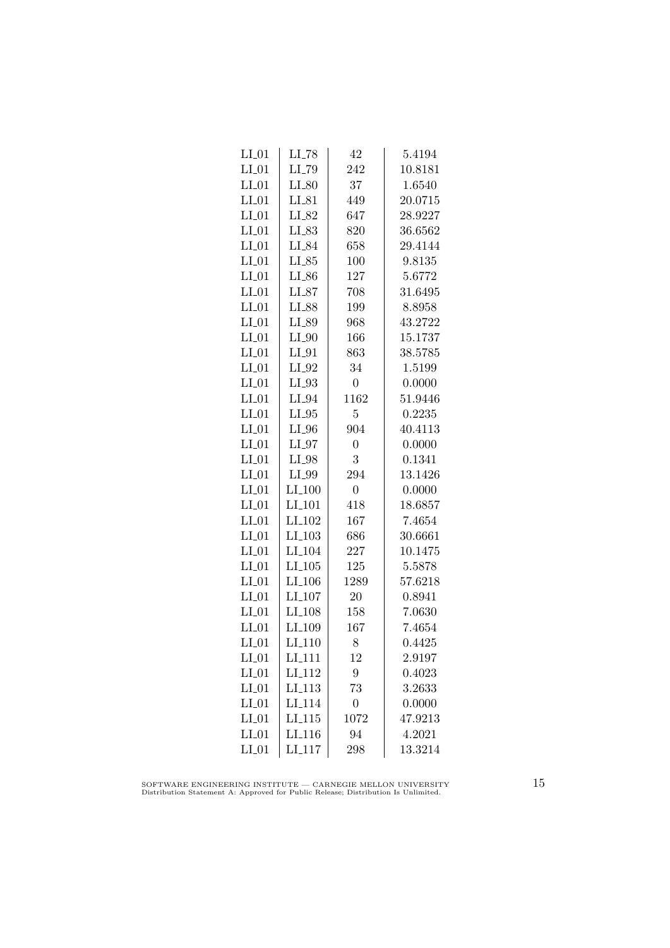| $LI_01$ | $LI$ <sub>-78</sub>  | 42               | 5.4194  |
|---------|----------------------|------------------|---------|
| $LI_01$ | LI_79                | 242              | 10.8181 |
| $LI_01$ | $LI_80$              | 37               | 1.6540  |
| $LI_01$ | $LI_81$              | 449              | 20.0715 |
| $LI_01$ | LI_82                | 647              | 28.9227 |
| $LI_01$ | LI_83                | 820              | 36.6562 |
| $LI_01$ | $LI_84$              | 658              | 29.4144 |
| $LI_01$ | $LI_85$              | 100              | 9.8135  |
| $LI_01$ | $LI_86$              | 127              | 5.6772  |
| $LI_01$ | $LI_87$              | 708              | 31.6495 |
| $LI_01$ | LI_88                | 199              | 8.8958  |
| $LI_01$ | LI_89                | 968              | 43.2722 |
| $LI_01$ | $LI_0$               | 166              | 15.1737 |
| $LI_01$ | $LI_01$              | 863              | 38.5785 |
| $LI_01$ | $LI_02$              | 34               | 1.5199  |
| $LI_01$ | $LI_03$              | $\overline{0}$   | 0.0000  |
| $LI_01$ | $LI_04$              | 1162             | 51.9446 |
| $LI_01$ | $LI_05$              | 5                | 0.2235  |
| $LI_01$ | $LI_0$               | 904              | 40.4113 |
| $LI_01$ | $LI_97$              | $\overline{0}$   | 0.0000  |
| $LI_01$ | $LI_98$              | 3                | 0.1341  |
| $LI_01$ | $LI_099$             | 294              | 13.1426 |
| $LI_01$ | $LI_100$             | $\overline{0}$   | 0.0000  |
| $LI_01$ | LI <sub>-101</sub>   | 418              | 18.6857 |
| $LI_01$ | LI <sub>-102</sub>   | 167              | 7.4654  |
| $LI_01$ | $LI_103$             | 686              | 30.6661 |
| $LI_01$ | LI <sub>-104</sub>   | 227              | 10.1475 |
| $LI_01$ | $LI_105$             | 125              | 5.5878  |
| $LI_01$ | $LI$ <sub>-106</sub> | 1289             | 57.6218 |
| $LI_01$ | LI <sub>-107</sub>   | 20               | 0.8941  |
| $LI_01$ | LI <sub>-108</sub>   | 158              | 7.0630  |
| $LI_01$ | LI <sub>-109</sub>   | 167              | 7.4654  |
| $LI_01$ | LI <sub>-110</sub>   | 8                | 0.4425  |
| $LI_01$ | $LI_111$             | 12               | 2.9197  |
| $LI_01$ | LI <sub>-112</sub>   | 9                | 0.4023  |
| $LI_01$ | LI <sub>-113</sub>   | 73               | 3.2633  |
| $LI_01$ | LI <sub>-114</sub>   | $\boldsymbol{0}$ | 0.0000  |
| $LI_01$ | LI <sub>-115</sub>   | 1072             | 47.9213 |
| $LI_01$ | LI <sub>116</sub>    | 94               | 4.2021  |
| $LI_01$ | LI <sub>-117</sub>   | 298              | 13.3214 |
|         |                      |                  |         |

SOFTWARE ENGINEERING INSTITUTE — CARNEGIE MELLON UNIVERSITY Distribution Statement A: Approved for Public Release; Distribution Is Unlimited.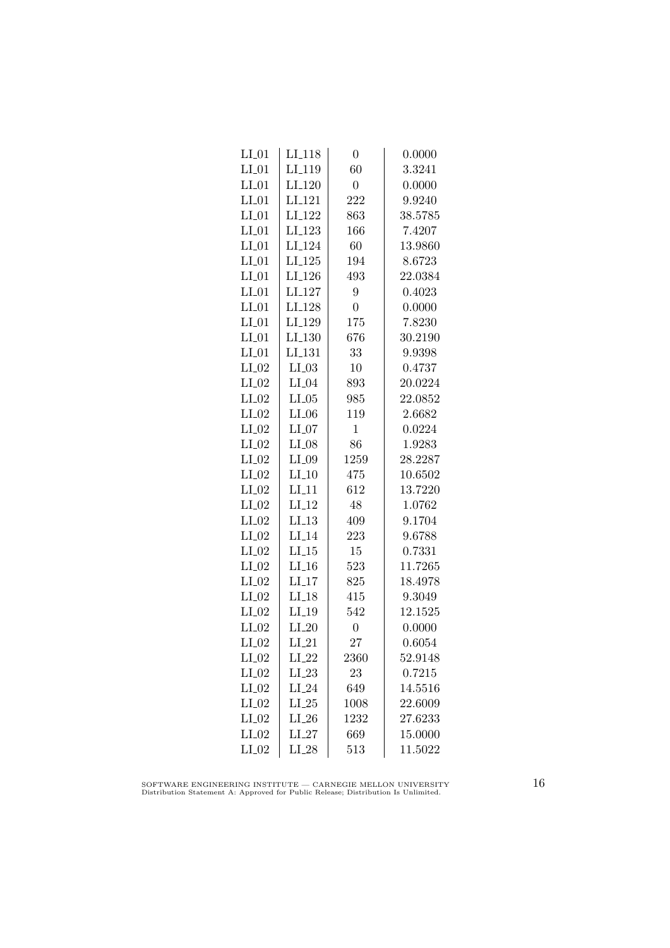| $LI_01$ | LI <sub>-118</sub> | $\overline{0}$ | 0.0000  |
|---------|--------------------|----------------|---------|
| $LI_01$ | LI <sub>-119</sub> | 60             | 3.3241  |
| $LI_01$ | $LI_120$           | $\overline{0}$ | 0.0000  |
| $LI_01$ | $LI_121$           | 222            | 9.9240  |
| $LI_01$ | LI <sub>-122</sub> | 863            | 38.5785 |
| $LI_01$ | LI <sub>-123</sub> | 166            | 7.4207  |
| $LI_01$ | LI <sub>-124</sub> | 60             | 13.9860 |
| $LI_01$ | $LI_125$           | 194            | 8.6723  |
| $LI_01$ | LI <sub>-126</sub> | 493            | 22.0384 |
| $LI_01$ | LI <sub>-127</sub> | 9              | 0.4023  |
| $LI_01$ | LI <sub>-128</sub> | $\overline{0}$ | 0.0000  |
| $LI_01$ | LI <sub>-129</sub> | 175            | 7.8230  |
| $LI_01$ | LI <sub>-130</sub> | 676            | 30.2190 |
| $LI_01$ | $LI_131$           | 33             | 9.9398  |
| $LI_02$ | $LI_03$            | 10             | 0.4737  |
| $LI_02$ | $LI_04$            | 893            | 20.0224 |
| $LI_02$ | $LI_05$            | 985            | 22.0852 |
| $LI_02$ | $LI_06$            | 119            | 2.6682  |
| $LI_02$ | $LI_07$            | $\mathbf 1$    | 0.0224  |
| $LI_02$ | $LI_08$            | 86             | 1.9283  |
| $LI_02$ | $LI_09$            | 1259           | 28.2287 |
| $LI_02$ | $LI_10$            | 475            | 10.6502 |
| $LI_02$ | $LI-11$            | 612            | 13.7220 |
| $LI_02$ | $LI-12$            | 48             | 1.0762  |
| $LI_02$ | LI.13              | 409            | 9.1704  |
| $LI_02$ | $LI-14$            | 223            | 9.6788  |
| $LI_02$ | $LI_15$            | 15             | 0.7331  |
| $LI_02$ | $LI_16$            | 523            | 11.7265 |
| $LI_02$ | $LI_17$            | 825            | 18.4978 |
| $LI_02$ | $LI_18$            | 415            | 9.3049  |
| $LI_02$ | $LI_19$            | 542            | 12.1525 |
| $LI_02$ | $LI_20$            | $\overline{0}$ | 0.0000  |
| $LI_02$ | $LI_21$            | 27             | 0.6054  |
| $LI_02$ | $LI_22$            | 2360           | 52.9148 |
| $LI_02$ | $LI_23$            | 23             | 0.7215  |
| $LI_02$ | $LI_24$            | 649            | 14.5516 |
| $LI_02$ | $LI_25$            | 1008           | 22.6009 |
| $LI_02$ | $LI_26$            | 1232           | 27.6233 |
| $LI_02$ | $LI_27$            | 669            | 15.0000 |
| $LI_02$ | $LI_28$            | 513            | 11.5022 |
|         |                    |                |         |

SOFTWARE ENGINEERING INSTITUTE — CARNEGIE MELLON UNIVERSITY Distribution Statement A: Approved for Public Release; Distribution Is Unlimited.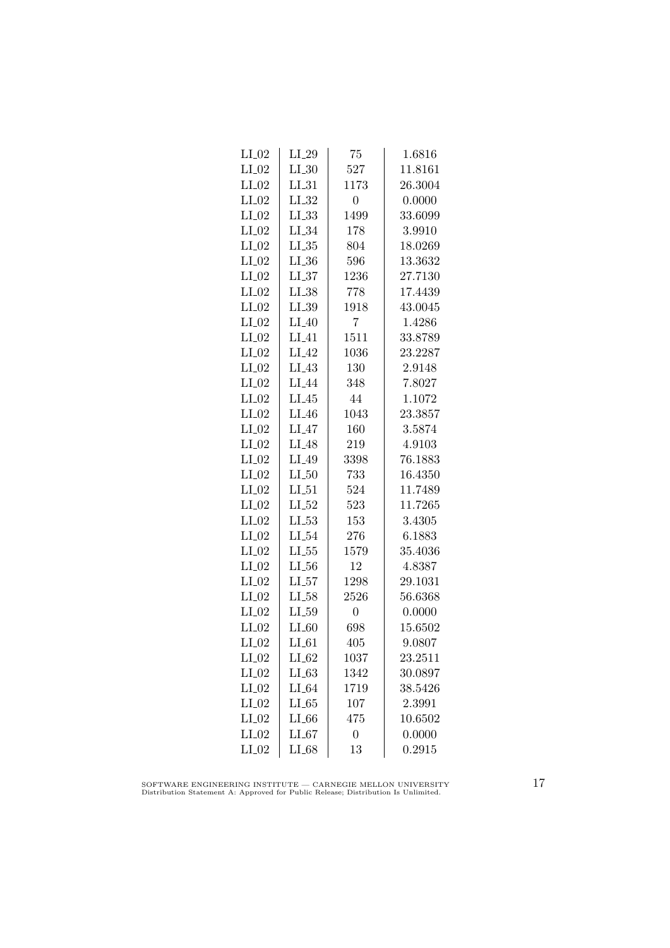| $LI_02$ | $LI_29$    | 75               | 1.6816  |
|---------|------------|------------------|---------|
| $LI_02$ | $LI_30$    | 527              | 11.8161 |
| $LI_02$ | $LI_31$    | 1173             | 26.3004 |
| $LI_02$ | $LI_32$    | 0                | 0.0000  |
| $LI_02$ | LL33       | 1499             | 33.6099 |
| $LI_02$ | $LI_34$    | 178              | 3.9910  |
| $LI_02$ | $LL_{.35}$ | 804              | 18.0269 |
| $LI_02$ | $LI_36$    | 596              | 13.3632 |
| $LI_02$ | $LL_{.37}$ | 1236             | 27.7130 |
| $LI_02$ | $LI_38$    | 778              | 17.4439 |
| $LI_02$ | $LI_39$    | 1918             | 43.0045 |
| $LI_02$ | LI.40      | 7                | 1.4286  |
| $LI_02$ | $LI_41$    | 1511             | 33.8789 |
| $LI_02$ | $LI_42$    | 1036             | 23.2287 |
| $LI_02$ | $LI_43$    | 130              | 2.9148  |
| $LI_02$ | $LI_44$    | 348              | 7.8027  |
| $LI_02$ | $LI_45$    | 44               | 1.1072  |
| $LI_02$ | $LI_46$    | 1043             | 23.3857 |
| $LI_02$ | LI.47      | 160              | 3.5874  |
| $LI_02$ | $LI_48$    | 219              | 4.9103  |
| $LI_02$ | $LI_49$    | 3398             | 76.1883 |
| $LI_02$ | $LI_50$    | 733              | 16.4350 |
| $LI_02$ | $LI_51$    | 524              | 11.7489 |
| $LI_02$ | $LI_52$    | 523              | 11.7265 |
| $LI_02$ | $LI_53$    | 153              | 3.4305  |
| $LI_02$ | $LL_{.54}$ | 276              | 6.1883  |
| $LI_02$ | $LL_{.55}$ | 1579             | 35.4036 |
| $LI_02$ | $LL_{.56}$ | 12               | 4.8387  |
| $LI_02$ | $LI_57$    | 1298             | 29.1031 |
| $LI_02$ | $LI_58$    | 2526             | 56.6368 |
| $LI_02$ | $LL_{.59}$ | $\overline{0}$   | 0.0000  |
| $LI_02$ | $LI_60$    | 698              | 15.6502 |
| $LI_02$ | $LI_61$    | 405              | 9.0807  |
| $LI_02$ | $LI_62$    | 1037             | 23.2511 |
| $LI_02$ | $LI_63$    | 1342             | 30.0897 |
| $LI_02$ | $LI_64$    | 1719             | 38.5426 |
| $LI_02$ | $LI_65$    | 107              | 2.3991  |
| $LI_02$ | $LI_66$    | 475              | 10.6502 |
| $LI_02$ | LL67       | $\boldsymbol{0}$ | 0.0000  |
| $LI_02$ | $LI_68$    | 13               | 0.2915  |

SOFTWARE ENGINEERING INSTITUTE — CARNEGIE MELLON UNIVERSITY Distribution Statement A: Approved for Public Release; Distribution Is Unlimited.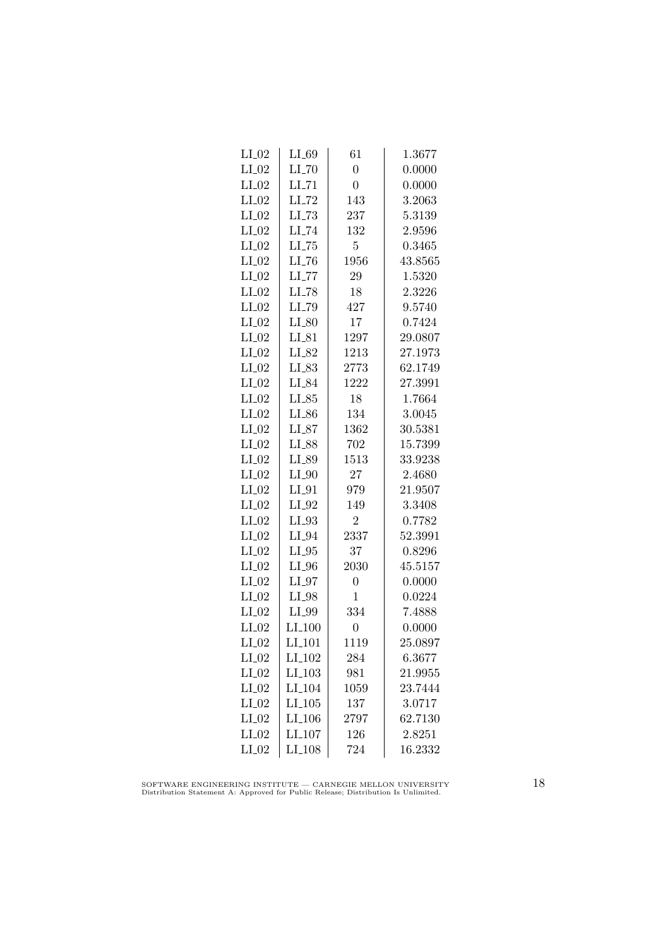| $LI_02$ | LL69                | 61             | 1.3677  |
|---------|---------------------|----------------|---------|
| $LI_02$ | $LI$ <sub>-70</sub> | $\overline{0}$ | 0.0000  |
| $LI_02$ | $LI$ <sub>-71</sub> | $\overline{0}$ | 0.0000  |
| $LI_02$ | $LI$ <sub>-72</sub> | 143            | 3.2063  |
| $LI_02$ | $LLI-73$            | 237            | 5.3139  |
| $LI_02$ | $LI$ <sub>-74</sub> | 132            | 2.9596  |
| $LI_02$ | $LL-75$             | 5              | 0.3465  |
| $LI_02$ | $LI$ <sub>-76</sub> | 1956           | 43.8565 |
| $LI_02$ | $LI$ <sub>-77</sub> | 29             | 1.5320  |
| $LI_02$ | LI_78               | 18             | 2.3226  |
| $LI_02$ | LI_79               | 427            | 9.5740  |
| $LI_02$ | $LI_80$             | 17             | 0.7424  |
| $LI_02$ | $LI_81$             | 1297           | 29.0807 |
| $LI_02$ | LI_82               | 1213           | 27.1973 |
| $LI_02$ | $LI_83$             | 2773           | 62.1749 |
| $LI_02$ | $LI_84$             | 1222           | 27.3991 |
| $LI_02$ | $LI_85$             | 18             | 1.7664  |
| $LI_02$ | $LI_86$             | 134            | 3.0045  |
| $LI_02$ | $LI_87$             | 1362           | 30.5381 |
| $LI_02$ | LI_88               | 702            | 15.7399 |
| $LI_02$ | LI_89               | 1513           | 33.9238 |
| $LI_02$ | $LI_0$              | 27             | 2.4680  |
| $LI_02$ | $LI_01$             | 979            | 21.9507 |
| $LI_02$ | $LI_02$             | 149            | 3.3408  |
| $LI_02$ | $LI_93$             | $\overline{2}$ | 0.7782  |
| $LI_02$ | $LI_04$             | 2337           | 52.3991 |
| $LI_02$ | $LI_05$             | 37             | 0.8296  |
| $LI_02$ | $LI_0$              | 2030           | 45.5157 |
| $LI_02$ | $LI_07$             | $\overline{0}$ | 0.0000  |
| $LI_02$ | $LI_98$             | $\mathbf 1$    | 0.0224  |
| $LI_02$ | LI_99               | 334            | 7.4888  |
| $LI_02$ | LI <sub>-100</sub>  | $\overline{0}$ | 0.0000  |
| $LI_02$ | LI <sub>-101</sub>  | 1119           | 25.0897 |
| $LI_02$ | $LI_102$            | 284            | 6.3677  |
| $LI_02$ | $LI_103$            | 981            | 21.9955 |
| $LI_02$ | LI <sub>-104</sub>  | 1059           | 23.7444 |
| $LI_02$ | $LI_105$            | 137            | 3.0717  |
| $LI_02$ | LI <sub>-106</sub>  | 2797           | 62.7130 |
| $LI_02$ | $LI_107$            | 126            | 2.8251  |
| $LI_02$ | $LI_108$            | 724            | 16.2332 |

SOFTWARE ENGINEERING INSTITUTE — CARNEGIE MELLON UNIVERSITY Distribution Statement A: Approved for Public Release; Distribution Is Unlimited.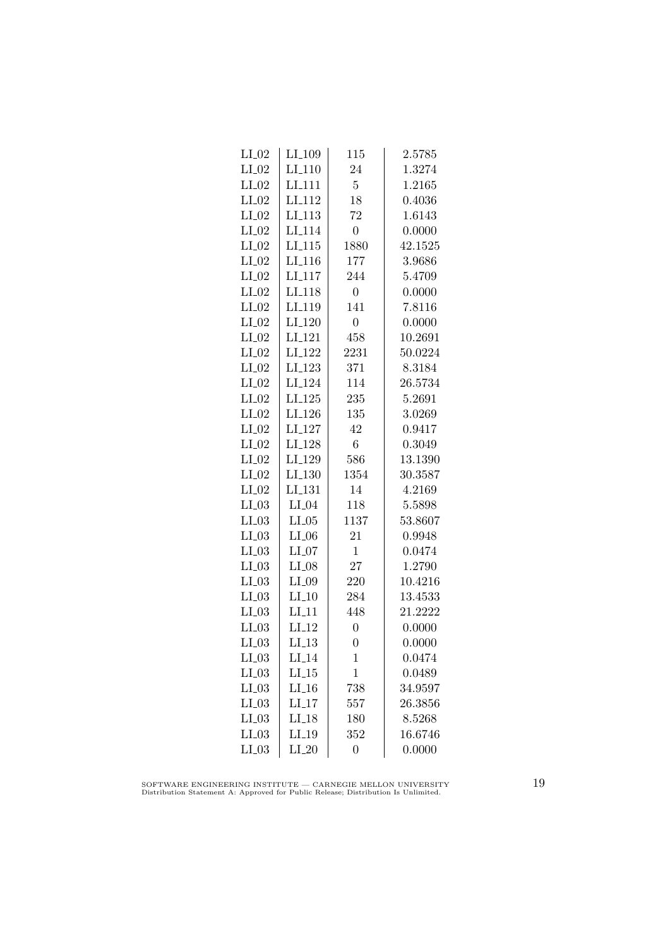| LI <sub>-109</sub> | 115                  | $\phantom{-}2.5785$ |
|--------------------|----------------------|---------------------|
| $LI-110$           | 24                   | 1.3274              |
| LI <sub>-111</sub> | $\overline{5}$       | 1.2165              |
| LI <sub>112</sub>  | 18                   | 0.4036              |
| LI <sub>-113</sub> | 72                   | 1.6143              |
| LI <sub>-114</sub> | $\boldsymbol{0}$     | 0.0000              |
| $LI_115$           | 1880                 | 42.1525             |
| $LI_116$           | 177                  | 3.9686              |
| $LI_117$           | 244                  | 5.4709              |
| LI <sub>-118</sub> | $\overline{0}$       | 0.0000              |
| LI <sub>119</sub>  | 141                  | 7.8116              |
| LI <sub>-120</sub> | $\overline{0}$       | 0.0000              |
| LI <sub>-121</sub> | 458                  | 10.2691             |
| $LI_122$           | 2231                 | 50.0224             |
| $LI_123$           | 371                  | 8.3184              |
| LI <sub>-124</sub> | 114                  | 26.5734             |
| LI <sub>-125</sub> | 235                  | 5.2691              |
| LI <sub>-126</sub> | 135                  | 3.0269              |
| LI <sub>-127</sub> | 42                   | 0.9417              |
| LI <sub>-128</sub> | 6                    | 0.3049              |
| LI <sub>-129</sub> | 586                  | 13.1390             |
|                    | 1354                 | 30.3587             |
| LI <sub>-131</sub> | 14                   | 4.2169              |
| $LI_04$            | 118                  | 5.5898              |
| $LI_05$            | 1137                 | 53.8607             |
| $LI_06$            | 21                   | 0.9948              |
| $LI_07$            | $\mathbf 1$          | 0.0474              |
| $LI_08$            | 27                   | 1.2790              |
| $LI_09$            | 220                  | 10.4216             |
| $LI_10$            | 284                  | 13.4533             |
| LI11               | 448                  | 21.2222             |
| $LI-12$            | $\overline{0}$       | 0.0000              |
| LI.13              | $\overline{0}$       | 0.0000              |
| $LI_14$            | 1                    | 0.0474              |
| $LI_15$            | $\mathbf 1$          | 0.0489              |
| $LI_16$            | 738                  | 34.9597             |
| $LI-17$            | 557                  | 26.3856             |
| $LI-18$            | 180                  | 8.5268              |
| $LI-19$            | 352                  | 16.6746             |
| $LI_20$            | $\overline{0}$       | 0.0000              |
|                    | $LI$ <sub>-130</sub> |                     |

SOFTWARE ENGINEERING INSTITUTE — CARNEGIE MELLON UNIVERSITY Distribution Statement A: Approved for Public Release; Distribution Is Unlimited.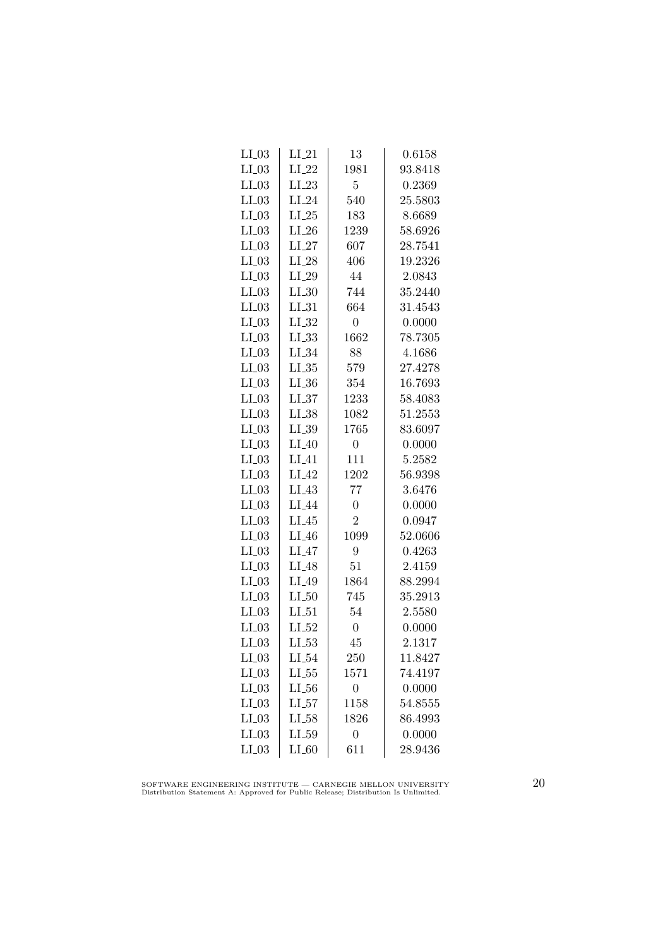| $LI_03$ | $LI_21$    | 13               | 0.6158  |
|---------|------------|------------------|---------|
| $LI_03$ | $LI_22$    | 1981             | 93.8418 |
| $LI_03$ | $LI_23$    | $\overline{5}$   | 0.2369  |
| $LI_03$ | $LI_24$    | 540              | 25.5803 |
| $LI_03$ | $LI_25$    | 183              | 8.6689  |
| $LI_03$ | $LI_26$    | 1239             | 58.6926 |
| $LI_03$ | $LI_27$    | 607              | 28.7541 |
| $LI_03$ | $LI_28$    | 406              | 19.2326 |
| $LI_03$ | $LI_29$    | 44               | 2.0843  |
| $LI_03$ | $LI_30$    | 744              | 35.2440 |
| $LI_03$ | $LI_31$    | 664              | 31.4543 |
| $LI_03$ | $LI_32$    | $\overline{0}$   | 0.0000  |
| $LI_03$ | $LI_33$    | 1662             | 78.7305 |
| $LI_03$ | $LI_34$    | 88               | 4.1686  |
| $LI_03$ | $LL_{.35}$ | 579              | 27.4278 |
| $LI_03$ | $LL_{.36}$ | 354              | 16.7693 |
| $LI_03$ | LL37       | 1233             | 58.4083 |
| $LI_03$ | $LI_38$    | 1082             | 51.2553 |
| $LI_03$ | $LI_39$    | 1765             | 83.6097 |
| $LI_03$ | $LI_40$    | $\boldsymbol{0}$ | 0.0000  |
| $LI_03$ | $LI_41$    | 111              | 5.2582  |
| $LI_03$ | $LI_42$    | 1202             | 56.9398 |
| $LI_03$ | $LI_43$    | 77               | 3.6476  |
| $LI_03$ | LI_44      | $\overline{0}$   | 0.0000  |
| $LI_03$ | $LI_45$    | $\overline{2}$   | 0.0947  |
| $LI_03$ | $LI_46$    | 1099             | 52.0606 |
| $LI_03$ | $LI_47$    | 9                | 0.4263  |
| $LI_03$ | $LI_48$    | 51               | 2.4159  |
| $LI_03$ | LI_49      | 1864             | 88.2994 |
| $LI_03$ | LL50       | 745              | 35.2913 |
| $LI_03$ | LL51       | 54               | 2.5580  |
| $LI_03$ | $LI_52$    | $\overline{0}$   | 0.0000  |
| $LI_03$ | $LI_53$    | 45               | 2.1317  |
| $LI_03$ | $LI_54$    | 250              | 11.8427 |
| $LI_03$ | $LI_55$    | 1571             | 74.4197 |
| $LI_03$ | $LL_{-56}$ | $\overline{0}$   | 0.0000  |
| $LI_03$ | $LI_57$    | 1158             | 54.8555 |
| $LI_03$ | $LI_58$    | 1826             | 86.4993 |
| $LI_03$ | LL59       | $\boldsymbol{0}$ | 0.0000  |
| $LI_03$ | $LI_60$    | 611              | 28.9436 |

SOFTWARE ENGINEERING INSTITUTE — CARNEGIE MELLON UNIVERSITY Distribution Statement A: Approved for Public Release; Distribution Is Unlimited.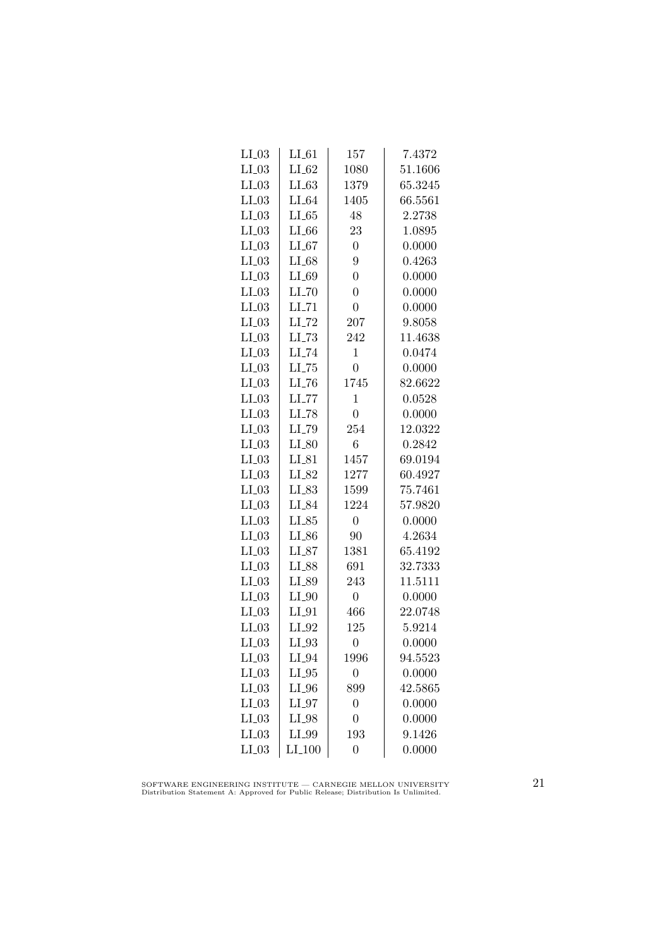| $LI_03$ | $LI_61$             | 157              | 7.4372  |
|---------|---------------------|------------------|---------|
| $LI_03$ | $LI_62$             | 1080             | 51.1606 |
| $LI_03$ | $LI_63$             | 1379             | 65.3245 |
| $LI_03$ | $LI_64$             | 1405             | 66.5561 |
| $LI_03$ | LL65                | 48               | 2.2738  |
| $LI_03$ | $LI_66$             | 23               | 1.0895  |
| $LI_03$ | $LI_67$             | $\overline{0}$   | 0.0000  |
| $LI_03$ | $LI_68$             | 9                | 0.4263  |
| $LI_03$ | $LI_69$             | $\overline{0}$   | 0.0000  |
| $LI_03$ | $LI$ <sub>-70</sub> | $\overline{0}$   | 0.0000  |
| $LI_03$ | $LI$ <sub>-71</sub> | $\overline{0}$   | 0.0000  |
| $LI_03$ | $LI$ <sub>-72</sub> | 207              | 9.8058  |
| $LI_03$ | $LLI-73$            | 242              | 11.4638 |
| $LI_03$ | $LI$ <sub>-74</sub> | $\mathbf{1}$     | 0.0474  |
| $LI_03$ | $LI$ <sub>-75</sub> | $\overline{0}$   | 0.0000  |
| $LI_03$ | $LI$ <sub>-76</sub> | 1745             | 82.6622 |
| $LI_03$ | $LLI-77$            | $\mathbf 1$      | 0.0528  |
| $LI_03$ | LI_78               | $\overline{0}$   | 0.0000  |
| $LI_03$ | LI_79               | 254              | 12.0322 |
| $LI_03$ | $LI_80$             | 6                | 0.2842  |
| $LI_03$ | $LI_81$             | 1457             | 69.0194 |
| $LI_03$ | $LI_82$             | 1277             | 60.4927 |
| $LI_03$ | $LI_83$             | 1599             | 75.7461 |
| $LI_03$ | LI_84               | 1224             | 57.9820 |
| $LI_03$ | $LI_85$             | $\overline{0}$   | 0.0000  |
| $LI_03$ | $LI_86$             | 90               | 4.2634  |
| $LI_03$ | $LI_87$             | 1381             | 65.4192 |
| $LI_03$ | LI_88               | 691              | 32.7333 |
| $LI_03$ | $LI_89$             | 243              | 11.5111 |
| $LI_03$ | $LI_0$              | $\boldsymbol{0}$ | 0.0000  |
| $LI_03$ | $LI_01$             | 466              | 22.0748 |
| $LI_03$ | $LI_02$             | 125              | 5.9214  |
| $LI_03$ | $LI_93$             | $\overline{0}$   | 0.0000  |
| $LI_03$ | $LI_04$             | 1996             | 94.5523 |
| $LI_03$ | $LI_05$             | $\overline{0}$   | 0.0000  |
| $LI_03$ | $LI_0$              | 899              | 42.5865 |
| $LI_03$ | $LI_97$             | $\overline{0}$   | 0.0000  |
| $LI_03$ | $LI_98$             | $\overline{0}$   | 0.0000  |
| $LI_03$ | LI_99               | 193              | 9.1426  |
| $LI_03$ | $LI_100$            | $\overline{0}$   | 0.0000  |

SOFTWARE ENGINEERING INSTITUTE — CARNEGIE MELLON UNIVERSITY Distribution Statement A: Approved for Public Release; Distribution Is Unlimited.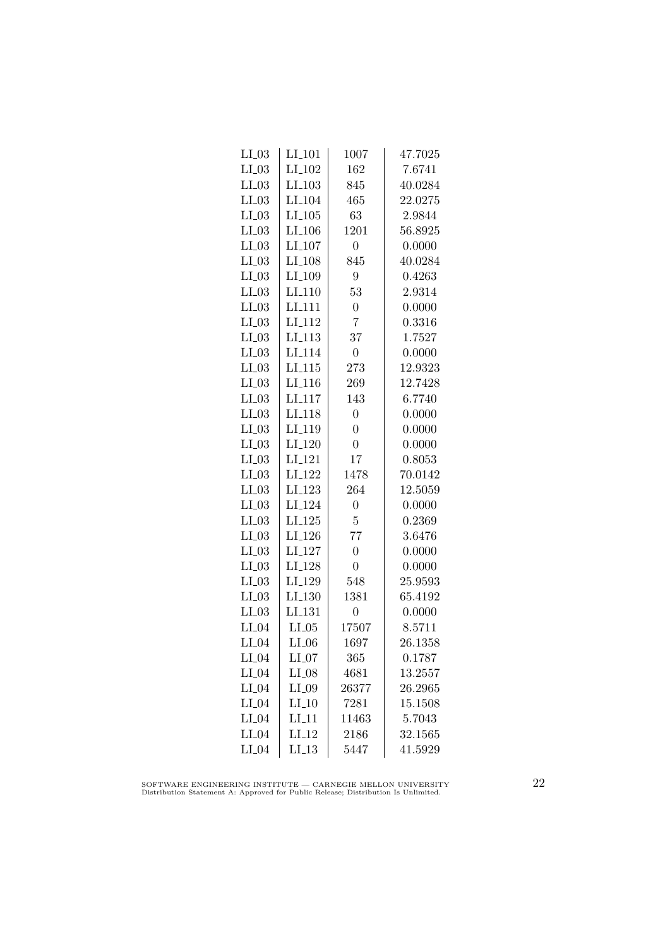| $LI_03$ | $LI_101$             | 1007           | 47.7025 |
|---------|----------------------|----------------|---------|
| $LI_03$ | LI <sub>-102</sub>   | 162            | 7.6741  |
| $LI_03$ | $LI$ <sub>-103</sub> | 845            | 40.0284 |
| $LI_03$ | LI <sub>-104</sub>   | 465            | 22.0275 |
| $LI_03$ | LI.105               | 63             | 2.9844  |
| $LI_03$ | LI <sub>-106</sub>   | 1201           | 56.8925 |
| $LI_03$ | $LI_107$             | $\overline{0}$ | 0.0000  |
| $LI_03$ | LI <sub>-108</sub>   | 845            | 40.0284 |
| $LI_03$ | LI <sub>-109</sub>   | 9              | 0.4263  |
| $LI_03$ | LI <sub>-110</sub>   | 53             | 2.9314  |
| $LI_03$ | LI <sub>111</sub>    | $\overline{0}$ | 0.0000  |
| $LI_03$ | LI <sub>-112</sub>   | $\overline{7}$ | 0.3316  |
| $LI_03$ | $LI_113$             | 37             | 1.7527  |
| $LI_03$ | LI <sub>-114</sub>   | $\overline{0}$ | 0.0000  |
| $LI_03$ | $LI$ <sub>-115</sub> | 273            | 12.9323 |
| $LI_03$ | $LI$ <sub>-116</sub> | 269            | 12.7428 |
| $LI_03$ | LI <sub>-117</sub>   | 143            | 6.7740  |
| $LI_03$ | LI <sub>118</sub>    | $\overline{0}$ | 0.0000  |
| $LI_03$ | LI <sub>-119</sub>   | $\overline{0}$ | 0.0000  |
| $LI_03$ | LI <sub>-120</sub>   | $\overline{0}$ | 0.0000  |
| $LI_03$ | $LI_121$             | 17             | 0.8053  |
| $LI_03$ | LI <sub>-122</sub>   | 1478           | 70.0142 |
| $LI_03$ | LI <sub>-123</sub>   | 264            | 12.5059 |
| $LI_03$ | LI <sub>-124</sub>   | $\overline{0}$ | 0.0000  |
| $LI_03$ | LI <sub>-125</sub>   | $\overline{5}$ | 0.2369  |
| $LI_03$ | LI <sub>-126</sub>   | 77             | 3.6476  |
| $LI_03$ | LI <sub>-127</sub>   | $\overline{0}$ | 0.0000  |
| $LI_03$ | $LI_128$             | $\overline{0}$ | 0.0000  |
| $LI_03$ | LI <sub>-129</sub>   | 548            | 25.9593 |
| $LI_03$ | LI.130               | 1381           | 65.4192 |
| $LI_03$ | LI <sub>-131</sub>   | $\overline{0}$ | 0.0000  |
| $LI_04$ | $LI_05$              | 17507          | 8.5711  |
| $LI_04$ | $LI_06$              | 1697           | 26.1358 |
| $LI_04$ | $LI_07$              | 365            | 0.1787  |
| $LI_04$ | $LI_08$              | 4681           | 13.2557 |
| $LI_04$ | $LI_09$              | 26377          | 26.2965 |
| $LI_04$ | $LI_10$              | 7281           | 15.1508 |
| $LI_04$ | LI11                 | 11463          | 5.7043  |
| $LI_04$ | $LI-12$              | 2186           | 32.1565 |
| $LI_04$ | LI.13                | 5447           | 41.5929 |
|         |                      |                |         |

SOFTWARE ENGINEERING INSTITUTE — CARNEGIE MELLON UNIVERSITY Distribution Statement A: Approved for Public Release; Distribution Is Unlimited.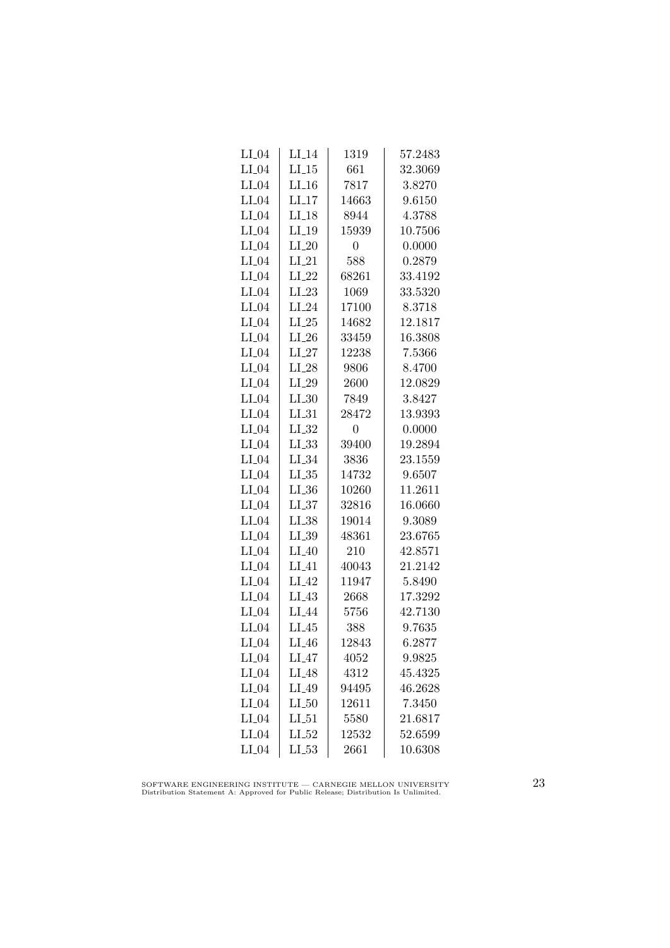| $LI_04$ | $LI_14$            | 1319           | 57.2483 |
|---------|--------------------|----------------|---------|
| $LI_04$ | $LI_15$            | 661            | 32.3069 |
| $LI_04$ | $LI_16$            | 7817           | 3.8270  |
| $LI_04$ | $LI-17$            | 14663          | 9.6150  |
| $LI_04$ | $LI-18$            | 8944           | 4.3788  |
| $LI_04$ | $LI_19$            | 15939          | 10.7506 |
| $LI_04$ | $LI_20$            | $\overline{0}$ | 0.0000  |
| $LI_04$ | $LI_21$            | 588            | 0.2879  |
| $LI_04$ | $LI_22$            | 68261          | 33.4192 |
| $LI_04$ | $LI_23$            | 1069           | 33.5320 |
| $LI_04$ | $LI_24$            | 17100          | 8.3718  |
| $LI_04$ | $LI_25$            | 14682          | 12.1817 |
| $LI_04$ | $LI_26$            | 33459          | 16.3808 |
| $LI_04$ | $LI_27$            | 12238          | 7.5366  |
| $LI_04$ | $LI_28$            | 9806           | 8.4700  |
| $LI_04$ | $LI_29$            | 2600           | 12.0829 |
| $LI_04$ | LL30               | 7849           | 3.8427  |
| $LI_04$ | $LI_31$            | 28472          | 13.9393 |
| $LI_04$ | $LI_32$            | $\overline{0}$ | 0.0000  |
| $LI_04$ | LL33               | 39400          | 19.2894 |
| $LI_04$ | $LI_34$            | 3836           | 23.1559 |
| $LI_04$ | $LI_35$            | 14732          | 9.6507  |
| $LI_04$ | $LI_36$            | 10260          | 11.2611 |
| $LI_04$ | LL37               | 32816          | 16.0660 |
| $LI_04$ | $LI_38$            | 19014          | 9.3089  |
| $LI_04$ | $LI_39$            | 48361          | 23.6765 |
| $LI_04$ | $LI_40$            | 210            | 42.8571 |
| $LI_04$ | LI <sub>-</sub> 41 | 40043          | 21.2142 |
| $LI_04$ | $LI_42$            | 11947          | 5.8490  |
| $LI_04$ | $LI_43$            | 2668           | 17.3292 |
| $LI_04$ | LI <sub>-44</sub>  | 5756           | 42.7130 |
| $LI_04$ | $LI_45$            | 388            | 9.7635  |
| $LI_04$ | $LI_46$            | 12843          | 6.2877  |
| $LI_04$ | $LI_47$            | 4052           | 9.9825  |
| $LI_04$ | $LI_48$            | 4312           | 45.4325 |
| $LI_04$ | $LI_49$            | 94495          | 46.2628 |
| $LI_04$ | $LI_50$            | 12611          | 7.3450  |
| $LI_04$ | LL51               | 5580           | 21.6817 |
| $LI_04$ | $LI_52$            | 12532          | 52.6599 |
| $LI_04$ | $LL_{.53}$         | 2661           | 10.6308 |

SOFTWARE ENGINEERING INSTITUTE — CARNEGIE MELLON UNIVERSITY Distribution Statement A: Approved for Public Release; Distribution Is Unlimited.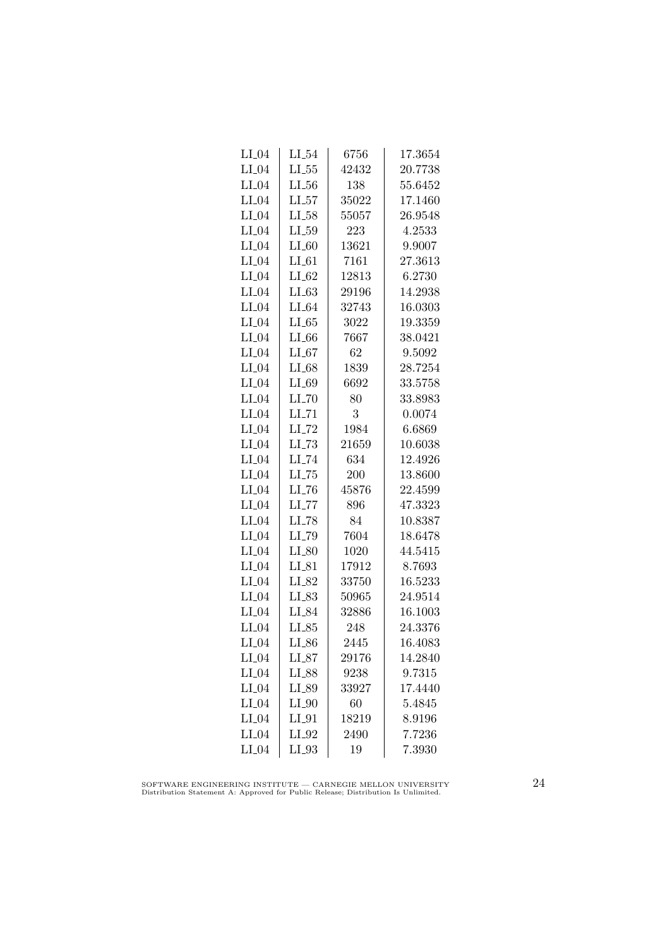| $LI_04$ | $LI_54$             | 6756  | 17.3654 |
|---------|---------------------|-------|---------|
| $LI_04$ | $LL_{.55}$          | 42432 | 20.7738 |
| $LI_04$ | $LL_{.56}$          | 138   | 55.6452 |
| $LI_04$ | LL57                | 35022 | 17.1460 |
| $LI_04$ | $LI_58$             | 55057 | 26.9548 |
| $LI_04$ | $LI_59$             | 223   | 4.2533  |
| $LI_04$ | $LI_60$             | 13621 | 9.9007  |
| $LI_04$ | $LI_0$              | 7161  | 27.3613 |
| $LI_04$ | $LI_62$             | 12813 | 6.2730  |
| $LI_04$ | $LI_63$             | 29196 | 14.2938 |
| $LI_04$ | $LI_64$             | 32743 | 16.0303 |
| $LI_04$ | LL65                | 3022  | 19.3359 |
| $LI_04$ | $LI_66$             | 7667  | 38.0421 |
| $LI_04$ | $LI_67$             | 62    | 9.5092  |
| $LI_04$ | $LI_68$             | 1839  | 28.7254 |
| $LI_04$ | LI_69               | 6692  | 33.5758 |
| $LI_04$ | $LL$ <sub>-70</sub> | 80    | 33.8983 |
| $LI_04$ | $LI$ <sub>-71</sub> | 3     | 0.0074  |
| $LI_04$ | $LI$ <sub>-72</sub> | 1984  | 6.6869  |
| $LI_04$ | $LL-73$             | 21659 | 10.6038 |
| $LI_04$ | $LI$ <sub>-74</sub> | 634   | 12.4926 |
| $LI_04$ | $LI$ <sub>-75</sub> | 200   | 13.8600 |
| $LI_04$ | $LL-76$             | 45876 | 22.4599 |
| $LI_04$ | LL77                | 896   | 47.3323 |
| $LI_04$ | LI_78               | 84    | 10.8387 |
| $LI_04$ | LI_79               | 7604  | 18.6478 |
| $LI_04$ | $LI_80$             | 1020  | 44.5415 |
| $LI_04$ | $LI_81$             | 17912 | 8.7693  |
| $LI_04$ | LI_82               | 33750 | 16.5233 |
| $LI_04$ | $LL_{.83}$          | 50965 | 24.9514 |
| $LI_04$ | LI_84               | 32886 | 16.1003 |
| $LI_04$ | $LI_85$             | 248   | 24.3376 |
| $LI_04$ | $LI_86$             | 2445  | 16.4083 |
| $LI_04$ | LL87                | 29176 | 14.2840 |
| $LI_04$ | LI_88               | 9238  | 9.7315  |
| $LI_04$ | $LI_89$             | 33927 | 17.4440 |
| $LI_04$ | $LI_0$              | 60    | 5.4845  |
| $LI_04$ | $LI_01$             | 18219 | 8.9196  |
| $LI_04$ | LI_92               | 2490  | 7.7236  |
| $LI_04$ | $LI_93$             | 19    | 7.3930  |

SOFTWARE ENGINEERING INSTITUTE — CARNEGIE MELLON UNIVERSITY Distribution Statement A: Approved for Public Release; Distribution Is Unlimited.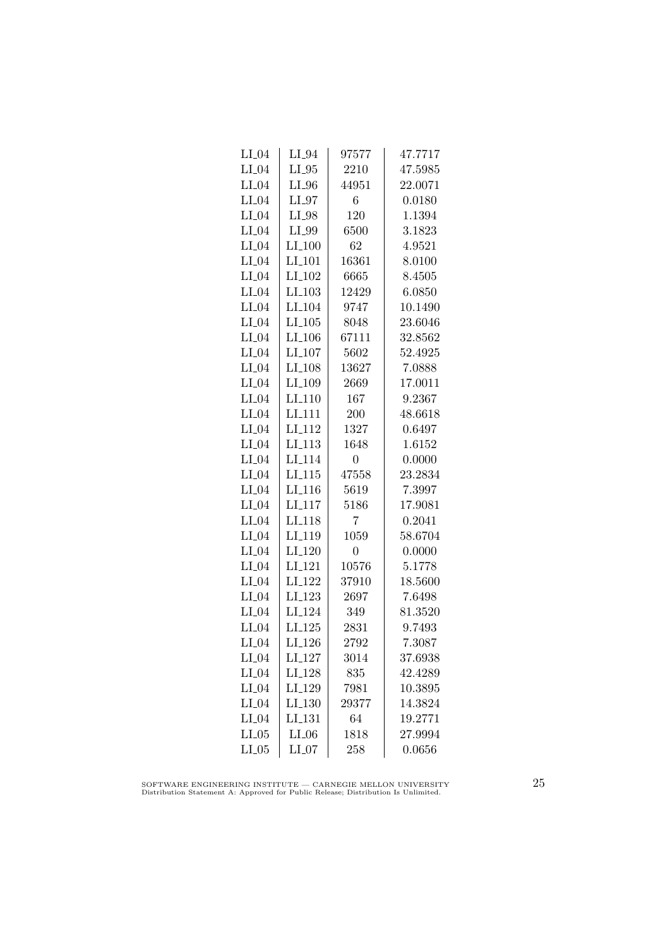| $LI_04$ | $LI_04$              | 97577          | 47.7717 |
|---------|----------------------|----------------|---------|
| $LI_04$ | $LI_05$              | 2210           | 47.5985 |
| $LI_04$ | $LI_0$               | 44951          | 22.0071 |
| $LI_04$ | $LI_07$              | 6              | 0.0180  |
| $LI_04$ | LI_98                | 120            | 1.1394  |
| $LI_04$ | LI_99                | 6500           | 3.1823  |
| $LI_04$ | $LI_100$             | 62             | 4.9521  |
| $LI_04$ | $LI_101$             | 16361          | 8.0100  |
| $LI_04$ | LI <sub>-102</sub>   | 6665           | 8.4505  |
| $LI_04$ | $LI$ <sub>-103</sub> | 12429          | 6.0850  |
| $LI_04$ | LI <sub>-104</sub>   | 9747           | 10.1490 |
| $LI_04$ | LI.105               | 8048           | 23.6046 |
| $LI_04$ | $LI_106$             | 67111          | 32.8562 |
| $LI_04$ | $LI_107$             | 5602           | 52.4925 |
| $LI_04$ | $LI_108$             | 13627          | 7.0888  |
| $LI_04$ | LI_109               | 2669           | 17.0011 |
| $LI_04$ | LI <sub>-110</sub>   | 167            | 9.2367  |
| $LI_04$ | LI <sub>-111</sub>   | 200            | 48.6618 |
| $LI_04$ | LI <sub>-112</sub>   | 1327           | 0.6497  |
| $LI_04$ | $LI$ <sub>113</sub>  | 1648           | 1.6152  |
| $LI_04$ | LI <sub>-114</sub>   | 0              | 0.0000  |
| $LI_04$ | $LI$ <sub>-115</sub> | 47558          | 23.2834 |
| $LI_04$ | $LI$ <sub>-116</sub> | 5619           | 7.3997  |
| $LI_04$ | LI <sub>-117</sub>   | 5186           | 17.9081 |
| $LI_04$ | LI <sub>118</sub>    | 7              | 0.2041  |
| $LI_04$ | LI <sub>-119</sub>   | 1059           | 58.6704 |
| $LI_04$ | LI <sub>-120</sub>   | $\overline{0}$ | 0.0000  |
| $LI_04$ | $LI_121$             | 10576          | 5.1778  |
| $LI_04$ | $LI_122$             | 37910          | 18.5600 |
| $LI_04$ | $LI_123$             | 2697           | 7.6498  |
| $LI_04$ | LI <sub>-124</sub>   | 349            | 81.3520 |
| $LI_04$ | $LI_125$             | 2831           | 9.7493  |
| $LI_04$ | LI <sub>-126</sub>   | 2792           | 7.3087  |
| $LI_04$ | LI <sub>-127</sub>   | 3014           | 37.6938 |
| $LI_04$ | LI_128               | 835            | 42.4289 |
| $LI_04$ | LI <sub>-129</sub>   | 7981           | 10.3895 |
| $LI_04$ | LI.130               | 29377          | 14.3824 |
| $LI_04$ | LI <sub>-131</sub>   | 64             | 19.2771 |
| $LI_05$ | $LI_06$              | 1818           | 27.9994 |
| $LI_05$ | $LI_07$              | 258            | 0.0656  |

SOFTWARE ENGINEERING INSTITUTE — CARNEGIE MELLON UNIVERSITY Distribution Statement A: Approved for Public Release; Distribution Is Unlimited.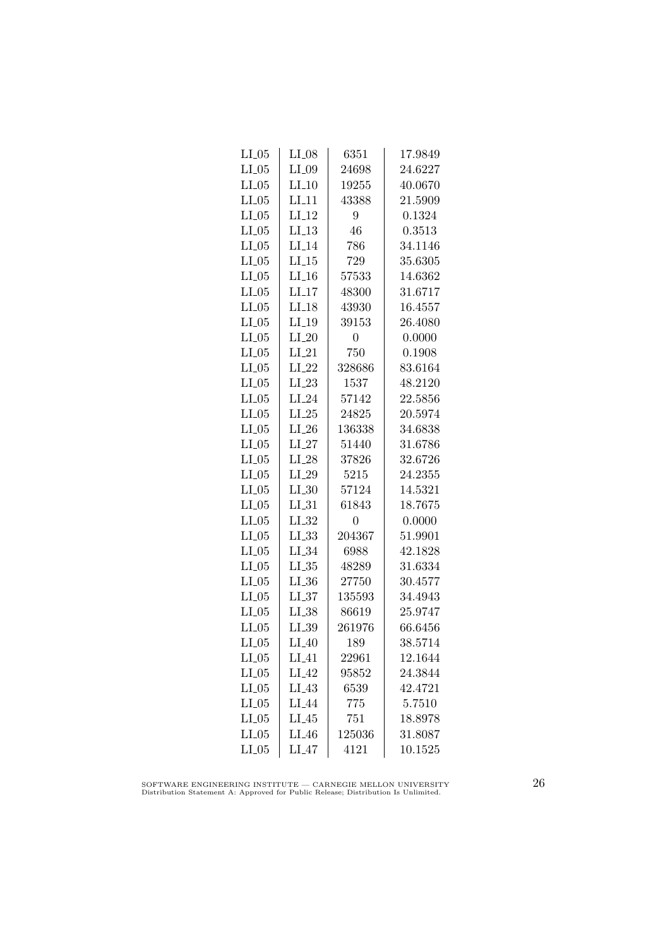| $LI_05$ | $LI_08$            | 6351           | 17.9849 |
|---------|--------------------|----------------|---------|
| $LI_05$ | $LI_09$            | 24698          | 24.6227 |
| $LI_05$ | $LI_10$            | 19255          | 40.0670 |
| $LI_05$ | $LI$ <sub>11</sub> | 43388          | 21.5909 |
| $LI_05$ | $LI-12$            | 9              | 0.1324  |
| $LI_05$ | LI.13              | 46             | 0.3513  |
| $LI_05$ | $LI_14$            | 786            | 34.1146 |
| $LI_05$ | $LI_15$            | 729            | 35.6305 |
| $LI_05$ | $LI_16$            | 57533          | 14.6362 |
| $LI_05$ | $LI_17$            | 48300          | 31.6717 |
| $LI_05$ | $LI-18$            | 43930          | 16.4557 |
| $LI_05$ | LI.19              | 39153          | 26.4080 |
| $LI_05$ | $LI_20$            | $\overline{0}$ | 0.0000  |
| $LI_05$ | $LI_21$            | 750            | 0.1908  |
| $LI_05$ | $LI_22$            | 328686         | 83.6164 |
| $LI_05$ | $LI_23$            | 1537           | 48.2120 |
| $LI_05$ | $LI_24$            | 57142          | 22.5856 |
| $LI_05$ | $LI_25$            | 24825          | 20.5974 |
| $LI_05$ | $LI_26$            | 136338         | 34.6838 |
| $LI_05$ | $LI_27$            | 51440          | 31.6786 |
| $LI_05$ | $LI_28$            | 37826          | 32.6726 |
| $LI_05$ | $LI_29$            | 5215           | 24.2355 |
| $LI_05$ | $LL_{.30}$         | 57124          | 14.5321 |
| $LI_05$ | $LI_31$            | 61843          | 18.7675 |
| $LI_05$ | $LI_32$            | $\overline{0}$ | 0.0000  |
| $LI_05$ | $LL_{.33}$         | 204367         | 51.9901 |
| $LI_05$ | $LI_34$            | 6988           | 42.1828 |
| $LI_05$ | $LL_{.35}$         | 48289          | 31.6334 |
| $LI_05$ | $LI_36$            | 27750          | 30.4577 |
| $LI_05$ | $LL_{.37}$         | 135593         | 34.4943 |
| $LI_05$ | LL38               | 86619          | 25.9747 |
| $LI_05$ | $LI_39$            | 261976         | 66.6456 |
| $LI_05$ | $LI_40$            | 189            | 38.5714 |
| $LI_05$ | $LI_41$            | 22961          | 12.1644 |
| $LI_05$ | $LI_42$            | 95852          | 24.3844 |
| $LI_05$ | $LI_43$            | 6539           | 42.4721 |
| $LI_05$ | LI <sub>-44</sub>  | 775            | 5.7510  |
| $LI_05$ | $LI_45$            | 751            | 18.8978 |
| $LI_05$ | $LI_46$            | 125036         | 31.8087 |
| $LI_05$ | $LI_47$            | 4121           | 10.1525 |

SOFTWARE ENGINEERING INSTITUTE — CARNEGIE MELLON UNIVERSITY Distribution Statement A: Approved for Public Release; Distribution Is Unlimited.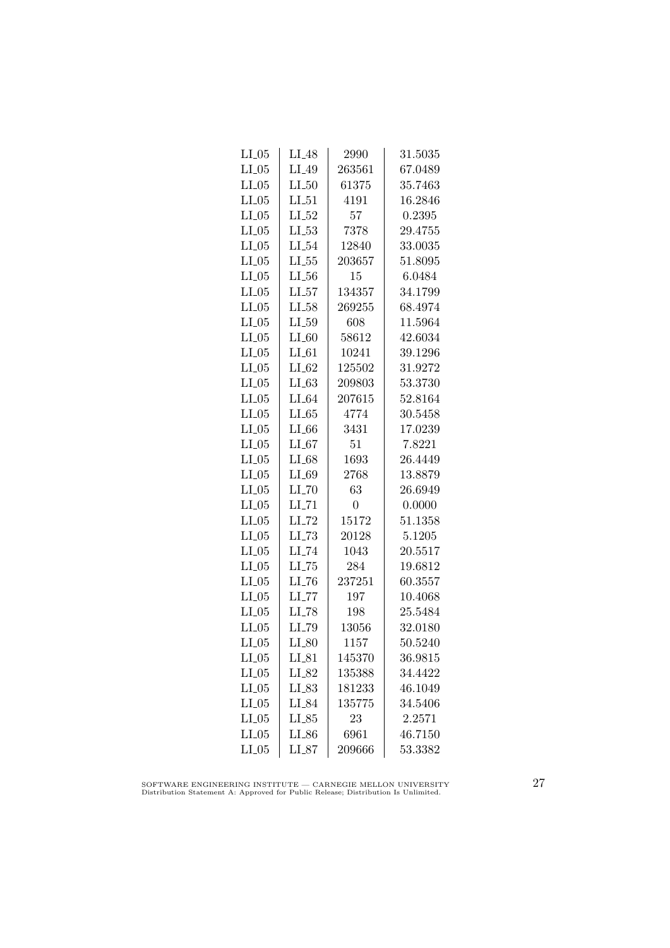| $LI_05$ | $LI_48$             | 2990           | 31.5035 |
|---------|---------------------|----------------|---------|
| $LI_05$ | LI_49               | 263561         | 67.0489 |
| $LI_05$ | LL50                | 61375          | 35.7463 |
| $LI_05$ | $LI_51$             | 4191           | 16.2846 |
| $LI_05$ | LL52                | 57             | 0.2395  |
| $LI_05$ | $LI_53$             | 7378           | 29.4755 |
| $LI_05$ | $LI_54$             | 12840          | 33.0035 |
| $LI_05$ | $LI_55$             | 203657         | 51.8095 |
| $LI_05$ | $LI_56$             | 15             | 6.0484  |
| $LI_05$ | $LI_57$             | 134357         | 34.1799 |
| $LI_05$ | $LI_58$             | 269255         | 68.4974 |
| $LI_05$ | LL59                | 608            | 11.5964 |
| $LI_05$ | $LI_60$             | 58612          | 42.6034 |
| $LI_05$ | $LI_61$             | 10241          | 39.1296 |
| $LI_05$ | $LI_02$             | 125502         | 31.9272 |
| $LI_05$ | LL63                | 209803         | 53.3730 |
| $LI_05$ | $LI_64$             | 207615         | 52.8164 |
| $LI_05$ | LL65                | 4774           | 30.5458 |
| $LI_05$ | $LI_66$             | 3431           | 17.0239 |
| $LI_05$ | LL67                | 51             | 7.8221  |
| $LI_05$ | $LI_68$             | 1693           | 26.4449 |
| $LI_05$ | $LI_69$             | 2768           | 13.8879 |
| $LI_05$ | $LI$ <sub>-70</sub> | 63             | 26.6949 |
| $LI_05$ | $LI$ <sub>-71</sub> | $\overline{0}$ | 0.0000  |
| $LI_05$ | $LI$ <sub>-72</sub> | 15172          | 51.1358 |
| $LI_05$ | $LL-73$             | 20128          | 5.1205  |
| $LI_05$ | LI_74               | 1043           | 20.5517 |
| $LI_05$ | $LI$ <sub>-75</sub> | 284            | 19.6812 |
| $LI_05$ | $LI$ <sub>-76</sub> | 237251         | 60.3557 |
| $LI_05$ | $LI$ <sub>-77</sub> | 197            | 10.4068 |
| $LI_05$ | LI_78               | 198            | 25.5484 |
| $LI_05$ | LI_79               | 13056          | 32.0180 |
| $LI_05$ | $LI_80$             | 1157           | 50.5240 |
| $LI_05$ | $LI_81$             | 145370         | 36.9815 |
| $LI_05$ | LI_82               | 135388         | 34.4422 |
| $LI_05$ | $LL_{.83}$          | 181233         | 46.1049 |
| $LI_05$ | LI_84               | 135775         | 34.5406 |
| $LI_05$ | LL85                | 23             | 2.2571  |
| $LI_05$ | $LI_86$             | 6961           | 46.7150 |
| $LI_05$ | $LI_87$             | 209666         | 53.3382 |

SOFTWARE ENGINEERING INSTITUTE — CARNEGIE MELLON UNIVERSITY Distribution Statement A: Approved for Public Release; Distribution Is Unlimited.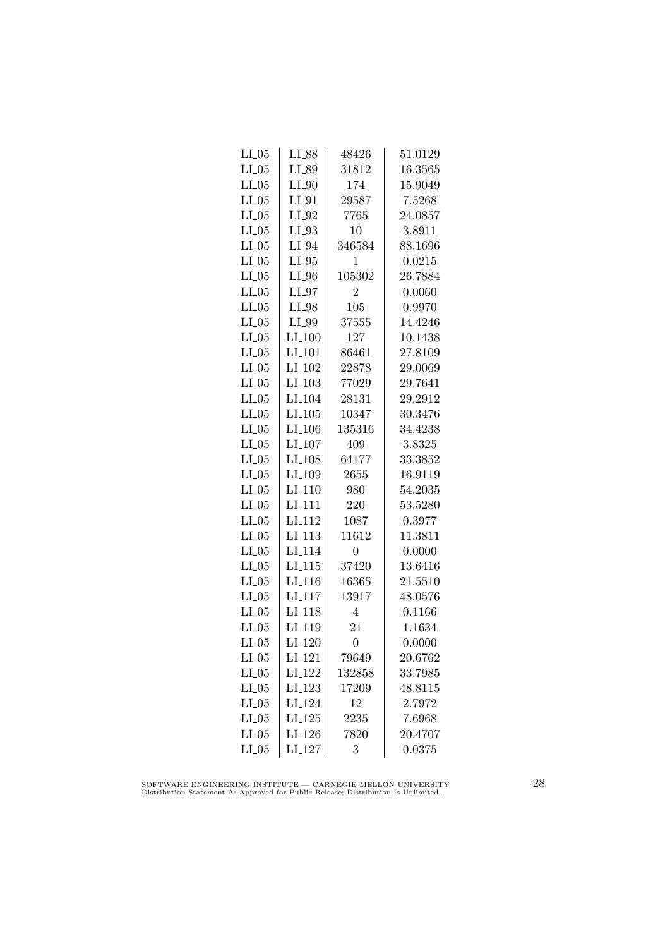| $LI_05$ | LI_88                | 48426          | 51.0129 |
|---------|----------------------|----------------|---------|
| $LI_05$ | LI_89                | 31812          | 16.3565 |
| LL05    | $LI_0$               | 174            | 15.9049 |
| $LI_05$ | $LI_01$              | 29587          | 7.5268  |
| $LI_05$ | $LI_02$              | 7765           | 24.0857 |
| $LI_05$ | $LI_93$              | 10             | 3.8911  |
| $LI_05$ | $LI_04$              | 346584         | 88.1696 |
| $LI_05$ | $LI_05$              | 1              | 0.0215  |
| $LI_05$ | $LI_0$               | 105302         | 26.7884 |
| LL05    | $LI_97$              | $\overline{2}$ | 0.0060  |
| $LI_05$ | LI_98                | 105            | 0.9970  |
| $LI_05$ | LI_99                | 37555          | 14.4246 |
| $LI_05$ | $LI_100$             | 127            | 10.1438 |
| $LI_05$ | $LI_101$             | 86461          | 27.8109 |
| $LI_05$ | LI <sub>-102</sub>   | 22878          | 29.0069 |
| LL05    | $LI_103$             | 77029          | 29.7641 |
| LL05    | LI <sub>-104</sub>   | 28131          | 29.2912 |
| $LI_05$ | $LI$ <sub>-105</sub> | 10347          | 30.3476 |
| $LI_05$ | LI <sub>-106</sub>   | 135316         | 34.4238 |
| $LI_05$ | $LI_107$             | 409            | 3.8325  |
| $LI_05$ | $LI_108$             | 64177          | 33.3852 |
| $LI_05$ | LI <sub>-109</sub>   | 2655           | 16.9119 |
| $LL-05$ | $LI_110$             | 980            | 54.2035 |
| $LI_05$ | $LI$ <sub>111</sub>  | 220            | 53.5280 |
| $LI_05$ | LI <sub>-112</sub>   | 1087           | 0.3977  |
| $LI_05$ | LI <sub>-113</sub>   | 11612          | 11.3811 |
| $LI_05$ | LI <sub>-114</sub>   | $\overline{0}$ | 0.0000  |
| $LI_05$ | $LI_115$             | 37420          | 13.6416 |
| $LI_05$ | $LI-116$             | 16365          | 21.5510 |
| $LL-05$ | LI <sub>-117</sub>   | 13917          | 48.0576 |
| LL05    | LI <sub>118</sub>    | $\overline{4}$ | 0.1166  |
| $LI_05$ | LI <sub>-119</sub>   | 21             | 1.1634  |
| $LI_05$ | $LI_120$             | $\overline{0}$ | 0.0000  |
| $LI_05$ | $LI_121$             | 79649          | 20.6762 |
| $LI_05$ | LI <sub>-122</sub>   | 132858         | 33.7985 |
| $LI_05$ | $LI-123$             | 17209          | 48.8115 |
| $LI_05$ | LI <sub>-124</sub>   | 12             | 2.7972  |
| $LI_05$ | $LI_125$             | 2235           | 7.6968  |
| $LI_05$ | LI <sub>-126</sub>   | 7820           | 20.4707 |
| $LI_05$ | LI <sub>-127</sub>   | 3              | 0.0375  |
|         |                      |                |         |

SOFTWARE ENGINEERING INSTITUTE — CARNEGIE MELLON UNIVERSITY Distribution Statement A: Approved for Public Release; Distribution Is Unlimited.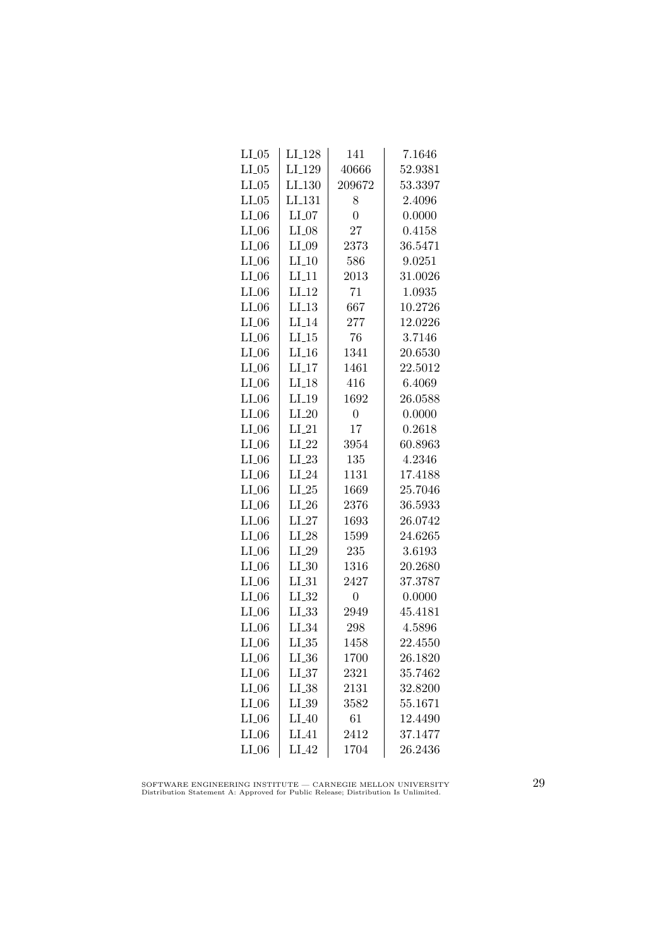| $LI_05$ | LI <sub>-128</sub> | 141            | 7.1646  |
|---------|--------------------|----------------|---------|
| $LI_05$ | LI <sub>-129</sub> | 40666          | 52.9381 |
| $LI_05$ | LI <sub>-130</sub> | 209672         | 53.3397 |
| $LI_05$ | LL131              | 8              | 2.4096  |
| $LI_06$ | $LI_07$            | $\overline{0}$ | 0.0000  |
| $LI_06$ | $LI_08$            | 27             | 0.4158  |
| $LI_06$ | $LI_09$            | 2373           | 36.5471 |
| $LI_06$ | $LI_10$            | 586            | 9.0251  |
| $LI_06$ | $LI_11$            | 2013           | 31.0026 |
| $LI_06$ | $LI_12$            | 71             | 1.0935  |
| $LI_06$ | LL13               | 667            | 10.2726 |
| $LI_06$ | $LI_14$            | 277            | 12.0226 |
| $LI_06$ | $LI_15$            | 76             | 3.7146  |
| $LI_06$ | $LI_16$            | 1341           | 20.6530 |
| $LI_06$ | $LI_17$            | 1461           | 22.5012 |
| $LI_06$ | $LI-18$            | 416            | 6.4069  |
| $LI_06$ | $LI_19$            | 1692           | 26.0588 |
| $LI_06$ | $LI_20$            | $\overline{0}$ | 0.0000  |
| $LI_06$ | $LI_21$            | 17             | 0.2618  |
| $LI_06$ | $LI_22$            | 3954           | 60.8963 |
| $LI_06$ | $LI_23$            | 135            | 4.2346  |
| $LI_06$ | $LI_24$            | 1131           | 17.4188 |
| $LI_06$ | $LI_25$            | 1669           | 25.7046 |
| $LI_06$ | $LI_26$            | 2376           | 36.5933 |
| $LI_06$ | $LI_27$            | 1693           | 26.0742 |
| $LI_06$ | $LI_28$            | 1599           | 24.6265 |
| $LI_06$ | $LI_29$            | 235            | 3.6193  |
| $LI_06$ | $LI_30$            | 1316           | 20.2680 |
| $LI_06$ | $LI_31$            | 2427           | 37.3787 |
| $LI_06$ | $LI_32$            | $\overline{0}$ | 0.0000  |
| $LI_06$ | LL33               | 2949           | 45.4181 |
| $LI_06$ | $LI_34$            | 298            | 4.5896  |
| $LI_06$ | $LI_35$            | 1458           | 22.4550 |
| $LI_06$ | $LI_36$            | 1700           | 26.1820 |
| $LI_06$ | LL37               | 2321           | 35.7462 |
| $LI_06$ | $LI_38$            | 2131           | 32.8200 |
| $LI_06$ | $LI_39$            | 3582           | 55.1671 |
| $LI_06$ | $LI_40$            | 61             | 12.4490 |
| $LI_06$ | $LI_41$            | 2412           | 37.1477 |
| $LI_06$ | $LI_42$            | 1704           | 26.2436 |

SOFTWARE ENGINEERING INSTITUTE — CARNEGIE MELLON UNIVERSITY Distribution Statement A: Approved for Public Release; Distribution Is Unlimited.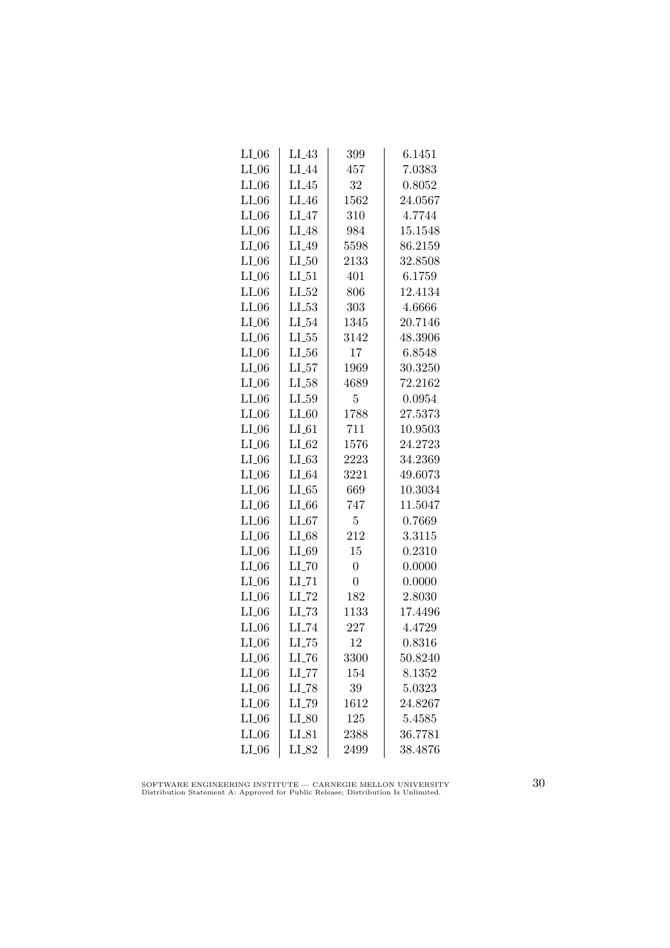| $LI_06$ | $LI_43$             | 399            | 6.1451  |
|---------|---------------------|----------------|---------|
| $LI_06$ | $LI_44$             | 457            | 7.0383  |
| $LI_06$ | $LI_45$             | 32             | 0.8052  |
| $LI_06$ | $LI_46$             | 1562           | 24.0567 |
| $LI_06$ | $LI_47$             | 310            | 4.7744  |
| $LI_06$ | $LI_48$             | 984            | 15.1548 |
| $LI_06$ | $LI_49$             | 5598           | 86.2159 |
| $LI_06$ | $LI_50$             | 2133           | 32.8508 |
| $LI_06$ | $LI_51$             | 401            | 6.1759  |
| $LI_06$ | $LL_{-52}$          | 806            | 12.4134 |
| $LI_06$ | $LL_{.53}$          | 303            | 4.6666  |
| $LI_06$ | $LI_54$             | 1345           | 20.7146 |
| $LI_06$ | $LL_{.55}$          | 3142           | 48.3906 |
| $LI_06$ | $LL_{.56}$          | 17             | 6.8548  |
| $LI_06$ | $LI_57$             | 1969           | 30.3250 |
| $LI_06$ | $LI_58$             | 4689           | 72.2162 |
| $LI_06$ | $LI_59$             | $\overline{5}$ | 0.0954  |
| $LI_06$ | $LI_60$             | 1788           | 27.5373 |
| $LI_06$ | $LI_61$             | 711            | 10.9503 |
| $LI_06$ | $LI_62$             | 1576           | 24.2723 |
| $LI_06$ | $LI_63$             | 2223           | 34.2369 |
| $LI_06$ | $LI_64$             | 3221           | 49.6073 |
| $LI_06$ | $LL-65$             | 669            | 10.3034 |
| $LI_06$ | $LI_66$             | 747            | 11.5047 |
| $LI_06$ | $LI_67$             | $\overline{5}$ | 0.7669  |
| $LI_06$ | $LI_68$             | 212            | 3.3115  |
| $LI_06$ | $LI_69$             | 15             | 0.2310  |
| $LI_06$ | $LI$ <sub>-70</sub> | $\overline{0}$ | 0.0000  |
| $LI_06$ | $LI$ <sub>-71</sub> | $\overline{0}$ | 0.0000  |
| $LI_06$ | $LI$ <sub>-72</sub> | 182            | 2.8030  |
| $LI_06$ | $LL-73$             | 1133           | 17.4496 |
| $LI_06$ | LI_74               | 227            | 4.4729  |
| LL06    | $LI$ <sub>-75</sub> | 12             | 0.8316  |
| $LI_06$ | $LI$ <sub>-76</sub> | 3300           | 50.8240 |
| $LI_06$ | $LI$ <sub>-77</sub> | 154            | 8.1352  |
| $LI_06$ | $LI$ <sub>-78</sub> | 39             | 5.0323  |
| $LI_06$ | LI_79               | 1612           | 24.8267 |
| $LI_06$ | $LI_80$             | 125            | 5.4585  |
| $LI_06$ | $LI_81$             | 2388           | 36.7781 |
| $LI_06$ | LI_82               | 2499           | 38.4876 |
|         |                     |                |         |

SOFTWARE ENGINEERING INSTITUTE — CARNEGIE MELLON UNIVERSITY Distribution Statement A: Approved for Public Release; Distribution Is Unlimited.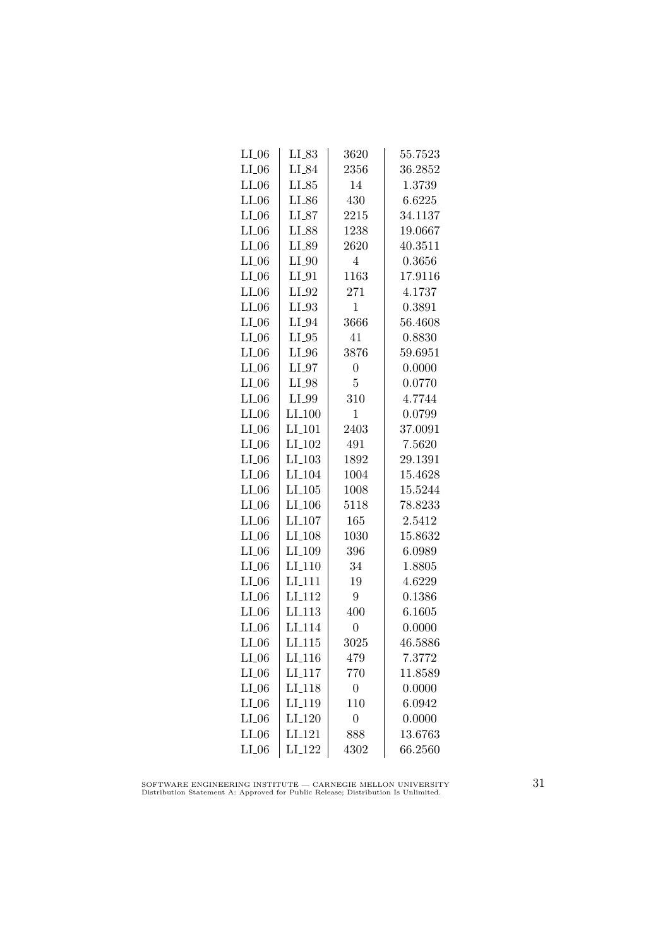| $LI_06$ | $LI_83$              | 3620            | 55.7523 |
|---------|----------------------|-----------------|---------|
| $LI_06$ | LI_84                | 2356            | 36.2852 |
| $LI_06$ | $LI_85$              | 14              | 1.3739  |
| $LI_06$ | LI_86                | 430             | 6.6225  |
| $LI_06$ | $LI_87$              | 2215            | 34.1137 |
| $LI_06$ | LI_88                | 1238            | 19.0667 |
| $LI_06$ | LI_89                | 2620            | 40.3511 |
| $LI_06$ | $LI_0$               | $\overline{4}$  | 0.3656  |
| $LI_06$ | $LI_0$               | 1163            | 17.9116 |
| $LI_06$ | $LI_02$              | 271             | 4.1737  |
| $LI_06$ | $LI_93$              | 1               | 0.3891  |
| $LI_06$ | $LI_04$              | 3666            | 56.4608 |
| $LI_06$ | $LI_05$              | 41              | 0.8830  |
| $LI_06$ | $LI_0$               | 3876            | 59.6951 |
| $LI_06$ | $LI_0$               | $\overline{0}$  | 0.0000  |
| $LI_06$ | LI_98                | 5               | 0.0770  |
| $LI_06$ | LI_99                | 310             | 4.7744  |
| $LI_06$ | LI <sub>-100</sub>   | $\mathbf 1$     | 0.0799  |
| $LI_06$ | LI <sub>-101</sub>   | 2403            | 37.0091 |
| $LI_06$ | $LI_102$             | 491             | 7.5620  |
| $LI_06$ | $LI_103$             | 1892            | 29.1391 |
| $LI_06$ | LI <sub>-104</sub>   | 1004            | 15.4628 |
| $LI_06$ | $LI$ <sub>-105</sub> | 1008            | 15.5244 |
| $LI_06$ | LI <sub>-106</sub>   | 5118            | 78.8233 |
| $LI_06$ | LI <sub>-107</sub>   | 165             | 2.5412  |
| $LI_06$ | LI <sub>-108</sub>   | 1030            | 15.8632 |
| $LI_06$ | LI <sub>-109</sub>   | 396             | 6.0989  |
| $LI_06$ | LI <sub>-110</sub>   | 34              | 1.8805  |
| $LI_06$ | LI <sub>-111</sub>   | 19              | 4.6229  |
| $LI_06$ | LI <sub>-112</sub>   | $9\phantom{.0}$ | 0.1386  |
| $LI_06$ | LI <sub>113</sub>    | 400             | 6.1605  |
| $LI_06$ | LI <sub>-114</sub>   | $\overline{0}$  | 0.0000  |
| $LI_06$ | $LI_115$             | 3025            | 46.5886 |
| $LI_06$ | LI <sub>-116</sub>   | 479             | 7.3772  |
| $LI_06$ | $LI_117$             | 770             | 11.8589 |
| $LI_06$ | LI <sub>-118</sub>   | $\overline{0}$  | 0.0000  |
| $LI_06$ | LI <sub>-119</sub>   | 110             | 6.0942  |
| $LI_06$ | LI <sub>-120</sub>   | $\overline{0}$  | 0.0000  |
| $LI_06$ | LI <sub>-121</sub>   | 888             | 13.6763 |
| $LI_06$ | LI_122               | 4302            | 66.2560 |

SOFTWARE ENGINEERING INSTITUTE — CARNEGIE MELLON UNIVERSITY Distribution Statement A: Approved for Public Release; Distribution Is Unlimited.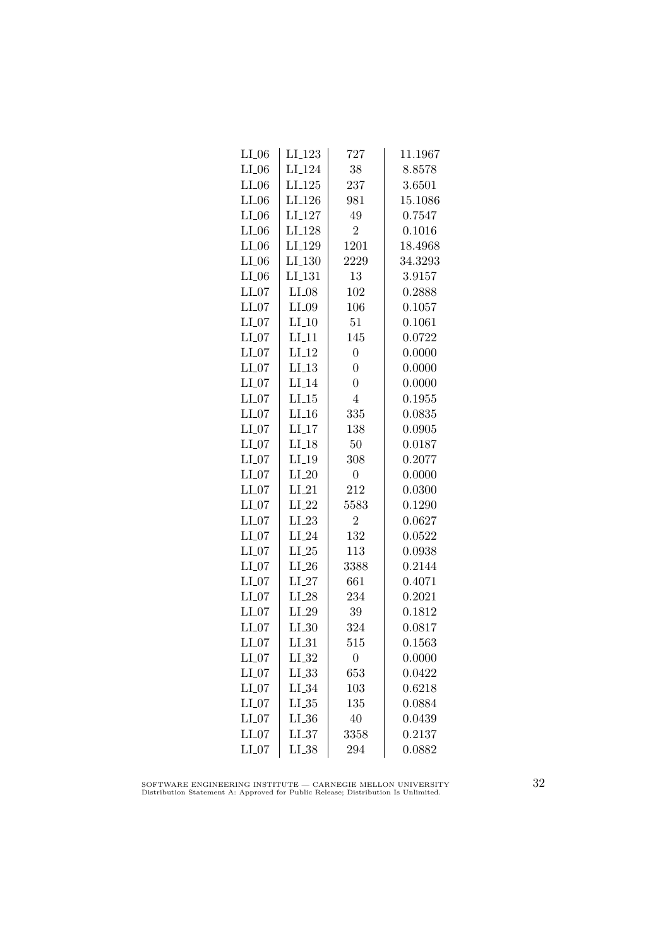| $_{\rm LI.06}$ | $LI_123$           | 727              | 11.1967 |
|----------------|--------------------|------------------|---------|
| $LI_06$        | LI <sub>-124</sub> | 38               | 8.8578  |
| $LI_06$        | LI <sub>-125</sub> | 237              | 3.6501  |
| $LI_06$        | LI <sub>-126</sub> | 981              | 15.1086 |
| $LI_06$        | LI <sub>-127</sub> | 49               | 0.7547  |
| $LI_06$        | LI <sub>-128</sub> | $\overline{2}$   | 0.1016  |
| $LI_06$        | LI_129             | 1201             | 18.4968 |
| $LI_06$        | $LI_130$           | 2229             | 34.3293 |
| $LI_06$        | LI <sub>-131</sub> | 13               | 3.9157  |
| $LI_07$        | $LI_08$            | 102              | 0.2888  |
| $LI_07$        | $LI_09$            | 106              | 0.1057  |
| $LI_07$        | $LI_10$            | 51               | 0.1061  |
| $LI_07$        | $LI_11$            | 145              | 0.0722  |
| $LI_07$        | $LI_12$            | $\overline{0}$   | 0.0000  |
| $LI_07$        | $LI-13$            | $\overline{0}$   | 0.0000  |
| $LI_07$        | $LI_14$            | $\overline{0}$   | 0.0000  |
| $LI_07$        | LL15               | $\overline{4}$   | 0.1955  |
| $LI_07$        | $LI_16$            | 335              | 0.0835  |
| $LI_07$        | $LI-17$            | 138              | 0.0905  |
| $LI_07$        | $LI-18$            | 50               | 0.0187  |
| $LI_07$        | $LI_19$            | 308              | 0.2077  |
| $LI_07$        | $LI_20$            | $\overline{0}$   | 0.0000  |
| $LI_07$        | $LI_21$            | 212              | 0.0300  |
| $LI_07$        | $LI_22$            | 5583             | 0.1290  |
| $LI_07$        | $LI_23$            | $\overline{2}$   | 0.0627  |
| $LI_07$        | $LI_24$            | 132              | 0.0522  |
| $LI_07$        | $LI_25$            | 113              | 0.0938  |
| $LI_07$        | $LI_26$            | 3388             | 0.2144  |
| $LI_07$        | $LI_27$            | 661              | 0.4071  |
| $LI_07$        | $LI_28$            | 234              | 0.2021  |
| $LI_07$        | $LI_29$            | 39               | 0.1812  |
| $LI_07$        | $LI_30$            | 324              | 0.0817  |
| $LI_07$        | $LI_31$            | 515              | 0.1563  |
| $LI_07$        | $LI_32$            | $\boldsymbol{0}$ | 0.0000  |
| $LI_07$        | $LL_{.33}$         | 653              | 0.0422  |
| $LI_07$        | $LI_34$            | 103              | 0.6218  |
| $LI_07$        | $LL_{.35}$         | 135              | 0.0884  |
| $LI_07$        | $LL_{.36}$         | 40               | 0.0439  |
| $LI_07$        | LL37               | 3358             | 0.2137  |
| $LI_07$        | $LI_38$            | 294              | 0.0882  |

SOFTWARE ENGINEERING INSTITUTE — CARNEGIE MELLON UNIVERSITY Distribution Statement A: Approved for Public Release; Distribution Is Unlimited.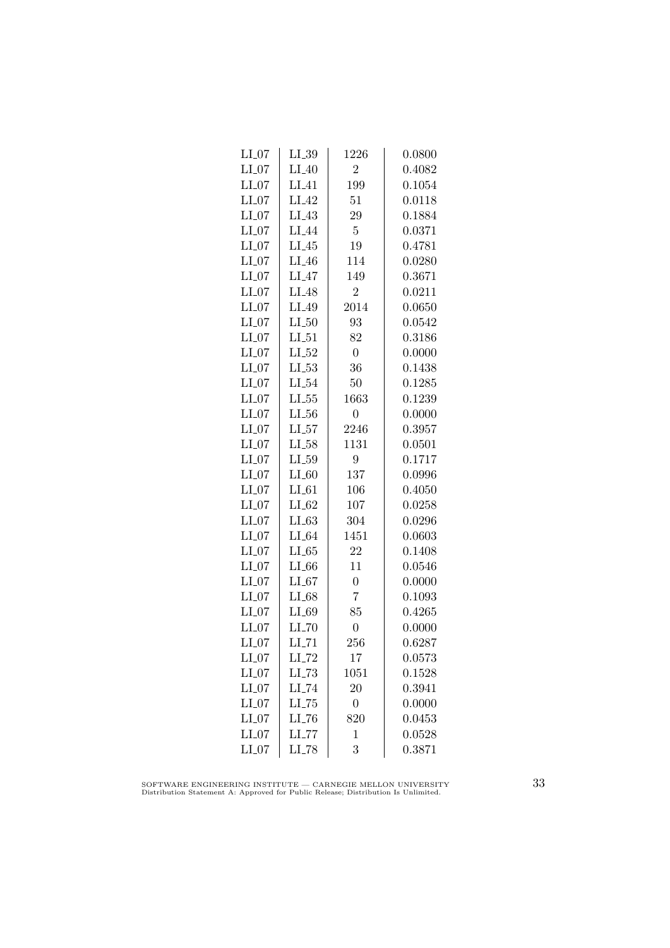| $LI_07$ | LI_39               | 1226           | 0.0800 |
|---------|---------------------|----------------|--------|
| $LI_07$ | $LI_40$             | $\overline{2}$ | 0.4082 |
| $LI_07$ | $LI_41$             | 199            | 0.1054 |
| $LI_07$ | LI <sub>-42</sub>   | 51             | 0.0118 |
| $LI_07$ | LI <sub>43</sub>    | 29             | 0.1884 |
| $LI_07$ | LI <sub>-44</sub>   | $\overline{5}$ | 0.0371 |
| $LI_07$ | $LI_45$             | 19             | 0.4781 |
| $LI_07$ | $LI_46$             | 114            | 0.0280 |
| $LI_07$ | $LI_47$             | 149            | 0.3671 |
| $LI_07$ | $LI_48$             | $\overline{2}$ | 0.0211 |
| $LI_07$ | LI_49               | 2014           | 0.0650 |
| $LI_07$ | $LI_50$             | 93             | 0.0542 |
| $LI_07$ | $LI_51$             | 82             | 0.3186 |
| $LI_07$ | $LI_52$             | $\overline{0}$ | 0.0000 |
| $LI_07$ | $LL-53$             | 36             | 0.1438 |
| $LI_07$ | $LI_54$             | 50             | 0.1285 |
| $LI_07$ | $LL_{.55}$          | 1663           | 0.1239 |
| $LI_07$ | $LL_{.56}$          | $\overline{0}$ | 0.0000 |
| $LI_07$ | LL57                | 2246           | 0.3957 |
| $LI_07$ | $LI_58$             | 1131           | 0.0501 |
| $LI_07$ | $LI_59$             | 9              | 0.1717 |
| $LI_07$ | $LI_60$             | 137            | 0.0996 |
| $LI_07$ | $LI_61$             | 106            | 0.4050 |
| $LI_07$ | $LI_62$             | 107            | 0.0258 |
| $LI_07$ | LL63                | 304            | 0.0296 |
| $LI_07$ | $LI_64$             | 1451           | 0.0603 |
| $LI_07$ | LL65                | 22             | 0.1408 |
| $LI_07$ | $LI_66$             | 11             | 0.0546 |
| $LI_07$ | $LI_67$             | $\overline{0}$ | 0.0000 |
| $LI_07$ | $LI_68$             | $\overline{7}$ | 0.1093 |
| $LI_07$ | LI_69               | 85             | 0.4265 |
| $LI_07$ | $LI$ <sub>-70</sub> | $\overline{0}$ | 0.0000 |
| $LI_07$ | $LI$ <sub>-71</sub> | 256            | 0.6287 |
| $LI_07$ | $LI$ <sub>-72</sub> | 17             | 0.0573 |
| $LI_07$ | $LI$ <sub>-73</sub> | 1051           | 0.1528 |
| $LI_07$ | $LI$ <sub>-74</sub> | 20             | 0.3941 |
| $LI_07$ | $LL-75$             | $\overline{0}$ | 0.0000 |
| $LI_07$ | LL76                | 820            | 0.0453 |
| $LI_07$ | LL77                | $\mathbf 1$    | 0.0528 |
| $LI_07$ | $LI$ <sub>-78</sub> | 3              | 0.3871 |

SOFTWARE ENGINEERING INSTITUTE — CARNEGIE MELLON UNIVERSITY Distribution Statement A: Approved for Public Release; Distribution Is Unlimited.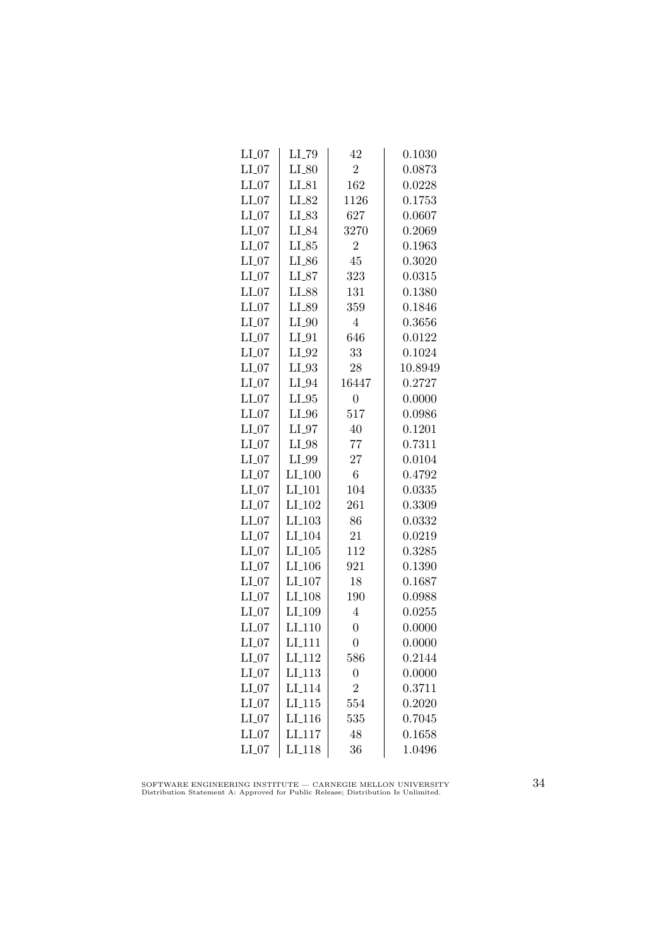| $LI_07$ | LI_79              | 42             | 0.1030  |
|---------|--------------------|----------------|---------|
| $LI_07$ | $LI_80$            | $\overline{2}$ | 0.0873  |
| $LI_07$ | $LI_{-}81$         | 162            | 0.0228  |
| $LI_07$ | LI_82              | 1126           | 0.1753  |
| $LI_07$ | LI_83              | 627            | 0.0607  |
| $LI_07$ | LI_84              | 3270           | 0.2069  |
| $LI_07$ | $LI_85$            | $\overline{2}$ | 0.1963  |
| $LI_07$ | $LI_86$            | 45             | 0.3020  |
| $LI_07$ | $LI_87$            | 323            | 0.0315  |
| $LI_07$ | LI_88              | 131            | 0.1380  |
| $LI_07$ | LI_89              | 359            | 0.1846  |
| $LI_07$ | $LI_0$             | $\overline{4}$ | 0.3656  |
| $LI_07$ | $LI_01$            | 646            | 0.0122  |
| $LI_07$ | $LI_02$            | 33             | 0.1024  |
| $LI_07$ | $LI_03$            | 28             | 10.8949 |
| $LI_07$ | $LI_04$            | 16447          | 0.2727  |
| $LI_07$ | $LI_05$            | $\overline{0}$ | 0.0000  |
| $LI_07$ | $LI_0$             | 517            | 0.0986  |
| $LI_07$ | $LI_97$            | 40             | 0.1201  |
| $LI_07$ | $LI_98$            | 77             | 0.7311  |
| $LI_07$ | LI_99              | 27             | 0.0104  |
| $LI_07$ | $LI_100$           | 6              | 0.4792  |
| $LI_07$ | LI <sub>-101</sub> | 104            | 0.0335  |
| $LI_07$ | LI <sub>-102</sub> | 261            | 0.3309  |
| $LI_07$ | LI <sub>-103</sub> | 86             | 0.0332  |
| $LI_07$ | LI <sub>-104</sub> | 21             | 0.0219  |
| $LI_07$ | $LI_105$           | 112            | 0.3285  |
| $LI_07$ | $LI_106$           | 921            | 0.1390  |
| $LI_07$ | $LI_107$           | 18             | 0.1687  |
| $LI_07$ | LI <sub>-108</sub> | 190            | 0.0988  |
| $LI_07$ | LI <sub>-109</sub> | $\overline{4}$ | 0.0255  |
| $LI_07$ | LI <sub>-110</sub> | $\overline{0}$ | 0.0000  |
| $LI_07$ | LI <sub>-111</sub> | $\overline{0}$ | 0.0000  |
| $LI_07$ | $LI_112$           | 586            | 0.2144  |
| $LI_07$ | LI <sub>-113</sub> | $\overline{0}$ | 0.0000  |
| $LI_07$ | LI <sub>-114</sub> | $\overline{2}$ | 0.3711  |
| $LI_07$ | LI.115             | 554            | 0.2020  |
| $LI_07$ | LI <sub>-116</sub> | 535            | 0.7045  |
| $LI_07$ | LI <sub>117</sub>  | 48             | 0.1658  |
| $LI_07$ | $LI_118$           | 36             | 1.0496  |

SOFTWARE ENGINEERING INSTITUTE — CARNEGIE MELLON UNIVERSITY Distribution Statement A: Approved for Public Release; Distribution Is Unlimited.

34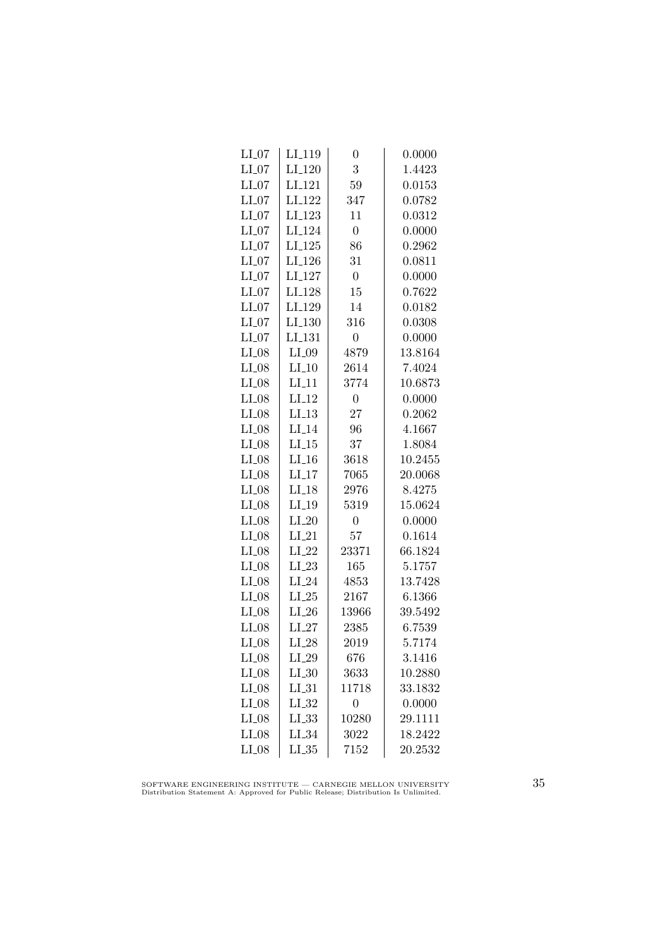| $LI_07$ | $LI_119$           | 0                | 0.0000  |
|---------|--------------------|------------------|---------|
| $LI_07$ | $LI_120$           | 3                | 1.4423  |
| $LI_07$ | LI <sub>-121</sub> | 59               | 0.0153  |
| $LI_07$ | LI <sub>-122</sub> | 347              | 0.0782  |
| $LI_07$ | LI <sub>-123</sub> | 11               | 0.0312  |
| $LI_07$ | LI <sub>-124</sub> | $\overline{0}$   | 0.0000  |
| $LI_07$ | $LI_125$           | 86               | 0.2962  |
| $LI_07$ | LI <sub>-126</sub> | 31               | 0.0811  |
| $LI_07$ | LI <sub>-127</sub> | $\boldsymbol{0}$ | 0.0000  |
| $LI_07$ | LI <sub>-128</sub> | 15               | 0.7622  |
| $LI_07$ | LI <sub>-129</sub> | 14               | 0.0182  |
| $LI_07$ | LI <sub>-130</sub> | 316              | 0.0308  |
| $LI_07$ | LI <sub>-131</sub> | $\overline{0}$   | 0.0000  |
| $LI_08$ | $LI_09$            | 4879             | 13.8164 |
| $LI_08$ | $LI_10$            | 2614             | 7.4024  |
| $LI_08$ | $LI-11$            | 3774             | 10.6873 |
| $LI_08$ | $LI-12$            | $\boldsymbol{0}$ | 0.0000  |
| $LI_08$ | $LI_13$            | 27               | 0.2062  |
| $LI_08$ | $LI_14$            | 96               | 4.1667  |
| $LI_08$ | LL15               | 37               | 1.8084  |
| $LI_08$ | $LI_16$            | 3618             | 10.2455 |
| $LI_08$ | $LI_17$            | 7065             | 20.0068 |
| $LI_08$ | $LI-18$            | 2976             | 8.4275  |
| $LI_08$ | $LI_19$            | 5319             | 15.0624 |
| $LI_08$ | $LI_20$            | $\overline{0}$   | 0.0000  |
| $LI_08$ | $LI_21$            | 57               | 0.1614  |
| $LI_08$ | $LI_22$            | 23371            | 66.1824 |
| $LI_08$ | $LI_23$            | 165              | 5.1757  |
| $LI_08$ | $LI_24$            | 4853             | 13.7428 |
| $LI_08$ | $LI_25$            | 2167             | 6.1366  |
| $LI_08$ | $LI_26$            | 13966            | 39.5492 |
| $LI_08$ | $LI_27$            | 2385             | 6.7539  |
| $LI_08$ | $LI_28$            | 2019             | 5.7174  |
| $LI_08$ | $LI_29$            | 676              | 3.1416  |
| $LI_08$ | $LL_{.30}$         | 3633             | 10.2880 |
| $LI_08$ | $LI_31$            | 11718            | 33.1832 |
| $LI_08$ | $LI_32$            | $\overline{0}$   | 0.0000  |
| $LI_08$ | $LL_{.33}$         | 10280            | 29.1111 |
| $LI_08$ | $LI_34$            | 3022             | 18.2422 |
| $LI_08$ | $LL_{.35}$         | 7152             | 20.2532 |

SOFTWARE ENGINEERING INSTITUTE — CARNEGIE MELLON UNIVERSITY Distribution Statement A: Approved for Public Release; Distribution Is Unlimited.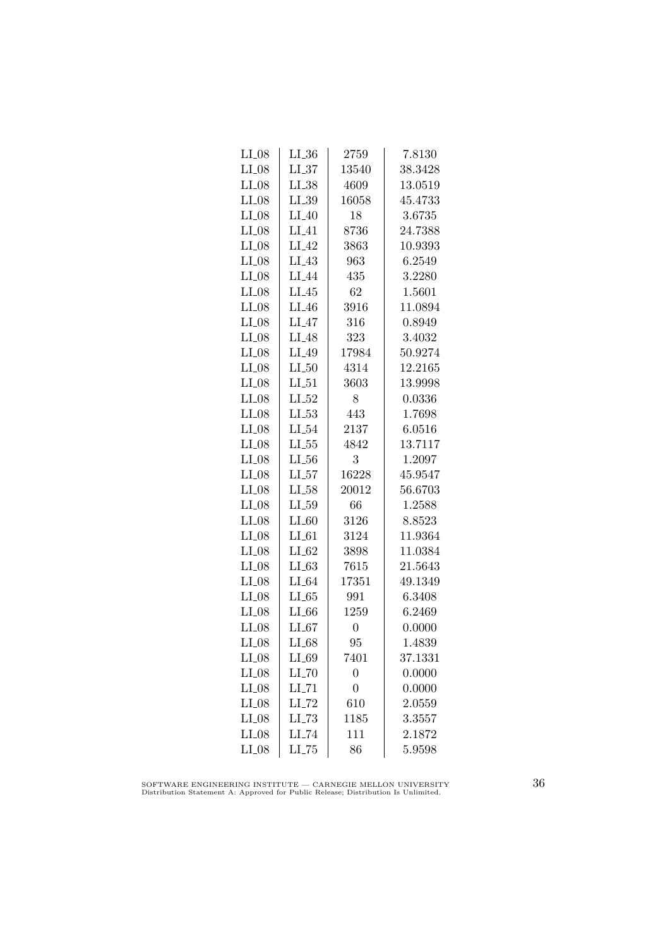| $LI_08$ | $LI_36$             | 2759           | 7.8130  |
|---------|---------------------|----------------|---------|
| $LI_08$ | $LI_37$             | 13540          | 38.3428 |
| $LI_08$ | $LI_38$             | 4609           | 13.0519 |
| $LI_08$ | $LI_39$             | 16058          | 45.4733 |
| $LI_08$ | $LI_40$             | 18             | 3.6735  |
| $LI_08$ | $LI_41$             | 8736           | 24.7388 |
| $LI_08$ | $LI_42$             | 3863           | 10.9393 |
| $LI_08$ | $LI_43$             | 963            | 6.2549  |
| $LI_08$ | $LI_44$             | 435            | 3.2280  |
| $LI_08$ | $LI_45$             | 62             | 1.5601  |
| $LI_08$ | $LI_46$             | 3916           | 11.0894 |
| $LI_08$ | $LI_47$             | 316            | 0.8949  |
| $LI_08$ | $LI_48$             | 323            | 3.4032  |
| $LI_08$ | $LI_49$             | 17984          | 50.9274 |
| $LI_08$ | $LI_50$             | 4314           | 12.2165 |
| $LI_08$ | $LI_51$             | 3603           | 13.9998 |
| $LI_08$ | $LI_52$             | 8              | 0.0336  |
| $LI_08$ | LL53                | 443            | 1.7698  |
| $LI_08$ | $LI_54$             | 2137           | 6.0516  |
| $LI_08$ | $LL_{.55}$          | 4842           | 13.7117 |
| $LI_08$ | $LL_{.56}$          | 3              | 1.2097  |
| $LI_08$ | $LI_57$             | 16228          | 45.9547 |
| $LI_08$ | $LI_58$             | 20012          | 56.6703 |
| $LI_08$ | $LL_{.59}$          | 66             | 1.2588  |
| $LI_08$ | $LI_60$             | 3126           | 8.8523  |
| $LI_08$ | $LI_61$             | 3124           | 11.9364 |
| $LI_08$ | $LI_62$             | 3898           | 11.0384 |
| $LI_08$ | $LI_63$             | 7615           | 21.5643 |
| $LI_08$ | $LI_64$             | 17351          | 49.1349 |
| $LI_08$ | $LL-65$             | 991            | 6.3408  |
| $LI_08$ | $LI_66$             | 1259           | 6.2469  |
| $LI_08$ | LL67                | $\overline{0}$ | 0.0000  |
| $LI_08$ | $LI_68$             | 95             | 1.4839  |
| $LI_08$ | LI_69               | 7401           | 37.1331 |
| $LI_08$ | $LI$ <sub>-70</sub> | $\overline{0}$ | 0.0000  |
| $LI_08$ | $LI$ <sub>-71</sub> | $\overline{0}$ | 0.0000  |
| $LI_08$ | $LI$ <sub>-72</sub> | 610            | 2.0559  |
| $LI_08$ | $LL-73$             | 1185           | 3.3557  |
| $LI_08$ | LI_74               | 111            | 2.1872  |
| $LI_08$ | $LI$ <sub>-75</sub> | 86             | 5.9598  |

SOFTWARE ENGINEERING INSTITUTE — CARNEGIE MELLON UNIVERSITY Distribution Statement A: Approved for Public Release; Distribution Is Unlimited.

36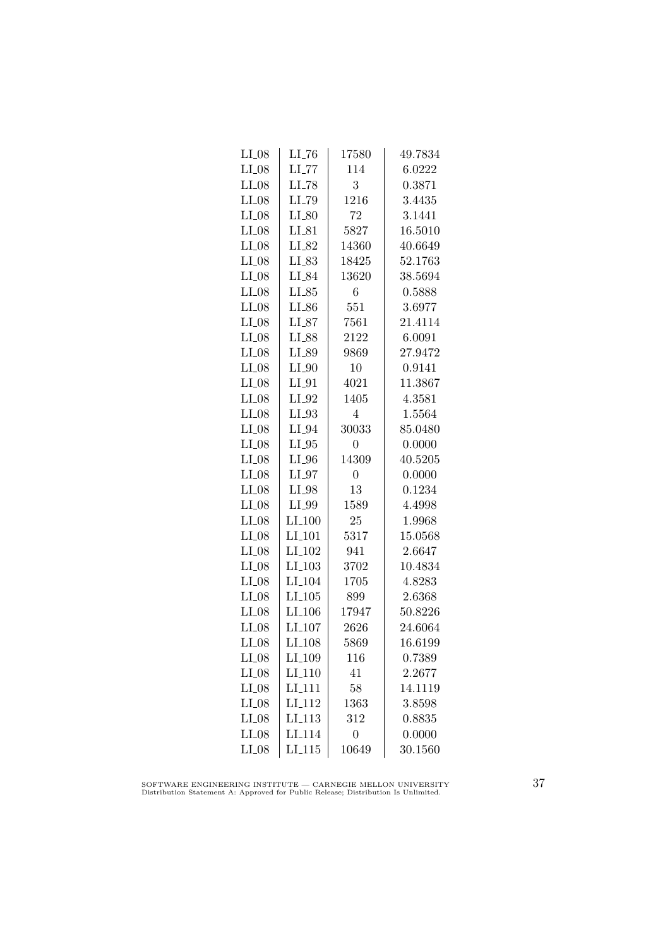| $LI_08$ | LL76                 | 17580          | 49.7834 |
|---------|----------------------|----------------|---------|
| $LI_08$ | $LI$ <sub>-77</sub>  | 114            | 6.0222  |
| $LI_08$ | $LI$ <sub>-78</sub>  | 3              | 0.3871  |
| $LI_08$ | LI_79                | 1216           | 3.4435  |
| $LI_08$ | $LI_80$              | 72             | 3.1441  |
| $LI_08$ | $LI_81$              | 5827           | 16.5010 |
| $LI_08$ | LI_82                | 14360          | 40.6649 |
| $LI_08$ | $LI_83$              | 18425          | 52.1763 |
| $LI_08$ | LI_84                | 13620          | 38.5694 |
| $LI_08$ | $LI_85$              | 6              | 0.5888  |
| $LI_08$ | LI_86                | 551            | 3.6977  |
| $LI_08$ | $LI_87$              | 7561           | 21.4114 |
| $LI_08$ | LI_88                | 2122           | 6.0091  |
| $LI_08$ | LI_89                | 9869           | 27.9472 |
| $LI_08$ | $LI_0$               | 10             | 0.9141  |
| $LI_08$ | $LI_01$              | 4021           | 11.3867 |
| $LI_08$ | $LI_02$              | 1405           | 4.3581  |
| $LI_08$ | $LI_93$              | $\overline{4}$ | 1.5564  |
| $LI_08$ | LI_94                | 30033          | 85.0480 |
| $LI_08$ | $LI_05$              | 0              | 0.0000  |
| $LI_08$ | $LI_0$               | 14309          | 40.5205 |
| $LI_08$ | $LI_97$              | $\overline{0}$ | 0.0000  |
| $LI_08$ | $LI_98$              | 13             | 0.1234  |
| $LI_08$ | LI_99                | 1589           | 4.4998  |
| $LI_08$ | $LI_100$             | 25             | 1.9968  |
| $LI_08$ | LI <sub>-101</sub>   | 5317           | 15.0568 |
| $LI_08$ | LI <sub>-102</sub>   | 941            | 2.6647  |
| $LI_08$ | $LI_103$             | 3702           | 10.4834 |
| $LI_08$ | LI <sub>-104</sub>   | 1705           | 4.8283  |
| $LI_08$ | $LI$ <sub>-105</sub> | 899            | 2.6368  |
| $LI_08$ | LI <sub>-106</sub>   | 17947          | 50.8226 |
| $LI_08$ | LI <sub>-107</sub>   | 2626           | 24.6064 |
| $LI_08$ | LI <sub>-108</sub>   | 5869           | 16.6199 |
| $LI_08$ | LI_109               | 116            | 0.7389  |
| $LI_08$ | $LI_110$             | 41             | 2.2677  |
| $LI_08$ | LI <sub>-111</sub>   | 58             | 14.1119 |
| $LI_08$ | LI <sub>-112</sub>   | 1363           | 3.8598  |
| $LI_08$ | LI <sub>113</sub>    | 312            | 0.8835  |
| $LI_08$ | LI <sub>114</sub>    | $\overline{0}$ | 0.0000  |
| $LI_08$ | $LI$ <sub>-115</sub> | 10649          | 30.1560 |

SOFTWARE ENGINEERING INSTITUTE — CARNEGIE MELLON UNIVERSITY Distribution Statement A: Approved for Public Release; Distribution Is Unlimited.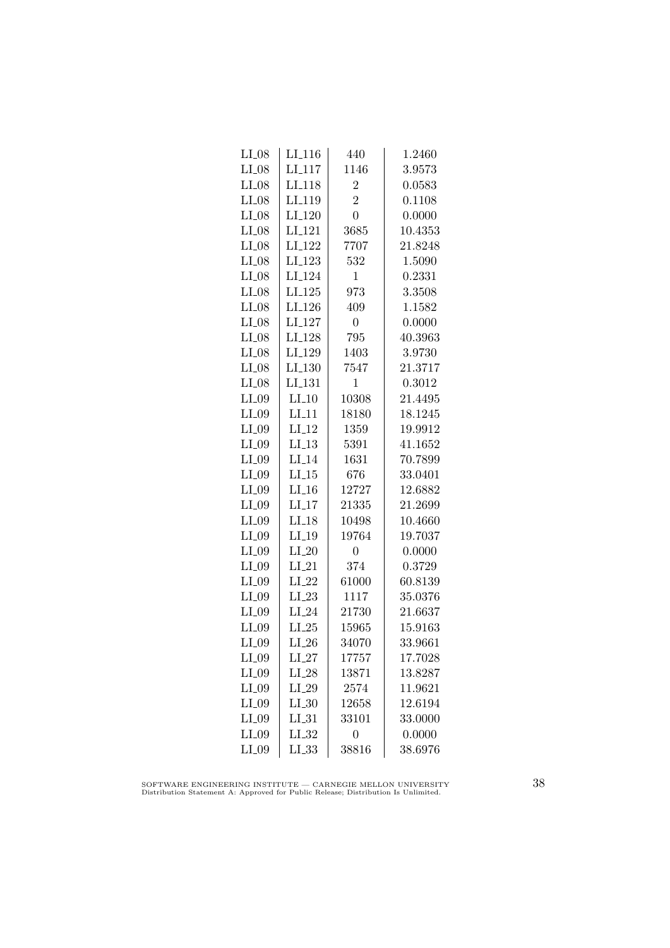| $LI_08$ | $LI_116$           | 440            | 1.2460  |
|---------|--------------------|----------------|---------|
| $LI_08$ | LI <sub>-117</sub> | 1146           | 3.9573  |
| $LI_08$ | LI <sub>-118</sub> | $\overline{2}$ | 0.0583  |
| $LI_08$ | LI <sub>-119</sub> | $\overline{2}$ | 0.1108  |
| $LI_08$ | LI <sub>-120</sub> | $\overline{0}$ | 0.0000  |
| $LI_08$ | LI <sub>-121</sub> | 3685           | 10.4353 |
| $LI_08$ | LI <sub>-122</sub> | 7707           | 21.8248 |
| $LI_08$ | $LI_123$           | 532            | 1.5090  |
| $LI_08$ | LI <sub>-124</sub> | $\mathbf 1$    | 0.2331  |
| $LI_08$ | LI.125             | 973            | 3.3508  |
| $LI_08$ | LI <sub>-126</sub> | 409            | 1.1582  |
| $LI_08$ | LI <sub>-127</sub> | $\overline{0}$ | 0.0000  |
| $LI_08$ | LI <sub>-128</sub> | 795            | 40.3963 |
| $LI_08$ | LI_129             | 1403           | 3.9730  |
| $LI_08$ | LI <sub>-130</sub> | 7547           | 21.3717 |
| $LI_08$ | LI <sub>-131</sub> | $\mathbf{1}$   | 0.3012  |
| $LI_09$ | $LI_10$            | 10308          | 21.4495 |
| $LI_09$ | $LI$ <sub>11</sub> | 18180          | 18.1245 |
| $LI_09$ | $LI-12$            | 1359           | 19.9912 |
| $LI_09$ | LL13               | 5391           | 41.1652 |
| $LI_09$ | $LI_14$            | 1631           | 70.7899 |
| $LI_09$ | $LI_15$            | 676            | 33.0401 |
| $LI_09$ | $LI_16$            | 12727          | 12.6882 |
| $LI_09$ | LI17               | 21335          | 21.2699 |
| $LI_09$ | $LI-18$            | 10498          | 10.4660 |
| $LI_09$ | $LI_19$            | 19764          | 19.7037 |
| $LI_09$ | $LI_20$            | $\overline{0}$ | 0.0000  |
| $LI_09$ | $LI_21$            | 374            | 0.3729  |
| $LI_09$ | $LI_22$            | 61000          | 60.8139 |
| $LI_09$ | $LI_23$            | 1117           | 35.0376 |
| $LI_09$ | $LI_24$            | 21730          | 21.6637 |
| $LI_09$ | $LI_25$            | 15965          | 15.9163 |
| $LI_09$ | $LI_26$            | 34070          | 33.9661 |
| $LI_09$ | $LI_27$            | 17757          | 17.7028 |
| $LI_09$ | $LI_28$            | 13871          | 13.8287 |
| $LI_09$ | $LI_29$            | 2574           | 11.9621 |
| $LI_09$ | $LI_30$            | 12658          | 12.6194 |
| $LI_09$ | $LI_31$            | 33101          | 33.0000 |
| $LI_09$ | LL32               | $\overline{0}$ | 0.0000  |
| $LI_09$ | $LI_33$            | 38816          | 38.6976 |

SOFTWARE ENGINEERING INSTITUTE — CARNEGIE MELLON UNIVERSITY Distribution Statement A: Approved for Public Release; Distribution Is Unlimited.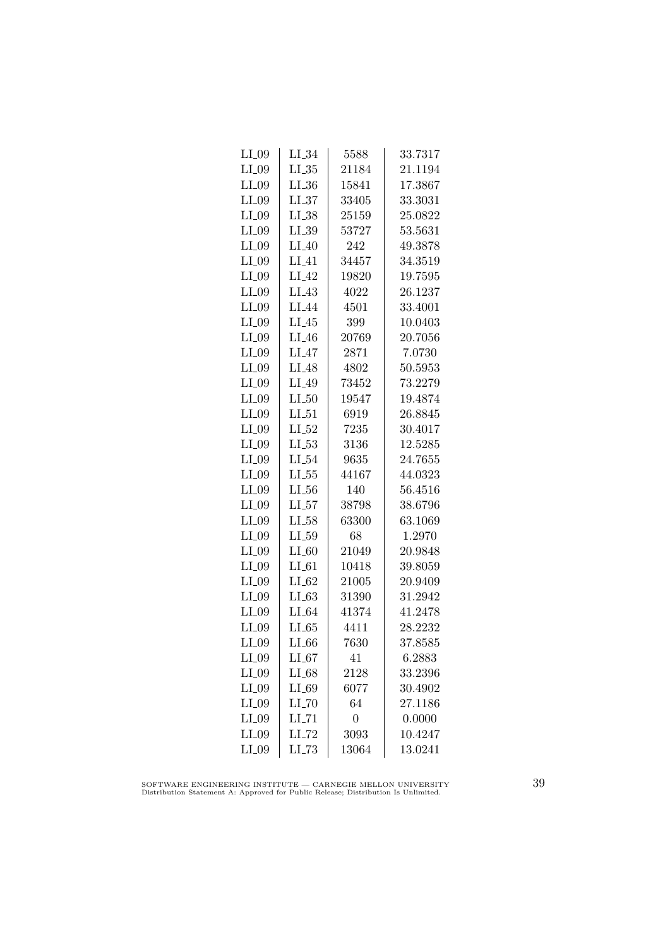| $LI_09$ | $LI_34$             | 5588           | 33.7317 |
|---------|---------------------|----------------|---------|
| $LI_09$ | $LL_{.35}$          | 21184          | 21.1194 |
| $LI_09$ | $LI_36$             | 15841          | 17.3867 |
| $LI_09$ | LL37                | 33405          | 33.3031 |
| $LI_09$ | $LI_38$             | 25159          | 25.0822 |
| $LI_09$ | $LI_39$             | 53727          | 53.5631 |
| $LI_09$ | $LI_40$             | 242            | 49.3878 |
| $LI_09$ | $LI_41$             | 34457          | 34.3519 |
| $LI_09$ | $LI_42$             | 19820          | 19.7595 |
| $LI_09$ | $LI_43$             | 4022           | 26.1237 |
| $LI_09$ | LI_44               | 4501           | 33.4001 |
| $LI_09$ | $LI_45$             | 399            | 10.0403 |
| $LI_09$ | $LI_46$             | 20769          | 20.7056 |
| $LI_09$ | $LI_47$             | 2871           | 7.0730  |
| $LI_09$ | $LI_48$             | 4802           | 50.5953 |
| $LI_09$ | $LI_49$             | 73452          | 73.2279 |
| $LI_09$ | $LI_50$             | 19547          | 19.4874 |
| $LI_09$ | $LI_51$             | 6919           | 26.8845 |
| $LI_09$ | $LI_52$             | 7235           | 30.4017 |
| $LI_09$ | $LL_{.53}$          | 3136           | 12.5285 |
| $LI_09$ | $LI_54$             | 9635           | 24.7655 |
| $LI_09$ | $LL_{.55}$          | 44167          | 44.0323 |
| $LI_09$ | $LL_{.56}$          | 140            | 56.4516 |
| $LI_09$ | LL57                | 38798          | 38.6796 |
| $LI_09$ | LL58                | 63300          | 63.1069 |
| $LI_09$ | $LL_{.59}$          | 68             | 1.2970  |
| $LI_09$ | $LI_60$             | 21049          | 20.9848 |
| $LI_09$ | $LI_61$             | 10418          | 39.8059 |
| $LI_09$ | $LI_02$             | 21005          | 20.9409 |
| $LI_09$ | $LI_63$             | 31390          | 31.2942 |
| $LI_09$ | $LI_64$             | 41374          | 41.2478 |
| $LI_09$ | LL65                | 4411           | 28.2232 |
| $LI_09$ | $LI_66$             | 7630           | 37.8585 |
| $LI_09$ | $LI_67$             | 41             | 6.2883  |
| $LI_09$ | $LI_68$             | 2128           | 33.2396 |
| $LI_09$ | $LI_69$             | 6077           | 30.4902 |
| $LI_09$ | $LI$ <sub>-70</sub> | 64             | 27.1186 |
| $LI_09$ | $LI$ <sub>-71</sub> | $\overline{0}$ | 0.0000  |
| $LI_09$ | LI_72               | 3093           | 10.4247 |
| $LI_09$ | $LL-73$             | 13064          | 13.0241 |
|         |                     |                |         |

SOFTWARE ENGINEERING INSTITUTE — CARNEGIE MELLON UNIVERSITY Distribution Statement A: Approved for Public Release; Distribution Is Unlimited.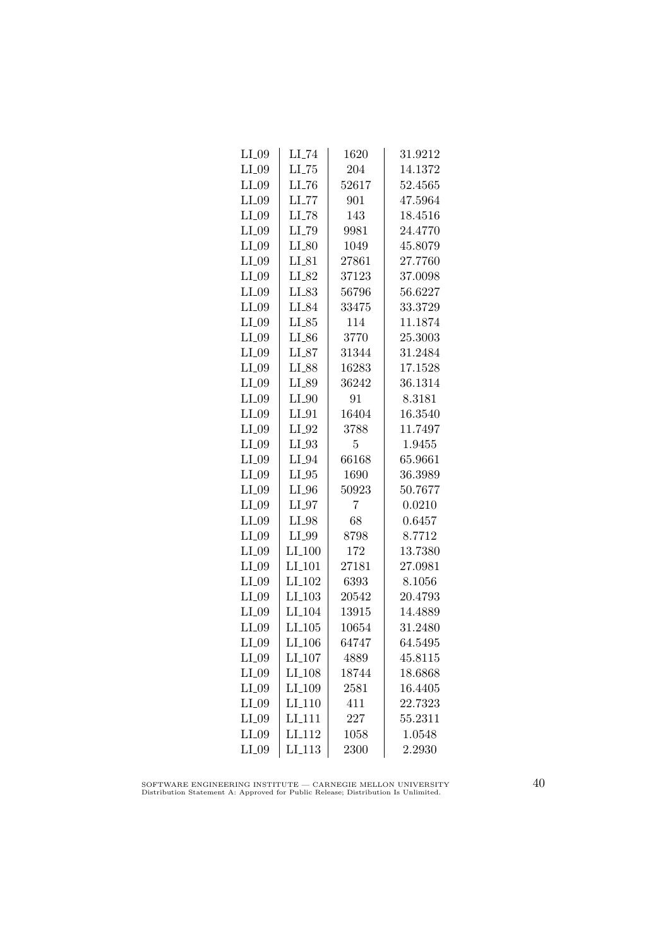| $LI_09$ | $LI$ <sub>-74</sub> | 1620  | 31.9212 |
|---------|---------------------|-------|---------|
| $LI_09$ | $LI$ <sub>-75</sub> | 204   | 14.1372 |
| $LI_09$ | $LI$ <sub>-76</sub> | 52617 | 52.4565 |
| $LI_09$ | $LL$ <sub>77</sub>  | 901   | 47.5964 |
| $LI_09$ | LI_78               | 143   | 18.4516 |
| $LI_09$ | LI_79               | 9981  | 24.4770 |
| $LI_09$ | $LI_80$             | 1049  | 45.8079 |
| $LI_09$ | $LI_{-}81$          | 27861 | 27.7760 |
| $LI_09$ | LI_82               | 37123 | 37.0098 |
| $LI_09$ | $LI_83$             | 56796 | 56.6227 |
| $LI_09$ | LI_84               | 33475 | 33.3729 |
| $LI_09$ | $LI_85$             | 114   | 11.1874 |
| $LI_09$ | $LI_86$             | 3770  | 25.3003 |
| $LI_09$ | $LI_87$             | 31344 | 31.2484 |
| $LI_09$ | LI_88               | 16283 | 17.1528 |
| $LI_09$ | LI_89               | 36242 | 36.1314 |
| $LI_09$ | $LI_0$              | 91    | 8.3181  |
| $LI_09$ | $LI_01$             | 16404 | 16.3540 |
| $LI_09$ | LI_92               | 3788  | 11.7497 |
| $LI_09$ | $LI_93$             | 5     | 1.9455  |
| $LI_09$ | $LI_04$             | 66168 | 65.9661 |
| $LI_09$ | $LI_05$             | 1690  | 36.3989 |
| $LI_09$ | $LI_0$              | 50923 | 50.7677 |
| $LI_09$ | $LI_07$             | 7     | 0.0210  |
| $LI_09$ | $LI_98$             | 68    | 0.6457  |
| $LI_09$ | LI_99               | 8798  | 8.7712  |
| $LI_09$ | $LI_100$            | 172   | 13.7380 |
| $LI_09$ | $LI_101$            | 27181 | 27.0981 |
| $LI_09$ | LI <sub>-102</sub>  | 6393  | 8.1056  |
| $LI_09$ | $LI_103$            | 20542 | 20.4793 |
| $LI_09$ | LI <sub>-104</sub>  | 13915 | 14.4889 |
| $LI_09$ | LI.105              | 10654 | 31.2480 |
| $LI_09$ | LI <sub>-106</sub>  | 64747 | 64.5495 |
| $LI_09$ | LI <sub>-107</sub>  | 4889  | 45.8115 |
| $LI_09$ | LI <sub>-108</sub>  | 18744 | 18.6868 |
| $LI_09$ | LI <sub>-109</sub>  | 2581  | 16.4405 |
| $LI_09$ | LI <sub>-110</sub>  | 411   | 22.7323 |
| $LI_09$ | LI <sub>111</sub>   | 227   | 55.2311 |
| $LI_09$ | LI <sub>-112</sub>  | 1058  | 1.0548  |
| $LI_09$ | LI <sub>-113</sub>  | 2300  | 2.2930  |

SOFTWARE ENGINEERING INSTITUTE — CARNEGIE MELLON UNIVERSITY Distribution Statement A: Approved for Public Release; Distribution Is Unlimited.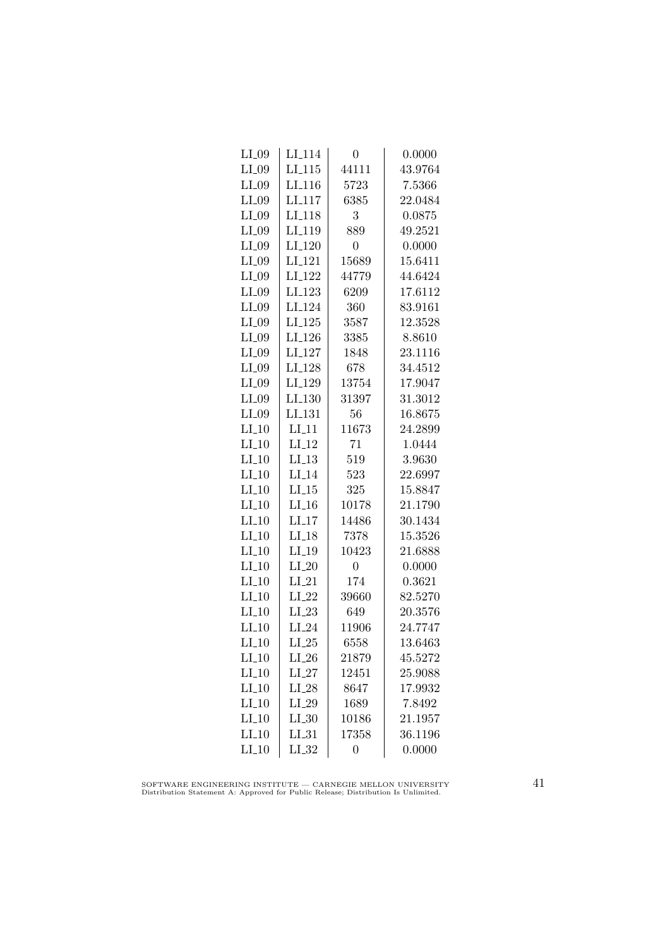| $LI_09$ | $LI_114$            | 0              | 0.0000  |
|---------|---------------------|----------------|---------|
| $LI_09$ | LI.115              | 44111          | 43.9764 |
| $LI_09$ | LI <sub>-116</sub>  | 5723           | 7.5366  |
| $LI_09$ | LI <sub>117</sub>   | 6385           | 22.0484 |
| $LI_09$ | LI <sub>118</sub>   | 3              | 0.0875  |
| $LI_09$ | LI <sub>-119</sub>  | 889            | 49.2521 |
| $LI_09$ | $LI_120$            | $\overline{0}$ | 0.0000  |
| $LI_09$ | $LI-121$            | 15689          | 15.6411 |
| $LI_09$ | LI <sub>-122</sub>  | 44779          | 44.6424 |
| $LI_09$ | LI <sub>-123</sub>  | 6209           | 17.6112 |
| $LI_09$ | LI <sub>-124</sub>  | 360            | 83.9161 |
| $LI_09$ | LI <sub>-125</sub>  | 3587           | 12.3528 |
| $LI_09$ | LI <sub>-126</sub>  | 3385           | 8.8610  |
| $LI_09$ | $LI_127$            | 1848           | 23.1116 |
| $LI_09$ | LI <sub>-128</sub>  | 678            | 34.4512 |
| $LI_09$ | LI <sub>-129</sub>  | 13754          | 17.9047 |
| $LI_09$ | $LI_130$            | 31397          | 31.3012 |
| $LI_09$ | LL131               | 56             | 16.8675 |
| $LI_10$ | $LI-11$             | 11673          | 24.2899 |
| $LI_10$ | $LI_12$             | 71             | 1.0444  |
| $LI_10$ | $LI_13$             | 519            | 3.9630  |
| $LI_0$  | $LI_14$             | 523            | 22.6997 |
| $LI_10$ | $LI_15$             | 325            | 15.8847 |
| $LI_10$ | $LI$ <sub>-16</sub> | 10178          | 21.1790 |
| $LI_10$ | $LI-17$             | 14486          | 30.1434 |
| $LI_10$ | $LI-18$             | 7378           | 15.3526 |
| $LI_10$ | $LI_19$             | 10423          | 21.6888 |
| $LI_10$ | $LI_20$             | $\overline{0}$ | 0.0000  |
| $LI_10$ | $LI_21$             | 174            | 0.3621  |
| $LI_10$ | $LI_22$             | 39660          | 82.5270 |
| $LI_10$ | $LI_23$             | 649            | 20.3576 |
| $LI_10$ | $LI_24$             | 11906          | 24.7747 |
| $LI_10$ | $LI_25$             | 6558           | 13.6463 |
| $LI_10$ | $LI_26$             | 21879          | 45.5272 |
| $LI_10$ | $LI_27$             | 12451          | 25.9088 |
| $LI_10$ | $LI_28$             | 8647           | 17.9932 |
| $LI_10$ | $LI_29$             | 1689           | 7.8492  |
| $LI_10$ | $LI_30$             | 10186          | 21.1957 |
| $LI_10$ | $LI_31$             | 17358          | 36.1196 |
| $LI_10$ | $LI_32$             | $\overline{0}$ | 0.0000  |

SOFTWARE ENGINEERING INSTITUTE — CARNEGIE MELLON UNIVERSITY Distribution Statement A: Approved for Public Release; Distribution Is Unlimited.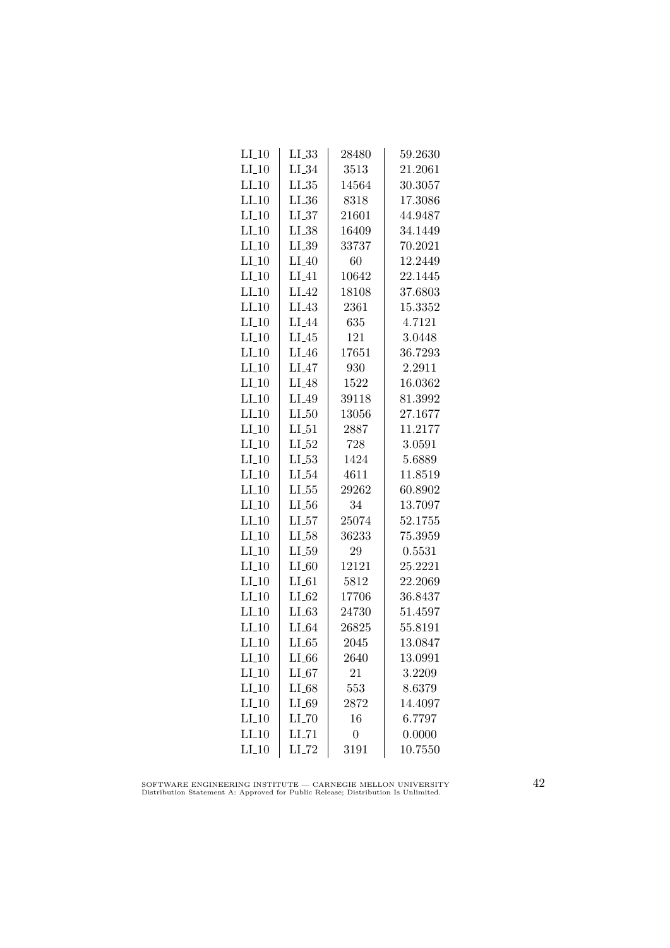| $LI_10$ | $LL_{.33}$          | 28480          | 59.2630 |
|---------|---------------------|----------------|---------|
| $LI_10$ | $LI_34$             | 3513           | 21.2061 |
| $LI_10$ | $LL_{.35}$          | 14564          | 30.3057 |
| $LI_10$ | $LL_{.36}$          | 8318           | 17.3086 |
| $LI_10$ | $LL_{.37}$          | 21601          | 44.9487 |
| $LI_10$ | $LI_38$             | 16409          | 34.1449 |
| $LI_10$ | $LI_39$             | 33737          | 70.2021 |
| $LI_10$ | $LI_40$             | 60             | 12.2449 |
| $LI_10$ | $LI_41$             | 10642          | 22.1445 |
| $LI_10$ | $LI_42$             | 18108          | 37.6803 |
| $LI_10$ | $LI_43$             | 2361           | 15.3352 |
| $LI_10$ | LI <sub>-44</sub>   | 635            | 4.7121  |
| $LI_10$ | $LI_45$             | 121            | 3.0448  |
| $LI_10$ | $LI_46$             | 17651          | 36.7293 |
| $LI_10$ | $LI_47$             | 930            | 2.2911  |
| $LI_10$ | $LI_48$             | 1522           | 16.0362 |
| $LI_10$ | LI <sub>-49</sub>   | 39118          | 81.3992 |
| $LI_10$ | $LI_50$             | 13056          | 27.1677 |
| $LI_10$ | $LI_51$             | 2887           | 11.2177 |
| $LI_10$ | $LI_52$             | 728            | 3.0591  |
| $LI_10$ | $LL_{.53}$          | 1424           | 5.6889  |
| $LI_10$ | $LI_54$             | 4611           | 11.8519 |
| $LI_10$ | $LL_{.55}$          | 29262          | 60.8902 |
| $LI_10$ | $LL_{.56}$          | 34             | 13.7097 |
| $LI_10$ | LL57                | 25074          | 52.1755 |
| $LI_10$ | $LI_58$             | 36233          | 75.3959 |
| $LI_10$ | $LI_59$             | 29             | 0.5531  |
| $LI_10$ | $LI_60$             | 12121          | 25.2221 |
| $LI_10$ | $LI_61$             | 5812           | 22.2069 |
| $LI_10$ | $LI_02$             | 17706          | 36.8437 |
| $LI_10$ | LL63                | 24730          | 51.4597 |
| $LI_10$ | $LI_64$             | 26825          | 55.8191 |
| $LI_10$ | LL 65               | 2045           | 13.0847 |
| $LI_10$ | $LI_66$             | 2640           | 13.0991 |
| $LI_10$ | $LI_67$             | 21             | 3.2209  |
| $LI_10$ | $LI_68$             | 553            | 8.6379  |
| $LI_10$ | $LI_69$             | 2872           | 14.4097 |
| $LI_10$ | $LI$ <sub>-70</sub> | 16             | 6.7797  |
| $LI_10$ | $LI$ <sub>-71</sub> | $\overline{0}$ | 0.0000  |
| $LI_10$ | $LI$ <sub>-72</sub> | 3191           | 10.7550 |

SOFTWARE ENGINEERING INSTITUTE — CARNEGIE MELLON UNIVERSITY Distribution Statement A: Approved for Public Release; Distribution Is Unlimited.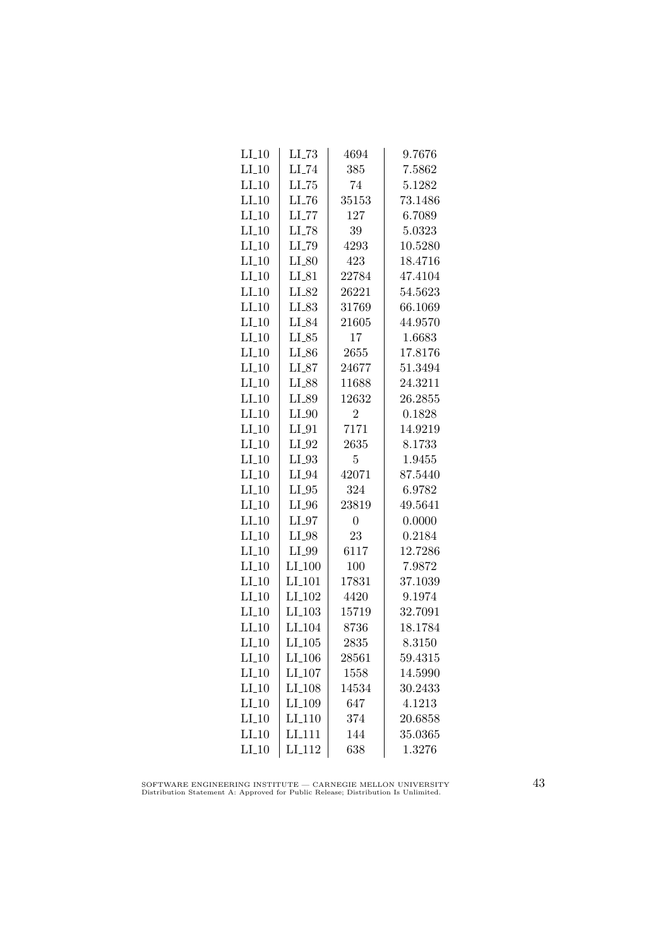| $LI_10$ | $LI$ <sub>-73</sub>  | 4694           | 9.7676  |
|---------|----------------------|----------------|---------|
| $LI_10$ | $LI$ <sub>-74</sub>  | 385            | 7.5862  |
| $LI_10$ | $LL-75$              | 74             | 5.1282  |
| $LI_10$ | LL76                 | 35153          | 73.1486 |
| $LI_10$ | $LL$ <sub>77</sub>   | 127            | 6.7089  |
| $LI_10$ | $LI$ <sub>-78</sub>  | 39             | 5.0323  |
| $LI_10$ | LI_79                | 4293           | 10.5280 |
| $LI_10$ | $LI_80$              | 423            | 18.4716 |
| $LI_10$ | $LI_81$              | 22784          | 47.4104 |
| $LI_10$ | LI_82                | 26221          | 54.5623 |
| $LI_10$ | LI_83                | 31769          | 66.1069 |
| $LI_10$ | LI_84                | 21605          | 44.9570 |
| $LI_10$ | $LI_85$              | 17             | 1.6683  |
| $LI_10$ | $LI_86$              | 2655           | 17.8176 |
| $LI_10$ | $LI_87$              | 24677          | 51.3494 |
| $LI_10$ | $LI_88$              | 11688          | 24.3211 |
| $LI_10$ | LI_89                | 12632          | 26.2855 |
| $LI_10$ | $LI_0$               | $\overline{2}$ | 0.1828  |
| $LI_10$ | $LI_01$              | 7171           | 14.9219 |
| $LI_10$ | $LI_02$              | 2635           | 8.1733  |
| $LI_10$ | $LI_93$              | 5              | 1.9455  |
| $LI_10$ | $LI_04$              | 42071          | 87.5440 |
| $LI_10$ | $LI_05$              | 324            | 6.9782  |
| $LI_10$ | $LI_0$               | 23819          | 49.5641 |
| $LI_10$ | $LI_97$              | $\overline{0}$ | 0.0000  |
| $LI_10$ | LI_98                | 23             | 0.2184  |
| $LI_10$ | LI_99                | 6117           | 12.7286 |
| $LI_10$ | $LI_100$             | 100            | 7.9872  |
| $LI_10$ | LI <sub>-101</sub>   | 17831          | 37.1039 |
| $LI_10$ | LI <sub>-102</sub>   | 4420           | 9.1974  |
| $LI_10$ | $LI$ <sub>-103</sub> | 15719          | 32.7091 |
| $LI_10$ | LI <sub>-104</sub>   | 8736           | 18.1784 |
| $LI_10$ | $LI_105$             | 2835           | 8.3150  |
| $LI_10$ | LI <sub>-106</sub>   | 28561          | 59.4315 |
| $LI_10$ | $LI_107$             | 1558           | 14.5990 |
| $LI_10$ | $LI_108$             | 14534          | 30.2433 |
| $LI_10$ | LI <sub>-109</sub>   | 647            | 4.1213  |
| $LI_10$ | LI <sub>-110</sub>   | 374            | 20.6858 |
| $LI_10$ | LI <sub>111</sub>    | 144            | 35.0365 |
| $LI_10$ | LI <sub>-112</sub>   | 638            | 1.3276  |

SOFTWARE ENGINEERING INSTITUTE — CARNEGIE MELLON UNIVERSITY Distribution Statement A: Approved for Public Release; Distribution Is Unlimited.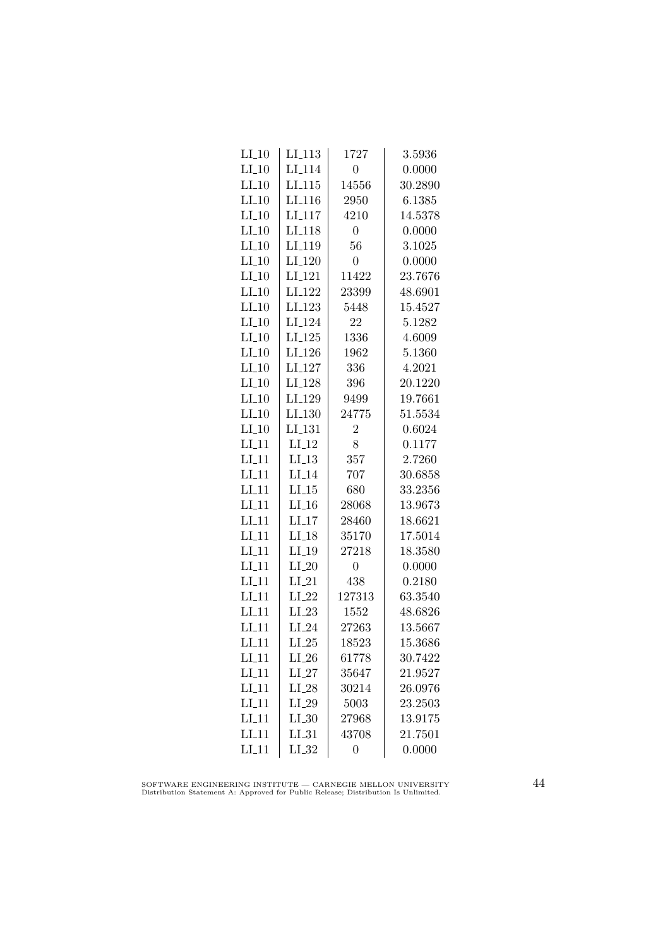| $LI_10$            | LI <sub>-113</sub>  | 1727             | 3.5936  |
|--------------------|---------------------|------------------|---------|
| $LI_10$            | LI <sub>-114</sub>  | $\overline{0}$   | 0.0000  |
| $LI_10$            | LI.115              | 14556            | 30.2890 |
| $LI_10$            | LI <sub>-116</sub>  | 2950             | 6.1385  |
| $LI_10$            | LI <sub>-117</sub>  | 4210             | 14.5378 |
| $LI_10$            | LI <sub>-118</sub>  | $\overline{0}$   | 0.0000  |
| $LI_10$            | LI <sub>-119</sub>  | 56               | 3.1025  |
| $LI_10$            | LI <sub>-120</sub>  | $\overline{0}$   | 0.0000  |
| $LI_10$            | LI <sub>-121</sub>  | 11422            | 23.7676 |
| $LI_10$            | LI <sub>-122</sub>  | 23399            | 48.6901 |
| $LI_10$            | LI <sub>-123</sub>  | 5448             | 15.4527 |
| $LI_10$            | LI <sub>-124</sub>  | 22               | 5.1282  |
| $LI_10$            | $LI_125$            | 1336             | 4.6009  |
| $LI_10$            | $LI_126$            | 1962             | 5.1360  |
| $LI_10$            | LI <sub>-127</sub>  | 336              | 4.2021  |
| $LI_10$            | LI <sub>-128</sub>  | 396              | 20.1220 |
| $LI_10$            | LI <sub>-129</sub>  | 9499             | 19.7661 |
| $LI_10$            | $LI_130$            | 24775            | 51.5534 |
| $LI_10$            | LI <sub>-131</sub>  | $\overline{2}$   | 0.6024  |
| $LI_11$            | $LI_12$             | 8                | 0.1177  |
| $LI_11$            | $LI_13$             | 357              | 2.7260  |
| $LI-11$            | $LI_14$             | 707              | 30.6858 |
| $LI_11$            | $LI_15$             | 680              | 33.2356 |
| $LI$ <sub>11</sub> | $LI$ <sub>-16</sub> | 28068            | 13.9673 |
| $LI_11$            | $LI$ <sub>17</sub>  | 28460            | 18.6621 |
| $LI-11$            | $LI_18$             | 35170            | 17.5014 |
| $LI_11$            | $LI_19$             | 27218            | 18.3580 |
| $LI_11$            | $LI_20$             | $\boldsymbol{0}$ | 0.0000  |
| $LI_11$            | $LI_21$             | 438              | 0.2180  |
| $LI-11$            | $LI_22$             | 127313           | 63.3540 |
| $LI_11$            | $LI_23$             | 1552             | 48.6826 |
| LI.11              | $LI_24$             | 27263            | 13.5667 |
| $LI_11$            | $LI_25$             | 18523            | 15.3686 |
| $LI_11$            | $LI_26$             | 61778            | 30.7422 |
| $LI_11$            | $LI_27$             | 35647            | 21.9527 |
| $LI_11$            | $LI_28$             | 30214            | 26.0976 |
| $LI_11$            | $LI_29$             | 5003             | 23.2503 |
| $LI_11$            | $LI_30$             | 27968            | 13.9175 |
| $LI_11$            | LL31                | 43708            | 21.7501 |
| $LI_11$            | $LI_32$             | $\overline{0}$   | 0.0000  |

SOFTWARE ENGINEERING INSTITUTE — CARNEGIE MELLON UNIVERSITY Distribution Statement A: Approved for Public Release; Distribution Is Unlimited.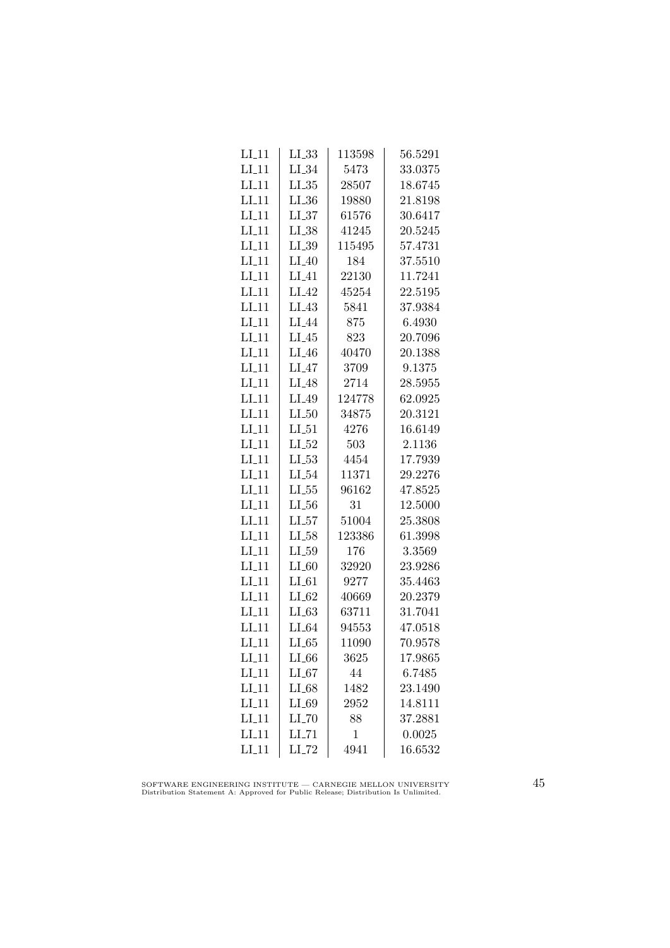| $LI_11$            | LL33                | 113598      | 56.5291 |
|--------------------|---------------------|-------------|---------|
| $LI-11$            | $LI_34$             | 5473        | 33.0375 |
| $LI-11$            | $LL_{.35}$          | 28507       | 18.6745 |
| $LI-11$            | LL36                | 19880       | 21.8198 |
| $LI_11$            | LL37                | 61576       | 30.6417 |
| LL11               | $LI_38$             | 41245       | 20.5245 |
| $LI_11$            | $LI_39$             | 115495      | 57.4731 |
| $LI_11$            | $LI_40$             | 184         | 37.5510 |
| $LI-11$            | $LI_41$             | 22130       | 11.7241 |
| $LI-11$            | $LI_42$             | 45254       | 22.5195 |
| $LI$ <sub>11</sub> | $LI_43$             | 5841        | 37.9384 |
| $LI-11$            | LI <sub>-44</sub>   | 875         | 6.4930  |
| $LI_11$            | $LI_45$             | 823         | 20.7096 |
| $LI_11$            | $LI_46$             | 40470       | 20.1388 |
| $LI_11$            | $LI_47$             | 3709        | 9.1375  |
| $LI_11$            | $LI_48$             | 2714        | 28.5955 |
| $LI-11$            | $LI_49$             | 124778      | 62.0925 |
| $LI$ <sub>11</sub> | $LI_50$             | 34875       | 20.3121 |
| $LI-11$            | $LI_51$             | 4276        | 16.6149 |
| $LI_11$            | $LI_52$             | 503         | 2.1136  |
| $LI_11$            | $LI_53$             | 4454        | 17.7939 |
| $LI-11$            | $LI_54$             | 11371       | 29.2276 |
| $LI_11$            | $LL_{.55}$          | 96162       | 47.8525 |
| $LI-11$            | $LL_{.56}$          | 31          | 12.5000 |
| $LI-11$            | LL57                | 51004       | 25.3808 |
| $LI-11$            | $LL_{.58}$          | 123386      | 61.3998 |
| $LI_11$            | $LI_59$             | 176         | 3.3569  |
| $LI_11$            | $LI_60$             | 32920       | 23.9286 |
| $LI_11$            | $LI_61$             | 9277        | 35.4463 |
| $LI-11$            | $LI_62$             | 40669       | 20.2379 |
| $LI-11$            | LL63                | 63711       | 31.7041 |
| $LI_11$            | $LI_64$             | 94553       | 47.0518 |
| $LI_11$            | $LI_65$             | 11090       | 70.9578 |
| $LI_11$            | $LI_66$             | 3625        | 17.9865 |
| $LI_11$            | $LI_67$             | 44          | 6.7485  |
| $LI_11$            | $LI_68$             | 1482        | 23.1490 |
| $LI-11$            | $LI_69$             | 2952        | 14.8111 |
| $LI_11$            | LL70                | 88          | 37.2881 |
| $LI_11$            | LL71                | $\mathbf 1$ | 0.0025  |
| $LI-11$            | $LI$ <sub>-72</sub> | 4941        | 16.6532 |

SOFTWARE ENGINEERING INSTITUTE — CARNEGIE MELLON UNIVERSITY Distribution Statement A: Approved for Public Release; Distribution Is Unlimited.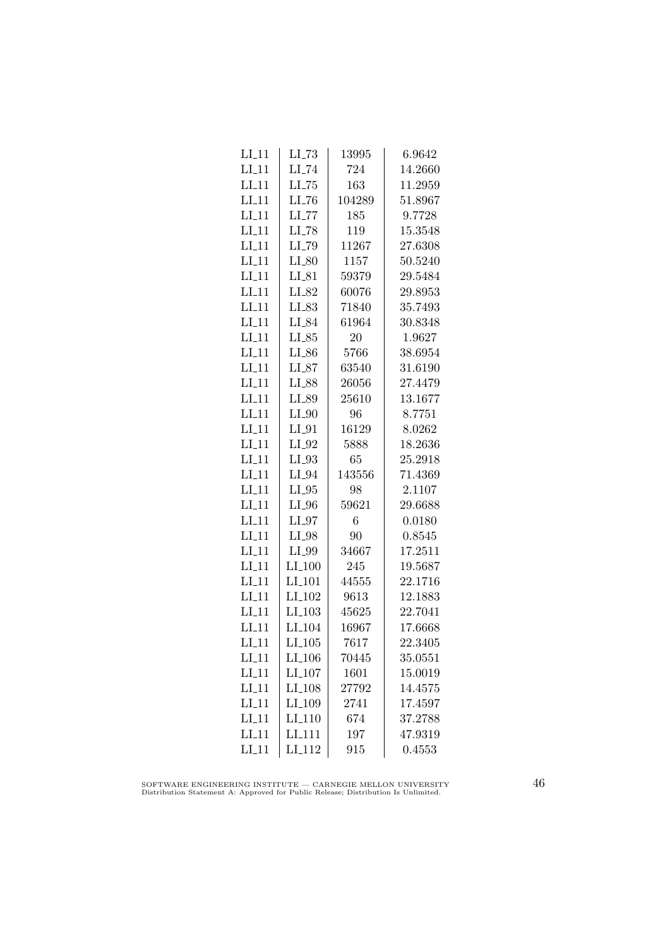| $LI_11$            | $LI$ <sub>-73</sub>  | 13995  | 6.9642  |
|--------------------|----------------------|--------|---------|
| $LI-11$            | $LI$ <sub>-74</sub>  | 724    | 14.2660 |
| $LI-11$            | $LL-75$              | 163    | 11.2959 |
| LI11               | $LI$ <sub>-76</sub>  | 104289 | 51.8967 |
| $LI$ <sub>11</sub> | $LL$ <sub>77</sub>   | 185    | 9.7728  |
| $LI_11$            | $LI$ <sub>-78</sub>  | 119    | 15.3548 |
| $LI_11$            | LI_79                | 11267  | 27.6308 |
| $LI_11$            | $LI_80$              | 1157   | 50.5240 |
| $LI-11$            | $LI_81$              | 59379  | 29.5484 |
| $LI-11$            | $LI_82$              | 60076  | 29.8953 |
| $LI-11$            | LI_83                | 71840  | 35.7493 |
| LI <sub>11</sub>   | LI_84                | 61964  | 30.8348 |
| $LI_11$            | $LI_85$              | 20     | 1.9627  |
| $LI_11$            | $LI_86$              | 5766   | 38.6954 |
| $LI-11$            | $LI_87$              | 63540  | 31.6190 |
| $LI-11$            | $LI_88$              | 26056  | 27.4479 |
| $LI-11$            | LI_89                | 25610  | 13.1677 |
| $LI-11$            | $LI_0$               | 96     | 8.7751  |
| $LI-11$            | $LI_01$              | 16129  | 8.0262  |
| $LI_11$            | $LI_02$              | 5888   | 18.2636 |
| $LI_11$            | $LI_93$              | 65     | 25.2918 |
| $LI_11$            | $LI_0.94$            | 143556 | 71.4369 |
| $LI-11$            | $LI_05$              | 98     | 2.1107  |
| $LI-11$            | $LI_0$               | 59621  | 29.6688 |
| $LI-11$            | $LI_97$              | 6      | 0.0180  |
| $LI-11$            | $LI_98$              | 90     | 0.8545  |
| $LI_11$            | LI_99                | 34667  | 17.2511 |
| $LI_11$            | $LI_100$             | 245    | 19.5687 |
| $LI_11$            | $LI$ <sub>-101</sub> | 44555  | 22.1716 |
| $LI-11$            | LI <sub>-102</sub>   | 9613   | 12.1883 |
| $LI-11$            | LI <sub>-103</sub>   | 45625  | 22.7041 |
| LI.11              | LI <sub>-104</sub>   | 16967  | 17.6668 |
| $LI_11$            | $LI_105$             | 7617   | 22.3405 |
| $LI_11$            | LI <sub>-106</sub>   | 70445  | 35.0551 |
| $LI_11$            | LI_107               | 1601   | 15.0019 |
| $LI-11$            | $LI_108$             | 27792  | 14.4575 |
| $LI-11$            | LI <sub>-109</sub>   | 2741   | 17.4597 |
| LI11               | LI <sub>-110</sub>   | 674    | 37.2788 |
| $LI$ <sub>11</sub> | LI <sub>-111</sub>   | 197    | 47.9319 |
| $LI-11$            | $LI_112$             | 915    | 0.4553  |

SOFTWARE ENGINEERING INSTITUTE — CARNEGIE MELLON UNIVERSITY Distribution Statement A: Approved for Public Release; Distribution Is Unlimited.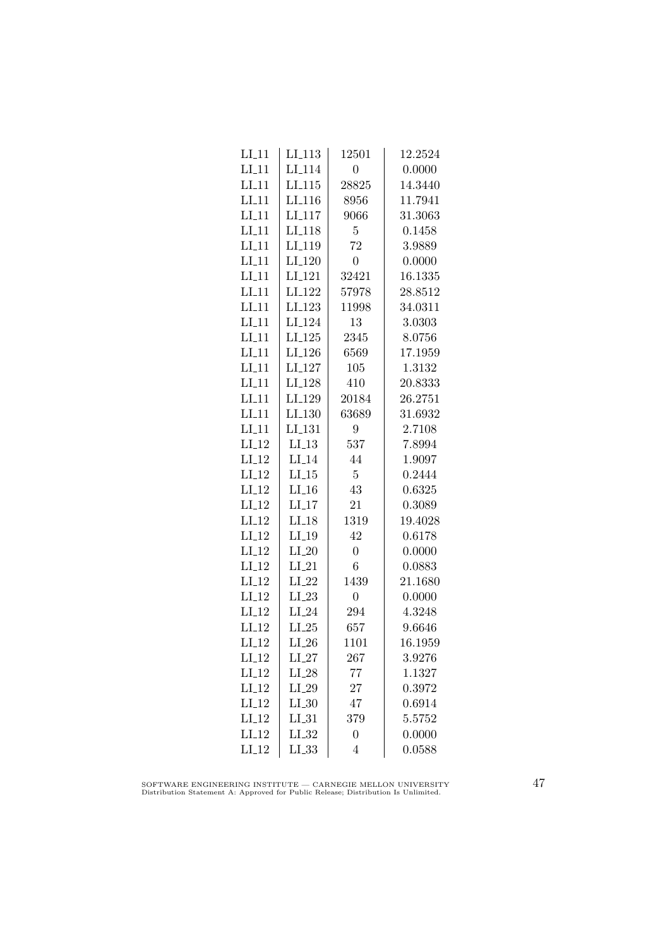| $LI_11$ | LI <sub>-113</sub> | 12501            | 12.2524 |
|---------|--------------------|------------------|---------|
| $LI_11$ | LI <sub>-114</sub> | $\overline{0}$   | 0.0000  |
| $LI-11$ | LI.115             | 28825            | 14.3440 |
| $LI-11$ | LI <sub>-116</sub> | 8956             | 11.7941 |
| $LI-11$ | LI <sub>117</sub>  | 9066             | 31.3063 |
| $LI_11$ | LI <sub>-118</sub> | 5                | 0.1458  |
| $LI_11$ | LI <sub>-119</sub> | 72               | 3.9889  |
| $LI_11$ | $LI_120$           | $\overline{0}$   | 0.0000  |
| $LI_11$ | LI <sub>-121</sub> | 32421            | 16.1335 |
| $LI-11$ | $LI_122$           | 57978            | 28.8512 |
| LI11    | LI <sub>-123</sub> | 11998            | 34.0311 |
| $LI-11$ | LI <sub>-124</sub> | 13               | 3.0303  |
| $LI_11$ | $LI_125$           | 2345             | 8.0756  |
| $LI_11$ | $LI_126$           | 6569             | 17.1959 |
| $LI_11$ | $LI_127$           | 105              | 1.3132  |
| $LI_11$ | LI <sub>-128</sub> | 410              | 20.8333 |
| $LI-11$ | LI <sub>-129</sub> | 20184            | 26.2751 |
| $LI-11$ | LI <sub>-130</sub> | 63689            | 31.6932 |
| $LI-11$ | $LI_131$           | 9                | 2.7108  |
| $LI_12$ | $LI-13$            | 537              | 7.8994  |
| $LI_12$ | $LI_14$            | 44               | 1.9097  |
| $LI-12$ | $LI_15$            | $\overline{5}$   | 0.2444  |
| $LI_12$ | $LI_16$            | 43               | 0.6325  |
| $LI-12$ | $LI-17$            | 21               | 0.3089  |
| $LI-12$ | $LI$ <sub>18</sub> | 1319             | 19.4028 |
| $LI_12$ | LI.19              | 42               | 0.6178  |
| $LI_12$ | $LI_20$            | $\boldsymbol{0}$ | 0.0000  |
| $LI_12$ | $LI_21$            | $\overline{6}$   | 0.0883  |
| $LI_12$ | $LI_22$            | 1439             | 21.1680 |
| $LI_12$ | $LI_23$            | $\overline{0}$   | 0.0000  |
| $LI-12$ | $LI_24$            | 294              | 4.3248  |
| $LI-12$ | $LI_25$            | 657              | 9.6646  |
| $LI_12$ | $LI_26$            | 1101             | 16.1959 |
| $LI_12$ | $LI_27$            | 267              | 3.9276  |
| $LI_12$ | $LI_28$            | 77               | 1.1327  |
| $LI_12$ | $LI_29$            | 27               | 0.3972  |
| $LI-12$ | $LL_{.30}$         | 47               | 0.6914  |
| $LI-12$ | $LI_31$            | 379              | 5.5752  |
| $LI_12$ | $LI_32$            | $\overline{0}$   | 0.0000  |
| $LI-12$ | $LL_{.33}$         | $\overline{4}$   | 0.0588  |
|         |                    |                  |         |

SOFTWARE ENGINEERING INSTITUTE — CARNEGIE MELLON UNIVERSITY Distribution Statement A: Approved for Public Release; Distribution Is Unlimited.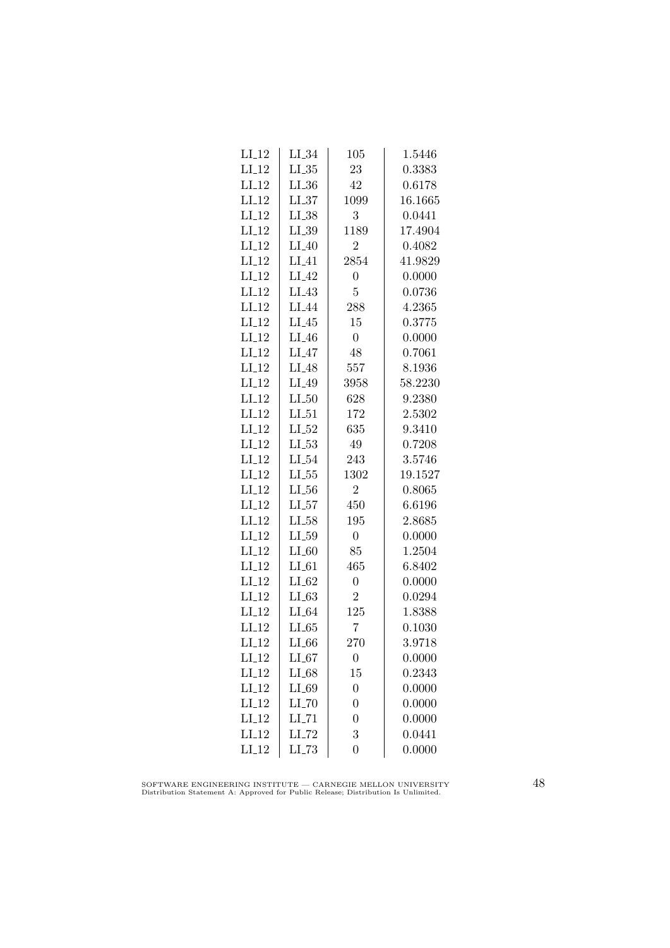| $LI_12$ | $LI_34$             | 105              | 1.5446  |
|---------|---------------------|------------------|---------|
| $LI_12$ | $LI_35$             | 23               | 0.3383  |
| $LI_12$ | $LI_36$             | 42               | 0.6178  |
| $LI-12$ | LL37                | 1099             | 16.1665 |
| $LI-12$ | $LI_38$             | 3                | 0.0441  |
| $LI_12$ | $LI_39$             | 1189             | 17.4904 |
| $LI_12$ | $LI_40$             | $\overline{2}$   | 0.4082  |
| $LI-12$ | $LI_41$             | 2854             | 41.9829 |
| $LI_12$ | $LI_42$             | $\overline{0}$   | 0.0000  |
| $LI-12$ | $LI_43$             | $\overline{5}$   | 0.0736  |
| $LI_12$ | LI_44               | 288              | 4.2365  |
| $LI-12$ | $LI_45$             | 15               | 0.3775  |
| $LI_12$ | $LI_46$             | $\overline{0}$   | 0.0000  |
| $LI_12$ | $LI_47$             | 48               | 0.7061  |
| $LI_12$ | $LI_48$             | 557              | 8.1936  |
| $LI_12$ | $LI_49$             | 3958             | 58.2230 |
| $LI-12$ | $LI_50$             | 628              | 9.2380  |
| $LI_12$ | $LI_51$             | 172              | 2.5302  |
| $LI-12$ | $LI_52$             | 635              | 9.3410  |
| $LI_12$ | $LL_{53}$           | 49               | 0.7208  |
| $LI_12$ | $LI_54$             | 243              | 3.5746  |
| $LI-12$ | $LL_{-55}$          | 1302             | 19.1527 |
| $LI-12$ | $LL_{.56}$          | $\overline{2}$   | 0.8065  |
| $LI-12$ | LL57                | 450              | 6.6196  |
| $LI-12$ | $LI_58$             | 195              | 2.8685  |
| $LI_12$ | $LL_{.59}$          | $\overline{0}$   | 0.0000  |
| $LI_12$ | $LI_60$             | 85               | 1.2504  |
| $LI_12$ | $LI_61$             | 465              | 6.8402  |
| $LI_12$ | $LI_62$             | $\overline{0}$   | 0.0000  |
| $LI-12$ | $LL-63$             | $\overline{2}$   | 0.0294  |
| $LI-12$ | $LI_64$             | 125              | 1.8388  |
| $LI-12$ | LL65                | 7                | 0.1030  |
| $LI_12$ | LL66                | 270              | 3.9718  |
| $LI_12$ | $LI_67$             | $\boldsymbol{0}$ | 0.0000  |
| $LI_12$ | $LI_68$             | 15               | 0.2343  |
| $LI_12$ | $LI_69$             | $\overline{0}$   | 0.0000  |
| $LI_12$ | $LI$ <sub>-70</sub> | $\overline{0}$   | 0.0000  |
| $LI-12$ | $LI$ <sub>-71</sub> | $\overline{0}$   | 0.0000  |
| $LI_12$ | $LI$ <sub>-72</sub> | 3                | 0.0441  |
| $LI_12$ | $LL-73$             | $\overline{0}$   | 0.0000  |
|         |                     |                  |         |

SOFTWARE ENGINEERING INSTITUTE — CARNEGIE MELLON UNIVERSITY Distribution Statement A: Approved for Public Release; Distribution Is Unlimited.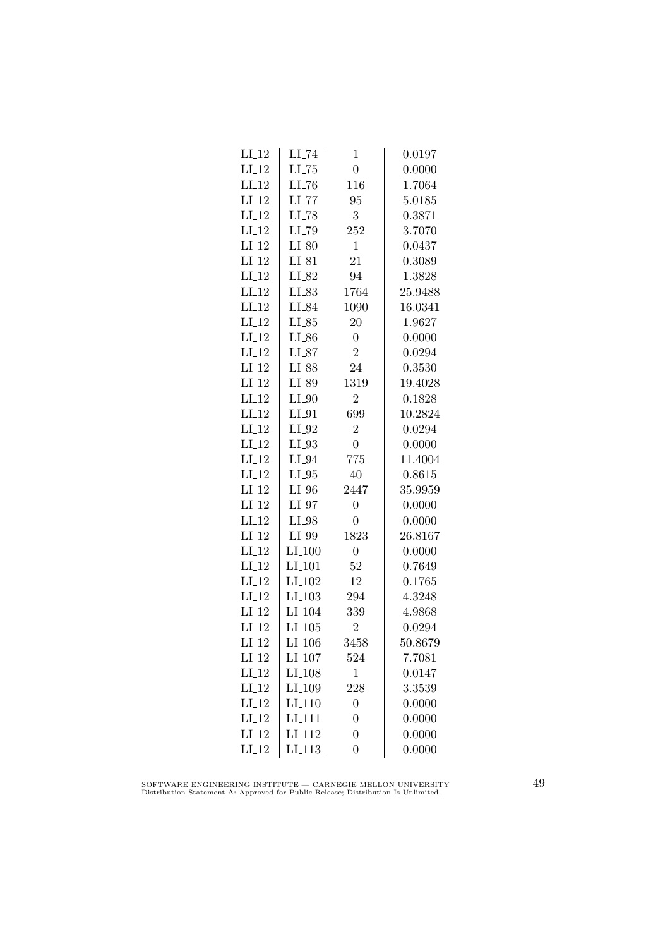| $LI_12$ | $LI$ <sub>-74</sub> | $\mathbf 1$    | 0.0197  |
|---------|---------------------|----------------|---------|
| $LI_12$ | $LI$ <sub>-75</sub> | $\overline{0}$ | 0.0000  |
| $LI-12$ | $LI$ <sub>-76</sub> | 116            | 1.7064  |
| $LI-12$ | LL77                | 95             | 5.0185  |
| $LI_12$ | LI_78               | 3              | 0.3871  |
| $LI_12$ | LI_79               | 252            | 3.7070  |
| $LI_12$ | $LI_80$             | $\overline{1}$ | 0.0437  |
| $LI_12$ | $LI_81$             | 21             | 0.3089  |
| $LI-12$ | $LI_82$             | 94             | 1.3828  |
| $LI-12$ | $LI_83$             | 1764           | 25.9488 |
| $LI-12$ | LI_84               | 1090           | 16.0341 |
| $LI-12$ | $LI_85$             | 20             | 1.9627  |
| $LI_12$ | $LI_86$             | $\overline{0}$ | 0.0000  |
| $LI_12$ | $LI_87$             | $\overline{2}$ | 0.0294  |
| $LI_12$ | $LI_88$             | 24             | 0.3530  |
| $LI_12$ | LI_89               | 1319           | 19.4028 |
| $LI-12$ | $LI_0$              | $\overline{2}$ | 0.1828  |
| $LI-12$ | $LI_01$             | 699            | 10.2824 |
| $LI_12$ | $LI_02$             | $\overline{2}$ | 0.0294  |
| $LI_12$ | $LI_93$             | $\overline{0}$ | 0.0000  |
| $LI_12$ | $LI_04$             | 775            | 11.4004 |
| $LI_12$ | $LI_05$             | 40             | 0.8615  |
| $LI-12$ | $LI_0$              | 2447           | 35.9959 |
| $LI-12$ | $LI_97$             | $\overline{0}$ | 0.0000  |
| $LI-12$ | $LI_98$             | $\overline{0}$ | 0.0000  |
| $LI-12$ | LI_99               | 1823           | 26.8167 |
| $LI_12$ | $LI_100$            | $\overline{0}$ | 0.0000  |
| $LI_12$ | $LI_101$            | 52             | 0.7649  |
| $LI_12$ | LI <sub>-102</sub>  | 12             | 0.1765  |
| $LI-12$ | LI <sub>-103</sub>  | 294            | 4.3248  |
| $LI_12$ | LI <sub>-104</sub>  | 339            | 4.9868  |
| $LI-12$ | LL105               | $\overline{2}$ | 0.0294  |
| $LI-12$ | LI <sub>-106</sub>  | 3458           | 50.8679 |
| $LI_12$ | LI <sub>-107</sub>  | 524            | 7.7081  |
| $LI_12$ | LI <sub>-108</sub>  | 1              | 0.0147  |
| $LI_12$ | LI <sub>-109</sub>  | 228            | 3.3539  |
| $LI-12$ | LI <sub>-110</sub>  | $\overline{0}$ | 0.0000  |
| $LI-12$ | LI <sub>-111</sub>  | $\overline{0}$ | 0.0000  |
| $LI-12$ | LI <sub>-112</sub>  | $\overline{0}$ | 0.0000  |
| $LI_12$ | LI <sub>113</sub>   | $\overline{0}$ | 0.0000  |

SOFTWARE ENGINEERING INSTITUTE — CARNEGIE MELLON UNIVERSITY Distribution Statement A: Approved for Public Release; Distribution Is Unlimited.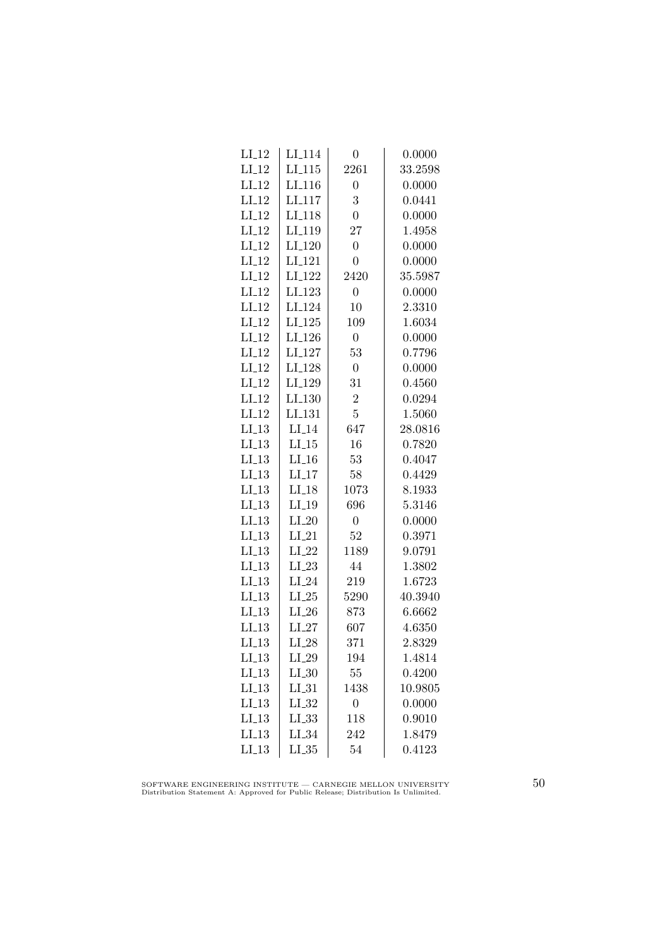| LI <sub>-114</sub> | 0                                 | 0.0000  |
|--------------------|-----------------------------------|---------|
| LI <sub>-115</sub> | 2261                              | 33.2598 |
| LI <sub>-116</sub> | $\overline{0}$                    | 0.0000  |
| LI <sub>117</sub>  | 3                                 | 0.0441  |
| LI <sub>-118</sub> | $\overline{0}$                    | 0.0000  |
| LI <sub>-119</sub> | 27                                | 1.4958  |
| LI <sub>-120</sub> | $\overline{0}$                    | 0.0000  |
| LI <sub>-121</sub> | $\overline{0}$                    | 0.0000  |
| LI <sub>-122</sub> | 2420                              | 35.5987 |
| LI <sub>-123</sub> | $\boldsymbol{0}$                  | 0.0000  |
| LI <sub>-124</sub> | 10                                | 2.3310  |
| LI <sub>-125</sub> | 109                               | 1.6034  |
| LI <sub>-126</sub> | $\overline{0}$                    | 0.0000  |
| $LI_127$           | 53                                | 0.7796  |
| LI <sub>-128</sub> | $\overline{0}$                    | 0.0000  |
| LI <sub>-129</sub> | 31                                | 0.4560  |
| LI <sub>-130</sub> | $\overline{2}$                    | 0.0294  |
| LI <sub>-131</sub> | $\overline{5}$                    | 1.5060  |
| $LI_14$            | 647                               | 28.0816 |
| $LI_15$            | 16                                | 0.7820  |
| $LI_16$            | 53                                | 0.4047  |
|                    | 58                                | 0.4429  |
| $LI-18$            | 1073                              | 8.1933  |
| $LI-19$            | 696                               | 5.3146  |
| $LI_20$            | $\boldsymbol{0}$                  | 0.0000  |
| $LI_21$            | 52                                | 0.3971  |
| $LI_22$            | 1189                              | 9.0791  |
| $LI_23$            | 44                                | 1.3802  |
| $LI_24$            | 219                               | 1.6723  |
| $LI_25$            | 5290                              | 40.3940 |
| $LI_26$            | 873                               | 6.6662  |
| $LI_27$            | 607                               | 4.6350  |
| $LI_28$            | 371                               | 2.8329  |
| $LI_29$            | 194                               | 1.4814  |
| $LI_30$            | 55                                | 0.4200  |
| $LI_31$            | 1438                              | 10.9805 |
| $LI_32$            | $\overline{0}$                    | 0.0000  |
| $LL_{.33}$         | 118                               | 0.9010  |
| $LI_34$            | 242                               | 1.8479  |
|                    | 54                                | 0.4123  |
|                    | $LI$ <sub>-17</sub><br>$LL_{.35}$ |         |

SOFTWARE ENGINEERING INSTITUTE — CARNEGIE MELLON UNIVERSITY Distribution Statement A: Approved for Public Release; Distribution Is Unlimited.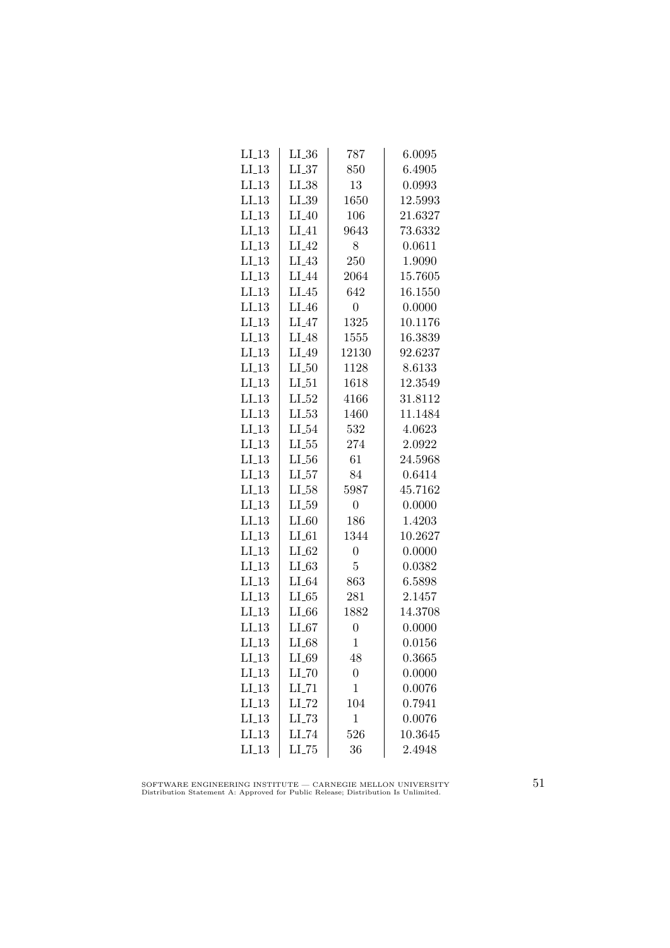| $LI_13$ | $LI_36$             | 787            | 6.0095  |
|---------|---------------------|----------------|---------|
| $LI_13$ | $LL_{.37}$          | 850            | 6.4905  |
| LL13    | $LI_38$             | 13             | 0.0993  |
| LL13    | $LI_39$             | 1650           | 12.5993 |
| LL13    | $LI_40$             | 106            | 21.6327 |
| $LI_13$ | $LI_41$             | 9643           | 73.6332 |
| $LI_13$ | $LI_42$             | 8              | 0.0611  |
| $LI_13$ | $LI_43$             | 250            | 1.9090  |
| LL13    | $LI_44$             | 2064           | 15.7605 |
| $LI_13$ | $LI_45$             | 642            | 16.1550 |
| LL13    | $LI_46$             | $\overline{0}$ | 0.0000  |
| LL13    | $LI_47$             | 1325           | 10.1176 |
| $LI_13$ | $LI_48$             | 1555           | 16.3839 |
| $LI_13$ | $LI_49$             | 12130          | 92.6237 |
| $LI_13$ | $LI_50$             | 1128           | 8.6133  |
| LL13    | $LI_51$             | 1618           | 12.3549 |
| LL13    | $LI_52$             | 4166           | 31.8112 |
| LL13    | $LI_53$             | 1460           | 11.1484 |
| $LI_13$ | $LI_54$             | 532            | 4.0623  |
| $LI_13$ | $LL_{.55}$          | 274            | 2.0922  |
| $LI_13$ | $LL_{.56}$          | 61             | 24.5968 |
| $LI_13$ | $LI_57$             | 84             | 0.6414  |
| LL13    | $LI_58$             | 5987           | 45.7162 |
| LL13    | $LL_{.59}$          | $\overline{0}$ | 0.0000  |
| LI.13   | $LI_60$             | 186            | 1.4203  |
| LL13    | $LI_61$             | 1344           | 10.2627 |
| $LI_13$ | $LI_62$             | $\overline{0}$ | 0.0000  |
| $LI_13$ | $LI_63$             | 5              | 0.0382  |
| $LI_13$ | $LI_64$             | 863            | 6.5898  |
| LL13    | $LL-65$             | 281            | 2.1457  |
| LL13    | LL66                | 1882           | 14.3708 |
| $LI_13$ | LL67                | $\overline{0}$ | 0.0000  |
| $LI-13$ | $LI_68$             | $\mathbf{1}$   | 0.0156  |
| $LI_13$ | LI_69               | 48             | 0.3665  |
| $LI_13$ | $LI$ <sub>-70</sub> | $\overline{0}$ | 0.0000  |
| $LI_13$ | $LI$ <sub>-71</sub> | $\mathbf{1}$   | 0.0076  |
| LI.13   | $LI$ <sub>-72</sub> | 104            | 0.7941  |
| LL13    | $LL-73$             | $\mathbf 1$    | 0.0076  |
| LI.13   | LI_74               | 526            | 10.3645 |
| LI.13   | $LI$ <sub>-75</sub> | 36             | 2.4948  |

SOFTWARE ENGINEERING INSTITUTE — CARNEGIE MELLON UNIVERSITY Distribution Statement A: Approved for Public Release; Distribution Is Unlimited.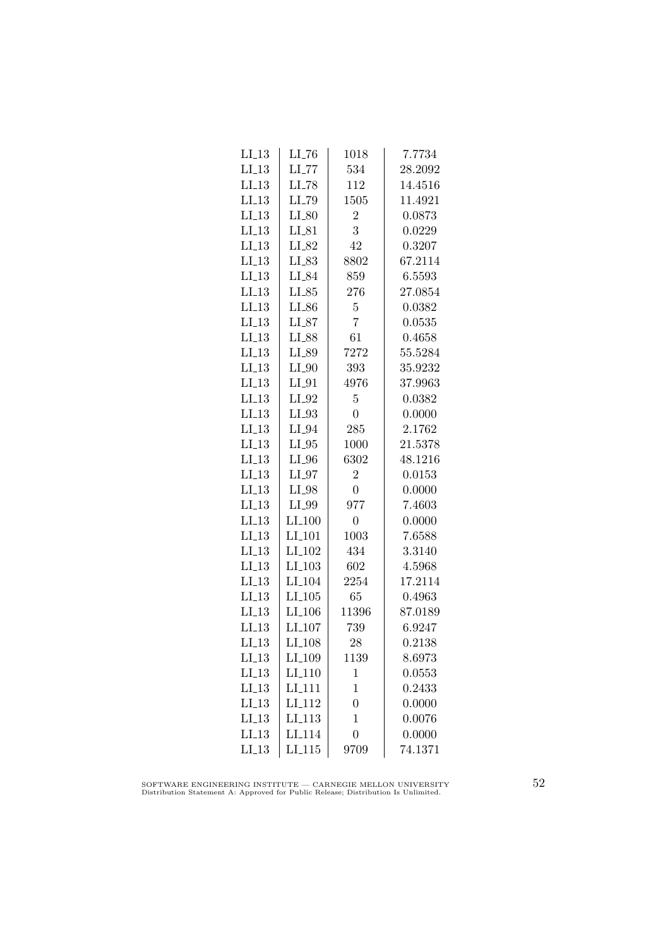| $LI_13$ | $LI$ <sub>-76</sub>  | 1018           | 7.7734  |
|---------|----------------------|----------------|---------|
| $LI_13$ | $LI$ <sub>-77</sub>  | 534            | 28.2092 |
| LL13    | $LI$ <sub>-78</sub>  | 112            | 14.4516 |
| LL13    | LI_79                | 1505           | 11.4921 |
| LL13    | $LI_80$              | $\overline{2}$ | 0.0873  |
| $LI_13$ | $LI_81$              | 3              | 0.0229  |
| $LI_13$ | LI_82                | 42             | 0.3207  |
| $LI_13$ | $LI_83$              | 8802           | 67.2114 |
| $LI_13$ | LI_84                | 859            | 6.5593  |
| LL13    | $LI_85$              | 276            | 27.0854 |
| LL13    | LI_86                | 5              | 0.0382  |
| LL13    | $LI_87$              | 7              | 0.0535  |
| $LI_13$ | LI_88                | 61             | 0.4658  |
| $LI_13$ | LI_89                | 7272           | 55.5284 |
| $LI_13$ | $LI_0$               | 393            | 35.9232 |
| LL13    | $LI_01$              | 4976           | 37.9963 |
| LL13    | $LI_02$              | 5              | 0.0382  |
| LI.13   | $LI_93$              | $\overline{0}$ | 0.0000  |
| $LI_13$ | $LI_04$              | 285            | 2.1762  |
| $LI_13$ | $LI_05$              | 1000           | 21.5378 |
| $LI_13$ | $LI_0$               | 6302           | 48.1216 |
| $LI_13$ | $LI_97$              | $\overline{2}$ | 0.0153  |
| LL13    | $LI_98$              | $\overline{0}$ | 0.0000  |
| LL13    | LI_99                | 977            | 7.4603  |
| $LI-13$ | $LI_100$             | $\overline{0}$ | 0.0000  |
| LI.13   | LI <sub>-101</sub>   | 1003           | 7.6588  |
| $LI_13$ | LI <sub>-102</sub>   | 434            | 3.3140  |
| $LI_13$ | $LI_103$             | 602            | 4.5968  |
| $LI_13$ | LI <sub>-104</sub>   | 2254           | 17.2114 |
| LL13    | $LI$ <sub>-105</sub> | 65             | 0.4963  |
| LL13    | LI <sub>-106</sub>   | 11396          | 87.0189 |
| $LI_13$ | LI <sub>-107</sub>   | 739            | 6.9247  |
| $LI-13$ | LI <sub>-108</sub>   | 28             | 0.2138  |
| $LI_13$ | LI <sub>-109</sub>   | 1139           | 8.6973  |
| $LI_13$ | LI <sub>-110</sub>   | $\mathbf{1}$   | 0.0553  |
| $LI_13$ | LI <sub>-111</sub>   | $\mathbf 1$    | 0.2433  |
| $LI_13$ | LI <sub>-112</sub>   | $\overline{0}$ | 0.0000  |
| LI13    | LI <sub>-113</sub>   | 1              | 0.0076  |
| $LI_13$ | LI <sub>114</sub>    | $\overline{0}$ | 0.0000  |
| $LI_13$ | LI.115               | 9709           | 74.1371 |

SOFTWARE ENGINEERING INSTITUTE — CARNEGIE MELLON UNIVERSITY Distribution Statement A: Approved for Public Release; Distribution Is Unlimited.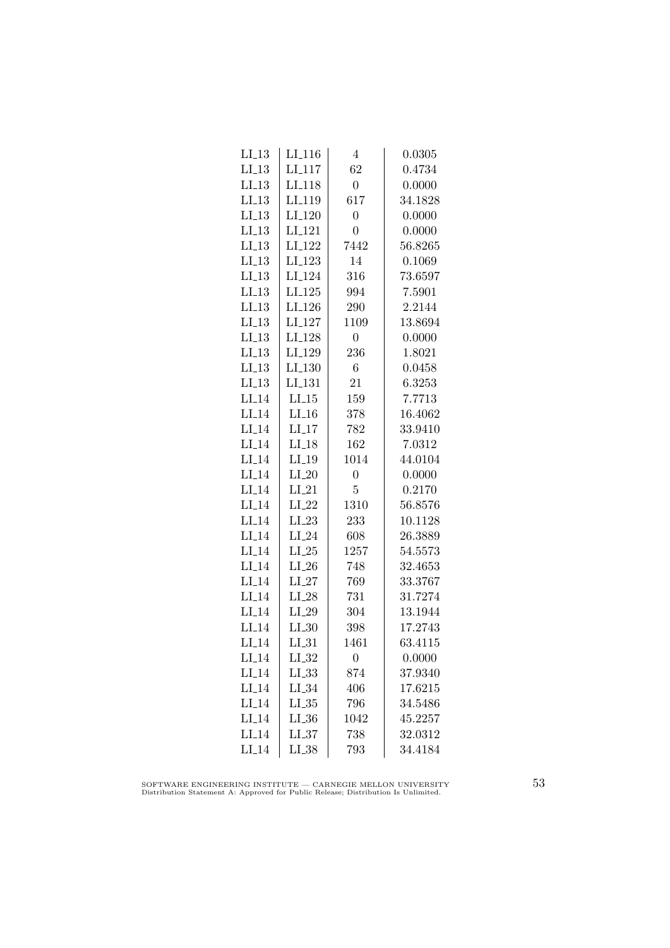| $LI_13$ | $LI_116$           | 4              | 0.0305  |
|---------|--------------------|----------------|---------|
| LL13    | LI <sub>-117</sub> | 62             | 0.4734  |
| LL13    | LI <sub>-118</sub> | $\overline{0}$ | 0.0000  |
| LL13    | LI <sub>-119</sub> | 617            | 34.1828 |
| $LI_13$ | LI <sub>-120</sub> | $\overline{0}$ | 0.0000  |
| $LI_13$ | LI <sub>-121</sub> | $\overline{0}$ | 0.0000  |
| $LI_13$ | LI <sub>-122</sub> | 7442           | 56.8265 |
| $LI_13$ | LI <sub>-123</sub> | 14             | 0.1069  |
| $LI_13$ | LI <sub>-124</sub> | 316            | 73.6597 |
| $LI_13$ | $LI_125$           | 994            | 7.5901  |
| LI.13   | LI <sub>-126</sub> | 290            | 2.2144  |
| LL13    | LI <sub>-127</sub> | 1109           | 13.8694 |
| LL13    | LI <sub>-128</sub> | $\overline{0}$ | 0.0000  |
| $LI_13$ | LI <sub>-129</sub> | 236            | 1.8021  |
| $LI_13$ | $LI_130$           | 6              | 0.0458  |
| LL13    | LI <sub>-131</sub> | 21             | 6.3253  |
| $LI_14$ | $LI_15$            | 159            | 7.7713  |
| $LI-14$ | $LI_16$            | 378            | 16.4062 |
| $LI_14$ | $LI-17$            | 782            | 33.9410 |
| $LI_14$ | $LI_18$            | 162            | 7.0312  |
| $LI_14$ | $LI_19$            | 1014           | 44.0104 |
| $LI_14$ | $LI_20$            | $\overline{0}$ | 0.0000  |
| $LI_14$ | $LI_21$            | 5              | 0.2170  |
| $LI-14$ | $LI_22$            | 1310           | 56.8576 |
| $LI_14$ | $LI_23$            | 233            | 10.1128 |
| $LI_14$ | $LI_24$            | 608            | 26.3889 |
| $LI_14$ | $LI_25$            | 1257           | 54.5573 |
| $LI_14$ | $LI_26$            | 748            | 32.4653 |
| $LI_14$ | $LI_27$            | 769            | 33.3767 |
| $LI_14$ | $LI_28$            | 731            | 31.7274 |
| $LI_14$ | $LI_29$            | 304            | 13.1944 |
| $LI_14$ | $LI_30$            | 398            | 17.2743 |
| $LI-14$ | $LI_31$            | 1461           | 63.4115 |
| $LI_14$ | $LI_32$            | 0              | 0.0000  |
| $LI_14$ | $LL_{.33}$         | 874            | 37.9340 |
| $LI_14$ | $LI_34$            | 406            | 17.6215 |
| $LI_14$ | $LL_{.35}$         | 796            | 34.5486 |
| $LI_14$ | $LI_36$            | 1042           | 45.2257 |
| $LI_14$ | LL37               | 738            | 32.0312 |
| $LI_14$ | $LI_38$            | 793            | 34.4184 |

SOFTWARE ENGINEERING INSTITUTE — CARNEGIE MELLON UNIVERSITY Distribution Statement A: Approved for Public Release; Distribution Is Unlimited.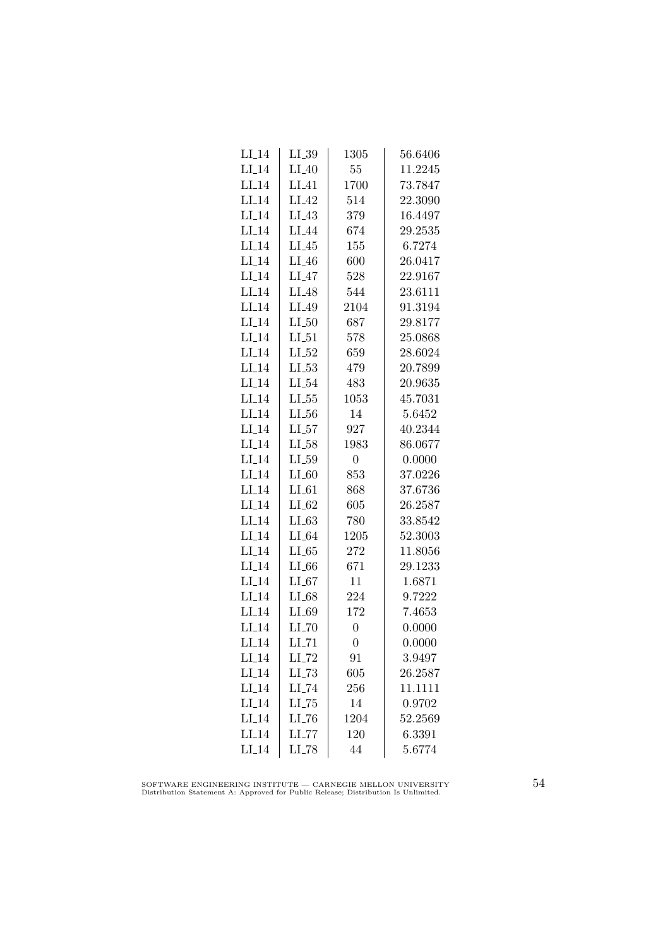| $LI_14$ | $LI_39$             | 1305           | 56.6406 |
|---------|---------------------|----------------|---------|
| $LI_14$ | $LI_40$             | 55             | 11.2245 |
| $LI_14$ | $LI_41$             | 1700           | 73.7847 |
| $LI-14$ | LI <sub>-42</sub>   | 514            | 22.3090 |
| $LI_14$ | LI.43               | 379            | 16.4497 |
| $LI_14$ | LI_44               | 674            | 29.2535 |
| $LI_14$ | $LI_45$             | 155            | 6.7274  |
| $LI_14$ | $LI_46$             | 600            | 26.0417 |
| $LI_14$ | $LI_47$             | 528            | 22.9167 |
| $LI_14$ | $LI_48$             | 544            | 23.6111 |
| $LI_14$ | LI_49               | 2104           | 91.3194 |
| $LI_14$ | LL50                | 687            | 29.8177 |
| $LI_14$ | $LI_51$             | 578            | 25.0868 |
| $LI_14$ | $LI_52$             | 659            | 28.6024 |
| $LI_14$ | $LL-53$             | 479            | 20.7899 |
| $LI_14$ | $LI_54$             | 483            | 20.9635 |
| $LI-14$ | $LL_{.55}$          | 1053           | 45.7031 |
| $LI_14$ | $LL_{.56}$          | 14             | 5.6452  |
| $LI_14$ | LL57                | 927            | 40.2344 |
| $LI_14$ | $LI_58$             | 1983           | 86.0677 |
| $LI_14$ | $LI_59$             | 0              | 0.0000  |
| $LI_14$ | $LI_60$             | 853            | 37.0226 |
| $LI_14$ | $LI_61$             | 868            | 37.6736 |
| $LI-14$ | $LI_62$             | 605            | 26.2587 |
| $LI_14$ | $LI_63$             | 780            | 33.8542 |
| $LI_14$ | $LI_64$             | 1205           | 52.3003 |
| $LI_14$ | LL 65               | 272            | 11.8056 |
| $LI_14$ | $LI_66$             | 671            | 29.1233 |
| $LI_14$ | $LI_67$             | 11             | 1.6871  |
| $LI_14$ | $LI_68$             | 224            | 9.7222  |
| $LI_14$ | $LI_69$             | 172            | 7.4653  |
| $LI_14$ | LL70                | $\overline{0}$ | 0.0000  |
| $LI-14$ | $LI$ <sub>-71</sub> | $\overline{0}$ | 0.0000  |
| $LI_14$ | $LI$ <sub>-72</sub> | 91             | 3.9497  |
| $LI_14$ | $LL-73$             | 605            | 26.2587 |
| $LI_14$ | $LI$ <sub>-74</sub> | 256            | 11.1111 |
| $LI_14$ | $LI$ <sub>-75</sub> | 14             | 0.9702  |
| $LI-14$ | LL76                | 1204           | 52.2569 |
| $LI_14$ | LL77                | 120            | 6.3391  |
| $LI_14$ | $LL-78$             | 44             | 5.6774  |
|         |                     |                |         |

SOFTWARE ENGINEERING INSTITUTE — CARNEGIE MELLON UNIVERSITY Distribution Statement A: Approved for Public Release; Distribution Is Unlimited.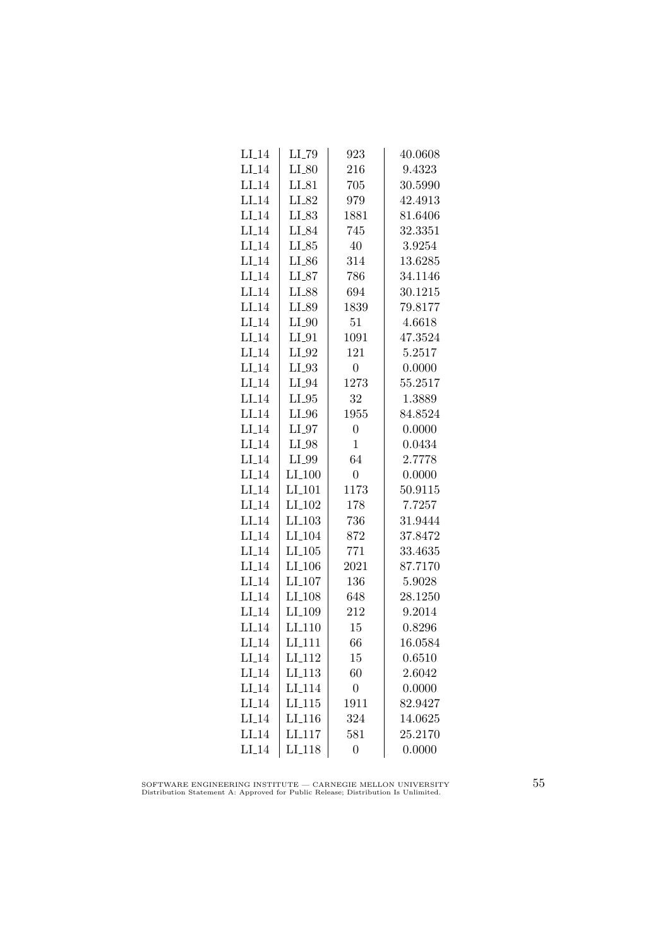| LI <sub>-</sub> 14 | LI_79               | 923              | 40.0608 |
|--------------------|---------------------|------------------|---------|
| $LI_14$            | $LI_{-}80$          | 216              | 9.4323  |
| $LI_14$            | $LI_81$             | 705              | 30.5990 |
| $LI-14$            | LI_82               | 979              | 42.4913 |
| $LI_14$            | LI_83               | 1881             | 81.6406 |
| $LI_14$            | LI_84               | 745              | 32.3351 |
| $LI_14$            | $LI_85$             | 40               | 3.9254  |
| $LI_14$            | $LI_{-86}$          | 314              | 13.6285 |
| $LI_14$            | $LI_87$             | 786              | 34.1146 |
| $LI_14$            | LI_88               | 694              | 30.1215 |
| $LI-14$            | LI_89               | 1839             | 79.8177 |
| $LI_14$            | $LI_0$              | 51               | 4.6618  |
| $LI_14$            | $LI_01$             | 1091             | 47.3524 |
| $LI_14$            | $LI_02$             | 121              | 5.2517  |
| $LI_14$            | $LI_033$            | $\overline{0}$   | 0.0000  |
| $LI_14$            | $LI_04$             | 1273             | 55.2517 |
| $LI_14$            | $LI_05$             | 32               | 1.3889  |
| $LI-14$            | $LI_0$              | 1955             | 84.8524 |
| $LI_14$            | $LI_97$             | $\overline{0}$   | 0.0000  |
| $LI_14$            | LI_98               | $\mathbf{1}$     | 0.0434  |
| $LI_14$            | LI_99               | 64               | 2.7778  |
| $LI_14$            | $LI_100$            | $\boldsymbol{0}$ | 0.0000  |
| $LI_14$            | LI <sub>-101</sub>  | 1173             | 50.9115 |
| $LI-14$            | LI <sub>-102</sub>  | 178              | 7.7257  |
| $LI_14$            | $LI$ <sub>103</sub> | 736              | 31.9444 |
| $LI_14$            | LI <sub>-104</sub>  | 872              | 37.8472 |
| $LI_14$            | $LI_105$            | 771              | 33.4635 |
| $LI_14$            | $LI_106$            | 2021             | 87.7170 |
| $LI_14$            | $LI_107$            | 136              | 5.9028  |
| $LI_14$            | LI <sub>-108</sub>  | 648              | 28.1250 |
| $LI_14$            | LI_109              | 212              | 9.2014  |
| $LI_14$            | LI <sub>-110</sub>  | 15               | 0.8296  |
| $LI_14$            | LI <sub>-111</sub>  | 66               | 16.0584 |
| $LI_14$            | LI <sub>-112</sub>  | 15               | 0.6510  |
| $LI_14$            | $LI_113$            | 60               | 2.6042  |
| $LI_14$            | LI <sub>-114</sub>  | $\overline{0}$   | 0.0000  |
| $LI_14$            | LI.115              | 1911             | 82.9427 |
| $LI-14$            | LI <sub>-116</sub>  | 324              | 14.0625 |
| $LI-14$            | LI <sub>117</sub>   | 581              | 25.2170 |
| $LI_14$            | LI <sub>118</sub>   | $\overline{0}$   | 0.0000  |

SOFTWARE ENGINEERING INSTITUTE — CARNEGIE MELLON UNIVERSITY Distribution Statement A: Approved for Public Release; Distribution Is Unlimited.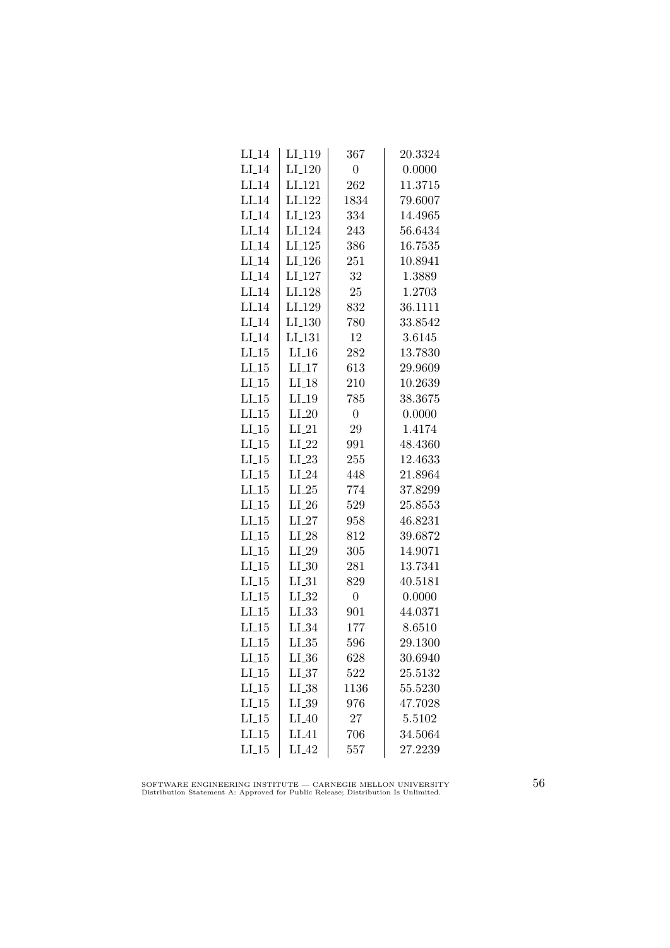| $LI_14$ | LI_119               | 367            | 20.3324 |
|---------|----------------------|----------------|---------|
| $LI_14$ | $LI_120$             | $\overline{0}$ | 0.0000  |
| $LI_14$ | $LI_121$             | 262            | 11.3715 |
| $LI-14$ | LI <sub>-122</sub>   | 1834           | 79.6007 |
| LI.14   | LI <sub>-123</sub>   | 334            | 14.4965 |
| $LI_14$ | $LI_124$             | 243            | 56.6434 |
| $LI_14$ | $LI_125$             | 386            | 16.7535 |
| $LI_14$ | LI <sub>-126</sub>   | 251            | 10.8941 |
| $LI_14$ | LI <sub>-127</sub>   | 32             | 1.3889  |
| $LI_14$ | LI <sub>-128</sub>   | 25             | 1.2703  |
| $LI_14$ | LI <sub>-129</sub>   | 832            | 36.1111 |
| $LI-14$ | LI <sub>-130</sub>   | 780            | 33.8542 |
| $LI_14$ | $LI$ <sub>-131</sub> | 12             | 3.6145  |
| $LI_15$ | $LI_16$              | 282            | 13.7830 |
| $LI_15$ | $LI_17$              | 613            | 29.9609 |
| $LI_15$ | $LI_18$              | 210            | 10.2639 |
| LL15    | $LI_19$              | 785            | 38.3675 |
| $LI_15$ | $LI_20$              | $\overline{0}$ | 0.0000  |
| $LI_15$ | $LI_21$              | 29             | 1.4174  |
| $LI_15$ | $LI_22$              | 991            | 48.4360 |
| $LI_15$ | $LI_23$              | 255            | 12.4633 |
| $LI_15$ | $LI_24$              | 448            | 21.8964 |
| $LI_15$ | $LI_25$              | 774            | 37.8299 |
| $LI-15$ | $LI_26$              | 529            | 25.8553 |
| $LI_15$ | $LI_27$              | 958            | 46.8231 |
| $LI_15$ | $\rm L L 28$         | 812            | 39.6872 |
| $LI_15$ | $LI_29$              | 305            | 14.9071 |
| $LI_15$ | $LI_30$              | 281            | 13.7341 |
| $LI_15$ | $LI_31$              | 829            | 40.5181 |
| $LI_15$ | $LL_{.32}$           | $\overline{0}$ | 0.0000  |
| LL15    | LL33                 | 901            | 44.0371 |
| LL15    | $LI_34$              | 177            | 8.6510  |
| $LI_15$ | $LL_{.35}$           | 596            | 29.1300 |
| $LI_15$ | $LL_{.36}$           | 628            | 30.6940 |
| $LI_15$ | LL37                 | 522            | 25.5132 |
| $LI_15$ | $LI_38$              | 1136           | 55.5230 |
| $LI_15$ | $LI_39$              | 976            | 47.7028 |
| $LI-15$ | $LI_40$              | 27             | 5.5102  |
| $LI_15$ | LI.41                | 706            | 34.5064 |
| $LI_15$ | $LI_42$              | 557            | 27.2239 |
|         |                      |                |         |

SOFTWARE ENGINEERING INSTITUTE — CARNEGIE MELLON UNIVERSITY Distribution Statement A: Approved for Public Release; Distribution Is Unlimited.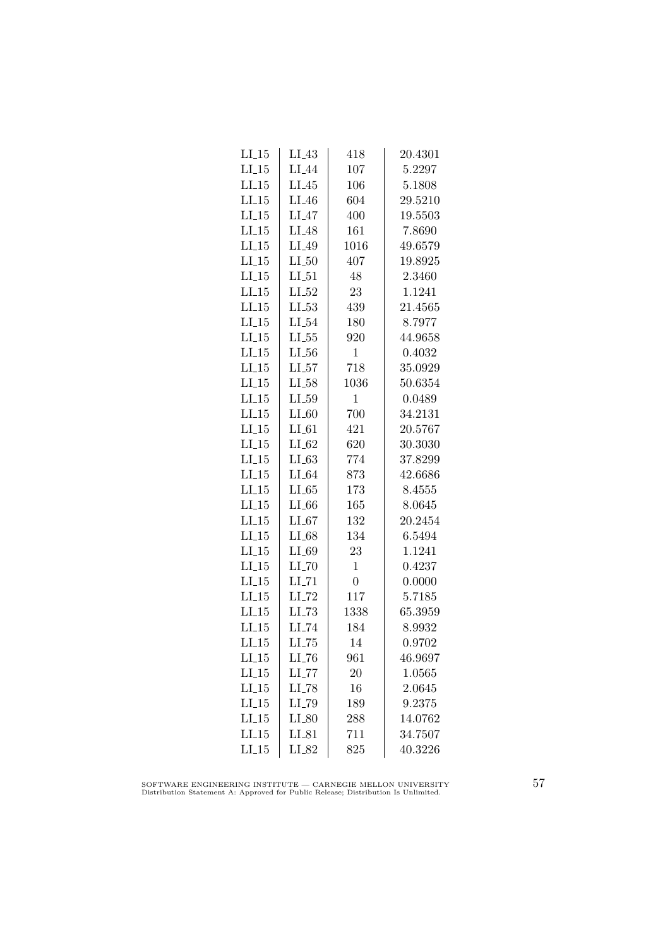| $LI_15$ | $LI_43$             | 418            | 20.4301 |
|---------|---------------------|----------------|---------|
| $LI_15$ | $LI_44$             | 107            | 5.2297  |
| $LI_15$ | $LI_45$             | 106            | 5.1808  |
| LL15    | $LI_46$             | 604            | 29.5210 |
| LL15    | $LI_47$             | 400            | 19.5503 |
| $LI_15$ | $LI_48$             | 161            | 7.8690  |
| $LI_15$ | $LI_49$             | 1016           | 49.6579 |
| $LI_15$ | $LI_50$             | 407            | 19.8925 |
| $LI_15$ | $LI_51$             | 48             | 2.3460  |
| $LI_15$ | $LI_52$             | 23             | 1.1241  |
| LL15    | $LL_{53}$           | 439            | 21.4565 |
| LL15    | $LI_54$             | 180            | 8.7977  |
| $LI_15$ | $LL_{.55}$          | 920            | 44.9658 |
| $LI_15$ | $LI_56$             | $\mathbf{1}$   | 0.4032  |
| $LI_15$ | $LI_57$             | 718            | 35.0929 |
| $LI_15$ | $LI_58$             | 1036           | 50.6354 |
| $LI_15$ | $LL_{.59}$          | $\mathbf{1}$   | 0.0489  |
| LI.15   | $LI_60$             | 700            | 34.2131 |
| $LI_15$ | $LI_61$             | 421            | 20.5767 |
| $LI_15$ | $LI_62$             | 620            | 30.3030 |
| $LI_15$ | $LI_63$             | 774            | 37.8299 |
| $LI_15$ | $LI_64$             | 873            | 42.6686 |
| $LI_15$ | $LL-65$             | 173            | 8.4555  |
| $LI-15$ | $LI_66$             | 165            | 8.0645  |
| LI.15   | $LI_67$             | 132            | 20.2454 |
| LI.15   | $LI_68$             | 134            | 6.5494  |
| $LI_15$ | $LI_69$             | 23             | 1.1241  |
| $LI_15$ | $LI$ <sub>-70</sub> | $\mathbf{1}$   | 0.4237  |
| $LI_15$ | $LI$ <sub>-71</sub> | $\overline{0}$ | 0.0000  |
| $LI_15$ | $LI$ <sub>-72</sub> | 117            | 5.7185  |
| LL15    | $LL-73$             | 1338           | 65.3959 |
| $LI_15$ | LI_74               | 184            | 8.9932  |
| $LI_15$ | $LI$ <sub>-75</sub> | 14             | 0.9702  |
| $LI_15$ | $LL_{-76}$          | 961            | 46.9697 |
| $LI_15$ | $LI$ <sub>-77</sub> | 20             | 1.0565  |
| $LI_15$ | $LI$ <sub>-78</sub> | 16             | 2.0645  |
| $LI_15$ | LI_79               | 189            | 9.2375  |
| LL15    | $LI_80$             | 288            | 14.0762 |
| LL15    | $LI_81$             | 711            | 34.7507 |
| $LI_15$ | $LI_82$             | 825            | 40.3226 |

SOFTWARE ENGINEERING INSTITUTE — CARNEGIE MELLON UNIVERSITY Distribution Statement A: Approved for Public Release; Distribution Is Unlimited.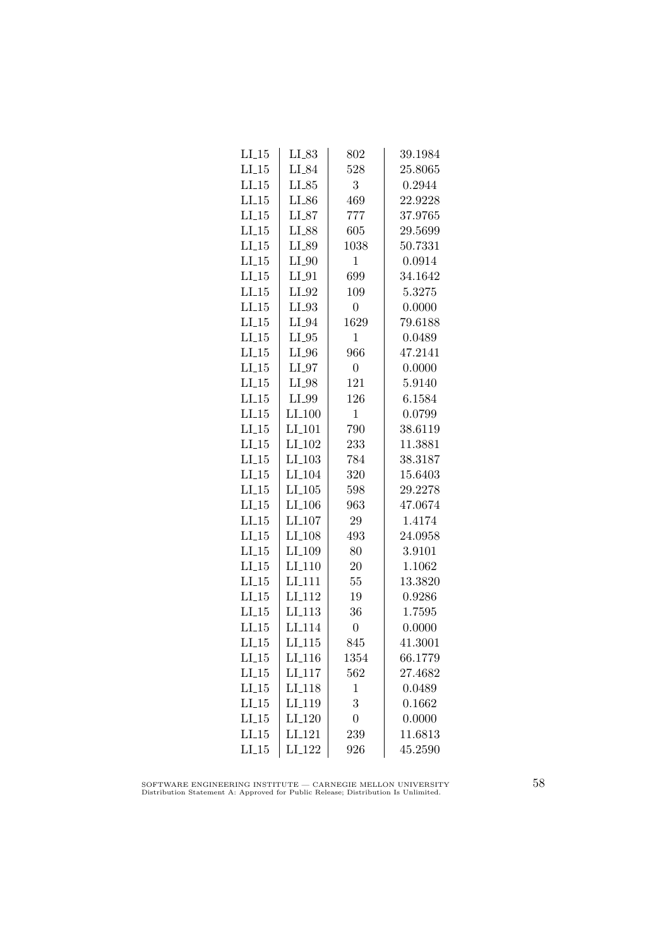| $LI_15$ | $LI_83$              | 802            | 39.1984 |
|---------|----------------------|----------------|---------|
| LL15    | $LI_84$              | 528            | 25.8065 |
| $LI_15$ | $LI_85$              | 3              | 0.2944  |
| LL15    | $LI_86$              | 469            | 22.9228 |
| LL15    | $LI_87$              | 777            | 37.9765 |
| $LI_15$ | LI_88                | 605            | 29.5699 |
| $LI_15$ | LI_89                | 1038           | 50.7331 |
| $LI_15$ | $LI_0$               | $\mathbf{1}$   | 0.0914  |
| $LI_15$ | $LI_01$              | 699            | 34.1642 |
| $LI_15$ | $LI_02$              | 109            | 5.3275  |
| $LI_15$ | $LI_93$              | $\overline{0}$ | 0.0000  |
| LL15    | $LI_04$              | 1629           | 79.6188 |
| $LI_15$ | $LI_05$              | 1              | 0.0489  |
| $LI_15$ | $LI_0$               | 966            | 47.2141 |
| $LI_15$ | $LI_07$              | $\overline{0}$ | 0.0000  |
| $LI_15$ | $LI_98$              | 121            | 5.9140  |
| LL15    | LI_99                | 126            | 6.1584  |
| $LI_15$ | LI.100               | $\mathbf{1}$   | 0.0799  |
| $LI_15$ | LI <sub>-101</sub>   | 790            | 38.6119 |
| $LI_15$ | LI <sub>-102</sub>   | 233            | 11.3881 |
| $LI_15$ | $LI_103$             | 784            | 38.3187 |
| $LI_15$ | LI <sub>-104</sub>   | 320            | 15.6403 |
| $LI_15$ | $LI$ <sub>-105</sub> | 598            | 29.2278 |
| LL15    | LI <sub>-106</sub>   | 963            | 47.0674 |
| LI.15   | LI <sub>-107</sub>   | 29             | 1.4174  |
| $LI_15$ | LI <sub>-108</sub>   | 493            | 24.0958 |
| $LI_15$ | LI <sub>-109</sub>   | 80             | 3.9101  |
| $LI_15$ | $LI_110$             | 20             | 1.1062  |
| $LI_15$ | LI <sub>-111</sub>   | 55             | 13.3820 |
| $LI_15$ | LI <sub>-112</sub>   | 19             | 0.9286  |
| $LI_15$ | LI <sub>-113</sub>   | 36             | 1.7595  |
| LL15    | LI <sub>-114</sub>   | $\overline{0}$ | 0.0000  |
| $LI_15$ | LI <sub>-115</sub>   | 845            | 41.3001 |
| $LI_15$ | LI <sub>-116</sub>   | 1354           | 66.1779 |
| $LI_15$ | LI <sub>-117</sub>   | 562            | 27.4682 |
| $LI_15$ | LI <sub>-118</sub>   | $\mathbf 1$    | 0.0489  |
| $LI_15$ | LI <sub>-119</sub>   | 3              | 0.1662  |
| LL15    | LI <sub>-120</sub>   | $\overline{0}$ | 0.0000  |
| $LI_15$ | LI <sub>-121</sub>   | 239            | 11.6813 |
| $LI_15$ | LI <sub>-122</sub>   | 926            | 45.2590 |

SOFTWARE ENGINEERING INSTITUTE — CARNEGIE MELLON UNIVERSITY Distribution Statement A: Approved for Public Release; Distribution Is Unlimited.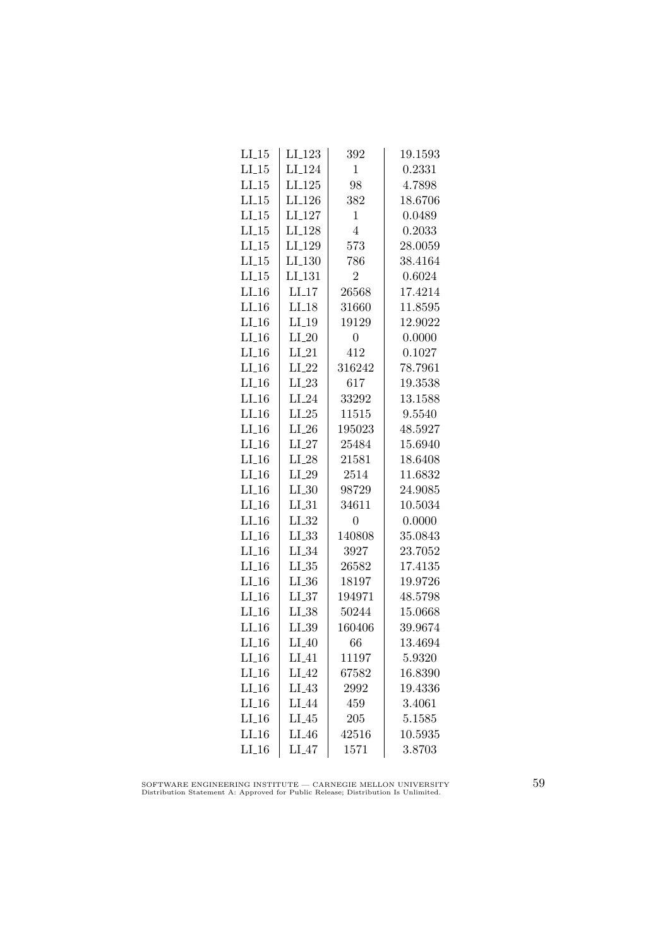| $LI_15$            | $LI_123$           | 392              | 19.1593 |
|--------------------|--------------------|------------------|---------|
| $LI_15$            | LI <sub>-124</sub> | 1                | 0.2331  |
| LL15               | LI <sub>-125</sub> | 98               | 4.7898  |
| LL15               | LI <sub>-126</sub> | 382              | 18.6706 |
| LI.15              | LI <sub>-127</sub> | 1                | 0.0489  |
| $LI_15$            | LI <sub>-128</sub> | $\overline{4}$   | 0.2033  |
| $LI_15$            | LI <sub>-129</sub> | 573              | 28.0059 |
| LL15               | LI <sub>-130</sub> | 786              | 38.4164 |
| $LI_15$            | LI <sub>-131</sub> | $\overline{2}$   | 0.6024  |
| LL16               | $LI-17$            | 26568            | 17.4214 |
| $LI_16$            | $LI-18$            | 31660            | 11.8595 |
| $LI_16$            | $LI-19$            | 19129            | 12.9022 |
| $LI_16$            | $LI_20$            | $\boldsymbol{0}$ | 0.0000  |
| $LI_16$            | $LI_21$            | 412              | 0.1027  |
| $LI_16$            | $LI_22$            | 316242           | 78.7961 |
| $LI_16$            | $LI_23$            | 617              | 19.3538 |
| $LI_16$            | $LI_24$            | 33292            | 13.1588 |
| $LI_16$            | $LI_25$            | 11515            | 9.5540  |
| $LI_16$            | $LI_26$            | 195023           | 48.5927 |
| $LI_16$            | $LI_27$            | 25484            | 15.6940 |
| $LI_16$            | $LI_28$            | 21581            | 18.6408 |
| $LI_16$            | $LI_29$            | 2514             | 11.6832 |
| $LI_16$            | $LL_{.30}$         | 98729            | 24.9085 |
| LL16               | $LI_31$            | 34611            | 10.5034 |
| $LI_16$            | $LI_32$            | $\overline{0}$   | 0.0000  |
| $LI_16$            | $LL_{.33}$         | 140808           | 35.0843 |
| $LI_16$            | $LI_34$            | 3927             | 23.7052 |
| $LI_16$            | $LI_35$            | 26582            | 17.4135 |
| $LI_16$            | $LI_36$            | 18197            | 19.9726 |
| $LI_16$            | $LL_{.37}$         | 194971           | 48.5798 |
| LL16               | LL38               | 50244            | 15.0668 |
| $LI_16$            | LL39               | 160406           | 39.9674 |
| $LI_16$            | $LI_40$            | 66               | 13.4694 |
| $LI_16$            | $LI_41$            | 11197            | 5.9320  |
| $LI_16$            | $LI_42$            | 67582            | 16.8390 |
| $LI_16$            | $LI_43$            | 2992             | 19.4336 |
| $LI_16$            | LI <sub>-44</sub>  | 459              | 3.4061  |
| $LI$ <sub>16</sub> | $LI_45$            | 205              | 5.1585  |
| $LI_16$            | $LI_46$            | 42516            | 10.5935 |
| $LI_16$            | $LI_47$            | 1571             | 3.8703  |

SOFTWARE ENGINEERING INSTITUTE — CARNEGIE MELLON UNIVERSITY Distribution Statement A: Approved for Public Release; Distribution Is Unlimited.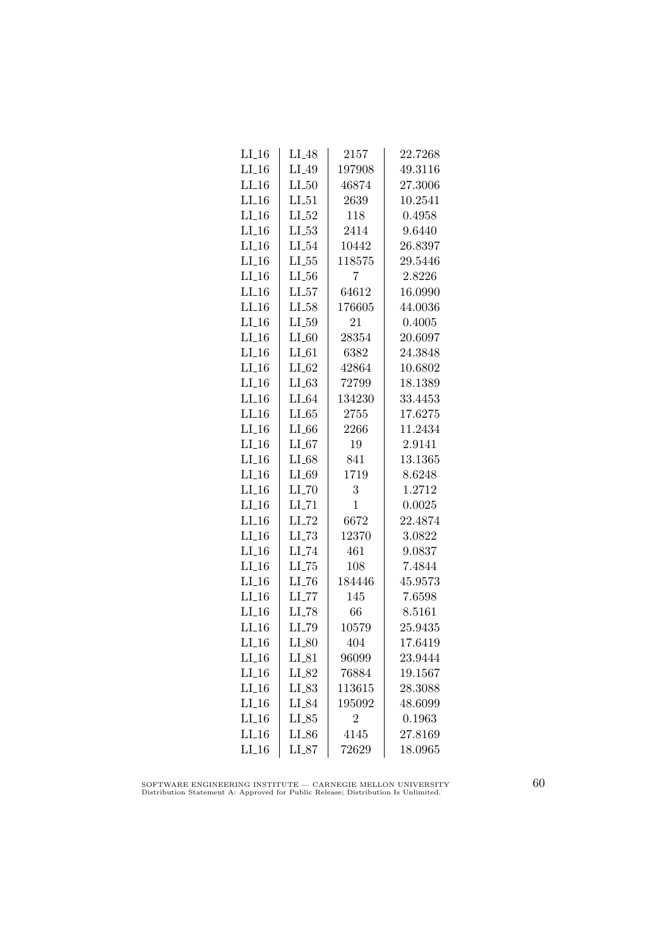| $LI_16$             | $LI_48$             | 2157           | 22.7268 |
|---------------------|---------------------|----------------|---------|
| $LI_16$             | LI_49               | 197908         | 49.3116 |
| $LI_16$             | LL50                | 46874          | 27.3006 |
| $LI_16$             | $LI_51$             | 2639           | 10.2541 |
| $LI$ <sub>-16</sub> | $LI_52$             | 118            | 0.4958  |
| $LI_16$             | $LI_53$             | 2414           | 9.6440  |
| $LI_16$             | $LI_54$             | 10442          | 26.8397 |
| $LI_16$             | $LL-55$             | 118575         | 29.5446 |
| $LI_16$             | $LL_{.56}$          | 7              | 2.8226  |
| $LI_16$             | $LI_57$             | 64612          | 16.0990 |
| $LI_16$             | $LI_58$             | 176605         | 44.0036 |
| $LI_16$             | $LI_59$             | 21             | 0.4005  |
| $LI_16$             | $LI_60$             | 28354          | 20.6097 |
| $LI_16$             | $LI_61$             | 6382           | 24.3848 |
| $LI_16$             | $LI_62$             | 42864          | 10.6802 |
| $LI_16$             | LL63                | 72799          | 18.1389 |
| $LI_16$             | $LI_64$             | 134230         | 33.4453 |
| $LI_16$             | LL65                | 2755           | 17.6275 |
| $LI_16$             | $LI_66$             | 2266           | 11.2434 |
| $LI_16$             | $LI_67$             | 19             | 2.9141  |
| $LI_16$             | $LI_68$             | 841            | 13.1365 |
| $LI_16$             | $LI_69$             | 1719           | 8.6248  |
| $LI_16$             | $LL$ <sub>-70</sub> | 3              | 1.2712  |
| $LI$ <sub>16</sub>  | $LI$ <sub>-71</sub> | $\mathbf 1$    | 0.0025  |
| $LI_16$             | LI_72               | 6672           | 22.4874 |
| $LI_16$             | $LL-73$             | 12370          | 3.0822  |
| $LI_16$             | LI_74               | 461            | 9.0837  |
| $LI_16$             | $LI$ <sub>-75</sub> | 108            | 7.4844  |
| $LI_16$             | $LI$ <sub>-76</sub> | 184446         | 45.9573 |
| $LI_16$             | $LL$ <sub>-77</sub> | 145            | 7.6598  |
| $LI_16$             | LI_78               | 66             | 8.5161  |
| $LI_16$             | LI_79               | 10579          | 25.9435 |
| LL16                | $LI_80$             | 404            | 17.6419 |
| $LI_16$             | $LI_81$             | 96099          | 23.9444 |
| $LI_16$             | $LI_82$             | 76884          | 19.1567 |
| $LI_16$             | $LI_83$             | 113615         | 28.3088 |
| $LI_16$             | LI_84               | 195092         | 48.6099 |
| LI16                | LL85                | $\overline{2}$ | 0.1963  |
| $LI$ <sub>16</sub>  | $LI_86$             | 4145           | 27.8169 |
| $LI_16$             | $LI_87$             | 72629          | 18.0965 |

SOFTWARE ENGINEERING INSTITUTE — CARNEGIE MELLON UNIVERSITY Distribution Statement A: Approved for Public Release; Distribution Is Unlimited.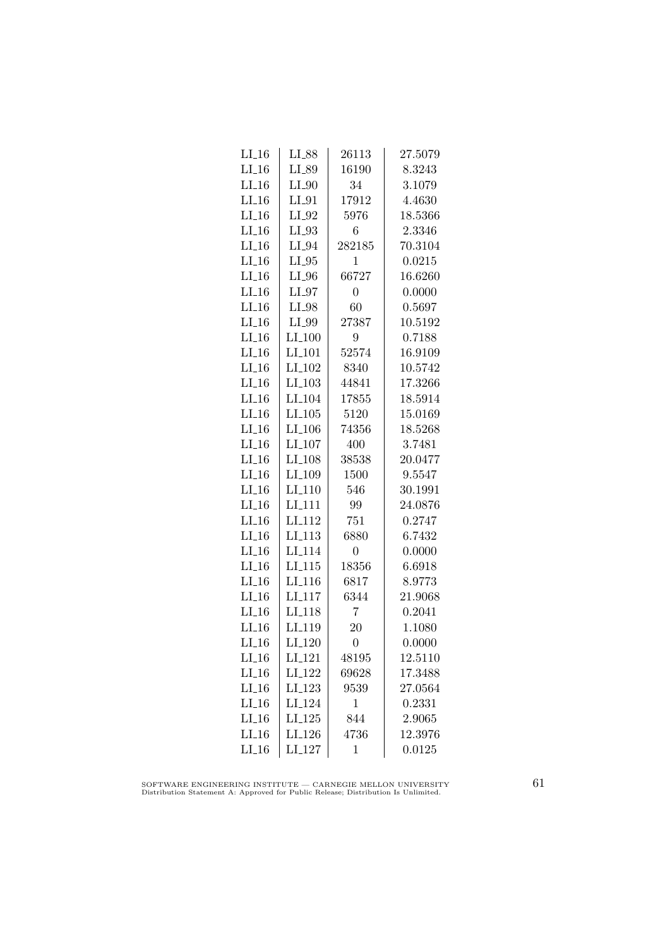| $LI_16$             | LI_88              | 26113            | 27.5079 |
|---------------------|--------------------|------------------|---------|
| $LI_16$             | LI_89              | 16190            | 8.3243  |
| $LI_16$             | $LI_0$             | 34               | 3.1079  |
| $LI_16$             | $LI_01$            | 17912            | 4.4630  |
| $LI$ <sub>-16</sub> | $LI_02$            | 5976             | 18.5366 |
| $LI_16$             | $LI_93$            | 6                | 2.3346  |
| $LI_16$             | $LI_04$            | 282185           | 70.3104 |
| $LI_16$             | $LI_05$            | 1                | 0.0215  |
| $LI_16$             | $LI_0$             | 66727            | 16.6260 |
| $LI_16$             | $LI_97$            | $\boldsymbol{0}$ | 0.0000  |
| $LI$ <sub>-16</sub> | LI_98              | 60               | 0.5697  |
| $LI_16$             | LI_99              | 27387            | 10.5192 |
| $LI_16$             | $LI_100$           | 9                | 0.7188  |
| $LI_16$             | $LI_101$           | 52574            | 16.9109 |
| $LI-16$             | $LI_102$           | 8340             | 10.5742 |
| $LI_16$             | $LI_103$           | 44841            | 17.3266 |
| $LI_16$             | LI <sub>-104</sub> | 17855            | 18.5914 |
| $LI_16$             | LI.105             | 5120             | 15.0169 |
| $LI_16$             | LI <sub>-106</sub> | 74356            | 18.5268 |
| $LI_16$             | $LI_107$           | 400              | 3.7481  |
| $LI_16$             | $LI_108$           | 38538            | 20.0477 |
| $LI_16$             | LI <sub>-109</sub> | 1500             | 9.5547  |
| $LI_16$             | $LI_110$           | 546              | 30.1991 |
| $LI_16$             | LI <sub>-111</sub> | 99               | 24.0876 |
| $LI_16$             | LI <sub>-112</sub> | 751              | 0.2747  |
| $LI_16$             | LI <sub>-113</sub> | 6880             | 6.7432  |
| $LI_16$             | LI <sub>-114</sub> | $\overline{0}$   | 0.0000  |
| $LI_16$             | $LI_115$           | 18356            | 6.6918  |
| $LI_16$             | LI <sub>-116</sub> | 6817             | 8.9773  |
| $LI_16$             | LI <sub>-117</sub> | 6344             | 21.9068 |
| $LI_16$             | LI <sub>-118</sub> | 7                | 0.2041  |
| $LI$ <sub>-16</sub> | LI <sub>-119</sub> | 20               | 1.1080  |
| $LI_16$             | $LI_120$           | $\overline{0}$   | 0.0000  |
| $LI_16$             | LI <sub>-121</sub> | 48195            | 12.5110 |
| $LI_16$             | LI <sub>-122</sub> | 69628            | 17.3488 |
| $LI_16$             | $LI-123$           | 9539             | 27.0564 |
| $LI_16$             | LI <sub>-124</sub> | $\mathbf 1$      | 0.2331  |
| $LI_16$             | $LI_125$           | 844              | 2.9065  |
| LL16                | LI <sub>-126</sub> | 4736             | 12.3976 |
| $LI_16$             | $LI_127$           | $\mathbf 1$      | 0.0125  |

SOFTWARE ENGINEERING INSTITUTE — CARNEGIE MELLON UNIVERSITY Distribution Statement A: Approved for Public Release; Distribution Is Unlimited.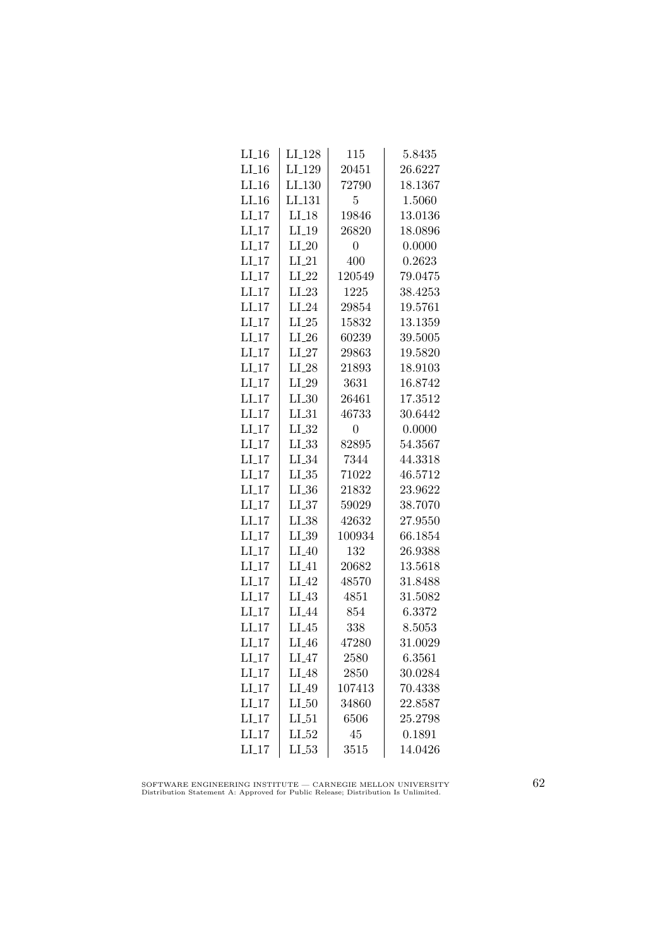| $LI_16$            | $LI_128$           |                |                   |
|--------------------|--------------------|----------------|-------------------|
| $LI_16$            | LI <sub>-129</sub> | 115<br>20451   | 5.8435<br>26.6227 |
| $LI_16$            | LI <sub>-130</sub> | 72790          | 18.1367           |
|                    |                    |                |                   |
| $LI_16$            | LI <sub>-131</sub> | 5              | 1.5060            |
| $LI_17$<br>$LI_17$ | $LI-18$            | 19846          | 13.0136           |
|                    | $LI_19$            | 26820          | 18.0896           |
| $LI_17$            | $LI_20$            | $\overline{0}$ | 0.0000            |
| $LI_17$            | $LI_21$            | 400            | 0.2623            |
| $LI-17$            | $LI_22$            | 120549         | 79.0475           |
| $LI_17$            | $LI_23$            | 1225           | 38.4253           |
| $LI-17$            | $LI_24$            | 29854          | 19.5761           |
| $LI$ <sub>17</sub> | $LI_25$            | 15832          | 13.1359           |
| $LI_17$            | $LI_26$            | 60239          | 39.5005           |
| $LI_17$            | $LI_27$            | 29863          | 19.5820           |
| $LI_17$            | $LI_28$            | 21893          | 18.9103           |
| $LI_17$            | $LI_29$            | 3631           | 16.8742           |
| $LI-17$            | $LI_30$            | 26461          | 17.3512           |
| $LI-17$            | $LI_31$            | 46733          | 30.6442           |
| $LI-17$            | $LI_32$            | 0              | 0.0000            |
| $LI_17$            | $LL_{.33}$         | 82895          | 54.3567           |
| $LI_17$            | $LI_34$            | 7344           | 44.3318           |
| $LI_17$            | $LL_{.35}$         | 71022          | 46.5712           |
| $LI-17$            | $LL_{.36}$         | 21832          | 23.9622           |
| $LI-17$            | LL37               | 59029          | 38.7070           |
| $LI-17$            | $LI_38$            | 42632          | 27.9550           |
| $LI-17$            | $LI_39$            | 100934         | 66.1854           |
| $LI_17$            | $LI_40$            | 132            | 26.9388           |
| $LI_17$            | $LI_41$            | 20682          | 13.5618           |
| $LI_17$            | $LI_42$            | 48570          | 31.8488           |
| $LI-17$            | $LI_43$            | 4851           | 31.5082           |
| $LI-17$            | LI_44              | 854            | 6.3372            |
| $LI$ <sub>17</sub> | $LI_45$            | 338            | 8.5053            |
| $LI_17$            | $LI_46$            | 47280          | 31.0029           |
| $LI_17$            | $LI_47$            | 2580           | 6.3561            |
| $LI_17$            | $LI_48$            | 2850           | 30.0284           |
| $LI-17$            | $LI_49$            | 107413         | 70.4338           |
| $LI-17$            | $LI_50$            | 34860          | 22.8587           |
| $LI-17$            | $LI_51$            | 6506           | 25.2798           |
| $LI$ <sub>17</sub> | $LI_52$            | 45             | 0.1891            |
| $LI-17$            | LL53               | 3515           | 14.0426           |

SOFTWARE ENGINEERING INSTITUTE — CARNEGIE MELLON UNIVERSITY Distribution Statement A: Approved for Public Release; Distribution Is Unlimited.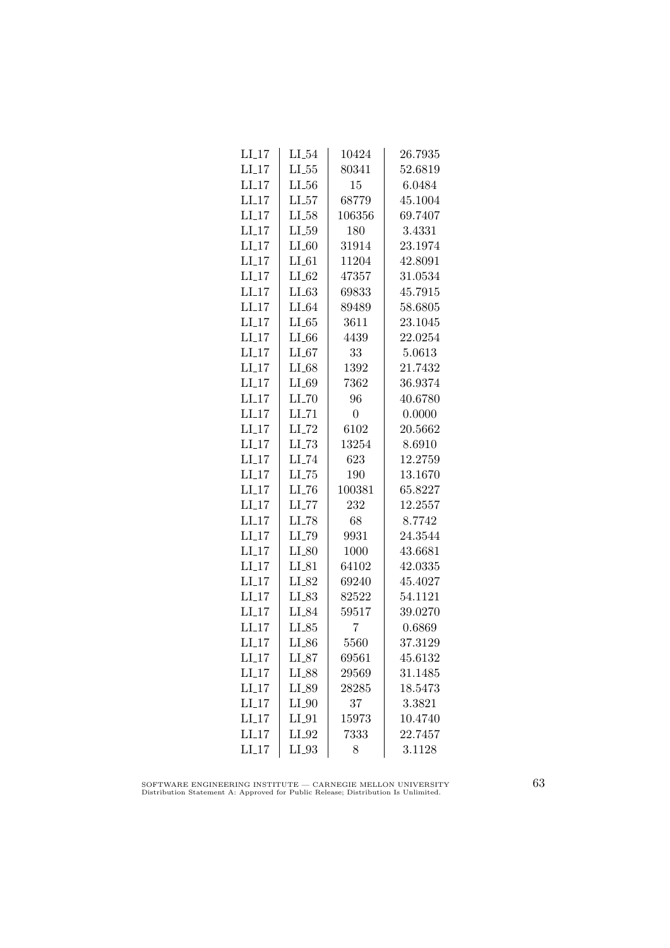| $LI_17$            | $LI_54$             | 10424          | 26.7935 |
|--------------------|---------------------|----------------|---------|
| $LI_17$            | $LL_{.55}$          | 80341          | 52.6819 |
| $LI-17$            | $LL_{.56}$          | 15             | 6.0484  |
| LI17               | LL57                | 68779          | 45.1004 |
| LI17               | $LI_58$             | 106356         | 69.7407 |
| $LI-17$            | $LI_59$             | 180            | 3.4331  |
| $LI_17$            | $LI_60$             | 31914          | 23.1974 |
| $LI_17$            | $LI_0$              | 11204          | 42.8091 |
| $LI-17$            | $LI_62$             | 47357          | 31.0534 |
| $LI-17$            | $LI_63$             | 69833          | 45.7915 |
| $LI_17$            | $LI_64$             | 89489          | 58.6805 |
| $LI-17$            | $LI_65$             | 3611           | 23.1045 |
| $LI_17$            | $LI_66$             | 4439           | 22.0254 |
| $LI_17$            | $LI_67$             | 33             | 5.0613  |
| $LI_17$            | $LI_68$             | 1392           | 21.7432 |
| $LI-17$            | LI_69               | 7362           | 36.9374 |
| LI17               | $LL$ <sub>-70</sub> | 96             | 40.6780 |
| $LI-17$            | $LI$ <sub>-71</sub> | $\overline{0}$ | 0.0000  |
| $LI_17$            | $LI$ <sub>-72</sub> | 6102           | 20.5662 |
| $LI_17$            | $LL-73$             | 13254          | 8.6910  |
| $LI_17$            | $LI$ <sub>-74</sub> | 623            | 12.2759 |
| $LI_17$            | $LI$ <sub>-75</sub> | 190            | 13.1670 |
| $LI-17$            | $LI$ <sub>-76</sub> | 100381         | 65.8227 |
| LI17               | LL77                | 232            | 12.2557 |
| LI17               | LL78                | 68             | 8.7742  |
| $LI-17$            | LI_79               | 9931           | 24.3544 |
| $LI_17$            | $LI_80$             | 1000           | 43.6681 |
| $LI_17$            | $LI_81$             | 64102          | 42.0335 |
| $LI_17$            | LI_82               | 69240          | 45.4027 |
| $LI-17$            | $LI_83$             | 82522          | 54.1121 |
| LI17               | LI_84               | 59517          | 39.0270 |
| $LI-17$            | $LI_85$             | 7              | 0.6869  |
| $LI_17$            | $LI_86$             | 5560           | 37.3129 |
| $LI_17$            | $LI_87$             | 69561          | 45.6132 |
| $LI_17$            | LI_88               | 29569          | 31.1485 |
| $LI-17$            | $LI_89$             | 28285          | 18.5473 |
| $LI-17$            | $LI_0$              | 37             | 3.3821  |
| $LI-17$            | $LI_01$             | 15973          | 10.4740 |
| $LI$ <sub>17</sub> | LI_92               | 7333           | 22.7457 |
| $LI-17$            | $LI_03$             | 8              | 3.1128  |

SOFTWARE ENGINEERING INSTITUTE — CARNEGIE MELLON UNIVERSITY Distribution Statement A: Approved for Public Release; Distribution Is Unlimited.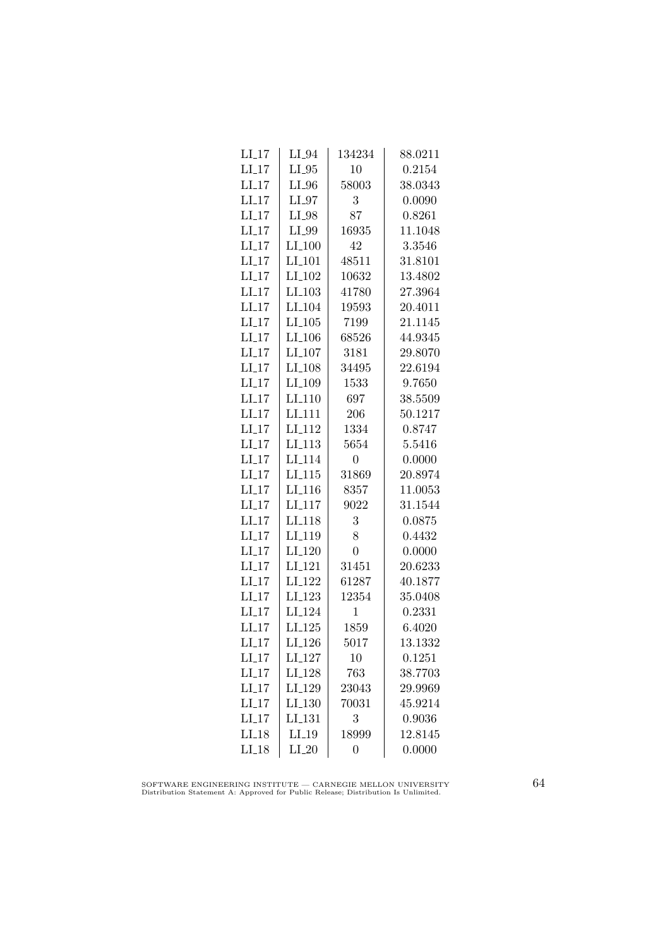| $LI_17$ | $LI_04$              | 134234         | 88.0211 |
|---------|----------------------|----------------|---------|
| $LI_17$ | $LI_05$              | 10             | 0.2154  |
| $LI-17$ | LI_96                | 58003          | 38.0343 |
| LI17    | $LI_97$              | 3              | 0.0090  |
| $LI-17$ | LI_98                | 87             | 0.8261  |
| $LI_17$ | LI_99                | 16935          | 11.1048 |
| $LI_17$ | $LI_100$             | 42             | 3.3546  |
| $LI_17$ | $LI_101$             | 48511          | 31.8101 |
| $LI-17$ | LI <sub>-102</sub>   | 10632          | 13.4802 |
| $LI-17$ | $LI$ <sub>-103</sub> | 41780          | 27.3964 |
| $LI-17$ | LI <sub>-104</sub>   | 19593          | 20.4011 |
| $LI-17$ | LI.105               | 7199           | 21.1145 |
| $LI_17$ | $LI_106$             | 68526          | 44.9345 |
| $LI_17$ | $LI_107$             | 3181           | 29.8070 |
| $LI_17$ | $LI_108$             | 34495          | 22.6194 |
| $LI-17$ | LI <sub>-109</sub>   | 1533           | 9.7650  |
| $LI-17$ | LI <sub>-110</sub>   | 697            | 38.5509 |
| $LI-17$ | LI <sub>-111</sub>   | 206            | 50.1217 |
| $LI_17$ | LI <sub>-112</sub>   | 1334           | 0.8747  |
| $LI_17$ | $LI$ <sub>113</sub>  | 5654           | 5.5416  |
| $LI_17$ | LI <sub>-114</sub>   | 0              | 0.0000  |
| $LI_17$ | LI.115               | 31869          | 20.8974 |
| $LI-17$ | $LI$ <sub>-116</sub> | 8357           | 11.0053 |
| $LI-17$ | LI <sub>-117</sub>   | 9022           | 31.1544 |
| LI17    | LI <sub>118</sub>    | 3              | 0.0875  |
| $LI-17$ | LI <sub>-119</sub>   | 8              | 0.4432  |
| $LI_17$ | LI <sub>-120</sub>   | $\overline{0}$ | 0.0000  |
| $LI_17$ | $LI_121$             | 31451          | 20.6233 |
| $LI_17$ | $LI_122$             | 61287          | 40.1877 |
| $LI_17$ | $LI_123$             | 12354          | 35.0408 |
| $LI-17$ | LI <sub>-124</sub>   | 1              | 0.2331  |
| $LI-17$ | LI.125               | 1859           | 6.4020  |
| $LI-17$ | LI <sub>-126</sub>   | 5017           | 13.1332 |
| $LI_17$ | LI <sub>-127</sub>   | 10             | 0.1251  |
| $LI_17$ | LI_128               | 763            | 38.7703 |
| $LI_17$ | LI <sub>-129</sub>   | 23043          | 29.9969 |
| $LI-17$ | LI.130               | 70031          | 45.9214 |
| $LI-17$ | LI <sub>-131</sub>   | 3              | 0.9036  |
| $LI-18$ | $LI_19$              | 18999          | 12.8145 |
| $LI_18$ | $LI_20$              | 0              | 0.0000  |

SOFTWARE ENGINEERING INSTITUTE — CARNEGIE MELLON UNIVERSITY Distribution Statement A: Approved for Public Release; Distribution Is Unlimited.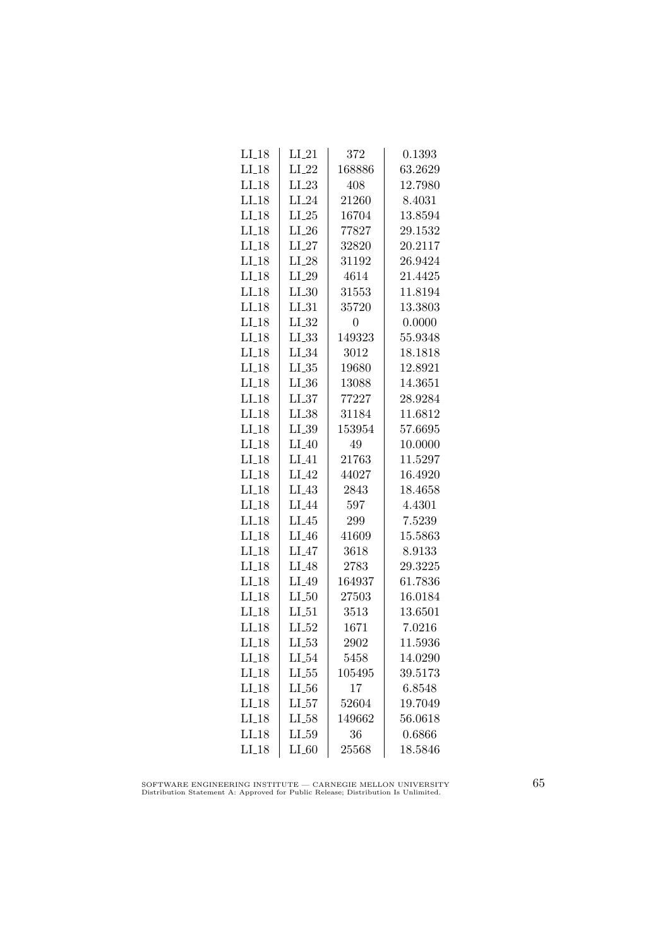| $LI_18$ | $LI_21$           | 372            | 0.1393  |
|---------|-------------------|----------------|---------|
| $LI_18$ | $LI_22$           | 168886         | 63.2629 |
| $LI-18$ | $LI_23$           | 408            | 12.7980 |
| $LI-18$ | $LI_24$           | 21260          | 8.4031  |
| $LI-18$ | $LI_25$           | 16704          | 13.8594 |
| $LI_18$ | $LI_26$           | 77827          | 29.1532 |
| $LI_18$ | $LI_27$           | 32820          | 20.2117 |
| $LI-18$ | $LI_28$           | 31192          | 26.9424 |
| $LI_18$ | $LI_29$           | 4614           | 21.4425 |
| $LI-18$ | $LI_30$           | 31553          | 11.8194 |
| $LI-18$ | LL31              | 35720          | 13.3803 |
| $LI-18$ | $LI_32$           | $\overline{0}$ | 0.0000  |
| $LI_18$ | $LL_{.33}$        | 149323         | 55.9348 |
| $LI_18$ | $LI_34$           | 3012           | 18.1818 |
| $LI-18$ | $LL_{-35}$        | 19680          | 12.8921 |
| $LI-18$ | $LI_36$           | 13088          | 14.3651 |
| $LI_18$ | LL37              | 77227          | 28.9284 |
| $LI-18$ | $LI_38$           | 31184          | 11.6812 |
| $LI-18$ | LI_39             | 153954         | 57.6695 |
| $LI-18$ | $LI_40$           | 49             | 10.0000 |
| $LI_18$ | $LI_41$           | 21763          | 11.5297 |
| $LI-18$ | $LI_42$           | 44027          | 16.4920 |
| $LI-18$ | $LI_43$           | 2843           | 18.4658 |
| $LI-18$ | LI <sub>-44</sub> | 597            | 4.4301  |
| $LI_18$ | LI.45             | 299            | 7.5239  |
| $LI_18$ | $LI_46$           | 41609          | 15.5863 |
| $LI_18$ | $LI_47$           | 3618           | 8.9133  |
| $LI_18$ | $LI_48$           | 2783           | 29.3225 |
| $LI_18$ | $LI_49$           | 164937         | 61.7836 |
| $LI-18$ | $LL_{.50}$        | 27503          | 16.0184 |
| $LI-18$ | $LI_51$           | 3513           | 13.6501 |
| $LI-18$ | $LI_52$           | 1671           | 7.0216  |
| $LI_18$ | $LL_{.53}$        | 2902           | 11.5936 |
| $LI_18$ | $LI_54$           | 5458           | 14.0290 |
| $LI_18$ | $LL_{.55}$        | 105495         | 39.5173 |
| $LI_18$ | $LI_56$           | 17             | 6.8548  |
| $LI-18$ | $LI_57$           | 52604          | 19.7049 |
| $LI-18$ | LI_58             | 149662         | 56.0618 |
| $LI-18$ | $LI_59$           | 36             | 0.6866  |
| $LI-18$ | $LI_60$           | 25568          | 18.5846 |

SOFTWARE ENGINEERING INSTITUTE — CARNEGIE MELLON UNIVERSITY Distribution Statement A: Approved for Public Release; Distribution Is Unlimited.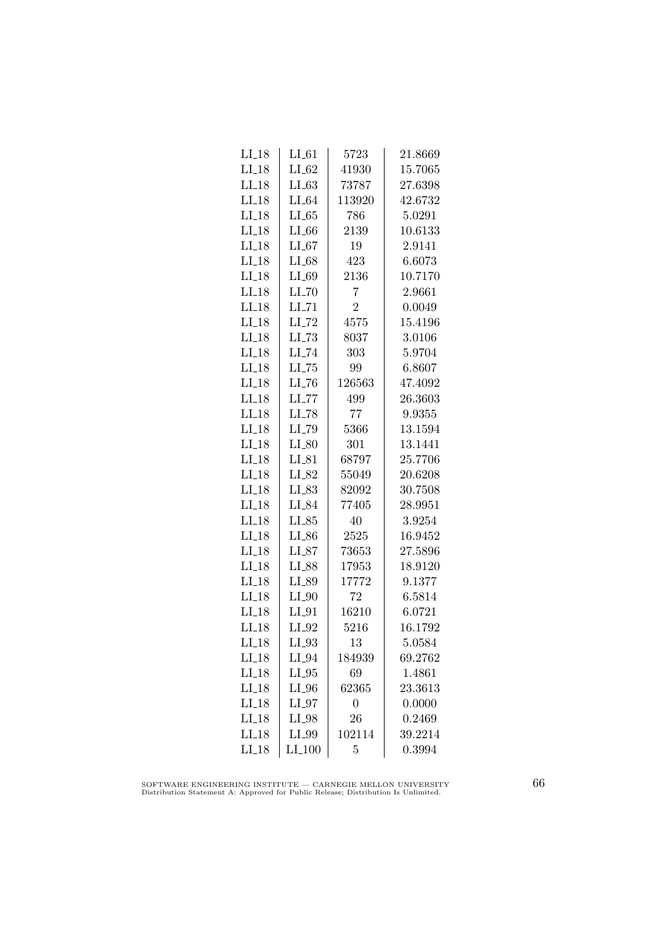| $LI_18$            | $LI_61$             | 5723             | 21.8669 |
|--------------------|---------------------|------------------|---------|
| $LI_18$            | $LI_62$             | 41930            | 15.7065 |
| $LI_18$            | LL63                | 73787            | 27.6398 |
| $LI-18$            | $LI_64$             | 113920           | 42.6732 |
| $LI-18$            | LL65                | 786              | 5.0291  |
| $LI-18$            | $LI_66$             | 2139             | 10.6133 |
| $LI_18$            | $LI_67$             | 19               | 2.9141  |
| $LI-18$            | $LI_68$             | 423              | 6.6073  |
| $LI-18$            | $LI_69$             | 2136             | 10.7170 |
| $LI-18$            | $LI$ <sub>-70</sub> | $\overline{7}$   | 2.9661  |
| $LI-18$            | $LI$ <sub>-71</sub> | $\overline{2}$   | 0.0049  |
| $LI-18$            | $LI$ <sub>-72</sub> | 4575             | 15.4196 |
| $LI-18$            | $LL-73$             | 8037             | 3.0106  |
| $LI_18$            | $LI$ <sub>-74</sub> | 303              | 5.9704  |
| $LI-18$            | $LI$ <sub>-75</sub> | 99               | 6.8607  |
| $LI-18$            | $LI$ <sub>-76</sub> | 126563           | 47.4092 |
| $LI-18$            | $LL$ <sub>-77</sub> | 499              | 26.3603 |
| $LI-18$            | LI_78               | 77               | 9.9355  |
| $LI_18$            | LI_79               | 5366             | 13.1594 |
| $LI_18$            | $LI_80$             | 301              | 13.1441 |
| $LI_18$            | $LI_81$             | 68797            | 25.7706 |
| $LI_18$            | LI_82               | 55049            | 20.6208 |
| $LI-18$            | $LI_83$             | 82092            | 30.7508 |
| $LI-18$            | LI_84               | 77405            | 28.9951 |
| $LI-18$            | $LI_85$             | 40               | 3.9254  |
| $LI$ <sub>18</sub> | $LI_86$             | 2525             | 16.9452 |
| $LI_18$            | $LI_87$             | 73653            | 27.5896 |
| $LI_18$            | LI_88               | 17953            | 18.9120 |
| $LI_18$            | $LI_89$             | 17772            | 9.1377  |
| $LI_18$            | $LI_0$              | 72               | 6.5814  |
| $LI-18$            | $LI_01$             | 16210            | 6.0721  |
| $LI-18$            | $LI_02$             | 5216             | 16.1792 |
| $LI-18$            | $LI_93$             | 13               | 5.0584  |
| $LI_18$            | $LI_04$             | 184939           | 69.2762 |
| $LI_18$            | $LI_05$             | 69               | 1.4861  |
| $LI_18$            | $LI_0$              | 62365            | 23.3613 |
| $LI_18$            | $LI_97$             | $\boldsymbol{0}$ | 0.0000  |
| $LI$ <sub>18</sub> | $LI_98$             | 26               | 0.2469  |
| $LI-18$            | LI_99               | 102114           | 39.2214 |
| $LI_18$            | $LI_100$            | 5                | 0.3994  |

SOFTWARE ENGINEERING INSTITUTE — CARNEGIE MELLON UNIVERSITY Distribution Statement A: Approved for Public Release; Distribution Is Unlimited.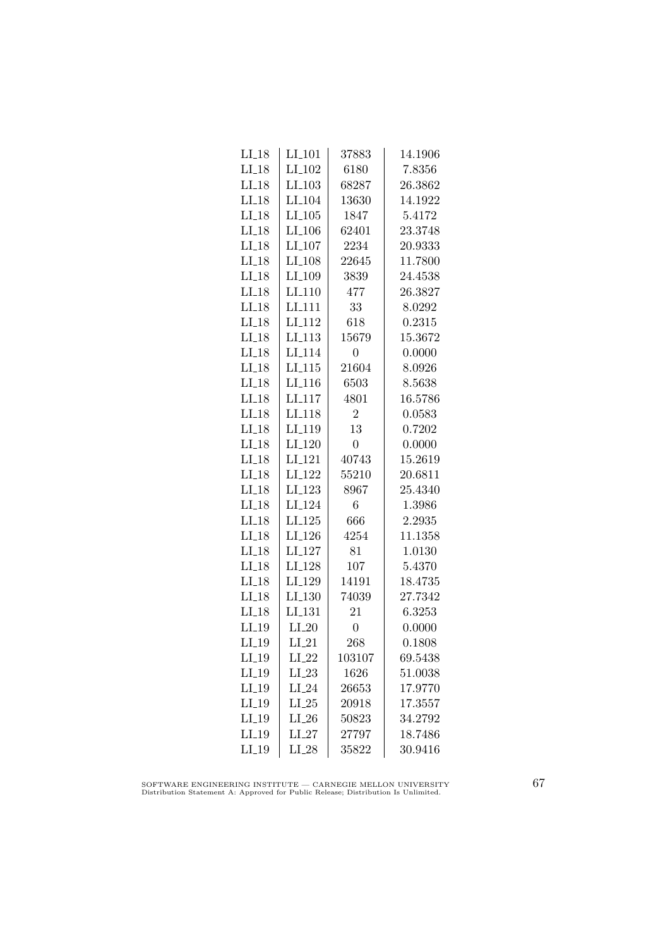| $LI_18$            | $LI_101$             | 37883          | 14.1906 |
|--------------------|----------------------|----------------|---------|
| $LI_18$            | LI <sub>-102</sub>   | 6180           | 7.8356  |
| $LI-18$            | $LI$ <sub>-103</sub> | 68287          | 26.3862 |
| $LI-18$            | LI <sub>-104</sub>   | 13630          | 14.1922 |
| $LI-18$            | $LI_105$             | 1847           | 5.4172  |
| $LI_18$            | LI <sub>-106</sub>   | 62401          | 23.3748 |
| $LI_18$            | $LI_107$             | 2234           | 20.9333 |
| $LI-18$            | $LI_108$             | 22645          | 11.7800 |
| $LI-18$            | LI <sub>-109</sub>   | 3839           | 24.4538 |
| $LI_18$            | $LI-110$             | 477            | 26.3827 |
| $LI$ <sub>18</sub> | LI <sub>111</sub>    | 33             | 8.0292  |
| $LI-18$            | LI <sub>112</sub>    | 618            | 0.2315  |
| $LI-18$            | $LI_113$             | 15679          | 15.3672 |
| $LI_18$            | $LI$ <sub>-114</sub> | $\overline{0}$ | 0.0000  |
| $LI_18$            | $LI-115$             | 21604          | 8.0926  |
| $LI-18$            | LI <sub>-116</sub>   | 6503           | 8.5638  |
| $LI-18$            | LI <sub>-117</sub>   | 4801           | 16.5786 |
| $LI_18$            | LI <sub>118</sub>    | $\overline{2}$ | 0.0583  |
| $LI-18$            | LI <sub>-119</sub>   | 13             | 0.7202  |
| $LI_18$            | $LI_120$             | $\overline{0}$ | 0.0000  |
| $LI_18$            | LI <sub>-121</sub>   | 40743          | 15.2619 |
| $LI_18$            | $LI_122$             | 55210          | 20.6811 |
| $LI-18$            | LI <sub>-123</sub>   | 8967           | 25.4340 |
| $LI-18$            | LI <sub>-124</sub>   | 6              | 1.3986  |
| $LI$ <sub>18</sub> | $LI_125$             | 666            | 2.2935  |
| $LI-18$            | LI <sub>-126</sub>   | 4254           | 11.1358 |
| $LI_18$            | LI <sub>-127</sub>   | 81             | 1.0130  |
| $LI_18$            | LI <sub>-128</sub>   | 107            | 5.4370  |
| $LI-18$            | LI <sub>-129</sub>   | 14191          | 18.4735 |
| $LI-18$            | LI.130               | 74039          | 27.7342 |
| $LI-18$            | LI <sub>-131</sub>   | 21             | 6.3253  |
| $LI_19$            | $LI_20$              | $\overline{0}$ | 0.0000  |
| $LI_19$            | $LI_21$              | 268            | 0.1808  |
| $LI_19$            | $LI_22$              | 103107         | 69.5438 |
| $LI_19$            | $LI_23$              | 1626           | 51.0038 |
| $LI_19$            | $LI_24$              | 26653          | 17.9770 |
| $LI_19$            | $LI_25$              | 20918          | 17.3557 |
| $LI-19$            | $LI_26$              | 50823          | 34.2792 |
| $LI-19$            | $LI_27$              | 27797          | 18.7486 |
| $LI_19$            | $LI_28$              | 35822          | 30.9416 |

SOFTWARE ENGINEERING INSTITUTE — CARNEGIE MELLON UNIVERSITY Distribution Statement A: Approved for Public Release; Distribution Is Unlimited.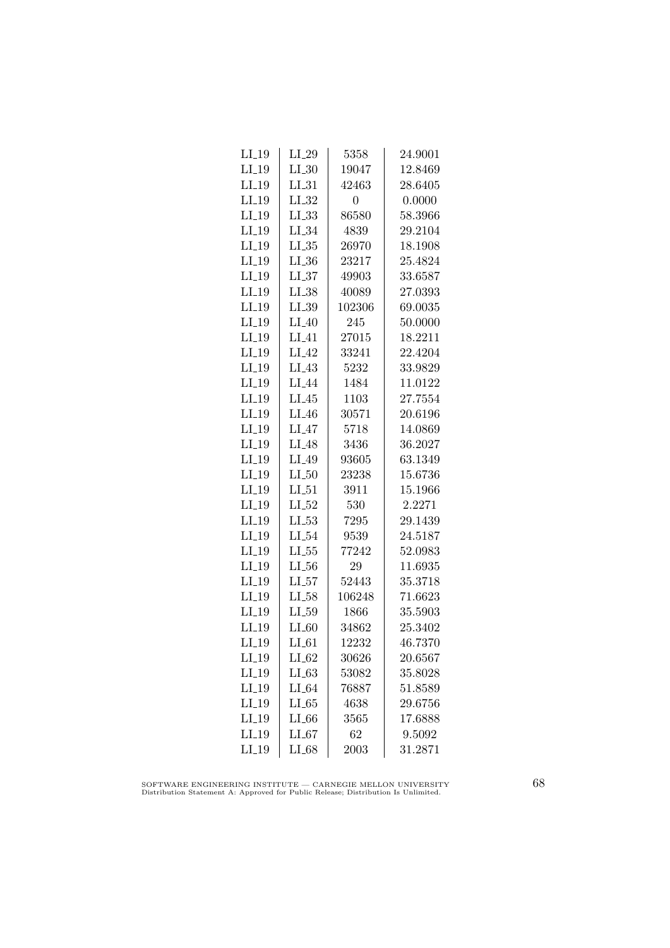| $LI_19$ | $LI_29$    | 5358   | 24.9001 |
|---------|------------|--------|---------|
| $LI_19$ | $LI_30$    | 19047  | 12.8469 |
| $LI_19$ | $LI_31$    | 42463  | 28.6405 |
| $LI_19$ | $LI_32$    | 0      | 0.0000  |
| $LI-19$ | LL33       | 86580  | 58.3966 |
| $LI_19$ | $LI_34$    | 4839   | 29.2104 |
| $LI_19$ | $LL_{.35}$ | 26970  | 18.1908 |
| $LI_19$ | $LL_{-36}$ | 23217  | 25.4824 |
| $LI_19$ | $LI_37$    | 49903  | 33.6587 |
| $LI_19$ | $LI_38$    | 40089  | 27.0393 |
| $LI_19$ | $LL_{.39}$ | 102306 | 69.0035 |
| $LI_19$ | $LI_40$    | 245    | 50.0000 |
| $LI_19$ | $LI_41$    | 27015  | 18.2211 |
| $LI_19$ | $LI_42$    | 33241  | 22.4204 |
| $LI_19$ | $LI_43$    | 5232   | 33.9829 |
| $LI_19$ | $LI_44$    | 1484   | 11.0122 |
| $LI-19$ | LI.45      | 1103   | 27.7554 |
| $LI_19$ | $LI_46$    | 30571  | 20.6196 |
| $LI_19$ | $LI_47$    | 5718   | 14.0869 |
| $LI_19$ | LI_48      | 3436   | 36.2027 |
| $LI_19$ | $LI_49$    | 93605  | 63.1349 |
| $LI_19$ | $LI_50$    | 23238  | 15.6736 |
| $LI_19$ | $LI_51$    | 3911   | 15.1966 |
| $LI-19$ | LL52       | 530    | 2.2271  |
| $LI_19$ | $LI_53$    | 7295   | 29.1439 |
| $LI_19$ | $LI_54$    | 9539   | 24.5187 |
| $LI_19$ | $LL_{.55}$ | 77242  | 52.0983 |
| $LI_19$ | $LL_{.56}$ | 29     | 11.6935 |
| $LI_19$ | $LI_57$    | 52443  | 35.3718 |
| $LI_19$ | $LI_58$    | 106248 | 71.6623 |
| $LI-19$ | $LL_{.59}$ | 1866   | 35.5903 |
| $LI_19$ | $LI_60$    | 34862  | 25.3402 |
| $LI_19$ | $LI_61$    | 12232  | 46.7370 |
| $LI_19$ | $LI_62$    | 30626  | 20.6567 |
| $LI_19$ | $LI_63$    | 53082  | 35.8028 |
| $LI_19$ | $LI_64$    | 76887  | 51.8589 |
| $LI-19$ | $LI_65$    | 4638   | 29.6756 |
| $LI_19$ | $LI_66$    | 3565   | 17.6888 |
| $LI-19$ | $LI_67$    | 62     | 9.5092  |
| $LI_19$ | LI_68      | 2003   | 31.2871 |

SOFTWARE ENGINEERING INSTITUTE — CARNEGIE MELLON UNIVERSITY Distribution Statement A: Approved for Public Release; Distribution Is Unlimited.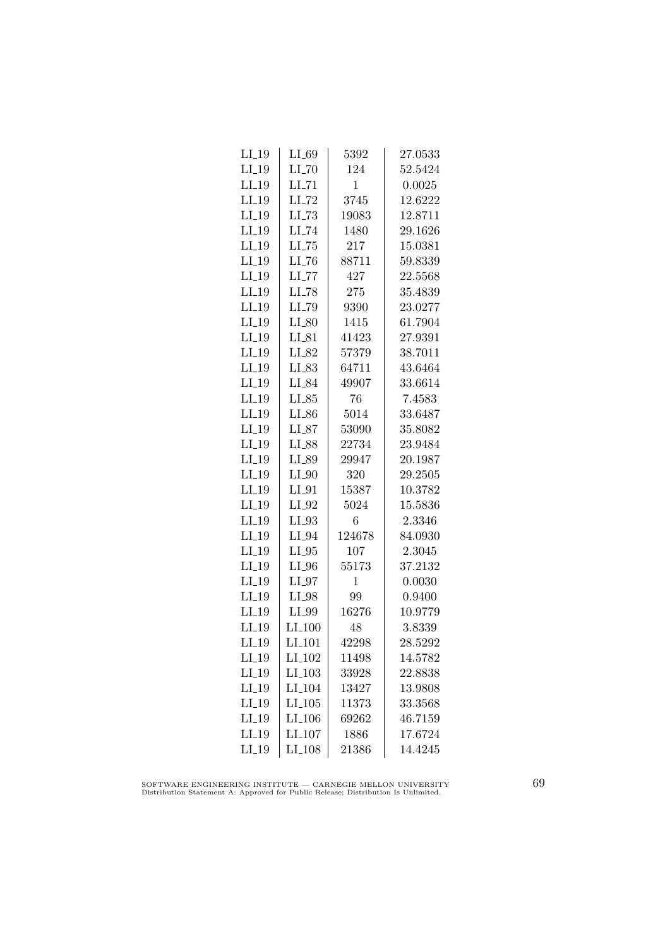| $LI_19$ | $LI_69$              | 5392         | 27.0533 |
|---------|----------------------|--------------|---------|
| $LI_19$ | $LI$ <sub>-70</sub>  | 124          | 52.5424 |
| $LI_19$ | $LI$ <sub>-71</sub>  | 1            | 0.0025  |
| $LI-19$ | $LI$ <sub>-72</sub>  | 3745         | 12.6222 |
| $LI-19$ | $LLI-73$             | 19083        | 12.8711 |
| $LI_19$ | LI_74                | 1480         | 29.1626 |
| $LI_19$ | $LL-75$              | 217          | 15.0381 |
| $LI_19$ | $LL-76$              | 88711        | 59.8339 |
| $LI_19$ | $LI$ <sub>-77</sub>  | 427          | 22.5568 |
| $LI_19$ | $LI$ <sub>-78</sub>  | 275          | 35.4839 |
| $LI_19$ | LI_79                | 9390         | 23.0277 |
| $LI-19$ | $LI_80$              | 1415         | 61.7904 |
| $LI_19$ | $LI_81$              | 41423        | 27.9391 |
| $LI_19$ | LI_82                | 57379        | 38.7011 |
| $LI_19$ | $LI_83$              | 64711        | 43.6464 |
| $LI_19$ | $LI_84$              | 49907        | 33.6614 |
| $LI_19$ | $LI_85$              | 76           | 7.4583  |
| $LI_19$ | $LI_86$              | 5014         | 33.6487 |
| $LI_19$ | $LI_87$              | 53090        | 35.8082 |
| $LI_19$ | LI_88                | 22734        | 23.9484 |
| $LI_19$ | $LI_89$              | 29947        | 20.1987 |
| $LI_19$ | $LI_0$               | 320          | 29.2505 |
| $LI_19$ | $LI_01$              | 15387        | 10.3782 |
| $LI-19$ | $LI_02$              | 5024         | 15.5836 |
| $LI_19$ | $LI_93$              | 6            | 2.3346  |
| $LI_19$ | LI_94                | 124678       | 84.0930 |
| $LI_19$ | $LI_05$              | 107          | 2.3045  |
| $LI_19$ | $LI_0$               | 55173        | 37.2132 |
| $LI_19$ | $LI_07$              | $\mathbf{1}$ | 0.0030  |
| $LI_19$ | $LI_98$              | 99           | 0.9400  |
| $LI-19$ | LI_99                | 16276        | 10.9779 |
| $LI_19$ | LI <sub>-100</sub>   | 48           | 3.8339  |
| $LI_19$ | LI <sub>-101</sub>   | 42298        | 28.5292 |
| $LI_19$ | LI <sub>-102</sub>   | 11498        | 14.5782 |
| $LI_19$ | $LI_103$             | 33928        | 22.8838 |
| $LI_19$ | $LI$ <sub>-104</sub> | 13427        | 13.9808 |
| $LI_19$ | $LI$ <sub>-105</sub> | 11373        | 33.3568 |
| $LI-19$ | LI <sub>-106</sub>   | 69262        | 46.7159 |
| $LI-19$ | LI <sub>-107</sub>   | 1886         | 17.6724 |
| $LI_19$ | $LI_108$             | 21386        | 14.4245 |

SOFTWARE ENGINEERING INSTITUTE — CARNEGIE MELLON UNIVERSITY Distribution Statement A: Approved for Public Release; Distribution Is Unlimited.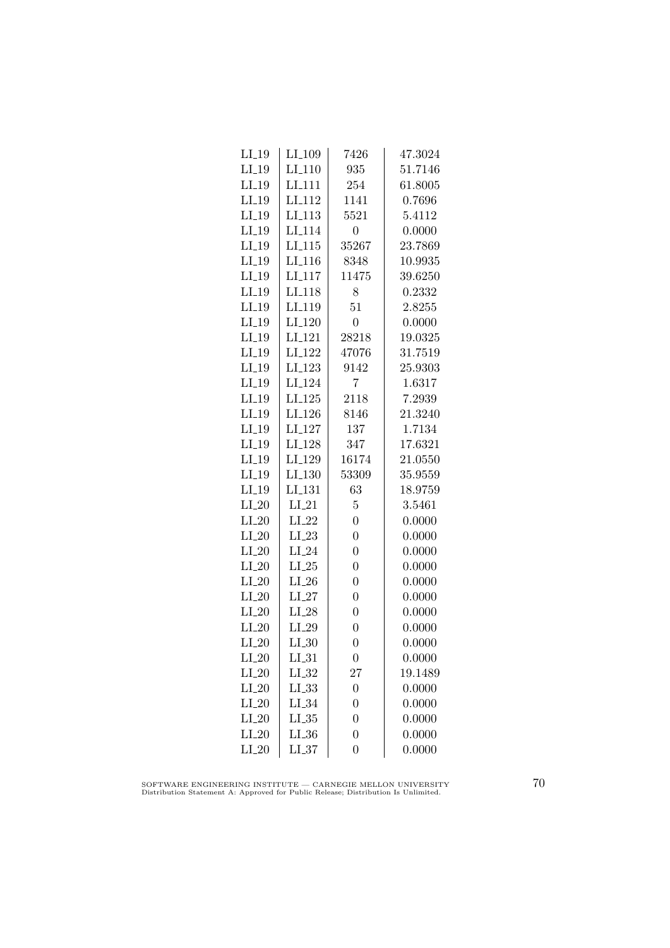| $LI_19$             | LI <sub>-109</sub> | 7426             | 47.3024 |
|---------------------|--------------------|------------------|---------|
| $LI_19$             | LI <sub>-110</sub> | 935              | 51.7146 |
| $LI_19$             | LI <sub>-111</sub> | 254              | 61.8005 |
| $LI-19$             | LI <sub>112</sub>  | 1141             | 0.7696  |
| $LI_19$             | LI <sub>113</sub>  | 5521             | 5.4112  |
| $LI_19$             | LI <sub>-114</sub> | $\boldsymbol{0}$ | 0.0000  |
| $LI_19$             | $LI_115$           | 35267            | 23.7869 |
| $LI_19$             | $LI_116$           | 8348             | 10.9935 |
| $LI_19$             | LI <sub>-117</sub> | 11475            | 39.6250 |
| $LI_19$             | LI <sub>-118</sub> | 8                | 0.2332  |
| $LI-19$             | LI <sub>-119</sub> | 51               | 2.8255  |
| LI.19               | LI <sub>-120</sub> | $\overline{0}$   | 0.0000  |
| $LI_19$             | LI <sub>-121</sub> | 28218            | 19.0325 |
| $LI_19$             | LI <sub>-122</sub> | 47076            | 31.7519 |
| $LI_19$             | LI <sub>-123</sub> | 9142             | 25.9303 |
| $LI_19$             | LI <sub>-124</sub> | 7                | 1.6317  |
| $LI_19$             | LI <sub>-125</sub> | 2118             | 7.2939  |
| $LI_19$             | LI <sub>-126</sub> | 8146             | 21.3240 |
| $LI-19$             | LI <sub>-127</sub> | 137              | 1.7134  |
| $LI_19$             | LI <sub>-128</sub> | 347              | 17.6321 |
| $LI_19$             | LI <sub>-129</sub> | 16174            | 21.0550 |
| $LI_19$             | LI <sub>-130</sub> | 53309            | 35.9559 |
| $LI_19$             | LI <sub>-131</sub> | 63               | 18.9759 |
| $LI_20$             | $LI_21$            | $\overline{5}$   | 3.5461  |
| $LI_20$             | $LI_22$            | $\overline{0}$   | 0.0000  |
| $LI_20$             | $LI_23$            | $\overline{0}$   | 0.0000  |
| $LI_20$             | $LI_24$            | $\overline{0}$   | 0.0000  |
| $LI_20$             | $LI_25$            | $\overline{0}$   | 0.0000  |
| $LI_20$             | $LI_26$            | $\overline{0}$   | 0.0000  |
| $LI_20$             | $LI_27$            | $\overline{0}$   | 0.0000  |
| $LI_20$             | $LI_28$            | $\overline{0}$   | 0.0000  |
| $LI_20$             | $LI_29$            | $\overline{0}$   | 0.0000  |
| $LI_2$ <sup>0</sup> | $LI_30$            | $\overline{0}$   | 0.0000  |
| $LI_20$             | $LI_31$            | $\boldsymbol{0}$ | 0.0000  |
| $LI_20$             | $LI_32$            | 27               | 19.1489 |
| $LI_20$             | $LI_33$            | $\overline{0}$   | 0.0000  |
| $LI_20$             | $LI_34$            | $\overline{0}$   | 0.0000  |
| $LI_20$             | $LL_{.35}$         | $\overline{0}$   | 0.0000  |
| $LI_20$             | $LI_36$            | $\overline{0}$   | 0.0000  |
| $LI_20$             | $LL_{.37}$         | $\overline{0}$   | 0.0000  |

SOFTWARE ENGINEERING INSTITUTE — CARNEGIE MELLON UNIVERSITY Distribution Statement A: Approved for Public Release; Distribution Is Unlimited.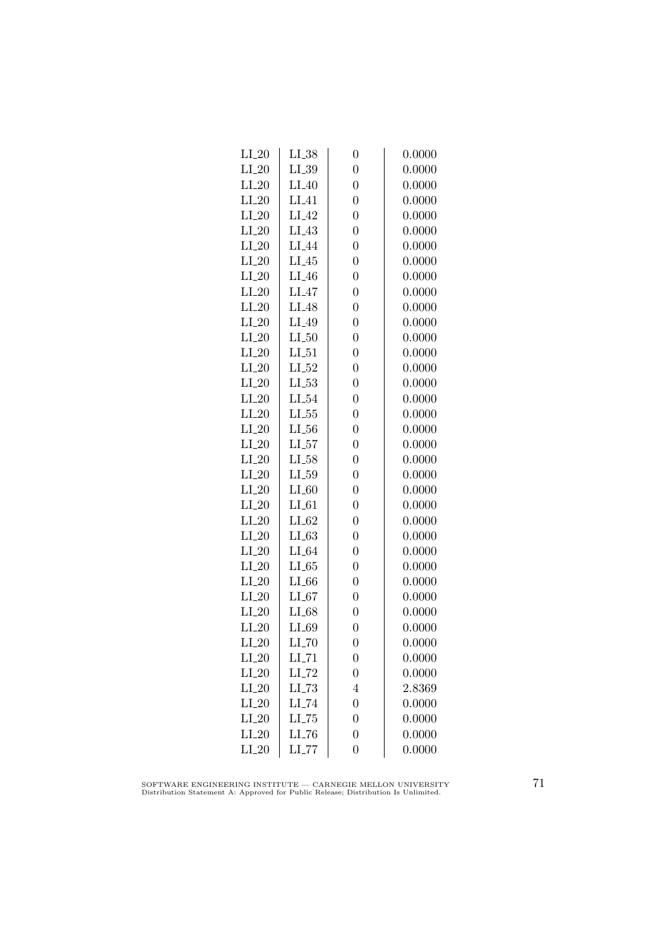| $LI_20$ | $LI_38$             | $\overline{0}$   | 0.0000 |
|---------|---------------------|------------------|--------|
| $LI_20$ | $LI_39$             | $\overline{0}$   | 0.0000 |
| $LI_20$ | $LI_40$             | $\overline{0}$   | 0.0000 |
| $LI_20$ | LI.41               | $\overline{0}$   | 0.0000 |
| $LI_20$ | LI <sub>-42</sub>   | $\overline{0}$   | 0.0000 |
| $LI_20$ | $LI_43$             | $\overline{0}$   | 0.0000 |
| $LI_20$ | LI_44               | $\overline{0}$   | 0.0000 |
| $LI_20$ | $LI_45$             | $\overline{0}$   | 0.0000 |
| $LI_20$ | $LI_46$             | $\overline{0}$   | 0.0000 |
| $LI_20$ | $LI_47$             | $\overline{0}$   | 0.0000 |
| $LI_20$ | LI_48               | $\overline{0}$   | 0.0000 |
| $LI_20$ | LI_49               | $\overline{0}$   | 0.0000 |
| $LI_20$ | $LI_50$             | $\overline{0}$   | 0.0000 |
| $LI_20$ | $LI_51$             | $\overline{0}$   | 0.0000 |
| $LI_20$ | $LI_52$             | $\overline{0}$   | 0.0000 |
| $LI_20$ | $LL_{-53}$          | $\overline{0}$   | 0.0000 |
| $LI_20$ | LI_54               | $\overline{0}$   | 0.0000 |
| $LI_20$ | $LL_{.55}$          | $\overline{0}$   | 0.0000 |
| $LI_20$ | $LL_{.56}$          | $\overline{0}$   | 0.0000 |
| $LI_20$ | LI_57               | $\overline{0}$   | 0.0000 |
| $LI_20$ | LI_58               | $\overline{0}$   | 0.0000 |
| $LI_20$ | $LI_59$             | $\overline{0}$   | 0.0000 |
| $LI_20$ | $LI_60$             | $\overline{0}$   | 0.0000 |
| $LI_20$ | $LI_61$             | $\overline{0}$   | 0.0000 |
| $LI_20$ | $LI_62$             | $\overline{0}$   | 0.0000 |
| $LI_20$ | LL63                | $\overline{0}$   | 0.0000 |
| $LI_20$ | $LI_64$             | $\overline{0}$   | 0.0000 |
| $LI_20$ | $LI_65$             | $\overline{0}$   | 0.0000 |
| $LI_20$ | $LI_66$             | $\overline{0}$   | 0.0000 |
| $LI_20$ | $LI_67$             | $\overline{0}$   | 0.0000 |
| $LI_20$ | $LI_68$             | $\overline{0}$   | 0.0000 |
| $LI_20$ | $LI_69$             | $\overline{0}$   | 0.0000 |
| $LI_20$ | $LI$ <sub>-70</sub> | $\overline{0}$   | 0.0000 |
| $LI_20$ | $LI$ <sub>-71</sub> | $\boldsymbol{0}$ | 0.0000 |
| $LI_20$ | $LI$ <sub>-72</sub> | $\overline{0}$   | 0.0000 |
| $LI_20$ | $LL-73$             | $\overline{4}$   | 2.8369 |
| $LI_20$ | LI_74               | $\overline{0}$   | 0.0000 |
| $LI_20$ | $LL-75$             | $\overline{0}$   | 0.0000 |
| $LI_20$ | LL76                | $\overline{0}$   | 0.0000 |
| $LI_20$ | $LI$ <sub>-77</sub> | $\overline{0}$   | 0.0000 |

SOFTWARE ENGINEERING INSTITUTE — CARNEGIE MELLON UNIVERSITY Distribution Statement A: Approved for Public Release; Distribution Is Unlimited.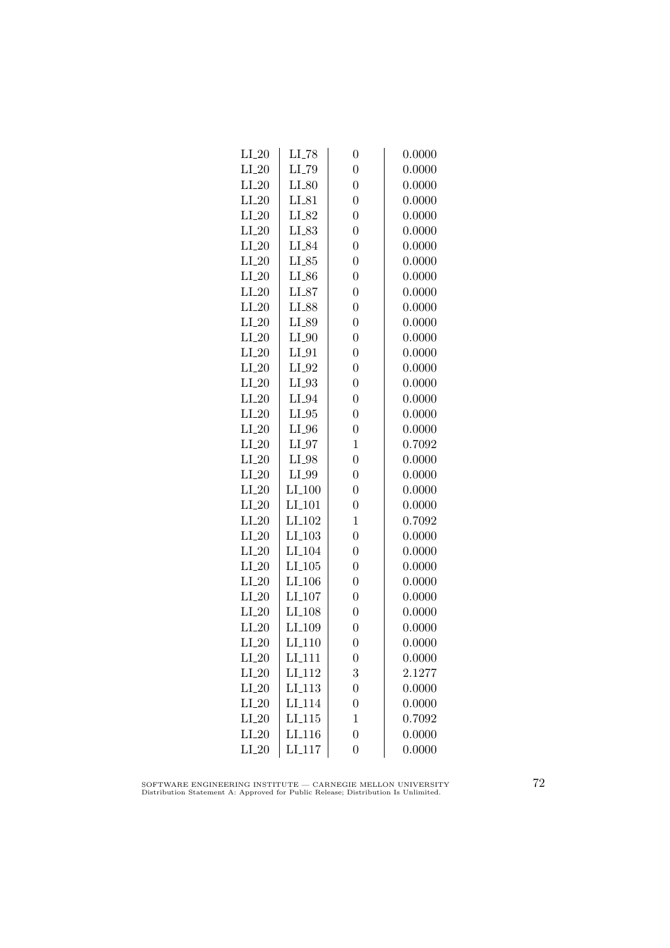| $LI$ <sub>-78</sub> | $\overline{0}$                             | 0.0000 |
|---------------------|--------------------------------------------|--------|
| LI_79               | $\overline{0}$                             | 0.0000 |
| $LI_80$             | $\overline{0}$                             | 0.0000 |
| $LI_81$             | $\overline{0}$                             | 0.0000 |
| LI_82               | $\overline{0}$                             | 0.0000 |
| LI_83               | $\overline{0}$                             | 0.0000 |
| LI_84               | $\overline{0}$                             | 0.0000 |
| $LI_85$             | $\overline{0}$                             | 0.0000 |
| $LI_86$             | $\overline{0}$                             | 0.0000 |
| $LI_87$             | $\overline{0}$                             | 0.0000 |
| LI_88               | $\overline{0}$                             | 0.0000 |
| LI_89               | $\overline{0}$                             | 0.0000 |
| $LI_0$              | $\overline{0}$                             | 0.0000 |
| $LI_01$             | $\overline{0}$                             | 0.0000 |
| $LI_02$             | $\overline{0}$                             | 0.0000 |
| $LI_03$             | $\overline{0}$                             | 0.0000 |
| $LI_04$             | $\overline{0}$                             | 0.0000 |
| $LI_05$             | $\overline{0}$                             | 0.0000 |
| $LI_0$              | $\overline{0}$                             | 0.0000 |
| $LI_0$              | $\mathbf{1}$                               | 0.7092 |
| $LI_98$             | $\overline{0}$                             | 0.0000 |
| $LI_99$             | $\overline{0}$                             | 0.0000 |
| $LI_100$            | $\overline{0}$                             | 0.0000 |
| LI <sub>-101</sub>  | $\overline{0}$                             | 0.0000 |
| $LI_102$            | $\mathbf{1}$                               | 0.7092 |
| LI <sub>-103</sub>  | $\overline{0}$                             | 0.0000 |
| LI <sub>-104</sub>  | $\overline{0}$                             | 0.0000 |
| $LI_105$            | $\overline{0}$                             | 0.0000 |
|                     | $\overline{0}$                             | 0.0000 |
| LI <sub>-107</sub>  | $\overline{0}$                             | 0.0000 |
| LI <sub>-108</sub>  | $\overline{0}$                             | 0.0000 |
| LI <sub>-109</sub>  | $\overline{0}$                             | 0.0000 |
| LI <sub>-110</sub>  | $\overline{0}$                             | 0.0000 |
| LI <sub>-111</sub>  | $\boldsymbol{0}$                           | 0.0000 |
| LI <sub>-112</sub>  | 3                                          | 2.1277 |
| $LI_113$            | $\overline{0}$                             | 0.0000 |
| LI <sub>-114</sub>  | $\overline{0}$                             | 0.0000 |
| LI <sub>-115</sub>  | 1                                          | 0.7092 |
| LI <sub>-116</sub>  | $\overline{0}$                             | 0.0000 |
|                     | $\overline{0}$                             | 0.0000 |
|                     | $LI$ <sub>-106</sub><br>LI <sub>-117</sub> |        |

SOFTWARE ENGINEERING INSTITUTE — CARNEGIE MELLON UNIVERSITY Distribution Statement A: Approved for Public Release; Distribution Is Unlimited.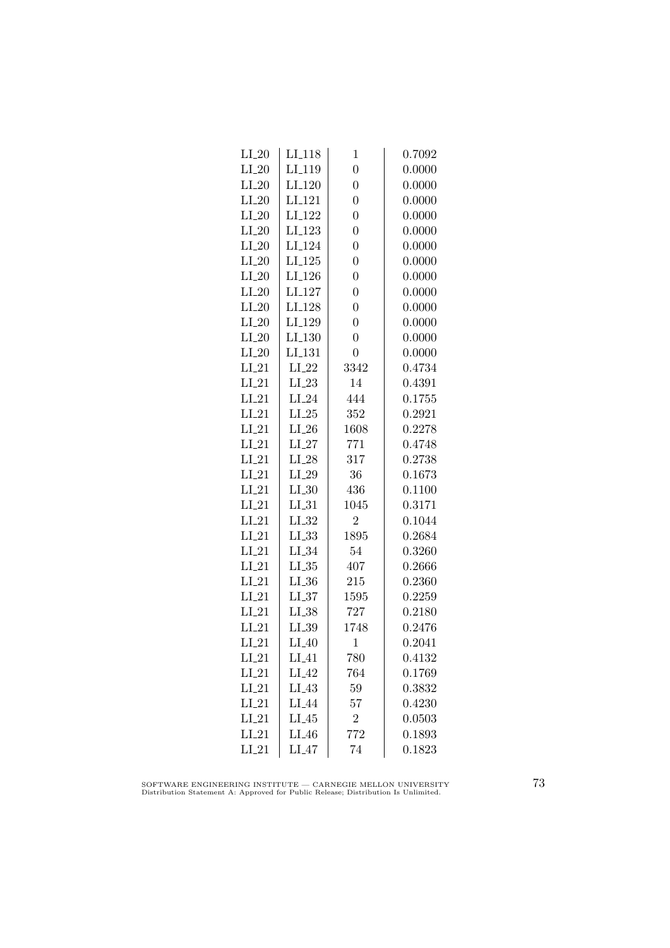| $LI_20$ | LI <sub>-118</sub> | $\mathbf 1$    | 0.7092 |
|---------|--------------------|----------------|--------|
| $LI_20$ | LI <sub>-119</sub> | $\overline{0}$ | 0.0000 |
| $LI_20$ | LI <sub>-120</sub> | $\overline{0}$ | 0.0000 |
| $LI_20$ | LI <sub>-121</sub> | $\overline{0}$ | 0.0000 |
| $LI_20$ | LI <sub>-122</sub> | $\overline{0}$ | 0.0000 |
| $LI_20$ | $LI_123$           | $\overline{0}$ | 0.0000 |
| $LI_20$ | LI <sub>-124</sub> | $\overline{0}$ | 0.0000 |
| $LI_20$ | $LI-125$           | $\overline{0}$ | 0.0000 |
| $LI_20$ | LI <sub>-126</sub> | $\overline{0}$ | 0.0000 |
| $LI_20$ | LI <sub>-127</sub> | $\overline{0}$ | 0.0000 |
| $LI_20$ | LI <sub>-128</sub> | $\overline{0}$ | 0.0000 |
| $LI_20$ | LI <sub>-129</sub> | $\overline{0}$ | 0.0000 |
| $LI_20$ | LI <sub>-130</sub> | $\overline{0}$ | 0.0000 |
| $LI_20$ | LI <sub>-131</sub> | $\overline{0}$ | 0.0000 |
| $LI_21$ | $LI_22$            | 3342           | 0.4734 |
| $LI_21$ | $LI_23$            | 14             | 0.4391 |
| $LI_21$ | $LI_24$            | 444            | 0.1755 |
| $LI_21$ | $LI_25$            | 352            | 0.2921 |
| $LI_21$ | $LI_26$            | 1608           | 0.2278 |
| $LI_21$ | $LI_27$            | 771            | 0.4748 |
| $LI_21$ | $LI_28$            | 317            | 0.2738 |
| $LI_21$ | $LI_29$            | 36             | 0.1673 |
| $LI_21$ | $LI_30$            | 436            | 0.1100 |
| $LI_21$ | LL31               | 1045           | 0.3171 |
| $LI_21$ | $LI_32$            | $\overline{2}$ | 0.1044 |
| $LI_21$ | $LI_33$            | 1895           | 0.2684 |
| $LI_21$ | $LI_34$            | 54             | 0.3260 |
| $LI_21$ | $LL_{.35}$         | 407            | 0.2666 |
| $LI_21$ | $LL_{.36}$         | 215            | 0.2360 |
| $LI_21$ | $LL_{.37}$         | 1595           | 0.2259 |
| $LI_21$ | $LI_38$            | 727            | 0.2180 |
| $LI_21$ | LL39               | 1748           | 0.2476 |
| $LI_21$ | $LI_40$            | $\mathbf 1$    | 0.2041 |
| $LI_21$ | $LI_41$            | 780            | 0.4132 |
| $LI_21$ | $LI_42$            | 764            | 0.1769 |
| $LI_21$ | $LI_43$            | 59             | 0.3832 |
| $LI_21$ | $LI_44$            | 57             | 0.4230 |
| $LI_21$ | $LI_45$            | $\overline{2}$ | 0.0503 |
| $LI_21$ | $LI_46$            | 772            | 0.1893 |
| $LI_21$ | $LI_47$            | 74             | 0.1823 |

SOFTWARE ENGINEERING INSTITUTE — CARNEGIE MELLON UNIVERSITY Distribution Statement A: Approved for Public Release; Distribution Is Unlimited.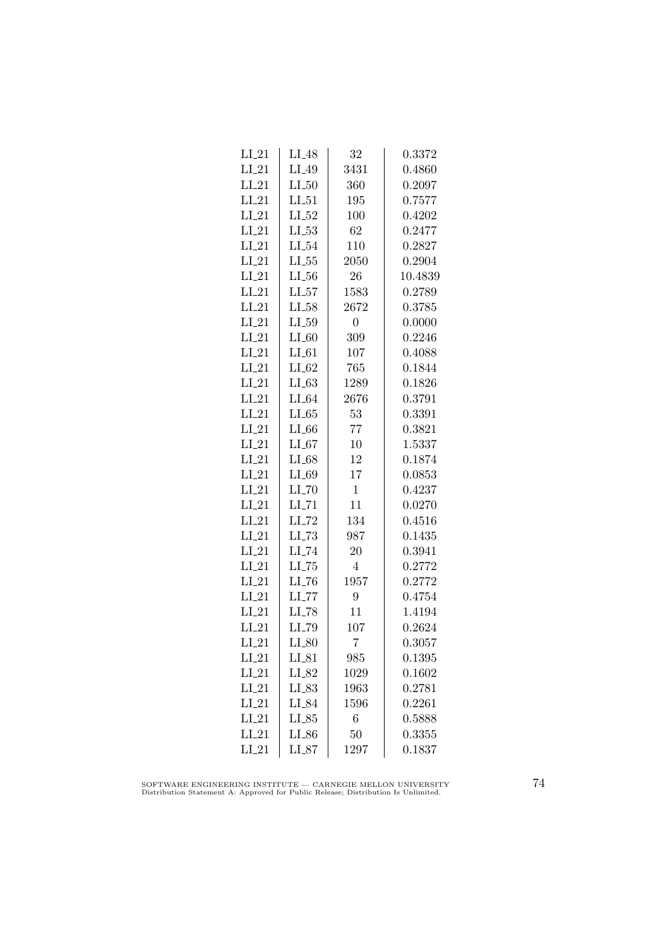| $LI_21$ | $LI_48$             | 32               | 0.3372  |
|---------|---------------------|------------------|---------|
| $LI_21$ | $LI_49$             | 3431             | 0.4860  |
| $LI_21$ | $LI_50$             | 360              | 0.2097  |
| $LI_21$ | $LI_51$             | 195              | 0.7577  |
| $LI_21$ | $LI_52$             | 100              | 0.4202  |
| $LI_21$ | $LI_53$             | 62               | 0.2477  |
| $LI_21$ | $LI_54$             | 110              | 0.2827  |
| $LI_21$ | $LL-55$             | 2050             | 0.2904  |
| $LI_21$ | $LL_{.56}$          | 26               | 10.4839 |
| $LI_21$ | LL57                | 1583             | 0.2789  |
| $LI_21$ | $LI_58$             | 2672             | 0.3785  |
| $LI_21$ | LL59                | $\boldsymbol{0}$ | 0.0000  |
| $LI_21$ | $LI_60$             | 309              | 0.2246  |
| $LI_21$ | $LI_61$             | 107              | 0.4088  |
| $LI_21$ | $LI_62$             | 765              | 0.1844  |
| $LI_21$ | $LI_63$             | 1289             | 0.1826  |
| $LI_21$ | $LI_64$             | 2676             | 0.3791  |
| $LI_21$ | $LI_65$             | 53               | 0.3391  |
| $LI_21$ | $LI_66$             | 77               | 0.3821  |
| $LI_21$ | $LI_67$             | 10               | 1.5337  |
| $LI_21$ | $LI_68$             | 12               | 0.1874  |
| $LI_21$ | $LI_69$             | 17               | 0.0853  |
| $LI_21$ | $LI$ <sub>-70</sub> | $\mathbf{1}$     | 0.4237  |
| $LI_21$ | $LI$ <sub>-71</sub> | 11               | 0.0270  |
| $LI_21$ | LI_72               | 134              | 0.4516  |
| $LI_21$ | $LL-73$             | 987              | 0.1435  |
| $LI_21$ | LI_74               | 20               | 0.3941  |
| $LI_21$ | $LI$ <sub>-75</sub> | $\overline{4}$   | 0.2772  |
| $LI_21$ | $LI$ <sub>-76</sub> | 1957             | 0.2772  |
| $LI_21$ | $LI$ <sub>-77</sub> | 9                | 0.4754  |
| $LI_21$ | LI_78               | 11               | 1.4194  |
| $LI_21$ | LI_79               | 107              | 0.2624  |
| $LI_21$ | $LI_80$             | $\overline{7}$   | 0.3057  |
| $LI_21$ | $LI_81$             | 985              | 0.1395  |
| $LI_21$ | LI_82               | 1029             | 0.1602  |
| $LI_21$ | $LI_83$             | 1963             | 0.2781  |
| $LI_21$ | LI_84               | 1596             | 0.2261  |
| $LI_21$ | LL85                | 6                | 0.5888  |
| $LI_21$ | $LI_86$             | 50               | 0.3355  |
| $LI_21$ | $LI_87$             | 1297             | 0.1837  |

SOFTWARE ENGINEERING INSTITUTE — CARNEGIE MELLON UNIVERSITY Distribution Statement A: Approved for Public Release; Distribution Is Unlimited.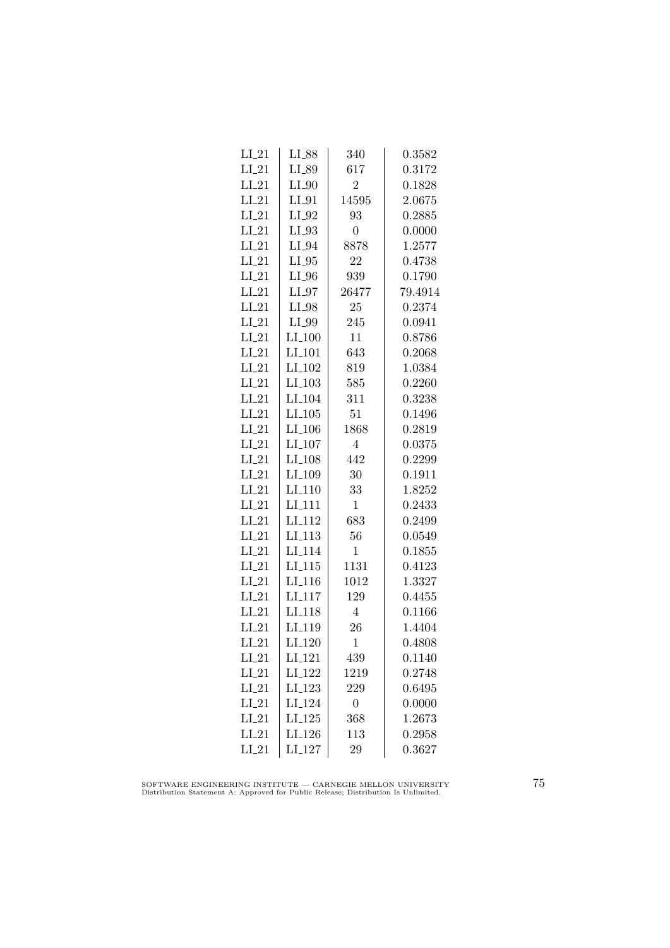| LI_88                | 340                                        | ${ 0.3582}$ |
|----------------------|--------------------------------------------|-------------|
| $LI_89$              | 617                                        | 0.3172      |
| $LI_0$               | $\overline{2}$                             | 0.1828      |
| $LI_01$              | 14595                                      | 2.0675      |
| $LI_02$              | 93                                         | 0.2885      |
| $LI_93$              | $\boldsymbol{0}$                           | 0.0000      |
| $LI_04$              | 8878                                       | 1.2577      |
| $LI_05$              | 22                                         | 0.4738      |
| $LI_0$               | 939                                        | 0.1790      |
| $LI_97$              | 26477                                      | 79.4914     |
| $LI_98$              | 25                                         | 0.2374      |
| LI_99                | 245                                        | 0.0941      |
| $LI_100$             | 11                                         | 0.8786      |
| $LI_101$             | 643                                        | 0.2068      |
| LI <sub>-102</sub>   | 819                                        | 1.0384      |
| $LI$ <sub>-103</sub> | 585                                        | 0.2260      |
| LI <sub>-104</sub>   | 311                                        | 0.3238      |
|                      | 51                                         | 0.1496      |
| $LI_106$             | 1868                                       | 0.2819      |
| $LI_107$             | $\overline{4}$                             | 0.0375      |
| $LI_108$             | 442                                        | 0.2299      |
| LI <sub>-109</sub>   | 30                                         | 0.1911      |
| LI <sub>-110</sub>   | 33                                         | 1.8252      |
| LI <sub>-111</sub>   | $\mathbf{1}$                               | 0.2433      |
| LI <sub>112</sub>    | 683                                        | 0.2499      |
| LI <sub>113</sub>    |                                            | 0.0549      |
| LI <sub>-114</sub>   | $\mathbf 1$                                | 0.1855      |
| $LI_115$             | 1131                                       | 0.4123      |
|                      | 1012                                       | 1.3327      |
| LI <sub>-117</sub>   | 129                                        | 0.4455      |
| LI <sub>-118</sub>   | $\overline{4}$                             | 0.1166      |
| LI_119               | 26                                         | 1.4404      |
| LI <sub>-120</sub>   | $\mathbf{1}$                               | 0.4808      |
| LI <sub>-121</sub>   | 439                                        | 0.1140      |
| LI <sub>-122</sub>   | 1219                                       | 0.2748      |
| LI <sub>-123</sub>   | 229                                        | 0.6495      |
| LI <sub>-124</sub>   | $\boldsymbol{0}$                           | 0.0000      |
| $LI_125$             | 368                                        | 1.2673      |
| LI <sub>-126</sub>   | 113                                        | 0.2958      |
| $LI_127$             | 29                                         | 0.3627      |
|                      | $LI$ <sub>-105</sub><br>LI <sub>-116</sub> | 56          |

SOFTWARE ENGINEERING INSTITUTE — CARNEGIE MELLON UNIVERSITY Distribution Statement A: Approved for Public Release; Distribution Is Unlimited.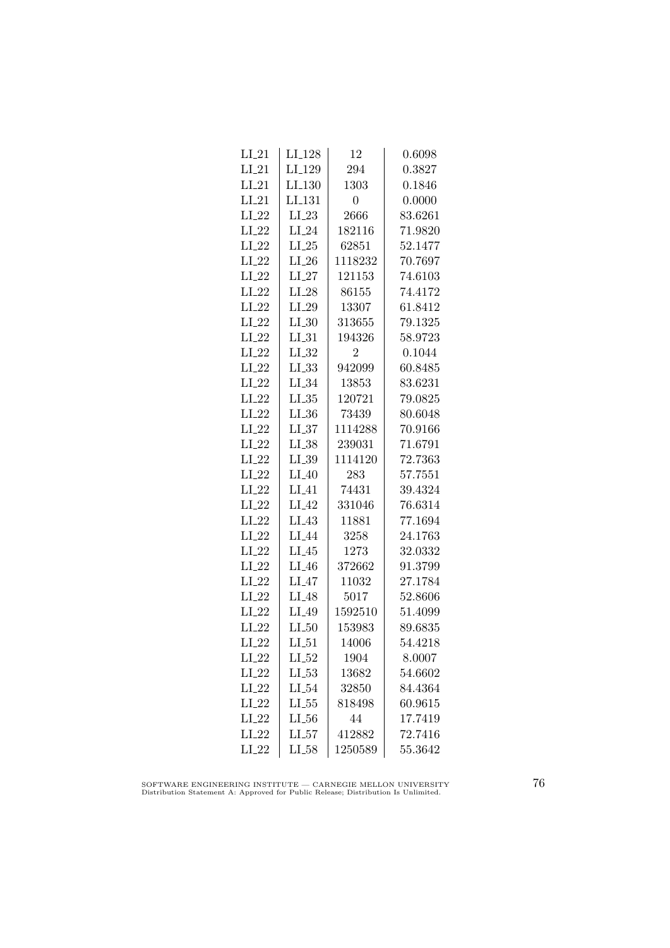| $LI_21$ | LI <sub>-128</sub> | 12             | 0.6098  |
|---------|--------------------|----------------|---------|
| $LI_21$ | LI <sub>-129</sub> | 294            | 0.3827  |
| $LI_21$ | LI <sub>-130</sub> | 1303           | 0.1846  |
| $LI_21$ | LI <sub>-131</sub> | 0              | 0.0000  |
| $LI_22$ | $LI_23$            | 2666           | 83.6261 |
| $LI_22$ | $LI_24$            | 182116         | 71.9820 |
| $LI_22$ | $LI_25$            | 62851          | 52.1477 |
| $LI_22$ | $LI_26$            | 1118232        | 70.7697 |
| $LI_22$ | $LI_27$            | 121153         | 74.6103 |
| $LI_22$ | $LI_28$            | 86155          | 74.4172 |
| $LI_22$ | $LI_29$            | 13307          | 61.8412 |
| $LI_22$ | LL30               | 313655         | 79.1325 |
| $LI_22$ | $LI_31$            | 194326         | 58.9723 |
| $LI_22$ | $LI_32$            | $\overline{2}$ | 0.1044  |
| $LI_22$ | $LI_33$            | 942099         | 60.8485 |
| $LI_22$ | LL34               | 13853          | 83.6231 |
| $LI_22$ | $LL_{.35}$         | 120721         | 79.0825 |
| $LI_22$ | $LI_36$            | 73439          | 80.6048 |
| $LI_22$ | LL37               | 1114288        | 70.9166 |
| $LI_22$ | $LI_38$            | 239031         | 71.6791 |
| $LI_22$ | $LI_39$            | 1114120        | 72.7363 |
| $LI_22$ | $LI_40$            | 283            | 57.7551 |
| $LI_22$ | $LI_41$            | 74431          | 39.4324 |
| $LI_22$ | $LI_42$            | 331046         | 76.6314 |
| $LI_22$ | $LI_43$            | 11881          | 77.1694 |
| $LI_22$ | LI_44              | 3258           | 24.1763 |
| $LI_22$ | $LI_45$            | 1273           | 32.0332 |
| $LI_22$ | $LI_46$            | 372662         | 91.3799 |
| $LI_22$ | $LI_47$            | 11032          | 27.1784 |
| $LI_22$ | LI <sub>-48</sub>  | 5017           | 52.8606 |
| $LI_22$ | LI_49              | 1592510        | 51.4099 |
| $LI_22$ | $LI_50$            | 153983         | 89.6835 |
| $LI_22$ | $LI_51$            | 14006          | 54.4218 |
| $LI_22$ | $LI_52$            | 1904           | 8.0007  |
| $LI_22$ | $LL_{.53}$         | 13682          | 54.6602 |
| $LI_22$ | LL54               | 32850          | 84.4364 |
| $LI_22$ | $LL_{.55}$         | 818498         | 60.9615 |
| $LI_22$ | $LL_{.56}$         | 44             | 17.7419 |
| $LI_22$ | $LL_{57}$          | 412882         | 72.7416 |
| $LI_22$ | $LI_58$            | 1250589        | 55.3642 |

SOFTWARE ENGINEERING INSTITUTE — CARNEGIE MELLON UNIVERSITY Distribution Statement A: Approved for Public Release; Distribution Is Unlimited.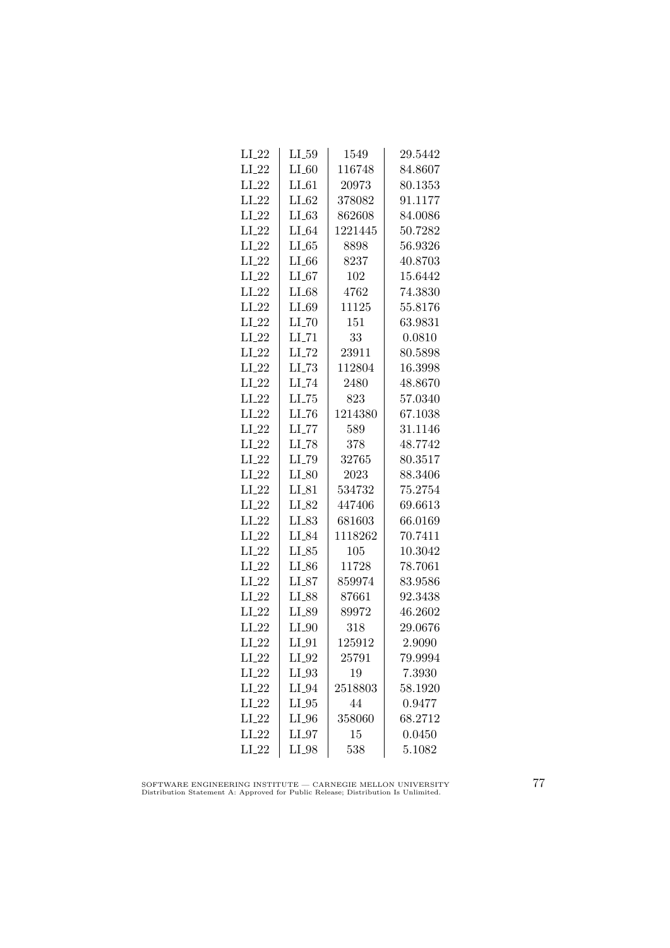| $LI_22$ | $LI_59$             | 1549    | 29.5442 |
|---------|---------------------|---------|---------|
| $LI_22$ | $LI_60$             | 116748  | 84.8607 |
| $LI_22$ | $LI_61$             | 20973   | 80.1353 |
| $LI_22$ | $LI_62$             | 378082  | 91.1177 |
| $LI_22$ | LL63                | 862608  | 84.0086 |
| $LI_22$ | $LI_64$             | 1221445 | 50.7282 |
| $LI_22$ | LL65                | 8898    | 56.9326 |
| $LI_22$ | $LI_66$             | 8237    | 40.8703 |
| $LI_22$ | $LI_67$             | 102     | 15.6442 |
| $LI_22$ | LI_68               | 4762    | 74.3830 |
| $LI_22$ | LI_69               | 11125   | 55.8176 |
| $LI_22$ | $LI$ <sub>-70</sub> | 151     | 63.9831 |
| $LI_22$ | $LI$ <sub>-71</sub> | 33      | 0.0810  |
| $LI_22$ | $LI$ <sub>-72</sub> | 23911   | 80.5898 |
| $LI_22$ | $LL-73$             | 112804  | 16.3998 |
| $LI_22$ | $LI$ <sub>-74</sub> | 2480    | 48.8670 |
| $LI_22$ | $LL-75$             | 823     | 57.0340 |
| $LI_22$ | LL76                | 1214380 | 67.1038 |
| $LI_22$ | LL77                | 589     | 31.1146 |
| $LI_22$ | $LI$ <sub>-78</sub> | 378     | 48.7742 |
| $LI_22$ | $LI$ <sub>-79</sub> | 32765   | 80.3517 |
| $LI_22$ | $LI_80$             | 2023    | 88.3406 |
| $LI_22$ | $LI_81$             | 534732  | 75.2754 |
| $LI_22$ | LI_82               | 447406  | 69.6613 |
| $LI_22$ | $LI_83$             | 681603  | 66.0169 |
| $LI_22$ | LI_84               | 1118262 | 70.7411 |
| $LI_22$ | $LI_85$             | 105     | 10.3042 |
| $LI_22$ | $LI_86$             | 11728   | 78.7061 |
| $LI_22$ | $LI_87$             | 859974  | 83.9586 |
| $LI_22$ | LI_88               | 87661   | 92.3438 |
| $LI_22$ | LI_89               | 89972   | 46.2602 |
| $LI_22$ | $LI_0$              | 318     | 29.0676 |
| $LI_22$ | $LI_01$             | 125912  | 2.9090  |
| $LI_22$ | $LI_02$             | 25791   | 79.9994 |
| $LI_22$ | $LI_03$             | 19      | 7.3930  |
| $LI_22$ | $LI_04$             | 2518803 | 58.1920 |
| $LI_22$ | $LI_05$             | 44      | 0.9477  |
| $LI_22$ | $LI_0$              | 358060  | 68.2712 |
| $LI_22$ | $LI_07$             | 15      | 0.0450  |
| $LI_22$ | LI_98               | 538     | 5.1082  |

SOFTWARE ENGINEERING INSTITUTE — CARNEGIE MELLON UNIVERSITY Distribution Statement A: Approved for Public Release; Distribution Is Unlimited.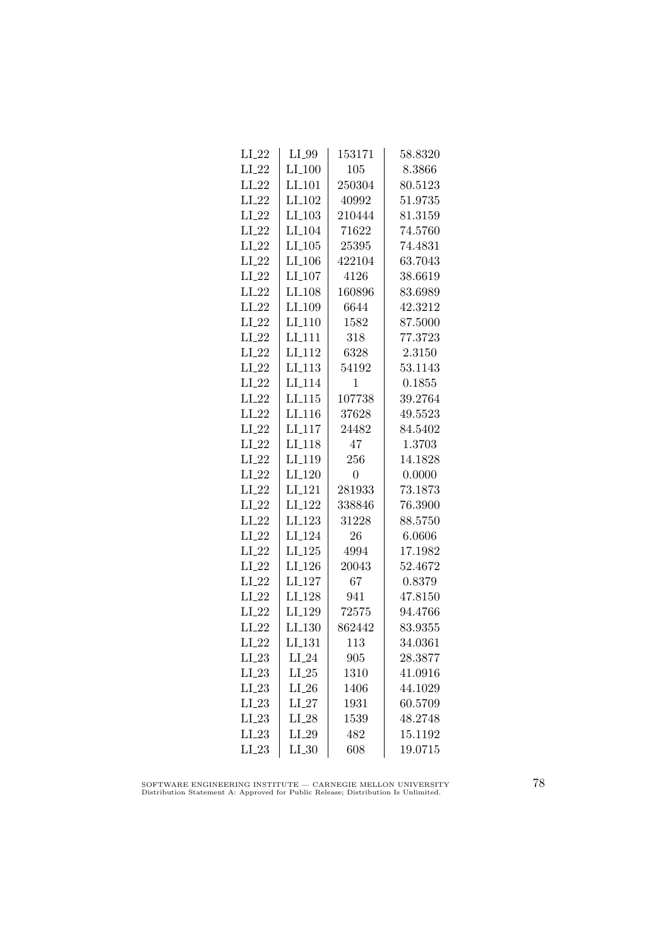| $LI_22$ | $LI_99$              | 153171         | 58.8320 |
|---------|----------------------|----------------|---------|
| $LI_22$ | $LI_100$             | 105            | 8.3866  |
| $LI_22$ | $LI_101$             | 250304         | 80.5123 |
| $LI_22$ | LI <sub>-102</sub>   | 40992          | 51.9735 |
| $LI_22$ | $LI_103$             | 210444         | 81.3159 |
| $LI_22$ | $LI$ <sub>-104</sub> | 71622          | 74.5760 |
| $LI_22$ | $LI_105$             | 25395          | 74.4831 |
| $LI_22$ | $LI_106$             | 422104         | 63.7043 |
| $LI_22$ | LI <sub>-107</sub>   | 4126           | 38.6619 |
| $LI_22$ | LI <sub>-108</sub>   | 160896         | 83.6989 |
| $LI_22$ | LI <sub>-109</sub>   | 6644           | 42.3212 |
| $LI_22$ | LI <sub>-110</sub>   | 1582           | 87.5000 |
| $LI_22$ | $LI-111$             | 318            | 77.3723 |
| $LI_22$ | LI <sub>-112</sub>   | 6328           | 2.3150  |
| $LI_22$ | $LI$ <sub>-113</sub> | 54192          | 53.1143 |
| $LI_22$ | LI <sub>-114</sub>   | 1              | 0.1855  |
| $LI_22$ | LI.115               | 107738         | 39.2764 |
| $LI_22$ | LI <sub>-116</sub>   | 37628          | 49.5523 |
| $LI_22$ | LI <sub>117</sub>    | 24482          | 84.5402 |
| $LI_22$ | LI <sub>-118</sub>   | 47             | 1.3703  |
| $LI_22$ | LI <sub>-119</sub>   | 256            | 14.1828 |
| $LI_22$ | LI <sub>-120</sub>   | $\overline{0}$ | 0.0000  |
| $LI_22$ | LI <sub>-121</sub>   | 281933         | 73.1873 |
| $LI_22$ | LI <sub>-122</sub>   | 338846         | 76.3900 |
| $LI_22$ | LI <sub>-123</sub>   | 31228          | 88.5750 |
| $LI_22$ | $LI_124$             | 26             | 6.0606  |
| $LI_22$ | $LI_125$             | 4994           | 17.1982 |
| $LI_22$ | $LI_126$             | 20043          | 52.4672 |
| $LI_22$ | $LI_127$             | 67             | 0.8379  |
| $LI_22$ | LI <sub>-128</sub>   | 941            | 47.8150 |
| $LI_22$ | LI <sub>-129</sub>   | 72575          | 94.4766 |
| $LI_22$ | LI_130               | 862442         | 83.9355 |
| $LI_22$ | LI.131               | 113            | 34.0361 |
| $LI_23$ | $LI_24$              | 905            | 28.3877 |
| $LI_23$ | $LI_25$              | 1310           | 41.0916 |
| $LI_23$ | $LI_26$              | 1406           | 44.1029 |
| $LI_23$ | $LI_27$              | 1931           | 60.5709 |
| $LI_23$ | $LI_28$              | 1539           | 48.2748 |
| $LI_23$ | $LI_29$              | 482            | 15.1192 |
| $LI_23$ | $LI_30$              | 608            | 19.0715 |

SOFTWARE ENGINEERING INSTITUTE — CARNEGIE MELLON UNIVERSITY Distribution Statement A: Approved for Public Release; Distribution Is Unlimited.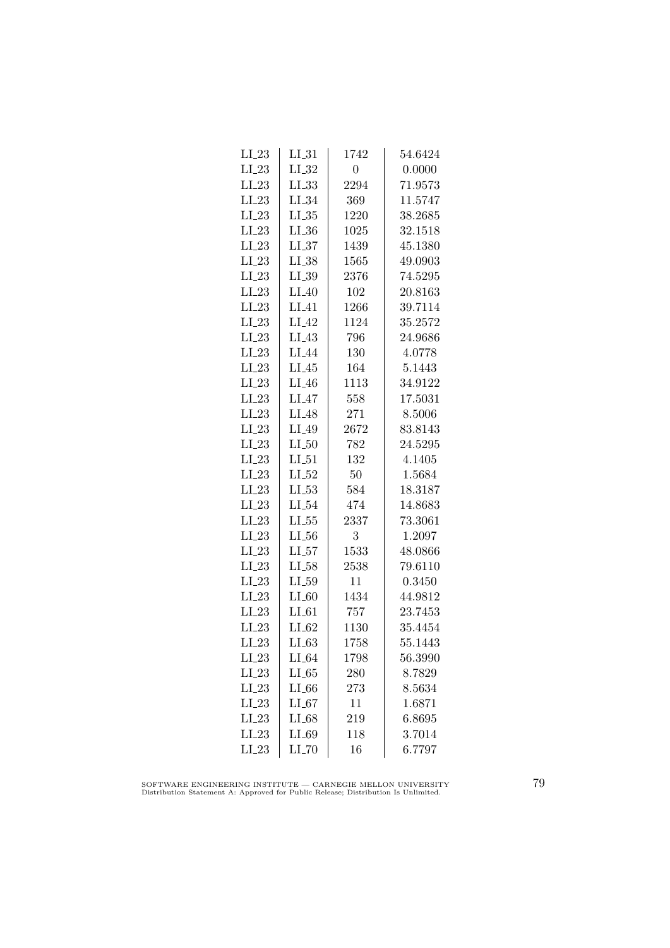| $LI_23$ | $LI_31$           | 1742           | 54.6424 |
|---------|-------------------|----------------|---------|
| $LI_23$ | $LI_32$           | $\overline{0}$ | 0.0000  |
| $LI_23$ | $LL_{.33}$        | 2294           | 71.9573 |
| $LI_23$ | $LI_34$           | 369            | 11.5747 |
| $LI_23$ | $LL_{.35}$        | 1220           | 38.2685 |
| $LI_23$ | $LI_36$           | 1025           | 32.1518 |
| $LI_23$ | $LL_{.37}$        | 1439           | 45.1380 |
| $LI_23$ | $LI_38$           | 1565           | 49.0903 |
| $LI_23$ | $LL_{.39}$        | 2376           | 74.5295 |
| $LI_23$ | $LI_40$           | 102            | 20.8163 |
| $LI_23$ | $LI_41$           | 1266           | 39.7114 |
| $LI_23$ | $LI_42$           | 1124           | 35.2572 |
| $LI_23$ | $LI_43$           | 796            | 24.9686 |
| $LI_23$ | $LI_44$           | 130            | 4.0778  |
| $LI_23$ | $LI_45$           | 164            | 5.1443  |
| $LI_23$ | $LI_46$           | 1113           | 34.9122 |
| $LI_23$ | $LI_47$           | 558            | 17.5031 |
| $LI_23$ | LI <sub>-48</sub> | 271            | 8.5006  |
| $LI_23$ | LI_49             | 2672           | 83.8143 |
| $LI_23$ | $LI_50$           | 782            | 24.5295 |
| $LI_23$ | $LI_51$           | 132            | 4.1405  |
| $LI_23$ | $LI_52$           | 50             | 1.5684  |
| $LI_23$ | $LL-53$           | 584            | 18.3187 |
| $LI_23$ | $LI_54$           | 474            | 14.8683 |
| $LI_23$ | $LI_55$           | 2337           | 73.3061 |
| $LI_23$ | $LL_{.56}$        | 3              | 1.2097  |
| $LI_23$ | $LL_{57}$         | 1533           | 48.0866 |
| $LI_23$ | $LI_58$           | 2538           | 79.6110 |
| $LI_23$ | $LI_59$           | 11             | 0.3450  |
| $LI_23$ | $LI_60$           | 1434           | 44.9812 |
| $LI_23$ | $LI_61$           | 757            | 23.7453 |
| $LI_23$ | $LI_62$           | 1130           | 35.4454 |
| $LI_23$ | $LI_63$           | 1758           | 55.1443 |
| $LI_23$ | $LI_64$           | 1798           | 56.3990 |
| $LI_23$ | $LI_65$           | 280            | 8.7829  |
| $LI_23$ | $LI_66$           | 273            | 8.5634  |
| $LI_23$ | $LI_67$           | 11             | 1.6871  |
| $LI_23$ | $LI_68$           | 219            | 6.8695  |
| $LI_23$ | LI_69             | 118            | 3.7014  |
| $LI_23$ | LI_70             | 16             | 6.7797  |

SOFTWARE ENGINEERING INSTITUTE — CARNEGIE MELLON UNIVERSITY Distribution Statement A: Approved for Public Release; Distribution Is Unlimited.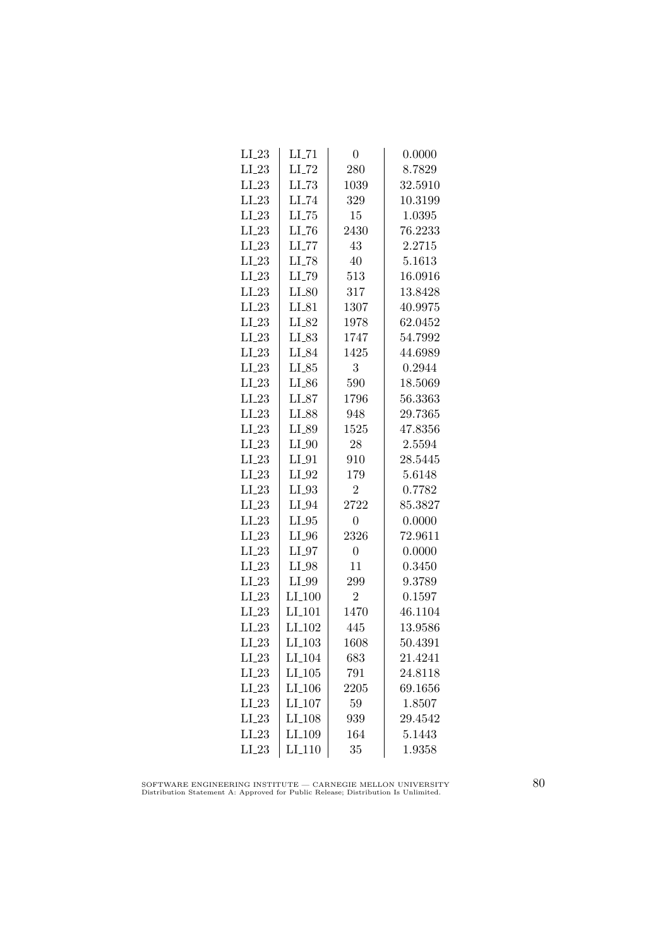| $LI_23$ | $LI$ <sub>-71</sub> | $\overline{0}$   | 0.0000  |
|---------|---------------------|------------------|---------|
| $LI_23$ | $LI$ <sub>-72</sub> | 280              | 8.7829  |
| $LI_23$ | $LL-73$             | 1039             | 32.5910 |
| $LI_23$ | LI_74               | 329              | 10.3199 |
| $LI_23$ | $LLI-75$            | 15               | 1.0395  |
| $LI_23$ | $LI$ <sub>-76</sub> | 2430             | 76.2233 |
| $LI_23$ | $LI$ <sub>-77</sub> | 43               | 2.2715  |
| $LI_23$ | $LI$ <sub>-78</sub> | 40               | 5.1613  |
| $LI_23$ | LI_79               | 513              | 16.0916 |
| $LI_23$ | $LI_80$             | 317              | 13.8428 |
| $LI_23$ | $LI_81$             | 1307             | 40.9975 |
| $LI_23$ | LI_82               | 1978             | 62.0452 |
| $LI_23$ | LI_83               | 1747             | 54.7992 |
| $LI_23$ | LI_84               | 1425             | 44.6989 |
| $LI_23$ | $LI_85$             | 3                | 0.2944  |
| $LI_23$ | $LI_86$             | 590              | 18.5069 |
| $LI_23$ | $LI_87$             | 1796             | 56.3363 |
| $LI_23$ | LI_88               | 948              | 29.7365 |
| $LI_23$ | LI_89               | 1525             | 47.8356 |
| $LI_23$ | $LI_0$              | 28               | 2.5594  |
| $LI_23$ | $LI_01$             | 910              | 28.5445 |
| $LI_23$ | $LI_02$             | 179              | 5.6148  |
| $LI_23$ | $LI_03$             | $\overline{2}$   | 0.7782  |
| $LI_23$ | $LI_04$             | 2722             | 85.3827 |
| $LI_23$ | $LI_05$             | $\boldsymbol{0}$ | 0.0000  |
| $LI_23$ | $LI_0$              | 2326             | 72.9611 |
| $LI_23$ | $LI_97$             | $\overline{0}$   | 0.0000  |
| $LI_23$ | $LI_98$             | 11               | 0.3450  |
| $LI_23$ | LI_99               | 299              | 9.3789  |
| $LI_23$ | $LI_100$            | $\overline{2}$   | 0.1597  |
| $LI_23$ | $LI$ <sub>101</sub> | 1470             | 46.1104 |
| $LI_23$ | LI <sub>-102</sub>  | 445              | 13.9586 |
| $LI_23$ | $LI$ <sub>103</sub> | 1608             | 50.4391 |
| $LI_23$ | LI <sub>-104</sub>  | 683              | 21.4241 |
| $LI_23$ | $LI_105$            | 791              | 24.8118 |
| $LI_23$ | $LI_106$            | 2205             | 69.1656 |
| $LI_23$ | LI <sub>-107</sub>  | 59               | 1.8507  |
| $LI_23$ | LI <sub>-108</sub>  | 939              | 29.4542 |
| $LI_23$ | LI <sub>-109</sub>  | 164              | 5.1443  |
| $LI_23$ | $LI_110$            | 35               | 1.9358  |

SOFTWARE ENGINEERING INSTITUTE — CARNEGIE MELLON UNIVERSITY Distribution Statement A: Approved for Public Release; Distribution Is Unlimited.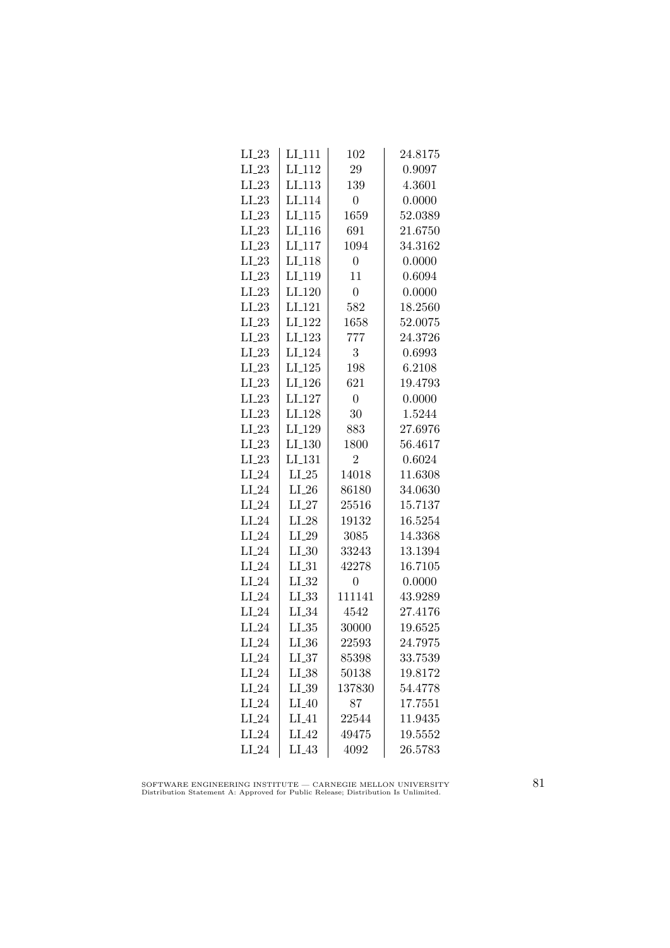| $LI_23$ | LI <sub>-111</sub>  | 102            | 24.8175 |
|---------|---------------------|----------------|---------|
| $LI_23$ | LI <sub>-112</sub>  | 29             | 0.9097  |
| $LI_23$ | LI <sub>-113</sub>  | 139            | 4.3601  |
| $LI_23$ | LI <sub>114</sub>   | $\overline{0}$ | 0.0000  |
| $LI_23$ | LI.115              | 1659           | 52.0389 |
| $LI_23$ | $LI$ <sub>116</sub> | 691            | 21.6750 |
| $LI_23$ | $LI_117$            | 1094           | 34.3162 |
| $LI_23$ | LI <sub>-118</sub>  | $\overline{0}$ | 0.0000  |
| $LI_23$ | LI <sub>-119</sub>  | 11             | 0.6094  |
| $LI_23$ | $LI_120$            | $\overline{0}$ | 0.0000  |
| $LI_23$ | LI <sub>-121</sub>  | 582            | 18.2560 |
| $LI_23$ | LI <sub>-122</sub>  | 1658           | 52.0075 |
| $LI_23$ | $LI_123$            | 777            | 24.3726 |
| $LI_23$ | LI <sub>-124</sub>  | 3              | 0.6993  |
| $LI_23$ | $LI_125$            | 198            | 6.2108  |
| $LI_23$ | LI <sub>-126</sub>  | 621            | 19.4793 |
| $LI_23$ | LI <sub>-127</sub>  | $\overline{0}$ | 0.0000  |
| $LI_23$ | LI <sub>-128</sub>  | 30             | 1.5244  |
| $LI_23$ | LI <sub>-129</sub>  | 883            | 27.6976 |
| $LI_23$ | LI <sub>-130</sub>  | 1800           | 56.4617 |
| $LI_23$ | $LI_131$            | $\overline{2}$ | 0.6024  |
| $LI_24$ | $LI_25$             | 14018          | 11.6308 |
| $LI_24$ | $LI_26$             | 86180          | 34.0630 |
| $LI_24$ | $LI_27$             | 25516          | 15.7137 |
| $LI_24$ | $LI_28$             | 19132          | 16.5254 |
| $LI_24$ | $LI_29$             | 3085           | 14.3368 |
| $LI_24$ | $LI_30$             | 33243          | 13.1394 |
| $LI_24$ | $LI_31$             | 42278          | 16.7105 |
| $LI_24$ | $LI_32$             | 0              | 0.0000  |
| $LI_24$ | $LL_{.33}$          | 111141         | 43.9289 |
| $LI_24$ | $LI_34$             | 4542           | 27.4176 |
| $LI_24$ | LL35                | 30000          | 19.6525 |
| $LI_24$ | $LI_36$             | 22593          | 24.7975 |
| $LI_24$ | $LI_37$             | 85398          | 33.7539 |
| $LI_24$ | $LL_{.38}$          | 50138          | 19.8172 |
| $LI_24$ | LI_39               | 137830         | 54.4778 |
| $LI_24$ | $LI_40$             | 87             | 17.7551 |
| $LI_24$ | $LI_41$             | 22544          | 11.9435 |
| $LI_24$ | LI <sub>-42</sub>   | 49475          | 19.5552 |
| $LI_24$ | $LI_43$             | 4092           | 26.5783 |

SOFTWARE ENGINEERING INSTITUTE — CARNEGIE MELLON UNIVERSITY Distribution Statement A: Approved for Public Release; Distribution Is Unlimited.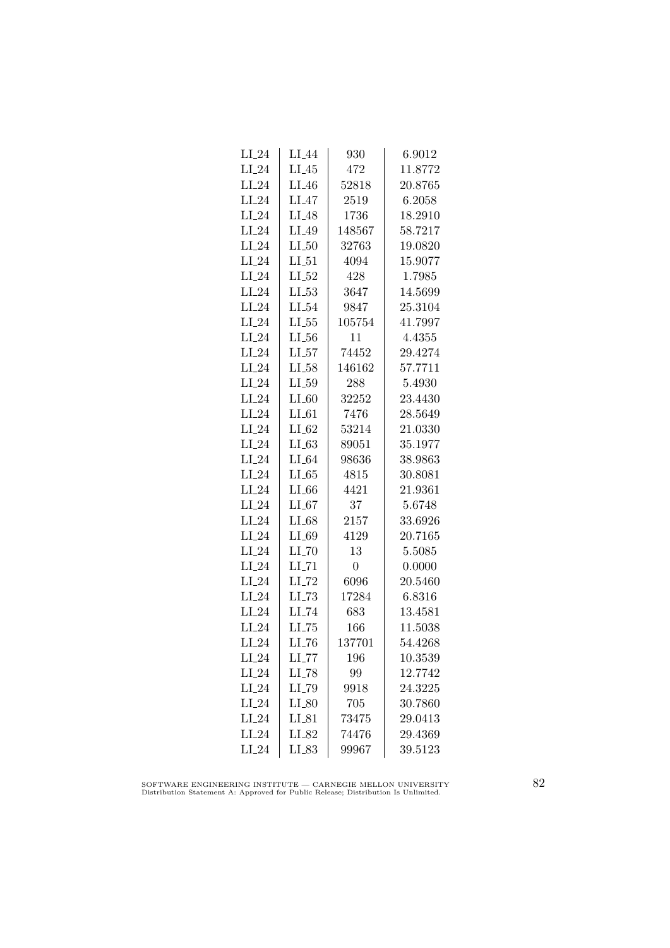| $LI_24$ | LI <sub>-</sub> 44  | 930            | 6.9012  |
|---------|---------------------|----------------|---------|
| $LI_24$ | $LI_45$             | 472            | 11.8772 |
| $LI_24$ | $LI_46$             | 52818          | 20.8765 |
| $LI_24$ | $LI_47$             | 2519           | 6.2058  |
| $LI_24$ | LI <sub>48</sub>    | 1736           | 18.2910 |
| $LI_24$ | LI_49               | 148567         | 58.7217 |
| $LI_24$ | $LI_50$             | 32763          | 19.0820 |
| $LI_24$ | $LI_51$             | 4094           | 15.9077 |
| $LI_24$ | $LI_52$             | 428            | 1.7985  |
| $LI_24$ | $LL_{-53}$          | 3647           | 14.5699 |
| $LI_24$ | $LI_54$             | 9847           | 25.3104 |
| $LI_24$ | $LL_{.55}$          | 105754         | 41.7997 |
| $LI_24$ | $LL_{.56}$          | 11             | 4.4355  |
| $LI_24$ | $LI_57$             | 74452          | 29.4274 |
| $LI_24$ | $LL-58$             | 146162         | 57.7711 |
| $LI_24$ | $LI_59$             | 288            | 5.4930  |
| $LI_24$ | $LI_60$             | 32252          | 23.4430 |
| $LI_24$ | $LI_61$             | 7476           | 28.5649 |
| $LI_24$ | $LI_62$             | 53214          | 21.0330 |
| $LI_24$ | LL63                | 89051          | 35.1977 |
| $LI_24$ | $LI_64$             | 98636          | 38.9863 |
| $LI_24$ | $LL-65$             | 4815           | 30.8081 |
| $LI_24$ | $LI_66$             | 4421           | 21.9361 |
| $LI_24$ | LL67                | 37             | 5.6748  |
| $LI_24$ | $LI_68$             | 2157           | 33.6926 |
| $LI_24$ | LI_69               | 4129           | 20.7165 |
| $LI_24$ | $LI$ <sub>-70</sub> | 13             | 5.5085  |
| $LI_24$ | $LI$ <sub>-71</sub> | $\overline{0}$ | 0.0000  |
| $LI_24$ | $LI$ <sub>-72</sub> | 6096           | 20.5460 |
| $LI_24$ | $LL-73$             | 17284          | 6.8316  |
| $LI_24$ | LI_74               | 683            | 13.4581 |
| $LI_24$ | LL75                | 166            | 11.5038 |
| $LI_24$ | $LI$ <sub>-76</sub> | 137701         | 54.4268 |
| $LI_24$ | $LI$ <sub>-77</sub> | 196            | 10.3539 |
| $LI_24$ | $LI$ <sub>-78</sub> | 99             | 12.7742 |
| $LI_24$ | LI_79               | 9918           | 24.3225 |
| $LI_24$ | $LI_80$             | 705            | 30.7860 |
| $LI_24$ | $LI_81$             | 73475          | 29.0413 |
| $LI_24$ | LI_82               | 74476          | 29.4369 |
| $LI_24$ | LI_83               | 99967          | 39.5123 |

SOFTWARE ENGINEERING INSTITUTE — CARNEGIE MELLON UNIVERSITY Distribution Statement A: Approved for Public Release; Distribution Is Unlimited.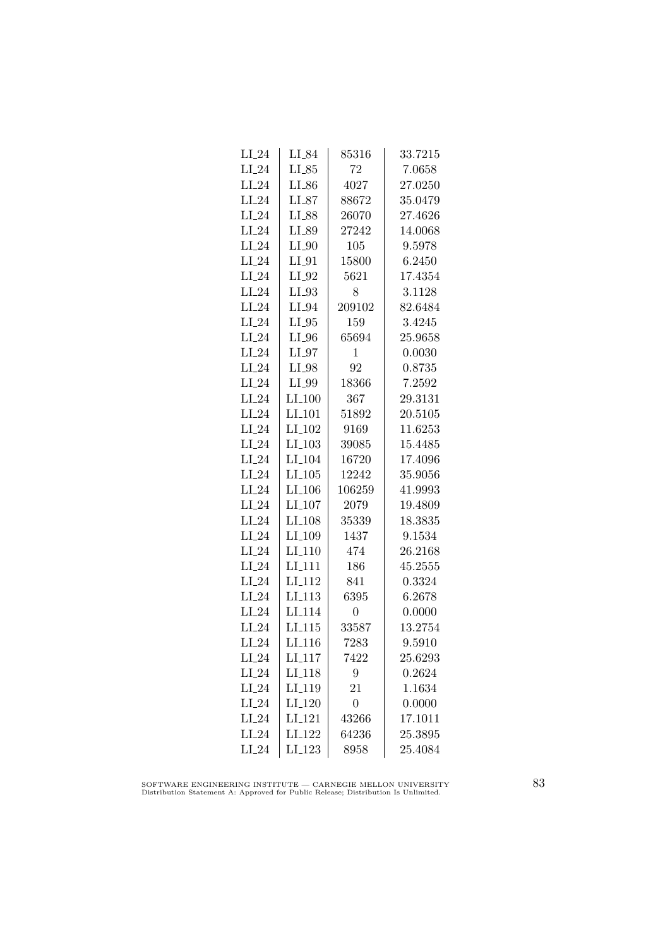| $LI_24$ | LI_84                | $85316\,$      | 33.7215 |
|---------|----------------------|----------------|---------|
| $LI_24$ | $LI_85$              | 72             | 7.0658  |
| $LI_24$ | $LI_86$              | 4027           | 27.0250 |
| $LI_24$ | $LI_87$              | 88672          | 35.0479 |
| $LI_24$ | LI_88                | 26070          | 27.4626 |
| $LI_24$ | LI_89                | 27242          | 14.0068 |
| $LI_24$ | $LI_0$               | 105            | 9.5978  |
| $LI_24$ | $LI_0$               | 15800          | 6.2450  |
| $LI_24$ | $LI_02$              | 5621           | 17.4354 |
| $LI_24$ | $LI_93$              | 8              | 3.1128  |
| $LI_24$ | $LI_04$              | 209102         | 82.6484 |
| $LI_24$ | $LI_05$              | 159            | 3.4245  |
| $LI_24$ | $LI_0$               | 65694          | 25.9658 |
| $LI_24$ | $LI_07$              | 1              | 0.0030  |
| $LI_24$ | $LI_98$              | 92             | 0.8735  |
| $LI_24$ | $LI_99$              | 18366          | 7.2592  |
| $LI_24$ | $LI_100$             | 367            | 29.3131 |
| $LI_24$ | $LI$ <sub>-101</sub> | 51892          | 20.5105 |
| $LI_24$ | $LI_102$             | 9169           | 11.6253 |
| $LI_24$ | LI <sub>-103</sub>   | 39085          | 15.4485 |
| $LI_24$ | $LI_104$             | 16720          | 17.4096 |
| $LI_24$ | $LI_105$             | 12242          | 35.9056 |
| $LI_24$ | $LI_106$             | 106259         | 41.9993 |
| $LI_24$ | $LI_107$             | 2079           | 19.4809 |
| $LI_24$ | LI <sub>-108</sub>   | 35339          | 18.3835 |
| $LI_24$ | LI <sub>-109</sub>   | 1437           | 9.1534  |
| $LI_24$ | $LI_110$             | 474            | 26.2168 |
| $LI_24$ | $LI_111$             | 186            | 45.2555 |
| $LI_24$ | $LI-112$             | 841            | 0.3324  |
| $LI_24$ | $LI-113$             | 6395           | 6.2678  |
| $LI_24$ | LI <sub>-114</sub>   | 0              | 0.0000  |
| $LI_24$ | LL115                | 33587          | 13.2754 |
| $LI_24$ | LI <sub>-116</sub>   | 7283           | 9.5910  |
| $LI_24$ | $LI_117$             | 7422           | 25.6293 |
| $LI_24$ | LI <sub>-118</sub>   | 9              | 0.2624  |
| $LI_24$ | LI <sub>-119</sub>   | 21             | 1.1634  |
| $LI_24$ | LI <sub>-120</sub>   | $\overline{0}$ | 0.0000  |
| $LI_24$ | LI <sub>-121</sub>   | 43266          | 17.1011 |
| $LI_24$ | LI <sub>-122</sub>   | 64236          | 25.3895 |
| $LI_24$ | $LI_123$             | 8958           | 25.4084 |

SOFTWARE ENGINEERING INSTITUTE — CARNEGIE MELLON UNIVERSITY Distribution Statement A: Approved for Public Release; Distribution Is Unlimited.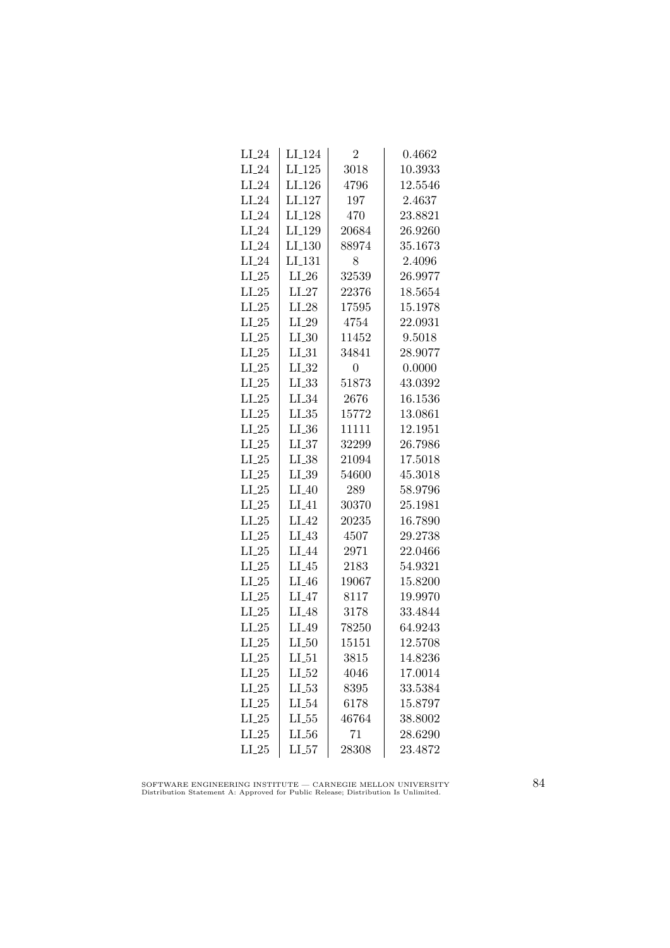| $LI_24$ | LI <sub>-124</sub> | $\overline{2}$ | 0.4662  |
|---------|--------------------|----------------|---------|
| $LI_24$ | $LI_125$           | 3018           | 10.3933 |
| $LI_24$ | LI <sub>-126</sub> | 4796           | 12.5546 |
| $LI_24$ | LI <sub>-127</sub> | 197            | 2.4637  |
| $LI_24$ | LI <sub>-128</sub> | 470            | 23.8821 |
| $LI_24$ | $LI_129$           | 20684          | 26.9260 |
| $LI_24$ | $LI_130$           | 88974          | 35.1673 |
| $LI_24$ | LI <sub>-131</sub> | 8              | 2.4096  |
| $LI_25$ | $LI_26$            | 32539          | 26.9977 |
| $LI_25$ | $LI_27$            | 22376          | 18.5654 |
| $LI_25$ | $LI_28$            | 17595          | 15.1978 |
| $LI_25$ | $LI_29$            | 4754           | 22.0931 |
| $LI_25$ | $LI_30$            | 11452          | 9.5018  |
| $LI_25$ | $LI_31$            | 34841          | 28.9077 |
| $LI_25$ | $LI_32$            | $\overline{0}$ | 0.0000  |
| $LI_25$ | $LL_{.33}$         | 51873          | 43.0392 |
| $LI_25$ | $LI_34$            | 2676           | 16.1536 |
| $LI_25$ | $LI_35$            | 15772          | 13.0861 |
| $LI_25$ | LL36               | 11111          | 12.1951 |
| $LI_25$ | LL37               | 32299          | 26.7986 |
| $LI_25$ | $LI_38$            | 21094          | 17.5018 |
| $LI_25$ | $LI_39$            | 54600          | 45.3018 |
| $LI_25$ | $LI_40$            | 289            | 58.9796 |
| $LI_25$ | LI 41              | 30370          | 25.1981 |
| $LI_25$ | $LI_42$            | 20235          | 16.7890 |
| $LI_25$ | LI <sub>43</sub>   | 4507           | 29.2738 |
| $LI_25$ | LI <sub>-44</sub>  | 2971           | 22.0466 |
| $LI_25$ | LI <sub>-</sub> 45 | 2183           | 54.9321 |
| $LI_25$ | $LI_46$            | 19067          | 15.8200 |
| $LI_25$ | $LI_47$            | 8117           | 19.9970 |
| $LI_25$ | LI_48              | 3178           | 33.4844 |
| $LI_25$ | LI_49              | 78250          | 64.9243 |
| $LI_25$ | $LI_50$            | 15151          | 12.5708 |
| $LI_25$ | $LI_51$            | 3815           | 14.8236 |
| $LI_25$ | $LI_52$            | 4046           | 17.0014 |
| $LI_25$ | $LL_{.53}$         | 8395           | 33.5384 |
| $LI_25$ | LL54               | 6178           | 15.8797 |
| $LI_25$ | $LL_{.55}$         | 46764          | 38.8002 |
| $LI_25$ | $LL_{.56}$         | 71             | 28.6290 |
| $LI_25$ | $LI_57$            | 28308          | 23.4872 |
|         |                    |                |         |

SOFTWARE ENGINEERING INSTITUTE — CARNEGIE MELLON UNIVERSITY Distribution Statement A: Approved for Public Release; Distribution Is Unlimited.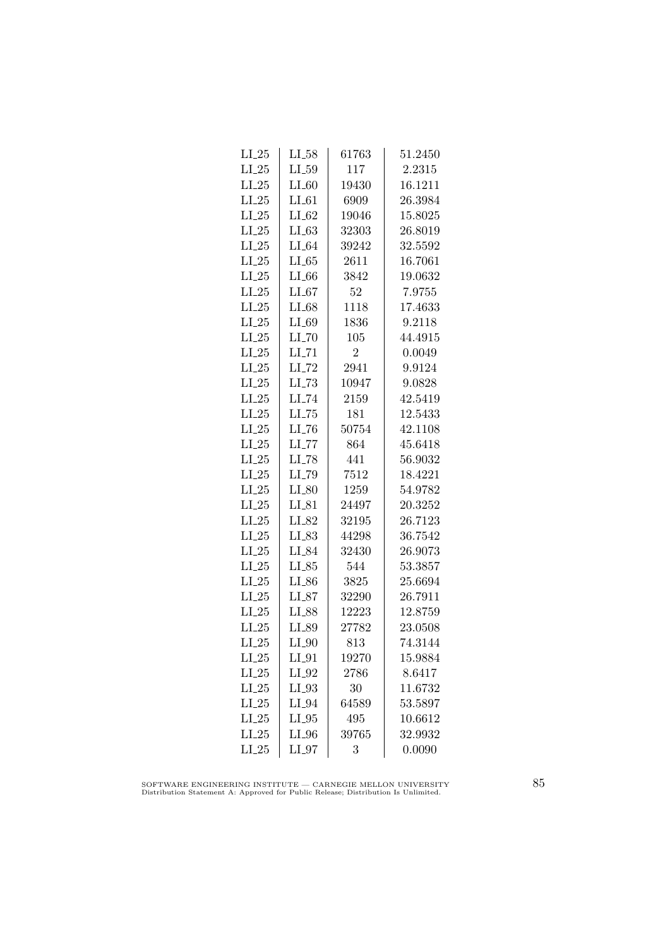| $LI_25$ | $LI_58$             | 61763          | 51.2450 |
|---------|---------------------|----------------|---------|
| $LI_25$ | $LI_59$             | 117            | 2.2315  |
| $LI_25$ | $LI_60$             | 19430          | 16.1211 |
| $LI_25$ | $LI_61$             | 6909           | 26.3984 |
| $LI_25$ | $LI_62$             | 19046          | 15.8025 |
| $LI_25$ | $LI_63$             | 32303          | 26.8019 |
| $LI_25$ | $LI_64$             | 39242          | 32.5592 |
| $LI_25$ | $LL-65$             | 2611           | 16.7061 |
| $LI_25$ | LL66                | 3842           | 19.0632 |
| $LI_25$ | $LI_67$             | 52             | 7.9755  |
| $LI_25$ | $LI_68$             | 1118           | 17.4633 |
| $LI_25$ | $LI_69$             | 1836           | 9.2118  |
| $LI_25$ | $LI$ <sub>-70</sub> | 105            | 44.4915 |
| $LI_25$ | $LI$ <sub>-71</sub> | $\overline{2}$ | 0.0049  |
| $LI_25$ | $LI$ <sub>-72</sub> | 2941           | 9.9124  |
| $LI_25$ | $LI$ <sub>-73</sub> | 10947          | 9.0828  |
| $LI_25$ | $LI$ <sub>-74</sub> | 2159           | 42.5419 |
| $LI_25$ | $LI$ <sub>-75</sub> | 181            | 12.5433 |
| $LI_25$ | LL76                | 50754          | 42.1108 |
| $LI_25$ | $LI$ <sub>-77</sub> | 864            | 45.6418 |
| $LI_25$ | $LI$ <sub>-78</sub> | 441            | 56.9032 |
| $LI_25$ | LI_79               | 7512           | 18.4221 |
| $LI_25$ | $LI_80$             | 1259           | 54.9782 |
| $LI_25$ | $LI_81$             | 24497          | 20.3252 |
| $LI_25$ | LI_82               | 32195          | 26.7123 |
| $LI_25$ | $LI_83$             | 44298          | 36.7542 |
| $LI_25$ | LI_84               | 32430          | 26.9073 |
| $LI_25$ | $LI_85$             | 544            | 53.3857 |
| $LI_25$ | $LI_86$             | 3825           | 25.6694 |
| $LI_25$ | $LI_87$             | 32290          | 26.7911 |
| $LI_25$ | LI_88               | 12223          | 12.8759 |
| $LI_25$ | LI_89               | 27782          | 23.0508 |
| $LI_25$ | $LI_0$              | 813            | 74.3144 |
| $LI_25$ | $LI_01$             | 19270          | 15.9884 |
| $LI_25$ | $LI_02$             | 2786           | 8.6417  |
| $LI_25$ | $LI_03$             | 30             | 11.6732 |
| $LI_25$ | $LI_94$             | 64589          | 53.5897 |
| $LI_25$ | $LI_05$             | 495            | 10.6612 |
| $LI_25$ | $LI_0$              | 39765          | 32.9932 |
| $LI_25$ | $LI_97$             | 3              | 0.0090  |

SOFTWARE ENGINEERING INSTITUTE — CARNEGIE MELLON UNIVERSITY Distribution Statement A: Approved for Public Release; Distribution Is Unlimited.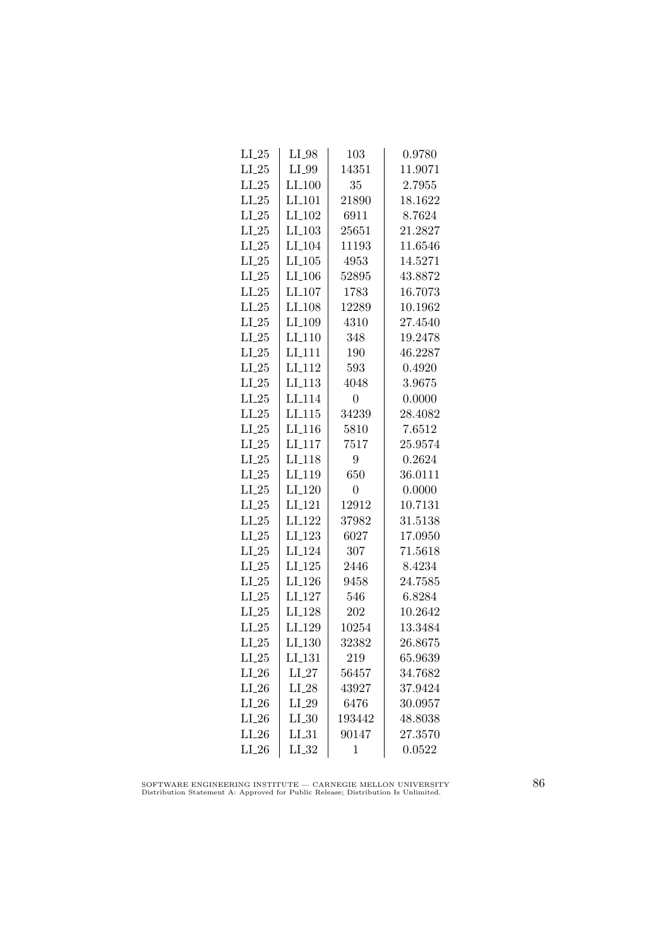| $LI_25$ | $LI_98$              | 103            | 0.9780  |
|---------|----------------------|----------------|---------|
| $LI_25$ | LI_99                | 14351          | 11.9071 |
| $LI_25$ | $LI_100$             | 35             | 2.7955  |
| $LI_25$ | LI <sub>-101</sub>   | 21890          | 18.1622 |
| $LI_25$ | LI <sub>-102</sub>   | 6911           | 8.7624  |
| $LI_25$ | $LI$ <sub>-103</sub> | 25651          | 21.2827 |
| $LI_25$ | LI <sub>-104</sub>   | 11193          | 11.6546 |
| $LI_25$ | $LI_105$             | 4953           | 14.5271 |
| $LI_25$ | $LI$ <sub>-106</sub> | 52895          | 43.8872 |
| $LI_25$ | LI <sub>-107</sub>   | 1783           | 16.7073 |
| $LI_25$ | LI <sub>-108</sub>   | 12289          | 10.1962 |
| $LI_25$ | LI_109               | 4310           | 27.4540 |
| $LI_25$ | $LI_110$             | 348            | 19.2478 |
| $LI_25$ | $LI_111$             | 190            | 46.2287 |
| $LI_25$ | $LI_112$             | 593            | 0.4920  |
| $LI_25$ | LI <sub>-113</sub>   | 4048           | 3.9675  |
| $LI_25$ | LI <sub>-114</sub>   | $\overline{0}$ | 0.0000  |
| $LI_25$ | LI.115               | 34239          | 28.4082 |
| $LI_25$ | LI <sub>-116</sub>   | 5810           | 7.6512  |
| $LI_25$ | $LI_117$             | 7517           | 25.9574 |
| $LI_25$ | LI <sub>-118</sub>   | 9              | 0.2624  |
| $LI_25$ | LI <sub>-119</sub>   | 650            | 36.0111 |
| $LI_25$ | LI <sub>-120</sub>   | $\overline{0}$ | 0.0000  |
| $LI_25$ | LI <sub>-121</sub>   | 12912          | 10.7131 |
| $LI_25$ | LI <sub>-122</sub>   | 37982          | 31.5138 |
| $LI_25$ | LI <sub>-123</sub>   | 6027           | 17.0950 |
| $LI_25$ | LI <sub>-124</sub>   | 307            | 71.5618 |
| $LI_25$ | $LI_125$             | 2446           | 8.4234  |
| $LI_25$ | $LI_126$             | 9458           | 24.7585 |
| $LI_25$ | LI <sub>-127</sub>   | 546            | 6.8284  |
| $LI_25$ | LI <sub>-128</sub>   | 202            | 10.2642 |
| $LI_25$ | LI <sub>-129</sub>   | 10254          | 13.3484 |
| $LI_25$ | LI <sub>-130</sub>   | 32382          | 26.8675 |
| $LI_25$ | LI <sub>-131</sub>   | 219            | 65.9639 |
| $LI_26$ | $LI_27$              | 56457          | 34.7682 |
| $LI_26$ | $LI_28$              | 43927          | 37.9424 |
| $LI_26$ | $LI_29$              | 6476           | 30.0957 |
| $LI_26$ | LL30                 | 193442         | 48.8038 |
| $LI_26$ | $LI_31$              | 90147          | 27.3570 |
| $LI_26$ | $LI_32$              | 1              | 0.0522  |

SOFTWARE ENGINEERING INSTITUTE — CARNEGIE MELLON UNIVERSITY Distribution Statement A: Approved for Public Release; Distribution Is Unlimited.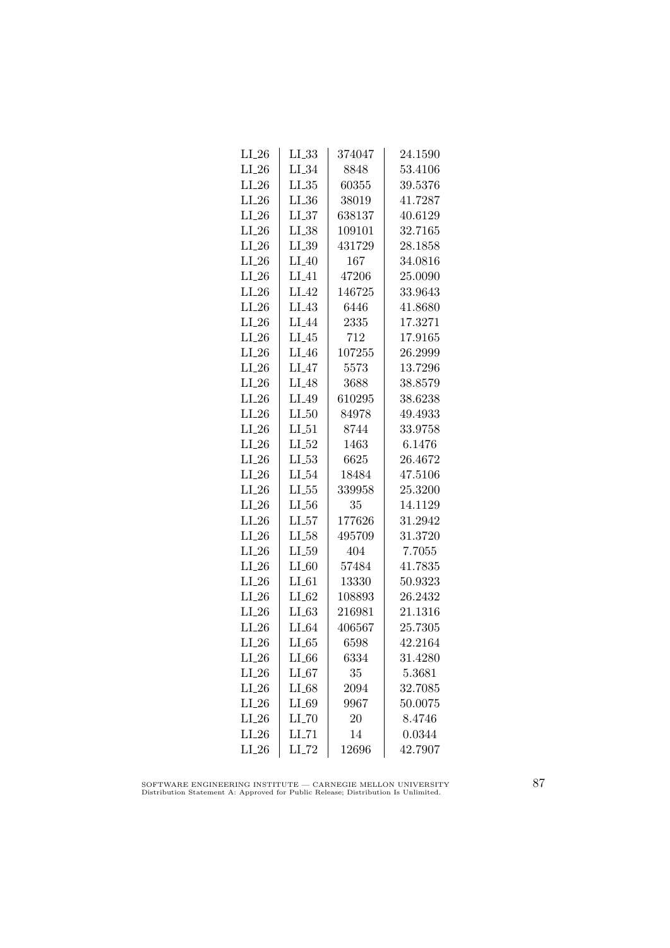| $LI_26$ | LL33                | 374047 | 24.1590 |
|---------|---------------------|--------|---------|
| $LI_26$ | $LI_34$             | 8848   | 53.4106 |
| $LI_26$ | $LL_{.35}$          | 60355  | 39.5376 |
| $LI_26$ | LL36                | 38019  | 41.7287 |
| $LI_26$ | LL37                | 638137 | 40.6129 |
| $LI_26$ | $LI_38$             | 109101 | 32.7165 |
| $LI_26$ | $LI_39$             | 431729 | 28.1858 |
| $LI_26$ | $LI_40$             | 167    | 34.0816 |
| $LI_26$ | $LI_41$             | 47206  | 25.0090 |
| $LI_26$ | $LI_42$             | 146725 | 33.9643 |
| $LI_26$ | $LI_43$             | 6446   | 41.8680 |
| $LI_26$ | LI <sub>44</sub>    | 2335   | 17.3271 |
| $LI_26$ | $LI_45$             | 712    | 17.9165 |
| $LI_26$ | $LI_46$             | 107255 | 26.2999 |
| $LI_26$ | LI <sub>-47</sub>   | 5573   | 13.7296 |
| $LI_26$ | $LI_48$             | 3688   | 38.8579 |
| $LI_26$ | $LI_49$             | 610295 | 38.6238 |
| $LI_26$ | $LI_50$             | 84978  | 49.4933 |
| $LI_26$ | $LI_51$             | 8744   | 33.9758 |
| $LI_26$ | $LI_52$             | 1463   | 6.1476  |
| $LI_26$ | $LI_53$             | 6625   | 26.4672 |
| $LI_26$ | $LI_54$             | 18484  | 47.5106 |
| $LI_26$ | $LL_{.55}$          | 339958 | 25.3200 |
| $LI_26$ | $LL_{.56}$          | 35     | 14.1129 |
| $LI_26$ | $LL_{57}$           | 177626 | 31.2942 |
| $LI_26$ | $LI_58$             | 495709 | 31.3720 |
| $LI_26$ | $LL_{.59}$          | 404    | 7.7055  |
| $LI_26$ | $LI_60$             | 57484  | 41.7835 |
| $LI_26$ | $LI_01$             | 13330  | 50.9323 |
| $LI_26$ | $LI_62$             | 108893 | 26.2432 |
| $LI_26$ | LL63                | 216981 | 21.1316 |
| $LI_26$ | $LI_64$             | 406567 | 25.7305 |
| $LI_26$ | $LI_65$             | 6598   | 42.2164 |
| $LI_26$ | $LI_66$             | 6334   | 31.4280 |
| $LI_26$ | $LI_67$             | 35     | 5.3681  |
| $LI_26$ | $LI_68$             | 2094   | 32.7085 |
| $LI_26$ | $LI_69$             | 9967   | 50.0075 |
| $LI_26$ | $LI$ <sub>-70</sub> | 20     | 8.4746  |
| $LI_26$ | LL71                | 14     | 0.0344  |
| $LI_26$ | $LI$ <sub>-72</sub> | 12696  | 42.7907 |

SOFTWARE ENGINEERING INSTITUTE — CARNEGIE MELLON UNIVERSITY Distribution Statement A: Approved for Public Release; Distribution Is Unlimited.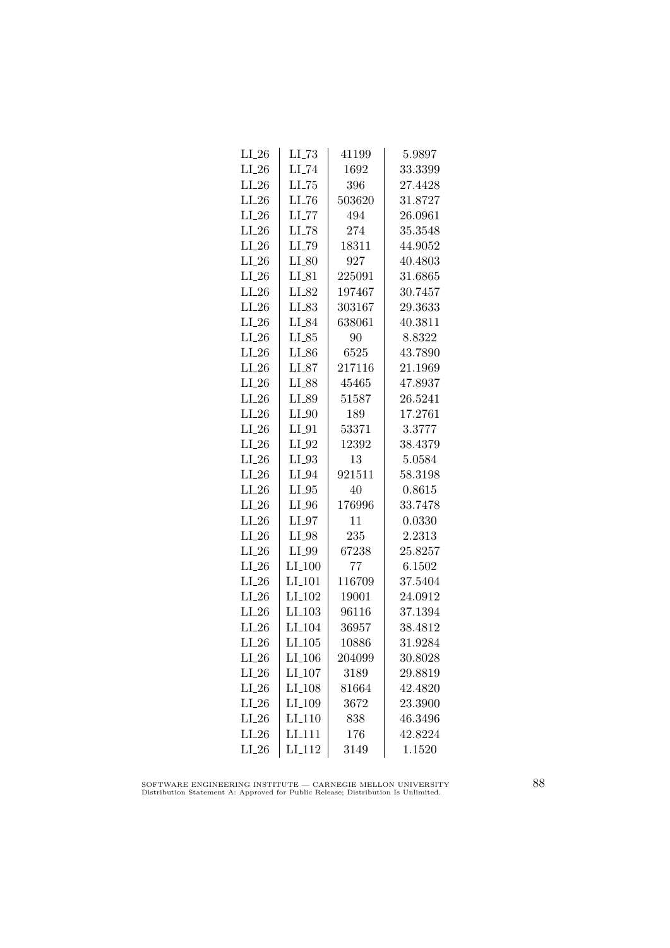| $LI_26$            | $LL-73$              | 41199  | 5.9897             |
|--------------------|----------------------|--------|--------------------|
| $LI_26$            | $LI$ <sub>-74</sub>  | 1692   | 33.3399            |
| $LI_26$            | $LL-75$              | 396    | 27.4428            |
| $LI_26$            | LL76                 | 503620 | 31.8727            |
| $LI_26$            | $LL$ <sub>77</sub>   | 494    | 26.0961            |
| $LI_26$            | $LI$ <sub>-78</sub>  | 274    | 35.3548            |
| $LI_26$            | LI_79                | 18311  | 44.9052            |
| $LI_26$            | $LI_80$              | 927    | 40.4803            |
| $LI_26$            | $LI_81$              | 225091 | 31.6865            |
| $LI_26$            | LI_82                | 197467 | 30.7457            |
| $LI_26$            | LI_83                | 303167 | 29.3633            |
| $LI_26$            | LI_84                | 638061 | 40.3811            |
| $LI_26$            | $LI_85$              | 90     | 8.8322             |
| $LI_26$            | $LI_86$              | 6525   | 43.7890            |
|                    |                      | 217116 |                    |
| $LI_26$<br>$LI_26$ | $LI_87$              |        | 21.1969<br>47.8937 |
|                    | $LI_88$              | 45465  | 26.5241            |
| $LI_26$            | LI_89                | 51587  |                    |
| $LI_26$            | $LI_0$               | 189    | 17.2761            |
| $LI_26$            | $LI_01$              | 53371  | 3.3777             |
| $LI_26$            | $LI_02$              | 12392  | 38.4379            |
| $LI_26$            | $LI_93$              | 13     | 5.0584             |
| $LI_26$            | $LI_04$              | 921511 | 58.3198            |
| $LI_26$            | $LI_05$              | 40     | 0.8615             |
| $LI_26$            | $LI_0$               | 176996 | 33.7478            |
| $LI_26$            | $LI_97$              | 11     | 0.0330             |
| $LI_26$            | $LI_98$              | 235    | 2.2313             |
| $LI_26$            | LI_99                | 67238  | 25.8257            |
| $LI_26$            | $LI_100$             | 77     | 6.1502             |
| $LI_26$            | $LI$ <sub>-101</sub> | 116709 | 37.5404            |
| $LI_26$            | LI <sub>-102</sub>   | 19001  | 24.0912            |
| $LI_26$            | LI <sub>-103</sub>   | 96116  | 37.1394            |
| $LI_26$            | LI <sub>-104</sub>   | 36957  | 38.4812            |
| $LI_26$            | $LI_105$             | 10886  | 31.9284            |
| $LI_26$            | LI <sub>-106</sub>   | 204099 | 30.8028            |
| $LI_26$            | LI_107               | 3189   | 29.8819            |
| $LI_26$            | LI <sub>-108</sub>   | 81664  | 42.4820            |
| $LI_26$            | LI <sub>-109</sub>   | 3672   | 23.3900            |
| $LI_26$            | LI <sub>-110</sub>   | 838    | 46.3496            |
| $LI_26$            | LI <sub>111</sub>    | 176    | 42.8224            |
| $LI_26$            | LI <sub>-112</sub>   | 3149   | 1.1520             |

SOFTWARE ENGINEERING INSTITUTE — CARNEGIE MELLON UNIVERSITY Distribution Statement A: Approved for Public Release; Distribution Is Unlimited.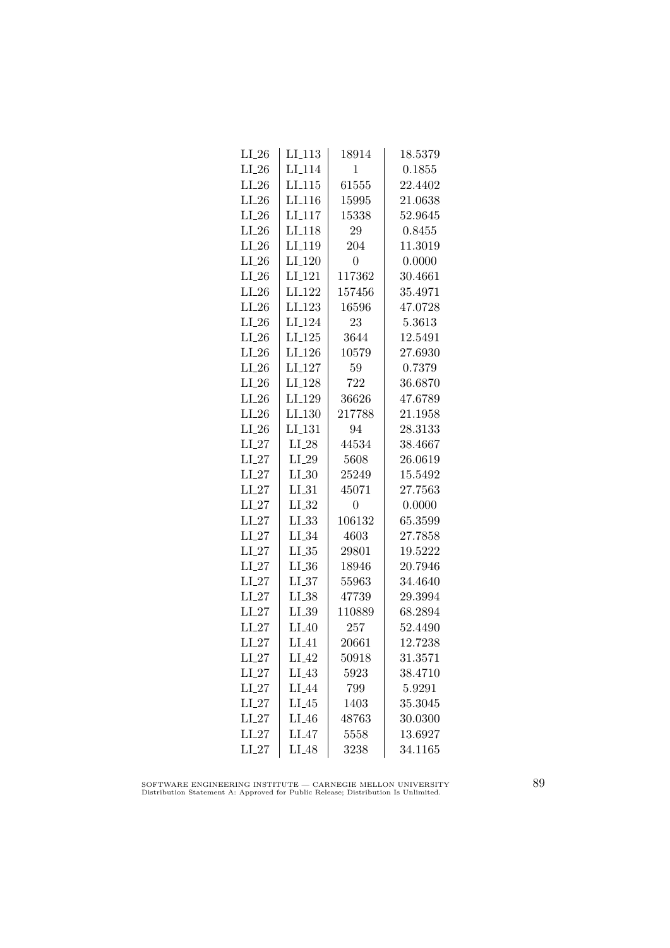| $LI_26$ | LI <sub>-</sub> 113 | 18914          | 18.5379 |
|---------|---------------------|----------------|---------|
| $LI_26$ | LI <sub>-114</sub>  | 1              | 0.1855  |
| $LI_26$ | LL115               | 61555          | 22.4402 |
| $LI_26$ | LI <sub>116</sub>   | 15995          | 21.0638 |
| $LI_26$ | LI <sub>117</sub>   | 15338          | 52.9645 |
| $LI_26$ | LI <sub>-118</sub>  | 29             | 0.8455  |
| $LI_26$ | LI_119              | 204            | 11.3019 |
| $LI_26$ | LI <sub>-120</sub>  | $\overline{0}$ | 0.0000  |
| $LI_26$ | LI <sub>-121</sub>  | 117362         | 30.4661 |
| $LI_26$ | LI <sub>-122</sub>  | 157456         | 35.4971 |
| $LI_26$ | LI <sub>-123</sub>  | 16596          | 47.0728 |
| $LI_26$ | LI <sub>-124</sub>  | 23             | 5.3613  |
| $LI_26$ | $LI_125$            | 3644           | 12.5491 |
| $LI_26$ | $LI_126$            | 10579          | 27.6930 |
| $LI_26$ | LI <sub>-127</sub>  | 59             | 0.7379  |
| $LI_26$ | LI <sub>-128</sub>  | 722            | 36.6870 |
| $LI_26$ | LI <sub>-129</sub>  | 36626          | 47.6789 |
| $LI_26$ | LI <sub>-130</sub>  | 217788         | 21.1958 |
| $LI_26$ | LI <sub>-131</sub>  | 94             | 28.3133 |
| $LI_27$ | $LI_28$             | 44534          | 38.4667 |
| $LI_27$ | $LI_29$             | 5608           | 26.0619 |
| $LI_27$ | $LI_0$              | 25249          | 15.5492 |
| $LI_27$ | $LI_31$             | 45071          | 27.7563 |
| $LI_27$ | LL32                | $\overline{0}$ | 0.0000  |
| $LI_27$ | LL33                | 106132         | 65.3599 |
| $LI_27$ | $LI_34$             | 4603           | 27.7858 |
| $LI_27$ | $LI_35$             | 29801          | 19.5222 |
| $LI_27$ | $LL_{.36}$          | 18946          | 20.7946 |
| $LI_27$ | LL37                | 55963          | 34.4640 |
| $LI_27$ | $LL_{.38}$          | 47739          | 29.3994 |
| $LI_27$ | LL39                | 110889         | 68.2894 |
| $LI_27$ | $LI_40$             | 257            | 52.4490 |
| $LI_27$ | $LI_41$             | 20661          | 12.7238 |
| $LI_27$ | $LI_42$             | 50918          | 31.3571 |
| $LI_27$ | $LI_43$             | 5923           | 38.4710 |
| $LI_27$ | $LI_44$             | 799            | 5.9291  |
| $LI_27$ | $LI_45$             | 1403           | 35.3045 |
| $LI_27$ | $LI_46$             | 48763          | 30.0300 |
| $LI_27$ | $LI_47$             | 5558           | 13.6927 |
| $LI_27$ | $LI_48$             | 3238           | 34.1165 |

SOFTWARE ENGINEERING INSTITUTE — CARNEGIE MELLON UNIVERSITY Distribution Statement A: Approved for Public Release; Distribution Is Unlimited.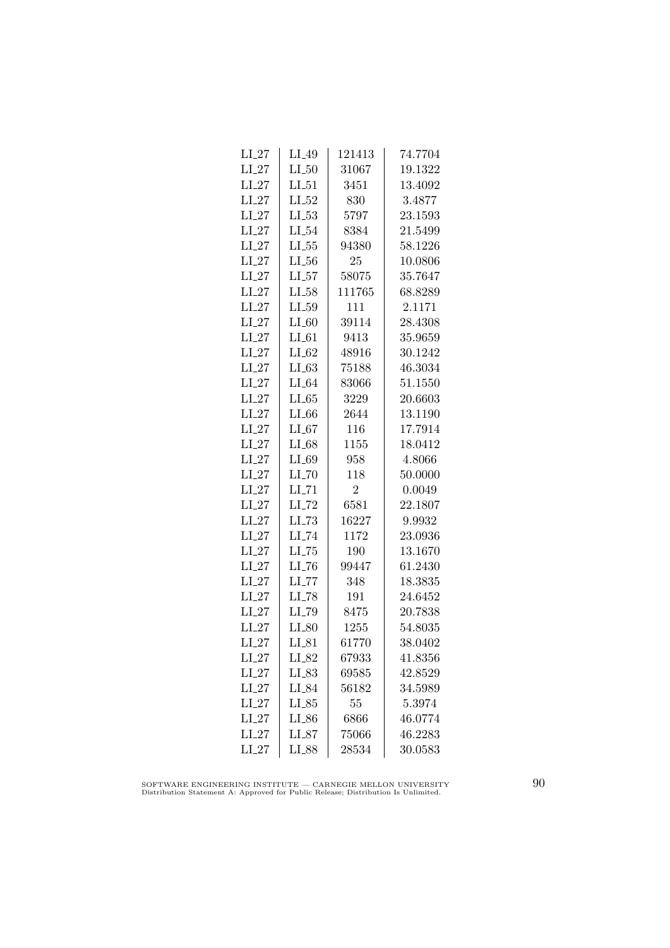| $LI_27$ | $LI_49$             | 121413         | 74.7704 |
|---------|---------------------|----------------|---------|
| $LI_27$ | $LI_50$             | 31067          | 19.1322 |
| $LI_27$ | $LI_51$             | 3451           | 13.4092 |
| $LI_27$ | $LI_52$             | 830            | 3.4877  |
| $LI_27$ | $LL_{.53}$          | 5797           | 23.1593 |
| $LI_27$ | $LI_54$             | 8384           | 21.5499 |
| $LI_27$ | $LL_{.55}$          | 94380          | 58.1226 |
| $LI_27$ | $LI_56$             | 25             | 10.0806 |
| $LI_27$ | $LI_57$             | 58075          | 35.7647 |
| $LI_27$ | LL58                | 111765         | 68.8289 |
| $LI_27$ | $LL_{.59}$          | 111            | 2.1171  |
| $LI_27$ | $LI_60$             | 39114          | 28.4308 |
| $LI_27$ | $LI_61$             | 9413           | 35.9659 |
| $LI_27$ | $LI_62$             | 48916          | 30.1242 |
| $LI_27$ | $LI_63$             | 75188          | 46.3034 |
| $LI_27$ | $LI_64$             | 83066          | 51.1550 |
| $LI_27$ | $LI_65$             | 3229           | 20.6603 |
| $LI_27$ | LL66                | 2644           | 13.1190 |
| $LI_27$ | LL67                | 116            | 17.7914 |
| $LI_27$ | $LI_68$             | 1155           | 18.0412 |
| $LI_27$ | $LI_69$             | 958            | 4.8066  |
| $LI_27$ | $LI$ <sub>-70</sub> | 118            | 50.0000 |
| $LI_27$ | $LI$ <sub>-71</sub> | $\overline{2}$ | 0.0049  |
| $LI_27$ | $LI$ <sub>-72</sub> | 6581           | 22.1807 |
| $LI_27$ | LL73                | 16227          | 9.9932  |
| $LI_27$ | $LI$ <sub>-74</sub> | 1172           | 23.0936 |
| $LI_27$ | $LL-75$             | 190            | 13.1670 |
| $LI_27$ | $LI$ <sub>-76</sub> | 99447          | 61.2430 |
| $LI_27$ | $LI$ <sub>-77</sub> | 348            | 18.3835 |
| $LI_27$ | $LI$ <sub>-78</sub> | 191            | 24.6452 |
| $LI_27$ | LI_79               | 8475           | 20.7838 |
| $LI_27$ | $LI_80$             | 1255           | 54.8035 |
| $LI_27$ | $LI_81$             | 61770          | 38.0402 |
| $LI_27$ | $LI_82$             | 67933          | 41.8356 |
| $LI_27$ | $LL_{.83}$          | 69585          | 42.8529 |
| $LI_27$ | LI_84               | 56182          | 34.5989 |
| $LI_27$ | $LI_85$             | 55             | 5.3974  |
| $LI_27$ | $LI_86$             | 6866           | 46.0774 |
| $LI_27$ | $LI_87$             | 75066          | 46.2283 |
| $LI_27$ | LI_88               | 28534          | 30.0583 |
|         |                     |                |         |

SOFTWARE ENGINEERING INSTITUTE — CARNEGIE MELLON UNIVERSITY Distribution Statement A: Approved for Public Release; Distribution Is Unlimited.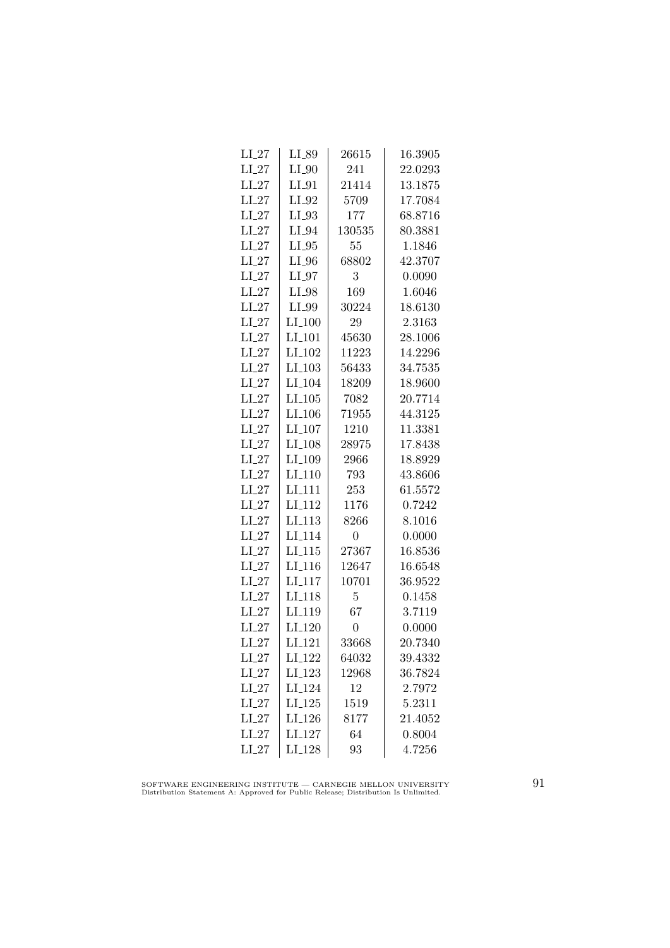| $LI_27$ | LI_89                | 26615          | 16.3905 |
|---------|----------------------|----------------|---------|
| $LI_27$ | $LI_0$               | 241            | 22.0293 |
| $LI_27$ | $LI_01$              | 21414          | 13.1875 |
| $LI_27$ | $LI_02$              | 5709           | 17.7084 |
| $LI_27$ | $LI_93$              | 177            | 68.8716 |
| $LI_27$ | $LI_04$              | 130535         | 80.3881 |
| $LI_27$ | $LI_05$              | 55             | 1.1846  |
| $LI_27$ | $LI_0$               | 68802          | 42.3707 |
| $LI_27$ | $LI_07$              | 3              | 0.0090  |
| $LI_27$ | $LI_98$              | 169            | 1.6046  |
| $LI_27$ | LI_99                | 30224          | 18.6130 |
| $LI_27$ | LI <sub>-100</sub>   | 29             | 2.3163  |
| $LI_27$ | LI <sub>-101</sub>   | 45630          | 28.1006 |
| $LI_27$ | $LI_102$             | 11223          | 14.2296 |
| $LI_27$ | $LI_103$             | 56433          | 34.7535 |
| $LI_27$ | LI <sub>-104</sub>   | 18209          | 18.9600 |
| $LI_27$ | $LI$ <sub>-105</sub> | 7082           | 20.7714 |
| $LI_27$ | LI <sub>-106</sub>   | 71955          | 44.3125 |
| $LI_27$ | LI <sub>-107</sub>   | 1210           | 11.3381 |
| $LI_27$ | LI <sub>-108</sub>   | 28975          | 17.8438 |
| $LI_27$ | LI <sub>-109</sub>   | 2966           | 18.8929 |
| $LI_27$ | $LI-110$             | 793            | 43.8606 |
| $LI_27$ | LI <sub>-111</sub>   | 253            | 61.5572 |
| $LI_27$ | LI <sub>-112</sub>   | 1176           | 0.7242  |
| $LI_27$ | LI <sub>-113</sub>   | 8266           | 8.1016  |
| $LI_27$ | LI <sub>-114</sub>   | $\overline{0}$ | 0.0000  |
| $LI_27$ | $LI_115$             | 27367          | 16.8536 |
| $LI_27$ | $LI_116$             | 12647          | 16.6548 |
| $LI_27$ | $LI$ <sub>-117</sub> | 10701          | 36.9522 |
| $LI_27$ | LI <sub>-118</sub>   | 5              | 0.1458  |
| $LI_27$ | LI <sub>-119</sub>   | 67             | 3.7119  |
| $LI_27$ | $LI_120$             | $\overline{0}$ | 0.0000  |
| $LI_27$ | LI <sub>-121</sub>   | 33668          | 20.7340 |
| $LI_27$ | LI <sub>-122</sub>   | 64032          | 39.4332 |
| $LI_27$ | LI <sub>-123</sub>   | 12968          | 36.7824 |
| $LI_27$ | LI <sub>-124</sub>   | 12             | 2.7972  |
| $LI_27$ | $LI_125$             | 1519           | 5.2311  |
| $LI_27$ | LI <sub>-126</sub>   | 8177           | 21.4052 |
| $LI_27$ | LI <sub>-127</sub>   | 64             | 0.8004  |
| $LI_27$ | LI <sub>-128</sub>   | 93             | 4.7256  |
|         |                      |                |         |

SOFTWARE ENGINEERING INSTITUTE — CARNEGIE MELLON UNIVERSITY Distribution Statement A: Approved for Public Release; Distribution Is Unlimited.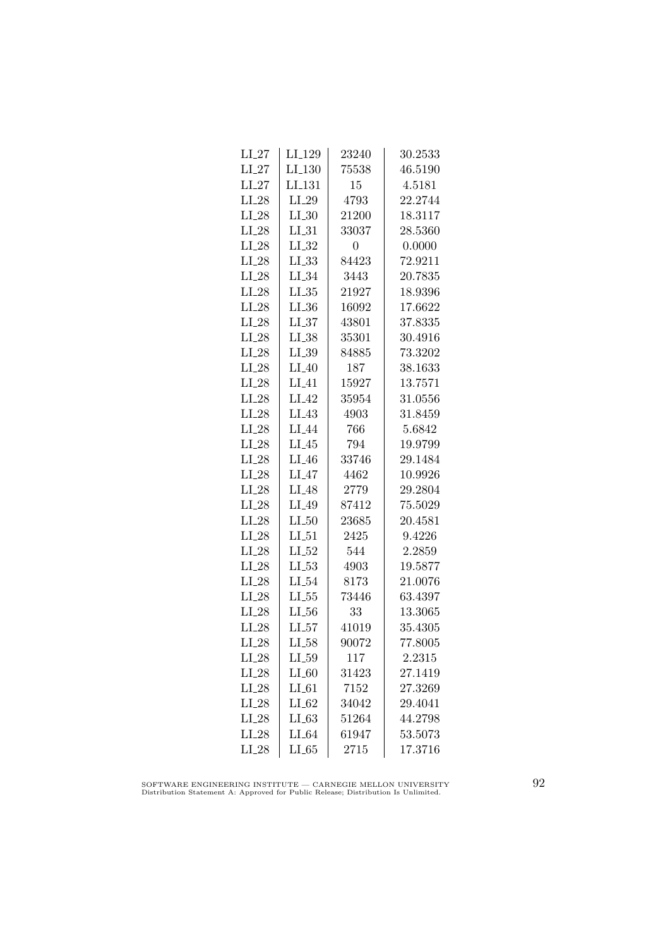| LI <sub>-129</sub> | 23240                 | 30.2533 |
|--------------------|-----------------------|---------|
| LI.130             | 75538                 | 46.5190 |
| LI <sub>-131</sub> | 15                    | 4.5181  |
| $LI_29$            | 4793                  | 22.2744 |
| $LI_30$            | 21200                 | 18.3117 |
| $LI_31$            | 33037                 | 28.5360 |
| $LI_32$            | 0                     | 0.0000  |
| $LL_{.33}$         | 84423                 | 72.9211 |
| $LI_34$            | 3443                  | 20.7835 |
| $LI_35$            | 21927                 | 18.9396 |
| LL36               | 16092                 | 17.6622 |
| LL37               | 43801                 | 37.8335 |
| $LI_38$            | 35301                 | 30.4916 |
| $LL_{.39}$         | 84885                 | 73.3202 |
| $LI_40$            | 187                   | 38.1633 |
| $LI_41$            | 15927                 | 13.7571 |
| $LI_42$            | 35954                 | 31.0556 |
| $LI_43$            | 4903                  | 31.8459 |
| LI_44              | 766                   | 5.6842  |
| $LI_45$            | 794                   | 19.9799 |
| $LI_46$            | 33746                 | 29.1484 |
| $LI_47$            | 4462                  | 10.9926 |
| $LI_48$            | 2779                  | 29.2804 |
| $LI_49$            | 87412                 | 75.5029 |
| $LI_50$            | 23685                 | 20.4581 |
| $LI_51$            | 2425                  | 9.4226  |
| $LI_52$            | 544                   | 2.2859  |
| $LL_{.53}$         | 4903                  | 19.5877 |
|                    | 8173                  | 21.0076 |
|                    |                       | 63.4397 |
| $LL_{.56}$         | 33                    | 13.3065 |
| $LI_57$            | 41019                 | 35.4305 |
| $LL_{58}$          | 90072                 | 77.8005 |
| $LL_{.59}$         | 117                   | 2.2315  |
| $LI_60$            | 31423                 | 27.1419 |
| $LI_61$            | 7152                  | 27.3269 |
| $LI_62$            | 34042                 | 29.4041 |
| LL63               | 51264                 | 44.2798 |
| $LI_64$            | 61947                 | 53.5073 |
| LL65               | 2715                  | 17.3716 |
|                    | $LI_54$<br>$LL_{.55}$ | 73446   |

SOFTWARE ENGINEERING INSTITUTE — CARNEGIE MELLON UNIVERSITY Distribution Statement A: Approved for Public Release; Distribution Is Unlimited.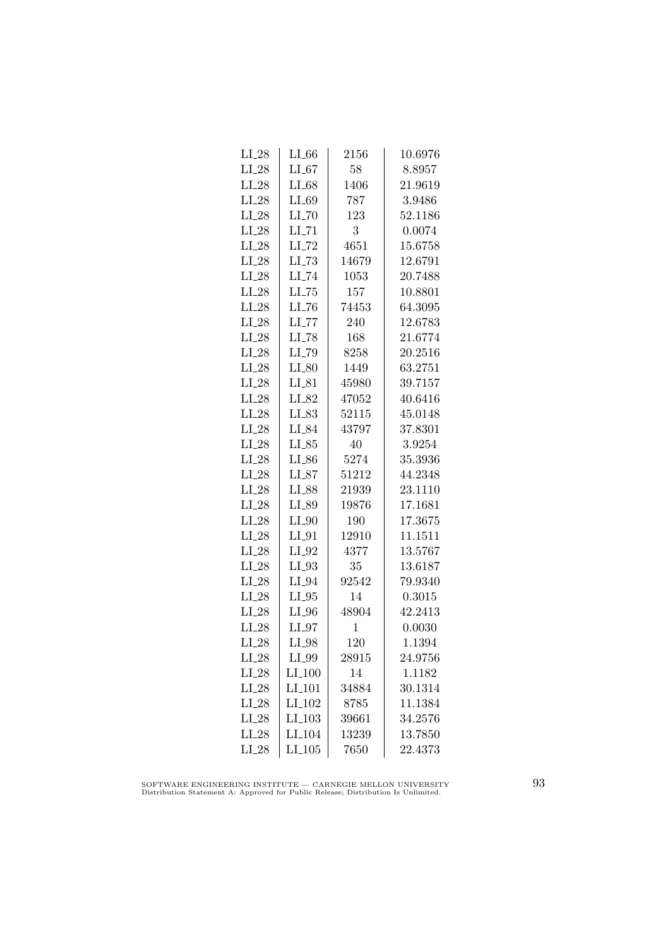| $LI_28$ | LL66                 | 2156         | 10.6976 |
|---------|----------------------|--------------|---------|
| $LI_28$ | $LI_67$              | 58           | 8.8957  |
| $LI_28$ | $LI_68$              | 1406         | 21.9619 |
| $LI_28$ | $LI_69$              | 787          | 3.9486  |
| $LI_28$ | $LI$ <sub>-70</sub>  | 123          | 52.1186 |
| $LI_28$ | $LL$ <sub>-71</sub>  | 3            | 0.0074  |
| $LI_28$ | $LI$ <sub>-72</sub>  | 4651         | 15.6758 |
| $LI_28$ | $LL-73$              | 14679        | 12.6791 |
| $LI_28$ | $LI$ <sub>-74</sub>  | 1053         | 20.7488 |
| $LI_28$ | $LL-75$              | 157          | 10.8801 |
| $LI_28$ | LL76                 | 74453        | 64.3095 |
| $LI_28$ | LL77                 | 240          | 12.6783 |
| $LI_28$ | $LI$ <sub>-78</sub>  | 168          | 21.6774 |
| $LI_28$ | LI_79                | 8258         | 20.2516 |
| $LI_28$ | $LI_80$              | 1449         | 63.2751 |
| $LI_28$ | $LI_81$              | 45980        | 39.7157 |
| $LI_28$ | $LI_82$              | 47052        | 40.6416 |
| $LI_28$ | LI_83                | 52115        | 45.0148 |
| $LI_28$ | LI_84                | 43797        | 37.8301 |
| $LI_28$ | $LI_85$              | 40           | 3.9254  |
| $LI_28$ | $LI_86$              | 5274         | 35.3936 |
| $LI_28$ | $LI_87$              | 51212        | 44.2348 |
| $LI_28$ | LI_88                | 21939        | 23.1110 |
| $LI_28$ | LL89                 | 19876        | 17.1681 |
| $LI_28$ | $LI_0$               | 190          | 17.3675 |
| $LI_28$ | $LI_01$              | 12910        | 11.1511 |
| $LI_28$ | $LI_02$              | 4377         | 13.5767 |
| $LI_28$ | $LI_93$              | 35           | 13.6187 |
| $LI_28$ | $LI_04$              | 92542        | 79.9340 |
| $LI_28$ | $LI_05$              | 14           | 0.3015  |
| $LI_28$ | $LI_0$               | 48904        | 42.2413 |
| $LI_28$ | $LI_97$              | $\mathbf{1}$ | 0.0030  |
| $LI_28$ | $LI_98$              | 120          | 1.1394  |
| $LI_28$ | LI_99                | 28915        | 24.9756 |
| $LI_28$ | $LI_100$             | 14           | 1.1182  |
| $LI_28$ | $LI_101$             | 34884        | 30.1314 |
| $LI_28$ | LI <sub>-102</sub>   | 8785         | 11.1384 |
| $LI_28$ | $LI$ <sub>-103</sub> | 39661        | 34.2576 |
| $LI_28$ | LI <sub>-104</sub>   | 13239        | 13.7850 |
| $LI_28$ | LI.105               | 7650         | 22.4373 |
|         |                      |              |         |

SOFTWARE ENGINEERING INSTITUTE — CARNEGIE MELLON UNIVERSITY Distribution Statement A: Approved for Public Release; Distribution Is Unlimited.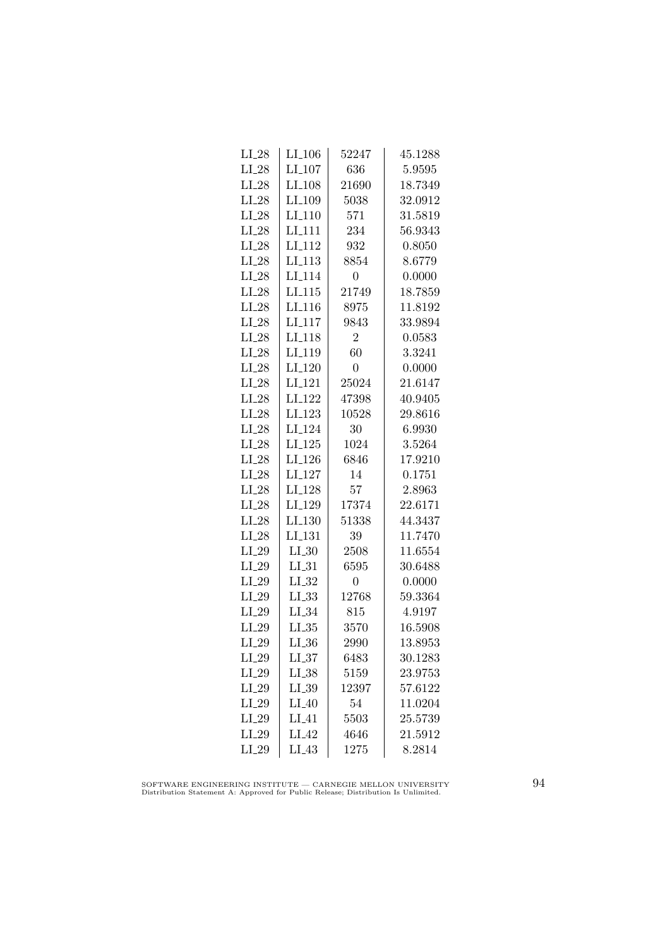| $LI_28$ | $LI_106$             | 52247          | 45.1288 |
|---------|----------------------|----------------|---------|
| $LI_28$ | $LI_107$             | 636            | 5.9595  |
| $LI_28$ | $LI$ <sub>-108</sub> | 21690          | 18.7349 |
| $LI_28$ | LI <sub>-109</sub>   | 5038           | 32.0912 |
| $LI_28$ | LI <sub>-110</sub>   | 571            | 31.5819 |
| $LI_28$ | LI <sub>-111</sub>   | 234            | 56.9343 |
| $LI_28$ | LI <sub>-112</sub>   | 932            | 0.8050  |
| $LI_28$ | $LI_113$             | 8854           | 8.6779  |
| $LI_28$ | LI <sub>-114</sub>   | $\overline{0}$ | 0.0000  |
| $LI_28$ | LL115                | 21749          | 18.7859 |
| $LI_28$ | LI <sub>-116</sub>   | 8975           | 11.8192 |
| $LI_28$ | LI <sub>117</sub>    | 9843           | 33.9894 |
| $LI_28$ | LI <sub>-118</sub>   | $\overline{2}$ | 0.0583  |
| $LI_28$ | $LI_119$             | 60             | 3.3241  |
| $LI_28$ | $LI_120$             | $\overline{0}$ | 0.0000  |
| $LI_28$ | LI <sub>-121</sub>   | 25024          | 21.6147 |
| $LI_28$ | LI <sub>-122</sub>   | 47398          | 40.9405 |
| $LI_28$ | LI <sub>-123</sub>   | 10528          | 29.8616 |
| $LI_28$ | LI <sub>-124</sub>   | 30             | 6.9930  |
| $LI_28$ | $LI_125$             | 1024           | 3.5264  |
| $LI_28$ | $LI_126$             | 6846           | 17.9210 |
| $LI_28$ | $LI_127$             | 14             | 0.1751  |
| $LI_28$ | LI <sub>-128</sub>   | 57             | 2.8963  |
| $LI_28$ | LI <sub>-129</sub>   | 17374          | 22.6171 |
| $LI_28$ | LI.130               | 51338          | 44.3437 |
| $LI_28$ | LI <sub>-131</sub>   | 39             | 11.7470 |
| $LI_29$ | $LI_30$              | 2508           | 11.6554 |
| $LI_29$ | $LI_31$              | 6595           | 30.6488 |
| $LI_29$ | $LI_32$              | $\overline{0}$ | 0.0000  |
| $LI_29$ | $LL_{.33}$           | 12768          | 59.3364 |
| $LI_29$ | $LI_34$              | 815            | 4.9197  |
| $LI_29$ | LL35                 | 3570           | 16.5908 |
| $LI_29$ | $LI_36$              | 2990           | 13.8953 |
| $LI_29$ | LL37                 | 6483           | 30.1283 |
| $LI_29$ | $LI_38$              | 5159           | 23.9753 |
| $LI_29$ | $LI_39$              | 12397          | 57.6122 |
| $LI_29$ | $LI_40$              | 54             | 11.0204 |
| $LI_29$ | $LI_41$              | 5503           | 25.5739 |
| $LI_29$ | LI.42                | 4646           | 21.5912 |
| $LI_29$ | $LI_43$              | 1275           | 8.2814  |

SOFTWARE ENGINEERING INSTITUTE — CARNEGIE MELLON UNIVERSITY Distribution Statement A: Approved for Public Release; Distribution Is Unlimited.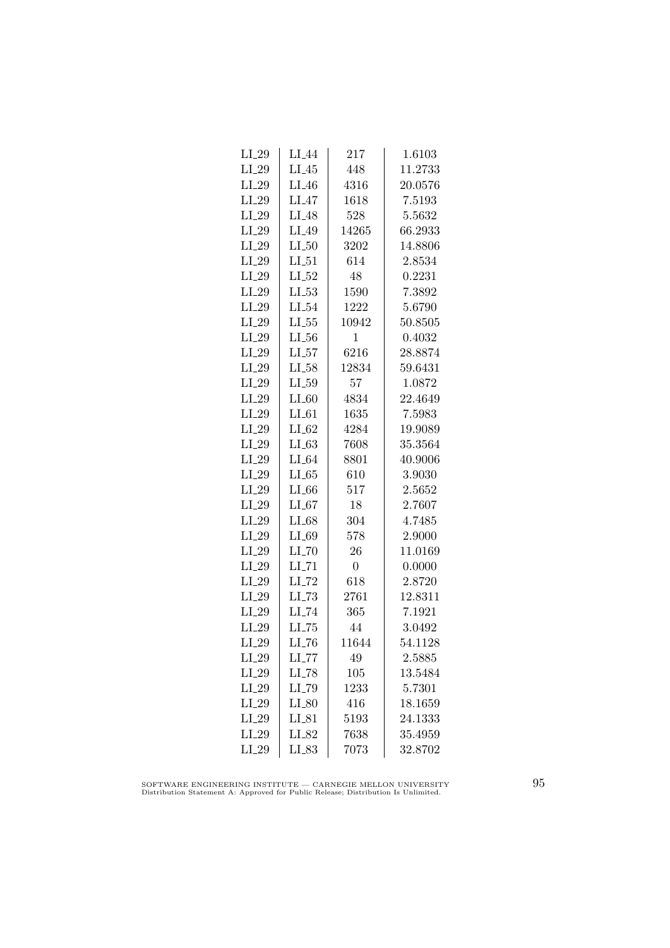| $LI_29$ | LI_44               | 217            | 1.6103  |
|---------|---------------------|----------------|---------|
| $LI_29$ | $LI_45$             | 448            | 11.2733 |
| $LI_29$ | $LI_46$             | 4316           | 20.0576 |
| $LI_29$ | $LI_47$             | 1618           | 7.5193  |
| $LI_29$ | LI <sub>48</sub>    | 528            | 5.5632  |
| $LI_29$ | $LI_49$             | 14265          | 66.2933 |
| $LI_29$ | $LI_50$             | 3202           | 14.8806 |
| $LI_29$ | $LI_51$             | 614            | 2.8534  |
| $LI_29$ | $LI_52$             | 48             | 0.2231  |
| $LI_29$ | $LL_{-53}$          | 1590           | 7.3892  |
| $LI_29$ | $LI_54$             | 1222           | 5.6790  |
| $LI_29$ | $LL_{.55}$          | 10942          | 50.8505 |
| $LI_29$ | $LL_{.56}$          | 1              | 0.4032  |
| $LI_29$ | $LI_57$             | 6216           | 28.8874 |
| $LI_29$ | $LI_58$             | 12834          | 59.6431 |
| $LI_29$ | $LI_59$             | 57             | 1.0872  |
| $LI_29$ | $LI_60$             | 4834           | 22.4649 |
| $LI_29$ | $LI_61$             | 1635           | 7.5983  |
| $LI_29$ | $LI_62$             | 4284           | 19.9089 |
| $LI_29$ | LL63                | 7608           | 35.3564 |
| $LI_29$ | $LI_64$             | 8801           | 40.9006 |
| $LI_29$ | $LL-65$             | 610            | 3.9030  |
| $LI_29$ | $LI_66$             | 517            | 2.5652  |
| $LI_29$ | LL67                | 18             | 2.7607  |
| $LI_29$ | $LI_68$             | 304            | 4.7485  |
| $LI_29$ | LI_69               | 578            | 2.9000  |
| $LI_29$ | $LI$ <sub>-70</sub> | 26             | 11.0169 |
| $LI_29$ | $LI$ <sub>-71</sub> | $\overline{0}$ | 0.0000  |
| $LI_29$ | $LI$ <sub>-72</sub> | 618            | 2.8720  |
| $LI_29$ | $LL-73$             | 2761           | 12.8311 |
| $LI_29$ | LI_74               | 365            | 7.1921  |
| $LI_29$ | $LI$ <sub>-75</sub> | 44             | 3.0492  |
| $LI_29$ | $LI$ <sub>-76</sub> | 11644          | 54.1128 |
| $LI_29$ | LI_77               | 49             | 2.5885  |
| $LI_29$ | $LI$ <sub>-78</sub> | 105            | 13.5484 |
| $LI_29$ | LI_79               | 1233           | 5.7301  |
| $LI_29$ | $LI_80$             | 416            | 18.1659 |
| $LI_29$ | $LI_81$             | 5193           | 24.1333 |
| $LI_29$ | LI_82               | 7638           | 35.4959 |
| $LI_29$ | LI_83               | 7073           | 32.8702 |
|         |                     |                |         |

SOFTWARE ENGINEERING INSTITUTE — CARNEGIE MELLON UNIVERSITY Distribution Statement A: Approved for Public Release; Distribution Is Unlimited.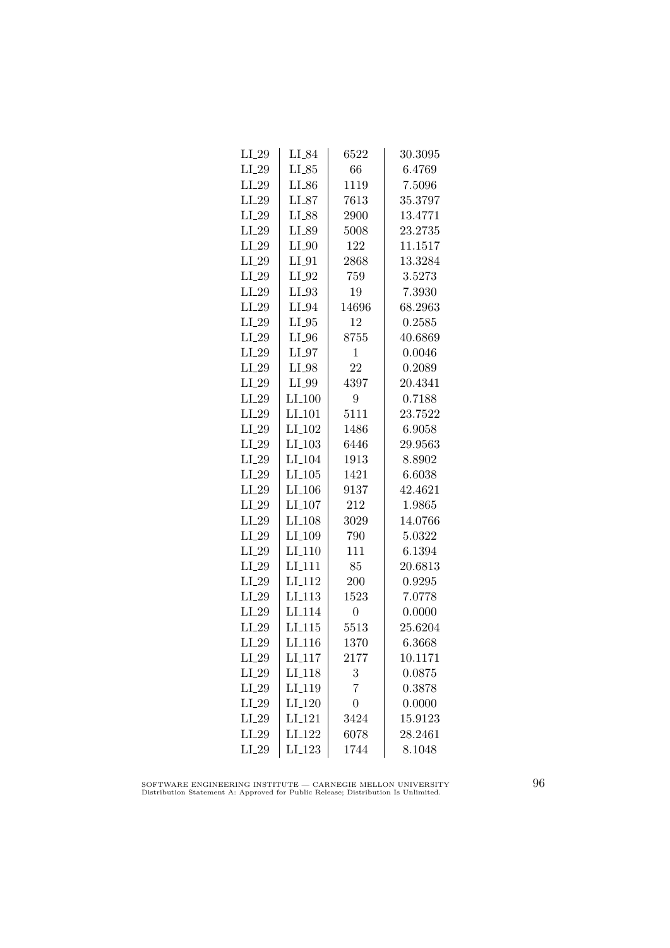| $LI_29$ | LI_84                | 6522           | 30.3095 |
|---------|----------------------|----------------|---------|
| $LI_29$ | $LI_85$              | 66             | 6.4769  |
| $LI_29$ | $LI_86$              | 1119           | 7.5096  |
| $LI_29$ | $LI_87$              | 7613           | 35.3797 |
| $LI_29$ | LI_88                | 2900           | 13.4771 |
| $LI_29$ | LI_89                | 5008           | 23.2735 |
| $LI_29$ | $LI_0$               | 122            | 11.1517 |
| $LI_29$ | $LI_01$              | 2868           | 13.3284 |
| $LI_29$ | $LI_02$              | 759            | 3.5273  |
| $LI_29$ | $LI_93$              | 19             | 7.3930  |
| $LI_29$ | $LI_04$              | 14696          | 68.2963 |
| $LI_29$ | $LI_05$              | 12             | 0.2585  |
| $LI_29$ | $LI_0$               | 8755           | 40.6869 |
| $LI_29$ | $LI_07$              | $\mathbf{1}$   | 0.0046  |
| $LI_29$ | $LI_98$              | 22             | 0.2089  |
| $LI_29$ | $LI_99$              | 4397           | 20.4341 |
| $LI_29$ | $LI_100$             | 9              | 0.7188  |
| $LI_29$ | LI <sub>-101</sub>   | 5111           | 23.7522 |
| $LI_29$ | LI <sub>-102</sub>   | 1486           | 6.9058  |
| $LI_29$ | $LI_103$             | 6446           | 29.9563 |
| $LI_29$ | LI <sub>-104</sub>   | 1913           | 8.8902  |
| $LI_29$ | $LI_105$             | 1421           | 6.6038  |
| $LI_29$ | $LI$ <sub>-106</sub> | 9137           | 42.4621 |
| $LI_29$ | $LI_107$             | 212            | 1.9865  |
| $LI_29$ | LI <sub>-108</sub>   | 3029           | 14.0766 |
| $LI_29$ | LI <sub>-109</sub>   | 790            | 5.0322  |
| $LI_29$ | $LI_110$             | 111            | 6.1394  |
| $LI_29$ | LI_111               | 85             | 20.6813 |
| $LI_29$ | $LI-112$             | 200            | 0.9295  |
| $LI_29$ | LI.113               | 1523           | 7.0778  |
| $LI_29$ | LI <sub>-114</sub>   | $\overline{0}$ | 0.0000  |
| $LI_29$ | LI <sub>-115</sub>   | 5513           | 25.6204 |
| $LI_29$ | $LI_116$             | 1370           | 6.3668  |
| $LI_29$ | LI <sub>-117</sub>   | 2177           | 10.1171 |
| $LI_29$ | LI_118               | 3              | 0.0875  |
| $LI_29$ | LI <sub>-119</sub>   | $\overline{7}$ | 0.3878  |
| $LI_29$ | LI <sub>-120</sub>   | $\overline{0}$ | 0.0000  |
| $LI_29$ | LI <sub>-121</sub>   | 3424           | 15.9123 |
| $LI_29$ | LI <sub>-122</sub>   | 6078           | 28.2461 |
| $LI_29$ | LI <sub>-123</sub>   | 1744           | 8.1048  |
|         |                      |                |         |

SOFTWARE ENGINEERING INSTITUTE — CARNEGIE MELLON UNIVERSITY Distribution Statement A: Approved for Public Release; Distribution Is Unlimited.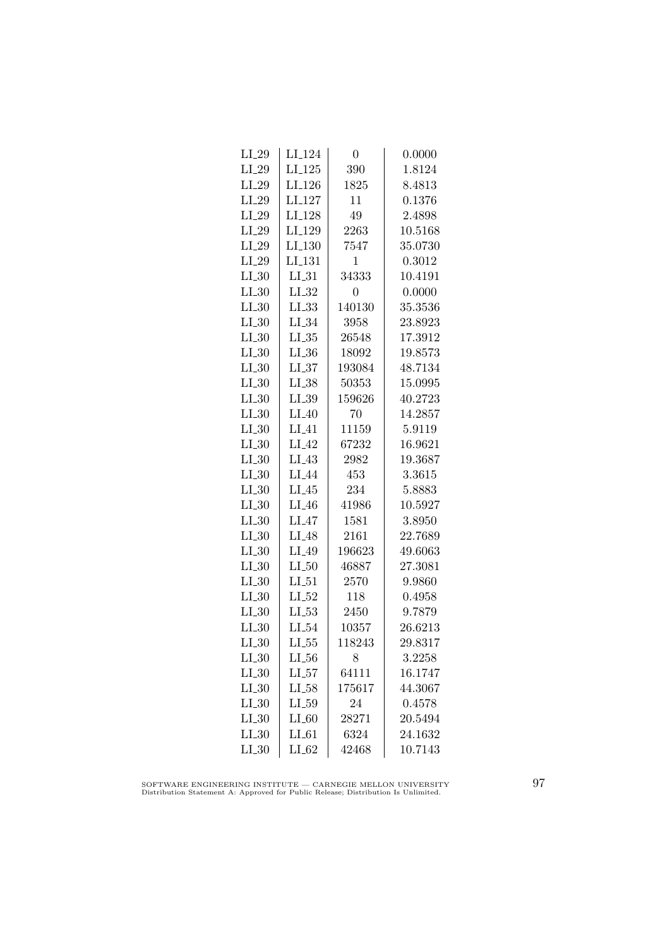| $LI_29$    | LI <sub>-124</sub> | $\overline{0}$ | 0.0000  |
|------------|--------------------|----------------|---------|
| $LI_29$    | $LI_125$           | 390            | 1.8124  |
| $LI_29$    | LI <sub>-126</sub> | 1825           | 8.4813  |
| $LI_29$    | LI <sub>-127</sub> | 11             | 0.1376  |
| $LI_29$    | LI <sub>-128</sub> | 49             | 2.4898  |
| $LI_29$    | LI <sub>-129</sub> | 2263           | 10.5168 |
| $LI_29$    | $LI_130$           | 7547           | 35.0730 |
| $LI_29$    | LI <sub>-131</sub> | 1              | 0.3012  |
| $LI_30$    | $LI_31$            | 34333          | 10.4191 |
| $LI_30$    | $LI_32$            | $\overline{0}$ | 0.0000  |
| $LL_{.30}$ | $LL_{.33}$         | 140130         | 35.3536 |
| LL30       | $LI_34$            | 3958           | 23.8923 |
| $LI_30$    | $LL_{.35}$         | 26548          | 17.3912 |
| $LI_30$    | $LI_36$            | 18092          | 19.8573 |
| $LI_0$     | $LL_{-37}$         | 193084         | 48.7134 |
| $LL_{.30}$ | $LI_38$            | 50353          | 15.0995 |
| LL30       | $LI_39$            | 159626         | 40.2723 |
| $LI_30$    | $LI_40$            | 70             | 14.2857 |
| $LL_{.30}$ | $LI_41$            | 11159          | 5.9119  |
| $LI_30$    | $LI_42$            | 67232          | 16.9621 |
| $LI_30$    | $LI_43$            | 2982           | 19.3687 |
| $LI_0$     | LI <sub>-44</sub>  | 453            | 3.3615  |
| $LL_{.30}$ | $LI_45$            | 234            | 5.8883  |
| $LL_{.30}$ | $LI_46$            | 41986          | 10.5927 |
| $LI_30$    | $LI_47$            | 1581           | 3.8950  |
| $LI_30$    | $LI_48$            | 2161           | 22.7689 |
| $LI_30$    | LI_49              | 196623         | 49.6063 |
| $LI_30$    | $LI_50$            | 46887          | 27.3081 |
| $LL_{.30}$ | $LI_0-51$          | 2570           | 9.9860  |
| $LL_{.30}$ | $LI_52$            | 118            | 0.4958  |
| LL30       | $LL_{.53}$         | 2450           | 9.7879  |
| $LI_30$    | $LI_0.54$          | 10357          | 26.6213 |
| $LI_30$    | $LI_55$            | 118243         | 29.8317 |
| $LI_30$    | $LL_{.56}$         | 8              | 3.2258  |
| $LI_30$    | $LI_57$            | 64111          | 16.1747 |
| $LL_{.30}$ | $LI_58$            | 175617         | 44.3067 |
| $LI_30$    | $LI_59$            | 24             | 0.4578  |
| $LI_30$    | $LI_60$            | 28271          | 20.5494 |
| LL30       | $LI_61$            | 6324           | 24.1632 |
| $LI_30$    | $LI_62$            | 42468          | 10.7143 |

SOFTWARE ENGINEERING INSTITUTE — CARNEGIE MELLON UNIVERSITY Distribution Statement A: Approved for Public Release; Distribution Is Unlimited.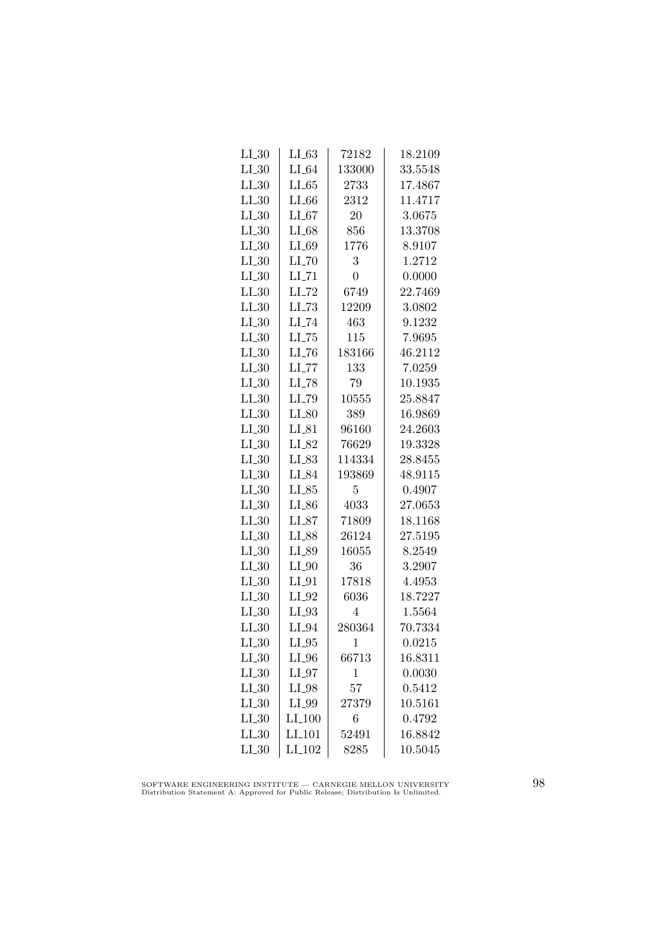| $LL_{.30}$ | LL63                | 72182          | 18.2109 |
|------------|---------------------|----------------|---------|
| $LI_30$    | $LI_64$             | 133000         | 33.5548 |
| $LI_030$   | LL 65               | 2733           | 17.4867 |
| $LI_30$    | $LI_66$             | 2312           | 11.4717 |
| $LI_30$    | LL67                | 20             | 3.0675  |
| $LI_30$    | $LI_68$             | 856            | 13.3708 |
| $LI_30$    | $LI_69$             | 1776           | 8.9107  |
| $LI_30$    | $LI$ <sub>-70</sub> | 3              | 1.2712  |
| $LI_30$    | $LI$ <sub>-71</sub> | $\overline{0}$ | 0.0000  |
| $LI_030$   | $LI$ <sub>-72</sub> | 6749           | 22.7469 |
| $LI_30$    | LL73                | 12209          | 3.0802  |
| $LI_30$    | $LI$ <sub>-74</sub> | 463            | 9.1232  |
| $LI_30$    | $LL-75$             | 115            | 7.9695  |
| $LI_30$    | $LI$ <sub>-76</sub> | 183166         | 46.2112 |
| $LI_0$     | $LI$ <sub>-77</sub> | 133            | 7.0259  |
| LL30       | LI_78               | 79             | 10.1935 |
| $LI_30$    | LI_79               | 10555          | 25.8847 |
| $LI_30$    | $LI_80$             | 389            | 16.9869 |
| $LI_30$    | $LI_81$             | 96160          | 24.2603 |
| $LI_30$    | LI_82               | 76629          | 19.3328 |
| $LI_30$    | $LI_83$             | 114334         | 28.8455 |
| $LI_30$    | LI_84               | 193869         | 48.9115 |
| $LI_30$    | $LI_85$             | 5              | 0.4907  |
| LL30       | $LL_{.86}$          | 4033           | 27.0653 |
| $LI_30$    | $LI_87$             | 71809          | 18.1168 |
| $LL_{.30}$ | LI_88               | 26124          | 27.5195 |
| $LI_30$    | LI_89               | 16055          | 8.2549  |
| $LI_30$    | $LI_0$              | 36             | 3.2907  |
| $LI_30$    | $LI_01$             | 17818          | 4.4953  |
| $LI_0$     | $LI_02$             | 6036           | 18.7227 |
| $LI_30$    | $LI_93$             | 4              | 1.5564  |
| $LI_30$    | $LI_04$             | 280364         | 70.7334 |
| $LI_30$    | $LI_05$             | $\mathbf 1$    | 0.0215  |
| $LI_30$    | $LI_0$              | 66713          | 16.8311 |
| $LI_30$    | $LI_97$             | 1              | 0.0030  |
| $LI_030$   | $LI_98$             | 57             | 0.5412  |
| $LI_30$    | LI_99               | 27379          | 10.5161 |
| $LI_0$     | LI.100              | 6              | 0.4792  |
| $LI_30$    | LI <sub>-101</sub>  | 52491          | 16.8842 |
| $LI_30$    | $LI_102$            | 8285           | 10.5045 |

SOFTWARE ENGINEERING INSTITUTE — CARNEGIE MELLON UNIVERSITY Distribution Statement A: Approved for Public Release; Distribution Is Unlimited.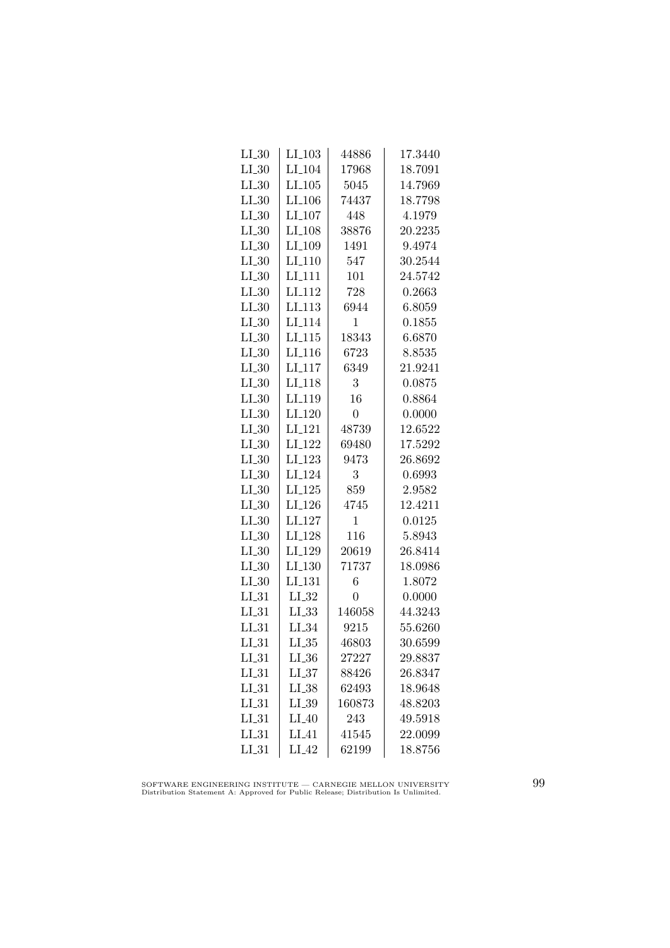| $LI_30$    | $LI_103$             | 44886            | 17.3440 |
|------------|----------------------|------------------|---------|
| $LI_30$    | LI <sub>-104</sub>   | 17968            | 18.7091 |
| $LI_30$    | $LI_105$             | 5045             | 14.7969 |
| $LI_30$    | LI <sub>-106</sub>   | 74437            | 18.7798 |
| $LI_30$    | LI <sub>-107</sub>   | 448              | 4.1979  |
| $LI_30$    | LI <sub>-108</sub>   | 38876            | 20.2235 |
| $LI_30$    | LI_109               | 1491             | 9.4974  |
| $LI_30$    | $LI_110$             | 547              | 30.2544 |
| $LI_30$    | $LI-111$             | 101              | 24.5742 |
| $LI_30$    | LI <sub>-112</sub>   | 728              | 0.2663  |
| $LL_{.30}$ | LI <sub>113</sub>    | 6944             | 6.8059  |
| $LI_30$    | LI <sub>-114</sub>   | 1                | 0.1855  |
| $LI_30$    | $LI$ <sub>-115</sub> | 18343            | 6.6870  |
| $LI_30$    | LI <sub>-116</sub>   | 6723             | 8.8535  |
| $LI_0$     | $LI_117$             | 6349             | 21.9241 |
| $LI_30$    | LI <sub>-118</sub>   | 3                | 0.0875  |
| $LI_30$    | LI <sub>-119</sub>   | 16               | 0.8864  |
| $LI_30$    | $LI-120$             | $\boldsymbol{0}$ | 0.0000  |
| $LI_30$    | LI <sub>-121</sub>   | 48739            | 12.6522 |
| $LI_30$    | LI <sub>-122</sub>   | 69480            | 17.5292 |
| $LI_30$    | $LI_123$             | 9473             | 26.8692 |
| $LI_30$    | LI <sub>-124</sub>   | 3                | 0.6993  |
| $LI_0$     | $LI-125$             | 859              | 2.9582  |
| LL30       | LI <sub>-126</sub>   | 4745             | 12.4211 |
| $LI_30$    | LI <sub>-127</sub>   | $\mathbf 1$      | 0.0125  |
| $LI_30$    | LI <sub>-128</sub>   | 116              | 5.8943  |
| $LI_30$    | LI_129               | 20619            | 26.8414 |
| $LI_30$    | $LI_130$             | 71737            | 18.0986 |
| $LI_30$    | LI <sub>-131</sub>   | 6                | 1.8072  |
| $LI_31$    | $LI_32$              | 0                | 0.0000  |
| $LI_31$    | LL33                 | 146058           | 44.3243 |
| $LI_31$    | $LI_34$              | 9215             | 55.6260 |
| $LI_31$    | $LI_35$              | 46803            | 30.6599 |
| $LI_31$    | $LL_{.36}$           | 27227            | 29.8837 |
| $LI_31$    | LL37                 | 88426            | 26.8347 |
| $LL-31$    | $LI_38$              | 62493            | 18.9648 |
| $LI_31$    | $LI_39$              | 160873           | 48.8203 |
| $LI_31$    | $LI_40$              | 243              | 49.5918 |
| $LI_31$    | $LI_41$              | 41545            | 22.0099 |
| $LI_31$    | $LI_42$              | 62199            | 18.8756 |

SOFTWARE ENGINEERING INSTITUTE — CARNEGIE MELLON UNIVERSITY Distribution Statement A: Approved for Public Release; Distribution Is Unlimited.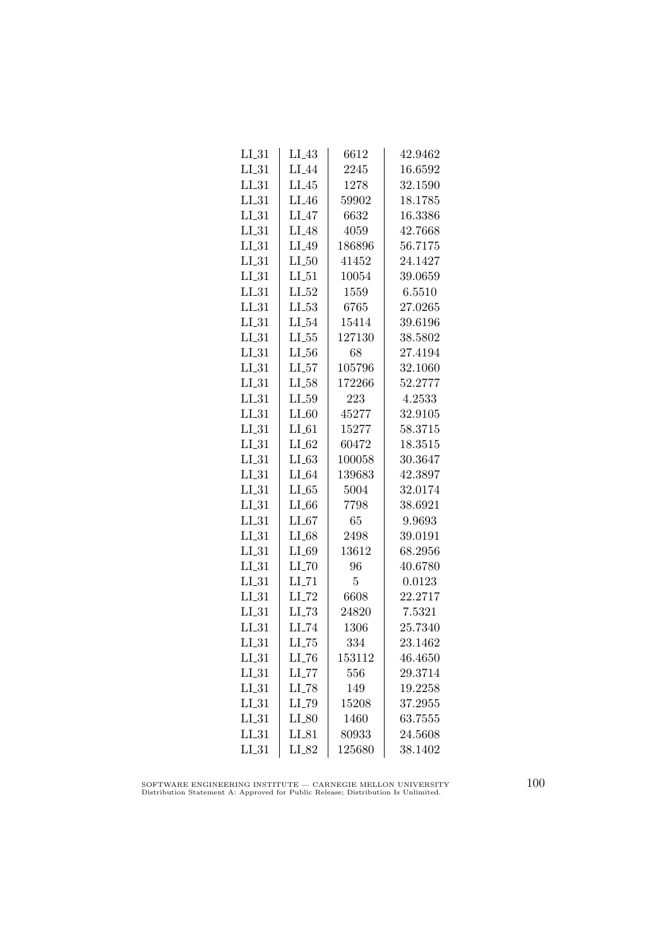| $LI_31$    | LI <sub>-</sub> 43  | 6612           | 42.9462 |
|------------|---------------------|----------------|---------|
| $LI_31$    | $LI_44$             | 2245           | 16.6592 |
| $LI_31$    | $LI_45$             | 1278           | 32.1590 |
| $LI_31$    | LI <sub>-46</sub>   | 59902          | 18.1785 |
| $LI_31$    | $LI_47$             | 6632           | 16.3386 |
| $LI_31$    | $LI_48$             | 4059           | 42.7668 |
| $LI_31$    | LI_49               | 186896         | 56.7175 |
| $LI_31$    | $LI_50$             | 41452          | 24.1427 |
| $LI_31$    | $LI_51$             | 10054          | 39.0659 |
| $LL_{.31}$ | $LI_52$             | 1559           | 6.5510  |
| $LI_31$    | $LL_{.53}$          | 6765           | 27.0265 |
| $LI_31$    | $LI_54$             | 15414          | 39.6196 |
| $LI_31$    | $LL_{.55}$          | 127130         | 38.5802 |
| $LI_31$    | $LI_56$             | 68             | 27.4194 |
| $LI_31$    | $LL_{57}$           | 105796         | 32.1060 |
| $LI_31$    | $LL-58$             | 172266         | 52.2777 |
| $LI_31$    | $LI_59$             | 223            | 4.2533  |
| $LI_31$    | $LI_60$             | 45277          | 32.9105 |
| $LL_{.31}$ | $LI_61$             | 15277          | 58.3715 |
| $LI_31$    | $LI_62$             | 60472          | 18.3515 |
| $LI_31$    | $LI_63$             | 100058         | 30.3647 |
| $LI_31$    | $LI_64$             | 139683         | 42.3897 |
| $LI_31$    | $LL-65$             | 5004           | 32.0174 |
| $LI_31$    | $LI_66$             | 7798           | 38.6921 |
| $LI_31$    | $LI_67$             | 65             | 9.9693  |
| $LL_{.31}$ | $LI_68$             | 2498           | 39.0191 |
| $LI_31$    | LI_69               | 13612          | 68.2956 |
| $LI_31$    | $LI$ <sub>-70</sub> | 96             | 40.6780 |
| $LI_31$    | $LI$ <sub>-71</sub> | $\overline{5}$ | 0.0123  |
| $LI_31$    | $LI$ <sub>-72</sub> | 6608           | 22.2717 |
| $LI_31$    | LL73                | 24820          | 7.5321  |
| $LI_31$    | LI_74               | 1306           | 25.7340 |
| $LI_31$    | $LI$ <sub>-75</sub> | 334            | 23.1462 |
| $LI_31$    | $LI$ <sub>-76</sub> | 153112         | 46.4650 |
| $LI_31$    | $LI$ <sub>-77</sub> | 556            | 29.3714 |
| $LI_31$    | $LI$ <sub>-78</sub> | 149            | 19.2258 |
| $LL_{.31}$ | LI_79               | 15208          | 37.2955 |
| $LI_31$    | $LI_80$             | 1460           | 63.7555 |
| $LI_31$    | $LI_81$             | 80933          | 24.5608 |
| $LI_31$    | LI_82               | 125680         | 38.1402 |

SOFTWARE ENGINEERING INSTITUTE — CARNEGIE MELLON UNIVERSITY Distribution Statement A: Approved for Public Release; Distribution Is Unlimited.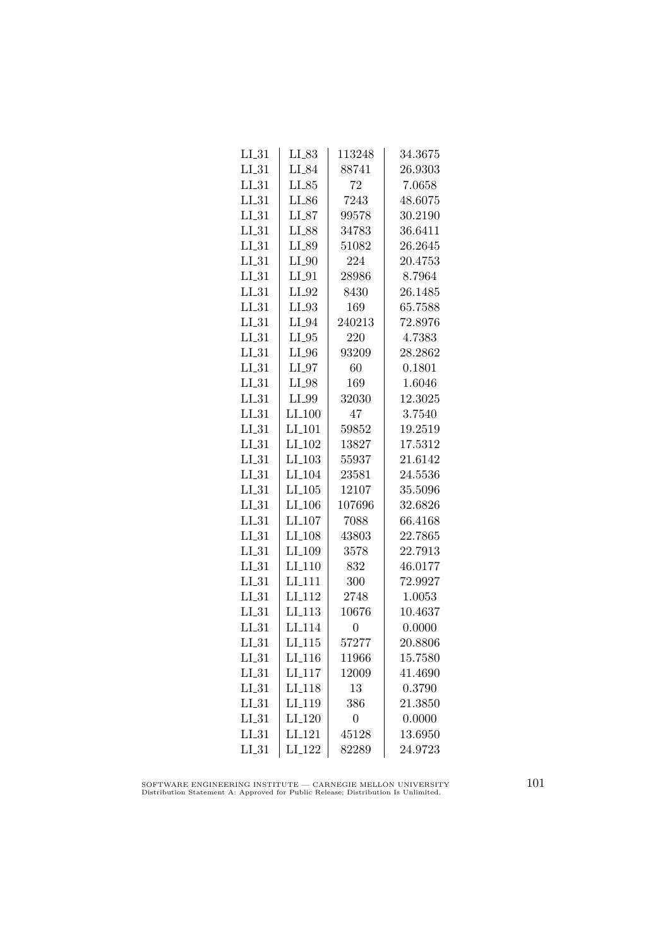| $LI_31$    | $LI_83$              | 113248           | 34.3675 |
|------------|----------------------|------------------|---------|
| $LI_31$    | LI_84                | 88741            | 26.9303 |
| $LI_31$    | $LI_85$              | 72               | 7.0658  |
| $LI_31$    | $LI_86$              | 7243             | 48.6075 |
| $LI_31$    | $LI_87$              | 99578            | 30.2190 |
| $LI_31$    | LI_88                | 34783            | 36.6411 |
| $LI_31$    | LI_89                | 51082            | 26.2645 |
| $LI_31$    | $LI_0$               | 224              | 20.4753 |
| LL31       | $LI_01$              | 28986            | 8.7964  |
| $LI_31$    | $LI_02$              | 8430             | 26.1485 |
| $LI_31$    | $LI_93$              | 169              | 65.7588 |
| $LI_31$    | $LI_04$              | 240213           | 72.8976 |
| $LI_31$    | $LI_05$              | 220              | 4.7383  |
| $LI_31$    | $LI_0$               | 93209            | 28.2862 |
| $LI_31$    | $LI_07$              | 60               | 0.1801  |
| LL31       | $LI_98$              | 169              | 1.6046  |
| $LI_31$    | LI_99                | 32030            | 12.3025 |
| $LI_31$    | $LI_100$             | 47               | 3.7540  |
| $LI_31$    | LI <sub>-101</sub>   | 59852            | 19.2519 |
| $LI_31$    | $LI_102$             | 13827            | 17.5312 |
| $LI_31$    | $LI_103$             | 55937            | 21.6142 |
| $LI_31$    | LI <sub>-104</sub>   | 23581            | 24.5536 |
| $LI_31$    | $LI$ <sub>-105</sub> | 12107            | 35.5096 |
| LL31       | $LI$ <sub>-106</sub> | 107696           | 32.6826 |
| $LI_31$    | LI <sub>-107</sub>   | 7088             | 66.4168 |
| $LI_31$    | LI <sub>-108</sub>   | 43803            | 22.7865 |
| $LI_31$    | LI_109               | 3578             | 22.7913 |
| $LI_31$    | $LI_110$             | 832              | 46.0177 |
| $LI_31$    | LI <sub>-111</sub>   | 300              | 72.9927 |
| $LI_31$    | LI <sub>-112</sub>   | 2748             | 1.0053  |
| $LI_31$    | LI <sub>-113</sub>   | 10676            | 10.4637 |
| $LI_31$    | LI <sub>-114</sub>   | $\overline{0}$   | 0.0000  |
| $LI_31$    | $LI_115$             | 57277            | 20.8806 |
| $LI_31$    | $LI_116$             | 11966            | 15.7580 |
| $LI_31$    | $LI_117$             | 12009            | 41.4690 |
| $LI_31$    | LI <sub>-118</sub>   | 13               | 0.3790  |
| $LI_31$    | LI <sub>-119</sub>   | 386              | 21.3850 |
| $LI_31$    | LI <sub>-120</sub>   | $\boldsymbol{0}$ | 0.0000  |
| $LI_31$    | LI <sub>-121</sub>   | 45128            | 13.6950 |
| $LL_{.31}$ | LI <sub>-122</sub>   | 82289            | 24.9723 |

SOFTWARE ENGINEERING INSTITUTE — CARNEGIE MELLON UNIVERSITY Distribution Statement A: Approved for Public Release; Distribution Is Unlimited.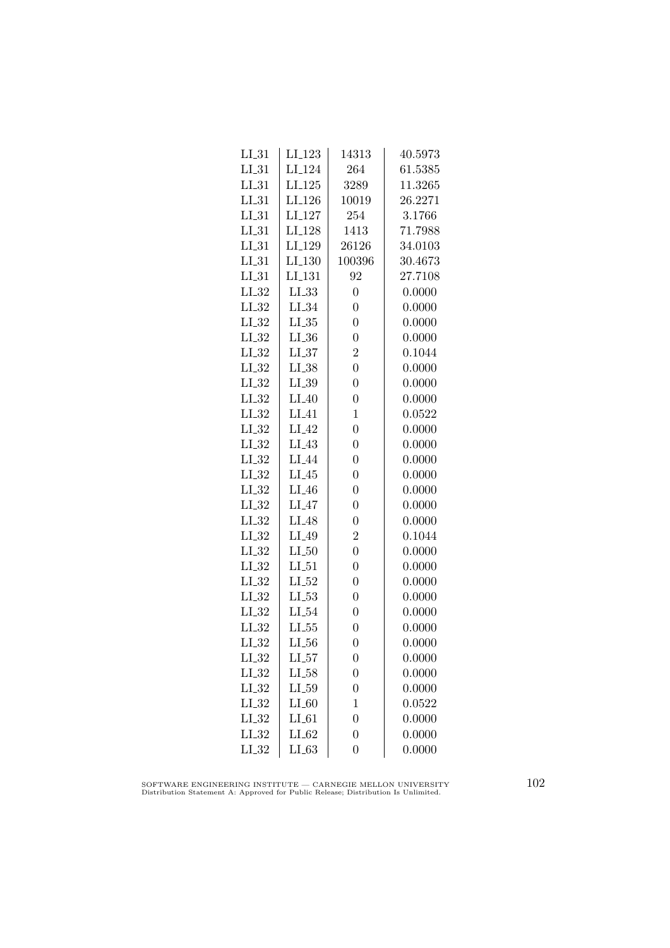| $LI_31$    | LI <sub>-123</sub> | 14313            | 40.5973 |
|------------|--------------------|------------------|---------|
| $LI_31$    | LI <sub>-124</sub> | 264              | 61.5385 |
| $LL_{.31}$ | $LI_125$           | 3289             | 11.3265 |
| $LI_31$    | LI <sub>-126</sub> | 10019            | 26.2271 |
| $LI_31$    | LI <sub>-127</sub> | 254              | 3.1766  |
| $LI_31$    | LI <sub>-128</sub> | 1413             | 71.7988 |
| $LI_31$    | LI_129             | 26126            | 34.0103 |
| $LI_31$    | $LI_130$           | 100396           | 30.4673 |
| $LI_31$    | LI <sub>-131</sub> | 92               | 27.7108 |
| $LI_32$    | LL33               | $\boldsymbol{0}$ | 0.0000  |
| $LI_32$    | $LI_34$            | $\overline{0}$   | 0.0000  |
| $LI_32$    | $LI_35$            | $\overline{0}$   | 0.0000  |
| $LI_32$    | $LL_{.36}$         | $\overline{0}$   | 0.0000  |
| $LI_32$    | $LI_37$            | $\overline{2}$   | 0.1044  |
| $LI_32$    | $LI_38$            | $\overline{0}$   | 0.0000  |
| $LI_32$    | $LI_39$            | $\overline{0}$   | 0.0000  |
| $LI_32$    | $LI_40$            | $\overline{0}$   | 0.0000  |
| $LI_32$    | $LI_41$            | $\mathbf 1$      | 0.0522  |
| $LL_{.32}$ | LI <sub>-42</sub>  | $\overline{0}$   | 0.0000  |
| $LI_32$    | $LI_43$            | $\overline{0}$   | 0.0000  |
| $LI_32$    | LI_44              | $\overline{0}$   | 0.0000  |
| $LI_32$    | $LI_45$            | $\overline{0}$   | 0.0000  |
| $LI_32$    | $LI_46$            | $\overline{0}$   | 0.0000  |
| $LI_32$    | $LI_47$            | $\overline{0}$   | 0.0000  |
| $LI_32$    | LI <sub>48</sub>   | $\overline{0}$   | 0.0000  |
| $LI_32$    | LI.49              | $\overline{2}$   | 0.1044  |
| $LL_{.32}$ | $LI_50$            | $\overline{0}$   | 0.0000  |
| $LI_32$    | $LI_51$            | $\overline{0}$   | 0.0000  |
| $LI_32$    | $LI_52$            | $\overline{0}$   | 0.0000  |
| $LI_32$    | $LI_53$            | $\overline{0}$   | 0.0000  |
| $LI_32$    | $LI_54$            | $\overline{0}$   | 0.0000  |
| $LI_32$    | $LL_{.55}$         | $\overline{0}$   | 0.0000  |
| $LI_32$    | $LL_{.56}$         | $\overline{0}$   | 0.0000  |
| $LI_32$    | $LI_57$            | $\boldsymbol{0}$ | 0.0000  |
| $LI_32$    | $LI_58$            | $\overline{0}$   | 0.0000  |
| $LI_32$    | $LI_59$            | $\overline{0}$   | 0.0000  |
| $LI_32$    | $LI_60$            | $\mathbf{1}$     | 0.0522  |
| $LI_32$    | $LI_61$            | $\overline{0}$   | 0.0000  |
| $LI_32$    | $LI_62$            | $\overline{0}$   | 0.0000  |
| $LL_{.32}$ | LL63               | $\overline{0}$   | 0.0000  |

SOFTWARE ENGINEERING INSTITUTE — CARNEGIE MELLON UNIVERSITY Distribution Statement A: Approved for Public Release; Distribution Is Unlimited.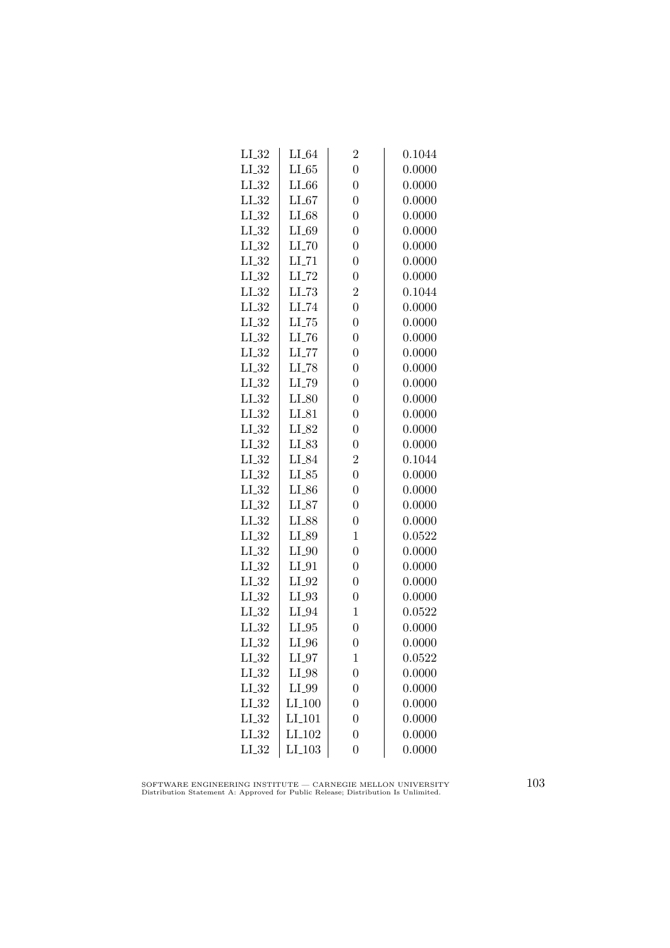| $LI_32$    | $LI_64$             | $\overline{2}$ | 0.1044 |
|------------|---------------------|----------------|--------|
| $LI_32$    | $LI_65$             | $\overline{0}$ | 0.0000 |
| $LI_32$    | $LI_66$             | $\overline{0}$ | 0.0000 |
| LL32       | $LI_67$             | $\overline{0}$ | 0.0000 |
| $LI_32$    | $LI_68$             | $\overline{0}$ | 0.0000 |
| $LI_32$    | $LI_69$             | $\overline{0}$ | 0.0000 |
| $LI_32$    | $LI$ <sub>-70</sub> | $\overline{0}$ | 0.0000 |
| $LI_32$    | $LI$ <sub>-71</sub> | $\overline{0}$ | 0.0000 |
| $LI_32$    | $LI$ <sub>-72</sub> | $\overline{0}$ | 0.0000 |
| $LL_{.32}$ | $LL-73$             | $\overline{2}$ | 0.1044 |
| $LL_{.32}$ | LI_74               | $\overline{0}$ | 0.0000 |
| $LI_32$    | $LL-75$             | $\overline{0}$ | 0.0000 |
| $LI_32$    | $LI$ <sub>-76</sub> | $\overline{0}$ | 0.0000 |
| $LI_32$    | $LI$ <sub>-77</sub> | $\overline{0}$ | 0.0000 |
| $LL_{-32}$ | $LI$ <sub>-78</sub> | $\overline{0}$ | 0.0000 |
| $LI_32$    | LI <sub>-79</sub>   | $\overline{0}$ | 0.0000 |
| $LI_32$    | $LI_80$             | $\overline{0}$ | 0.0000 |
| $LI_32$    | $LI_81$             | $\overline{0}$ | 0.0000 |
| $LI_32$    | LI_82               | $\overline{0}$ | 0.0000 |
| $LI_32$    | LI_83               | $\overline{0}$ | 0.0000 |
| $LI_32$    | LI_84               | $\overline{2}$ | 0.1044 |
| $LI_32$    | $LI_85$             | $\overline{0}$ | 0.0000 |
| $LL_{.32}$ | $LI_86$             | $\overline{0}$ | 0.0000 |
| $LI_32$    | $LI_87$             | $\overline{0}$ | 0.0000 |
| $LI_32$    | LI_88               | $\overline{0}$ | 0.0000 |
| $LI_32$    | LI_89               | $\mathbf{1}$   | 0.0522 |
| $LI_32$    | $LI_0$              | $\overline{0}$ | 0.0000 |
| $LI_32$    | $LI_01$             | $\overline{0}$ | 0.0000 |
| $LI_32$    | $LI_02$             | $\overline{0}$ | 0.0000 |
| $LL_{-32}$ | $LI_03$             | $\overline{0}$ | 0.0000 |
| $LL_{.32}$ | LI_94               | 1              | 0.0522 |
| $LI_32$    | $LI_05$             | $\overline{0}$ | 0.0000 |
| $LI_32$    | $LI_0$              | $\overline{0}$ | 0.0000 |
| $LI_32$    | $LI_0$              | $\mathbf 1$    | 0.0522 |
| $LI_32$    | LI_98               | $\overline{0}$ | 0.0000 |
| $LI_32$    | $LI_099$            | $\overline{0}$ | 0.0000 |
| $LI_32$    | $LI_100$            | $\overline{0}$ | 0.0000 |
| $LL_{.32}$ | LI <sub>-101</sub>  | $\overline{0}$ | 0.0000 |
| $LI_32$    | LI <sub>-102</sub>  | $\overline{0}$ | 0.0000 |
| $LL_{.32}$ | LI <sub>-103</sub>  | $\overline{0}$ | 0.0000 |

SOFTWARE ENGINEERING INSTITUTE — CARNEGIE MELLON UNIVERSITY Distribution Statement A: Approved for Public Release; Distribution Is Unlimited.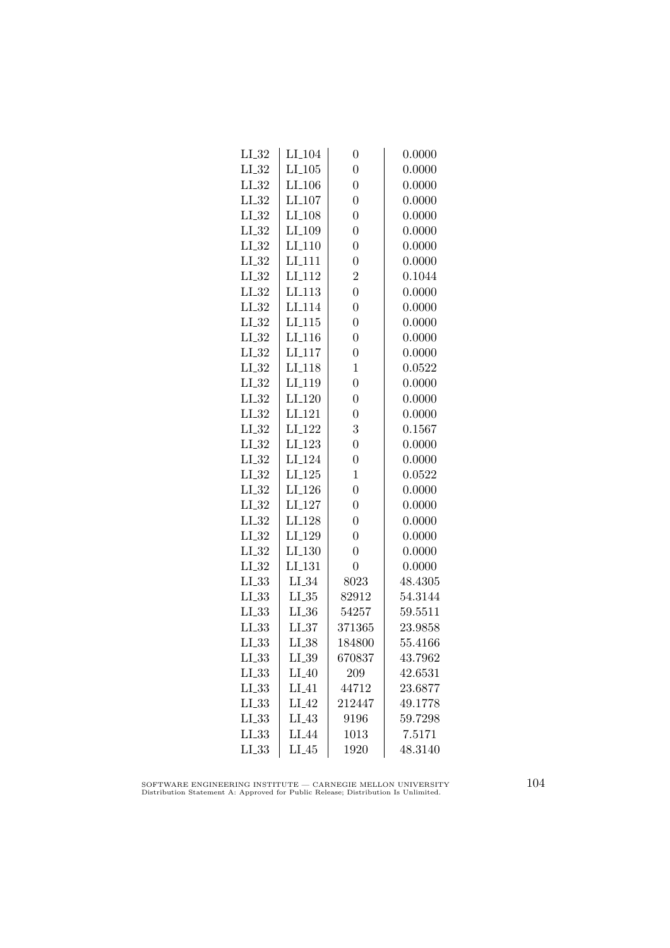| $LI_32$    | $LI_104$           | $\overline{0}$ | 0.0000  |
|------------|--------------------|----------------|---------|
| $LI_32$    | $LI_105$           | $\overline{0}$ | 0.0000  |
| $LI_32$    | LI <sub>-106</sub> | $\overline{0}$ | 0.0000  |
| $LI_32$    | LI <sub>-107</sub> | $\overline{0}$ | 0.0000  |
| $LI_32$    | LI <sub>-108</sub> | $\overline{0}$ | 0.0000  |
| $LI_32$    | LI <sub>-109</sub> | $\overline{0}$ | 0.0000  |
| $LI_32$    | LI <sub>-110</sub> | $\overline{0}$ | 0.0000  |
| $LI_32$    | LI <sub>-111</sub> | $\overline{0}$ | 0.0000  |
| $LL_{-32}$ | LI <sub>-112</sub> | $\overline{2}$ | 0.1044  |
| $LI_32$    | LI <sub>-113</sub> | $\overline{0}$ | 0.0000  |
| $LL_{.32}$ | LI <sub>-114</sub> | $\overline{0}$ | 0.0000  |
| $LI_32$    | LI <sub>-115</sub> | $\overline{0}$ | 0.0000  |
| $LI_32$    | LI <sub>-116</sub> | $\overline{0}$ | 0.0000  |
| $LI_32$    | LI <sub>-117</sub> | $\overline{0}$ | 0.0000  |
| $LI_32$    | LI <sub>-118</sub> | 1              | 0.0522  |
| $LI_32$    | LI <sub>-119</sub> | $\overline{0}$ | 0.0000  |
| LL32       | LI <sub>-120</sub> | $\overline{0}$ | 0.0000  |
| $LI_32$    | LI <sub>-121</sub> | $\overline{0}$ | 0.0000  |
| $LI_32$    | LI <sub>-122</sub> | 3              | 0.1567  |
| $LI_32$    | LI <sub>-123</sub> | $\overline{0}$ | 0.0000  |
| $LI_32$    | LI <sub>-124</sub> | $\overline{0}$ | 0.0000  |
| $LI_32$    | $LI_125$           | $\mathbf 1$    | 0.0522  |
| $LL_{-32}$ | LI <sub>-126</sub> | $\overline{0}$ | 0.0000  |
| $LI_32$    | LI <sub>-127</sub> | $\overline{0}$ | 0.0000  |
| $LI_32$    | LI <sub>-128</sub> | $\overline{0}$ | 0.0000  |
| $LI_32$    | LI <sub>-129</sub> | $\overline{0}$ | 0.0000  |
| $LI_32$    | LI <sub>-130</sub> | $\overline{0}$ | 0.0000  |
| $LI_32$    | LI <sub>-131</sub> | $\overline{0}$ | 0.0000  |
| $LL_{.33}$ | $LI_34$            | 8023           | 48.4305 |
| $LL_{.33}$ | $LL_{.35}$         | 82912          | 54.3144 |
| LL33       | $LL_{.36}$         | 54257          | 59.5511 |
| LL33       | $LL_{.37}$         | 371365         | 23.9858 |
| LL33       | $LI_38$            | 184800         | 55.4166 |
| $LI_33$    | $LI_39$            | 670837         | 43.7962 |
| $LL_{.33}$ | $LI_40$            | 209            | 42.6531 |
| $LL_{.33}$ | $LI_41$            | 44712          | 23.6877 |
| LL33       | $LI_42$            | 212447         | 49.1778 |
| LL33       | $LI_43$            | 9196           | 59.7298 |
| LL33       | LI <sub>-44</sub>  | 1013           | 7.5171  |
| LL33       | $LI_45$            | 1920           | 48.3140 |
|            |                    |                |         |

SOFTWARE ENGINEERING INSTITUTE — CARNEGIE MELLON UNIVERSITY Distribution Statement A: Approved for Public Release; Distribution Is Unlimited.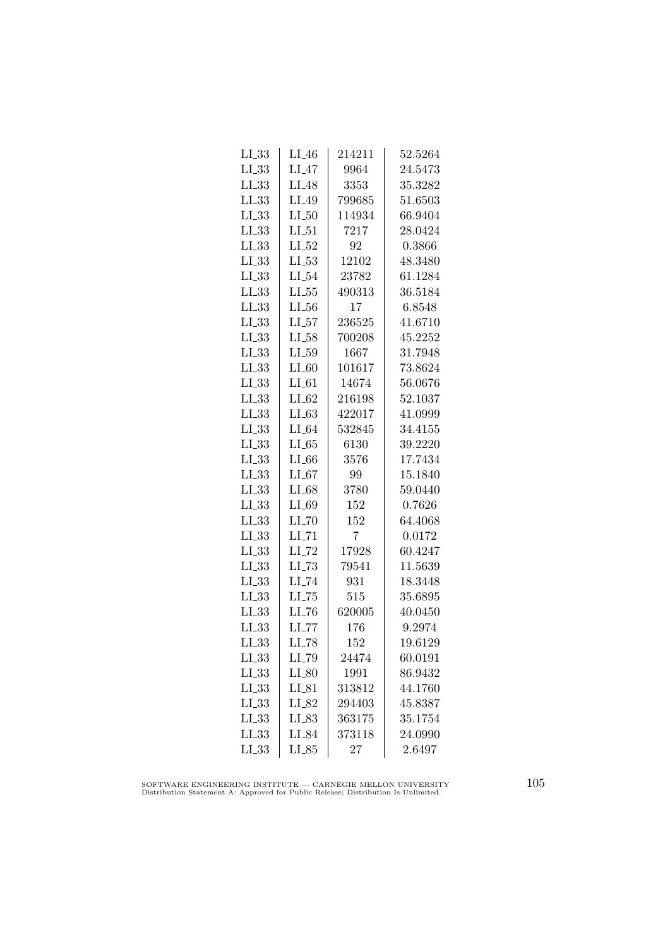| $LI_33$    | $LI_46$             | 214211 | 52.5264 |
|------------|---------------------|--------|---------|
| $LL_{.33}$ | $LI_47$             | 9964   | 24.5473 |
| $LL_{.33}$ | LI <sub>-48</sub>   | 3353   | 35.3282 |
| LL33       | LI_49               | 799685 | 51.6503 |
| $LI_33$    | $LI_50$             | 114934 | 66.9404 |
| $LL_{.33}$ | $LI_51$             | 7217   | 28.0424 |
| $LL_{.33}$ | $LI_52$             | 92     | 0.3866  |
| $LL_{.33}$ | $LL-53$             | 12102  | 48.3480 |
| $LL_{.33}$ | $LI_54$             | 23782  | 61.1284 |
| $LL_{.33}$ | $LL_{.55}$          | 490313 | 36.5184 |
| $LL_{.33}$ | $LL_{.56}$          | 17     | 6.8548  |
| LL33       | LL57                | 236525 | 41.6710 |
| $LL_{.33}$ | $LI_58$             | 700208 | 45.2252 |
| $LL_{.33}$ | $LI_59$             | 1667   | 31.7948 |
| $LL_{-33}$ | $LI_60$             | 101617 | 73.8624 |
| $LL_{.33}$ | $LI_61$             | 14674  | 56.0676 |
| LL33       | $LI_02$             | 216198 | 52.1037 |
| $LI_33$    | $LI_63$             | 422017 | 41.0999 |
| LL33       | $LI_64$             | 532845 | 34.4155 |
| $LL_{.33}$ | LL65                | 6130   | 39.2220 |
| $LL_{.33}$ | $LI_66$             | 3576   | 17.7434 |
| $LL_{-33}$ | $LI_67$             | 99     | 15.1840 |
| $LL_{.33}$ | $LI_68$             | 3780   | 59.0440 |
| LL33       | $LI_69$             | 152    | 0.7626  |
| $LL_{.33}$ | $LI$ <sub>-70</sub> | 152    | 64.4068 |
| LL33       | $LI$ <sub>-71</sub> | 7      | 0.0172  |
| LL33       | $LI$ <sub>-72</sub> | 17928  | 60.4247 |
| $LL_{.33}$ | $LL-73$             | 79541  | 11.5639 |
| $LL_{.33}$ | $LI$ <sub>-74</sub> | 931    | 18.3448 |
| $LL_{.33}$ | $LL-75$             | 515    | 35.6895 |
| LL33       | LL76                | 620005 | 40.0450 |
| $LL_{.33}$ | LL77                | 176    | 9.2974  |
| $LL_{.33}$ | $LI$ <sub>-78</sub> | 152    | 19.6129 |
| $LL_{.33}$ | LI_79               | 24474  | 60.0191 |
| LL33       | $LI_80$             | 1991   | 86.9432 |
| LL33       | $LI_81$             | 313812 | 44.1760 |
| LL33       | $LI_82$             | 294403 | 45.8387 |
| LL33       | LI_83               | 363175 | 35.1754 |
| LL33       | LI_84               | 373118 | 24.0990 |
| $LI_33$    | $LI_85$             | 27     | 2.6497  |
|            |                     |        |         |

SOFTWARE ENGINEERING INSTITUTE — CARNEGIE MELLON UNIVERSITY Distribution Statement A: Approved for Public Release; Distribution Is Unlimited.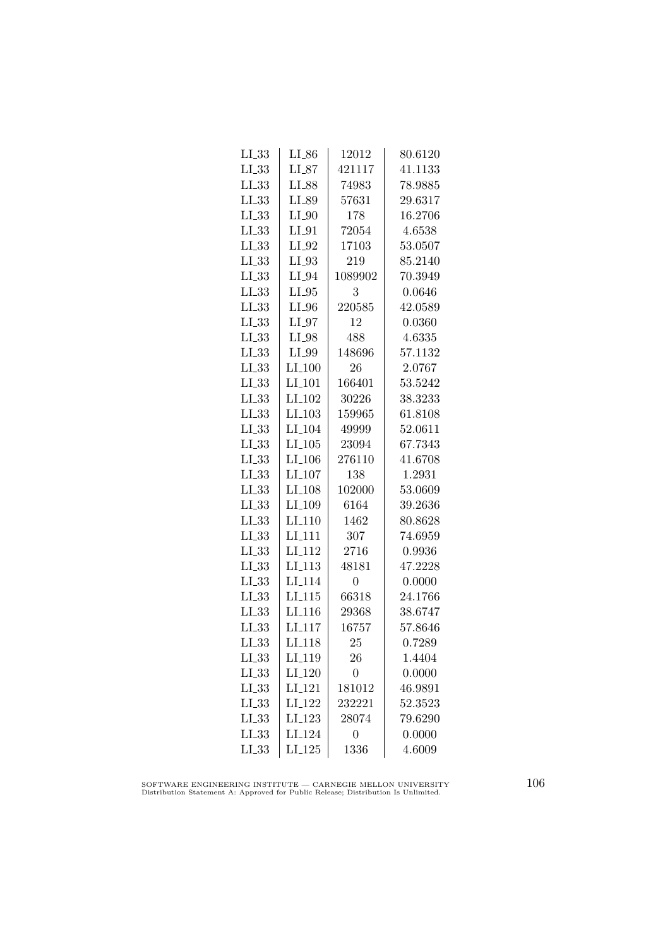| $LI_33$    | $LI_86$              | 12012          | 80.6120 |
|------------|----------------------|----------------|---------|
| $LL_{.33}$ | $LI_87$              | 421117         | 41.1133 |
| $LL_{.33}$ | LI_88                | 74983          | 78.9885 |
| LL33       | LI_89                | 57631          | 29.6317 |
| $LL_{.33}$ | $LI_0$               | 178            | 16.2706 |
| $LI_33$    | $LI_01$              | 72054          | 4.6538  |
| $LL_{.33}$ | $LI_02$              | 17103          | 53.0507 |
| $LL_{.33}$ | $LI_03$              | 219            | 85.2140 |
| $LL_{.33}$ | $LI_04$              | 1089902        | 70.3949 |
| $LL_{.33}$ | $LI_05$              | 3              | 0.0646  |
| $LL_{.33}$ | $LI_0$               | 220585         | 42.0589 |
| LL33       | $LI_97$              | 12             | 0.0360  |
| $LL_{.33}$ | LI_98                | 488            | 4.6335  |
| $LL_{.33}$ | LI_99                | 148696         | 57.1132 |
| $LL_{.33}$ | $LI_100$             | 26             | 2.0767  |
| $LL_{.33}$ | LI <sub>-101</sub>   | 166401         | 53.5242 |
| $LL_{.33}$ | LI <sub>-102</sub>   | 30226          | 38.3233 |
| $LI_33$    | $LI$ <sub>-103</sub> | 159965         | 61.8108 |
| $LL_{.33}$ | LI <sub>-104</sub>   | 49999          | 52.0611 |
| $LL_{.33}$ | $LI_105$             | 23094          | 67.7343 |
| $LL_{.33}$ | $LI_106$             | 276110         | 41.6708 |
| $LL_{.33}$ | $LI_107$             | 138            | 1.2931  |
| $LL_{.33}$ | LI <sub>-108</sub>   | 102000         | 53.0609 |
| LL33       | LI <sub>-109</sub>   | 6164           | 39.2636 |
| $LL_{.33}$ | LI <sub>-110</sub>   | 1462           | 80.8628 |
| LL33       | LI <sub>-111</sub>   | 307            | 74.6959 |
| $LL_{.33}$ | LI <sub>-112</sub>   | 2716           | 0.9936  |
| $LI_33$    | $LI_113$             | 48181          | 47.2228 |
| $LL_{.33}$ | LI <sub>-114</sub>   | 0              | 0.0000  |
| $LL_{.33}$ | LI <sub>-115</sub>   | 66318          | 24.1766 |
| LL33       | LI.116               | 29368          | 38.6747 |
| $LL_{.33}$ | $LI$ <sub>117</sub>  | 16757          | 57.8646 |
| $LL_{.33}$ | LI <sub>-118</sub>   | 25             | 0.7289  |
| $LL_{.33}$ | LI <sub>-119</sub>   | 26             | 1.4404  |
| $LI_33$    | $LI_120$             | $\overline{0}$ | 0.0000  |
| $LL_{.33}$ | $LI_121$             | 181012         | 46.9891 |
| $LL_{.33}$ | LI <sub>-122</sub>   | 232221         | 52.3523 |
| $LL_{.33}$ | LI <sub>-123</sub>   | 28074          | 79.6290 |
| LL33       | LI <sub>-124</sub>   | $\overline{0}$ | 0.0000  |
| LL33       | $LI_125$             | 1336           | 4.6009  |
|            |                      |                |         |

SOFTWARE ENGINEERING INSTITUTE — CARNEGIE MELLON UNIVERSITY Distribution Statement A: Approved for Public Release; Distribution Is Unlimited.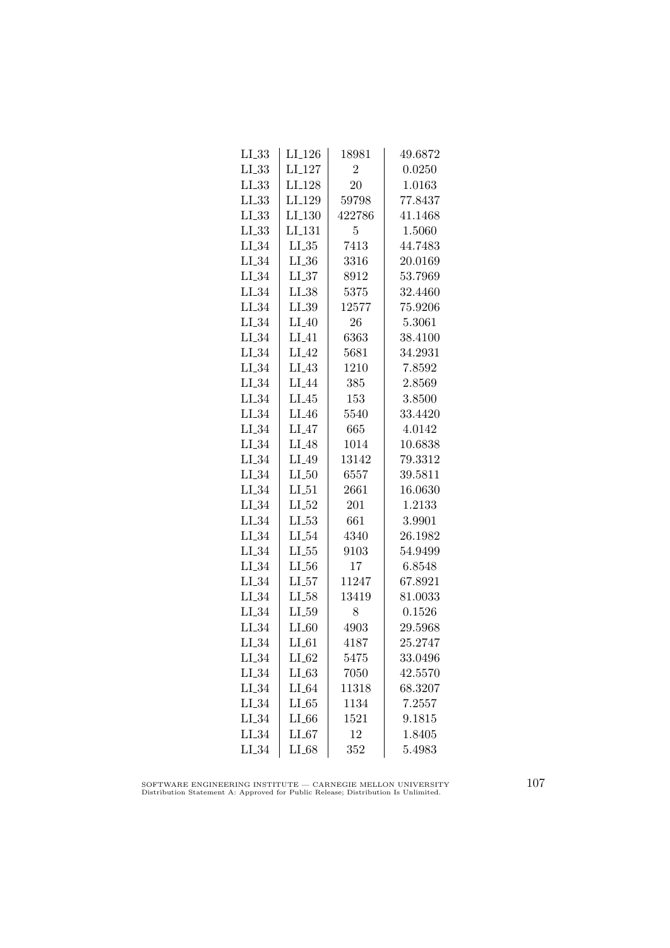| $LI_33$    | LI <sub>-126</sub> | 18981          | 49.6872 |
|------------|--------------------|----------------|---------|
| $LL_{.33}$ | $LI_127$           | $\overline{2}$ | 0.0250  |
| $LL_{.33}$ | LI <sub>-128</sub> | 20             | 1.0163  |
| LL33       | LI <sub>-129</sub> | 59798          | 77.8437 |
| $LI_33$    | $LI_130$           | 422786         | 41.1468 |
| $LL_{.33}$ | LL131              | 5              | 1.5060  |
| $LI_34$    | $LL_{.35}$         | 7413           | 44.7483 |
| $LI_34$    | $LL_{-36}$         | 3316           | 20.0169 |
| $LI_34$    | LL37               | 8912           | 53.7969 |
| $LI_34$    | $LI_38$            | 5375           | 32.4460 |
| $LL_{.34}$ | $LI_39$            | 12577          | 75.9206 |
| $LI_34$    | $LI_40$            | 26             | 5.3061  |
| $LI_34$    | $LI_41$            | 6363           | 38.4100 |
| $LI_34$    | $LI_42$            | 5681           | 34.2931 |
| $LI_34$    | $LI_43$            | 1210           | 7.8592  |
| $LI_34$    | $LI_44$            | 385            | 2.8569  |
| $LI_34$    | $LI_45$            | 153            | 3.8500  |
| $LI_34$    | $LI_46$            | 5540           | 33.4420 |
| $LL_{.34}$ | LI_47              | 665            | 4.0142  |
| $LI_34$    | $LI_48$            | 1014           | 10.6838 |
| $LI_34$    | $LI_49$            | 13142          | 79.3312 |
| $LL_{-34}$ | $LI_50$            | 6557           | 39.5811 |
| $LI_34$    | $LI_51$            | 2661           | 16.0630 |
| $LI_34$    | $LI_52$            | 201            | 1.2133  |
| $LI_34$    | $LI_53$            | 661            | 3.9901  |
| $LL_{.34}$ | $LI_54$            | 4340           | 26.1982 |
| $LI_34$    | $LL_{.55}$         | 9103           | 54.9499 |
| $LI_34$    | $LL_{.56}$         | 17             | 6.8548  |
| $LI_34$    | $LI_57$            | 11247          | 67.8921 |
| $LI_34$    | $LI_58$            | 13419          | 81.0033 |
| $LI_34$    | LI_59              | 8              | 0.1526  |
| $LI_34$    | $LI_60$            | 4903           | 29.5968 |
| $LI_34$    | $LI_61$            | 4187           | 25.2747 |
| $LI_34$    | $LI_62$            | 5475           | 33.0496 |
| $LI_34$    | $LI_63$            | 7050           | 42.5570 |
| LL34       | $LI_64$            | 11318          | 68.3207 |
| $LI_34$    | $LI_65$            | 1134           | 7.2557  |
| $LI_34$    | $LI_66$            | 1521           | 9.1815  |
| $LI_34$    | LL67               | 12             | 1.8405  |
| $LI_34$    | $LI_68$            | 352            | 5.4983  |

SOFTWARE ENGINEERING INSTITUTE — CARNEGIE MELLON UNIVERSITY Distribution Statement A: Approved for Public Release; Distribution Is Unlimited.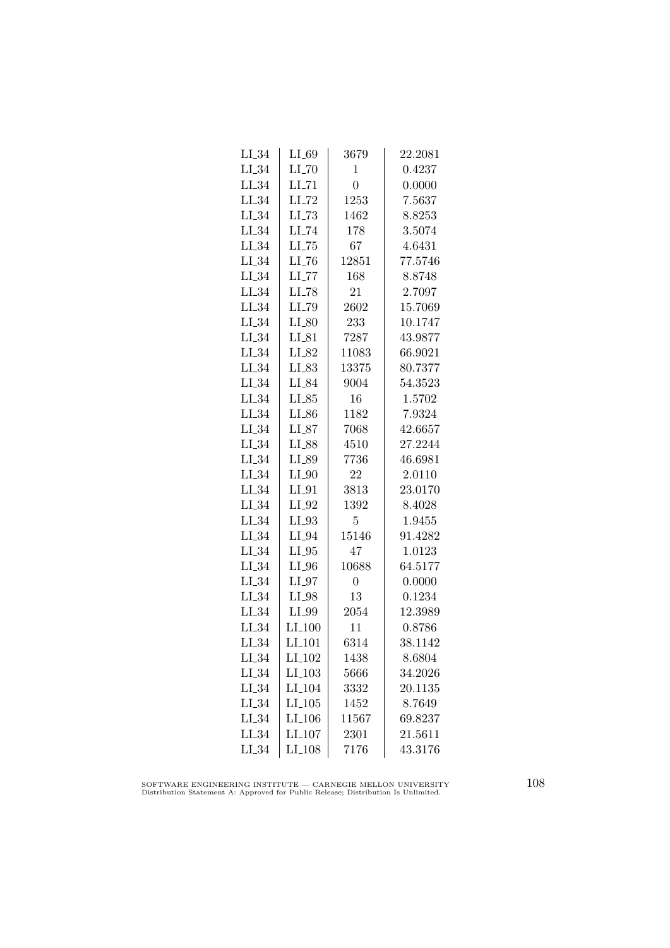| $LI_34$    | $LI_69$             | 3679           | 22.2081 |
|------------|---------------------|----------------|---------|
| $LI_34$    | $LI$ <sub>-70</sub> | $\mathbf{1}$   | 0.4237  |
| $LI_34$    | $LI$ <sub>-71</sub> | $\overline{0}$ | 0.0000  |
| $LL_{.34}$ | $LI$ <sub>-72</sub> | 1253           | 7.5637  |
| $LI_34$    | LL73                | 1462           | 8.8253  |
| $LI_34$    | $LI$ <sub>-74</sub> | 178            | 3.5074  |
| $LI_34$    | $LL-75$             | 67             | 4.6431  |
| $LI_34$    | $LI$ <sub>-76</sub> | 12851          | 77.5746 |
| $LI_34$    | $LI$ <sub>-77</sub> | 168            | 8.8748  |
| $LI_34$    | $LI$ <sub>-78</sub> | 21             | 2.7097  |
| $LI_34$    | LI_79               | 2602           | 15.7069 |
| $LI_34$    | $LI_80$             | 233            | 10.1747 |
| $LI_34$    | $LI_81$             | 7287           | 43.9877 |
| $LI_34$    | LI_82               | 11083          | 66.9021 |
| $LI_34$    | $LI_83$             | 13375          | 80.7377 |
| $LI_34$    | LI_84               | 9004           | 54.3523 |
| $LI_34$    | $LI_85$             | 16             | 1.5702  |
| $LI_34$    | LI_86               | 1182           | 7.9324  |
| $LL_{.34}$ | $LI_87$             | 7068           | 42.6657 |
| $LI_34$    | LI_88               | 4510           | 27.2244 |
| $LI_34$    | LI_89               | 7736           | 46.6981 |
| $LI_34$    | $LI_0$              | 22             | 2.0110  |
| $LI_34$    | $LI_01$             | 3813           | 23.0170 |
| $LI_34$    | $LI_02$             | 1392           | 8.4028  |
| $LI_34$    | LI_93               | 5              | 1.9455  |
| $LL_{.34}$ | LI_94               | 15146          | 91.4282 |
| $LI_34$    | $LI_05$             | 47             | 1.0123  |
| $LI_34$    | $LI_0$              | 10688          | 64.5177 |
| $LI_34$    | $LI_07$             | $\overline{0}$ | 0.0000  |
| $LI_34$    | $LI_98$             | 13             | 0.1234  |
| $LL_{.34}$ | LI_99               | 2054           | 12.3989 |
| $LI_34$    | LI <sub>-100</sub>  | 11             | 0.8786  |
| $LI_34$    | $LI_101$            | 6314           | 38.1142 |
| $LI_34$    | LI <sub>-102</sub>  | 1438           | 8.6804  |
| $LI_34$    | $LI_103$            | 5666           | 34.2026 |
| $LI_34$    | LI <sub>-104</sub>  | 3332           | 20.1135 |
| $LI_34$    | $LI_105$            | 1452           | 8.7649  |
| $LI_34$    | LI <sub>-106</sub>  | 11567          | 69.8237 |
| $LI_34$    | LI <sub>-107</sub>  | 2301           | 21.5611 |
| $LI_34$    | $LI_108$            | 7176           | 43.3176 |
|            |                     |                |         |

SOFTWARE ENGINEERING INSTITUTE — CARNEGIE MELLON UNIVERSITY Distribution Statement A: Approved for Public Release; Distribution Is Unlimited.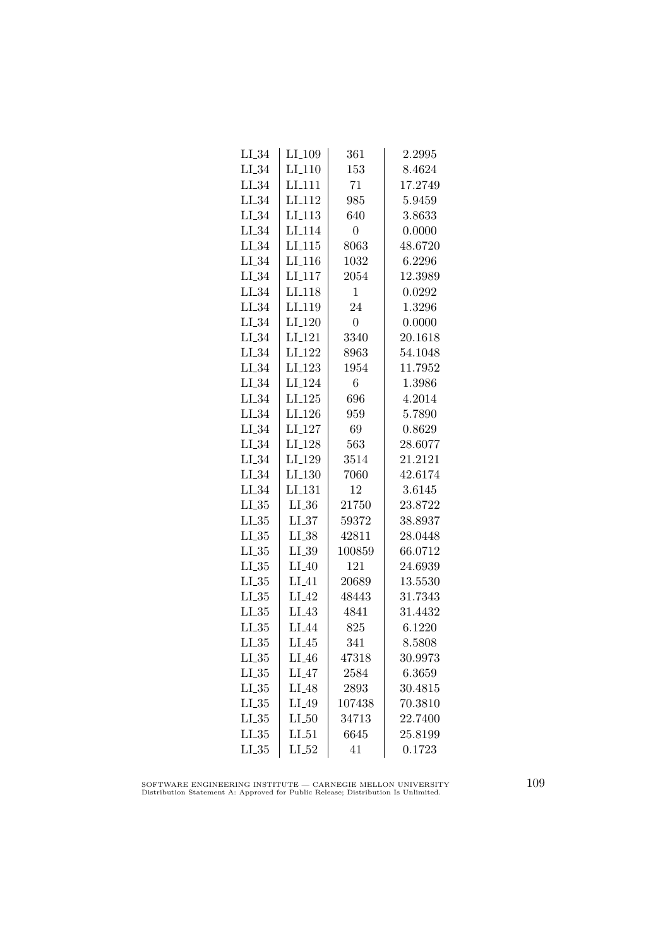| LI <sub>-109</sub> | 361            | 2.2995  |
|--------------------|----------------|---------|
| $LI-110$           | 153            | 8.4624  |
| LI <sub>-111</sub> | 71             | 17.2749 |
| LI <sub>-112</sub> | 985            | 5.9459  |
| LI <sub>113</sub>  | 640            | 3.8633  |
| LI <sub>-114</sub> | $\overline{0}$ | 0.0000  |
| $LI_115$           | 8063           | 48.6720 |
| $LI_116$           | 1032           | 6.2296  |
| $LI_117$           | 2054           | 12.3989 |
| LI <sub>-118</sub> | $\mathbf{1}$   | 0.0292  |
| LI <sub>-119</sub> | 24             | 1.3296  |
| LI <sub>-120</sub> | $\overline{0}$ | 0.0000  |
| LI <sub>-121</sub> | 3340           | 20.1618 |
|                    | 8963           | 54.1048 |
| LI <sub>-123</sub> | 1954           | 11.7952 |
| LI <sub>-124</sub> | 6              | 1.3986  |
| LI <sub>-125</sub> | 696            | 4.2014  |
| LI <sub>-126</sub> | 959            | 5.7890  |
| LI_127             | 69             | 0.8629  |
| LI <sub>-128</sub> | 563            | 28.6077 |
| LI <sub>-129</sub> | 3514           | 21.2121 |
| $LI_130$           | 7060           | 42.6174 |
| LI <sub>-131</sub> | 12             | 3.6145  |
| $LL_{.36}$         | 21750          | 23.8722 |
| LL37               | 59372          | 38.8937 |
| $LI_38$            | 42811          | 28.0448 |
| $LI_39$            | 100859         | 66.0712 |
| $LI_40$            | 121            | 24.6939 |
| $LI_41$            | 20689          | 13.5530 |
| $LI_42$            | 48443          | 31.7343 |
| LI <sub>43</sub>   | 4841           | 31.4432 |
| LI_44              | 825            | 6.1220  |
| $LI_45$            | 341            | 8.5808  |
| $LI_46$            | 47318          | 30.9973 |
| $LI_47$            | 2584           | 6.3659  |
| $LI_48$            | 2893           | 30.4815 |
| LI_49              | 107438         | 70.3810 |
| LL50               | 34713          | 22.7400 |
| $LI_51$            | 6645           | 25.8199 |
| $LI_52$            | 41             | 0.1723  |
|                    | $LI_122$       |         |

SOFTWARE ENGINEERING INSTITUTE — CARNEGIE MELLON UNIVERSITY Distribution Statement A: Approved for Public Release; Distribution Is Unlimited.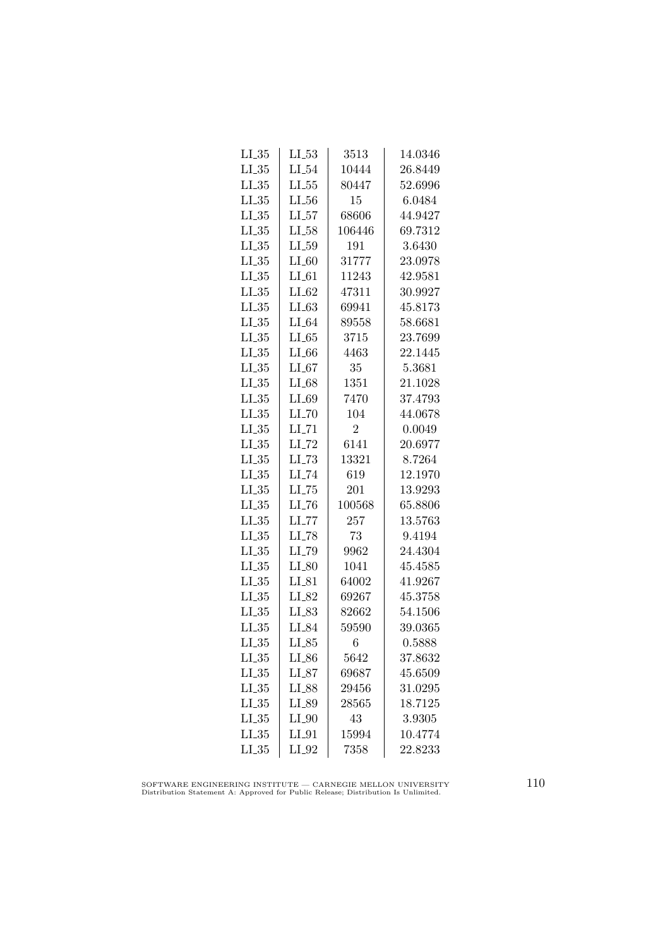| $LI_35$    | $LI_53$             | 3513           | 14.0346 |
|------------|---------------------|----------------|---------|
| $LL_{.35}$ | $LI_54$             | 10444          | 26.8449 |
| $LL_{.35}$ | $LL_{.55}$          | 80447          | 52.6996 |
| $LL_{.35}$ | $LL_{.56}$          | 15             | 6.0484  |
| $LI_35$    | LL57                | 68606          | 44.9427 |
| $LI_35$    | $LI_58$             | 106446         | 69.7312 |
| $LI_35$    | $LI_59$             | 191            | 3.6430  |
| $LL_{-35}$ | $LI_60$             | 31777          | 23.0978 |
| $LL_{.35}$ | $LI_0$              | 11243          | 42.9581 |
| LL35       | $LI_62$             | 47311          | 30.9927 |
| $LL_{.35}$ | LL63                | 69941          | 45.8173 |
| LL35       | $LI_64$             | 89558          | 58.6681 |
| $LL_{.35}$ | LL 65               | 3715           | 23.7699 |
| $LI_35$    | $LL_{.66}$          | 4463           | 22.1445 |
| $LL_{-35}$ | $LI_67$             | 35             | 5.3681  |
| $LL_{.35}$ | $LI_68$             | 1351           | 21.1028 |
| $LL_{.35}$ | $LI_69$             | 7470           | 37.4793 |
| LL35       | $LI$ <sub>-70</sub> | 104            | 44.0678 |
| $LL_{.35}$ | $LI$ <sub>-71</sub> | $\overline{2}$ | 0.0049  |
| $LL_{.35}$ | $LI$ <sub>-72</sub> | 6141           | 20.6977 |
| $LI_35$    | $LI$ <sub>-73</sub> | 13321          | 8.7264  |
| $LI_35$    | $LI$ <sub>-74</sub> | 619            | 12.1970 |
| $LL_{.35}$ | $LL-75$             | 201            | 13.9293 |
| LL35       | LL76                | 100568         | 65.8806 |
| $LI_35$    | LL77                | 257            | 13.5763 |
| $LL_{.35}$ | $LI$ <sub>-78</sub> | 73             | 9.4194  |
| $LI_35$    | LI_79               | 9962           | 24.4304 |
| $LL_{.35}$ | $LI_80$             | 1041           | 45.4585 |
| $LI_35$    | $LI_81$             | 64002          | 41.9267 |
| $LL_{.35}$ | LI_82               | 69267          | 45.3758 |
| $LL_{.35}$ | $LI_83$             | 82662          | 54.1506 |
| $LL_{.35}$ | LI_84               | 59590          | 39.0365 |
| $LL_{.35}$ | $LI_85$             | 6              | 0.5888  |
| $LL_{.35}$ | $LI_86$             | 5642           | 37.8632 |
| $LI_35$    | $LI_87$             | 69687          | 45.6509 |
| $LL_{.35}$ | $LI_88$             | 29456          | 31.0295 |
| LL35       | LI_89               | 28565          | 18.7125 |
| LL35       | $LI_0$              | 43             | 3.9305  |
| LL35       | $LI_0$              | 15994          | 10.4774 |
| $LL_{.35}$ | $LI_02$             | 7358           | 22.8233 |

SOFTWARE ENGINEERING INSTITUTE — CARNEGIE MELLON UNIVERSITY Distribution Statement A: Approved for Public Release; Distribution Is Unlimited.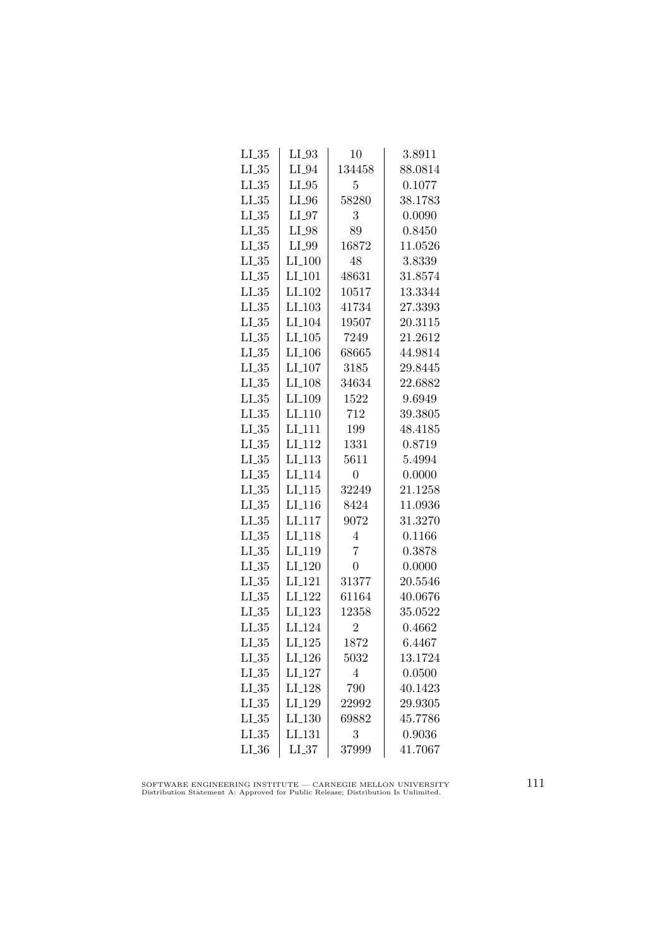| $LI_35$    | $LI_93$              | 10             | 3.8911  |
|------------|----------------------|----------------|---------|
| $LL_{.35}$ | $LI_04$              | 134458         | 88.0814 |
| $LL_{.35}$ | $LI_05$              | 5              | 0.1077  |
| LL35       | $LI_0$               | 58280          | 38.1783 |
| $LI_35$    | $LI_97$              | 3              | 0.0090  |
| $LL_{.35}$ | LI_98                | 89             | 0.8450  |
| $LL_{.35}$ | LI_99                | 16872          | 11.0526 |
| $LL_{.35}$ | $LI_100$             | 48             | 3.8339  |
| LL35       | LI <sub>-101</sub>   | 48631          | 31.8574 |
| LL35       | $LI$ <sub>-102</sub> | 10517          | 13.3344 |
| $LL_{.35}$ | LI <sub>-103</sub>   | 41734          | 27.3393 |
| $LI_35$    | LI <sub>-104</sub>   | 19507          | 20.3115 |
| $LI_35$    | $LI_105$             | 7249           | 21.2612 |
| $LI_35$    | $LI_106$             | 68665          | 44.9814 |
| $LL_{.35}$ | $LI_107$             | 3185           | 29.8445 |
| $LL_{.35}$ | LI <sub>-108</sub>   | 34634          | 22.6882 |
| $LL_{.35}$ | LI <sub>-109</sub>   | 1522           | 9.6949  |
| $LI_35$    | LI <sub>-110</sub>   | 712            | 39.3805 |
| $LL_{.35}$ | LI <sub>111</sub>    | 199            | 48.4185 |
| $LI_35$    | LI <sub>-112</sub>   | 1331           | 0.8719  |
| $LI_35$    | $LI_113$             | 5611           | 5.4994  |
| $LL_{.35}$ | LI <sub>-114</sub>   | $\overline{0}$ | 0.0000  |
| $LL_{.35}$ | $LI$ <sub>-115</sub> | 32249          | 21.1258 |
| LL35       | LI <sub>-116</sub>   | 8424           | 11.0936 |
| $LL_{.35}$ | LI <sub>-117</sub>   | 9072           | 31.3270 |
| LL35       | LI <sub>-118</sub>   | 4              | 0.1166  |
| $LL_{.35}$ | LI <sub>-119</sub>   | $\overline{7}$ | 0.3878  |
| $LL_{.35}$ | LI <sub>-120</sub>   | $\overline{0}$ | 0.0000  |
| $LI_35$    | LI <sub>-121</sub>   | 31377          | 20.5546 |
| $LL_{.35}$ | $LI_122$             | 61164          | 40.0676 |
| $LL_{.35}$ | LI <sub>-123</sub>   | 12358          | 35.0522 |
| $LI_35$    | LI <sub>-124</sub>   | $\overline{2}$ | 0.4662  |
| $LL_{.35}$ | $LI_125$             | 1872           | 6.4467  |
| $LL_{.35}$ | $LI_126$             | 5032           | 13.1724 |
| $LI_35$    | $LI_127$             | $\overline{4}$ | 0.0500  |
| $LL_{.35}$ | $LI-128$             | 790            | 40.1423 |
| LL35       | LI_129               | 22992          | 29.9305 |
| LL35       | LI <sub>-130</sub>   | 69882          | 45.7786 |
| LL35       | LI <sub>-131</sub>   | 3              | 0.9036  |
| $LI_36$    | LL37                 | 37999          | 41.7067 |
|            |                      |                |         |

SOFTWARE ENGINEERING INSTITUTE — CARNEGIE MELLON UNIVERSITY Distribution Statement A: Approved for Public Release; Distribution Is Unlimited.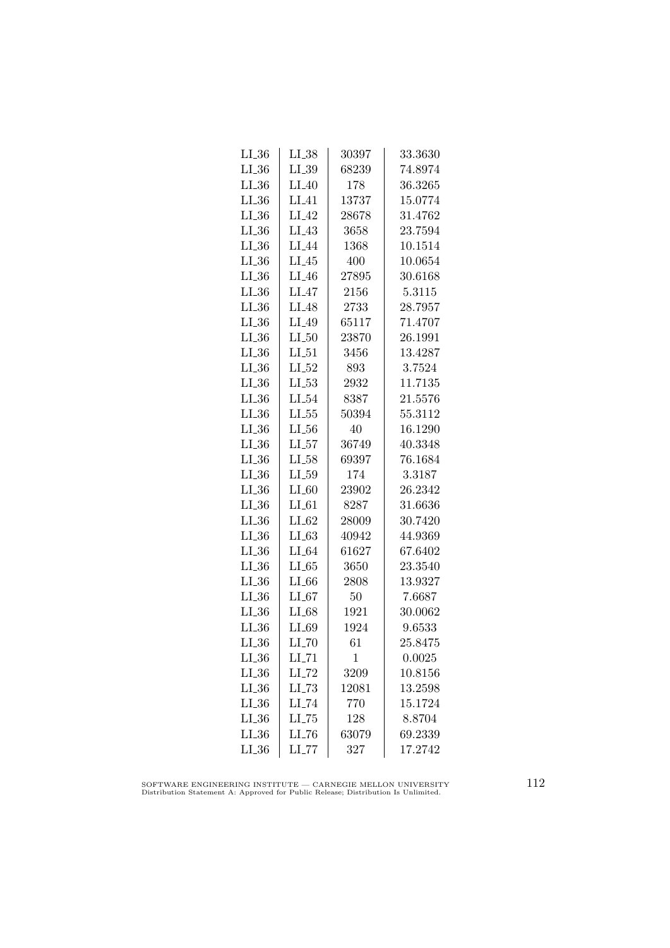| $LI_36$    | $LI_38$             | 30397 | 33.3630 |
|------------|---------------------|-------|---------|
| $LI_36$    | $LI_39$             | 68239 | 74.8974 |
| $LL_{.36}$ | $LI_40$             | 178   | 36.3265 |
| LL36       | LI 41               | 13737 | 15.0774 |
| $LI_36$    | $LI_42$             | 28678 | 31.4762 |
| $LI_36$    | $LI_43$             | 3658  | 23.7594 |
| $LL_{.36}$ | LI <sub>-44</sub>   | 1368  | 10.1514 |
| $LI_36$    | $LI_45$             | 400   | 10.0654 |
| $LI_36$    | $LI_46$             | 27895 | 30.6168 |
| $LI_36$    | $LI_47$             | 2156  | 5.3115  |
| $LI_36$    | LI <sub>48</sub>    | 2733  | 28.7957 |
| $LI_36$    | $LI_49$             | 65117 | 71.4707 |
| $LI_36$    | LL50                | 23870 | 26.1991 |
| $LI_36$    | $LI_51$             | 3456  | 13.4287 |
| $LI_36$    | $LI_0-52$           | 893   | 3.7524  |
| LL36       | $LL_{-53}$          | 2932  | 11.7135 |
| $LI_36$    | $LI_54$             | 8387  | 21.5576 |
| $LI_36$    | $LL_{.55}$          | 50394 | 55.3112 |
| $LI_36$    | $LL_{.56}$          | 40    | 16.1290 |
| $LI_36$    | LL57                | 36749 | 40.3348 |
| $LI_36$    | $LI_58$             | 69397 | 76.1684 |
| $LI_36$    | $LI_59$             | 174   | 3.3187  |
| $LL_{.36}$ | $LI_60$             | 23902 | 26.2342 |
| LL36       | $LI_61$             | 8287  | 31.6636 |
| $LI_36$    | $LI_62$             | 28009 | 30.7420 |
| $LI_36$    | LL63                | 40942 | 44.9369 |
| $LI_36$    | $LI_64$             | 61627 | 67.6402 |
| $LI_36$    | LL 65               | 3650  | 23.3540 |
| $LI_36$    | $LI_66$             | 2808  | 13.9327 |
| $LL_{.36}$ | $LI_67$             | 50    | 7.6687  |
| LL36       | LI_68               | 1921  | 30.0062 |
| $LI_36$    | $LI_69$             | 1924  | 9.6533  |
| $LL_{.36}$ | $LI$ <sub>-70</sub> | 61    | 25.8475 |
| $LL_{.36}$ | $LI$ <sub>-71</sub> | 1     | 0.0025  |
| $LI_36$    | $LI$ <sub>-72</sub> | 3209  | 10.8156 |
| $LI_36$    | $LI$ <sub>-73</sub> | 12081 | 13.2598 |
| $LI_36$    | $LI$ <sub>-74</sub> | 770   | 15.1724 |
| $LI_36$    | $LL-75$             | 128   | 8.8704  |
| $LI_36$    | LL76                | 63079 | 69.2339 |
| $LI_36$    | $LL$ <sub>77</sub>  | 327   | 17.2742 |

SOFTWARE ENGINEERING INSTITUTE — CARNEGIE MELLON UNIVERSITY Distribution Statement A: Approved for Public Release; Distribution Is Unlimited.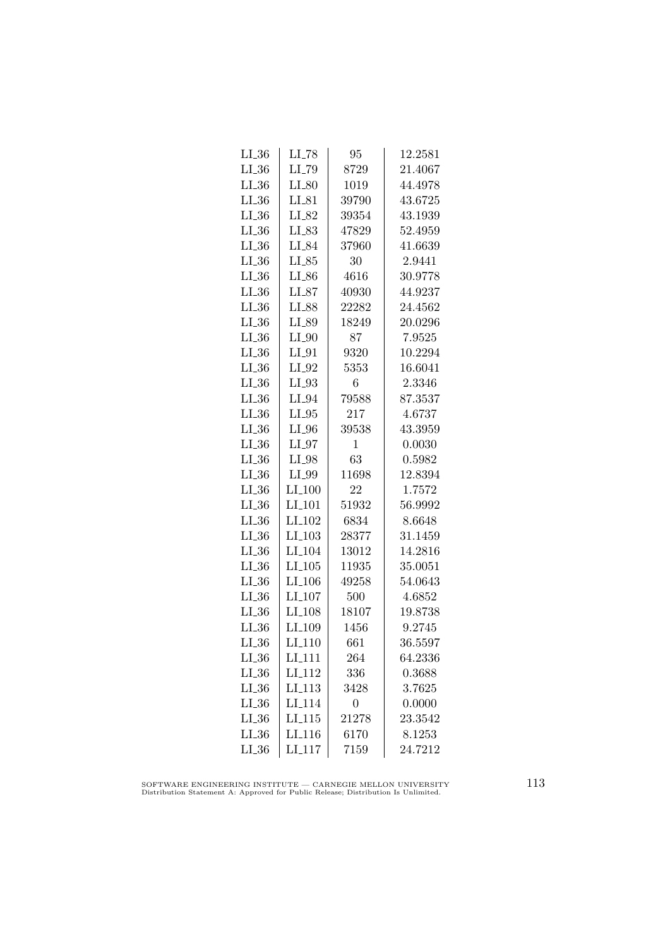| $LL_{.36}$ | $LI$ <sub>-78</sub>  | 95             | 12.2581 |
|------------|----------------------|----------------|---------|
| $LI_36$    | LI <sub>-79</sub>    | 8729           | 21.4067 |
| $LL_{.36}$ | $LI_80$              | 1019           | 44.4978 |
| $LL_{.36}$ | $LI_81$              | 39790          | 43.6725 |
| $LI_36$    | LI_82                | 39354          | 43.1939 |
| $LI_36$    | LI_83                | 47829          | 52.4959 |
| $LI_36$    | LI_84                | 37960          | 41.6639 |
| $LI_36$    | $LI_85$              | 30             | 2.9441  |
| $LI_36$    | $LI_86$              | 4616           | 30.9778 |
| $LI_36$    | $LI_87$              | 40930          | 44.9237 |
| $LI_36$    | LI_88                | 22282          | 24.4562 |
| $LI_36$    | LI_89                | 18249          | 20.0296 |
| $LI_36$    | $LI_0$               | 87             | 7.9525  |
| $LI_36$    | $LI_01$              | 9320           | 10.2294 |
| $LL_{.36}$ | $LI_02$              | 5353           | 16.6041 |
| $LI_36$    | $LI_93$              | 6              | 2.3346  |
| $LI_36$    | LI_94                | 79588          | 87.3537 |
| $LI_36$    | $LI_05$              | 217            | 4.6737  |
| $LI_36$    | $LI_0$               | 39538          | 43.3959 |
| $LI_36$    | $LI_97$              | $\mathbf{1}$   | 0.0030  |
| $LI_36$    | $LI_98$              | 63             | 0.5982  |
| $LL_{.36}$ | $LI_099$             | 11698          | 12.8394 |
| $LL_{.36}$ | $LI_100$             | 22             | 1.7572  |
| LL36       | $LI$ <sub>101</sub>  | 51932          | 56.9992 |
| $LI_36$    | LI <sub>-102</sub>   | 6834           | 8.6648  |
| $LI_36$    | LI <sub>-103</sub>   | 28377          | 31.1459 |
| $LI_36$    | LI <sub>-104</sub>   | 13012          | 14.2816 |
| $LI_36$    | $LI_105$             | 11935          | 35.0051 |
| $LI_36$    | $LI$ <sub>-106</sub> | 49258          | 54.0643 |
| $LL_{.36}$ | LI <sub>-107</sub>   | 500            | 4.6852  |
| $LL_{.36}$ | LI <sub>-108</sub>   | 18107          | 19.8738 |
| $LI_36$    | LI <sub>-109</sub>   | 1456           | 9.2745  |
| $LL_{.36}$ | LI <sub>-110</sub>   | 661            | 36.5597 |
| $LL_{.36}$ | LI <sub>-111</sub>   | 264            | 64.2336 |
| $LI_36$    | LI <sub>-112</sub>   | 336            | 0.3688  |
| $LI_36$    | LI <sub>-113</sub>   | 3428           | 3.7625  |
| $LI_36$    | LI <sub>-114</sub>   | $\overline{0}$ | 0.0000  |
| LL36       | LL115                | 21278          | 23.3542 |
| $LI_36$    | LI <sub>-116</sub>   | 6170           | 8.1253  |
| $LI_36$    | $LI$ <sub>-117</sub> | 7159           | 24.7212 |
|            |                      |                |         |

SOFTWARE ENGINEERING INSTITUTE — CARNEGIE MELLON UNIVERSITY Distribution Statement A: Approved for Public Release; Distribution Is Unlimited.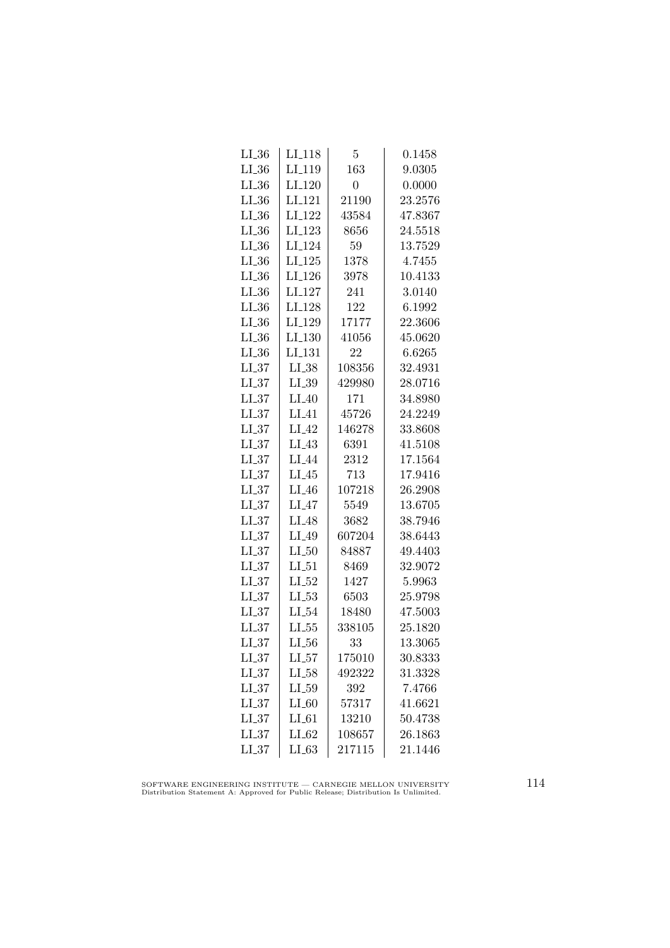| $LL_{.36}$ | LI <sub>-118</sub> | 5              | 0.1458  |
|------------|--------------------|----------------|---------|
| $LL_{.36}$ | LI <sub>-119</sub> | 163            | 9.0305  |
| $LL_{.36}$ | $LI_120$           | $\overline{0}$ | 0.0000  |
| $LL_{.36}$ | LI <sub>-121</sub> | 21190          | 23.2576 |
| $LL_{.36}$ | LI <sub>-122</sub> | 43584          | 47.8367 |
| $LI_36$    | LI <sub>-123</sub> | 8656           | 24.5518 |
| $LI_36$    | LI <sub>-124</sub> | 59             | 13.7529 |
| $LL_{.36}$ | $LI-125$           | 1378           | 4.7455  |
| $LL_{.36}$ | $LI_126$           | 3978           | 10.4133 |
| $LI_36$    | LI <sub>-127</sub> | 241            | 3.0140  |
| $LI_36$    | LI <sub>-128</sub> | 122            | 6.1992  |
| $LL_{.36}$ | LI_129             | 17177          | 22.3606 |
| $LL_{.36}$ | $LI_130$           | 41056          | 45.0620 |
| $LI_36$    | LI <sub>-131</sub> | 22             | 6.6265  |
| $LL_{-37}$ | $LI_38$            | 108356         | 32.4931 |
| LL37       | $LL_{.39}$         | 429980         | 28.0716 |
| LL37       | $LI_40$            | 171            | 34.8980 |
| LL37       | LI.41              | 45726          | 24.2249 |
| $LL_{.37}$ | LI.42              | 146278         | 33.8608 |
| $LL_{.37}$ | $LI_43$            | 6391           | 41.5108 |
| $LI_37$    | $LI_44$            | 2312           | 17.1564 |
| $LL_{-37}$ | $LI_45$            | 713            | 17.9416 |
| $LL_{.37}$ | $LI_46$            | 107218         | 26.2908 |
| LL37       | $LI_47$            | 5549           | 13.6705 |
| LL37       | $LI_48$            | 3682           | 38.7946 |
| $LI_37$    | $LI_49$            | 607204         | 38.6443 |
| $LL_{.37}$ | $LI_50$            | 84887          | 49.4403 |
| $LL_{.37}$ | $LI_51$            | 8469           | 32.9072 |
| $LL_{-37}$ | $LI_52$            | 1427           | 5.9963  |
| LL37       | $LI_53$            | 6503           | 25.9798 |
| LL37       | $LI_0.54$          | 18480          | 47.5003 |
| LL37       | $LL_{.55}$         | 338105         | 25.1820 |
| LL37       | $LL_{.56}$         | 33             | 13.3065 |
| $LL_{.37}$ | $LI_57$            | 175010         | 30.8333 |
| LL37       | $LI_58$            | 492322         | 31.3328 |
| LL37       | $LI_59$            | 392            | 7.4766  |
| LL37       | $LI_60$            | 57317          | 41.6621 |
| LL37       | $LI_61$            | 13210          | 50.4738 |
| LL37       | $LI_62$            | 108657         | 26.1863 |
| LL37       | $LI_63$            | 217115         | 21.1446 |

SOFTWARE ENGINEERING INSTITUTE — CARNEGIE MELLON UNIVERSITY Distribution Statement A: Approved for Public Release; Distribution Is Unlimited.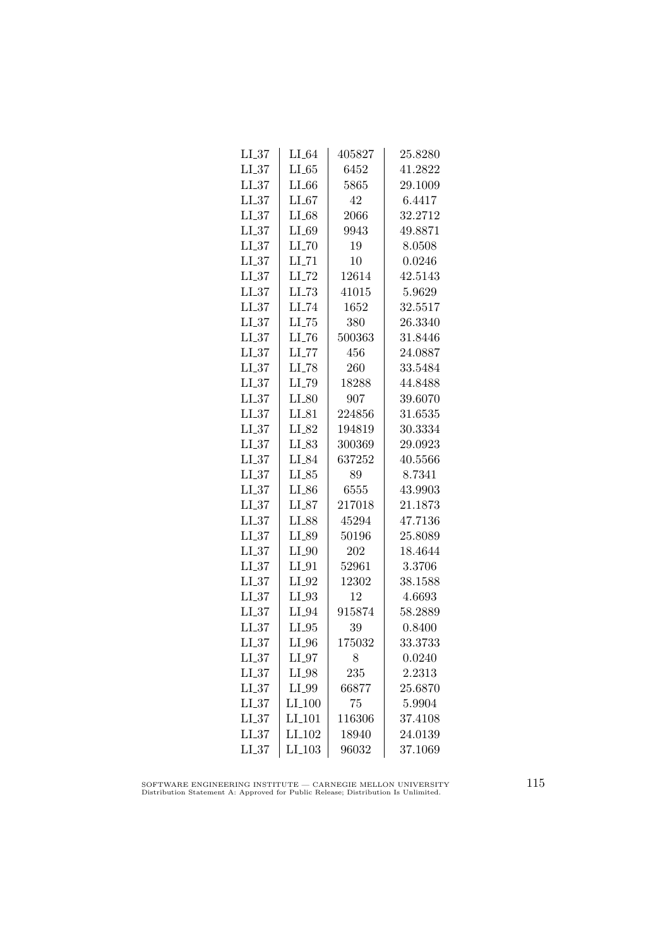| LL37       | $LI_64$             | 405827 | 25.8280 |
|------------|---------------------|--------|---------|
| LL37       | $LI_65$             | 6452   | 41.2822 |
| $LL_{.37}$ | $LI_66$             | 5865   | 29.1009 |
| LL37       | $LI_67$             | 42     | 6.4417  |
| $LI_37$    | $LI_68$             | 2066   | 32.2712 |
| $LL_{.37}$ | LI_69               | 9943   | 49.8871 |
| $LL_{.37}$ | $LI$ <sub>-70</sub> | 19     | 8.0508  |
| $LI_37$    | $LI$ <sub>-71</sub> | 10     | 0.0246  |
| $LI_37$    | $LI$ <sub>-72</sub> | 12614  | 42.5143 |
| LL37       | $LL-73$             | 41015  | 5.9629  |
| LL37       | LI_74               | 1652   | 32.5517 |
| $LI_37$    | LL75                | 380    | 26.3340 |
| $LI_37$    | $LI$ <sub>-76</sub> | 500363 | 31.8446 |
| $LI_37$    | $LI$ <sub>-77</sub> | 456    | 24.0887 |
| $LI_37$    | $LI$ <sub>-78</sub> | 260    | 33.5484 |
| $LI_37$    | $LL-79$             | 18288  | 44.8488 |
| LL37       | $LI_80$             | 907    | 39.6070 |
| $LI_37$    | $LI_81$             | 224856 | 31.6535 |
| $LI_37$    | $LI_82$             | 194819 | 30.3334 |
| $LI_37$    | LI_83               | 300369 | 29.0923 |
| $LI_37$    | $LI_84$             | 637252 | 40.5566 |
| $LL_{-37}$ | $LI_85$             | 89     | 8.7341  |
| $LL_{.37}$ | $LI_86$             | 6555   | 43.9903 |
| LL37       | LI_87               | 217018 | 21.1873 |
| $LI_37$    | LI_88               | 45294  | 47.7136 |
| $LI_37$    | LI_89               | 50196  | 25.8089 |
| $LI_37$    | $LI_0$              | 202    | 18.4644 |
| $LI_37$    | $LI_01$             | 52961  | 3.3706  |
| $LI_37$    | $LI_02$             | 12302  | 38.1588 |
| $LL_{.37}$ | $LI_03$             | 12     | 4.6693  |
| LL37       | $LI_04$             | 915874 | 58.2889 |
| $LI_37$    | $LI_05$             | 39     | 0.8400  |
| $LL_{.37}$ | $LI_0$              | 175032 | 33.3733 |
| $LL_{.37}$ | $LI_0$              | 8      | 0.0240  |
| LL37       | $LI_98$             | 235    | 2.2313  |
| $LI_37$    | $LI_99$             | 66877  | 25.6870 |
| LL37       | $LI_100$            | 75     | 5.9904  |
| LL37       | LI <sub>-101</sub>  | 116306 | 37.4108 |
| LL37       | LI <sub>-102</sub>  | 18940  | 24.0139 |
| LL37       | $LI_103$            | 96032  | 37.1069 |

SOFTWARE ENGINEERING INSTITUTE — CARNEGIE MELLON UNIVERSITY Distribution Statement A: Approved for Public Release; Distribution Is Unlimited.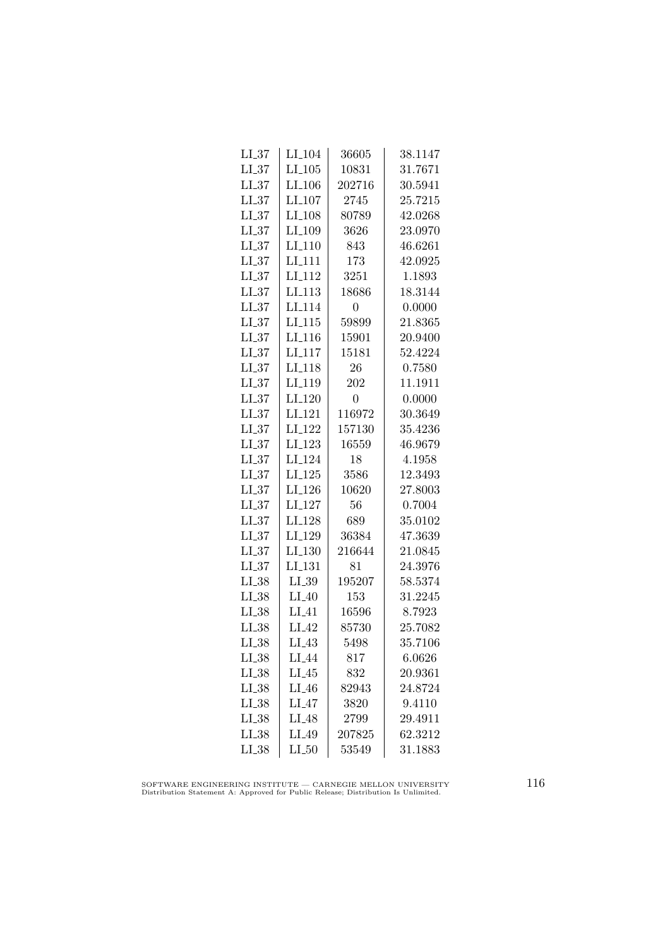| LL37       | LI <sub>-104</sub> | 36605          | 38.1147 |
|------------|--------------------|----------------|---------|
| LL37       | $LI_105$           | 10831          | 31.7671 |
| $LL_{.37}$ | LI <sub>-106</sub> | 202716         | 30.5941 |
| $LI_37$    | LI_107             | 2745           | 25.7215 |
| $LI_37$    | LI_108             | 80789          | 42.0268 |
| $LI_37$    | LI <sub>-109</sub> | 3626           | 23.0970 |
| $LI_37$    | $LI_110$           | 843            | 46.6261 |
| LL37       | LI <sub>-111</sub> | 173            | 42.0925 |
| $LI_37$    | LI <sub>-112</sub> | 3251           | 1.1893  |
| LL37       | LI <sub>-113</sub> | 18686          | 18.3144 |
| $LL_{.37}$ | LI <sub>-114</sub> | 0              | 0.0000  |
| $LI_37$    | LI.115             | 59899          | 21.8365 |
| $LI_37$    | LI <sub>-116</sub> | 15901          | 20.9400 |
| $LI_37$    | $LI_117$           | 15181          | 52.4224 |
| LL37       | LI <sub>-118</sub> | 26             | 0.7580  |
| LL37       | LI <sub>-119</sub> | 202            | 11.1911 |
| LL37       | $LI_120$           | $\overline{0}$ | 0.0000  |
| $LL_{.37}$ | LI <sub>-121</sub> | 116972         | 30.3649 |
| LL37       | LI <sub>-122</sub> | 157130         | 35.4236 |
| $LI_37$    | $LI_123$           | 16559          | 46.9679 |
| $LI_37$    | LI_124             | 18             | 4.1958  |
| $LL_{-37}$ | $LI_125$           | 3586           | 12.3493 |
| LL37       | LI <sub>-126</sub> | 10620          | 27.8003 |
| LL37       | $LI_127$           | 56             | 0.7004  |
| $LI_37$    | LI <sub>-128</sub> | 689            | 35.0102 |
| $LL_{.37}$ | LI <sub>-129</sub> | 36384          | 47.3639 |
| $LI_37$    | LI <sub>-130</sub> | 216644         | 21.0845 |
| $LI_37$    | LI <sub>-131</sub> | 81             | 24.3976 |
| $LI_38$    | $LI_39$            | 195207         | 58.5374 |
| $LI_38$    | $LI_40$            | 153            | 31.2245 |
| LI.38      | $LI_41$            | 16596          | 8.7923  |
| $LI_38$    | $LI_42$            | 85730          | 25.7082 |
| LI 38      | $LI_43$            | 5498           | 35.7106 |
| $LI_38$    | LI_44              | 817            | 6.0626  |
| $LI_38$    | $LI_45$            | 832            | 20.9361 |
| $LI_38$    | $LI_46$            | 82943          | 24.8724 |
| $LI_38$    | $LI_47$            | 3820           | 9.4110  |
| $LI_38$    | LI <sub>-48</sub>  | 2799           | 29.4911 |
| $LI_38$    | LI_49              | 207825         | 62.3212 |
| $LI_38$    | $LI_50$            | 53549          | 31.1883 |

SOFTWARE ENGINEERING INSTITUTE — CARNEGIE MELLON UNIVERSITY Distribution Statement A: Approved for Public Release; Distribution Is Unlimited.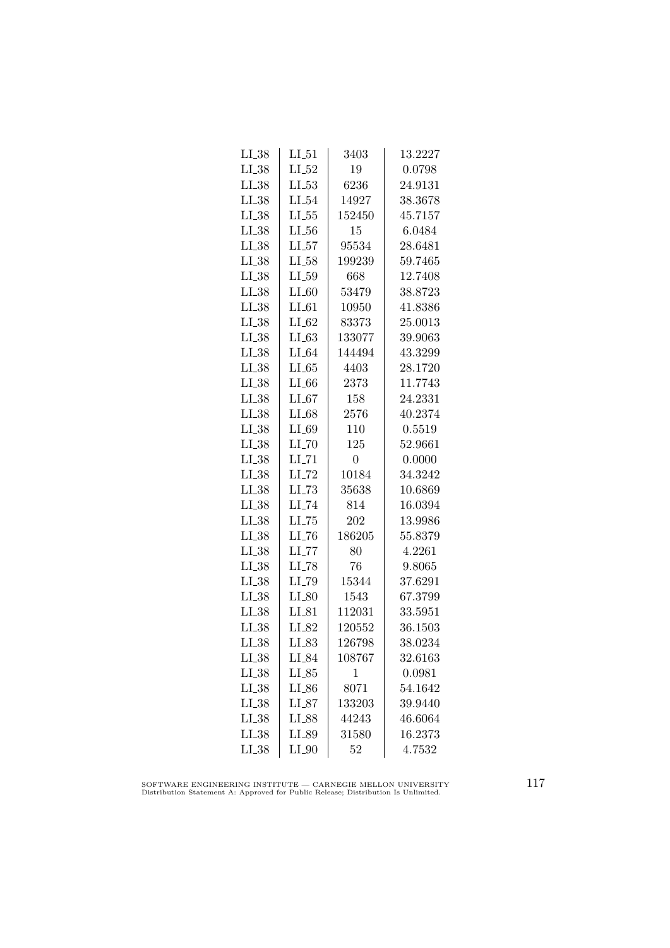| $LI_38$    | $LI_51$             | 3403           | 13.2227 |
|------------|---------------------|----------------|---------|
| $LL_{.38}$ | $LI_52$             | 19             | 0.0798  |
| $LI_38$    | $LL_{.53}$          | 6236           | 24.9131 |
| $LI_38$    | $LI_54$             | 14927          | 38.3678 |
| $LI_38$    | $LL_{.55}$          | 152450         | 45.7157 |
| $LI_38$    | $LL_{.56}$          | 15             | 6.0484  |
| $LI_38$    | $LI_57$             | 95534          | 28.6481 |
| $LI_38$    | $LI_58$             | 199239         | 59.7465 |
| $LL_{.38}$ | $LL_{.59}$          | 668            | 12.7408 |
| $LI_38$    | $LI_60$             | 53479          | 38.8723 |
| $LI_38$    | $LI_61$             | 10950          | 41.8386 |
| $LI_38$    | $LI_62$             | 83373          | 25.0013 |
| $LI_38$    | LL63                | 133077         | 39.9063 |
| $LI_38$    | $LI_64$             | 144494         | 43.3299 |
| $LI_38$    | $LI_65$             | 4403           | 28.1720 |
| $LI_38$    | $LI_66$             | 2373           | 11.7743 |
| $LI_38$    | $LI_67$             | 158            | 24.2331 |
| $LI_38$    | LI_68               | 2576           | 40.2374 |
| $LI_38$    | LI_69               | 110            | 0.5519  |
| $LI_38$    | $LI$ <sub>-70</sub> | 125            | 52.9661 |
| $LI_38$    | $LI$ <sub>-71</sub> | $\overline{0}$ | 0.0000  |
| $LI_38$    | $LI$ <sub>-72</sub> | 10184          | 34.3242 |
| $LI_38$    | $LL-73$             | 35638          | 10.6869 |
| LL38       | $LI$ <sub>-74</sub> | 814            | 16.0394 |
| $LI_38$    | LL75                | 202            | 13.9986 |
| $LI_38$    | LL76                | 186205         | 55.8379 |
| $LI_38$    | $LI$ <sub>-77</sub> | 80             | 4.2261  |
| $LI_38$    | $LI$ <sub>-78</sub> | 76             | 9.8065  |
| $LI_38$    | LI_79               | 15344          | 37.6291 |
| $LI_38$    | $LI_80$             | 1543           | 67.3799 |
| $LI_38$    | $LI_81$             | 112031         | 33.5951 |
| $LI_38$    | LI_82               | 120552         | 36.1503 |
| $LI_38$    | $LI_83$             | 126798         | 38.0234 |
| $LI_38$    | LI_84               | 108767         | 32.6163 |
| $LI_38$    | $LI_85$             | 1              | 0.0981  |
| $LI_38$    | LL26                | 8071           | 54.1642 |
| $LI_38$    | $LI_87$             | 133203         | 39.9440 |
| $LI_38$    | LI_88               | 44243          | 46.6064 |
| $LI_38$    | LI_89               | 31580          | 16.2373 |
| $LI_38$    | $LI_0$              | 52             | 4.7532  |

SOFTWARE ENGINEERING INSTITUTE — CARNEGIE MELLON UNIVERSITY Distribution Statement A: Approved for Public Release; Distribution Is Unlimited.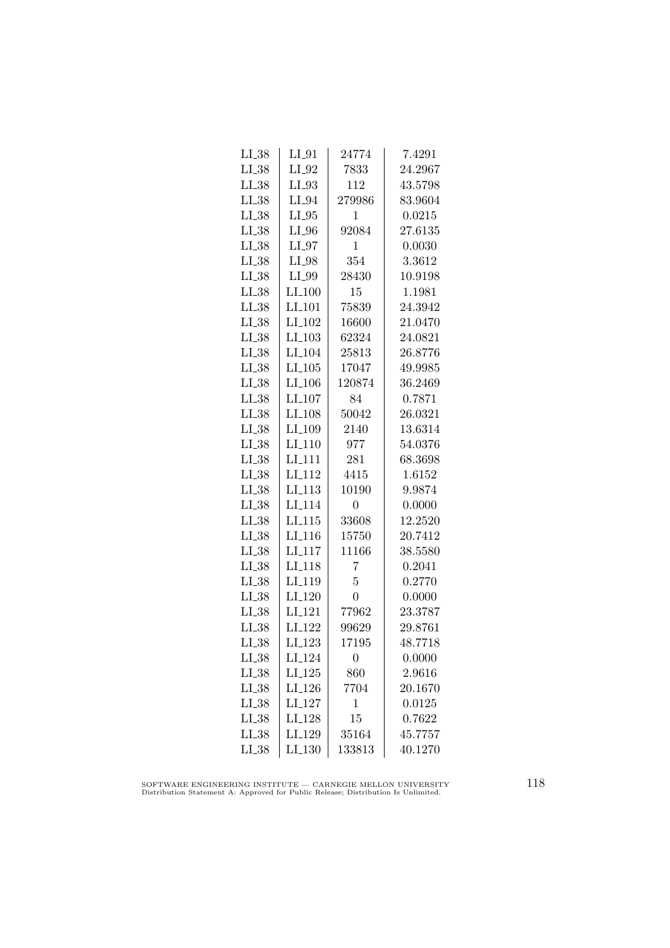| $LI_38$    | $LI_01$            | 24774          | 7.4291  |
|------------|--------------------|----------------|---------|
| $LI_38$    | $LI_02$            | 7833           | 24.2967 |
| $LI_38$    | $LI_93$            | 112            | 43.5798 |
| $LI_38$    | $LI_04$            | 279986         | 83.9604 |
| $LI_38$    | $LI_05$            | 1              | 0.0215  |
| $LI_38$    | $LI_0$             | 92084          | 27.6135 |
| $LI_38$    | $LI_97$            | 1              | 0.0030  |
| $LI_38$    | $LI_98$            | 354            | 3.3612  |
| $LI_38$    | LI_99              | 28430          | 10.9198 |
| $LI_38$    | $LI-100$           | 15             | 1.1981  |
| $LI_38$    | LI <sub>-101</sub> | 75839          | 24.3942 |
| $LI_38$    | LI <sub>-102</sub> | 16600          | 21.0470 |
| $LI_38$    | $LI_103$           | 62324          | 24.0821 |
| $LI_38$    | LI <sub>-104</sub> | 25813          | 26.8776 |
| $LI_38$    | $LI_105$           | 17047          | 49.9985 |
| LL38       | $LI_106$           | 120874         | 36.2469 |
| $LI_38$    | LI <sub>-107</sub> | 84             | 0.7871  |
| $LI_38$    | LI <sub>-108</sub> | 50042          | 26.0321 |
| $LI_38$    | LI <sub>-109</sub> | 2140           | 13.6314 |
| $LI_38$    | LI <sub>-110</sub> | 977            | 54.0376 |
| $LI_38$    | $LI_111$           | 281            | 68.3698 |
| $LI_38$    | $LI-112$           | 4415           | 1.6152  |
| $LL_{.38}$ | LI <sub>-113</sub> | 10190          | 9.9874  |
| LL38       | LI <sub>-114</sub> | $\overline{0}$ | 0.0000  |
| $LI_38$    | LI.115             | 33608          | 12.2520 |
| $LI_38$    | LI <sub>-116</sub> | 15750          | 20.7412 |
| $LI_38$    | $LI_117$           | 11166          | 38.5580 |
| $LI_38$    | LI <sub>-118</sub> | 7              | 0.2041  |
| $LI_38$    | LI <sub>-119</sub> | 5              | 0.2770  |
| $LI_38$    | $LI_120$           | $\overline{0}$ | 0.0000  |
| $LI_38$    | LI <sub>-121</sub> | 77962          | 23.3787 |
| $LI_38$    | LI <sub>-122</sub> | 99629          | 29.8761 |
| $LI_38$    | $LI_123$           | 17195          | 48.7718 |
| $LI_38$    | LI <sub>-124</sub> | 0              | 0.0000  |
| $LI_38$    | $LI_125$           | 860            | 2.9616  |
| $LI_38$    | LI <sub>-126</sub> | 7704           | 20.1670 |
| $LI_38$    | LI <sub>-127</sub> | $\mathbf{1}$   | 0.0125  |
| $LL_{.38}$ | LI <sub>128</sub>  | 15             | 0.7622  |
| $LI_38$    | LI <sub>-129</sub> | 35164          | 45.7757 |
| $LL_{.38}$ | $LI_130$           | 133813         | 40.1270 |

SOFTWARE ENGINEERING INSTITUTE — CARNEGIE MELLON UNIVERSITY Distribution Statement A: Approved for Public Release; Distribution Is Unlimited.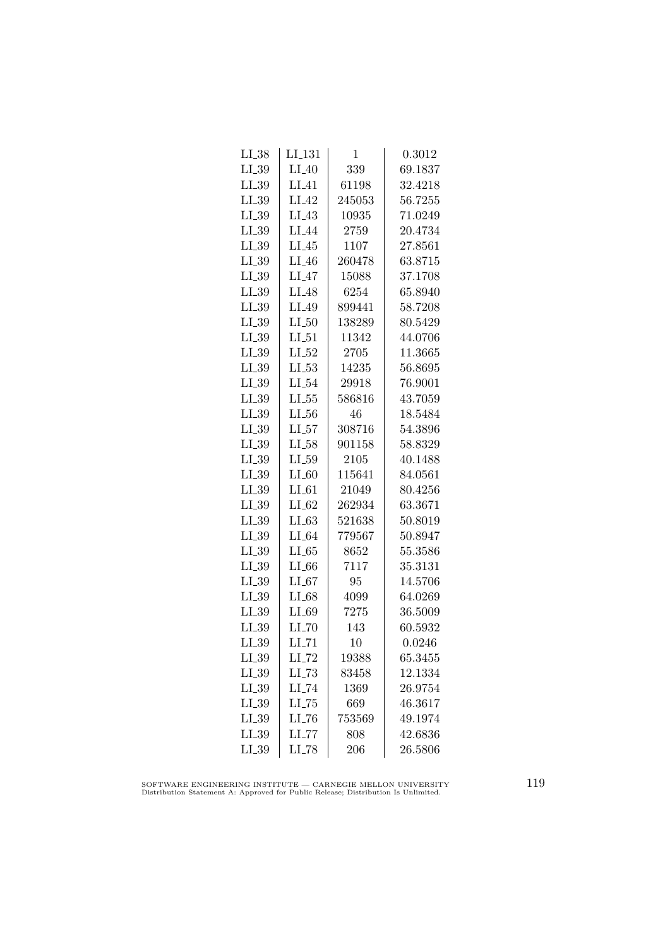| $LI_38$    | $LI_131$            | 1      | 0.3012  |
|------------|---------------------|--------|---------|
| $LI_39$    | $LI_40$             | 339    | 69.1837 |
| LI_39      | $LI_41$             | 61198  | 32.4218 |
| $LL_{.39}$ | $LI_42$             | 245053 | 56.7255 |
| $LI_39$    | $LI_43$             | 10935  | 71.0249 |
| $LI_39$    | $LI_44$             | 2759   | 20.4734 |
| $LI_39$    | $LI_45$             | 1107   | 27.8561 |
| $LI_39$    | $LI_46$             | 260478 | 63.8715 |
| $LI_39$    | $LI_47$             | 15088  | 37.1708 |
| $LI_39$    | $LI_48$             | 6254   | 65.8940 |
| $LL_{.39}$ | LI_49               | 899441 | 58.7208 |
| $LI_39$    | LL50                | 138289 | 80.5429 |
| $LI_39$    | LL51                | 11342  | 44.0706 |
| $LI_39$    | $LI_52$             | 2705   | 11.3665 |
| $LL_{-39}$ | $LL-53$             | 14235  | 56.8695 |
| $LL_{.39}$ | $LI_54$             | 29918  | 76.9001 |
| LL39       | $LL_{.55}$          | 586816 | 43.7059 |
| $LI_39$    | $LL_{.56}$          | 46     | 18.5484 |
| $LI_39$    | LL57                | 308716 | 54.3896 |
| $LI_39$    | $LI_58$             | 901158 | 58.8329 |
| $LI_39$    | $LI_59$             | 2105   | 40.1488 |
| $LI_39$    | $LI_60$             | 115641 | 84.0561 |
| $LI_39$    | $LI_61$             | 21049  | 80.4256 |
| LL39       | $LI_62$             | 262934 | 63.3671 |
| $LI_39$    | LL63                | 521638 | 50.8019 |
| $LI_39$    | $LI_64$             | 779567 | 50.8947 |
| $LI_39$    | LL65                | 8652   | 55.3586 |
| $LI_39$    | $LI_66$             | 7117   | 35.3131 |
| $LI_39$    | $LI_67$             | 95     | 14.5706 |
| $LI_39$    | $LI_68$             | 4099   | 64.0269 |
| $LI_39$    | LL69                | 7275   | 36.5009 |
| $LI_39$    | LL70                | 143    | 60.5932 |
| $LI_39$    | $LI$ <sub>-71</sub> | 10     | 0.0246  |
| $LI_39$    | $LI$ <sub>-72</sub> | 19388  | 65.3455 |
| $LI_39$    | $LL-73$             | 83458  | 12.1334 |
| $LI_39$    | $LI$ <sub>-74</sub> | 1369   | 26.9754 |
| $LI_39$    | $LI$ <sub>-75</sub> | 669    | 46.3617 |
| $LI_39$    | LL76                | 753569 | 49.1974 |
| $LI_39$    | LL77                | 808    | 42.6836 |
| $LI_39$    | LI_78               | 206    | 26.5806 |

SOFTWARE ENGINEERING INSTITUTE — CARNEGIE MELLON UNIVERSITY Distribution Statement A: Approved for Public Release; Distribution Is Unlimited.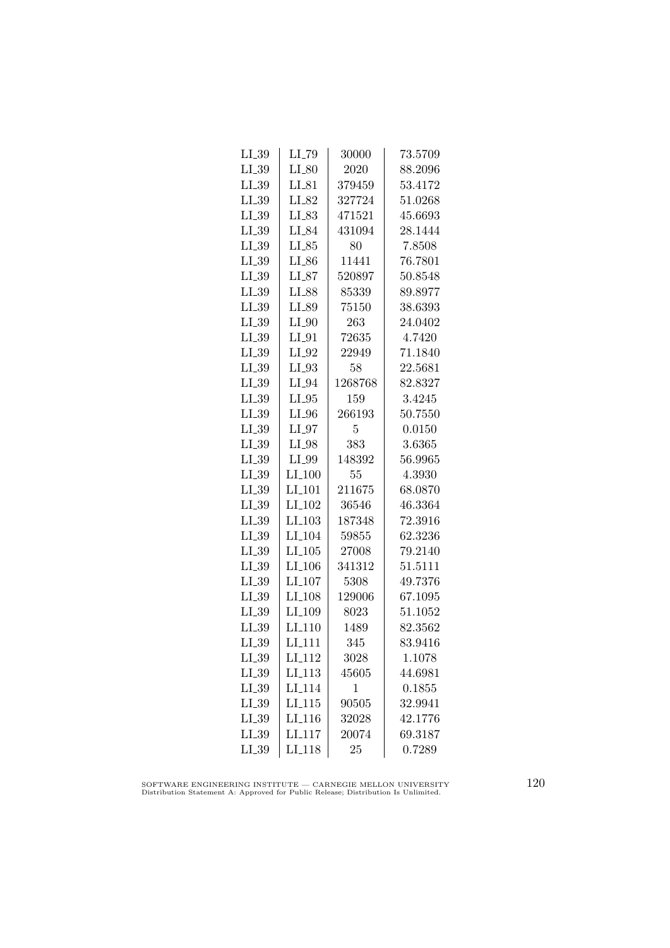| $LI_39$    | $LI$ <sub>-79</sub>  | 30000        | 73.5709 |
|------------|----------------------|--------------|---------|
| $LI_39$    | $LI_80$              | 2020         | 88.2096 |
| $LL_{.39}$ | $LI_81$              | 379459       | 53.4172 |
| $LI_39$    | LI_82                | 327724       | 51.0268 |
| $LI_39$    | $LI_83$              | 471521       | 45.6693 |
| $LI_39$    | LI_84                | 431094       | 28.1444 |
| $LI_39$    | $LI_85$              | 80           | 7.8508  |
| $LI_39$    | $LI_86$              | 11441        | 76.7801 |
| $LI_39$    | $LI_87$              | 520897       | 50.8548 |
| $LI_39$    | LI_88                | 85339        | 89.8977 |
| $LL_{.39}$ | LI_89                | 75150        | 38.6393 |
| $LI_39$    | $LI_0$               | 263          | 24.0402 |
| $LI_39$    | $LI_01$              | 72635        | 4.7420  |
| $LI_39$    | $LI_02$              | 22949        | 71.1840 |
| $LI_39$    | $LI_03$              | 58           | 22.5681 |
| $LI_39$    | $LI_0$ 94            | 1268768      | 82.8327 |
| $LI_39$    | $LI_05$              | 159          | 3.4245  |
| $LI_39$    | $LI_0$               | 266193       | 50.7550 |
| $LI_39$    | $LI_07$              | 5            | 0.0150  |
| $LL_{.39}$ | $LI_98$              | 383          | 3.6365  |
| $LI_39$    | $LI_99$              | 148392       | 56.9965 |
| $LI_39$    | $LI_100$             | 55           | 4.3930  |
| $LI_39$    | LI <sub>-101</sub>   | 211675       | 68.0870 |
| LL39       | $LI_102$             | 36546        | 46.3364 |
| $LI_39$    | $LI$ <sub>-103</sub> | 187348       | 72.3916 |
| $LI_39$    | LI <sub>-104</sub>   | 59855        | 62.3236 |
| $LI_39$    | $LI_105$             | 27008        | 79.2140 |
| $LI_39$    | $LI_106$             | 341312       | 51.5111 |
| $LI_39$    | $LI_107$             | 5308         | 49.7376 |
| $LL_{.39}$ | LI <sub>-108</sub>   | 129006       | 67.1095 |
| LL39       | LI <sub>-109</sub>   | 8023         | 51.1052 |
| $LI_39$    | $LI-110$             | 1489         | 82.3562 |
| $LL_{.39}$ | LI <sub>-111</sub>   | 345          | 83.9416 |
| $LL_{.39}$ | $LI_112$             | 3028         | 1.1078  |
| $LI_39$    | LI <sub>-113</sub>   | 45605        | 44.6981 |
| $LI_39$    | LI <sub>-114</sub>   | $\mathbf{1}$ | 0.1855  |
| $LI_39$    | LI.115               | 90505        | 32.9941 |
| LI_39      | LI <sub>-116</sub>   | 32028        | 42.1776 |
| $LI_39$    | LI <sub>117</sub>    | 20074        | 69.3187 |
| $LI_39$    | $LI-118$             | 25           | 0.7289  |
|            |                      |              |         |

SOFTWARE ENGINEERING INSTITUTE — CARNEGIE MELLON UNIVERSITY Distribution Statement A: Approved for Public Release; Distribution Is Unlimited.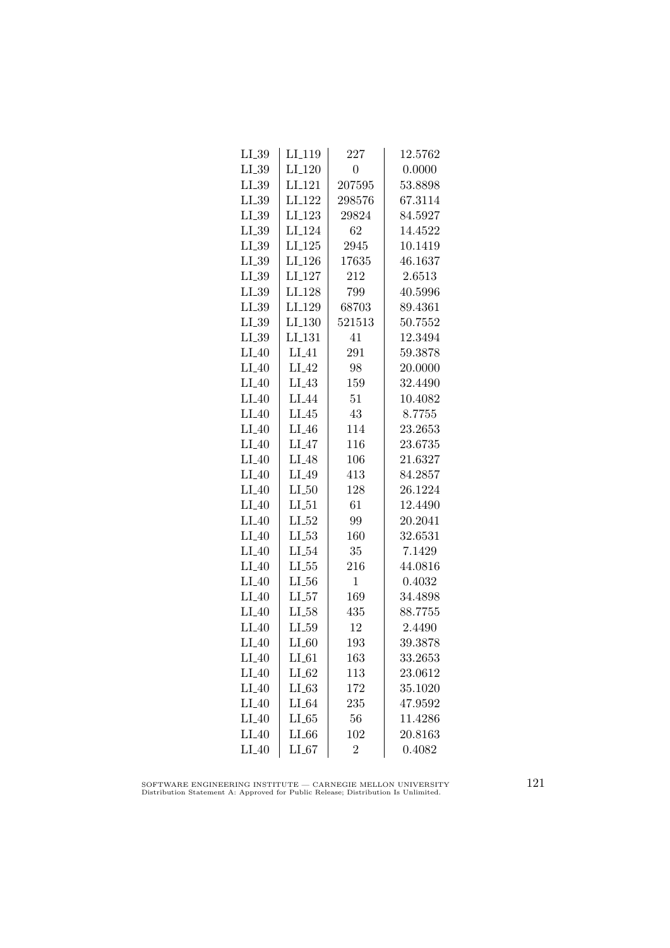| $LI_39$    | LI <sub>-119</sub>   | 227              | 12.5762 |
|------------|----------------------|------------------|---------|
| $LI_39$    | $LI_120$             | $\boldsymbol{0}$ | 0.0000  |
| $LL_{.39}$ | $LI_121$             | 207595           | 53.8898 |
| $LI_39$    | $LI_122$             | 298576           | 67.3114 |
| $LI_39$    | LI <sub>-123</sub>   | 29824            | 84.5927 |
| $LI_39$    | $LI_124$             | 62               | 14.4522 |
| $LI_39$    | $LI_125$             | 2945             | 10.1419 |
| $LL_{.39}$ | LI <sub>-126</sub>   | 17635            | 46.1637 |
| $LI_39$    | LI <sub>-127</sub>   | 212              | 2.6513  |
| $LL_{.39}$ | LI <sub>-128</sub>   | 799              | 40.5996 |
| $LI_39$    | LI_129               | 68703            | 89.4361 |
| $LI_39$    | LI <sub>-130</sub>   | 521513           | 50.7552 |
| $LI_39$    | $LI$ <sub>-131</sub> | 41               | 12.3494 |
| $LI_40$    | $LI_41$              | 291              | 59.3878 |
| $LI_40$    | $LI_42$              | 98               | 20.0000 |
| $LI_40$    | $LI_43$              | 159              | 32.4490 |
| $LI_40$    | LI <sub>-44</sub>    | 51               | 10.4082 |
| $LI_40$    | $LI_45$              | 43               | 8.7755  |
| $LI_40$    | $LI_46$              | 114              | 23.2653 |
| $LI_40$    | $LI_47$              | 116              | 23.6735 |
| $LI_40$    | $LI_48$              | 106              | 21.6327 |
| $LI_40$    | $LI_49$              | 413              | 84.2857 |
| $LI_40$    | $LL_{.50}$           | 128              | 26.1224 |
| $LI_40$    | $LI_51$              | 61               | 12.4490 |
| $LI_40$    | $LI_52$              | 99               | 20.2041 |
| $LI_40$    | $LL_{53}$            | 160              | 32.6531 |
| $LI_40$    | $LI_54$              | 35               | 7.1429  |
| $LI_40$    | $LL_{.55}$           | 216              | 44.0816 |
| $LI_40$    | $LI_56$              | $\mathbf{1}$     | 0.4032  |
| $LI_40$    | $LL_{57}$            | 169              | 34.4898 |
| $LI_40$    | LL58                 | 435              | 88.7755 |
| $LI_40$    | $LI_59$              | 12               | 2.4490  |
| $LI_40$    | LL60                 | 193              | 39.3878 |
| $LI_40$    | $LI_61$              | 163              | 33.2653 |
| $LI_40$    | $LI_62$              | 113              | 23.0612 |
| $LI_40$    | $LL-63$              | 172              | 35.1020 |
| $LI_40$    | $LI_64$              | 235              | 47.9592 |
| $LI_40$    | LL65                 | 56               | 11.4286 |
| $LI_40$    | $LI_66$              | 102              | 20.8163 |
| $LI_40$    | LL67                 | $\overline{2}$   | 0.4082  |

SOFTWARE ENGINEERING INSTITUTE — CARNEGIE MELLON UNIVERSITY Distribution Statement A: Approved for Public Release; Distribution Is Unlimited.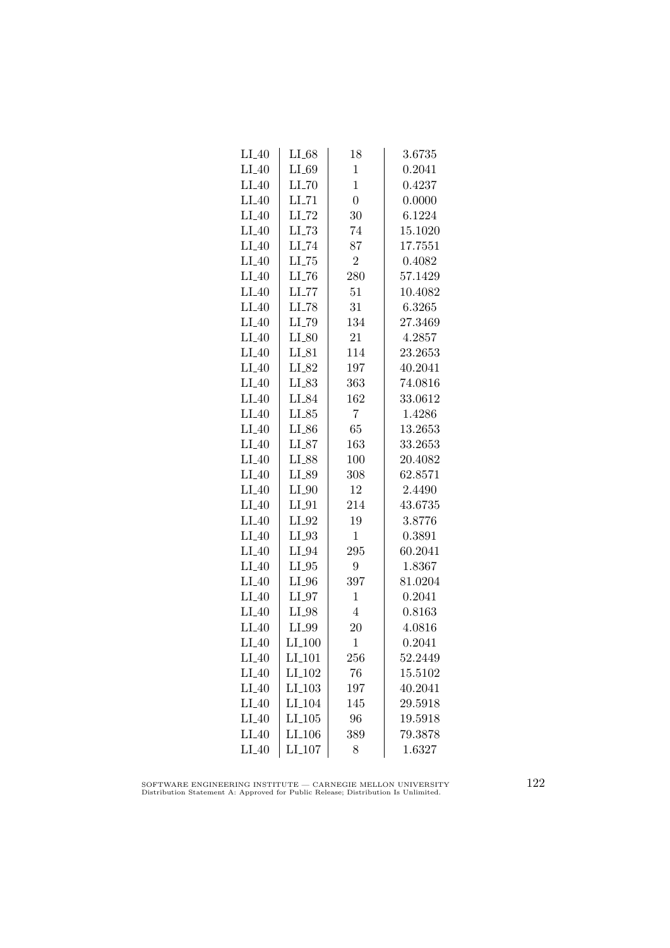| $LI_40$ | $LI_68$             | 18             | 3.6735  |
|---------|---------------------|----------------|---------|
| $LI_40$ | LI_69               | $\mathbf{1}$   | 0.2041  |
| $LI_40$ | $LI$ <sub>-70</sub> | $\mathbf{1}$   | 0.4237  |
| $LI_40$ | $LI$ <sub>-71</sub> | $\overline{0}$ | 0.0000  |
| $LI_40$ | $LI$ <sub>-72</sub> | 30             | 6.1224  |
| $LI_40$ | $LLI-73$            | 74             | 15.1020 |
| $LI_40$ | $LI$ <sub>-74</sub> | 87             | 17.7551 |
| $LI_40$ | $LI$ <sub>-75</sub> | $\overline{2}$ | 0.4082  |
| $LI_40$ | $LI$ <sub>-76</sub> | 280            | 57.1429 |
| $LI_40$ | $LLI-77$            | 51             | 10.4082 |
| $LI_40$ | $LI$ <sub>-78</sub> | 31             | 6.3265  |
| $LI_40$ | LI_79               | 134            | 27.3469 |
| $LI_40$ | $LI_80$             | 21             | 4.2857  |
| $LI_40$ | $LI_81$             | 114            | 23.2653 |
| $LI_40$ | $LI_82$             | 197            | 40.2041 |
| $LI_40$ | $LI_83$             | 363            | 74.0816 |
| $LI_40$ | LI_84               | 162            | 33.0612 |
| $LI_40$ | $LI_85$             | $\overline{7}$ | 1.4286  |
| $LI_40$ | LI_86               | 65             | 13.2653 |
| $LI_40$ | $LI_87$             | 163            | 33.2653 |
| $LI_40$ | LI_88               | 100            | 20.4082 |
| $LI_40$ | LI_89               | 308            | 62.8571 |
| $LI_40$ | $LI_0$              | 12             | 2.4490  |
| $LI_40$ | $LI_01$             | 214            | 43.6735 |
| $LI_40$ | $LI_02$             | 19             | 3.8776  |
| $LI_40$ | $LI_93$             | 1              | 0.3891  |
| $LI_40$ | $LI_04$             | 295            | 60.2041 |
| $LI_40$ | $LI_05$             | 9              | 1.8367  |
| $LI_40$ | $LI_0$              | 397            | 81.0204 |
| $LI_40$ | $LI_97$             | $\mathbf{1}$   | 0.2041  |
| $LI_40$ | $LI_98$             | $\overline{4}$ | 0.8163  |
| $LI_40$ | LI_99               | 20             | 4.0816  |
| $LI_40$ | $LI_100$            | $\mathbf{1}$   | 0.2041  |
| $LI_40$ | LI <sub>-101</sub>  | 256            | 52.2449 |
| $LI_40$ | LI <sub>-102</sub>  | 76             | 15.5102 |
| $LI_40$ | LI <sub>-103</sub>  | 197            | 40.2041 |
| $LI_40$ | LI <sub>-104</sub>  | 145            | 29.5918 |
| $LI_40$ | LL105               | 96             | 19.5918 |
| $LI_40$ | LI <sub>-106</sub>  | 389            | 79.3878 |
| $LI_40$ | LI <sub>-107</sub>  | 8              | 1.6327  |

SOFTWARE ENGINEERING INSTITUTE — CARNEGIE MELLON UNIVERSITY Distribution Statement A: Approved for Public Release; Distribution Is Unlimited.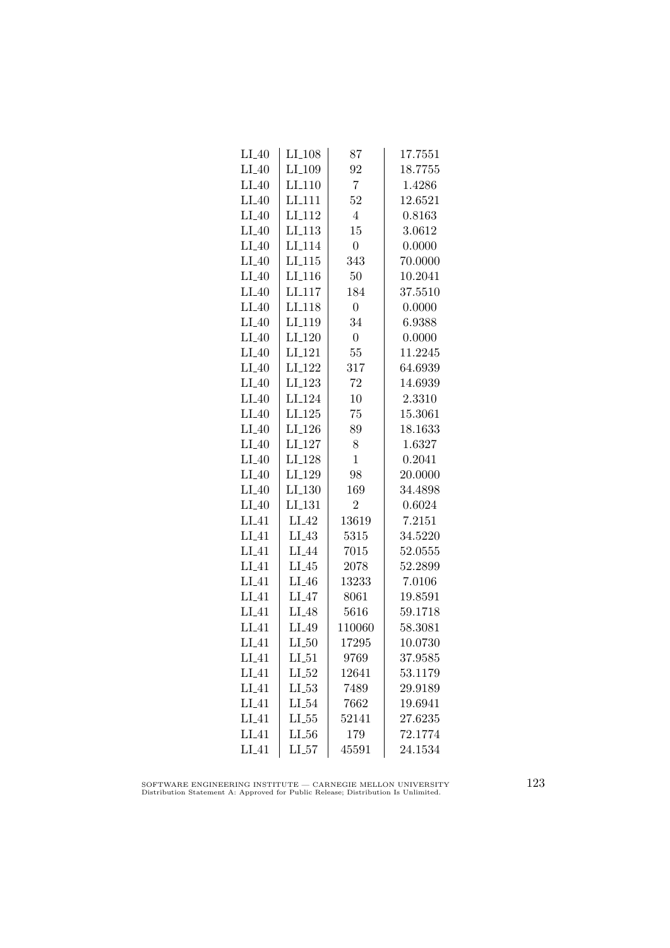| $LI_40$           | LI <sub>-108</sub>   | 87               | 17.7551 |
|-------------------|----------------------|------------------|---------|
| $LI_40$           | LI <sub>-109</sub>   | 92               | 18.7755 |
| $LI_40$           | LI <sub>-110</sub>   | $\overline{7}$   | 1.4286  |
| $LI_40$           | LI <sub>111</sub>    | 52               | 12.6521 |
| $LI_40$           | LI <sub>-112</sub>   | $\overline{4}$   | 0.8163  |
| $LI_40$           | LI <sub>-113</sub>   | 15               | 3.0612  |
| $LI_40$           | LI <sub>-114</sub>   | $\boldsymbol{0}$ | 0.0000  |
| $LI_40$           | $LI$ <sub>-115</sub> | 343              | 70.0000 |
| $LI_40$           | $LI_116$             | 50               | 10.2041 |
| $LI_40$           | LI <sub>-117</sub>   | 184              | 37.5510 |
| $LI_40$           | LI <sub>118</sub>    | $\boldsymbol{0}$ | 0.0000  |
| $LI_40$           | LI <sub>-119</sub>   | 34               | 6.9388  |
| $LI_40$           | LI <sub>-120</sub>   | $\overline{0}$   | 0.0000  |
| $LI_40$           | $LI_121$             | 55               | 11.2245 |
| $LI_40$           | LI <sub>-122</sub>   | 317              | 64.6939 |
| $LI_40$           | $LI_123$             | 72               | 14.6939 |
| $LI_40$           | LI <sub>-124</sub>   | 10               | 2.3310  |
| $LI_40$           | LI.125               | 75               | 15.3061 |
| $LI_40$           | LI <sub>-126</sub>   | 89               | 18.1633 |
| $LI_40$           | $LI_127$             | 8                | 1.6327  |
| $LI_40$           | LI <sub>-128</sub>   | $\mathbf{1}$     | 0.2041  |
| $LI_40$           | LI <sub>-129</sub>   | 98               | 20.0000 |
| $LI_40$           | $LI_130$             | 169              | 34.4898 |
| $LI_40$           | LI <sub>-131</sub>   | $\overline{2}$   | 0.6024  |
| $LI_41$           | $LI_42$              | 13619            | 7.2151  |
| $LI_41$           | LI.43                | 5315             | 34.5220 |
| $LI_41$           | LI <sub>-44</sub>    | 7015             | 52.0555 |
| $LI_41$           | $LI_45$              | 2078             | 52.2899 |
| $LI_41$           | $LI_46$              | 13233            | 7.0106  |
| $LI_41$           | $LI_47$              | 8061             | 19.8591 |
| LI.41             | $LI_48$              | 5616             | 59.1718 |
| $LI_41$           | LI_49                | 110060           | 58.3081 |
| $LI_41$           | $LI_50$              | 17295            | 10.0730 |
| $LI_41$           | $LI_51$              | 9769             | 37.9585 |
| $LI_41$           | $LI_52$              | 12641            | 53.1179 |
| $LI_41$           | $LL-53$              | 7489             | 29.9189 |
| $LI_41$           | $LI_54$              | 7662             | 19.6941 |
| $LI_41$           | $LL_{.55}$           | 52141            | 27.6235 |
| LI <sub>-41</sub> | LL56                 | 179              | 72.1774 |
| $LI_41$           | LL57                 | 45591            | 24.1534 |

SOFTWARE ENGINEERING INSTITUTE — CARNEGIE MELLON UNIVERSITY Distribution Statement A: Approved for Public Release; Distribution Is Unlimited.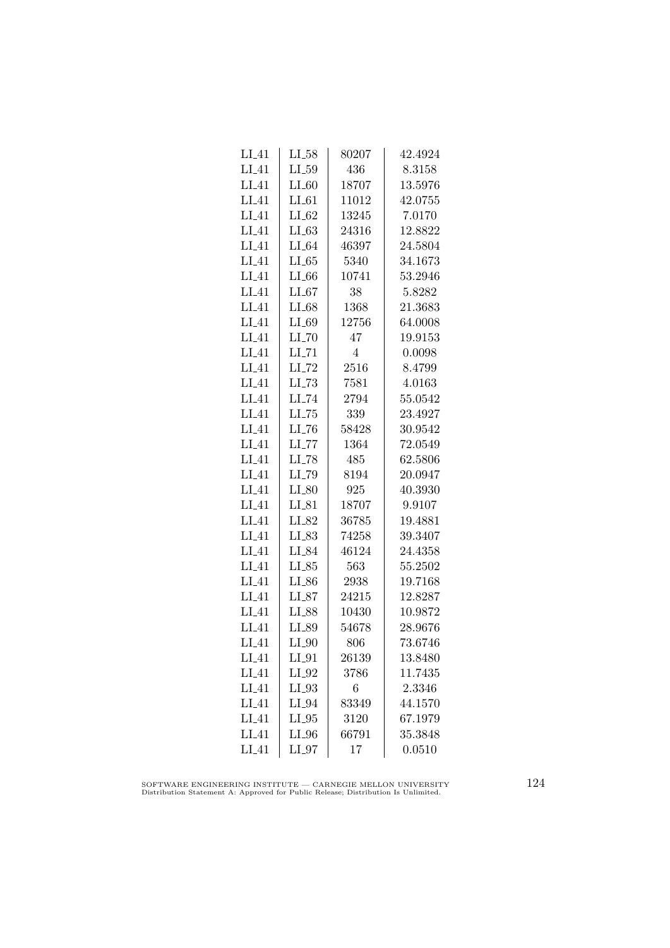| LI_41             | LI_58               | 80207 | 42.4924 |
|-------------------|---------------------|-------|---------|
| $LI_41$           | $LI_59$             | 436   | 8.3158  |
| $LI_41$           | $LI_60$             | 18707 | 13.5976 |
| $LI_41$           | $LI_61$             | 11012 | 42.0755 |
| $LI_41$           | $LI_62$             | 13245 | 7.0170  |
| $LI_41$           | $LI_63$             | 24316 | 12.8822 |
| $LI_41$           | $LI_64$             | 46397 | 24.5804 |
| $LI_41$           | $LL-65$             | 5340  | 34.1673 |
| $LI_41$           | $LI_66$             | 10741 | 53.2946 |
| $LI_41$           | $LI_67$             | 38    | 5.8282  |
| $LI_41$           | $LI_68$             | 1368  | 21.3683 |
| $LI_41$           | $LI_69$             | 12756 | 64.0008 |
| $LI_41$           | $LI$ <sub>-70</sub> | 47    | 19.9153 |
| $LI_41$           | $LI$ <sub>-71</sub> | 4     | 0.0098  |
| $LI_41$           | $LI$ <sub>-72</sub> | 2516  | 8.4799  |
| $LI_41$           | $LL-73$             | 7581  | 4.0163  |
| $LI_41$           | LI_74               | 2794  | 55.0542 |
| $LI_41$           | $LL-75$             | 339   | 23.4927 |
| LI.41             | LL76                | 58428 | 30.9542 |
| $LI_41$           | $LI$ <sub>-77</sub> | 1364  | 72.0549 |
| $LI_41$           | $LI$ <sub>-78</sub> | 485   | 62.5806 |
| $LI_41$           | LI <sub>-79</sub>   | 8194  | 20.0947 |
| $LI_41$           | $LI_80$             | 925   | 40.3930 |
| $LI_41$           | LI_81               | 18707 | 9.9107  |
| $LI_41$           | LI_82               | 36785 | 19.4881 |
| $LI_41$           | LI_83               | 74258 | 39.3407 |
| $LI_41$           | LI_84               | 46124 | 24.4358 |
| $LI_41$           | $LI_85$             | 563   | 55.2502 |
| $LI_41$           | $LI_86$             | 2938  | 19.7168 |
| $LI_41$           | $LI_87$             | 24215 | 12.8287 |
| LI <sub>-41</sub> | LI_88               | 10430 | 10.9872 |
| $LI_41$           | LI_89               | 54678 | 28.9676 |
| $LI_41$           | $LI_0$              | 806   | 73.6746 |
| $LI_41$           | $LI_01$             | 26139 | 13.8480 |
| $LI_41$           | $LI_02$             | 3786  | 11.7435 |
| $LI_41$           | $LI_93$             | 6     | 2.3346  |
| $LI_41$           | LI_94               | 83349 | 44.1570 |
| $LI_41$           | $LI_05$             | 3120  | 67.1979 |
| $LI_41$           | $LI_0$              | 66791 | 35.3848 |
| $LI_41$           | $LI_0$              | 17    | 0.0510  |

SOFTWARE ENGINEERING INSTITUTE — CARNEGIE MELLON UNIVERSITY Distribution Statement A: Approved for Public Release; Distribution Is Unlimited.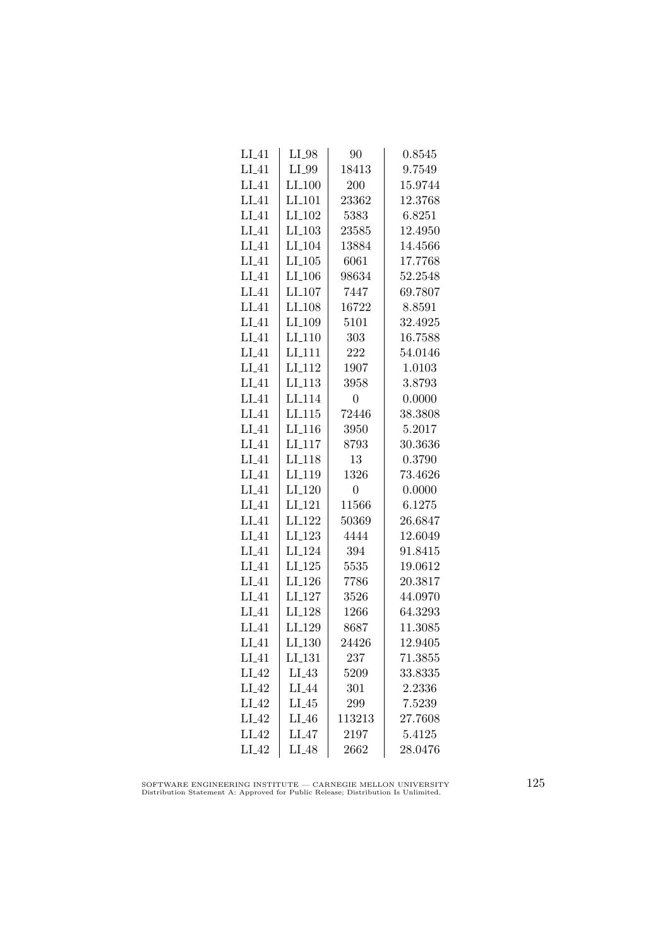| $LI_41$           | $LI_98$              | 90             | 0.8545  |
|-------------------|----------------------|----------------|---------|
| $LI_41$           | LI_99                | 18413          | 9.7549  |
| $LI_41$           | $LI_100$             | 200            | 15.9744 |
| LI.41             | LI <sub>-101</sub>   | 23362          | 12.3768 |
| LI.41             | LI <sub>-102</sub>   | 5383           | 6.8251  |
| $LI_41$           | $LI_103$             | 23585          | 12.4950 |
| $LI_41$           | LI <sub>-104</sub>   | 13884          | 14.4566 |
| $LI_41$           | $LI_105$             | 6061           | 17.7768 |
| $LI_41$           | $LI$ <sub>-106</sub> | 98634          | 52.2548 |
| $LI_41$           | LI <sub>-107</sub>   | 7447           | 69.7807 |
| LI.41             | LI <sub>-108</sub>   | 16722          | 8.8591  |
| $LI_41$           | LI_109               | 5101           | 32.4925 |
| $LI_41$           | LI <sub>-110</sub>   | 303            | 16.7588 |
| $LI_41$           | $LI_111$             | 222            | 54.0146 |
| $LI_41$           | LI <sub>-112</sub>   | 1907           | 1.0103  |
| $LI_41$           | $LI-113$             | 3958           | 3.8793  |
| $LI_41$           | LI <sub>-114</sub>   | $\overline{0}$ | 0.0000  |
| $LI_41$           | LI.115               | 72446          | 38.3808 |
| LI.41             | $LI$ <sub>116</sub>  | 3950           | 5.2017  |
| $LI_41$           | $LI_117$             | 8793           | 30.3636 |
| $LI_41$           | LI <sub>-118</sub>   | 13             | 0.3790  |
| $LI_41$           | LI <sub>-119</sub>   | 1326           | 73.4626 |
| $LI_41$           | LI <sub>-120</sub>   | $\overline{0}$ | 0.0000  |
| $LI_41$           | LI <sub>-121</sub>   | 11566          | 6.1275  |
| $LI_41$           | LI <sub>-122</sub>   | 50369          | 26.6847 |
| $LI_41$           | LI_123               | 4444           | 12.6049 |
| $LI_41$           | LI <sub>-124</sub>   | 394            | 91.8415 |
| $LI_41$           | $LI_125$             | 5535           | 19.0612 |
| $LI_41$           | $LI_126$             | 7786           | 20.3817 |
| $LI_41$           | LI <sub>-127</sub>   | 3526           | 44.0970 |
| $LI_41$           | LI <sub>128</sub>    | 1266           | 64.3293 |
| $LI_41$           | LI_129               | 8687           | 11.3085 |
| $LI_41$           | LI <sub>-130</sub>   | 24426          | 12.9405 |
| $LI_41$           | LI <sub>-131</sub>   | 237            | 71.3855 |
| $LI_42$           | $LI_43$              | 5209           | 33.8335 |
| $LI_42$           | $LI_44$              | 301            | 2.2336  |
| $LI_42$           | $LI_45$              | 299            | 7.5239  |
| LI.42             | $LI_46$              | 113213         | 27.7608 |
| LI <sub>-42</sub> | $LI_47$              | 2197           | 5.4125  |
| $LI_42$           | $LI_48$              | 2662           | 28.0476 |

SOFTWARE ENGINEERING INSTITUTE — CARNEGIE MELLON UNIVERSITY Distribution Statement A: Approved for Public Release; Distribution Is Unlimited.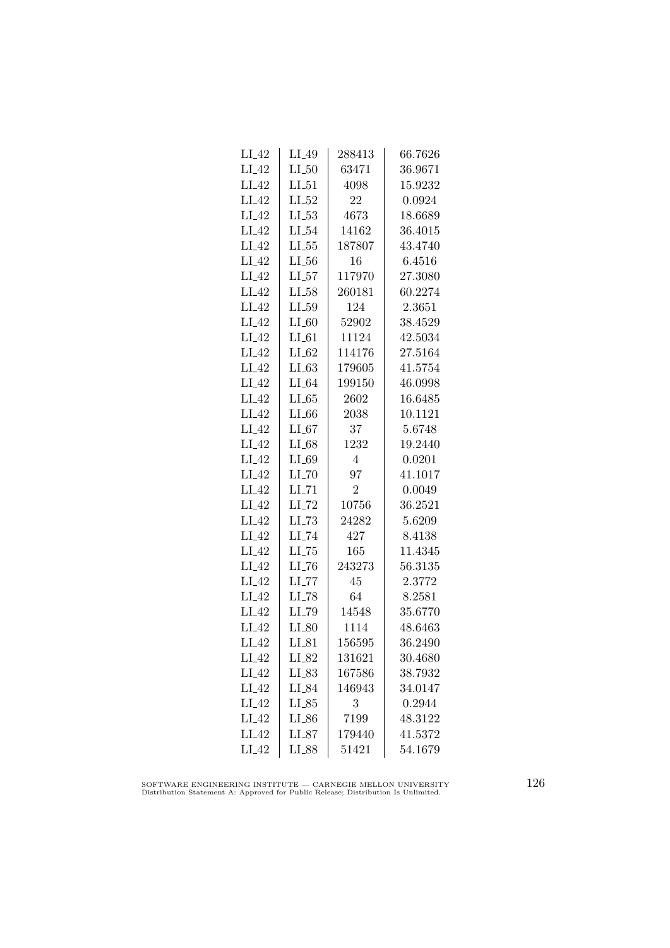| $LI_42$ | $LI_49$             | 288413         | 66.7626 |
|---------|---------------------|----------------|---------|
| $LI_42$ | $LI_50$             | 63471          | 36.9671 |
| $LI_42$ | LL51                | 4098           | 15.9232 |
| $LI_42$ | $LI_52$             | 22             | 0.0924  |
| $LI_42$ | $LL_{53}$           | 4673           | 18.6689 |
| $LI_42$ | $LI_54$             | 14162          | 36.4015 |
| $LI_42$ | $LL_{.55}$          | 187807         | 43.4740 |
| $LI_42$ | $LL_{.56}$          | 16             | 6.4516  |
| $LI_42$ | $LI_57$             | 117970         | 27.3080 |
| $LI_42$ | LL58                | 260181         | 60.2274 |
| $LI_42$ | LL59                | 124            | 2.3651  |
| $LI_42$ | $LI_60$             | 52902          | 38.4529 |
| $LI_42$ | $LI_61$             | 11124          | 42.5034 |
| $LI_42$ | $LI_62$             | 114176         | 27.5164 |
| $LI_42$ | $LI_63$             | 179605         | 41.5754 |
| $LI_42$ | $LI_64$             | 199150         | 46.0998 |
| $LI_42$ | $LI_65$             | 2602           | 16.6485 |
| $LI_42$ | $LI_66$             | 2038           | 10.1121 |
| $LI_42$ | $LI_67$             | 37             | 5.6748  |
| $LI_42$ | $LI_68$             | 1232           | 19.2440 |
| $LI_42$ | LI_69               | $\overline{4}$ | 0.0201  |
| $LI_42$ | $LI$ <sub>-70</sub> | 97             | 41.1017 |
| $LI_42$ | $LI$ <sub>-71</sub> | $\overline{2}$ | 0.0049  |
| $LI_42$ | $LI$ <sub>-72</sub> | 10756          | 36.2521 |
| $LI_42$ | $LL-73$             | 24282          | 5.6209  |
| $LI_42$ | LI_74               | 427            | 8.4138  |
| $LI_42$ | $LL-75$             | 165            | 11.4345 |
| $LI_42$ | $LI$ <sub>-76</sub> | 243273         | 56.3135 |
| $LI_42$ | $LI$ <sub>-77</sub> | 45             | 2.3772  |
| $LI_42$ | $LI$ <sub>-78</sub> | 64             | 8.2581  |
| $LI_42$ | LI_79               | 14548          | 35.6770 |
| $LI_42$ | $LI_80$             | 1114           | 48.6463 |
| $LI_42$ | $LI_81$             | 156595         | 36.2490 |
| $LI_42$ | LI_82               | 131621         | 30.4680 |
| $LI_42$ | $LI_83$             | 167586         | 38.7932 |
| $LI_42$ | $LI_84$             | 146943         | 34.0147 |
| $LI_42$ | $LI_85$             | 3              | 0.2944  |
| $LI_42$ | LI_86               | 7199           | 48.3122 |
| $LI_42$ | $LI_87$             | 179440         | 41.5372 |
| $LI_42$ | LI_88               | 51421          | 54.1679 |

SOFTWARE ENGINEERING INSTITUTE — CARNEGIE MELLON UNIVERSITY Distribution Statement A: Approved for Public Release; Distribution Is Unlimited.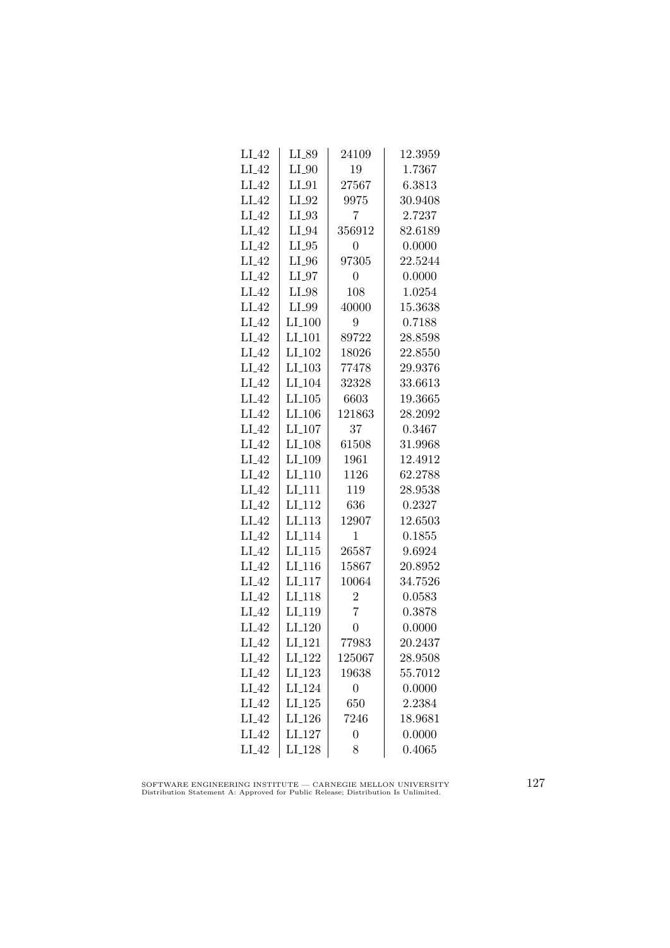| $LI_42$ | LI_89                | 24109          | 12.3959     |
|---------|----------------------|----------------|-------------|
| $LI_42$ | $LI_0$               | 19             | 1.7367      |
| $LI_42$ | $LI_01$              | 27567          | 6.3813      |
| $LI_42$ | $LI_02$              | 9975           | 30.9408     |
| $LI_42$ | LI_93                | 7              | 2.7237      |
| $LI_42$ | $LI_04$              | 356912         | 82.6189     |
| $LI_42$ | $LI_05$              | 0              | 0.0000      |
| $LI_42$ | $LI_0$               | 97305          | 22.5244     |
| $LI_42$ | $LI_97$              | $\overline{0}$ | 0.0000      |
| $LI_42$ | $LI_98$              | 108            | 1.0254      |
| $LI_42$ | LI_99                | 40000          | 15.3638     |
| $LI_42$ | LI <sub>-100</sub>   | 9              | 0.7188      |
| $LI_42$ | $LI_101$             | 89722          | 28.8598     |
| $LI_42$ | $LI_102$             | 18026          | $22.8550\,$ |
| $LI_42$ | $LI_103$             | 77478          | 29.9376     |
| $LI_42$ | $LI_104$             | 32328          | 33.6613     |
| $LI_42$ | $LI$ <sub>-105</sub> | 6603           | 19.3665     |
| $LI_42$ | $LI$ <sub>-106</sub> | 121863         | 28.2092     |
| $LI_42$ | LI <sub>-107</sub>   | 37             | 0.3467      |
| $LI_42$ | LI <sub>-108</sub>   | 61508          | 31.9968     |
| $LI_42$ | LI <sub>-109</sub>   | 1961           | 12.4912     |
| $LI_42$ | $LI-110$             | 1126           | 62.2788     |
| $LI_42$ | LI <sub>-111</sub>   | 119            | 28.9538     |
| $LI_42$ | LI <sub>-112</sub>   | 636            | 0.2327      |
| $LI_42$ | LI <sub>-113</sub>   | 12907          | 12.6503     |
| $LI_42$ | LI <sub>-114</sub>   | 1              | 0.1855      |
| $LI_42$ | $LI_115$             | 26587          | 9.6924      |
| $LI_42$ | $LI_116$             | 15867          | 20.8952     |
| $LI_42$ | $LI-117$             | 10064          | 34.7526     |
| $LI_42$ | LI <sub>-118</sub>   | $\overline{2}$ | 0.0583      |
| $LI_42$ | LI <sub>-119</sub>   | $\overline{7}$ | 0.3878      |
| $LI_42$ | $LI_120$             | $\overline{0}$ | 0.0000      |
| $LI_42$ | $LI$ <sub>121</sub>  | 77983          | 20.2437     |
| $LI_42$ | LI <sub>-122</sub>   | 125067         | 28.9508     |
| $LI_42$ | $LI_123$             | 19638          | 55.7012     |
| $LI_42$ | LI <sub>-124</sub>   | $\overline{0}$ | 0.0000      |
| $LI_42$ | $LI_125$             | 650            | 2.2384      |
| $LI_42$ | LI <sub>-126</sub>   | 7246           | 18.9681     |
| $LI_42$ | LI <sub>-127</sub>   | 0              | 0.0000      |
| $LI_42$ | $LI_128$             | 8              | 0.4065      |

SOFTWARE ENGINEERING INSTITUTE — CARNEGIE MELLON UNIVERSITY Distribution Statement A: Approved for Public Release; Distribution Is Unlimited.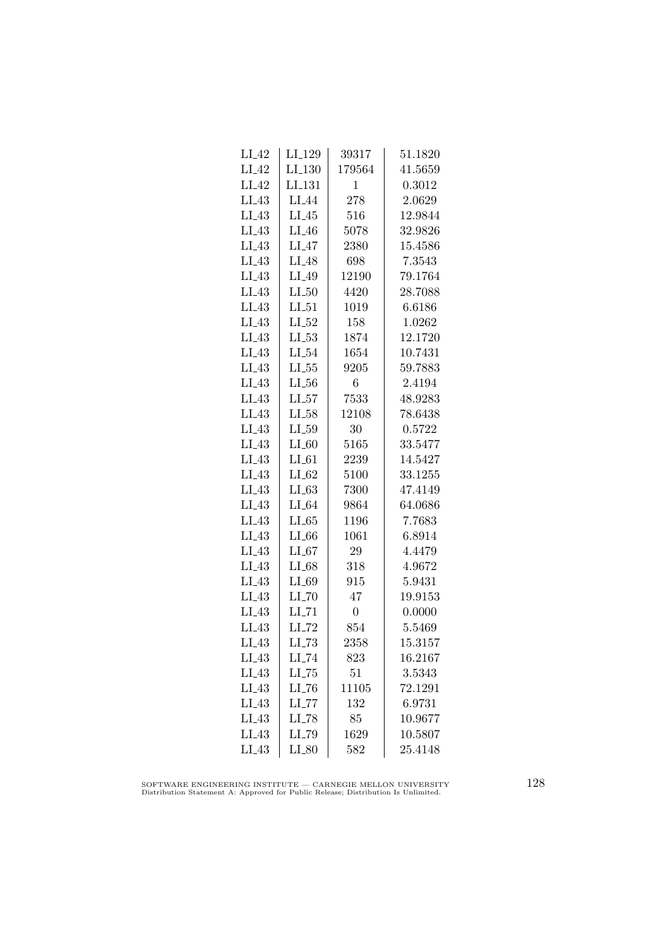| $LI_42$ | LI_129              | 39317            | 51.1820 |
|---------|---------------------|------------------|---------|
| $LI_42$ | LI <sub>-130</sub>  | 179564           | 41.5659 |
| $LI_42$ | LI <sub>-131</sub>  | 1                | 0.3012  |
| $LI_43$ | LI <sub>44</sub>    | 278              | 2.0629  |
| $LI_43$ | LI.45               | 516              | 12.9844 |
| $LI_43$ | $LI_46$             | 5078             | 32.9826 |
| $LI_43$ | $LI_47$             | 2380             | 15.4586 |
| $LI_43$ | $LI_48$             | 698              | 7.3543  |
| $LI_43$ | $LI_49$             | 12190            | 79.1764 |
| $LI_43$ | $LI_50$             | 4420             | 28.7088 |
| $LI_43$ | $LI_51$             | 1019             | 6.6186  |
| $LI_43$ | $LI_52$             | 158              | 1.0262  |
| $LI_43$ | $LI_53$             | 1874             | 12.1720 |
| $LI_43$ | $LI_54$             | 1654             | 10.7431 |
| $LI_43$ | $LL-55$             | 9205             | 59.7883 |
| $LI_43$ | $LI_56$             | $\boldsymbol{6}$ | 2.4194  |
| $LI_43$ | $LI_57$             | 7533             | 48.9283 |
| $LI_43$ | $LI_58$             | 12108            | 78.6438 |
| $LI_43$ | LL59                | 30               | 0.5722  |
| $LI_43$ | $LI_60$             | 5165             | 33.5477 |
| $LI_43$ | $LI_61$             | 2239             | 14.5427 |
| $LI_43$ | $LI_62$             | 5100             | 33.1255 |
| $LI_43$ | $LI_63$             | 7300             | 47.4149 |
| $LI_43$ | $LI_64$             | 9864             | 64.0686 |
| $LI_43$ | LL65                | 1196             | 7.7683  |
| $LI_43$ | $LI_66$             | 1061             | 6.8914  |
| $LI_43$ | LL67                | 29               | 4.4479  |
| $LI_43$ | $LI_68$             | 318              | 4.9672  |
| $LI_43$ | LI_69               | 915              | 5.9431  |
| $LI_43$ | $LI$ <sub>-70</sub> | 47               | 19.9153 |
| $LI_43$ | $LI$ <sub>-71</sub> | $\boldsymbol{0}$ | 0.0000  |
| $LI_43$ | $LI$ <sub>-72</sub> | 854              | 5.5469  |
| $LI_43$ | $LI$ <sub>-73</sub> | 2358             | 15.3157 |
| $LI_43$ | LI_74               | 823              | 16.2167 |
| $LI_43$ | $LI$ <sub>-75</sub> | 51               | 3.5343  |
| $LI_43$ | $LI$ <sub>-76</sub> | 11105            | 72.1291 |
| $LI_43$ | $LL$ <sub>-77</sub> | 132              | 6.9731  |
| $LI_43$ | $LI$ <sub>-78</sub> | 85               | 10.9677 |
| $LI_43$ | LI_79               | 1629             | 10.5807 |
| LI.43   | $LI_80$             | 582              | 25.4148 |

SOFTWARE ENGINEERING INSTITUTE — CARNEGIE MELLON UNIVERSITY Distribution Statement A: Approved for Public Release; Distribution Is Unlimited.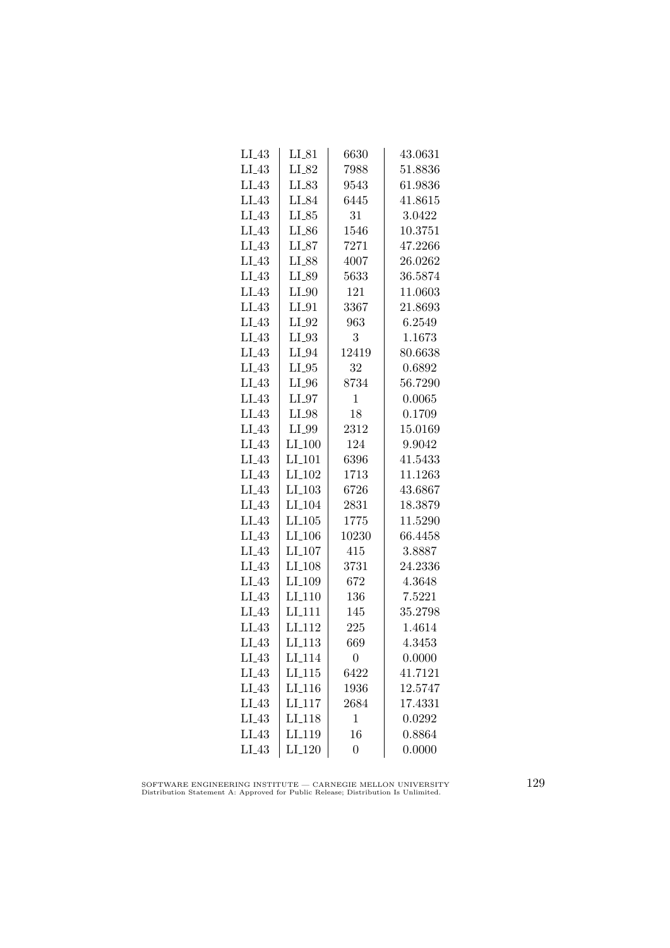| $LI_43$ | $LI_81$              | 6630             | 43.0631 |
|---------|----------------------|------------------|---------|
| $LI_43$ | LI_82                | 7988             | 51.8836 |
| $LI_43$ | LL83                 | 9543             | 61.9836 |
| $LI_43$ | LI_84                | 6445             | 41.8615 |
| $LI_43$ | $LI_85$              | 31               | 3.0422  |
| $LI_43$ | $LI_86$              | 1546             | 10.3751 |
| $LI_43$ | $LI_87$              | 7271             | 47.2266 |
| $LI_43$ | LI_88                | 4007             | 26.0262 |
| $LI_43$ | LI_89                | 5633             | 36.5874 |
| $LI_43$ | $LI_0$               | 121              | 11.0603 |
| $LI_43$ | $LI_01$              | 3367             | 21.8693 |
| $LI_43$ | $LI_02$              | 963              | 6.2549  |
| $LI_43$ | LI_93                | 3                | 1.1673  |
| $LI_43$ | $LI_04$              | 12419            | 80.6638 |
| $LI_43$ | $LI_05$              | 32               | 0.6892  |
| $LI_43$ | $LI_0$               | 8734             | 56.7290 |
| $LI_43$ | $LI_97$              | $\mathbf{1}$     | 0.0065  |
| $LI_43$ | LI_98                | 18               | 0.1709  |
| $LI_43$ | LI_99                | 2312             | 15.0169 |
| $LI_43$ | $LI_100$             | 124              | 9.9042  |
| $LI_43$ | $LI_101$             | 6396             | 41.5433 |
| $LI_43$ | $LI_102$             | 1713             | 11.1263 |
| $LI_43$ | $LI$ <sub>-103</sub> | 6726             | 43.6867 |
| $LI_43$ | LI <sub>-104</sub>   | 2831             | 18.3879 |
| $LI_43$ | LI.105               | 1775             | 11.5290 |
| $LI_43$ | LI <sub>-106</sub>   | 10230            | 66.4458 |
| $LI_43$ | $LI_107$             | 415              | 3.8887  |
| $LI_43$ | LI <sub>-108</sub>   | 3731             | 24.2336 |
| $LI_43$ | LI <sub>-109</sub>   | 672              | 4.3648  |
| $LI_43$ | LI <sub>-110</sub>   | 136              | 7.5221  |
| $LI_43$ | LI <sub>111</sub>    | 145              | 35.2798 |
| $LI_43$ | LI <sub>-112</sub>   | 225              | 1.4614  |
| $LI_43$ | LI <sub>-113</sub>   | 669              | 4.3453  |
| $LI_43$ | LI <sub>-114</sub>   | 0                | 0.0000  |
| $LI_43$ | $LI_115$             | 6422             | 41.7121 |
| $LI_43$ | LI <sub>-116</sub>   | 1936             | 12.5747 |
| $LI_43$ | LI <sub>-117</sub>   | 2684             | 17.4331 |
| $LI_43$ | LI <sub>118</sub>    | $\mathbf{1}$     | 0.0292  |
| $LI_43$ | LI <sub>-119</sub>   | 16               | 0.8864  |
| $LI_43$ | $LI_120$             | $\boldsymbol{0}$ | 0.0000  |

SOFTWARE ENGINEERING INSTITUTE — CARNEGIE MELLON UNIVERSITY Distribution Statement A: Approved for Public Release; Distribution Is Unlimited.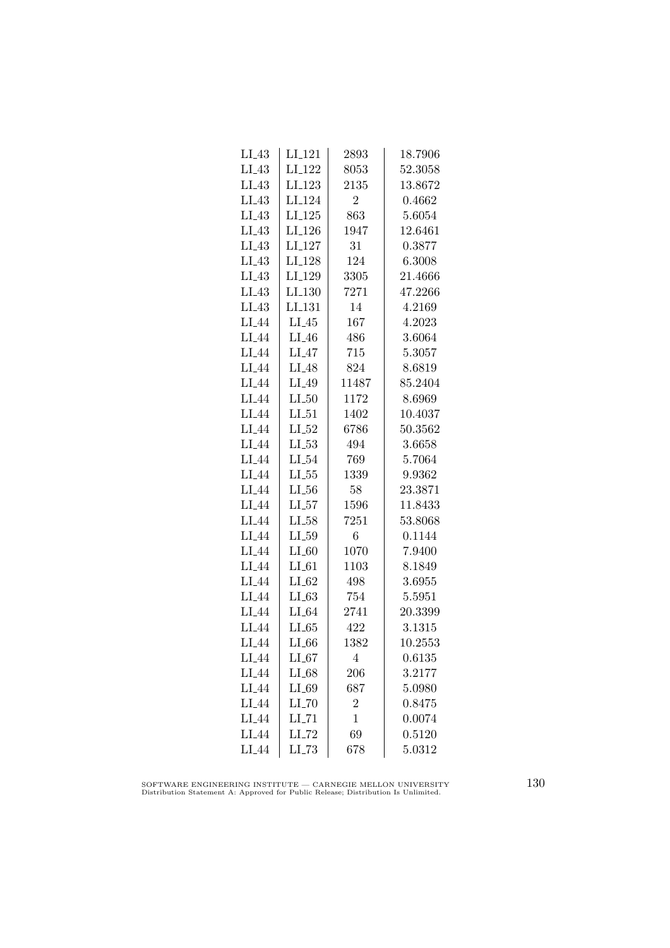| LI_43             | LI <sub>-121</sub>  | 2893           | 18.7906 |
|-------------------|---------------------|----------------|---------|
| $LI_43$           | LI <sub>-122</sub>  | 8053           | 52.3058 |
| $LI_43$           | LI <sub>-123</sub>  | 2135           | 13.8672 |
| $LI_43$           | LI <sub>-124</sub>  | $\overline{2}$ | 0.4662  |
| $LI_43$           | LI <sub>-125</sub>  | 863            | 5.6054  |
| $LI_43$           | $LI_126$            | 1947           | 12.6461 |
| $LI_43$           | $LI_127$            | 31             | 0.3877  |
| $LI_43$           | $LI_128$            | 124            | 6.3008  |
| $LI_43$           | LI <sub>-129</sub>  | 3305           | 21.4666 |
| $LI_43$           | LI.130              | 7271           | 47.2266 |
| $LI_43$           | LI <sub>-131</sub>  | 14             | 4.2169  |
| LI <sub>44</sub>  | $LI_45$             | 167            | 4.2023  |
| $LI_44$           | $LI_46$             | 486            | 3.6064  |
| $LI_44$           | $LI_47$             | 715            | 5.3057  |
| $LI_44$           | $LI_48$             | 824            | 8.6819  |
| LI <sub>-44</sub> | $LI_49$             | 11487          | 85.2404 |
| LI <sub>-44</sub> | $LI_50$             | 1172           | 8.6969  |
| LI_44             | $LI_51$             | 1402           | 10.4037 |
| LI_44             | $LI_52$             | 6786           | 50.3562 |
| $LI_44$           | $LL_{53}$           | 494            | 3.6658  |
| $LI_44$           | $LI_54$             | 769            | 5.7064  |
| $LI_44$           | $LL-55$             | 1339           | 9.9362  |
| LI <sub>-44</sub> | $LL_{.56}$          | 58             | 23.3871 |
| LI_44             | $LL_{57}$           | 1596           | 11.8433 |
| LI_44             | $LI_58$             | 7251           | 53.8068 |
| LI <sub>44</sub>  | LL59                | 6              | 0.1144  |
| LI_44             | $LI_60$             | 1070           | 7.9400  |
| LI_44             | $LI_61$             | 1103           | 8.1849  |
| LI <sub>-44</sub> | $LI_02$             | 498            | 3.6955  |
| LI <sub>-44</sub> | LL63                | 754            | 5.5951  |
| LI_44             | $LI_64$             | 2741           | 20.3399 |
| LI_44             | LL65                | 422            | 3.1315  |
| LI_44             | $LI_66$             | 1382           | 10.2553 |
| $LI_44$           | $LI_67$             | 4              | 0.6135  |
| $LI_44$           | $LI_68$             | 206            | 3.2177  |
| LI <sub>-44</sub> | $LI_69$             | 687            | 5.0980  |
| $LI_44$           | $LI$ <sub>-70</sub> | $\overline{2}$ | 0.8475  |
| LI <sub>-44</sub> | $LI$ <sub>-71</sub> | $\mathbf{1}$   | 0.0074  |
| LI_44             | LI_72               | 69             | 0.5120  |
| LI <sub>-44</sub> | $LL-73$             | 678            | 5.0312  |

SOFTWARE ENGINEERING INSTITUTE — CARNEGIE MELLON UNIVERSITY Distribution Statement A: Approved for Public Release; Distribution Is Unlimited.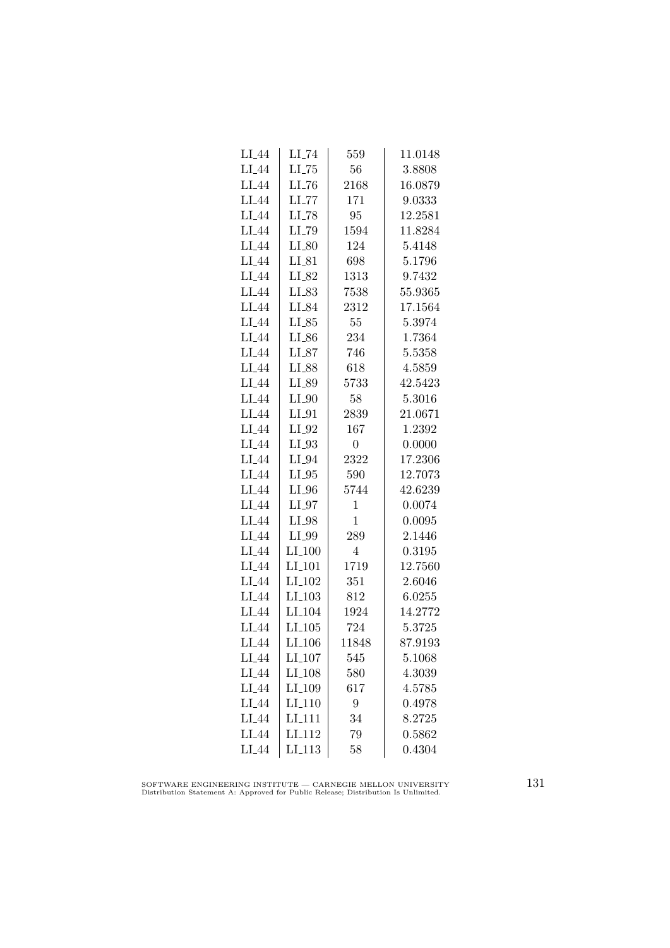| LI <sub>-</sub> 44 | $\rm L L174$        | 559            | 11.0148 |
|--------------------|---------------------|----------------|---------|
| $LI_44$            | $LI$ <sub>-75</sub> | 56             | 3.8808  |
| LI <sub>-44</sub>  | $LI$ <sub>-76</sub> | 2168           | 16.0879 |
| LI <sub>44</sub>   | LL77                | 171            | 9.0333  |
| LI_44              | $LI$ <sub>-78</sub> | 95             | 12.2581 |
| LI_44              | LI_79               | 1594           | 11.8284 |
| $LI_44$            | $LI_80$             | 124            | 5.4148  |
| $LI_44$            | $LI_81$             | 698            | 5.1796  |
| $LI_44$            | $LI_82$             | 1313           | 9.7432  |
| LI <sub>-44</sub>  | LI_83               | 7538           | 55.9365 |
| LI_44              | LI_84               | 2312           | 17.1564 |
| LI <sub>44</sub>   | $LI_85$             | 55             | 5.3974  |
| $LI_44$            | $LI_86$             | 234            | 1.7364  |
| $LI_44$            | $LI_87$             | 746            | 5.5358  |
| $LI_44$            | $LI_88$             | 618            | 4.5859  |
| $LI_44$            | LI_89               | 5733           | 42.5423 |
| LI <sub>-44</sub>  | $LI_0$              | 58             | 5.3016  |
| LI_44              | $LI_01$             | 2839           | 21.0671 |
| LI <sub>44</sub>   | LI_92               | 167            | 1.2392  |
| LI_44              | $LI_93$             | $\overline{0}$ | 0.0000  |
| LI_44              | LI_94               | 2322           | 17.2306 |
| $LI_44$            | $LI_05$             | 590            | 12.7073 |
| LI <sub>-44</sub>  | $LI_0$              | 5744           | 42.6239 |
| LI <sub>-44</sub>  | $LI_97$             | $\mathbf{1}$   | 0.0074  |
| LI <sub>-44</sub>  | LI_98               | $\mathbf{1}$   | 0.0095  |
| LI <sub>44</sub>   | LI_99               | 289            | 2.1446  |
| LI_44              | $LI_100$            | 4              | 0.3195  |
| LI_44              | $LI_101$            | 1719           | 12.7560 |
| $LI_44$            | LI <sub>-102</sub>  | 351            | 2.6046  |
| LI <sub>-44</sub>  | LI <sub>-103</sub>  | 812            | 6.0255  |
| LI_44              | LI <sub>-104</sub>  | 1924           | 14.2772 |
| LI_44              | LI.105              | 724            | 5.3725  |
| LI_44              | LI <sub>-106</sub>  | 11848          | 87.9193 |
| $LI_44$            | LI <sub>-107</sub>  | 545            | 5.1068  |
| $LI_44$            | LI <sub>-108</sub>  | 580            | 4.3039  |
| $LI_44$            | LI <sub>-109</sub>  | 617            | 4.5785  |
| LI <sub>-44</sub>  | LI <sub>-110</sub>  | 9              | 0.4978  |
| LI <sub>-44</sub>  | LI <sub>111</sub>   | 34             | 8.2725  |
| LI_44              | LI <sub>112</sub>   | 79             | 0.5862  |
| LI <sub>-44</sub>  | LI <sub>113</sub>   | 58             | 0.4304  |

SOFTWARE ENGINEERING INSTITUTE — CARNEGIE MELLON UNIVERSITY Distribution Statement A: Approved for Public Release; Distribution Is Unlimited.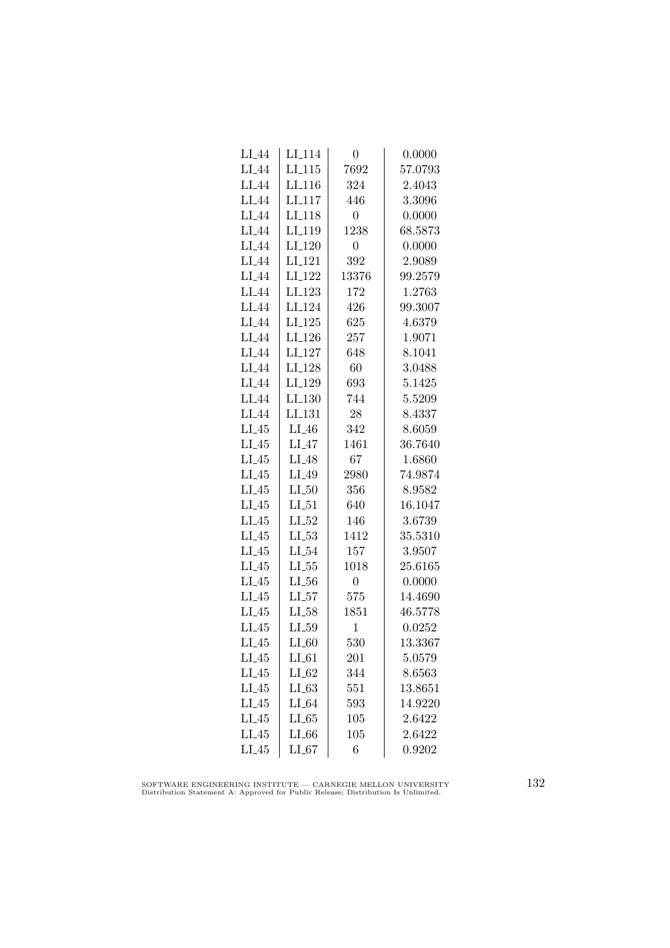| $LI_44$           | $LI_114$           | $\overline{0}$ | 0.0000  |
|-------------------|--------------------|----------------|---------|
| LI_44             | LI.115             | 7692           | 57.0793 |
| $LI_44$           | LI <sub>-116</sub> | 324            | 2.4043  |
| LI_44             | LI <sub>117</sub>  | 446            | 3.3096  |
| LI_44             | LI <sub>-118</sub> | $\overline{0}$ | 0.0000  |
| LI_44             | LI <sub>-119</sub> | 1238           | 68.5873 |
| $LI_44$           | $LI_120$           | $\overline{0}$ | 0.0000  |
| $LI_44$           | LI <sub>-121</sub> | 392            | 2.9089  |
| $LI_44$           | LI <sub>-122</sub> | 13376          | 99.2579 |
| LI <sub>-44</sub> | $LI_123$           | 172            | 1.2763  |
| LI <sub>44</sub>  | LI <sub>-124</sub> | 426            | 99.3007 |
| LI <sub>44</sub>  | LI <sub>-125</sub> | 625            | 4.6379  |
| $LI_44$           | $LI_126$           | 257            | 1.9071  |
| $LI_44$           | $LI_127$           | 648            | 8.1041  |
| $LI_44$           | $LI_128$           | 60             | 3.0488  |
| $LI_44$           | LI_129             | 693            | 5.1425  |
| LI <sub>-44</sub> | LI <sub>-130</sub> | 744            | 5.5209  |
| LI_44             | LI <sub>-131</sub> | 28             | 8.4337  |
| $LI_45$           | $LI_46$            | 342            | 8.6059  |
| $LI_45$           | $LI_47$            | 1461           | 36.7640 |
| $LI_45$           | $LI_48$            | 67             | 1.6860  |
| $LI_45$           | $LI_49$            | 2980           | 74.9874 |
| $LI_45$           | $LI_50$            | 356            | 8.9582  |
| $LI_45$           | LL51               | 640            | 16.1047 |
| $LI_45$           | $LI_52$            | 146            | 3.6739  |
| $LI_45$           | $LI_53$            | 1412           | 35.5310 |
| $LI_45$           | $LI_54$            | 157            | 3.9507  |
| $LI_45$           | $LL_{.55}$         | 1018           | 25.6165 |
| $LI_45$           | $LL_{-56}$         | $\overline{0}$ | 0.0000  |
| $LI_45$           | $LL_{57}$          | 575            | 14.4690 |
| $LI_45$           | $LI_58$            | 1851           | 46.5778 |
| $LI_45$           | $LI_59$            | $\mathbf 1$    | 0.0252  |
| $LI_45$           | $LI_60$            | 530            | 13.3367 |
| $LI_45$           | $LI_61$            | 201            | 5.0579  |
| $LI_45$           | $LI_62$            | 344            | 8.6563  |
| $LI_45$           | $LL-63$            | 551            | 13.8651 |
| $LI_45$           | $LI_64$            | 593            | 14.9220 |
| $LI_45$           | LL65               | 105            | 2.6422  |
| $LI_45$           | LL66               | 105            | 2.6422  |
| $LI_45$           | LL67               | 6              | 0.9202  |

SOFTWARE ENGINEERING INSTITUTE — CARNEGIE MELLON UNIVERSITY Distribution Statement A: Approved for Public Release; Distribution Is Unlimited.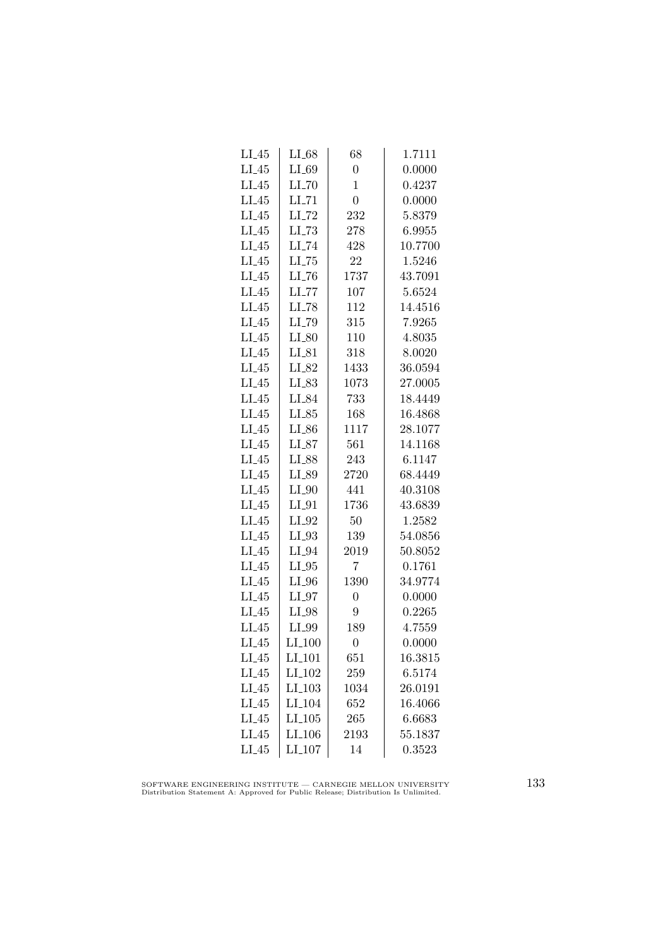| $LI_45$ | $LI_68$              | 68             | 1.7111  |
|---------|----------------------|----------------|---------|
| $LI_45$ | $LI_69$              | $\overline{0}$ | 0.0000  |
| $LI_45$ | $LI$ <sub>-70</sub>  | $\overline{1}$ | 0.4237  |
| $LI_45$ | $LI$ <sub>-71</sub>  | $\overline{0}$ | 0.0000  |
| $LI_45$ | $LI$ <sub>-72</sub>  | 232            | 5.8379  |
| $LI_45$ | $LI$ <sub>-73</sub>  | 278            | 6.9955  |
| $LI_45$ | $LI$ <sub>-74</sub>  | 428            | 10.7700 |
| $LI_45$ | $LI$ <sub>-75</sub>  | 22             | 1.5246  |
| $LI_45$ | $LI$ <sub>-76</sub>  | 1737           | 43.7091 |
| $LI_45$ | $LI$ <sub>-77</sub>  | 107            | 5.6524  |
| $LI_45$ | LI_78                | 112            | 14.4516 |
| $LI_45$ | LI_79                | 315            | 7.9265  |
| $LI_45$ | $LI_80$              | 110            | 4.8035  |
| $LI_45$ | $LI_81$              | 318            | 8.0020  |
| $LI_45$ | $LI_82$              | 1433           | 36.0594 |
| $LI_45$ | $LI_83$              | 1073           | 27.0005 |
| $LI_45$ | LI_84                | 733            | 18.4449 |
| $LI_45$ | $LI_85$              | 168            | 16.4868 |
| $LI_45$ | LI_86                | 1117           | 28.1077 |
| $LI_45$ | $LI_87$              | 561            | 14.1168 |
| $LI_45$ | LI_88                | 243            | 6.1147  |
| $LI_45$ | $LI_89$              | 2720           | 68.4449 |
| $LI_45$ | $LI_0$               | 441            | 40.3108 |
| $LI_45$ | $LI_01$              | 1736           | 43.6839 |
| $LI_45$ | $LI_02$              | 50             | 1.2582  |
| $LI_45$ | $LI_93$              | 139            | 54.0856 |
| $LI_45$ | $LI_04$              | 2019           | 50.8052 |
| $LI_45$ | $LI_05$              | 7              | 0.1761  |
| $LI_45$ | $LI_0$               | 1390           | 34.9774 |
| $LI_45$ | $LI_07$              | $\overline{0}$ | 0.0000  |
| $LI_45$ | $LI_98$              | 9              | 0.2265  |
| $LI_45$ | LI_99                | 189            | 4.7559  |
| $LI_45$ | $LI_100$             | $\overline{0}$ | 0.0000  |
| $LI_45$ | $LI_101$             | 651            | 16.3815 |
| $LI_45$ | LI <sub>-102</sub>   | 259            | 6.5174  |
| $LI_45$ | $LI$ <sub>-103</sub> | 1034           | 26.0191 |
| $LI_45$ | LI <sub>-104</sub>   | 652            | 16.4066 |
| $LI_45$ | LL105                | 265            | 6.6683  |
| $LI_45$ | LI_106               | 2193           | 55.1837 |
| $LI_45$ | LI <sub>-107</sub>   | 14             | 0.3523  |

SOFTWARE ENGINEERING INSTITUTE — CARNEGIE MELLON UNIVERSITY Distribution Statement A: Approved for Public Release; Distribution Is Unlimited.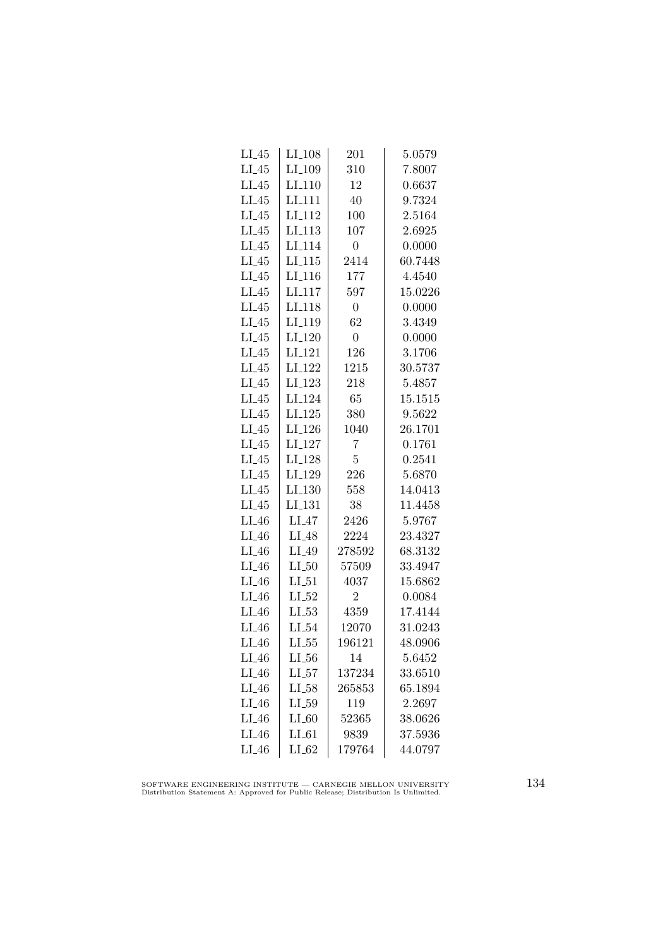| $LI_45$ | LI <sub>-108</sub>  | 201            | 5.0579  |
|---------|---------------------|----------------|---------|
| $LI_45$ | LI <sub>-109</sub>  | 310            | 7.8007  |
| $LI_45$ | LI <sub>-110</sub>  | 12             | 0.6637  |
| $LI_45$ | LI <sub>111</sub>   | 40             | 9.7324  |
| $LI_45$ | LI <sub>-112</sub>  | 100            | 2.5164  |
| $LI_45$ | $LI$ <sub>113</sub> | 107            | 2.6925  |
| $LI_45$ | LI <sub>-114</sub>  | $\overline{0}$ | 0.0000  |
| $LI_45$ | $LI_115$            | 2414           | 60.7448 |
| $LI_45$ | $LI_116$            | 177            | 4.4540  |
| $LI_45$ | LI <sub>-117</sub>  | 597            | 15.0226 |
| $LI_45$ | LI <sub>118</sub>   | $\overline{0}$ | 0.0000  |
| $LI_45$ | LI <sub>-119</sub>  | 62             | 3.4349  |
| $LI_45$ | LI <sub>-120</sub>  | $\overline{0}$ | 0.0000  |
| $LI_45$ | $LI_121$            | 126            | 3.1706  |
| $LI_45$ | $LI_122$            | 1215           | 30.5737 |
| $LI_45$ | LI <sub>-123</sub>  | 218            | 5.4857  |
| $LI_45$ | LI <sub>-124</sub>  | 65             | 15.1515 |
| $LI_45$ | LI.125              | 380            | 9.5622  |
| $LI_45$ | LI <sub>-126</sub>  | 1040           | 26.1701 |
| $LI_45$ | LI <sub>-127</sub>  | 7              | 0.1761  |
| $LI_45$ | $LI_128$            | 5              | 0.2541  |
| $LI_45$ | LI <sub>-129</sub>  | 226            | 5.6870  |
| $LI_45$ | LI <sub>-130</sub>  | 558            | 14.0413 |
| $LI_45$ | LI <sub>-131</sub>  | 38             | 11.4458 |
| $LI_46$ | $LI_47$             | 2426           | 5.9767  |
| $LI_46$ | LI <sub>-48</sub>   | 2224           | 23.4327 |
| $LI_46$ | LI_49               | 278592         | 68.3132 |
| $LI_46$ | $LI_50$             | 57509          | 33.4947 |
| $LI_46$ | $LI_51$             | 4037           | 15.6862 |
| $LI_46$ | $LI_52$             | $\overline{2}$ | 0.0084  |
| $LI_46$ | $LL_{.53}$          | 4359           | 17.4144 |
| $LI_46$ | $LI_54$             | 12070          | 31.0243 |
| $LI_46$ | $LL_{.55}$          | 196121         | 48.0906 |
| $LI_46$ | LI_56               | 14             | 5.6452  |
| $LI_46$ | $LI_57$             | 137234         | 33.6510 |
| $LI_46$ | $LI_58$             | 265853         | 65.1894 |
| $LI_46$ | $LL_{.59}$          | 119            | 2.2697  |
| $LI_46$ | $LI_60$             | 52365          | 38.0626 |
| $LI_46$ | $LI_61$             | 9839           | 37.5936 |
| $LI_46$ | $LI_62$             | 179764         | 44.0797 |

SOFTWARE ENGINEERING INSTITUTE — CARNEGIE MELLON UNIVERSITY Distribution Statement A: Approved for Public Release; Distribution Is Unlimited.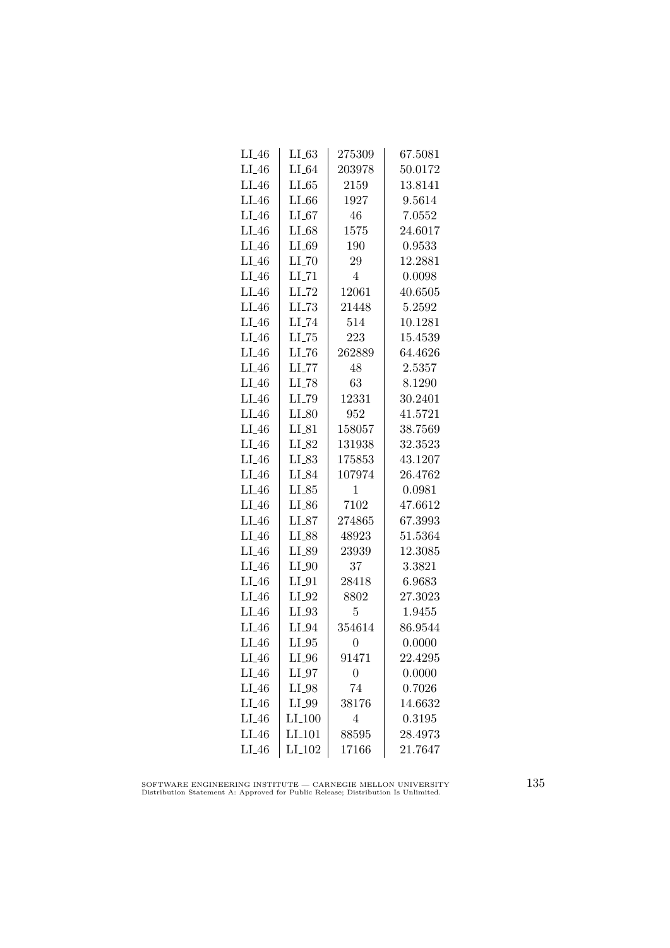| $LI_46$ | LI_63               | 275309         | 67.5081 |
|---------|---------------------|----------------|---------|
| $LI_46$ | $LI_64$             | 203978         | 50.0172 |
| $LI_46$ | LL65                | 2159           | 13.8141 |
| $LI_46$ | $LI_66$             | 1927           | 9.5614  |
| $LI_46$ | $LI_67$             | 46             | 7.0552  |
| $LI_46$ | $LI_68$             | 1575           | 24.6017 |
| $LI_46$ | LI_69               | 190            | 0.9533  |
| $LI_46$ | $LI$ <sub>-70</sub> | 29             | 12.2881 |
| $LI_46$ | $LI$ <sub>-71</sub> | $\overline{4}$ | 0.0098  |
| $LI_46$ | $LI$ <sub>-72</sub> | 12061          | 40.6505 |
| $LI_46$ | $LL-73$             | 21448          | 5.2592  |
| $LI_46$ | LI_74               | 514            | 10.1281 |
| $LI_46$ | $LI$ <sub>-75</sub> | 223            | 15.4539 |
| $LI_46$ | $LI$ <sub>-76</sub> | 262889         | 64.4626 |
| $LI_46$ | $LI$ <sub>-77</sub> | 48             | 2.5357  |
| $LI_46$ | $LI$ <sub>-78</sub> | 63             | 8.1290  |
| $LI_46$ | LI_79               | 12331          | 30.2401 |
| $LI_46$ | $LI_80$             | 952            | 41.5721 |
| $LI_46$ | $LI_81$             | 158057         | 38.7569 |
| $LI_46$ | LI_82               | 131938         | 32.3523 |
| $LI_46$ | $LI_83$             | 175853         | 43.1207 |
| $LI_46$ | LI_84               | 107974         | 26.4762 |
| $LI_46$ | $LI_85$             | 1              | 0.0981  |
| $LI_46$ | $LI_86$             | 7102           | 47.6612 |
| $LI_46$ | $LI_87$             | 274865         | 67.3993 |
| $LI_46$ | LI_88               | 48923          | 51.5364 |
| $LI_46$ | LI_89               | 23939          | 12.3085 |
| $LI_46$ | $LI_0$              | 37             | 3.3821  |
| $LI_46$ | $LI_01$             | 28418          | 6.9683  |
| $LI_46$ | $LI_02$             | 8802           | 27.3023 |
| $LI_46$ | $LI_93$             | 5              | 1.9455  |
| $LI_46$ | $LI_04$             | 354614         | 86.9544 |
| $LI_46$ | $LI_05$             | $\overline{0}$ | 0.0000  |
| $LI_46$ | $LI_0$              | 91471          | 22.4295 |
| $LI_46$ | $LI_97$             | $\overline{0}$ | 0.0000  |
| $LI_46$ | $LI_98$             | 74             | 0.7026  |
| $LI_46$ | LI_99               | 38176          | 14.6632 |
| $LI_46$ | LI <sub>-100</sub>  | $\overline{4}$ | 0.3195  |
| $LI_46$ | LI <sub>-101</sub>  | 88595          | 28.4973 |
| $LI_46$ | $LI_102$            | 17166          | 21.7647 |

SOFTWARE ENGINEERING INSTITUTE — CARNEGIE MELLON UNIVERSITY Distribution Statement A: Approved for Public Release; Distribution Is Unlimited.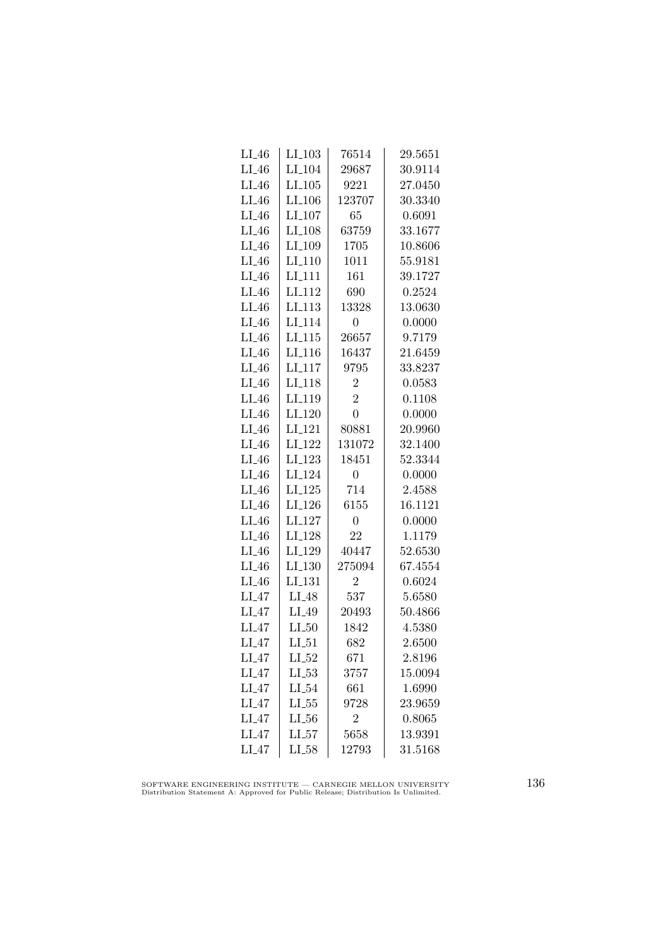| $LI_46$ | $LI_103$             | 76514          | 29.5651 |
|---------|----------------------|----------------|---------|
| $LI_46$ | LI <sub>-104</sub>   | 29687          | 30.9114 |
| $LI_46$ | LI.105               | 9221           | 27.0450 |
| $LI_46$ | LI <sub>-106</sub>   | 123707         | 30.3340 |
| $LI_46$ | LI <sub>-107</sub>   | 65             | 0.6091  |
| $LI_46$ | $LI_108$             | 63759          | 33.1677 |
| $LI_46$ | LI_109               | 1705           | 10.8606 |
| $LI_46$ | $LI_110$             | 1011           | 55.9181 |
| $LI_46$ | LI <sub>-111</sub>   | 161            | 39.1727 |
| $LI_46$ | LI <sub>-112</sub>   | 690            | 0.2524  |
| $LI_46$ | LI.113               | 13328          | 13.0630 |
| LI.46   | LI <sub>-114</sub>   | 0              | 0.0000  |
| $LI_46$ | $LI_115$             | 26657          | 9.7179  |
| $LI_46$ | $LI$ <sub>-116</sub> | 16437          | 21.6459 |
| $LI_46$ | $LI_117$             | 9795           | 33.8237 |
| $LI_46$ | LI <sub>-118</sub>   | $\overline{2}$ | 0.0583  |
| $LI_46$ | LI <sub>-119</sub>   | $\overline{2}$ | 0.1108  |
| $LI_46$ | $LI_120$             | $\overline{0}$ | 0.0000  |
| $LI_46$ | LI <sub>-121</sub>   | 80881          | 20.9960 |
| $LI_46$ | LI <sub>-122</sub>   | 131072         | 32.1400 |
| $LI_46$ | $LI_123$             | 18451          | 52.3344 |
| $LI_46$ | LI <sub>-124</sub>   | $\overline{0}$ | 0.0000  |
| $LI_46$ | $LI-125$             | 714            | 2.4588  |
| $LI_46$ | LI <sub>-126</sub>   | 6155           | 16.1121 |
| $LI_46$ | LI <sub>-127</sub>   | $\overline{0}$ | 0.0000  |
| $LI_46$ | LI <sub>-128</sub>   | 22             | 1.1179  |
| $LI_46$ | LI <sub>-129</sub>   | 40447          | 52.6530 |
| $LI_46$ | $LI_130$             | 275094         | 67.4554 |
| $LI_46$ | LI <sub>-131</sub>   | $\overline{2}$ | 0.6024  |
| $LI_47$ | $LI_48$              | 537            | 5.6580  |
| $LI_47$ | $LI_49$              | 20493          | 50.4866 |
| $LI_47$ | LL50                 | 1842           | 4.5380  |
| $LI_47$ | $LI_51$              | 682            | 2.6500  |
| $LI_47$ | $LI_52$              | 671            | 2.8196  |
| $LI_47$ | $LI_53$              | 3757           | 15.0094 |
| $LI_47$ | $LI_54$              | 661            | 1.6990  |
| $LI_47$ | $LL_{.55}$           | 9728           | 23.9659 |
| $LI_47$ | LL56                 | $\overline{2}$ | 0.8065  |
| $LI_47$ | LL57                 | 5658           | 13.9391 |
| LI.47   | $LI_58$              | 12793          | 31.5168 |

SOFTWARE ENGINEERING INSTITUTE — CARNEGIE MELLON UNIVERSITY Distribution Statement A: Approved for Public Release; Distribution Is Unlimited.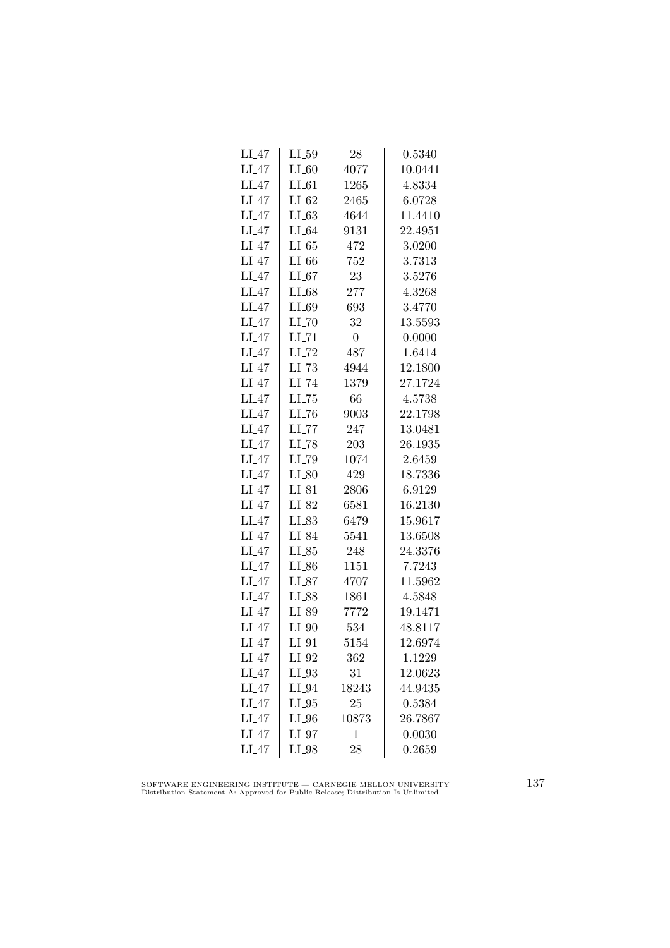| LI <sub>-</sub> 47 | $LI_59$             | 28             | 0.5340  |
|--------------------|---------------------|----------------|---------|
| $LI_47$            | $LI_60$             | 4077           | 10.0441 |
| $LI_47$            | $LI_61$             | 1265           | 4.8334  |
| $LI_47$            | $LI_62$             | 2465           | 6.0728  |
| $LI_47$            | LL63                | 4644           | 11.4410 |
| $LI_47$            | $LI_64$             | 9131           | 22.4951 |
| $LI_47$            | $LI_65$             | 472            | 3.0200  |
| $LI_47$            | $LI_66$             | 752            | 3.7313  |
| $LI_47$            | LL67                | 23             | 3.5276  |
| $LI_47$            | $LI_68$             | 277            | 4.3268  |
| $LI_47$            | $LI_69$             | 693            | 3.4770  |
| $LI_47$            | $LI$ <sub>-70</sub> | 32             | 13.5593 |
| $LI_47$            | $LI$ <sub>-71</sub> | $\overline{0}$ | 0.0000  |
| $LI_47$            | $LI$ <sub>-72</sub> | 487            | 1.6414  |
| $LI_47$            | $LL-73$             | 4944           | 12.1800 |
| $LI_47$            | $LI$ <sub>-74</sub> | 1379           | 27.1724 |
| $LI_47$            | $LL-75$             | 66             | 4.5738  |
| $LI_47$            | LL76                | 9003           | 22.1798 |
| $LI_47$            | $LL$ <sub>77</sub>  | 247            | 13.0481 |
| $LI_47$            | LI_78               | 203            | 26.1935 |
| $LI_47$            | LI_79               | 1074           | 2.6459  |
| $LI_47$            | $LI_80$             | 429            | 18.7336 |
| $LI_47$            | $LI_81$             | 2806           | 6.9129  |
| $LI_47$            | $LI_82$             | 6581           | 16.2130 |
| $LI_47$            | $LI_83$             | 6479           | 15.9617 |
| $LI_47$            | LI_84               | 5541           | 13.6508 |
| $LI_47$            | $LI_85$             | 248            | 24.3376 |
| $LI_47$            | $LI_86$             | 1151           | 7.7243  |
| $LI_47$            | $LI_87$             | 4707           | 11.5962 |
| $LI_47$            | LI_88               | 1861           | 4.5848  |
| LI.47              | LI_89               | 7772           | 19.1471 |
| $LI_47$            | $LI_0$              | 534            | 48.8117 |
| $LI_47$            | $LI_01$             | 5154           | 12.6974 |
| $LI_47$            | $LI_02$             | 362            | 1.1229  |
| $LI_47$            | $LI_03$             | 31             | 12.0623 |
| $LI_47$            | $LI_04$             | 18243          | 44.9435 |
| $LI_47$            | $LI_05$             | 25             | 0.5384  |
| $LI_47$            | $LI_0$              | 10873          | 26.7867 |
| $LI_47$            | $LI_97$             | 1              | 0.0030  |
| $LI_47$            | LI_98               | 28             | 0.2659  |

SOFTWARE ENGINEERING INSTITUTE — CARNEGIE MELLON UNIVERSITY Distribution Statement A: Approved for Public Release; Distribution Is Unlimited.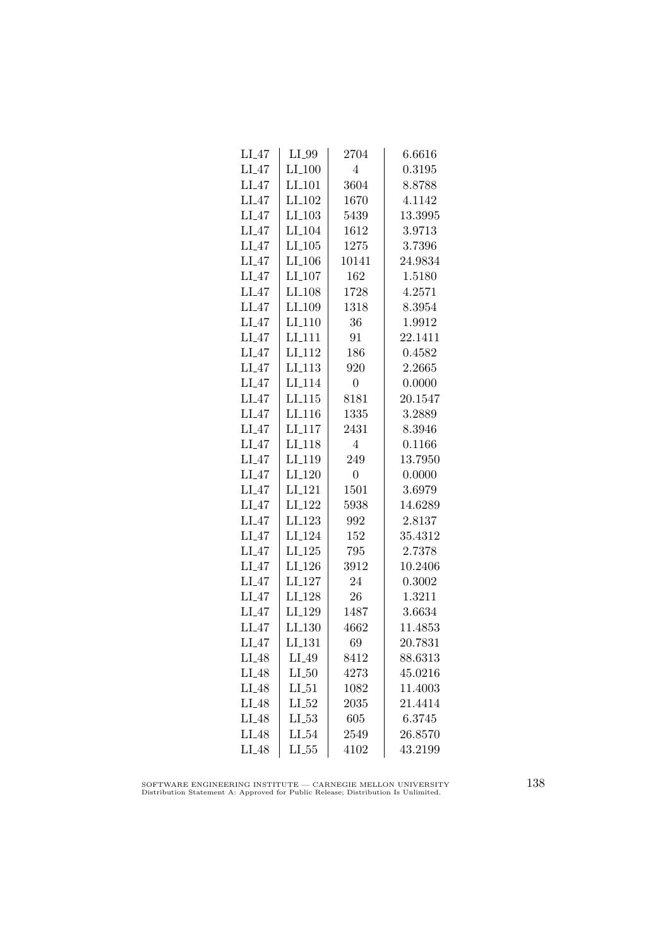| LI <sub>-</sub> 47 | $LI_99$            | 2704           | 6.6616  |
|--------------------|--------------------|----------------|---------|
| $LI_47$            | $LI_100$           | $\overline{4}$ | 0.3195  |
| $LI_47$            | $LI_101$           | 3604           | 8.8788  |
| $LI_47$            | LI <sub>-102</sub> | 1670           | 4.1142  |
| $LI_47$            | $LI_103$           | 5439           | 13.3995 |
| $LI_47$            | LI <sub>-104</sub> | 1612           | 3.9713  |
| $LI_47$            | $LI_105$           | 1275           | 3.7396  |
| $LI_47$            | $LI_106$           | 10141          | 24.9834 |
| $LI_47$            | $LI_107$           | 162            | 1.5180  |
| $LI_47$            | LI <sub>-108</sub> | 1728           | 4.2571  |
| $LI_47$            | LI <sub>-109</sub> | 1318           | 8.3954  |
| $LI_47$            | LI <sub>-110</sub> | 36             | 1.9912  |
| $LI_47$            | $LI-111$           | 91             | 22.1411 |
| $LI_47$            | LI <sub>-112</sub> | 186            | 0.4582  |
| $LI_47$            | LI <sub>-113</sub> | 920            | 2.2665  |
| $LI_47$            | LI <sub>-114</sub> | $\overline{0}$ | 0.0000  |
| $LI_47$            | LI <sub>-115</sub> | 8181           | 20.1547 |
| $LI_47$            | LI <sub>-116</sub> | 1335           | 3.2889  |
| $LI_47$            | LI <sub>-117</sub> | 2431           | 8.3946  |
| $LI_47$            | LI <sub>-118</sub> | 4              | 0.1166  |
| $LI_47$            | LI <sub>-119</sub> | 249            | 13.7950 |
| $LI_47$            | LI <sub>-120</sub> | $\overline{0}$ | 0.0000  |
| $LI_47$            | LI <sub>-121</sub> | 1501           | 3.6979  |
| $LI_47$            | LI <sub>-122</sub> | 5938           | 14.6289 |
| $LI_47$            | LI <sub>-123</sub> | 992            | 2.8137  |
| $LI_47$            | LI <sub>-124</sub> | 152            | 35.4312 |
| $LI_47$            | $LI_125$           | 795            | 2.7378  |
| $LI_47$            | $LI_126$           | 3912           | 10.2406 |
| $LI_47$            | LI <sub>-127</sub> | 24             | 0.3002  |
| $LI_47$            | LI <sub>-128</sub> | 26             | 1.3211  |
| $LI_47$            | LI_129             | 1487           | 3.6634  |
| $LI_47$            | LI <sub>-130</sub> | 4662           | 11.4853 |
| $LI_47$            | LI_131             | 69             | 20.7831 |
| $LI_48$            | $LI_49$            | 8412           | 88.6313 |
| $LI_48$            | $LI_50$            | 4273           | 45.0216 |
| $LI_48$            | $LI_51$            | 1082           | 11.4003 |
| LI_48              | $LI_52$            | 2035           | 21.4414 |
| LI_48              | $LI_53$            | 605            | 6.3745  |
| LI <sub>48</sub>   | $LI_54$            | 2549           | 26.8570 |
| $LI_48$            | LL55               | 4102           | 43.2199 |
|                    |                    |                |         |

SOFTWARE ENGINEERING INSTITUTE — CARNEGIE MELLON UNIVERSITY Distribution Statement A: Approved for Public Release; Distribution Is Unlimited.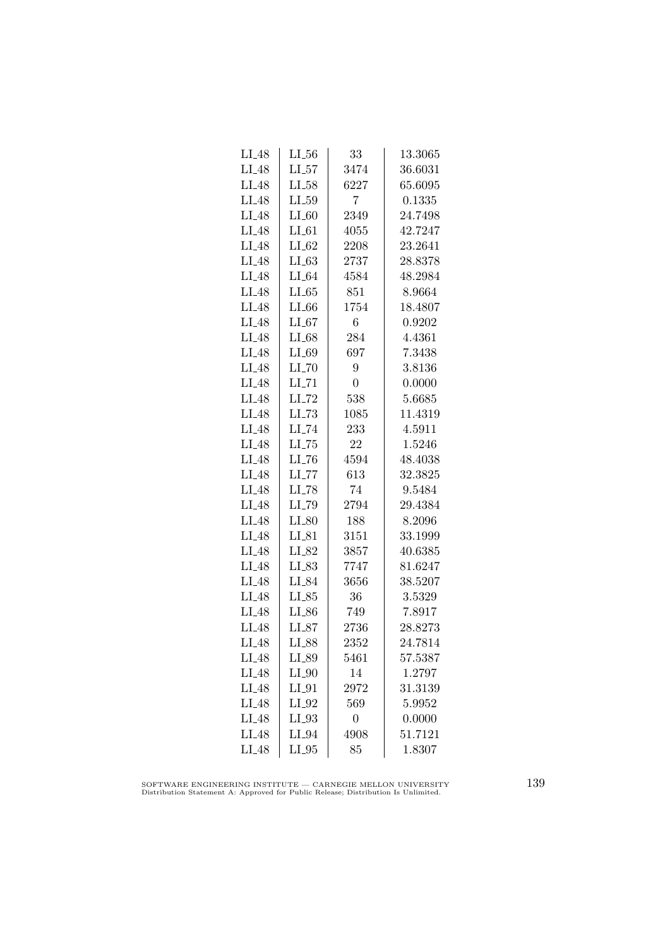| $LI_48$           | $LL_{.56}$          | 33               | 13.3065 |
|-------------------|---------------------|------------------|---------|
| $LI_48$           | $LI_57$             | 3474             | 36.6031 |
| $LI_48$           | $LI_58$             | 6227             | 65.6095 |
| $LI_48$           | LL59                | 7                | 0.1335  |
| LI_48             | $LI_60$             | 2349             | 24.7498 |
| LI_48             | $LI_61$             | 4055             | 42.7247 |
| $LI_48$           | $LI_62$             | 2208             | 23.2641 |
| $LI_48$           | $LI_63$             | 2737             | 28.8378 |
| $LI_48$           | $LI_64$             | 4584             | 48.2984 |
| $LI_48$           | LL65                | 851              | 8.9664  |
| LI_48             | $LI_66$             | 1754             | 18.4807 |
| LI_48             | $LI_67$             | 6                | 0.9202  |
| $LI_48$           | $LI_68$             | 284              | 4.4361  |
| $LI_48$           | $LI_69$             | 697              | 7.3438  |
| $LI_48$           | $LI$ <sub>-70</sub> | 9                | 3.8136  |
| $LI_48$           | $LI$ <sub>-71</sub> | $\overline{0}$   | 0.0000  |
| LI <sub>-48</sub> | $LI$ <sub>-72</sub> | 538              | 5.6685  |
| $LI_48$           | $LL-73$             | 1085             | 11.4319 |
| $LI_48$           | LI_74               | 233              | 4.5911  |
| LI <sub>-48</sub> | $LL-75$             | 22               | 1.5246  |
| $LI_48$           | $LI$ <sub>-76</sub> | 4594             | 48.4038 |
| $LI_48$           | $LI$ <sub>-77</sub> | 613              | 32.3825 |
| $LI_48$           | LI <sub>-78</sub>   | 74               | 9.5484  |
| LI_48             | LI_79               | 2794             | 29.4384 |
| $LI_48$           | $LI_80$             | 188              | 8.2096  |
| $LI_48$           | $LI_81$             | 3151             | 33.1999 |
| $LI_48$           | LI_82               | 3857             | 40.6385 |
| $LI_48$           | LI_83               | 7747             | 81.6247 |
| $LI_48$           | LI_84               | 3656             | 38.5207 |
| $LI_48$           | LL25                | 36               | 3.5329  |
| LI_48             | $LI_86$             | 749              | 7.8917  |
| $LI_48$           | $LI_87$             | 2736             | 28.8273 |
| $LI_48$           | LI_88               | 2352             | 24.7814 |
| $LI_48$           | LI_89               | 5461             | 57.5387 |
| $LI_48$           | $LI_0$              | 14               | 1.2797  |
| $LI_48$           | $LI_01$             | 2972             | 31.3139 |
| $LI_48$           | $LI_02$             | 569              | 5.9952  |
| LI_48             | LI_93               | $\boldsymbol{0}$ | 0.0000  |
| LI_48             | $LI_04$             | 4908             | 51.7121 |
| $LI_48$           | $LI_05$             | 85               | 1.8307  |

SOFTWARE ENGINEERING INSTITUTE — CARNEGIE MELLON UNIVERSITY Distribution Statement A: Approved for Public Release; Distribution Is Unlimited.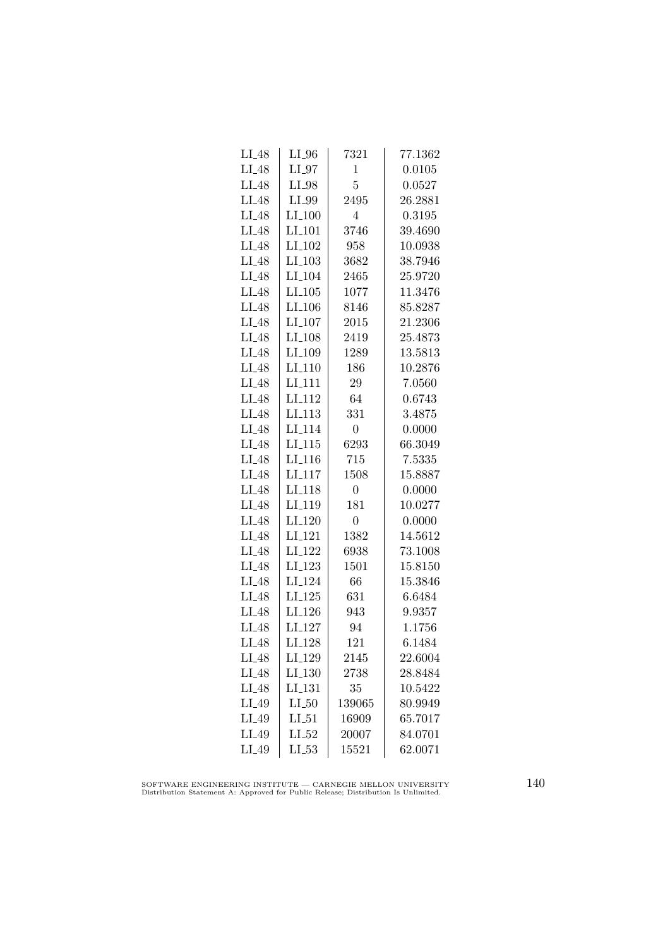| $LI_48$ | $LI_0$               | 7321           | 77.1362 |
|---------|----------------------|----------------|---------|
| $LI_48$ | $LI_97$              | $\mathbf{1}$   | 0.0105  |
| $LI_48$ | $LI_98$              | 5              | 0.0527  |
| $LI_48$ | $LI_99$              | 2495           | 26.2881 |
| LI_48   | LI.100               | 4              | 0.3195  |
| $LI_48$ | $LI_101$             | 3746           | 39.4690 |
| $LI_48$ | $LI_102$             | 958            | 10.0938 |
| $LI_48$ | $LI$ <sub>-103</sub> | 3682           | 38.7946 |
| $LI_48$ | $LI_104$             | 2465           | 25.9720 |
| $LI_48$ | $LI_105$             | 1077           | 11.3476 |
| LI_48   | LI <sub>-106</sub>   | 8146           | 85.8287 |
| LI_48   | $LI_107$             | 2015           | 21.2306 |
| $LI_48$ | LI <sub>-108</sub>   | 2419           | 25.4873 |
| $LI_48$ | LI <sub>-109</sub>   | 1289           | 13.5813 |
| $LI_48$ | $LI_110$             | 186            | 10.2876 |
| $LI_48$ | LI <sub>-111</sub>   | 29             | 7.0560  |
| $LI_48$ | LI <sub>-112</sub>   | 64             | 0.6743  |
| $LI_48$ | LL113                | 331            | 3.4875  |
| LI_48   | LI <sub>114</sub>    | $\overline{0}$ | 0.0000  |
| LI_48   | $LI_115$             | 6293           | 66.3049 |
| $LI_48$ | $LI_116$             | 715            | 7.5335  |
| $LI_48$ | $LI-117$             | 1508           | 15.8887 |
| $LI_48$ | LI <sub>-118</sub>   | $\overline{0}$ | 0.0000  |
| LI_48   | LI <sub>-119</sub>   | 181            | 10.0277 |
| $LI_48$ | LI <sub>-120</sub>   | $\overline{0}$ | 0.0000  |
| $LI_48$ | LI <sub>-121</sub>   | 1382           | 14.5612 |
| $LI_48$ | LI <sub>-122</sub>   | 6938           | 73.1008 |
| $LI_48$ | $LI_123$             | 1501           | 15.8150 |
| $LI_48$ | LI <sub>-124</sub>   | 66             | 15.3846 |
| $LI_48$ | $LI_125$             | 631            | 6.6484  |
| $LI_48$ | LI <sub>-126</sub>   | 943            | 9.9357  |
| $LI_48$ | LI <sub>-127</sub>   | 94             | 1.1756  |
| $LI_48$ | LI <sub>-128</sub>   | 121            | 6.1484  |
| $LI_48$ | LI <sub>-129</sub>   | 2145           | 22.6004 |
| $LI_48$ | LI <sub>-130</sub>   | 2738           | 28.8484 |
| $LI_48$ | LI <sub>-131</sub>   | 35             | 10.5422 |
| LI_49   | $LI_50$              | 139065         | 80.9949 |
| LI_49   | $LI_51$              | 16909          | 65.7017 |
| LI_49   | $LI_52$              | 20007          | 84.0701 |
| LI_49   | $LL_{.53}$           | 15521          | 62.0071 |
|         |                      |                |         |

SOFTWARE ENGINEERING INSTITUTE — CARNEGIE MELLON UNIVERSITY Distribution Statement A: Approved for Public Release; Distribution Is Unlimited.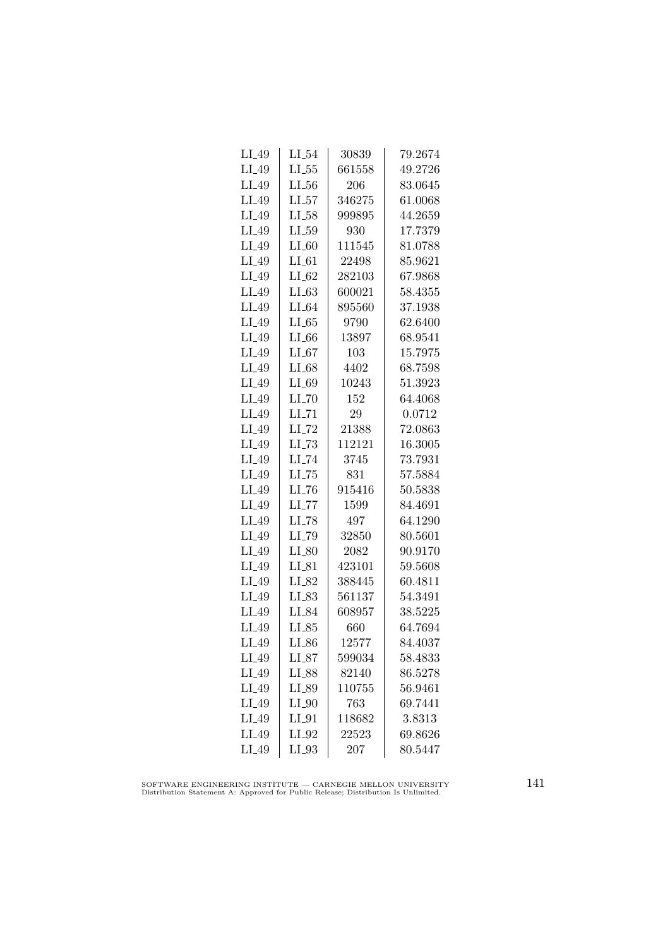| $LI_49$ | $LI_54$             | 30839  | 79.2674 |
|---------|---------------------|--------|---------|
| LI_49   | $LI_55$             | 661558 | 49.2726 |
| LI_49   | $LL_{.56}$          | 206    | 83.0645 |
| LI_49   | LL57                | 346275 | 61.0068 |
| $LI_49$ | $LI_58$             | 999895 | 44.2659 |
| LI_49   | $LL_{.59}$          | 930    | 17.7379 |
| $LI_49$ | $LI_60$             | 111545 | 81.0788 |
| $LI_49$ | $LI_61$             | 22498  | 85.9621 |
| $LI_49$ | $LI_62$             | 282103 | 67.9868 |
| $LI_49$ | LL63                | 600021 | 58.4355 |
| LI_49   | $LI_64$             | 895560 | 37.1938 |
| LI_49   | LL65                | 9790   | 62.6400 |
| LI_49   | $LI_66$             | 13897  | 68.9541 |
| $LI_49$ | $LI_67$             | 103    | 15.7975 |
| $LI_49$ | $LI_68$             | 4402   | 68.7598 |
| $LI_49$ | $LI_69$             | 10243  | 51.3923 |
| LI_49   | $LI$ <sub>-70</sub> | 152    | 64.4068 |
| LI_49   | $LI$ <sub>-71</sub> | 29     | 0.0712  |
| LI_49   | LI_72               | 21388  | 72.0863 |
| LI_49   | $LL-73$             | 112121 | 16.3005 |
| $LI_49$ | $LI_74$             | 3745   | 73.7931 |
| $LI_49$ | $LL-75$             | 831    | 57.5884 |
| $LI_49$ | $LL-76$             | 915416 | 50.5838 |
| LI_49   | LL77                | 1599   | 84.4691 |
| LI_49   | $LI$ <sub>-78</sub> | 497    | 64.1290 |
| LI_49   | LI_79               | 32850  | 80.5601 |
| $LI_49$ | $LI_80$             | 2082   | 90.9170 |
| $LI_49$ | $LI_81$             | 423101 | 59.5608 |
| $LI_49$ | $LI_82$             | 388445 | 60.4811 |
| $LI_49$ | $LI_83$             | 561137 | 54.3491 |
| LI_49   | LI_84               | 608957 | 38.5225 |
| LI_49   | $LI_85$             | 660    | 64.7694 |
| $LI_49$ | $LI_86$             | 12577  | 84.4037 |
| $LI_49$ | LL87                | 599034 | 58.4833 |
| $LI_49$ | LI_88               | 82140  | 86.5278 |
| LI_49   | $LI_89$             | 110755 | 56.9461 |
| LI_49   | $LI_0$              | 763    | 69.7441 |
| $LI_49$ | $LI_0$              | 118682 | 3.8313  |
| LI_49   | $LI_02$             | 22523  | 69.8626 |
| $LI_49$ | $LI_03$             | 207    | 80.5447 |

SOFTWARE ENGINEERING INSTITUTE — CARNEGIE MELLON UNIVERSITY Distribution Statement A: Approved for Public Release; Distribution Is Unlimited.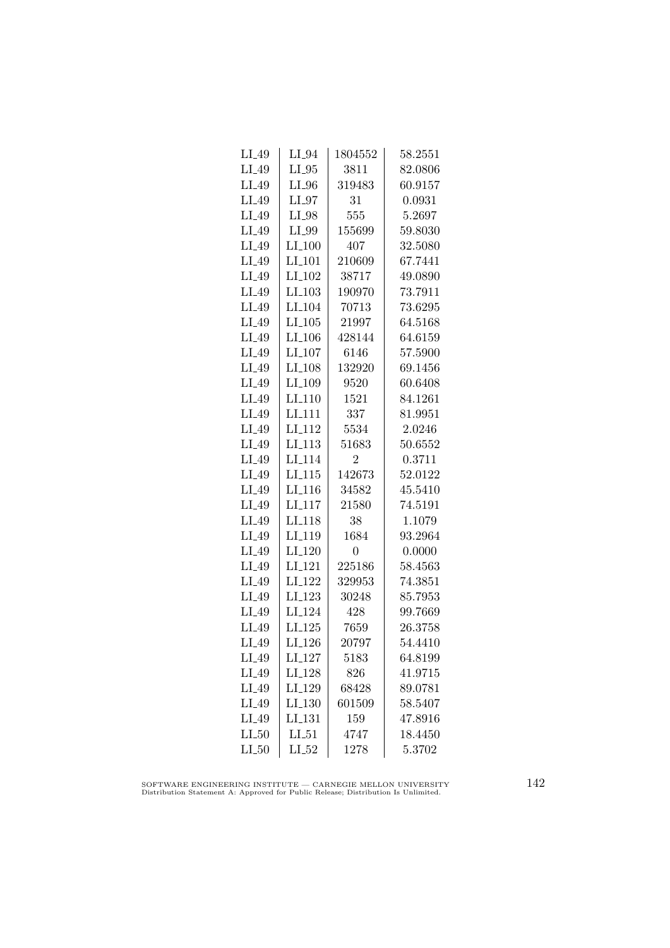| $LI_49$ | $LI_04$              | 1804552  | 58.2551 |
|---------|----------------------|----------|---------|
| $LI_49$ | $LI_05$              | 3811     | 82.0806 |
| LI_49   | $LI_0$               | 319483   | 60.9157 |
| LI_49   | $LI_97$              | 31       | 0.0931  |
| LI_49   | LI_98                | 555      | 5.2697  |
| $LI_49$ | LI_99                | 155699   | 59.8030 |
| $LI_49$ | $LI_100$             | 407      | 32.5080 |
| $LI_49$ | $LI_101$             | 210609   | 67.7441 |
| $LI_49$ | $LI_102$             | 38717    | 49.0890 |
| $LI_49$ | $LI$ <sub>-103</sub> | 190970   | 73.7911 |
| $LI_49$ | LI <sub>-104</sub>   | 70713    | 73.6295 |
| $LI_49$ | LI.105               | 21997    | 64.5168 |
| $LI_49$ | $LI_106$             | 428144   | 64.6159 |
| $LI_49$ | $LI_107$             | 6146     | 57.5900 |
| $LI_49$ | LI <sub>-108</sub>   | 132920   | 69.1456 |
| LI_49   | LI <sub>-109</sub>   | 9520     | 60.6408 |
| LI_49   | $LI_110$             | 1521     | 84.1261 |
| LI_49   | LI <sub>-111</sub>   | 337      | 81.9951 |
| LI_49   | LI <sub>112</sub>    | 5534     | 2.0246  |
| $LI_49$ | LI <sub>-113</sub>   | 51683    | 50.6552 |
| $LI_49$ | LI <sub>-114</sub>   | 2        | 0.3711  |
| $LI_49$ | $LI_115$             | 142673   | 52.0122 |
| $LI_49$ | LI <sub>-116</sub>   | 34582    | 45.5410 |
| $LI_49$ | LI <sub>-117</sub>   | 21580    | 74.5191 |
| $LI_49$ | LI <sub>118</sub>    | 38       | 1.1079  |
| LI_49   | LI <sub>-119</sub>   | 1684     | 93.2964 |
| $LI_49$ | LI <sub>-120</sub>   | 0        | 0.0000  |
| $LI_49$ | $LI_121$             | 225186   | 58.4563 |
| $LI_49$ | $LI_122$             | 329953   | 74.3851 |
| $LI_49$ | $LI-123$             | 30248    | 85.7953 |
| $LI_49$ | LI <sub>-124</sub>   | 428      | 99.7669 |
| $LI_49$ | $LI_125$             | 7659     | 26.3758 |
| $LI_49$ | LI <sub>-126</sub>   | 20797    | 54.4410 |
| $LI_49$ | LI <sub>-127</sub>   | $5183\,$ | 64.8199 |
| $LI_49$ | LI <sub>-128</sub>   | 826      | 41.9715 |
| $LI_49$ | LI <sub>-129</sub>   | 68428    | 89.0781 |
| $LI_49$ | LI.130               | 601509   | 58.5407 |
| LI_49   | LI <sub>-131</sub>   | 159      | 47.8916 |
| $LI_50$ | $LI_51$              | 4747     | 18.4450 |
| $LI_50$ | $LI_52$              | 1278     | 5.3702  |

SOFTWARE ENGINEERING INSTITUTE — CARNEGIE MELLON UNIVERSITY Distribution Statement A: Approved for Public Release; Distribution Is Unlimited.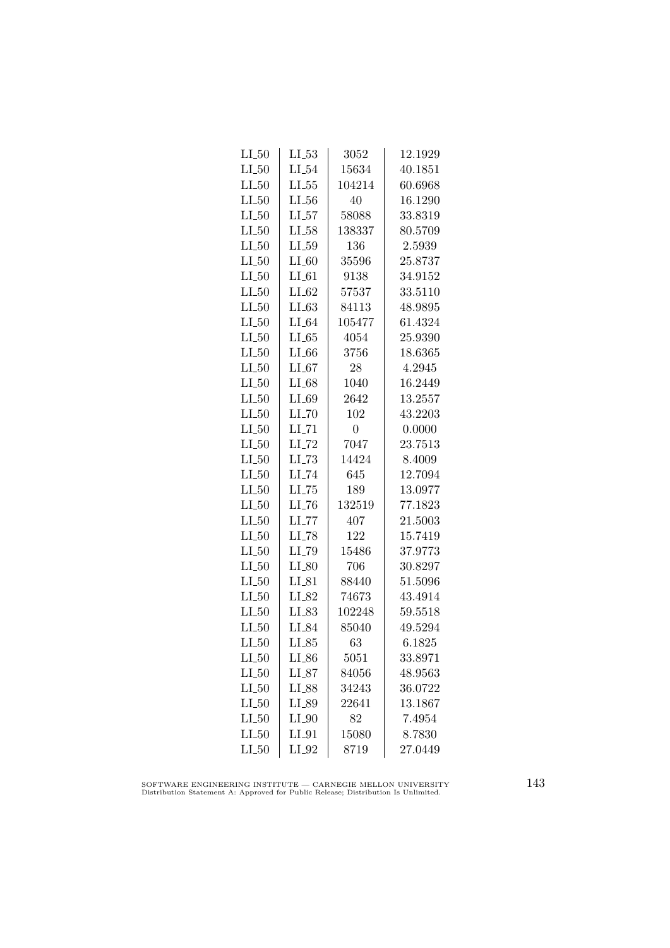| $LL_{.50}$ | $LL_{-53}$          | 3052           | 12.1929 |
|------------|---------------------|----------------|---------|
| $LI_50$    | $LI_54$             | 15634          | 40.1851 |
| $LI_50$    | $LL_{.55}$          | 104214         | 60.6968 |
| $LI_50$    | $LI_56$             | 40             | 16.1290 |
| $LI_50$    | $LI_57$             | 58088          | 33.8319 |
| $LI_50$    | $LI_58$             | 138337         | 80.5709 |
| $LI_50$    | $LI_59$             | 136            | 2.5939  |
| $LI_50$    | $LI_60$             | 35596          | 25.8737 |
| $LI_50$    | $LI_61$             | 9138           | 34.9152 |
| $LI_50$    | $LI_62$             | 57537          | 33.5110 |
| $LI_50$    | LL63                | 84113          | 48.9895 |
| $LI_50$    | $LI_64$             | 105477         | 61.4324 |
| $LI_50$    | $LI_65$             | 4054           | 25.9390 |
| $LI_50$    | $LI_66$             | 3756           | 18.6365 |
| $LI_50$    | $LI_67$             | 28             | 4.2945  |
| $LI_50$    | $LI_68$             | 1040           | 16.2449 |
| $LI_50$    | $LI_69$             | 2642           | 13.2557 |
| $LI_50$    | LL70                | 102            | 43.2203 |
| $LI_50$    | $LI$ <sub>-71</sub> | $\overline{0}$ | 0.0000  |
| $LI_50$    | $LI$ <sub>-72</sub> | 7047           | 23.7513 |
| $LI_50$    | $LI$ <sub>-73</sub> | 14424          | 8.4009  |
| $LI_50$    | LI <sub>-74</sub>   | 645            | 12.7094 |
| $LI_50$    | $LL-75$             | 189            | 13.0977 |
| $LI_50$    | LL76                | 132519         | 77.1823 |
| $LI_50$    | $LI$ <sub>-77</sub> | 407            | 21.5003 |
| $LI_50$    | LI_78               | 122            | 15.7419 |
| $LI_50$    | LI_79               | 15486          | 37.9773 |
| $LI_50$    | $LI_80$             | 706            | 30.8297 |
| $LI_50$    | $LI_81$             | 88440          | 51.5096 |
| $LI_50$    | LI_82               | 74673          | 43.4914 |
| $LI_50$    | LI_83               | 102248         | 59.5518 |
| $LI_50$    | LI_84               | 85040          | 49.5294 |
| $LI_50$    | $LI_85$             | 63             | 6.1825  |
| $LI_50$    | $LI_86$             | 5051           | 33.8971 |
| $LI_50$    | $LI_87$             | 84056          | 48.9563 |
| $LI_50$    | LI_88               | 34243          | 36.0722 |
| $LI_50$    | LI_89               | 22641          | 13.1867 |
| $LI_50$    | $LI_0$              | 82             | 7.4954  |
| $LI_50$    | LI_91               | 15080          | 8.7830  |
| $LI_50$    | $LI_02$             | 8719           | 27.0449 |

SOFTWARE ENGINEERING INSTITUTE — CARNEGIE MELLON UNIVERSITY Distribution Statement A: Approved for Public Release; Distribution Is Unlimited.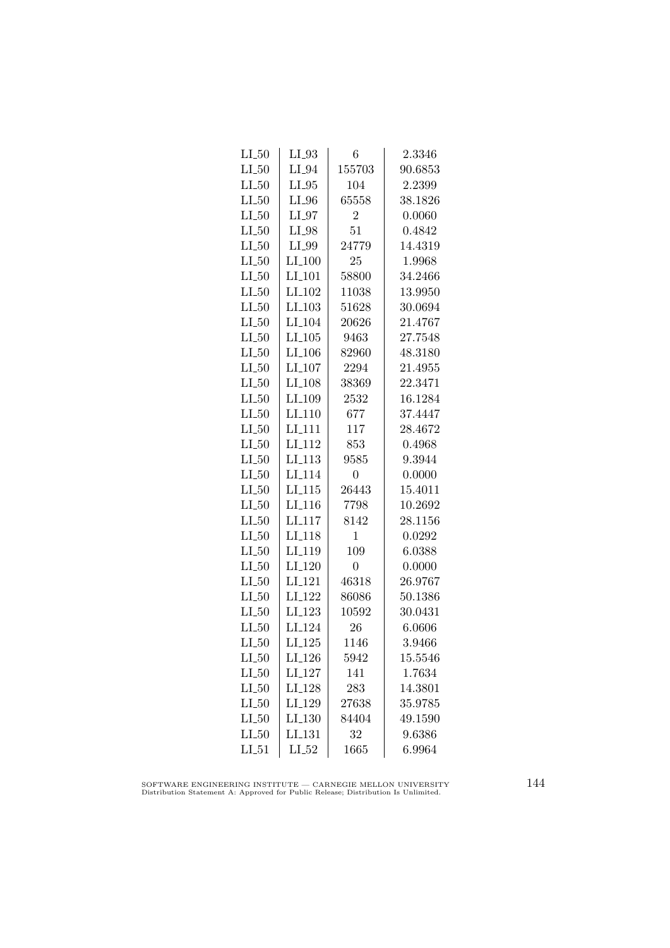| $LI_50$<br>$LI_50$ | LI_93<br>$LI_04$     | 6<br>155703    | $\phantom{-}2.3346$<br>90.6853 |
|--------------------|----------------------|----------------|--------------------------------|
|                    |                      |                |                                |
| $LI_50$            | $LI_05$              | 104            | 2.2399                         |
| $LI_50$            | $LI_0$               | 65558          | 38.1826                        |
| $LI_50$            | $LI_07$              | $\overline{2}$ | 0.0060                         |
| $LI_50$            | LI_98                | 51             | 0.4842                         |
| $LI_50$            | LI_99                | 24779          | 14.4319                        |
| $LI_50$            | $LI_100$             | 25             | 1.9968                         |
| $LI_50$            | $LI$ <sub>-101</sub> | 58800          | 34.2466                        |
| $LI_50$            | $LI$ <sub>-102</sub> | 11038          | 13.9950                        |
| $LI_50$            | LI <sub>-103</sub>   | 51628          | 30.0694                        |
| $LI_50$            | LI <sub>-104</sub>   | 20626          | 21.4767                        |
| $LI_50$            | $LI_105$             | 9463           | 27.7548                        |
| $LI_50$            | $LI_106$             | 82960          | 48.3180                        |
| $LI_50$            | $LI_107$             | 2294           | 21.4955                        |
| $LI_50$            | LI <sub>-108</sub>   | 38369          | 22.3471                        |
| $LI_50$            | LI <sub>-109</sub>   | 2532           | 16.1284                        |
| $LI_50$            | LI.110               | 677            | 37.4447                        |
| $LI_50$            | LI <sub>111</sub>    | 117            | 28.4672                        |
| $LI_50$            | $LI_112$             | 853            | 0.4968                         |
| $LI_50$            | $LI_113$             | 9585           | 9.3944                         |
| $LI_50$            | LI <sub>-114</sub>   | $\theta$       | 0.0000                         |
| $LI_50$            | $LI$ <sub>-115</sub> | 26443          | 15.4011                        |
| LL50               | LI <sub>-116</sub>   | 7798           | 10.2692                        |
| $LI_50$            | LI <sub>-117</sub>   | 8142           | 28.1156                        |
| $LI_50$            | LI <sub>-118</sub>   | 1              | 0.0292                         |
| $LI_50$            | LI <sub>-119</sub>   | 109            | 6.0388                         |
| $LI_50$            | $LI_120$             | $\overline{0}$ | 0.0000                         |
| $LI_50$            | $LI_121$             | 46318          | 26.9767                        |
| $LI_50$            | LI <sub>-122</sub>   | 86086          | 50.1386                        |
| $LI_50$            | LI <sub>-123</sub>   | 10592          | 30.0431                        |
| $LI_50$            | LI <sub>-124</sub>   | 26             | 6.0606                         |
| $LI_50$            | $LI_125$             | 1146           | 3.9466                         |
| $LI_50$            | LI <sub>-126</sub>   | 5942           | 15.5546                        |
| $LI_50$            | $LI_127$             | 141            | 1.7634                         |
| $LI_50$            | LI <sub>-128</sub>   | 283            | 14.3801                        |
| $LI_50$            | LI <sub>-129</sub>   | 27638          | 35.9785                        |
| $LI_50$            | LI <sub>-130</sub>   | 84404          | 49.1590                        |
| $LI_50$            | LI_131               | 32             | 9.6386                         |
| $LI_51$            | $LI_52$              | 1665           | 6.9964                         |

SOFTWARE ENGINEERING INSTITUTE — CARNEGIE MELLON UNIVERSITY Distribution Statement A: Approved for Public Release; Distribution Is Unlimited.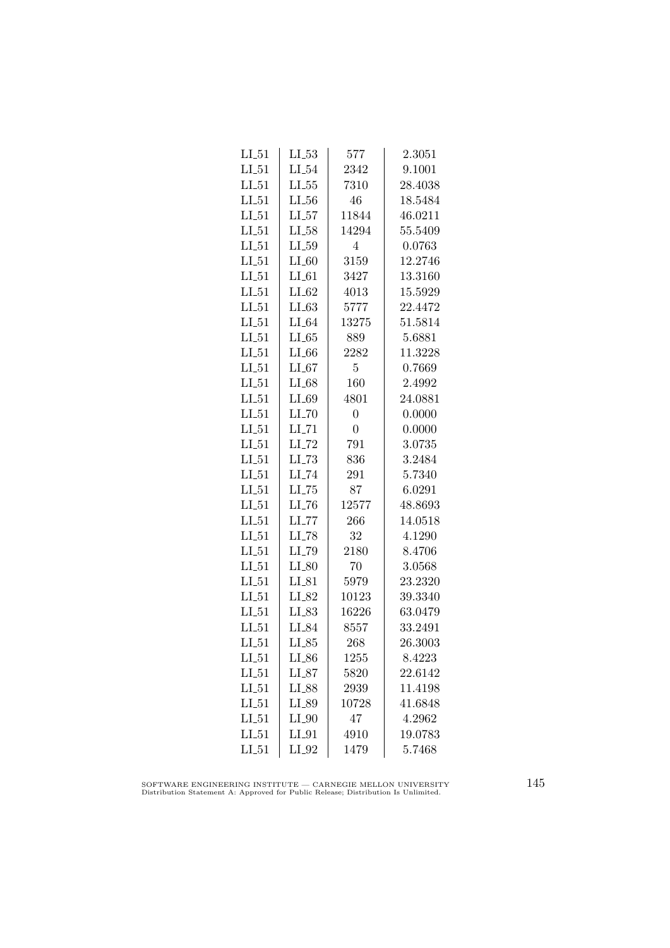| $LI_51$    | $LL_{53}$           | 577            | 2.3051  |
|------------|---------------------|----------------|---------|
| $LI_51$    | $LI_54$             | 2342           | 9.1001  |
| $LL_{-51}$ | $LL_{.55}$          | 7310           | 28.4038 |
| $LI_51$    | $LL_{.56}$          | 46             | 18.5484 |
| $LI_51$    | LL57                | 11844          | 46.0211 |
| $LI_51$    | $LI_58$             | 14294          | 55.5409 |
| $LI_51$    | $LI_59$             | 4              | 0.0763  |
| $LI_51$    | $LI_60$             | 3159           | 12.2746 |
| $LI_51$    | $LI_61$             | 3427           | 13.3160 |
| $LI_51$    | $LI_62$             | 4013           | 15.5929 |
| $LI_51$    | $LI_63$             | 5777           | 22.4472 |
| $LI_51$    | $LI_64$             | 13275          | 51.5814 |
| $LI_51$    | LL65                | 889            | 5.6881  |
| $LI_51$    | $LI_66$             | 2282           | 11.3228 |
| $LI_51$    | $LI_67$             | 5              | 0.7669  |
| $LI_51$    | $LI_68$             | 160            | 2.4992  |
| $LI_51$    | $LI_69$             | 4801           | 24.0881 |
| $LI_51$    | $LI$ <sub>-70</sub> | $\overline{0}$ | 0.0000  |
| $LI_51$    | $LI$ <sub>-71</sub> | $\overline{0}$ | 0.0000  |
| $LI_51$    | $LI$ <sub>-72</sub> | 791            | 3.0735  |
| $LI_51$    | $LI$ <sub>-73</sub> | 836            | 3.2484  |
| $LI_51$    | LI <sub>-74</sub>   | 291            | 5.7340  |
| $LI_51$    | $LL-75$             | 87             | 6.0291  |
| $LI_51$    | $LI$ <sub>-76</sub> | 12577          | 48.8693 |
| $LI_51$    | $LI$ <sub>-77</sub> | 266            | 14.0518 |
| $LL_{51}$  | LL78                | 32             | 4.1290  |
| $LI_51$    | LI_79               | 2180           | 8.4706  |
| $LI_51$    | $LI_80$             | 70             | 3.0568  |
| $LI_51$    | $LI_81$             | 5979           | 23.2320 |
| $LI_51$    | $LI_82$             | 10123          | 39.3340 |
| $LI_51$    | LI_83               | 16226          | 63.0479 |
| $LI_51$    | LI_84               | 8557           | 33.2491 |
| $LI_51$    | $LI_85$             | 268            | 26.3003 |
| LL51       | $LI_86$             | 1255           | 8.4223  |
| $LI_51$    | $LI_87$             | 5820           | 22.6142 |
| $LI_51$    | $LI_88$             | 2939           | 11.4198 |
| $LI_51$    | LI_89               | 10728          | 41.6848 |
| $LI_51$    | $LI_0$              | 47             | 4.2962  |
| $LI_51$    | $LI_01$             | 4910           | 19.0783 |
| $LI_51$    | $LI_02$             | 1479           | 5.7468  |

SOFTWARE ENGINEERING INSTITUTE — CARNEGIE MELLON UNIVERSITY Distribution Statement A: Approved for Public Release; Distribution Is Unlimited.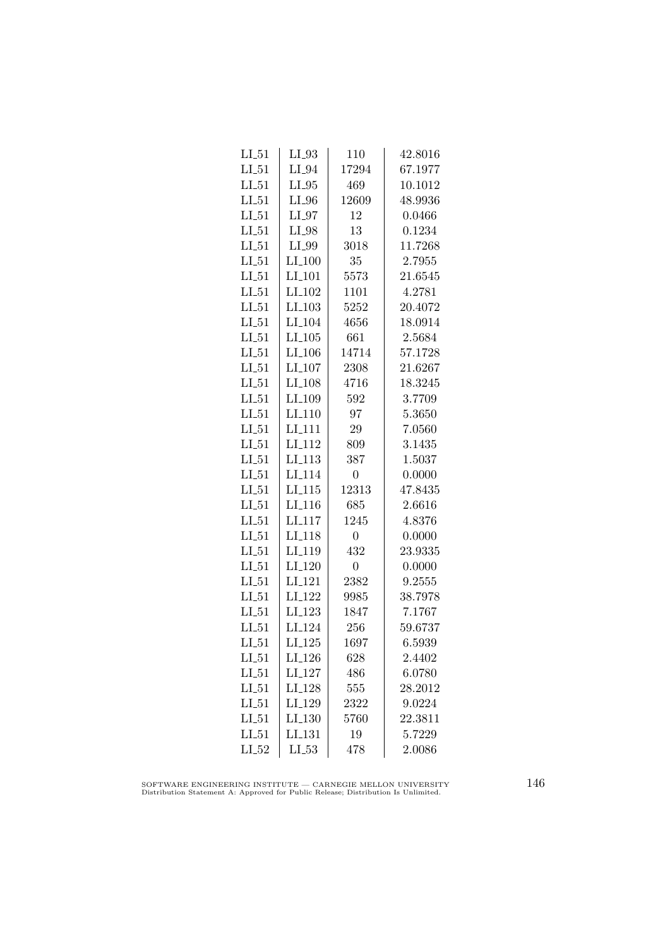| $LI_51$ | $LI_03$              | 110            | 42.8016 |
|---------|----------------------|----------------|---------|
| $LI_51$ | $LI_04$              | 17294          | 67.1977 |
| $LI_51$ | $LI_05$              | 469            | 10.1012 |
| $LI_51$ | $LI_0$               | 12609          | 48.9936 |
| $LI_51$ | $LI_97$              | 12             | 0.0466  |
| $LI_51$ | LI_98                | 13             | 0.1234  |
| $LI_51$ | LI_99                | 3018           | 11.7268 |
| $LI_51$ | $LI_100$             | 35             | 2.7955  |
| $LI_51$ | LI <sub>-101</sub>   | 5573           | 21.6545 |
| $LI_51$ | $LI_102$             | 1101           | 4.2781  |
| $LI_51$ | LI <sub>-103</sub>   | 5252           | 20.4072 |
| $LI_51$ | LI <sub>-104</sub>   | 4656           | 18.0914 |
| $LI_51$ | $LI_105$             | 661            | 2.5684  |
| $LI_51$ | $LI_106$             | 14714          | 57.1728 |
| $LI_51$ | $LI_107$             | 2308           | 21.6267 |
| $LI_51$ | LI <sub>-108</sub>   | 4716           | 18.3245 |
| $LI_51$ | LI_109               | 592            | 3.7709  |
| LL51    | LI <sub>-110</sub>   | 97             | 5.3650  |
| $LI_51$ | LI <sub>111</sub>    | 29             | 7.0560  |
| $LI_51$ | LI <sub>-112</sub>   | 809            | 3.1435  |
| $LI_51$ | $LI_113$             | 387            | 1.5037  |
| $LI_51$ | LI <sub>-114</sub>   | $\overline{0}$ | 0.0000  |
| $LI_51$ | $LI$ <sub>-115</sub> | 12313          | 47.8435 |
| $LI_51$ | LI <sub>-116</sub>   | 685            | 2.6616  |
| LL51    | LI <sub>117</sub>    | 1245           | 4.8376  |
| LL51    | LI <sub>118</sub>    | $\overline{0}$ | 0.0000  |
| $LI_51$ | LI <sub>-119</sub>   | 432            | 23.9335 |
| $LI_51$ | LI <sub>-120</sub>   | $\overline{0}$ | 0.0000  |
| $LI_51$ | LI <sub>-121</sub>   | 2382           | 9.2555  |
| $LI_51$ | LI <sub>-122</sub>   | 9985           | 38.7978 |
| $LI_51$ | LI <sub>-123</sub>   | 1847           | 7.1767  |
| $LI_51$ | LI <sub>-124</sub>   | 256            | 59.6737 |
| $LI_51$ | $LI_125$             | 1697           | 6.5939  |
| $LI_51$ | $LI_126$             | 628            | 2.4402  |
| $LI_51$ | LI <sub>-127</sub>   | 486            | 6.0780  |
| $LI_51$ | LI <sub>-128</sub>   | 555            | 28.2012 |
| $LI_51$ | LI <sub>-129</sub>   | 2322           | 9.0224  |
| LL51    | LI <sub>-130</sub>   | 5760           | 22.3811 |
| $LI_51$ | LI <sub>-131</sub>   | 19             | 5.7229  |
| $LI_52$ | $LL_{.53}$           | 478            | 2.0086  |

SOFTWARE ENGINEERING INSTITUTE — CARNEGIE MELLON UNIVERSITY Distribution Statement A: Approved for Public Release; Distribution Is Unlimited.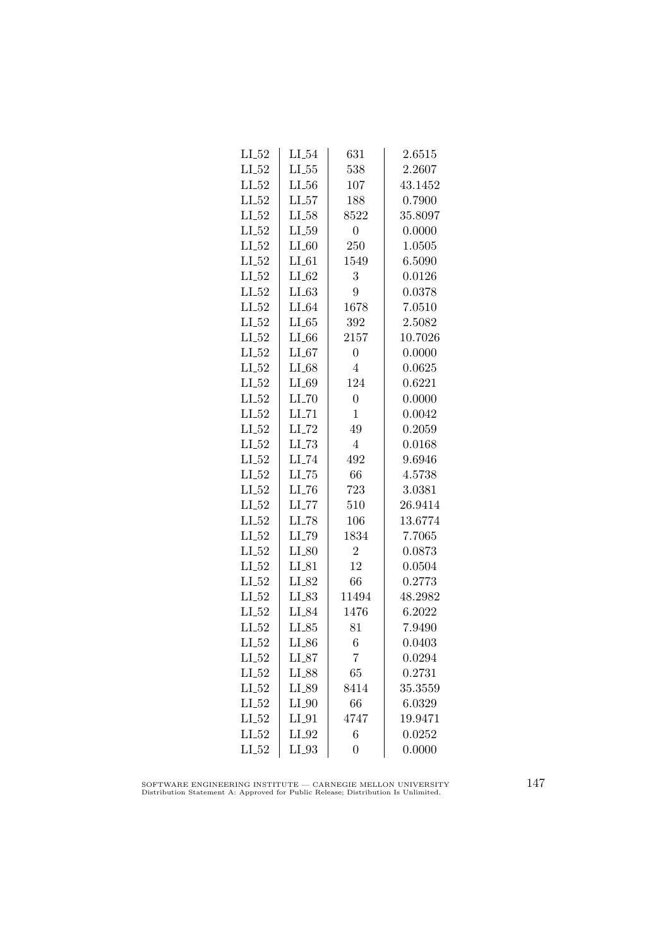| $\rm L L54$         | 631                 | 2.6515  |
|---------------------|---------------------|---------|
| $LI_55$             | 538                 | 2.2607  |
| $LI_56$             | 107                 | 43.1452 |
| LL57                | 188                 | 0.7900  |
| $LI_58$             | 8522                | 35.8097 |
| $LI_59$             | $\boldsymbol{0}$    | 0.0000  |
| $LI_60$             | 250                 | 1.0505  |
| $LI_61$             | 1549                | 6.5090  |
| $LI_62$             | 3                   | 0.0126  |
| LL63                | 9                   | 0.0378  |
| $LI_64$             | 1678                | 7.0510  |
| LL65                | 392                 | 2.5082  |
| $LI_66$             | 2157                | 10.7026 |
| $LI_67$             | $\boldsymbol{0}$    | 0.0000  |
| $LI_68$             | $\overline{4}$      | 0.0625  |
| LI_69               | 124                 | 0.6221  |
| $LI$ <sub>-70</sub> | $\overline{0}$      | 0.0000  |
| $LI$ <sub>-71</sub> | $\mathbf{1}$        | 0.0042  |
| $LI$ <sub>-72</sub> | 49                  | 0.2059  |
| $LI$ <sub>-73</sub> | $\overline{4}$      | 0.0168  |
| LI_74               | 492                 | 9.6946  |
| $LI$ <sub>-75</sub> | 66                  | 4.5738  |
| $LL-76$             | 723                 | 3.0381  |
| $LL$ <sub>77</sub>  | 510                 | 26.9414 |
| LI_78               | 106                 | 13.6774 |
|                     | 1834                | 7.7065  |
| $LI_80$             | $\overline{2}$      | 0.0873  |
| $LI_81$             | 12                  | 0.0504  |
| $LI_82$             | 66                  | 0.2773  |
| $LI_83$             | 11494               | 48.2982 |
| LI_84               | 1476                | 6.2022  |
| $LI_85$             | 81                  | 7.9490  |
| LI_86               | 6                   | 0.0403  |
| LI_87               | 7                   | 0.0294  |
| LI_88               | 65                  | 0.2731  |
| LI_89               | 8414                | 35.3559 |
| $LI_0$              | 66                  | 6.0329  |
| $LI_01$             | 4747                | 19.9471 |
| LI_92               | 6                   | 0.0252  |
| LI_93               | $\overline{0}$      | 0.0000  |
|                     | $LI$ <sub>-79</sub> |         |

SOFTWARE ENGINEERING INSTITUTE — CARNEGIE MELLON UNIVERSITY Distribution Statement A: Approved for Public Release; Distribution Is Unlimited.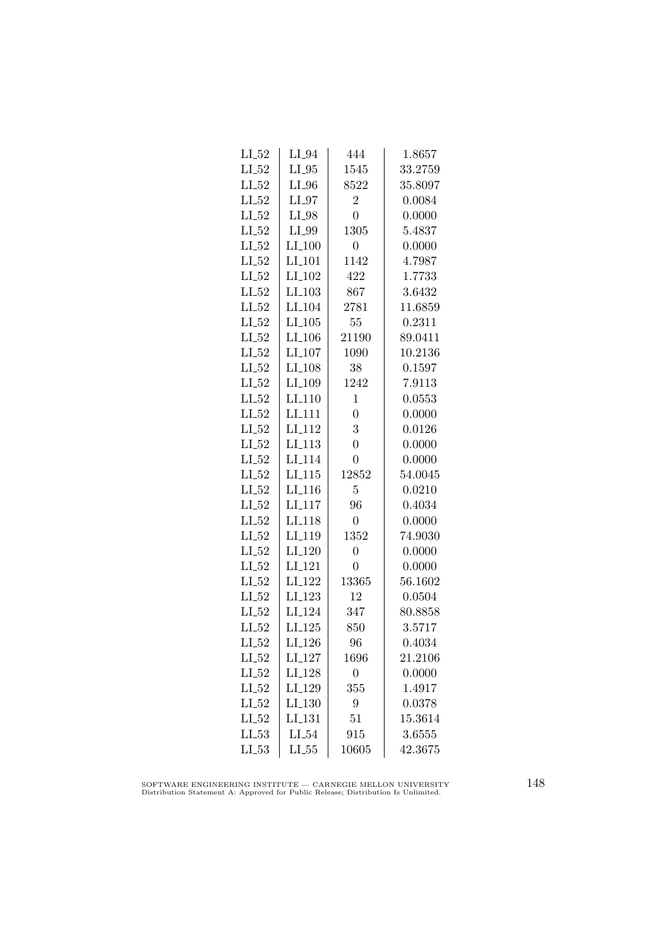| $LI_52$ | $LI_04$              | 444              | 1.8657  |
|---------|----------------------|------------------|---------|
| $LI_52$ | $LI_05$              | 1545             | 33.2759 |
| $LL-52$ | $LI_0$               | 8522             | 35.8097 |
| $LI_52$ | $LI_97$              | $\overline{2}$   | 0.0084  |
| $LI_52$ | LI_98                | $\overline{0}$   | 0.0000  |
| $LI_52$ | LI_99                | 1305             | 5.4837  |
| $LI_52$ | $LI_100$             | $\overline{0}$   | 0.0000  |
| $LI_52$ | $LI$ <sub>-101</sub> | 1142             | 4.7987  |
| $LI_52$ | $LI$ <sub>-102</sub> | 422              | 1.7733  |
| $LI_52$ | $LI$ <sub>-103</sub> | 867              | 3.6432  |
| $LI_52$ | LI <sub>-104</sub>   | 2781             | 11.6859 |
| $LI_52$ | LI.105               | 55               | 0.2311  |
| $LI_52$ | $LI_106$             | 21190            | 89.0411 |
| $LI_52$ | $LI_107$             | 1090             | 10.2136 |
| $LI_52$ | LI <sub>-108</sub>   | 38               | 0.1597  |
| $LI_52$ | LI <sub>-109</sub>   | 1242             | 7.9113  |
| $LI_52$ | $LI_110$             | $\mathbf{1}$     | 0.0553  |
| $LI_52$ | LI <sub>111</sub>    | $\overline{0}$   | 0.0000  |
| $LI_52$ | LI <sub>-112</sub>   | 3                | 0.0126  |
| $LI_52$ | $LI_113$             | $\overline{0}$   | 0.0000  |
| $LI_52$ | LI <sub>-114</sub>   | $\overline{0}$   | 0.0000  |
| $LI_52$ | LI.115               | 12852            | 54.0045 |
| $LI_52$ | $LI$ <sub>-116</sub> | $\overline{5}$   | 0.0210  |
| $LI_52$ | LI <sub>-117</sub>   | 96               | 0.4034  |
| $LI_52$ | LI <sub>118</sub>    | $\boldsymbol{0}$ | 0.0000  |
| $LI_52$ | LI <sub>-119</sub>   | 1352             | 74.9030 |
| $LI_52$ | LI <sub>-120</sub>   | $\overline{0}$   | 0.0000  |
| $LI_52$ | $LI_121$             | $\overline{0}$   | 0.0000  |
| $LI_52$ | LI <sub>-122</sub>   | 13365            | 56.1602 |
| $LI_52$ | $LI_123$             | 12               | 0.0504  |
| $LI_52$ | LI <sub>-124</sub>   | 347              | 80.8858 |
| $LI_52$ | $LI_125$             | 850              | 3.5717  |
| $LI_52$ | LI <sub>-126</sub>   | 96               | 0.4034  |
| $LI_52$ | $LI_127$             | 1696             | 21.2106 |
| $LI_52$ | LI_128               | $\overline{0}$   | 0.0000  |
| $LI_52$ | LI <sub>-129</sub>   | 355              | 1.4917  |
| $LI_52$ | LI.130               | 9                | 0.0378  |
| $LI_52$ | LI <sub>-131</sub>   | 51               | 15.3614 |
| LL53    | LL54                 | 915              | 3.6555  |
| $LI_53$ | $LL_{.55}$           | 10605            | 42.3675 |

SOFTWARE ENGINEERING INSTITUTE — CARNEGIE MELLON UNIVERSITY Distribution Statement A: Approved for Public Release; Distribution Is Unlimited.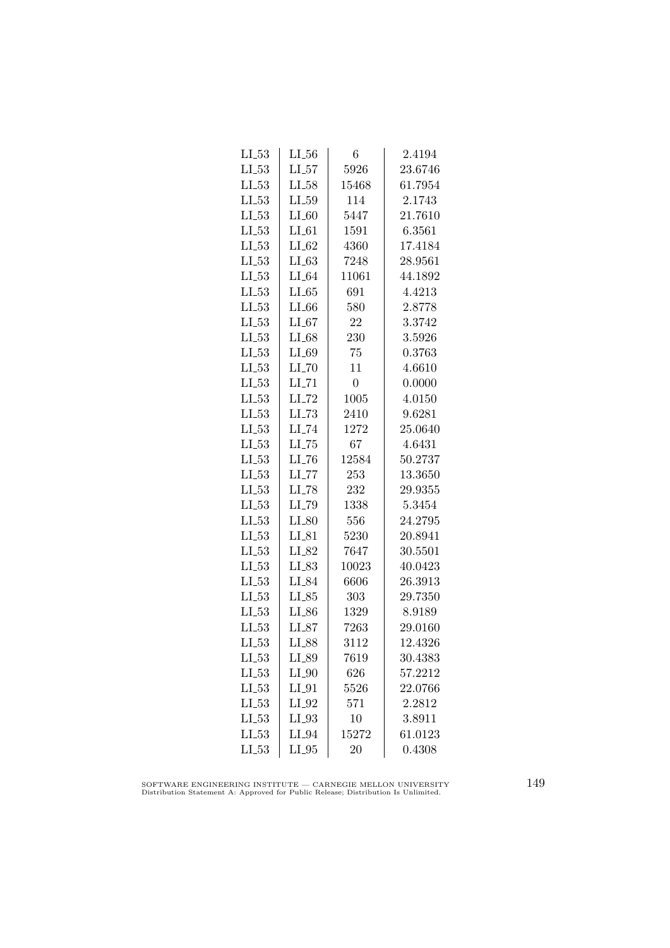| $LI_53$    | $LI_56$             | 6              | 2.4194  |
|------------|---------------------|----------------|---------|
| $LI_53$    | $LI_57$             | 5926           | 23.6746 |
| $LL_{.53}$ | $LI_58$             | 15468          | 61.7954 |
| $LL_{53}$  | $LL_{.59}$          | 114            | 2.1743  |
| $LL_{53}$  | $LI_60$             | 5447           | 21.7610 |
| $LL_{.53}$ | $LI_61$             | 1591           | 6.3561  |
| $LI_53$    | $LI_62$             | 4360           | 17.4184 |
| $LL-53$    | $LI_63$             | 7248           | 28.9561 |
| $LL-53$    | $LI_04$             | 11061          | 44.1892 |
| $LL_{-53}$ | LL65                | 691            | 4.4213  |
| $LL_{53}$  | $LI_66$             | 580            | 2.8778  |
| LL53       | $LI_67$             | 22             | 3.3742  |
| $LL_{.53}$ | $LI_68$             | 230            | 3.5926  |
| $LL_{.53}$ | $LI_69$             | 75             | 0.3763  |
| $LL-53$    | $LI$ <sub>-70</sub> | 11             | 4.6610  |
| $LL-53$    | $LI$ <sub>-71</sub> | $\overline{0}$ | 0.0000  |
| $LL_{53}$  | $LI$ <sub>-72</sub> | 1005           | 4.0150  |
| $LL_{.53}$ | $LI$ <sub>-73</sub> | 2410           | 9.6281  |
| $LL_{-53}$ | LI_74               | 1272           | 25.0640 |
| $LL_{.53}$ | $LL-75$             | 67             | 4.6431  |
| $LL_{.53}$ | $LI$ <sub>-76</sub> | 12584          | 50.2737 |
| $LL-53$    | $LI$ <sub>-77</sub> | 253            | 13.3650 |
| $LL-53$    | LI <sub>-78</sub>   | 232            | 29.9355 |
| $LL_{53}$  | LI_79               | 1338           | 5.3454  |
| $LI_53$    | $LI_80$             | 556            | 24.2795 |
| $LL_{53}$  | $LI_81$             | 5230           | 20.8941 |
| $LL_{.53}$ | LI_82               | 7647           | 30.5501 |
| $LL_{.53}$ | $LI_83$             | 10023          | 40.0423 |
| $LL_{-53}$ | LI_84               | 6606           | 26.3913 |
| $LL_{53}$  | $LI_85$             | 303            | 29.7350 |
| LL53       | LI_86               | 1329           | 8.9189  |
| $LL_{.53}$ | $LI_87$             | 7263           | 29.0160 |
| $LL_{.53}$ | LI_88               | 3112           | 12.4326 |
| $LI_53$    | LI_89               | 7619           | 30.4383 |
| $LI_53$    | $LI_0$              | 626            | 57.2212 |
| $LL-53$    | $LI_01$             | 5526           | 22.0766 |
| $LI_53$    | $LI_02$             | 571            | 2.2812  |
| $LL_{.53}$ | $LI_93$             | 10             | 3.8911  |
| LL53       | $LI_04$             | 15272          | 61.0123 |
| $LI_53$    | $LI_05$             | 20             | 0.4308  |

SOFTWARE ENGINEERING INSTITUTE — CARNEGIE MELLON UNIVERSITY Distribution Statement A: Approved for Public Release; Distribution Is Unlimited.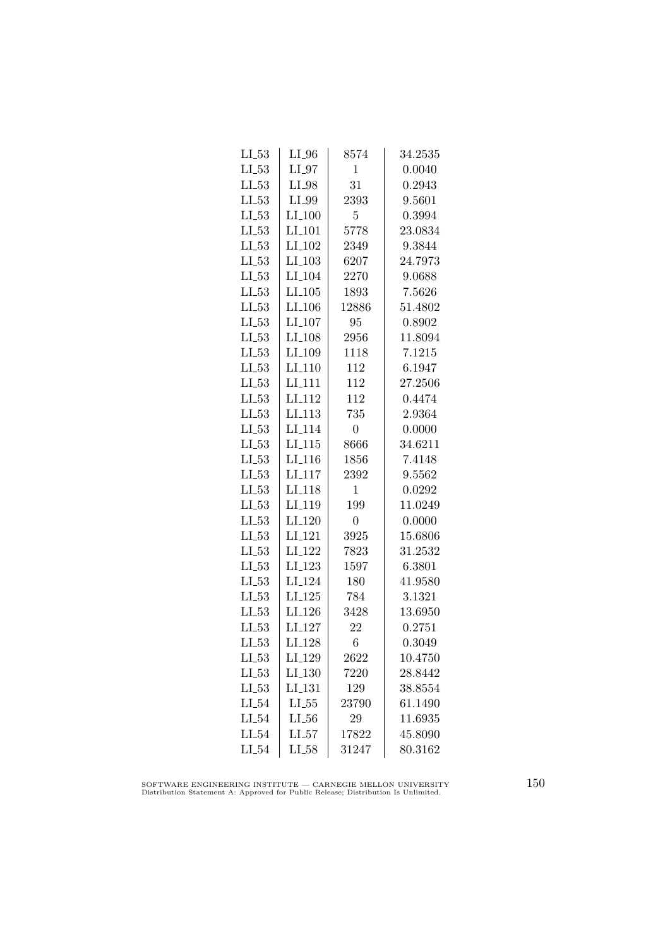| $LL_{.53}$ | $LI_0$               | 8574           | 34.2535 |
|------------|----------------------|----------------|---------|
| $LL_{-53}$ | $LI_07$              | $\mathbf{1}$   | 0.0040  |
| $LL_{-53}$ | $LI_98$              | 31             | 0.2943  |
| $LL_{53}$  | LI_99                | 2393           | 9.5601  |
| $LL_{53}$  | LI.100               | $\overline{5}$ | 0.3994  |
| $LL_{.53}$ | LI <sub>-101</sub>   | 5778           | 23.0834 |
| $LL_{.53}$ | $LI_102$             | 2349           | 9.3844  |
| $LL_{-53}$ | $LI$ <sub>-103</sub> | 6207           | 24.7973 |
| $LL_{53}$  | $LI_104$             | 2270           | 9.0688  |
| $LL_{53}$  | $LI$ <sub>-105</sub> | 1893           | 7.5626  |
| $LL_{.53}$ | LI <sub>-106</sub>   | 12886          | 51.4802 |
| $LL_{.53}$ | LI <sub>-107</sub>   | 95             | 0.8902  |
| $LL_{.53}$ | LI <sub>-108</sub>   | 2956           | 11.8094 |
| $LL_{.53}$ | LI <sub>-109</sub>   | 1118           | 7.1215  |
| $LL_{-53}$ | $LI_110$             | 112            | 6.1947  |
| $LL-53$    | LI <sub>-111</sub>   | 112            | 27.2506 |
| $LL_{53}$  | LI <sub>-112</sub>   | 112            | 0.4474  |
| $LL_{.53}$ | LI <sub>-113</sub>   | 735            | 2.9364  |
| $LL_{.53}$ | LI <sub>114</sub>    | $\overline{0}$ | 0.0000  |
| $LL_{-53}$ | $LI_115$             | 8666           | 34.6211 |
| $LL_{.53}$ | $LI_116$             | 1856           | 7.4148  |
| $LL_{-53}$ | $LI$ <sub>-117</sub> | 2392           | 9.5562  |
| $LL-53$    | LI <sub>-118</sub>   | 1              | 0.0292  |
| $LL_{53}$  | LI <sub>-119</sub>   | 199            | 11.0249 |
| $LL_{.53}$ | $LI_120$             | $\overline{0}$ | 0.0000  |
| $LL_{.53}$ | LI <sub>-121</sub>   | 3925           | 15.6806 |
| $LL_{-53}$ | LI <sub>-122</sub>   | 7823           | 31.2532 |
| $LL_{.53}$ | LI <sub>-123</sub>   | 1597           | 6.3801  |
| $LL_{.53}$ | LI <sub>-124</sub>   | 180            | 41.9580 |
| $LL_{53}$  | LL125                | 784            | 3.1321  |
| $LL_{.53}$ | LI <sub>-126</sub>   | 3428           | 13.6950 |
| $LL_{.53}$ | LI <sub>-127</sub>   | 22             | 0.2751  |
| $LL_{.53}$ | LI <sub>-128</sub>   | 6              | 0.3049  |
| $LL_{.53}$ | LI_129               | 2622           | 10.4750 |
| $LI_53$    | LI <sub>-130</sub>   | 7220           | 28.8442 |
| $LL-53$    | $LI$ <sub>-131</sub> | 129            | 38.8554 |
| $LI_54$    | $LL_{.55}$           | 23790          | 61.1490 |
| $LI_0.54$  | $LL_{.56}$           | 29             | 11.6935 |
| $LI_54$    | $LI_57$              | 17822          | 45.8090 |
| $LI_54$    | $LI_58$              | 31247          | 80.3162 |

SOFTWARE ENGINEERING INSTITUTE — CARNEGIE MELLON UNIVERSITY Distribution Statement A: Approved for Public Release; Distribution Is Unlimited.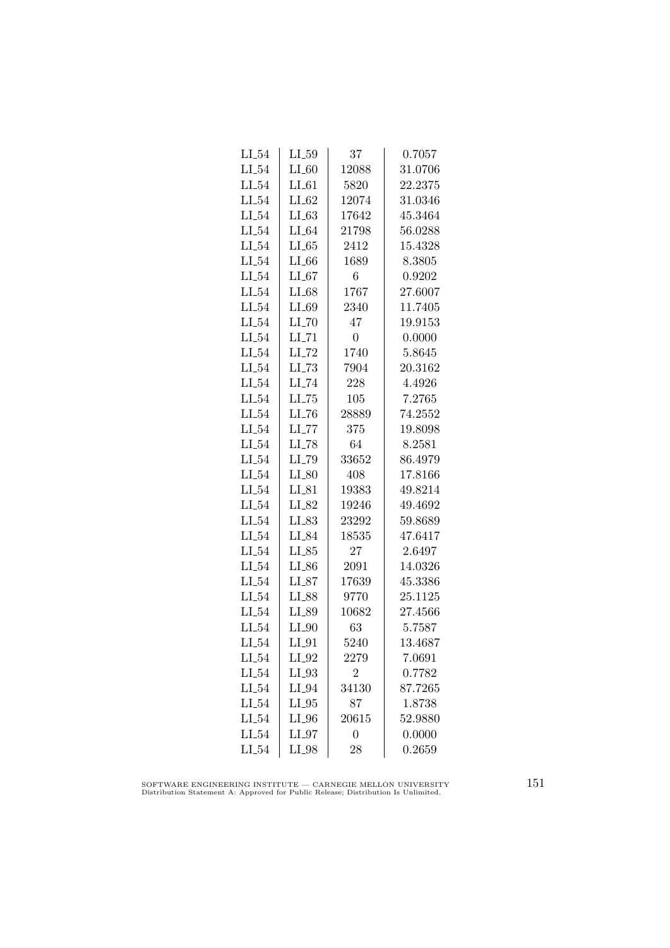| $LI_54$   | $LI_59$             | 37             | 0.7057  |
|-----------|---------------------|----------------|---------|
| $LI_54$   | $LI_60$             | 12088          | 31.0706 |
| $LI_54$   | $LI_61$             | 5820           | 22.2375 |
| $LI_54$   | $LI_62$             | 12074          | 31.0346 |
| $LI_54$   | LL63                | 17642          | 45.3464 |
| $LI_54$   | $LI_64$             | 21798          | 56.0288 |
| $LI_54$   | LL 65               | 2412           | 15.4328 |
| $LI_54$   | $LI_66$             | 1689           | 8.3805  |
| $LI_54$   | $LI_67$             | 6              | 0.9202  |
| $LI_54$   | $LI_68$             | 1767           | 27.6007 |
| $LI_54$   | $LI_69$             | 2340           | 11.7405 |
| $LI_54$   | $LI$ <sub>-70</sub> | 47             | 19.9153 |
| $LI_54$   | $LI$ <sub>-71</sub> | $\overline{0}$ | 0.0000  |
| $LI_54$   | $LI$ <sub>-72</sub> | 1740           | 5.8645  |
| $LI_54$   | $LL-73$             | 7904           | 20.3162 |
| $LI_54$   | LI_74               | 228            | 4.4926  |
| $LI_54$   | $LLI-75$            | 105            | 7.2765  |
| $LI_54$   | $LI$ <sub>-76</sub> | 28889          | 74.2552 |
| $LI_54$   | $LL$ <sub>-77</sub> | 375            | 19.8098 |
| $LI_54$   | $LI$ <sub>-78</sub> | 64             | 8.2581  |
| $LI_54$   | LI_79               | 33652          | 86.4979 |
| $LI_54$   | $LI_80$             | 408            | 17.8166 |
| $LI_54$   | $LI_{-}81$          | 19383          | 49.8214 |
| $LI_54$   | $LI_82$             | 19246          | 49.4692 |
| $LI_54$   | $LI_83$             | 23292          | 59.8689 |
| $LI_54$   | LI_84               | 18535          | 47.6417 |
| $LI_54$   | $LI_85$             | 27             | 2.6497  |
| $LI_54$   | $LI_86$             | 2091           | 14.0326 |
| $LI_54$   | $LI_87$             | 17639          | 45.3386 |
| $LI_54$   | LI_88               | 9770           | 25.1125 |
| $LI_0.54$ | LI_89               | 10682          | 27.4566 |
| $LI_54$   | $LI_0$              | 63             | 5.7587  |
| $LI_54$   | $LI_0$              | 5240           | 13.4687 |
| $LI_54$   | $LI_02$             | 2279           | 7.0691  |
| $LI_54$   | $LI_93$             | $\overline{2}$ | 0.7782  |
| $LI_54$   | $LI_04$             | 34130          | 87.7265 |
| $LI_54$   | $LI_05$             | 87             | 1.8738  |
| $LI_54$   | $LI_0$              | 20615          | 52.9880 |
| $LI_54$   | $LI_0$              | 0              | 0.0000  |
| $LI_54$   | LI_98               | 28             | 0.2659  |

SOFTWARE ENGINEERING INSTITUTE — CARNEGIE MELLON UNIVERSITY Distribution Statement A: Approved for Public Release; Distribution Is Unlimited.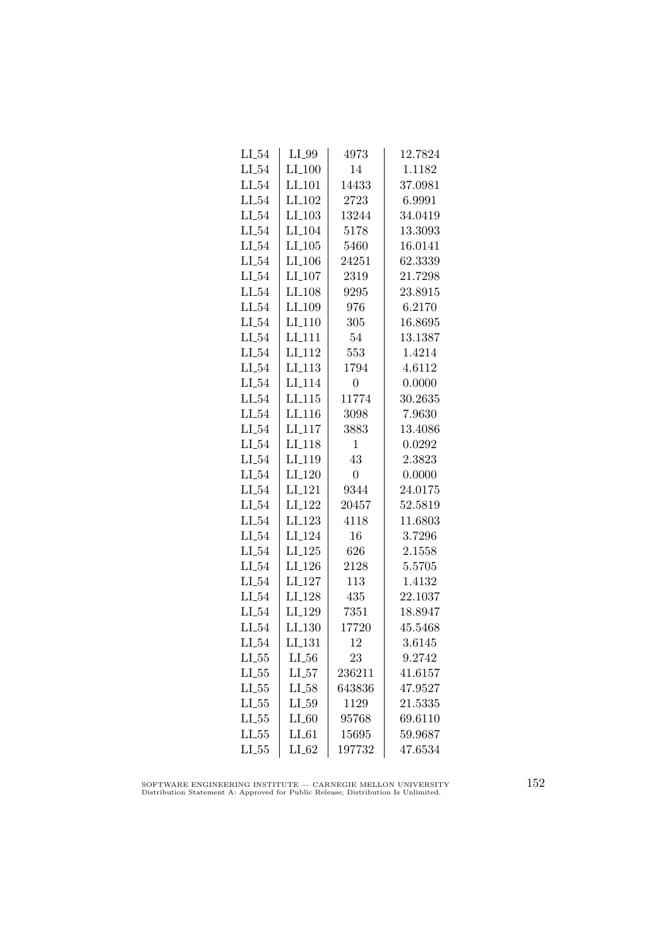| $LI_54$    | $LI_99$              | 4973           | 12.7824 |
|------------|----------------------|----------------|---------|
| $LI_54$    | $LI_100$             | 14             | 1.1182  |
| $LI_54$    | LI <sub>-101</sub>   | 14433          | 37.0981 |
| $LI_54$    | LI <sub>-102</sub>   | 2723           | 6.9991  |
| $LI_54$    | $LI_103$             | 13244          | 34.0419 |
| $LI_54$    | LI <sub>-104</sub>   | 5178           | 13.3093 |
| $LI_54$    | $LI_105$             | 5460           | 16.0141 |
| $LI_54$    | $LI_106$             | 24251          | 62.3339 |
| $LI_54$    | $LI_107$             | 2319           | 21.7298 |
| $LI_54$    | LI <sub>-108</sub>   | 9295           | 23.8915 |
| $LI_54$    | LI <sub>-109</sub>   | 976            | 6.2170  |
| LL54       | LI <sub>-110</sub>   | 305            | 16.8695 |
| $LI_54$    | LI <sub>-111</sub>   | 54             | 13.1387 |
| $LI_54$    | $LI$ <sub>-112</sub> | 553            | 1.4214  |
| $LI_54$    | LI.113               | 1794           | 4.6112  |
| $LI_54$    | LI <sub>-114</sub>   | $\overline{0}$ | 0.0000  |
| $LI_54$    | LI.115               | 11774          | 30.2635 |
| $LI_54$    | LI <sub>-116</sub>   | 3098           | 7.9630  |
| LL54       | LI <sub>117</sub>    | 3883           | 13.4086 |
| $LI_54$    | LI <sub>-118</sub>   | 1              | 0.0292  |
| $LI_54$    | LI <sub>-119</sub>   | 43             | 2.3823  |
| $LI_54$    | $LI_120$             | $\overline{0}$ | 0.0000  |
| $LI_54$    | LI <sub>-121</sub>   | 9344           | 24.0175 |
| $LI_54$    | LI <sub>-122</sub>   | 20457          | 52.5819 |
| $LI_54$    | LI <sub>-123</sub>   | 4118           | 11.6803 |
| $LI_54$    | LI <sub>-124</sub>   | 16             | 3.7296  |
| $LI_54$    | $LI_125$             | 626            | 2.1558  |
| $LI_54$    | $LI_126$             | 2128           | 5.5705  |
| $LI_54$    | $LI_127$             | 113            | 1.4132  |
| $LI_54$    | LI <sub>-128</sub>   | 435            | 22.1037 |
| $LI_54$    | LI <sub>-129</sub>   | 7351           | 18.8947 |
| $LI_54$    | LI <sub>-130</sub>   | 17720          | 45.5468 |
| $LI_54$    | LI <sub>-131</sub>   | 12             | 3.6145  |
| $LL_{.55}$ | $LL_{.56}$           | 23             | 9.2742  |
| $LL_{.55}$ | $LI_57$              | 236211         | 41.6157 |
| $LL-55$    | $LL-58$              | 643836         | 47.9527 |
| $LL_{.55}$ | $LI_59$              | 1129           | 21.5335 |
| $LL_{.55}$ | $LI_60$              | 95768          | 69.6110 |
| $LL_{.55}$ | $LI_61$              | 15695          | 59.9687 |
| $LL_{.55}$ | $LI_62$              | 197732         | 47.6534 |
|            |                      |                |         |

SOFTWARE ENGINEERING INSTITUTE — CARNEGIE MELLON UNIVERSITY Distribution Statement A: Approved for Public Release; Distribution Is Unlimited.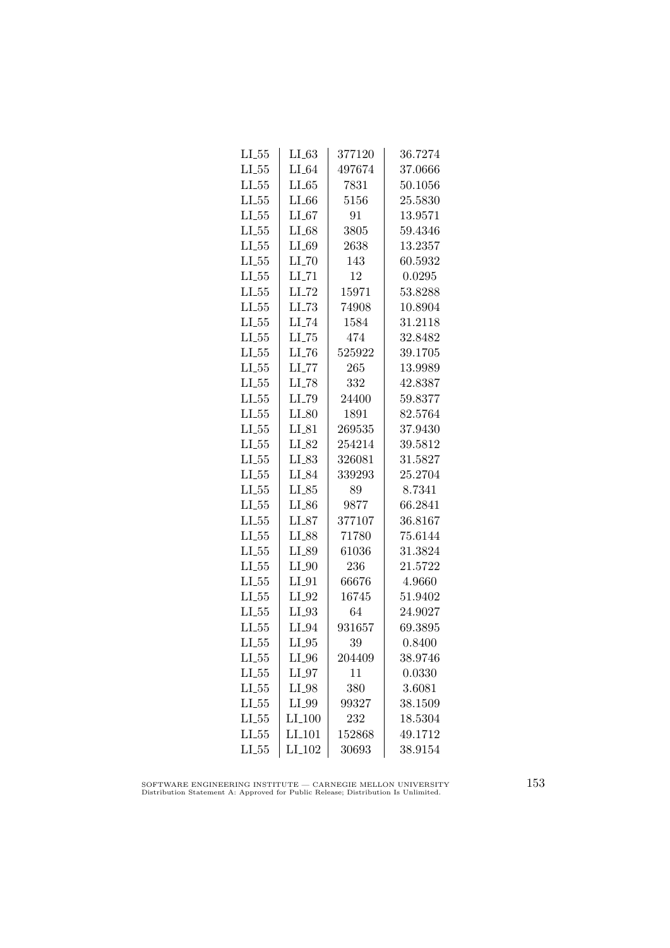| $LI_55$    | $LL_{63}$           | 377120 | 36.7274 |
|------------|---------------------|--------|---------|
| $LI_55$    | $LI_64$             | 497674 | 37.0666 |
| $LL_{.55}$ | LL65                | 7831   | 50.1056 |
| $LL_{.55}$ | LL66                | 5156   | 25.5830 |
| $LL_{.55}$ | LL67                | 91     | 13.9571 |
| $LL_{.55}$ | $LI_68$             | 3805   | 59.4346 |
| $LL_{.55}$ | $LI_69$             | 2638   | 13.2357 |
| $LL_{.55}$ | $LI$ <sub>-70</sub> | 143    | 60.5932 |
| $LL_{.55}$ | $LI$ <sub>-71</sub> | 12     | 0.0295  |
| $LL_{.55}$ | $LI$ <sub>-72</sub> | 15971  | 53.8288 |
| $LL_{.55}$ | $LL-73$             | 74908  | 10.8904 |
| $LL_{.55}$ | LI_74               | 1584   | 31.2118 |
| $LL_{.55}$ | $LL-75$             | 474    | 32.8482 |
| $LL_{.55}$ | $LI$ <sub>-76</sub> | 525922 | 39.1705 |
| $LI_55$    | $LI$ <sub>-77</sub> | 265    | 13.9989 |
| $LL_{.55}$ | $LI$ <sub>-78</sub> | 332    | 42.8387 |
| $LL_{.55}$ | LL79                | 24400  | 59.8377 |
| $LL_{.55}$ | $LI_80$             | 1891   | 82.5764 |
| $LL_{.55}$ | $LI_81$             | 269535 | 37.9430 |
| $LL_{.55}$ | LI_82               | 254214 | 39.5812 |
| $LI_55$    | $LI_83$             | 326081 | 31.5827 |
| $LL_{.55}$ | LI_84               | 339293 | 25.2704 |
| $LL_{.55}$ | $LI_85$             | 89     | 8.7341  |
| $LL_{.55}$ | $LI_86$             | 9877   | 66.2841 |
| $LL_{.55}$ | $LI_87$             | 377107 | 36.8167 |
| $LL_{.55}$ | LI_88               | 71780  | 75.6144 |
| $LL_{.55}$ | LI_89               | 61036  | 31.3824 |
| $LL_{.55}$ | $LI_0$              | 236    | 21.5722 |
| $LL_{.55}$ | $LI_01$             | 66676  | 4.9660  |
| $LL_{.55}$ | $LI_02$             | 16745  | 51.9402 |
| $LL_{.55}$ | $LI_93$             | 64     | 24.9027 |
| $LL_{.55}$ | $LI_04$             | 931657 | 69.3895 |
| $LL_{.55}$ | $LI_05$             | 39     | 0.8400  |
| $LL_{.55}$ | $LI_0$              | 204409 | 38.9746 |
| $LI_55$    | $LI_97$             | 11     | 0.0330  |
| $LL-55$    | $LI_98$             | 380    | 3.6081  |
| $LL_{.55}$ | LI_99               | 99327  | 38.1509 |
| $LL_{.55}$ | LI.100              | 232    | 18.5304 |
| $LL_{.55}$ | $LI$ <sub>101</sub> | 152868 | 49.1712 |
| $LL_{.55}$ | LI <sub>-102</sub>  | 30693  | 38.9154 |

SOFTWARE ENGINEERING INSTITUTE — CARNEGIE MELLON UNIVERSITY Distribution Statement A: Approved for Public Release; Distribution Is Unlimited.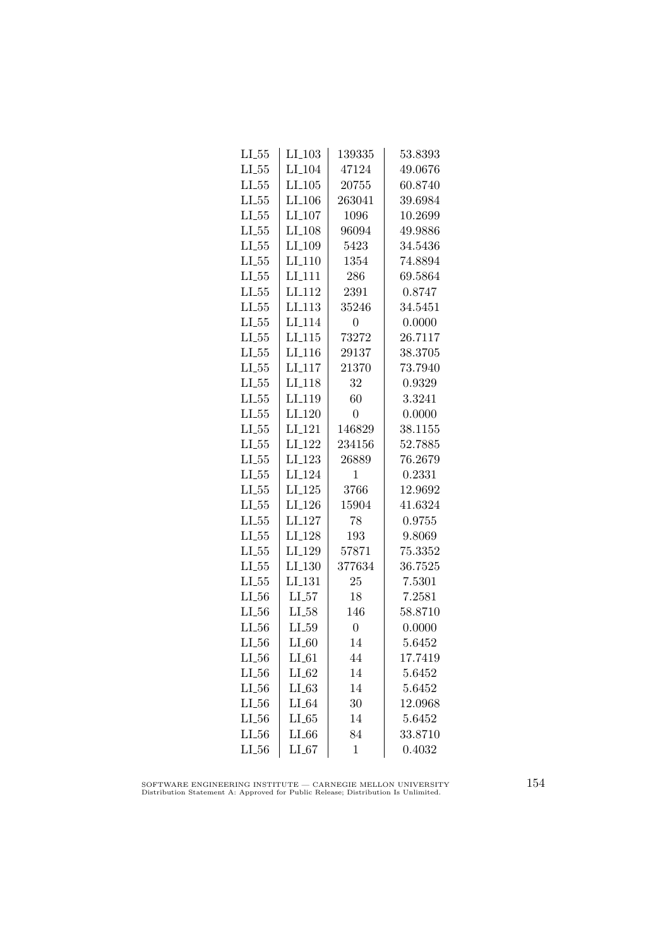| $LI_103$             | 139335         | 53.8393 |
|----------------------|----------------|---------|
| LI <sub>-104</sub>   | 47124          | 49.0676 |
| $LI$ <sub>-105</sub> | 20755          | 60.8740 |
| $LI$ <sub>-106</sub> | 263041         | 39.6984 |
| $LI_107$             | 1096           | 10.2699 |
| $LI-108$             | 96094          | 49.9886 |
| LI <sub>-109</sub>   | 5423           | 34.5436 |
| $LI_110$             | 1354           | 74.8894 |
| $LI$ <sub>-111</sub> | 286            | 69.5864 |
| LI <sub>-112</sub>   | 2391           | 0.8747  |
| LI <sub>-113</sub>   | 35246          | 34.5451 |
| LI <sub>-114</sub>   | 0              | 0.0000  |
| $LI_115$             | 73272          | 26.7117 |
| $LI$ <sub>-116</sub> | 29137          | 38.3705 |
| $LI_117$             | 21370          | 73.7940 |
| LI <sub>-118</sub>   | 32             | 0.9329  |
| LI <sub>-119</sub>   | 60             | 3.3241  |
| $LI_120$             | $\overline{0}$ | 0.0000  |
| LI <sub>-121</sub>   | 146829         | 38.1155 |
| LI <sub>-122</sub>   | 234156         | 52.7885 |
| LI <sub>-123</sub>   | 26889          | 76.2679 |
| LI <sub>-124</sub>   | 1              | 0.2331  |
| $LI-125$             | 3766           | 12.9692 |
| $LI-126$             | 15904          | 41.6324 |
| LI <sub>-127</sub>   | 78             | 0.9755  |
| LI <sub>-128</sub>   | 193            | 9.8069  |
| LI <sub>-129</sub>   | 57871          | 75.3352 |
| $LI_130$             | 377634         | 36.7525 |
| LI <sub>-131</sub>   | 25             | 7.5301  |
| $LL_{57}$            | 18             | 7.2581  |
| $LI_58$              | 146            | 58.8710 |
|                      |                |         |
| $LL_{.59}$           | $\overline{0}$ | 0.0000  |
| $LI_60$              | 14             | 5.6452  |
| $LI_61$              | 44             | 17.7419 |
| $LI_62$              | 14             | 5.6452  |
| $LI_63$              | 14             | 5.6452  |
| $LI_64$              | 30             | 12.0968 |
| LL65                 | 14             | 5.6452  |
| LL66                 | 84             | 33.8710 |
|                      |                |         |

SOFTWARE ENGINEERING INSTITUTE — CARNEGIE MELLON UNIVERSITY Distribution Statement A: Approved for Public Release; Distribution Is Unlimited.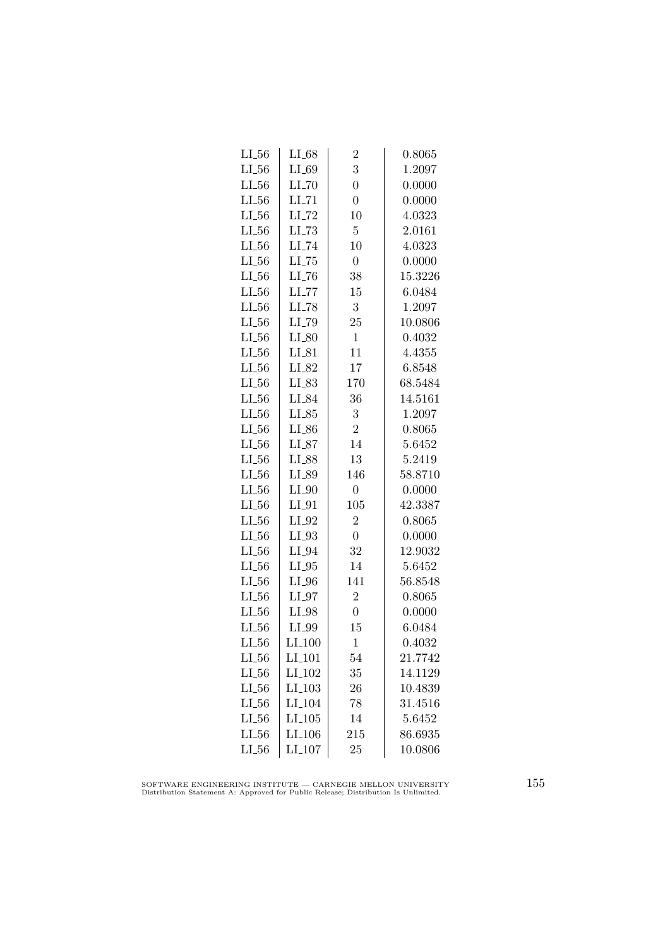| $LI_68$              | $\overline{2}$ | 0.8065  |
|----------------------|----------------|---------|
| $LI_69$              | 3              | 1.2097  |
| $LI$ <sub>-70</sub>  | $\overline{0}$ | 0.0000  |
| $LI$ <sub>-71</sub>  | $\overline{0}$ | 0.0000  |
| $LI$ <sub>-72</sub>  | 10             | 4.0323  |
| $LI$ <sub>-73</sub>  | $\overline{5}$ | 2.0161  |
| $LI$ <sub>-74</sub>  | 10             | 4.0323  |
| $LI$ <sub>-75</sub>  | $\overline{0}$ | 0.0000  |
| $LI$ <sub>-76</sub>  | 38             | 15.3226 |
| $LI$ <sub>-77</sub>  | 15             | 6.0484  |
| LI_78                | 3              | 1.2097  |
| LI_79                | 25             | 10.0806 |
| $LI_80$              | $\mathbf{1}$   | 0.4032  |
| $LI_81$              | 11             | 4.4355  |
| $LI_82$              | 17             | 6.8548  |
| $LI_83$              | 170            | 68.5484 |
| LI_84                | 36             | 14.5161 |
| $LI_85$              | 3              | 1.2097  |
| $LI_86$              | $\overline{2}$ | 0.8065  |
| $LI_87$              | 14             | 5.6452  |
| LI_88                | 13             | 5.2419  |
| $LI_89$              | 146            | 58.8710 |
| $LI_0$               | $\overline{0}$ | 0.0000  |
| $LI_01$              | 105            | 42.3387 |
| $LI_02$              | $\overline{2}$ | 0.8065  |
| $LI_93$              | $\overline{0}$ | 0.0000  |
| $LI_04$              | 32             | 12.9032 |
| $LI_05$              | 14             | 5.6452  |
| $LI_0$               | 141            | 56.8548 |
| $LI_07$              | $\overline{2}$ | 0.8065  |
| $LI_98$              | $\overline{0}$ | 0.0000  |
| LI_99                | 15             | 6.0484  |
| $LI_100$             | $\mathbf{1}$   | 0.4032  |
| $LI_101$             | 54             | 21.7742 |
| LI <sub>-102</sub>   | 35             | 14.1129 |
| $LI$ <sub>-103</sub> | 26             | 10.4839 |
| LI <sub>-104</sub>   | 78             | 31.4516 |
| $LI_105$             | 14             | 5.6452  |
| LI <sub>-106</sub>   | 215            | 86.6935 |
| $LI_107$             | 25             | 10.0806 |
|                      |                |         |

SOFTWARE ENGINEERING INSTITUTE — CARNEGIE MELLON UNIVERSITY Distribution Statement A: Approved for Public Release; Distribution Is Unlimited.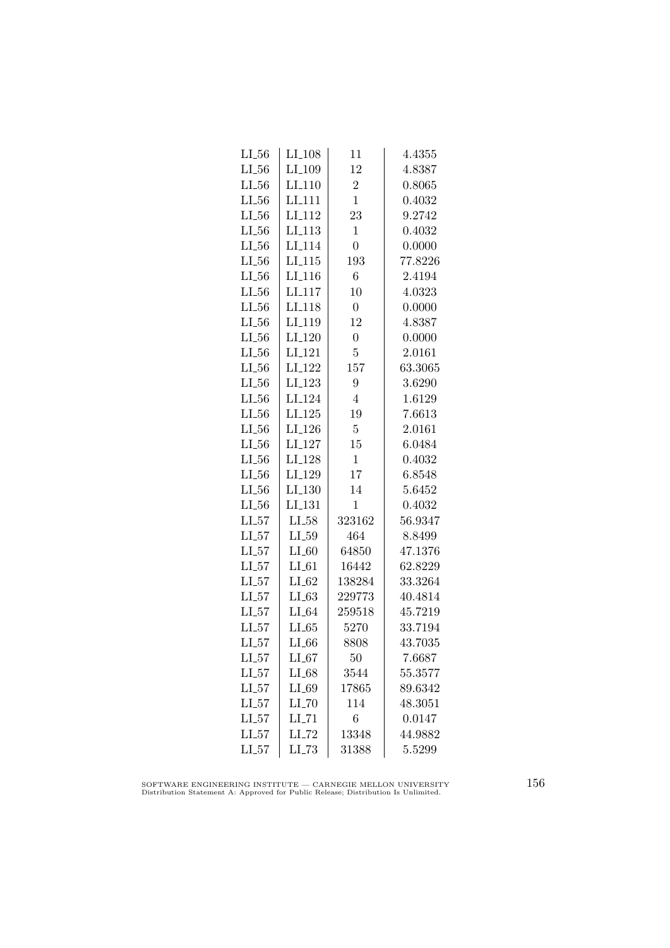| $LI_56$    | LI <sub>-108</sub>   | 11               | 4.4355  |
|------------|----------------------|------------------|---------|
| $LI_56$    | LI <sub>-109</sub>   | 12               | 4.8387  |
| $LI_56$    | $LI-110$             | $\overline{2}$   | 0.8065  |
| $LL_{.56}$ | LI <sub>111</sub>    | $\overline{1}$   | 0.4032  |
| LL56       | LI <sub>112</sub>    | 23               | 9.2742  |
| $LL_{.56}$ | $LI$ <sub>-113</sub> | $\mathbf{1}$     | 0.4032  |
| $LI_56$    | LI <sub>-114</sub>   | $\overline{0}$   | 0.0000  |
| $LL_{-56}$ | $LI$ <sub>-115</sub> | 193              | 77.8226 |
| $LL_{-56}$ | $LI_116$             | 6                | 2.4194  |
| $LI_56$    | LI <sub>-117</sub>   | 10               | 4.0323  |
| $LI_56$    | LI <sub>118</sub>    | $\boldsymbol{0}$ | 0.0000  |
| LL56       | LI <sub>119</sub>    | 12               | 4.8387  |
| $LL_{.56}$ | LI <sub>-120</sub>   | $\overline{0}$   | 0.0000  |
| $LI_56$    | $LI_121$             | $\overline{5}$   | 2.0161  |
| $LI_56$    | LI <sub>-122</sub>   | 157              | 63.3065 |
| $LL_{.56}$ | LI <sub>-123</sub>   | 9                | 3.6290  |
| LL56       | LI <sub>-124</sub>   | $\overline{4}$   | 1.6129  |
| $LI_56$    | LI <sub>-125</sub>   | 19               | 7.6613  |
| $LI_56$    | LI <sub>-126</sub>   | $\overline{5}$   | 2.0161  |
| $LL_{.56}$ | LI <sub>-127</sub>   | 15               | 6.0484  |
| $LL_{.56}$ | LI <sub>-128</sub>   | $\mathbf{1}$     | 0.4032  |
| $LL_{-56}$ | LI <sub>-129</sub>   | 17               | 6.8548  |
| $LI_56$    | LI <sub>-130</sub>   | 14               | 5.6452  |
| $LI_56$    | LI <sub>-131</sub>   | $\mathbf 1$      | 0.4032  |
| LL57       | $LI_58$              | 323162           | 56.9347 |
| $LI_57$    | $LL_{.59}$           | 464              | 8.8499  |
| $LI_57$    | $LI_60$              | 64850            | 47.1376 |
| $LI_57$    | $LI_61$              | 16442            | 62.8229 |
| $LI_57$    | $LI_62$              | 138284           | 33.3264 |
| $LI_57$    | $LI_63$              | 229773           | 40.4814 |
| $LI_57$    | $LI_64$              | 259518           | 45.7219 |
| $LI_57$    | $LI_65$              | 5270             | 33.7194 |
| $LI_57$    | $LI_66$              | 8808             | 43.7035 |
| $LI_57$    | $LI_67$              | 50               | 7.6687  |
| $LI_57$    | $LI_68$              | 3544             | 55.3577 |
| $LI_57$    | $LI_69$              | 17865            | 89.6342 |
| $LI_57$    | $LI$ <sub>-70</sub>  | 114              | 48.3051 |
| LL57       | $LI$ <sub>-71</sub>  | $\overline{6}$   | 0.0147  |
| $LI_57$    | LI_72                | 13348            | 44.9882 |
| $LI_57$    | LL73                 | 31388            | 5.5299  |
|            |                      |                  |         |

SOFTWARE ENGINEERING INSTITUTE — CARNEGIE MELLON UNIVERSITY Distribution Statement A: Approved for Public Release; Distribution Is Unlimited.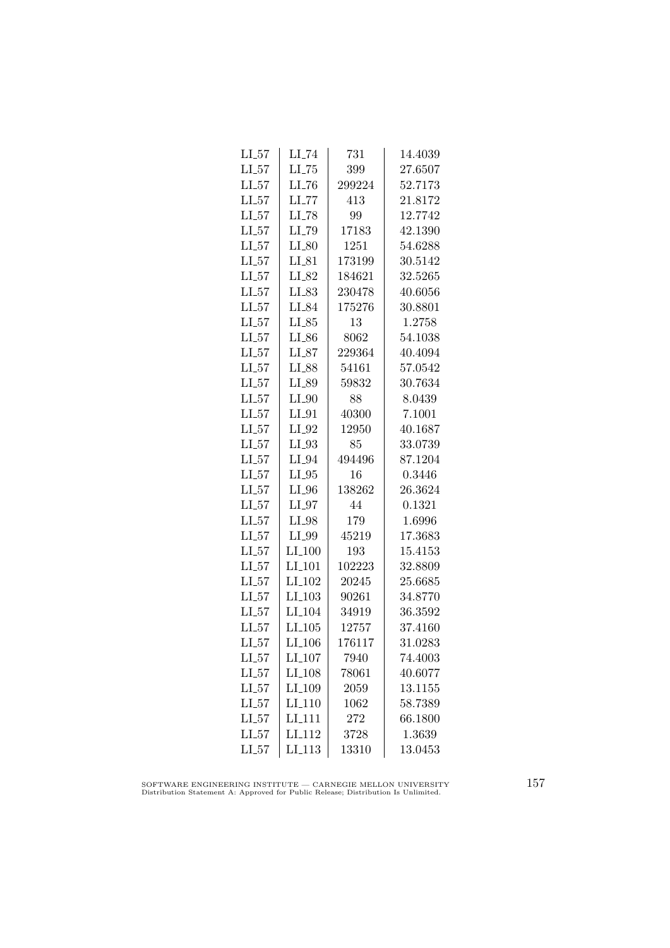| $LI_57$    | $LI$ <sub>-74</sub>  | 731    | 14.4039 |
|------------|----------------------|--------|---------|
| $LI_57$    | $LI$ <sub>-75</sub>  | 399    | 27.6507 |
| $LI_57$    | $LI$ <sub>-76</sub>  | 299224 | 52.7173 |
| $LI_57$    | LL77                 | 413    | 21.8172 |
| $LI_57$    | LI_78                | 99     | 12.7742 |
| $LI_57$    | LI_79                | 17183  | 42.1390 |
| $LI_57$    | $LI_80$              | 1251   | 54.6288 |
| $LI_57$    | $LI_81$              | 173199 | 30.5142 |
| LL57       | $LI_82$              | 184621 | 32.5265 |
| $LI_57$    | $LI_83$              | 230478 | 40.6056 |
| $LI_57$    | LI_84                | 175276 | 30.8801 |
| $LI_57$    | $LI_85$              | 13     | 1.2758  |
| $LI_57$    | $LI_86$              | 8062   | 54.1038 |
| $LI_57$    | $LI_87$              | 229364 | 40.4094 |
| $LI_57$    | LI_88                | 54161  | 57.0542 |
| $LI_57$    | LI_89                | 59832  | 30.7634 |
| $LI_57$    | $LI_0$               | 88     | 8.0439  |
| $LI_57$    | $LI_01$              | 40300  | 7.1001  |
| $LI_57$    | LI_92                | 12950  | 40.1687 |
| $LI_57$    | $LI_93$              | 85     | 33.0739 |
| $LI_57$    | $LI_0$ 94            | 494496 | 87.1204 |
| $LI_57$    | $LI_05$              | 16     | 0.3446  |
| LL57       | $LI_0$               | 138262 | 26.3624 |
| LL57       | $LI_97$              | 44     | 0.1321  |
| $LI_57$    | $LI_98$              | 179    | 1.6996  |
| $LI_57$    | LI_99                | 45219  | 17.3683 |
| $LI_57$    | $LI_100$             | 193    | 15.4153 |
| $LI_57$    | $LI_101$             | 102223 | 32.8809 |
| $LI_57$    | LI <sub>-102</sub>   | 20245  | 25.6685 |
| $LI_57$    | $LI_103$             | 90261  | 34.8770 |
| LL57       | LI <sub>-104</sub>   | 34919  | 36.3592 |
| LL57       | $LI$ <sub>-105</sub> | 12757  | 37.4160 |
| $LI_57$    | LI <sub>-106</sub>   | 176117 | 31.0283 |
| $LL_{-57}$ | LI <sub>-107</sub>   | 7940   | 74.4003 |
| $LI_57$    | LI <sub>-108</sub>   | 78061  | 40.6077 |
| LL57       | LI <sub>-109</sub>   | 2059   | 13.1155 |
| $LL_{57}$  | LI <sub>-110</sub>   | 1062   | 58.7389 |
| LL57       | LI <sub>-111</sub>   | 272    | 66.1800 |
| LL57       | LI <sub>112</sub>    | 3728   | 1.3639  |
| $LI_57$    | $LI$ <sub>113</sub>  | 13310  | 13.0453 |

SOFTWARE ENGINEERING INSTITUTE — CARNEGIE MELLON UNIVERSITY Distribution Statement A: Approved for Public Release; Distribution Is Unlimited.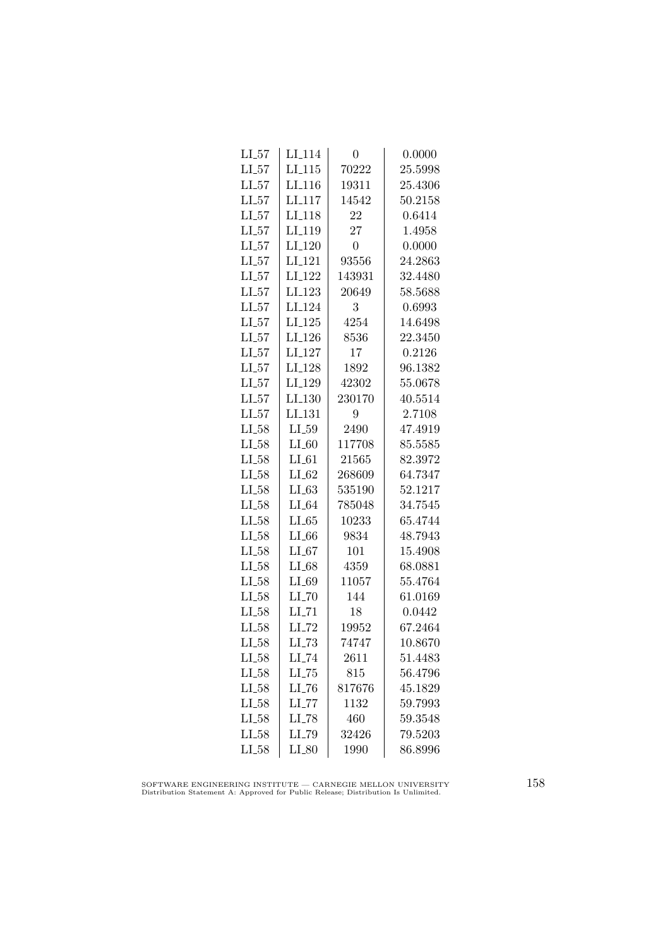| $LL_{57}$  | LI <sub>-114</sub>  | 0              | 0.0000  |
|------------|---------------------|----------------|---------|
| $LL_{-57}$ | LL115               | 70222          | 25.5998 |
| $LL_{57}$  | LI <sub>-116</sub>  | 19311          | 25.4306 |
| LL57       | LI <sub>-117</sub>  | 14542          | 50.2158 |
| LL57       | LI <sub>118</sub>   | 22             | 0.6414  |
| $LL_{.57}$ | LI <sub>-119</sub>  | 27             | 1.4958  |
| $LL_{57}$  | $LI_120$            | $\overline{0}$ | 0.0000  |
| $LL_{57}$  | LI <sub>-121</sub>  | 93556          | 24.2863 |
| LL57       | LI <sub>-122</sub>  | 143931         | 32.4480 |
| $LL_{57}$  | LI <sub>-123</sub>  | 20649          | 58.5688 |
| LL57       | LI <sub>-124</sub>  | 3              | 0.6993  |
| LL57       | $LI_125$            | 4254           | 14.6498 |
| $LL_{57}$  | $LI_126$            | 8536           | 22.3450 |
| $LL_{57}$  | $LI_127$            | 17             | 0.2126  |
| $LL-57$    | LI <sub>-128</sub>  | 1892           | 96.1382 |
| LL57       | LI <sub>-129</sub>  | 42302          | 55.0678 |
| LL57       | LI.130              | 230170         | 40.5514 |
| LL57       | LI <sub>-131</sub>  | 9              | 2.7108  |
| $LI_58$    | LL59                | 2490           | 47.4919 |
| $LL_{58}$  | $LI_60$             | 117708         | 85.5585 |
| $LI_58$    | $LI_61$             | 21565          | 82.3972 |
| $LI_58$    | $LI_62$             | 268609         | 64.7347 |
| $LI_58$    | $LL-63$             | 535190         | 52.1217 |
| $LI_58$    | $LI_64$             | 785048         | 34.7545 |
| $LI_58$    | LL65                | 10233          | 65.4744 |
| $LI_58$    | $LI_66$             | 9834           | 48.7943 |
| $LL_{58}$  | $LI_67$             | 101            | 15.4908 |
| $LI_58$    | $LI_68$             | 4359           | 68.0881 |
| $LI_58$    | LI_69               | 11057          | 55.4764 |
| $LI_58$    | $LI$ <sub>-70</sub> | 144            | 61.0169 |
| $LL_{58}$  | $LI$ <sub>-71</sub> | 18             | 0.0442  |
| $LL_{58}$  | $LI$ <sub>-72</sub> | 19952          | 67.2464 |
| $LI_58$    | $LI$ <sub>-73</sub> | 74747          | 10.8670 |
| $LL_{58}$  | $LI$ <sub>-74</sub> | 2611           | 51.4483 |
| $LI_58$    | $LL-75$             | 815            | 56.4796 |
| $LL-58$    | $LI$ <sub>-76</sub> | 817676         | 45.1829 |
| $LI_58$    | $LI$ <sub>-77</sub> | 1132           | 59.7993 |
| $LL_{58}$  | LI_78               | 460            | 59.3548 |
| $LI_58$    | LI_79               | 32426          | 79.5203 |
| $LI_58$    | $LI_80$             | 1990           | 86.8996 |
|            |                     |                |         |

SOFTWARE ENGINEERING INSTITUTE — CARNEGIE MELLON UNIVERSITY Distribution Statement A: Approved for Public Release; Distribution Is Unlimited.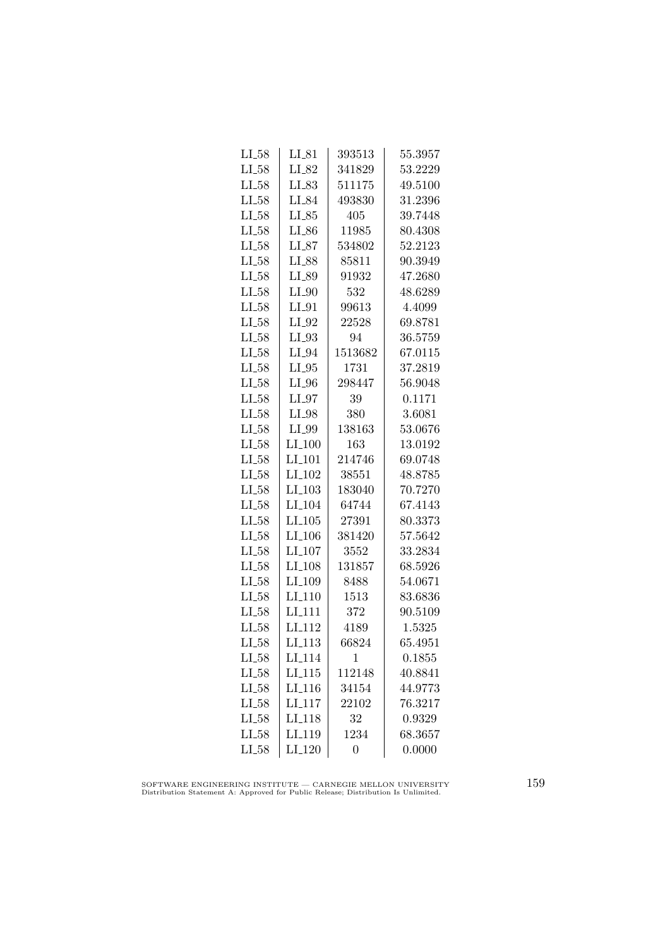| LI_58      | $LI_81$              | 393513           | 55.3957 |
|------------|----------------------|------------------|---------|
| $LI_58$    | LI_82                | 341829           | 53.2229 |
| $LI_58$    | $LI_83$              | 511175           | 49.5100 |
| $LI_58$    | LI_84                | 493830           | 31.2396 |
| $LI_58$    | $LI_85$              | 405              | 39.7448 |
| $LI_58$    | $LI_86$              | 11985            | 80.4308 |
| $LI_58$    | $LI_87$              | 534802           | 52.2123 |
| $LI_58$    | $LI_88$              | 85811            | 90.3949 |
| LL58       | LI_89                | 91932            | 47.2680 |
| LL58       | $LI_0$               | 532              | 48.6289 |
| $LI_58$    | $LI_01$              | 99613            | 4.4099  |
| LL58       | $LI_02$              | 22528            | 69.8781 |
| $LL_{58}$  | $LI_93$              | 94               | 36.5759 |
| $LI_58$    | $LI_04$              | 1513682          | 67.0115 |
| $LI_58$    | $LI_05$              | 1731             | 37.2819 |
| $LI_58$    | $LI_0$               | 298447           | 56.9048 |
| $LI_58$    | $LI_97$              | 39               | 0.1171  |
| LL58       | $LI_98$              | 380              | 3.6081  |
| $LI_58$    | LI_99                | 138163           | 53.0676 |
| $LI_58$    | $LI_100$             | 163              | 13.0192 |
| $LL_{.58}$ | LI <sub>-101</sub>   | 214746           | 69.0748 |
| $LL-58$    | $LI_102$             | 38551            | 48.8785 |
| $LL_{58}$  | $LI$ <sub>-103</sub> | 183040           | 70.7270 |
| LL58       | LI <sub>-104</sub>   | 64744            | 67.4143 |
| $LI_58$    | $LI_105$             | 27391            | 80.3373 |
| LL58       | LI <sub>-106</sub>   | 381420           | 57.5642 |
| $LI_58$    | $LI_107$             | 3552             | 33.2834 |
| $LI_58$    | LI <sub>-108</sub>   | 131857           | 68.5926 |
| $LI_58$    | LI <sub>-109</sub>   | 8488             | 54.0671 |
| $LI_58$    | $LI_110$             | 1513             | 83.6836 |
| $LL_{58}$  | LI <sub>-111</sub>   | 372              | 90.5109 |
| $LI_58$    | LI <sub>-112</sub>   | 4189             | 1.5325  |
| $LI_58$    | LI <sub>-113</sub>   | 66824            | 65.4951 |
| $LI_58$    | LI <sub>-114</sub>   | 1                | 0.1855  |
| $LI_58$    | $LI_115$             | 112148           | 40.8841 |
| $LI_58$    | $LI_116$             | 34154            | 44.9773 |
| $LI_58$    | LI <sub>-117</sub>   | 22102            | 76.3217 |
| $LI_58$    | LI <sub>118</sub>    | 32               | 0.9329  |
| $LI_58$    | LI <sub>119</sub>    | 1234             | 68.3657 |
| $LI_58$    | $LI_120$             | $\boldsymbol{0}$ | 0.0000  |

SOFTWARE ENGINEERING INSTITUTE — CARNEGIE MELLON UNIVERSITY Distribution Statement A: Approved for Public Release; Distribution Is Unlimited.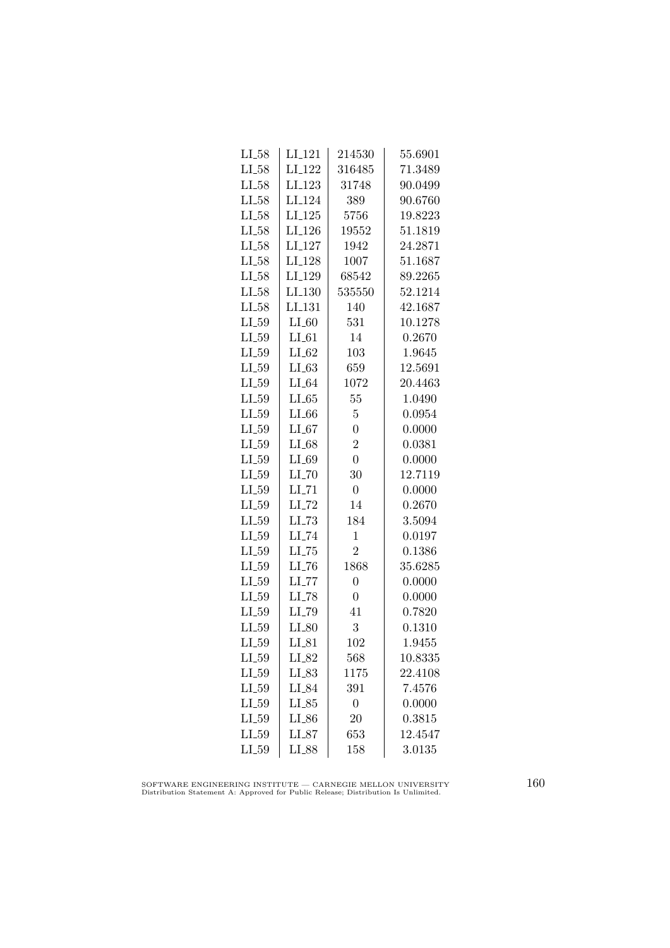| $LI_58$    | LI <sub>-121</sub>  | 214530         | 55.6901 |
|------------|---------------------|----------------|---------|
| $LI_58$    | LI <sub>-122</sub>  | 316485         | 71.3489 |
| $LI_58$    | LI <sub>-123</sub>  | 31748          | 90.0499 |
| $LI_58$    | LI <sub>-124</sub>  | 389            | 90.6760 |
| $LI_58$    | LI <sub>-125</sub>  | 5756           | 19.8223 |
| $LI_58$    | LI <sub>-126</sub>  | 19552          | 51.1819 |
| $LI_58$    | LI <sub>-127</sub>  | 1942           | 24.2871 |
| $LI_58$    | LI <sub>-128</sub>  | 1007           | 51.1687 |
| $LI_58$    | LI <sub>-129</sub>  | 68542          | 89.2265 |
| $LI_58$    | LI.130              | 535550         | 52.1214 |
| $LI_58$    | LI <sub>-131</sub>  | 140            | 42.1687 |
| $LI_59$    | $LI_60$             | 531            | 10.1278 |
| $LI_59$    | $LI_61$             | 14             | 0.2670  |
| $LI_59$    | $LI_62$             | 103            | 1.9645  |
| $LI_59$    | $LI_63$             | 659            | 12.5691 |
| $LI_59$    | $LI_64$             | 1072           | 20.4463 |
| $LI_59$    | LL65                | 55             | 1.0490  |
| $LI_59$    | $LI_66$             | $\overline{5}$ | 0.0954  |
| $LI_59$    | $LI_67$             | $\overline{0}$ | 0.0000  |
| $LI_59$    | $LI_68$             | $\overline{2}$ | 0.0381  |
| $LI_59$    | $LI_69$             | $\overline{0}$ | 0.0000  |
| $LI_59$    | $LI$ <sub>-70</sub> | 30             | 12.7119 |
| $LI_59$    | $LI$ <sub>-71</sub> | $\overline{0}$ | 0.0000  |
| $LI_59$    | LI_72               | 14             | 0.2670  |
| $LI_59$    | $LLI-73$            | 184            | 3.5094  |
| $LI_59$    | LI_74               | 1              | 0.0197  |
| $LI_59$    | $LL-75$             | $\overline{2}$ | 0.1386  |
| $LI_59$    | $LI$ <sub>-76</sub> | 1868           | 35.6285 |
| $LI_59$    | $LI$ <sub>-77</sub> | $\overline{0}$ | 0.0000  |
| $LI_59$    | $LI$ <sub>-78</sub> | $\overline{0}$ | 0.0000  |
| $LI_59$    | LI_79               | 41             | 0.7820  |
| $LL_{-59}$ | $LI_80$             | 3              | 0.1310  |
| $LI_59$    | $LI_81$             | 102            | 1.9455  |
| $LL_{-59}$ | $LI_82$             | 568            | 10.8335 |
| $LI_59$    | $LI_83$             | 1175           | 22.4108 |
| $LI_59$    | $LI_84$             | 391            | 7.4576  |
| $LI_59$    | $LI_85$             | $\overline{0}$ | 0.0000  |
| LL59       | $LI_86$             | 20             | 0.3815  |
| $LI_59$    | $LI_87$             | 653            | 12.4547 |
| $LI_59$    | $_{\rm LI.88}$      | 158            | 3.0135  |
|            |                     |                |         |

SOFTWARE ENGINEERING INSTITUTE — CARNEGIE MELLON UNIVERSITY Distribution Statement A: Approved for Public Release; Distribution Is Unlimited.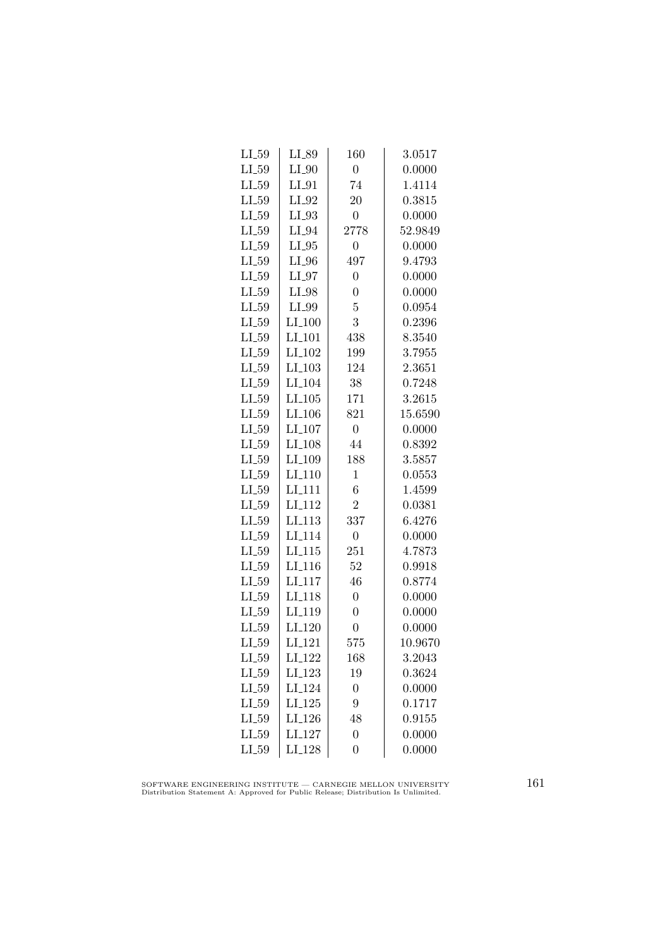| $LI_59$    | LI_89                | 160              | 3.0517  |
|------------|----------------------|------------------|---------|
| $LL_{-59}$ | $LI_0$               | $\overline{0}$   | 0.0000  |
| $LL_{.59}$ | $LI_01$              | 74               | 1.4114  |
| $LI_59$    | $LI_02$              | 20               | 0.3815  |
| $LI_59$    | $LI_93$              | $\overline{0}$   | 0.0000  |
| $LI_59$    | $LI_04$              | 2778             | 52.9849 |
| $LL_{-59}$ | $LI_05$              | $\overline{0}$   | 0.0000  |
| $LI_59$    | $LI_0$               | 497              | 9.4793  |
| $LI_59$    | $LI_07$              | $\overline{0}$   | 0.0000  |
| $LI_59$    | $LI_98$              | $\overline{0}$   | 0.0000  |
| $LI_59$    | LI_99                | 5                | 0.0954  |
| $LI_59$    | LI <sub>-100</sub>   | 3                | 0.2396  |
| $LI_59$    | $LI_101$             | 438              | 8.3540  |
| $LI_59$    | LI <sub>-102</sub>   | 199              | 3.7955  |
| $LI_59$    | $LI$ <sub>-103</sub> | 124              | 2.3651  |
| $LI_59$    | LI <sub>-104</sub>   | 38               | 0.7248  |
| $LI_59$    | LI <sub>-105</sub>   | 171              | 3.2615  |
| $LI_59$    | LI <sub>-106</sub>   | 821              | 15.6590 |
| $LI_59$    | LI <sub>-107</sub>   | $\overline{0}$   | 0.0000  |
| $LI_59$    | LI <sub>-108</sub>   | 44               | 0.8392  |
| $LI_59$    | LI <sub>-109</sub>   | 188              | 3.5857  |
| $LI_59$    | LI <sub>-110</sub>   | $\mathbf{1}$     | 0.0553  |
| $LI_59$    | LI <sub>-111</sub>   | 6                | 1.4599  |
| $LI_59$    | LI <sub>-112</sub>   | $\overline{2}$   | 0.0381  |
| $LI_59$    | LI <sub>-113</sub>   | 337              | 6.4276  |
| $LI_59$    | LI <sub>-114</sub>   | $\overline{0}$   | 0.0000  |
| $LI_59$    | $LI_115$             | 251              | 4.7873  |
| $LI_59$    | LI <sub>-116</sub>   | 52               | 0.9918  |
| $LI_59$    | LI <sub>-117</sub>   | 46               | 0.8774  |
| $LL_{-59}$ | LI <sub>-118</sub>   | $\overline{0}$   | 0.0000  |
| $LL_{59}$  | LI <sub>-119</sub>   | $\overline{0}$   | 0.0000  |
| $LL_{59}$  | LI <sub>-120</sub>   | $\overline{0}$   | 0.0000  |
| $LI_59$    | LI <sub>-121</sub>   | 575              | 10.9670 |
| $LI_59$    | LI <sub>-</sub> 122  | 168              | 3.2043  |
| $LI_59$    | LI <sub>-123</sub>   | 19               | 0.3624  |
| $LI_59$    | LI <sub>-124</sub>   | $\overline{0}$   | 0.0000  |
| $LL_{.59}$ | LI <sub>-125</sub>   | 9                | 0.1717  |
| $LI_59$    | LI <sub>-126</sub>   | 48               | 0.9155  |
| $LL_{-59}$ | LI <sub>-127</sub>   | $\boldsymbol{0}$ | 0.0000  |
| $LI_59$    | LI <sub>-128</sub>   | $\overline{0}$   | 0.0000  |

SOFTWARE ENGINEERING INSTITUTE — CARNEGIE MELLON UNIVERSITY Distribution Statement A: Approved for Public Release; Distribution Is Unlimited.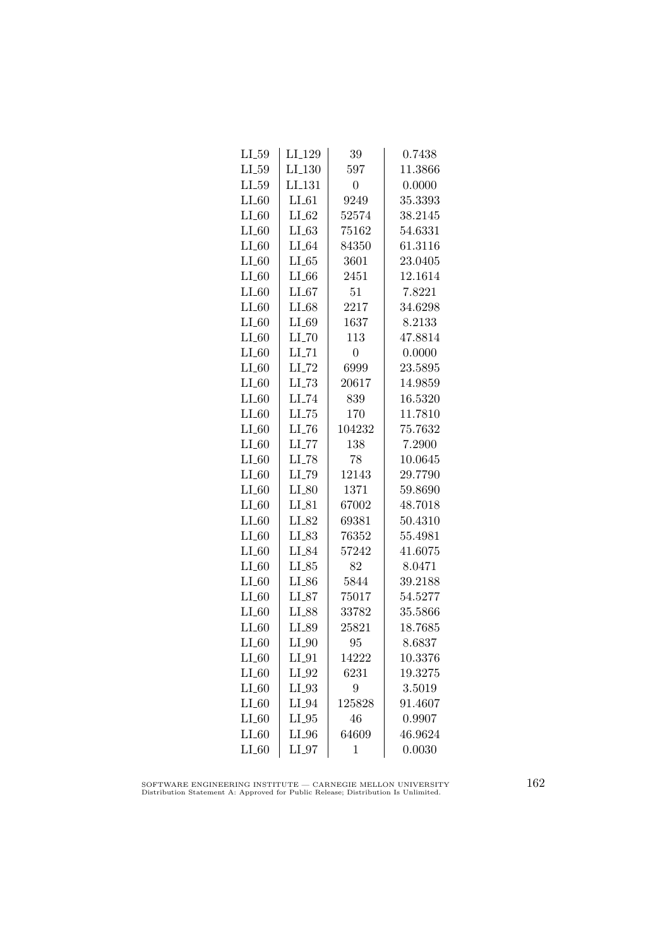| $LI_59$    | LI_129              | 39             | 0.7438  |
|------------|---------------------|----------------|---------|
| $LI_59$    | LI <sub>-130</sub>  | 597            | 11.3866 |
| $LL_{.59}$ | LI <sub>-131</sub>  | $\overline{0}$ | 0.0000  |
| $LI_60$    | $LI_61$             | 9249           | 35.3393 |
| LL60       | $LI_62$             | 52574          | 38.2145 |
| $LI_60$    | LL63                | 75162          | 54.6331 |
| $LI_60$    | $LI_64$             | 84350          | 61.3116 |
| $LI_60$    | $LI_65$             | 3601           | 23.0405 |
| $LI_60$    | $LI_66$             | 2451           | 12.1614 |
| $LI_60$    | LL67                | 51             | 7.8221  |
| $LI_60$    | $LI_68$             | 2217           | 34.6298 |
| $LI_60$    | $LI_69$             | 1637           | 8.2133  |
| $LI_60$    | $LI$ <sub>-70</sub> | 113            | 47.8814 |
| $LI_60$    | $LI$ <sub>-71</sub> | $\overline{0}$ | 0.0000  |
| $LI_60$    | $LI$ <sub>-72</sub> | 6999           | 23.5895 |
| $LI_60$    | $LI$ <sub>-73</sub> | 20617          | 14.9859 |
| $LI_60$    | $LI$ <sub>-74</sub> | 839            | 16.5320 |
| $LI_60$    | $LI$ <sub>-75</sub> | 170            | 11.7810 |
| $LI_60$    | LL76                | 104232         | 75.7632 |
| $LI_60$    | $LL$ <sub>77</sub>  | 138            | 7.2900  |
| $LI_60$    | $LI$ <sub>-78</sub> | 78             | 10.0645 |
| $LI_60$    | LI_79               | 12143          | 29.7790 |
| $LI_60$    | $LI_80$             | 1371           | 59.8690 |
| $LI_60$    | $LI_81$             | 67002          | 48.7018 |
| $LI_60$    | LI_82               | 69381          | 50.4310 |
| $LI_60$    | $LI_83$             | 76352          | 55.4981 |
| $LI_60$    | LI_84               | 57242          | 41.6075 |
| $LI_60$    | $LI_85$             | 82             | 8.0471  |
| LL60       | $LI_86$             | 5844           | 39.2188 |
| $LI_60$    | $LI_87$             | 75017          | 54.5277 |
| $LI_60$    | LI_88               | 33782          | 35.5866 |
| $LI_60$    | LI_89               | 25821          | 18.7685 |
| $LI_60$    | $LI_0$              | 95             | 8.6837  |
| $LI_60$    | $LI_01$             | 14222          | 10.3376 |
| $LI_60$    | $LI_02$             | 6231           | 19.3275 |
| $LI_60$    | $LI_93$             | 9              | 3.5019  |
| $LI_60$    | $LI_94$             | 125828         | 91.4607 |
| $LI_60$    | $LI_05$             | 46             | 0.9907  |
| $LI_60$    | $LI_0$              | 64609          | 46.9624 |
| $LI_60$    | $LI_0$              | 1              | 0.0030  |

SOFTWARE ENGINEERING INSTITUTE — CARNEGIE MELLON UNIVERSITY Distribution Statement A: Approved for Public Release; Distribution Is Unlimited.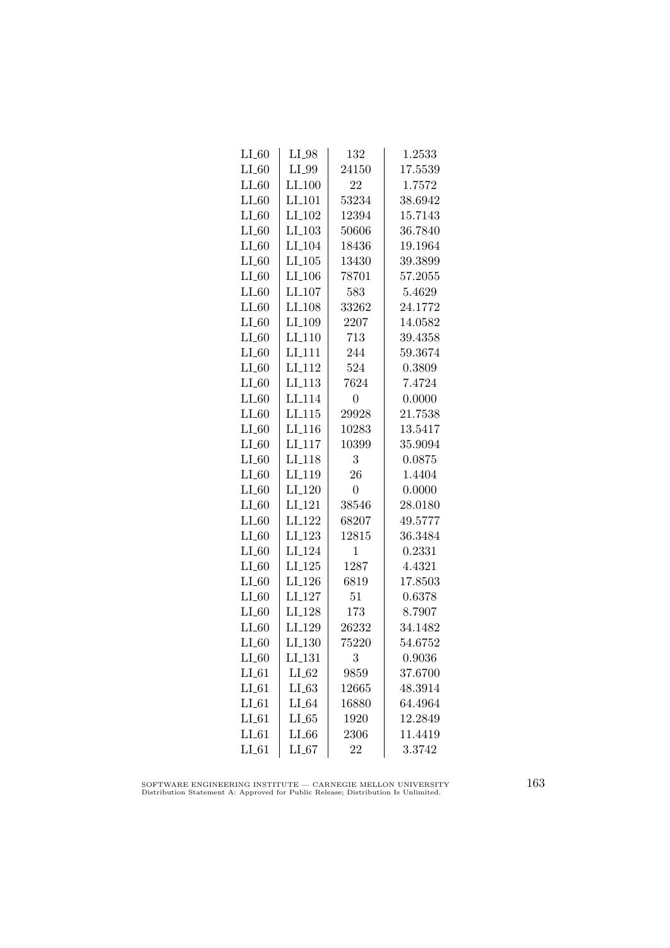| $LI_60$ | $LI_98$              | 132            | 1.2533  |
|---------|----------------------|----------------|---------|
| $LI_60$ | LI_99                | 24150          | 17.5539 |
| $LI_60$ | $LI_100$             | 22             | 1.7572  |
| $LI_60$ | $LI$ <sub>101</sub>  | 53234          | 38.6942 |
| LL60    | $LI_102$             | 12394          | 15.7143 |
| $LI_60$ | LL103                | 50606          | 36.7840 |
| $LI_60$ | LI <sub>-104</sub>   | 18436          | 19.1964 |
| $LI_60$ | $LI_105$             | 13430          | 39.3899 |
| $LI_60$ | $LI_106$             | 78701          | 57.2055 |
| $LI_60$ | $LI_107$             | 583            | 5.4629  |
| $LI_60$ | LI_108               | 33262          | 24.1772 |
| $LI_60$ | LI <sub>-109</sub>   | 2207           | 14.0582 |
| $LI_60$ | LI <sub>-110</sub>   | 713            | 39.4358 |
| $LI_60$ | $LI_111$             | 244            | 59.3674 |
| $LI_60$ | LI <sub>-112</sub>   | 524            | 0.3809  |
| $LI_60$ | $LI-113$             | 7624           | 7.4724  |
| $LI_60$ | LI <sub>-114</sub>   | $\overline{0}$ | 0.0000  |
| $LI_60$ | LI.115               | 29928          | 21.7538 |
| $LI_60$ | LI <sub>-116</sub>   | 10283          | 13.5417 |
| $LI_60$ | $LI_117$             | 10399          | 35.9094 |
| $LI_60$ | $LI_118$             | 3              | 0.0875  |
| $LI_60$ | LI <sub>-119</sub>   | 26             | 1.4404  |
| $LI_60$ | LI <sub>-120</sub>   | $\overline{0}$ | 0.0000  |
| $LI_60$ | LI <sub>-121</sub>   | 38546          | 28.0180 |
| $LI_60$ | LI <sub>-122</sub>   | 68207          | 49.5777 |
| $LI_60$ | LI <sub>-123</sub>   | 12815          | 36.3484 |
| $LI_60$ | LI <sub>-124</sub>   | $\mathbf 1$    | 0.2331  |
| $LI_60$ | $LI_125$             | 1287           | 4.4321  |
| $LI_60$ | $LI$ <sub>-126</sub> | 6819           | 17.8503 |
| $LI_60$ | LI <sub>-127</sub>   | 51             | 0.6378  |
| $LI_60$ | LI <sub>-128</sub>   | 173            | 8.7907  |
| $LI_60$ | LI <sub>-129</sub>   | 26232          | 34.1482 |
| LL60    | LI <sub>-130</sub>   | 75220          | 54.6752 |
| $LI_60$ | LI <sub>-131</sub>   | 3              | 0.9036  |
| $LI_61$ | $LI_62$              | 9859           | 37.6700 |
| $LI_61$ | $LL-63$              | 12665          | 48.3914 |
| $LI_61$ | $LI_64$              | 16880          | 64.4964 |
| $LI_61$ | LL65                 | 1920           | 12.2849 |
| $LI_61$ | LL66                 | 2306           | 11.4419 |
| $LI_61$ | LL67                 | 22             | 3.3742  |

SOFTWARE ENGINEERING INSTITUTE — CARNEGIE MELLON UNIVERSITY Distribution Statement A: Approved for Public Release; Distribution Is Unlimited.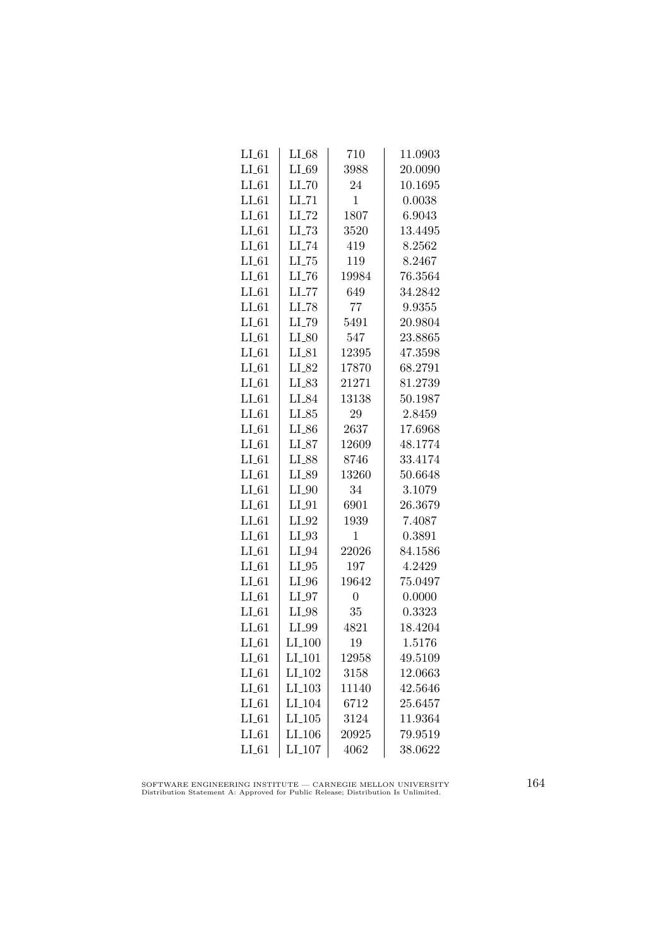| LL61    | $LI_68$              | 710            | 11.0903 |
|---------|----------------------|----------------|---------|
| $LI_61$ | $LI_69$              | 3988           | 20.0090 |
| $LI_61$ | $LI$ <sub>-70</sub>  | 24             | 10.1695 |
| $LI_61$ | $LI$ <sub>-71</sub>  | $\mathbf 1$    | 0.0038  |
| $LI_61$ | LI_72                | 1807           | 6.9043  |
| $LI_61$ | $LI$ <sub>-73</sub>  | 3520           | 13.4495 |
| $LI_61$ | $LI$ <sub>-74</sub>  | 419            | 8.2562  |
| $LI_61$ | $LI$ <sub>-75</sub>  | 119            | 8.2467  |
| $LI_61$ | $LI$ <sub>-76</sub>  | 19984          | 76.3564 |
| $LI_61$ | $LI$ <sub>-77</sub>  | 649            | 34.2842 |
| LL61    | LI_78                | 77             | 9.9355  |
| $LI_61$ | LI_79                | 5491           | 20.9804 |
| $LI_61$ | $LI_80$              | 547            | 23.8865 |
| $LI_61$ | $LI_81$              | 12395          | 47.3598 |
| $LI_61$ | $LI_82$              | 17870          | 68.2791 |
| $LI_61$ | $LI_83$              | 21271          | 81.2739 |
| $LI_61$ | LI_84                | 13138          | 50.1987 |
| $LI_61$ | $LI_85$              | 29             | 2.8459  |
| $LI_61$ | LI_86                | 2637           | 17.6968 |
| $LI_61$ | $LI_87$              | 12609          | 48.1774 |
| $LI_61$ | LI_88                | 8746           | 33.4174 |
| $LI_61$ | $LI_89$              | 13260          | 50.6648 |
| $LI_61$ | $LI_0$               | 34             | 3.1079  |
| $LI_61$ | $LI_01$              | 6901           | 26.3679 |
| $LI_61$ | LI_92                | 1939           | 7.4087  |
| $LI_61$ | $LI_93$              | $\mathbf 1$    | 0.3891  |
| $LI_61$ | $LI_04$              | 22026          | 84.1586 |
| $LI_61$ | $LI_05$              | 197            | 4.2429  |
| $LI_61$ | $LI_0$               | 19642          | 75.0497 |
| $LI_61$ | $LI_97$              | $\overline{0}$ | 0.0000  |
| LL61    | LI_98                | 35             | 0.3323  |
| $LI_61$ | $LI_99$              | 4821           | 18.4204 |
| $LI_61$ | $LI_100$             | 19             | 1.5176  |
| $LI_61$ | $LI_101$             | 12958          | 49.5109 |
| $LI_61$ | LI_102               | 3158           | 12.0663 |
| $LI_61$ | $LI$ <sub>-103</sub> | 11140          | 42.5646 |
| $LI_61$ | LI <sub>-104</sub>   | 6712           | 25.6457 |
| $LI_61$ | LI <sub>-105</sub>   | 3124           | 11.9364 |
| $LI_61$ | LI_106               | 20925          | 79.9519 |
| $LI_61$ | LI <sub>-107</sub>   | 4062           | 38.0622 |

SOFTWARE ENGINEERING INSTITUTE — CARNEGIE MELLON UNIVERSITY Distribution Statement A: Approved for Public Release; Distribution Is Unlimited.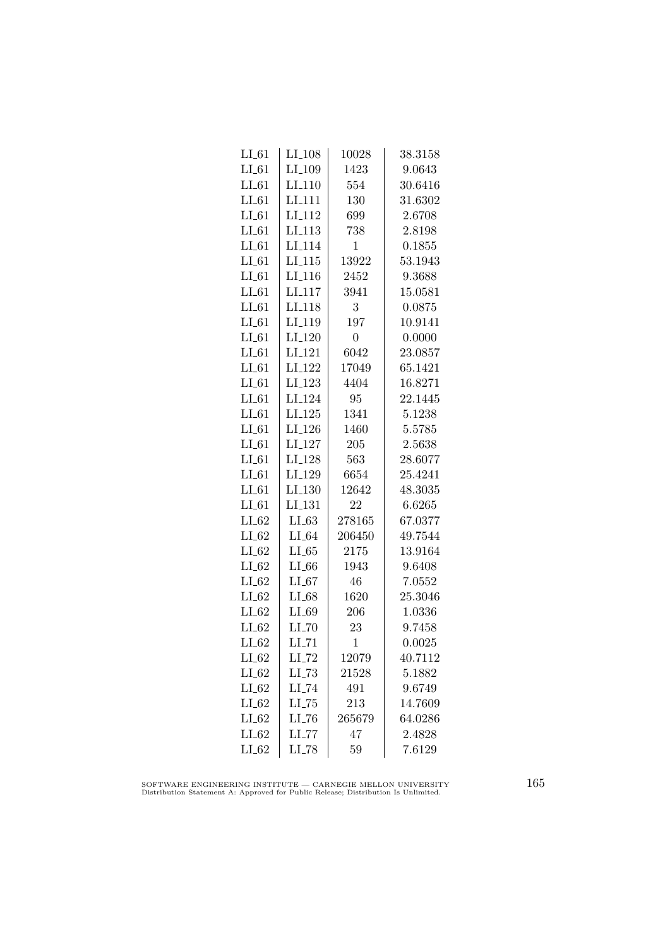| LL61    | $LI_108$            | 10028          | 38.3158 |
|---------|---------------------|----------------|---------|
| $LI_61$ | LI <sub>-109</sub>  | 1423           | 9.0643  |
| $LI_61$ | LI <sub>-110</sub>  | 554            | 30.6416 |
| $LI_61$ | LI <sub>111</sub>   | 130            | 31.6302 |
| $LI_61$ | LI <sub>112</sub>   | 699            | 2.6708  |
| $LI_61$ | $LI$ <sub>113</sub> | 738            | 2.8198  |
| $LI_61$ | LI <sub>-114</sub>  | 1              | 0.1855  |
| $LI_61$ | $LI_115$            | 13922          | 53.1943 |
| $LI_61$ | $LI_116$            | 2452           | 9.3688  |
| $LI_61$ | LI <sub>-117</sub>  | 3941           | 15.0581 |
| $LI_61$ | LI <sub>118</sub>   | 3              | 0.0875  |
| $LI_61$ | LI <sub>119</sub>   | 197            | 10.9141 |
| $LI_61$ | LI <sub>-120</sub>  | $\overline{0}$ | 0.0000  |
| $LI_61$ | $LI_121$            | 6042           | 23.0857 |
| $LI_61$ | LI <sub>-122</sub>  | 17049          | 65.1421 |
| $LI_61$ | LI <sub>-123</sub>  | 4404           | 16.8271 |
| $LI_61$ | LI <sub>-124</sub>  | 95             | 22.1445 |
| $LI_61$ | LI.125              | 1341           | 5.1238  |
| $LI_61$ | LI <sub>-126</sub>  | 1460           | 5.5785  |
| $LI_61$ | LI <sub>-127</sub>  | 205            | 2.5638  |
| $LI_61$ | LI <sub>-128</sub>  | 563            | 28.6077 |
| $LI_61$ | LI <sub>-129</sub>  | 6654           | 25.4241 |
| $LI_61$ | LI <sub>-130</sub>  | 12642          | 48.3035 |
| $LI_61$ | LI <sub>-131</sub>  | 22             | 6.6265  |
| $LI_62$ | LL63                | 278165         | 67.0377 |
| $LI_62$ | $LI_64$             | 206450         | 49.7544 |
| $LI_62$ | LL65                | 2175           | 13.9164 |
| $LI_62$ | $LI_66$             | 1943           | 9.6408  |
| $LI_62$ | $LI_67$             | 46             | 7.0552  |
| $LI_62$ | $LI_68$             | 1620           | 25.3046 |
| $LI_62$ | LI_69               | 206            | 1.0336  |
| $LI_62$ | $LI$ <sub>-70</sub> | 23             | 9.7458  |
| LL62    | $LI$ <sub>-71</sub> | $\mathbf 1$    | 0.0025  |
| $LI_62$ | $LI$ <sub>-72</sub> | 12079          | 40.7112 |
| $LI_62$ | $LI$ <sub>-73</sub> | 21528          | 5.1882  |
| $LI_62$ | $LI$ <sub>-74</sub> | 491            | 9.6749  |
| $LI_62$ | $LI$ <sub>-75</sub> | 213            | 14.7609 |
| $LI_62$ | LL76                | 265679         | 64.0286 |
| $LI_62$ | $LI$ <sub>-77</sub> | 47             | 2.4828  |
| $LI_62$ | $LI$ <sub>-78</sub> | 59             | 7.6129  |

SOFTWARE ENGINEERING INSTITUTE — CARNEGIE MELLON UNIVERSITY Distribution Statement A: Approved for Public Release; Distribution Is Unlimited.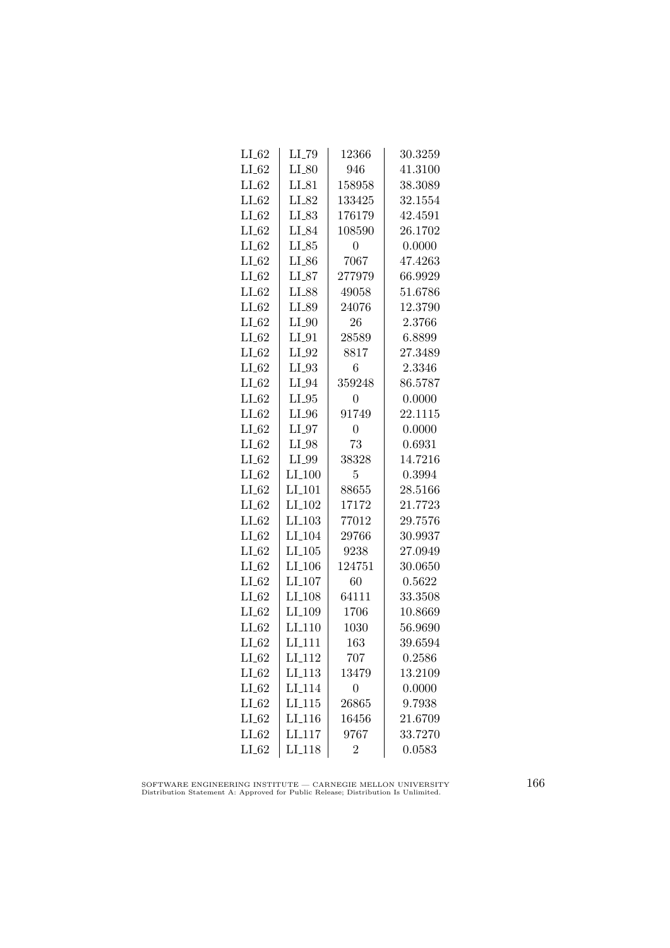| $LI_62$ | LI_79                | 12366          | 30.3259 |
|---------|----------------------|----------------|---------|
| $LI_62$ | $LI_80$              | 946            | 41.3100 |
| $LI_62$ | $LI_81$              | 158958         | 38.3089 |
| $LI_62$ | LI_82                | 133425         | 32.1554 |
| $LI_62$ | LI_83                | 176179         | 42.4591 |
| LL62    | LI_84                | 108590         | 26.1702 |
| $LI_62$ | $LI_85$              | 0              | 0.0000  |
| $LI_02$ | $LI_{-86}$           | 7067           | 47.4263 |
| $LI_62$ | $LI_87$              | 277979         | 66.9929 |
| $LI_62$ | LI_88                | 49058          | 51.6786 |
| $LI_62$ | LI_89                | 24076          | 12.3790 |
| $LI_62$ | $LI_0$               | 26             | 2.3766  |
| LL62    | $LI_01$              | 28589          | 6.8899  |
| $LI_62$ | $LI_02$              | 8817           | 27.3489 |
| $LI_62$ | $LI_03$              | 6              | 2.3346  |
| $LI_02$ | $LI_04$              | 359248         | 86.5787 |
| $LI_62$ | $LI_05$              | $\overline{0}$ | 0.0000  |
| $LI_62$ | LI_96                | 91749          | 22.1115 |
| $LI_62$ | $LI_97$              | $\overline{0}$ | 0.0000  |
| LL62    | $LI_98$              | 73             | 0.6931  |
| $LI_62$ | $LI_99$              | 38328          | 14.7216 |
| $LI_62$ | $LI_100$             | 5              | 0.3994  |
| $LI_62$ | $LI$ <sub>-101</sub> | 88655          | 28.5166 |
| LL62    | LI <sub>-102</sub>   | 17172          | 21.7723 |
| $LI_62$ | $LI_103$             | 77012          | 29.7576 |
| $LI_62$ | LI <sub>-104</sub>   | 29766          | 30.9937 |
| $LI_62$ | $LI_105$             | 9238           | 27.0949 |
| $LI_62$ | $LI_106$             | 124751         | 30.0650 |
| $LI_62$ | LI <sub>-107</sub>   | 60             | 0.5622  |
| $LI_62$ | LI <sub>-108</sub>   | 64111          | 33.3508 |
| $LI_62$ | LI <sub>-109</sub>   | 1706           | 10.8669 |
| $LI_62$ | LI <sub>-110</sub>   | 1030           | 56.9690 |
| LL62    | LI <sub>-111</sub>   | 163            | 39.6594 |
| $LI_62$ | LI <sub>-112</sub>   | 707            | 0.2586  |
| $LI_62$ | LI <sub>-113</sub>   | 13479          | 13.2109 |
| $LI_62$ | LI <sub>-114</sub>   | $\overline{0}$ | 0.0000  |
| $LI_62$ | LI.115               | 26865          | 9.7938  |
| $LI_62$ | LI <sub>-116</sub>   | 16456          | 21.6709 |
| $LI_62$ | LI <sub>-117</sub>   | 9767           | 33.7270 |
| $LI_62$ | $LI-118$             | $\overline{2}$ | 0.0583  |

SOFTWARE ENGINEERING INSTITUTE — CARNEGIE MELLON UNIVERSITY Distribution Statement A: Approved for Public Release; Distribution Is Unlimited.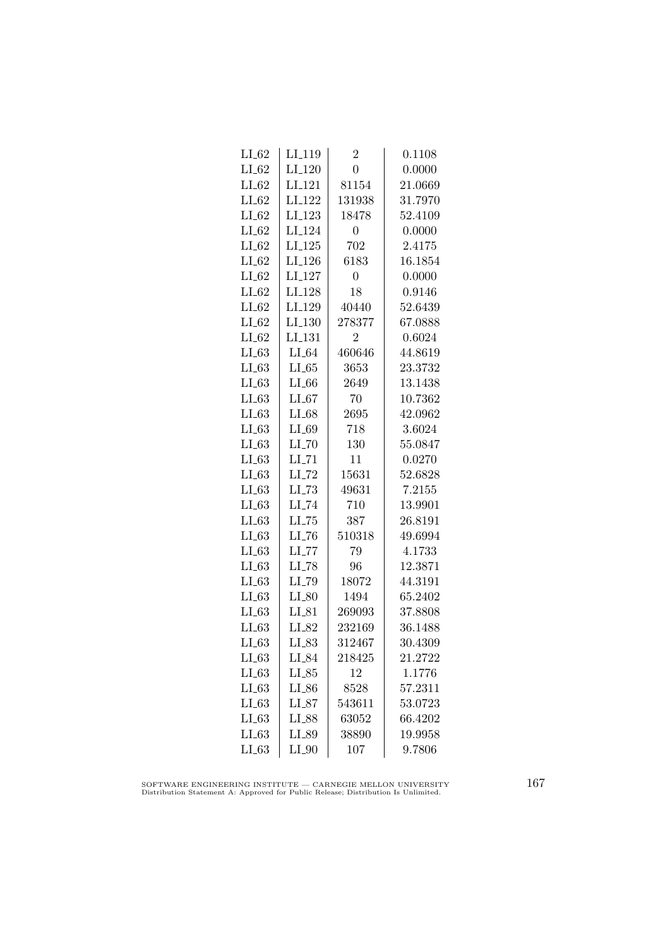| LI <sub>-119</sub>  | $\overline{2}$ | 0.1108  |
|---------------------|----------------|---------|
| $LI_120$            | $\overline{0}$ | 0.0000  |
| LI <sub>-121</sub>  | 81154          | 21.0669 |
| LI <sub>-122</sub>  | 131938         | 31.7970 |
| $LI_123$            | 18478          | 52.4109 |
| LI <sub>-124</sub>  | $\overline{0}$ | 0.0000  |
| $LI_125$            | 702            | 2.4175  |
| $LI_126$            | 6183           | 16.1854 |
| LI <sub>-127</sub>  | $\overline{0}$ | 0.0000  |
| LI <sub>-128</sub>  | 18             | 0.9146  |
| LI <sub>-129</sub>  | 40440          | 52.6439 |
| LI <sub>-130</sub>  | 278377         | 67.0888 |
| LI <sub>-131</sub>  | $\overline{2}$ | 0.6024  |
| $LI_64$             | 460646         | 44.8619 |
| $LI_65$             | 3653           | 23.3732 |
| $LI_66$             | 2649           | 13.1438 |
| $LI_67$             | 70             | 10.7362 |
| $LI_68$             | 2695           | 42.0962 |
| LI_69               | 718            | 3.6024  |
| $LI$ <sub>-70</sub> | 130            | 55.0847 |
| $LI$ <sub>-71</sub> | 11             | 0.0270  |
| $LI$ <sub>-72</sub> | 15631          | 52.6828 |
| $LL-73$             | 49631          | 7.2155  |
| $LI$ <sub>-74</sub> | 710            | 13.9901 |
| $LL-75$             | 387            | 26.8191 |
| LL76                | 510318         | 49.6994 |
| $LI$ <sub>-77</sub> | 79             | 4.1733  |
| $LI$ <sub>-78</sub> | 96             | 12.3871 |
| LI_79               | 18072          | 44.3191 |
| $LI_80$             | 1494           | 65.2402 |
| $LI_81$             | 269093         | 37.8808 |
| LI_82               | 232169         | 36.1488 |
| $LI_83$             | 312467         | 30.4309 |
| LI_84               | 218425         | 21.2722 |
| $LI_85$             | 12             | 1.1776  |
| $LI_{-86}$          | 8528           | 57.2311 |
| $LI_87$             | 543611         | 53.0723 |
| $LI_88$             | 63052          | 66.4202 |
| LI_89               | 38890          | 19.9958 |
| $LI_0$              | 107            | 9.7806  |
|                     |                |         |

SOFTWARE ENGINEERING INSTITUTE — CARNEGIE MELLON UNIVERSITY Distribution Statement A: Approved for Public Release; Distribution Is Unlimited.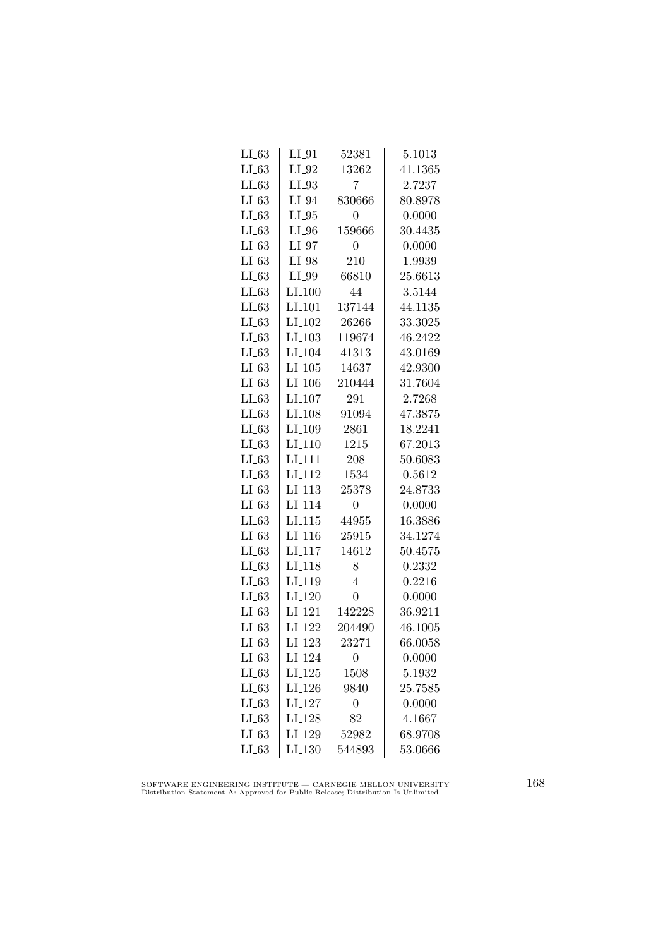| $LI_63$ | $LI_01$            | 52381          | 5.1013  |
|---------|--------------------|----------------|---------|
| $LI_63$ | $LI_02$            | 13262          | 41.1365 |
| LL63    | $LI_03$            | 7              | 2.7237  |
| LL63    | $LI_04$            | 830666         | 80.8978 |
| $LI_63$ | $LI_05$            | 0              | 0.0000  |
| LL63    | $LI_0$             | 159666         | 30.4435 |
| LL63    | $LI_07$            | $\Omega$       | 0.0000  |
| $LI_63$ | $LI_98$            | 210            | 1.9939  |
| LL63    | $LI_99$            | 66810          | 25.6613 |
| LL63    | $LI_100$           | 44             | 3.5144  |
| $LI_63$ | LI <sub>-101</sub> | 137144         | 44.1135 |
| LL63    | LI <sub>-102</sub> | 26266          | 33.3025 |
| LL63    | $LI_103$           | 119674         | 46.2422 |
| LL63    | $LI_104$           | 41313          | 43.0169 |
| $LI_63$ | $LI_105$           | 14637          | 42.9300 |
| LL63    | $LI_106$           | 210444         | 31.7604 |
| $LI_63$ | LI <sub>-107</sub> | 291            | 2.7268  |
| LL63    | LI <sub>-108</sub> | 91094          | 47.3875 |
| LL63    | LI <sub>-109</sub> | 2861           | 18.2241 |
| LL63    | $LI_110$           | 1215           | 67.2013 |
| $LI_63$ | $LI-111$           | 208            | 50.6083 |
| $LI_63$ | $LI-112$           | 1534           | 0.5612  |
| $LL-63$ | LI <sub>-113</sub> | 25378          | 24.8733 |
| LL63    | LI <sub>-114</sub> | $\overline{0}$ | 0.0000  |
| LL63    | LI.115             | 44955          | 16.3886 |
| $LI_63$ | LI <sub>-116</sub> | 25915          | 34.1274 |
| LL63    | $LI_117$           | 14612          | 50.4575 |
| $LI_63$ | LI <sub>-118</sub> | 8              | 0.2332  |
| $LI_63$ | LI <sub>-119</sub> | 4              | 0.2216  |
| $LI_63$ | $LI_120$           | 0              | 0.0000  |
| LL63    | LI <sub>-121</sub> | 142228         | 36.9211 |
| LL63    | LI <sub>-122</sub> | 204490         | 46.1005 |
| LL63    | LI <sub>-123</sub> | 23271          | 66.0058 |
| $LI_63$ | LI <sub>-124</sub> | 0              | 0.0000  |
| $LI_63$ | $LI_125$           | 1508           | 5.1932  |
| $LI_63$ | $LI_126$           | 9840           | 25.7585 |
| $LI_63$ | LI <sub>-127</sub> | $\overline{0}$ | 0.0000  |
| $LI_63$ | $LI_128$           | 82             | 4.1667  |
| $LI_63$ | LI <sub>-129</sub> | 52982          | 68.9708 |
| $LI_63$ | LI <sub>-130</sub> | 544893         | 53.0666 |

SOFTWARE ENGINEERING INSTITUTE — CARNEGIE MELLON UNIVERSITY Distribution Statement A: Approved for Public Release; Distribution Is Unlimited.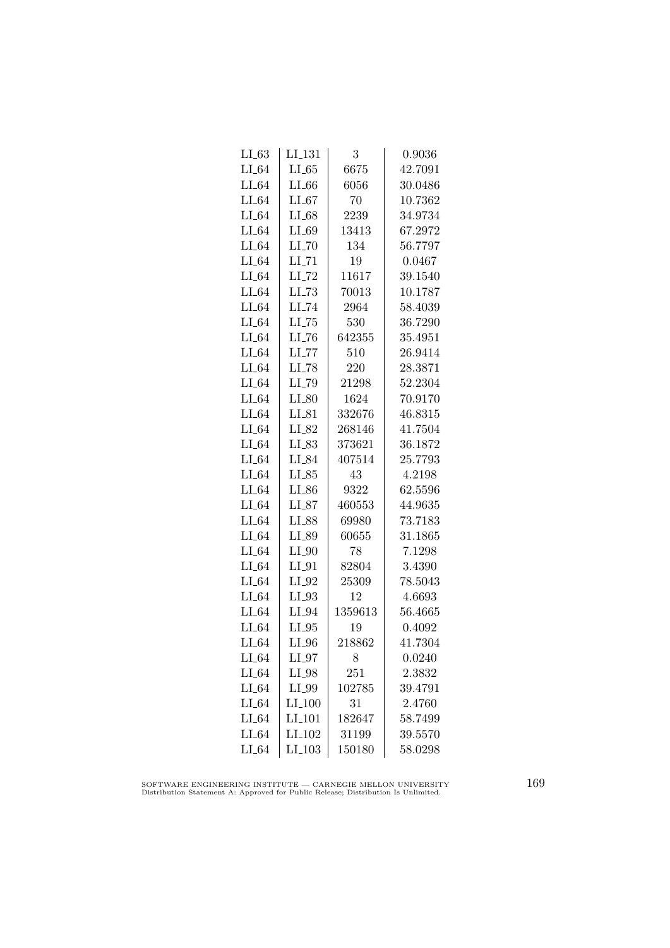| $LL-63$ | $LI_131$            | 3       | 0.9036  |
|---------|---------------------|---------|---------|
| $LI_64$ | $LI_65$             | 6675    | 42.7091 |
| $LI_64$ | $LI_66$             | 6056    | 30.0486 |
| $LI_64$ | $LI_67$             | 70      | 10.7362 |
| $LI_64$ | $LI_68$             | 2239    | 34.9734 |
| $LI_64$ | $LI_69$             | 13413   | 67.2972 |
| $LI_64$ | $LI$ <sub>-70</sub> | 134     | 56.7797 |
| $LI_64$ | $LI$ <sub>-71</sub> | 19      | 0.0467  |
| $LI_64$ | $LI$ <sub>-72</sub> | 11617   | 39.1540 |
| $LI_64$ | $LL-73$             | 70013   | 10.1787 |
| $LI_64$ | LI_74               | 2964    | 58.4039 |
| $LI_64$ | LL75                | 530     | 36.7290 |
| $LI_64$ | $LI$ <sub>-76</sub> | 642355  | 35.4951 |
| $LI_64$ | $LI$ <sub>-77</sub> | 510     | 26.9414 |
| $LI_64$ | LI <sub>-78</sub>   | 220     | 28.3871 |
| $LI_64$ | LI_79               | 21298   | 52.2304 |
| $LI_64$ | $LI_80$             | 1624    | 70.9170 |
| $LI_64$ | $LI_81$             | 332676  | 46.8315 |
| $LI_64$ | LI_82               | 268146  | 41.7504 |
| $LI_64$ | LI_83               | 373621  | 36.1872 |
| $LI_64$ | LI_84               | 407514  | 25.7793 |
| $LI_64$ | $LI_85$             | 43      | 4.2198  |
| $LI_64$ | $LI_86$             | 9322    | 62.5596 |
| $LI_64$ | $LI_87$             | 460553  | 44.9635 |
| $LI_64$ | LI_88               | 69980   | 73.7183 |
| $LI_64$ | LI_89               | 60655   | 31.1865 |
| $LI_64$ | $LI_0$              | 78      | 7.1298  |
| $LI_64$ | $LI_01$             | 82804   | 3.4390  |
| $LI_64$ | $LI_02$             | 25309   | 78.5043 |
| $LI_64$ | $LI_03$             | 12      | 4.6693  |
| $LI_64$ | LI_94               | 1359613 | 56.4665 |
| $LI_64$ | $LI_05$             | 19      | 0.4092  |
| $LI_64$ | $LI_0$              | 218862  | 41.7304 |
| $LI_64$ | $LI_97$             | 8       | 0.0240  |
| $LI_64$ | LI_98               | 251     | 2.3832  |
| $LI_64$ | $LI_99$             | 102785  | 39.4791 |
| $LI_64$ | $LI_100$            | 31      | 2.4760  |
| $LI_64$ | $LI_101$            | 182647  | 58.7499 |
| $LI_64$ | LI_102              | 31199   | 39.5570 |
| $LI_64$ | $LI_103$            | 150180  | 58.0298 |

SOFTWARE ENGINEERING INSTITUTE — CARNEGIE MELLON UNIVERSITY Distribution Statement A: Approved for Public Release; Distribution Is Unlimited.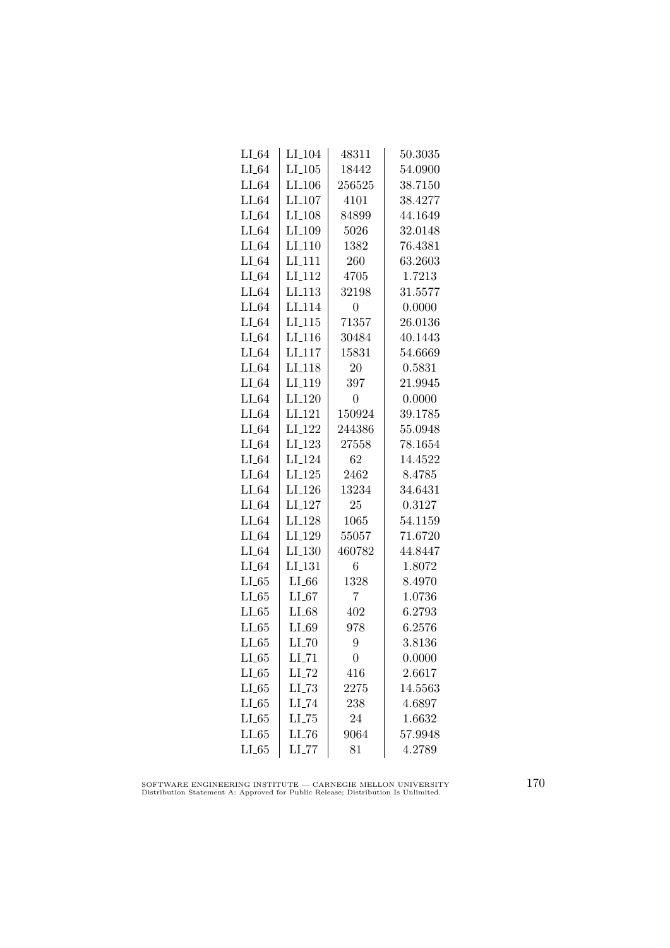| $LI_64$ | LI <sub>-104</sub>   | 48311          | 50.3035 |
|---------|----------------------|----------------|---------|
| $LI_64$ | $LI$ <sub>-105</sub> | 18442          | 54.0900 |
| $LI_64$ | $LI$ <sub>-106</sub> | 256525         | 38.7150 |
| $LI_64$ | $LI_107$             | 4101           | 38.4277 |
| $LI_64$ | LI <sub>-108</sub>   | 84899          | 44.1649 |
| $LI_64$ | LI_109               | 5026           | 32.0148 |
| $LI_64$ | $LI_110$             | 1382           | 76.4381 |
| $LI_64$ | $LI-111$             | 260            | 63.2603 |
| $LI_64$ | LI <sub>-112</sub>   | 4705           | 1.7213  |
| $LI_64$ | LI.113               | 32198          | 31.5577 |
| $LI_64$ | LI <sub>-114</sub>   | $\overline{0}$ | 0.0000  |
| $LI_64$ | LI <sub>-115</sub>   | 71357          | 26.0136 |
| $LI_64$ | $LI_116$             | 30484          | 40.1443 |
| $LI_64$ | $LI_117$             | 15831          | 54.6669 |
| $LI_64$ | LI <sub>-118</sub>   | 20             | 0.5831  |
| $LI_64$ | LI <sub>-119</sub>   | 397            | 21.9945 |
| $LI_64$ | LI <sub>-120</sub>   | $\overline{0}$ | 0.0000  |
| $LI_64$ | LI <sub>-121</sub>   | 150924         | 39.1785 |
| $LI_64$ | LI <sub>-122</sub>   | 244386         | 55.0948 |
| $LI_64$ | LI <sub>-123</sub>   | 27558          | 78.1654 |
| $LI_64$ | LI <sub>-124</sub>   | 62             | 14.4522 |
| $LI_64$ | $LI_125$             | 2462           | 8.4785  |
| $LI_64$ | LI <sub>-126</sub>   | 13234          | 34.6431 |
| $LI_64$ | $LI_127$             | 25             | 0.3127  |
| $LI_64$ | LI <sub>-128</sub>   | 1065           | 54.1159 |
| $LI_64$ | LI <sub>-129</sub>   | 55057          | 71.6720 |
| $LI_64$ | $LI_130$             | 460782         | 44.8447 |
| $LI_64$ | LI <sub>-131</sub>   | 6              | 1.8072  |
| $LI_65$ | $LI_66$              | 1328           | 8.4970  |
| $LI_65$ | $LI_67$              | 7              | 1.0736  |
| LL65    | $LI_68$              | 402            | 6.2793  |
| LL65    | $LI_69$              | 978            | 6.2576  |
| $LI_65$ | $LI$ <sub>-70</sub>  | 9              | 3.8136  |
| $LI_65$ | $LI$ <sub>-71</sub>  | 0              | 0.0000  |
| $LI_65$ | $LI$ <sub>-72</sub>  | 416            | 2.6617  |
| $LI_65$ | $LL-73$              | 2275           | 14.5563 |
| $LI_65$ | $LI$ <sub>-74</sub>  | 238            | 4.6897  |
| $LL-65$ | LL75                 | 24             | 1.6632  |
| $LI_65$ | LL76                 | 9064           | 57.9948 |
| $LI_65$ | $LL$ <sub>-77</sub>  | 81             | 4.2789  |
|         |                      |                |         |

SOFTWARE ENGINEERING INSTITUTE — CARNEGIE MELLON UNIVERSITY Distribution Statement A: Approved for Public Release; Distribution Is Unlimited.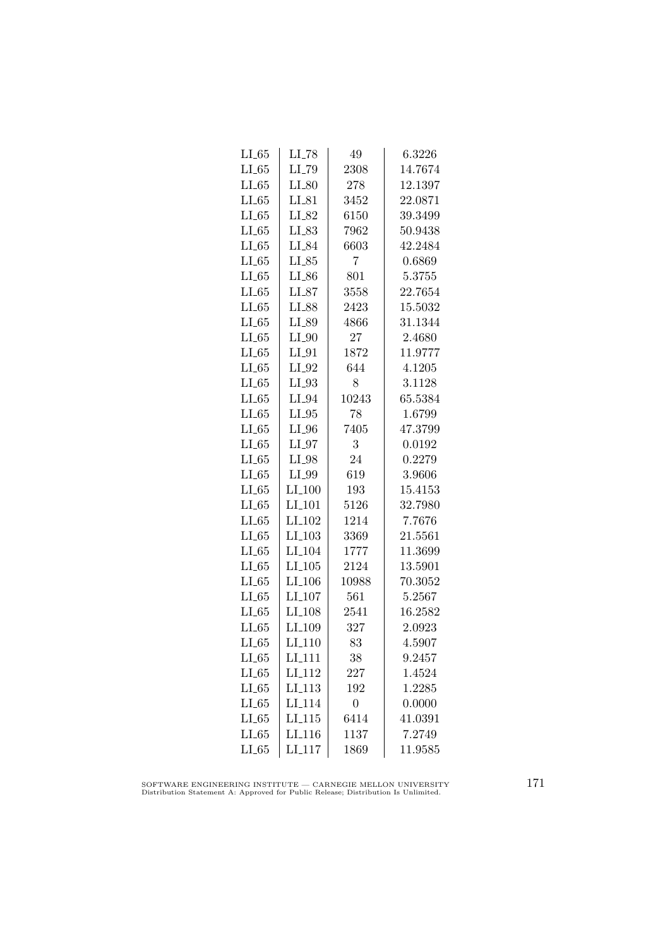| $LI_65$ | $LI$ <sub>-78</sub> | 49             | 6.3226  |
|---------|---------------------|----------------|---------|
| $LL-65$ | LI_79               | 2308           | 14.7674 |
| LL65    | $LI_80$             | 278            | 12.1397 |
| LL65    | $LI_81$             | 3452           | 22.0871 |
| LL65    | LI_82               | 6150           | 39.3499 |
| LL65    | $LI_83$             | 7962           | 50.9438 |
| LL65    | LI_84               | 6603           | 42.2484 |
| $LI_65$ | $LI_85$             | 7              | 0.6869  |
| LL65    | $LI_{-86}$          | 801            | 5.3755  |
| LL65    | $LI_87$             | 3558           | 22.7654 |
| $LI_65$ | LI_88               | 2423           | 15.5032 |
| $LI_65$ | LI_89               | 4866           | 31.1344 |
| LL65    | $LI_0$              | 27             | 2.4680  |
| $LI_65$ | $LI_01$             | 1872           | 11.9777 |
| $LI_65$ | $LI_02$             | 644            | 4.1205  |
| LL65    | $LI_03$             | 8              | 3.1128  |
| LL65    | $LI_04$             | 10243          | 65.5384 |
| $LI_65$ | $LI_05$             | 78             | 1.6799  |
| $LI_65$ | $LI_0$              | 7405           | 47.3799 |
| LL65    | $LI_0$              | 3              | 0.0192  |
| $LI_65$ | $LI_98$             | 24             | 0.2279  |
| $LL-65$ | LI_99               | 619            | 3.9606  |
| $LL-65$ | $LI_100$            | 193            | 15.4153 |
| LL65    | $LI$ <sub>101</sub> | 5126           | 32.7980 |
| $LI_65$ | LI <sub>-102</sub>  | 1214           | 7.7676  |
| LL65    | $LI_103$            | 3369           | 21.5561 |
| LL65    | LI <sub>-104</sub>  | 1777           | 11.3699 |
| LL65    | $LI_105$            | 2124           | 13.5901 |
| $LI_65$ | $LI_106$            | 10988          | 70.3052 |
| LL65    | LI <sub>-107</sub>  | 561            | 5.2567  |
| LL65    | LI <sub>-108</sub>  | 2541           | 16.2582 |
| LL65    | LI <sub>-109</sub>  | 327            | 2.0923  |
| LL65    | LI <sub>-110</sub>  | 83             | 4.5907  |
| $LI_65$ | LI <sub>-111</sub>  | 38             | 9.2457  |
| $LI_65$ | LI <sub>-112</sub>  | 227            | 1.4524  |
| $LI_65$ | LI <sub>-113</sub>  | 192            | 1.2285  |
| $LI_65$ | LI <sub>-114</sub>  | $\overline{0}$ | 0.0000  |
| $LI_65$ | LL115               | 6414           | 41.0391 |
| $LI_65$ | LI <sub>-116</sub>  | 1137           | 7.2749  |
| $LI_65$ | LI <sub>-117</sub>  | 1869           | 11.9585 |

SOFTWARE ENGINEERING INSTITUTE — CARNEGIE MELLON UNIVERSITY Distribution Statement A: Approved for Public Release; Distribution Is Unlimited.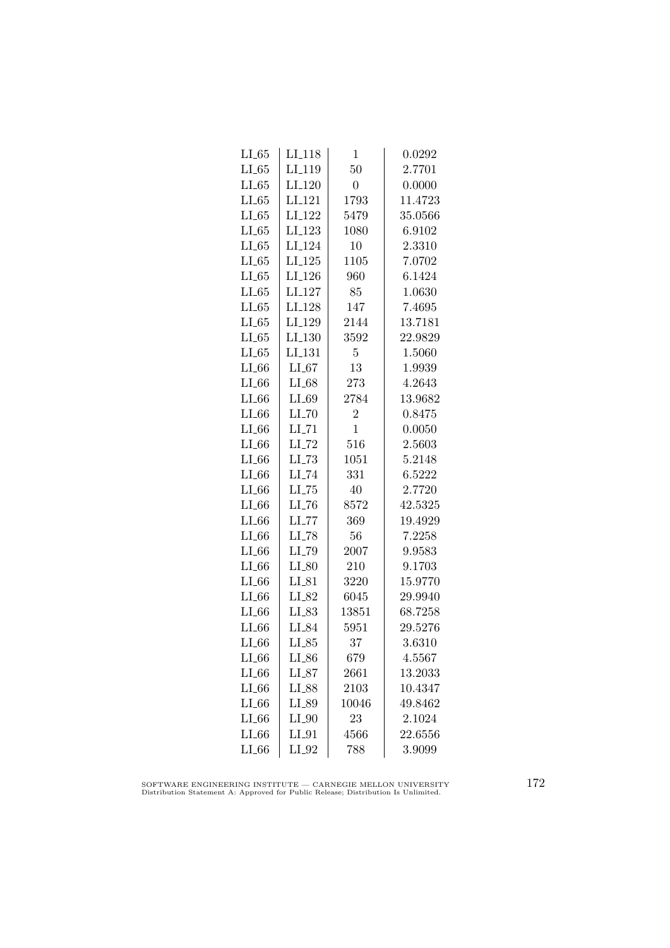| LL65    | LI <sub>-</sub> 118 | 1              | 0.0292  |
|---------|---------------------|----------------|---------|
| $LL-65$ | LI <sub>-119</sub>  | 50             | 2.7701  |
| LL65    | LI <sub>-120</sub>  | $\overline{0}$ | 0.0000  |
| LL65    | LI <sub>-121</sub>  | 1793           | 11.4723 |
| LL65    | LI <sub>122</sub>   | 5479           | 35.0566 |
| LL65    | LI <sub>-123</sub>  | 1080           | 6.9102  |
| LL65    | LI <sub>-124</sub>  | 10             | 2.3310  |
| $LI_65$ | $LI-125$            | 1105           | 7.0702  |
| $LL-65$ | LI <sub>-126</sub>  | 960            | 6.1424  |
| LL65    | LI <sub>-127</sub>  | 85             | 1.0630  |
| $LI_65$ | LI <sub>-128</sub>  | 147            | 7.4695  |
| LL65    | LI <sub>-129</sub>  | 2144           | 13.7181 |
| LL65    | LI <sub>-130</sub>  | 3592           | 22.9829 |
| $LI_65$ | $LI_131$            | 5              | 1.5060  |
| $LI_66$ | $LI_67$             | 13             | 1.9939  |
| $LI_66$ | $LI_68$             | 273            | 4.2643  |
| $LI_66$ | $LI_69$             | 2784           | 13.9682 |
| $LI_66$ | $LI$ <sub>-70</sub> | $\overline{2}$ | 0.8475  |
| $LI_66$ | $LL$ <sub>-71</sub> | 1              | 0.0050  |
| $LI_66$ | $LI$ <sub>-72</sub> | 516            | 2.5603  |
| $LI_66$ | $LI$ <sub>-73</sub> | 1051           | 5.2148  |
| LL66    | $LI$ <sub>-74</sub> | 331            | 6.5222  |
| $LI_66$ | $LL-75$             | 40             | 2.7720  |
| LL66    | $LL-76$             | 8572           | 42.5325 |
| $LI_66$ | $LI$ <sub>-77</sub> | 369            | 19.4929 |
| $LI_66$ | LI_78               | 56             | 7.2258  |
| $LI_66$ | LI_79               | 2007           | 9.9583  |
| $LI_66$ | $LI_80$             | 210            | 9.1703  |
| $LI_66$ | $LI_81$             | 3220           | 15.9770 |
| $LI_66$ | LI_82               | 6045           | 29.9940 |
| $LI_66$ | $LI_83$             | 13851          | 68.7258 |
| $LI_66$ | LI_84               | 5951           | 29.5276 |
| $LI_66$ | $LI_85$             | 37             | 3.6310  |
| $LI_66$ | $LI_86$             | 679            | 4.5567  |
| $LI_66$ | $LI_87$             | 2661           | 13.2033 |
| $LI_66$ | $LI_88$             | 2103           | 10.4347 |
| $LI_66$ | LI_89               | 10046          | 49.8462 |
| $LI_66$ | $LI_0$              | 23             | 2.1024  |
| $LI_66$ | $LI_01$             | 4566           | 22.6556 |
| $LI_66$ | $LI_02$             | 788            | 3.9099  |
|         |                     |                |         |

SOFTWARE ENGINEERING INSTITUTE — CARNEGIE MELLON UNIVERSITY Distribution Statement A: Approved for Public Release; Distribution Is Unlimited.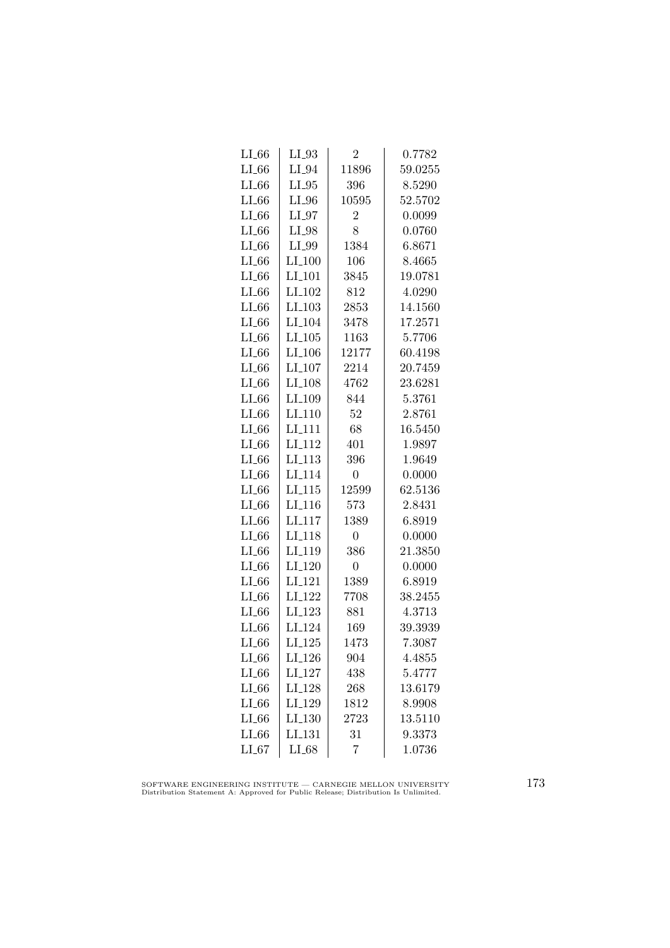| $LL_{.66}$ | $LI_03$              | $\overline{2}$ | 0.7782  |
|------------|----------------------|----------------|---------|
| $LI_66$    | $LI_04$              | 11896          | 59.0255 |
| $LI_66$    | $LI_05$              | 396            | 8.5290  |
| $LI_66$    | $LI_0$               | 10595          | 52.5702 |
| $LI_66$    | $LI_97$              | $\overline{2}$ | 0.0099  |
| $LI_66$    | LI_98                | 8              | 0.0760  |
| $LI_66$    | LI_99                | 1384           | 6.8671  |
| $LI_66$    | $LI_100$             | 106            | 8.4665  |
| $LL-66$    | $LI$ <sub>-101</sub> | 3845           | 19.0781 |
| LL66       | $LI_102$             | 812            | 4.0290  |
| LL66       | $LI$ <sub>-103</sub> | 2853           | 14.1560 |
| LL66       | LI <sub>-104</sub>   | 3478           | 17.2571 |
| LL 66      | $LI_105$             | 1163           | 5.7706  |
| $LI_66$    | $LI_106$             | 12177          | 60.4198 |
| $LI_66$    | $LI_107$             | 2214           | 20.7459 |
| $LI_66$    | LI <sub>-108</sub>   | 4762           | 23.6281 |
| LL66       | LI_109               | 844            | 5.3761  |
| LL66       | LI <sub>-110</sub>   | 52             | 2.8761  |
| $LI_66$    | LI <sub>111</sub>    | 68             | 16.5450 |
| $LI_66$    | LI <sub>-112</sub>   | 401            | 1.9897  |
| $LI_66$    | $LI_113$             | 396            | 1.9649  |
| LL66       | LI <sub>-114</sub>   | $\overline{0}$ | 0.0000  |
| $LI_66$    | $LI$ <sub>-115</sub> | 12599          | 62.5136 |
| LL66       | LI <sub>-116</sub>   | 573            | 2.8431  |
| LL66       | LI <sub>117</sub>    | 1389           | 6.8919  |
| LL66       | LI <sub>118</sub>    | 0              | 0.0000  |
| $LI_66$    | LI <sub>-119</sub>   | 386            | 21.3850 |
| $LI_66$    | LI <sub>-120</sub>   | $\overline{0}$ | 0.0000  |
| $LI_66$    | LI <sub>-121</sub>   | 1389           | 6.8919  |
| $LI_66$    | LI <sub>-122</sub>   | 7708           | 38.2455 |
| $LI_66$    | LI <sub>-123</sub>   | 881            | 4.3713  |
| $LI_66$    | LI <sub>-124</sub>   | 169            | 39.3939 |
| LL66       | $LI_125$             | 1473           | 7.3087  |
| LL66       | $LI_126$             | 904            | 4.4855  |
| $LI_66$    | LI <sub>-127</sub>   | 438            | 5.4777  |
| $LL-66$    | LI <sub>-128</sub>   | 268            | 13.6179 |
| LL 66      | LI <sub>-129</sub>   | 1812           | 8.9908  |
| LL66       | LI <sub>-130</sub>   | 2723           | 13.5110 |
| $LI_66$    | LI <sub>-131</sub>   | 31             | 9.3373  |
| LL67       | $LI_68$              | 7              | 1.0736  |

SOFTWARE ENGINEERING INSTITUTE — CARNEGIE MELLON UNIVERSITY Distribution Statement A: Approved for Public Release; Distribution Is Unlimited.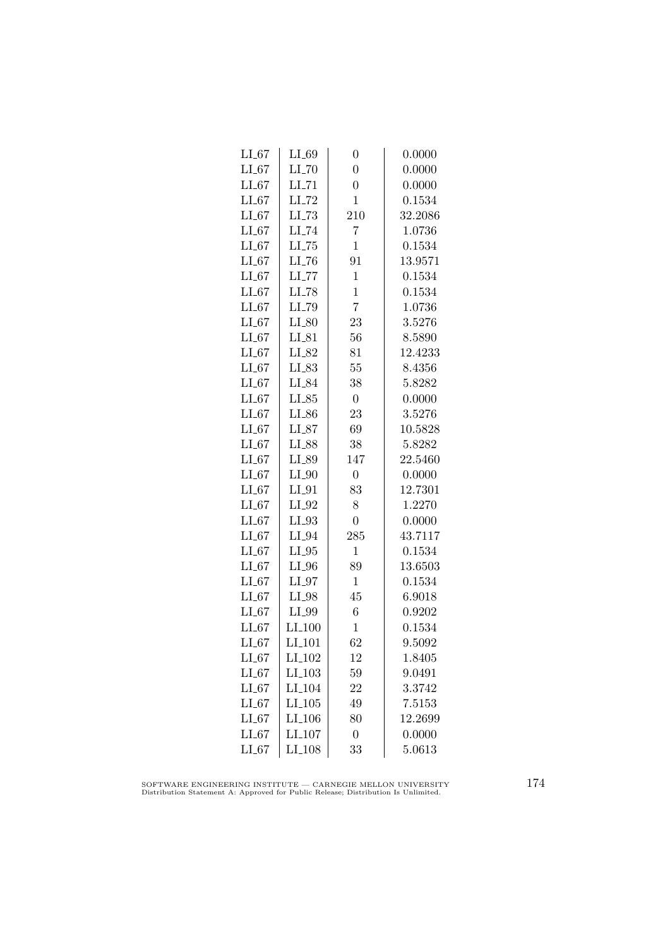| $LI_67$ | $LI_69$              | $\boldsymbol{0}$ | 0.0000  |
|---------|----------------------|------------------|---------|
| $LI_67$ | $LI$ <sub>-70</sub>  | $\overline{0}$   | 0.0000  |
| $LI_67$ | $LI$ <sub>-71</sub>  | $\overline{0}$   | 0.0000  |
| $LI_67$ | $LI$ <sub>-72</sub>  | $\mathbf 1$      | 0.1534  |
| $LI_67$ | LL73                 | 210              | 32.2086 |
| $LI_67$ | LI_74                | 7                | 1.0736  |
| $LI_67$ | $LL-75$              | $\mathbf{1}$     | 0.1534  |
| $LI_67$ | $LI$ <sub>-76</sub>  | 91               | 13.9571 |
| $LI_67$ | $LI$ <sub>-77</sub>  | $\mathbf{1}$     | 0.1534  |
| $LI_67$ | LI_78                | $\mathbf{1}$     | 0.1534  |
| LL67    | LI_79                | $\overline{7}$   | 1.0736  |
| $LI_67$ | $LI_80$              | 23               | 3.5276  |
| $LI_67$ | $LI_81$              | 56               | 8.5890  |
| $LI_67$ | LI_82                | 81               | 12.4233 |
| $LI_67$ | $LI_83$              | 55               | 8.4356  |
| $LI_67$ | LI_84                | 38               | 5.8282  |
| $LI_67$ | $LI_85$              | $\boldsymbol{0}$ | 0.0000  |
| $LI_67$ | LI_86                | 23               | 3.5276  |
| $LI_67$ | $LI_87$              | 69               | 10.5828 |
| $LI_67$ | LI_88                | 38               | 5.8282  |
| $LI_67$ | LI_89                | 147              | 22.5460 |
| $LI_67$ | $LI_0$               | $\overline{0}$   | 0.0000  |
| $LI_67$ | $LI_01$              | 83               | 12.7301 |
| $LI_67$ | $LI_02$              | 8                | 1.2270  |
| $LI_67$ | $LI_93$              | $\overline{0}$   | 0.0000  |
| $LI_67$ | $LI_04$              | 285              | 43.7117 |
| $LI_67$ | $LI_05$              | $\mathbf 1$      | 0.1534  |
| $LI_67$ | $LI_0$               | 89               | 13.6503 |
| $LI_67$ | $LI_07$              | $\mathbf{1}$     | 0.1534  |
| $LI_67$ | LI_98                | 45               | 6.9018  |
| LL67    | LI_99                | 6                | 0.9202  |
| $LI_67$ | LI <sub>-100</sub>   | $\mathbf{1}$     | 0.1534  |
| $LI_67$ | LI <sub>-101</sub>   | 62               | 9.5092  |
| $LI_67$ | $LI_102$             | 12               | 1.8405  |
| $LI_67$ | $LI_103$             | 59               | 9.0491  |
| $LI_67$ | LI <sub>-104</sub>   | 22               | 3.3742  |
| $LI_67$ | $LI$ <sub>-105</sub> | 49               | 7.5153  |
| $LI_67$ | $LI$ <sub>-106</sub> | 80               | 12.2699 |
| $LI_67$ | LI <sub>-107</sub>   | $\boldsymbol{0}$ | 0.0000  |
| $LI_67$ | $LI_108$             | 33               | 5.0613  |

SOFTWARE ENGINEERING INSTITUTE — CARNEGIE MELLON UNIVERSITY Distribution Statement A: Approved for Public Release; Distribution Is Unlimited.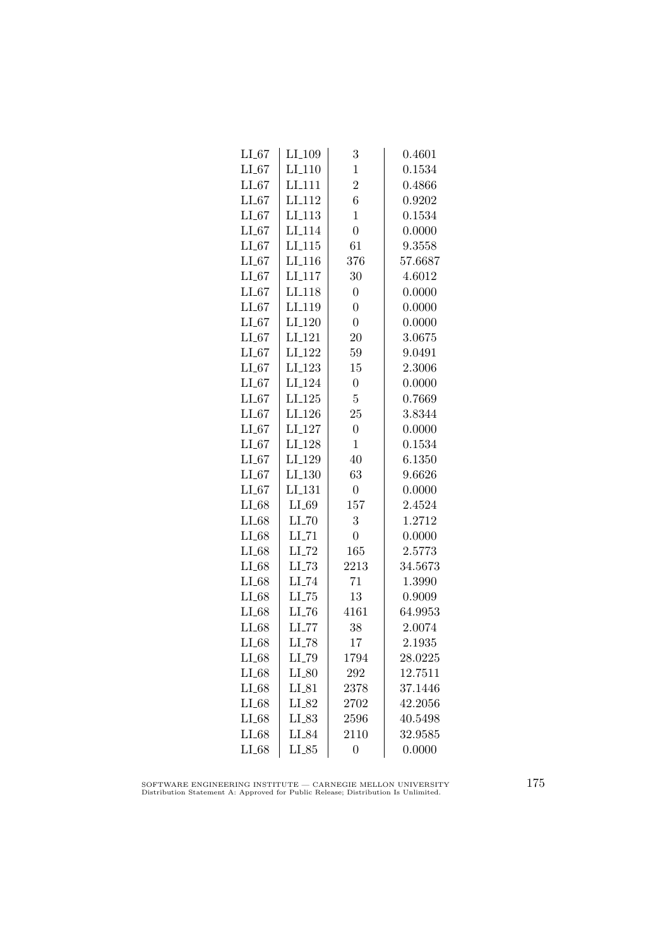| $LI_67$ | LI <sub>-109</sub>  | 3                | 0.4601  |
|---------|---------------------|------------------|---------|
| $LI_67$ | $LI-110$            | $\mathbf{1}$     | 0.1534  |
| $LI_67$ | LI <sub>-111</sub>  | $\overline{2}$   | 0.4866  |
| $LI_67$ | LI <sub>112</sub>   | 6                | 0.9202  |
| $LI_67$ | LI <sub>-113</sub>  | $\mathbf{1}$     | 0.1534  |
| $LI_67$ | LI <sub>-114</sub>  | $\overline{0}$   | 0.0000  |
| $LI_67$ | LI <sub>-115</sub>  | 61               | 9.3558  |
| $LI_67$ | $LI_116$            | 376              | 57.6687 |
| $LI_67$ | LI <sub>-117</sub>  | 30               | 4.6012  |
| $LI_67$ | LI <sub>-118</sub>  | $\overline{0}$   | 0.0000  |
| $LI_67$ | LI <sub>-119</sub>  | $\overline{0}$   | 0.0000  |
| $LI_67$ | LI <sub>-120</sub>  | $\overline{0}$   | 0.0000  |
| $LI_67$ | LI <sub>-121</sub>  | 20               | 3.0675  |
| $LI_67$ | LI <sub>-122</sub>  | 59               | 9.0491  |
| $LI_67$ | LI <sub>-123</sub>  | 15               | 2.3006  |
| $LI_67$ | LI <sub>-124</sub>  | $\overline{0}$   | 0.0000  |
| LL67    | $LI_125$            | $\overline{5}$   | 0.7669  |
| $LI_67$ | LI <sub>-126</sub>  | 25               | 3.8344  |
| $LI_67$ | LI <sub>-127</sub>  | $\overline{0}$   | 0.0000  |
| $LI_67$ | LI <sub>-128</sub>  | $\mathbf{1}$     | 0.1534  |
| $LI_67$ | LI <sub>-129</sub>  | 40               | 6.1350  |
| $LI_67$ | LI <sub>-130</sub>  | 63               | 9.6626  |
| $LI_67$ | LI <sub>-131</sub>  | $\boldsymbol{0}$ | 0.0000  |
| $LI_68$ | $LI_69$             | 157              | 2.4524  |
| $LI_68$ | LL70                | 3                | 1.2712  |
| $LI_68$ | $LI$ <sub>-71</sub> | $\overline{0}$   | 0.0000  |
| $LI_68$ | $LI$ <sub>-72</sub> | 165              | 2.5773  |
| $LI_68$ | $LL-73$             | 2213             | 34.5673 |
| $LI_68$ | $LI$ <sub>-74</sub> | 71               | 1.3990  |
| $LI_68$ | $LI$ <sub>-75</sub> | 13               | 0.9009  |
| $LI_68$ | LI <sub>-76</sub>   | 4161             | 64.9953 |
| $LI_68$ | LL77                | 38               | 2.0074  |
| $LI_68$ | LI_78               | 17               | 2.1935  |
| $LI_68$ | LI_79               | 1794             | 28.0225 |
| $LI_68$ | $LI_80$             | 292              | 12.7511 |
| $LI_68$ | $LI_81$             | 2378             | 37.1446 |
| $LI_68$ | LI_82               | 2702             | 42.2056 |
| $LI_68$ | LI_83               | 2596             | 40.5498 |
| $LI_68$ | LI_84               | 2110             | 32.9585 |
| $LI_68$ | $LI_85$             | $\overline{0}$   | 0.0000  |

SOFTWARE ENGINEERING INSTITUTE — CARNEGIE MELLON UNIVERSITY Distribution Statement A: Approved for Public Release; Distribution Is Unlimited.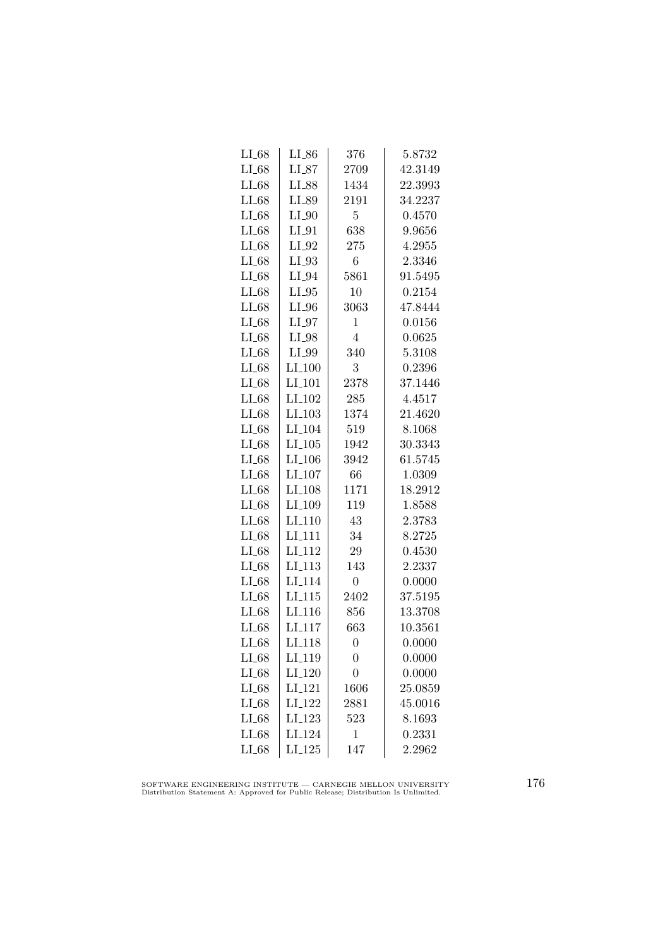| $LI_68$ | $LI_86$              | 376            | 5.8732  |
|---------|----------------------|----------------|---------|
| $LI_68$ | $LI_87$              | 2709           | 42.3149 |
| $LI_68$ | LI_88                | 1434           | 22.3993 |
| $LI_68$ | LI_89                | 2191           | 34.2237 |
| $LI_68$ | $LI_0$               | 5              | 0.4570  |
|         |                      | 638            |         |
| $LI_68$ | $LI_01$              |                | 9.9656  |
| $LI_68$ | $LI_02$              | 275            | 4.2955  |
| $LI_68$ | $LI_03$              | 6              | 2.3346  |
| $LI_68$ | $LI_04$              | 5861           | 91.5495 |
| $LI_68$ | $LI_05$              | 10             | 0.2154  |
| $LI_68$ | $LI_0$               | 3063           | 47.8444 |
| $LI_68$ | $LI_0$               | 1              | 0.0156  |
| $LI_68$ | $LI_98$              | $\overline{4}$ | 0.0625  |
| $LI_68$ | LI_99                | 340            | 5.3108  |
| $LI_68$ | $LI_100$             | 3              | 0.2396  |
| $LI_68$ | $LI$ <sub>-101</sub> | 2378           | 37.1446 |
| $LI_68$ | LI <sub>-102</sub>   | 285            | 4.4517  |
| $LI_68$ | $LI$ <sub>-103</sub> | 1374           | 21.4620 |
| $LI_68$ | LI <sub>-104</sub>   | 519            | 8.1068  |
| $LI_68$ | $LI_105$             | 1942           | 30.3343 |
| $LI_68$ | $LI_106$             | 3942           | 61.5745 |
| $LI_68$ | $LI_107$             | 66             | 1.0309  |
| $LI_68$ | LI <sub>-108</sub>   | 1171           | 18.2912 |
| $LI_68$ | LI <sub>-109</sub>   | 119            | 1.8588  |
| $LI_68$ | LI <sub>-110</sub>   | 43             | 2.3783  |
| $LI_68$ | LI <sub>-111</sub>   | 34             | 8.2725  |
| $LI_68$ | LI <sub>-112</sub>   | 29             | 0.4530  |
| $LI_68$ | $LI_113$             | 143            | 2.2337  |
| $LI_68$ | LI <sub>-114</sub>   | $\overline{0}$ | 0.0000  |
| $LI_68$ | LI.115               | 2402           | 37.5195 |
| $LI_68$ | LI <sub>-116</sub>   | 856            | 13.3708 |
| $LI_68$ | LI <sub>117</sub>    | 663            | 10.3561 |
| $LI_68$ | LI <sub>-118</sub>   | $\overline{0}$ | 0.0000  |
| $LI_68$ | LI_119               | $\overline{0}$ | 0.0000  |
| $LI_68$ | LI <sub>-120</sub>   | $\overline{0}$ | 0.0000  |
| $LI_68$ | LI <sub>-121</sub>   | 1606           | 25.0859 |
| $LI_68$ | LI <sub>-122</sub>   | 2881           | 45.0016 |
| $LI_68$ | $LI_123$             | 523            | 8.1693  |
| $LI_68$ | LI <sub>-124</sub>   | 1              | 0.2331  |
| $LI_68$ | $LI_125$             | 147            | 2.2962  |
|         |                      |                |         |

SOFTWARE ENGINEERING INSTITUTE — CARNEGIE MELLON UNIVERSITY Distribution Statement A: Approved for Public Release; Distribution Is Unlimited.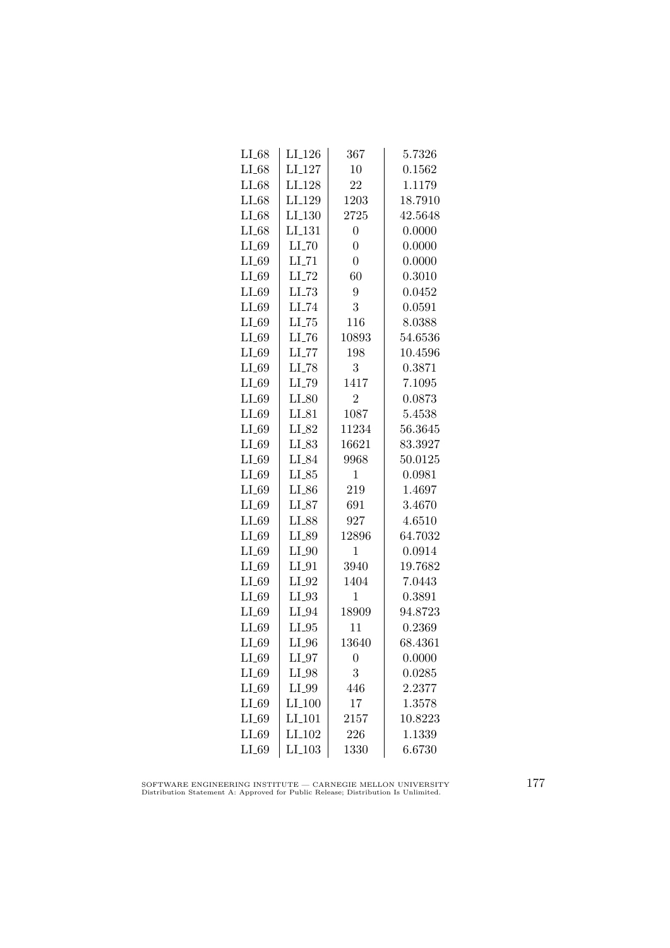| $LI_68$ | $LI_126$            | 367              | 5.7326  |
|---------|---------------------|------------------|---------|
| $LI_68$ | LI <sub>-127</sub>  | 10               | 0.1562  |
| $LI_68$ | LI <sub>-128</sub>  | 22               | 1.1179  |
| $LI_68$ | LI <sub>-129</sub>  | 1203             | 18.7910 |
| $LI_68$ | LI <sub>-130</sub>  | 2725             | 42.5648 |
| $LI_68$ | LI <sub>-131</sub>  | $\overline{0}$   | 0.0000  |
| $LI_69$ | $LI$ <sub>-70</sub> | $\overline{0}$   | 0.0000  |
| $LI_69$ | $LI$ <sub>-71</sub> | $\overline{0}$   | 0.0000  |
| $LI_69$ | $LI$ <sub>-72</sub> | 60               | 0.3010  |
| $LI_69$ | $LL-73$             | 9                | 0.0452  |
| $LI_69$ | LI_74               | 3                | 0.0591  |
| $LI_69$ | $LI$ <sub>-75</sub> | 116              | 8.0388  |
| $LI_69$ | $LI$ <sub>-76</sub> | 10893            | 54.6536 |
| $LI_69$ | $LI$ <sub>-77</sub> | 198              | 10.4596 |
| $LI_69$ | $LI$ <sub>-78</sub> | 3                | 0.3871  |
| $LI_69$ | LI <sub>-79</sub>   | 1417             | 7.1095  |
| LI_69   | $LI_80$             | $\overline{2}$   | 0.0873  |
| $LI_69$ | $LI_81$             | 1087             | 5.4538  |
| $LI_69$ | LI_82               | 11234            | 56.3645 |
| $LI_69$ | LI_83               | 16621            | 83.3927 |
| $LI_69$ | LI_84               | 9968             | 50.0125 |
| $LI_69$ | $LI_85$             | $\mathbf 1$      | 0.0981  |
| $LI_69$ | $LI_86$             | 219              | 1.4697  |
| $LI_69$ | $LI_87$             | 691              | 3.4670  |
| $LI_69$ | LI_88               | 927              | 4.6510  |
| $LI_69$ | LI_89               | 12896            | 64.7032 |
| $LI_69$ | $LI_0$              | $\mathbf 1$      | 0.0914  |
| $LI_69$ | $LI_01$             | 3940             | 19.7682 |
| $LI_69$ | $LI_02$             | 1404             | 7.0443  |
| LI_69   | $LI_03$             | $\mathbf 1$      | 0.3891  |
| LI_69   | LI_94               | 18909            | 94.8723 |
| $LI_69$ | $LI_05$             | 11               | 0.2369  |
| $LI_69$ | $LI_0$              | 13640            | 68.4361 |
| $LI_69$ | $LI_97$             | $\boldsymbol{0}$ | 0.0000  |
| $LI_69$ | LI_98               | 3                | 0.0285  |
| LI_69   | LI_99               | 446              | 2.2377  |
| $LI_69$ | $LI_100$            | 17               | 1.3578  |
| $LI_69$ | LI <sub>-101</sub>  | 2157             | 10.8223 |
| $LI_69$ | LI <sub>-102</sub>  | 226              | 1.1339  |
| $LI_69$ | $LI_103$            | 1330             | 6.6730  |
|         |                     |                  |         |

SOFTWARE ENGINEERING INSTITUTE — CARNEGIE MELLON UNIVERSITY Distribution Statement A: Approved for Public Release; Distribution Is Unlimited.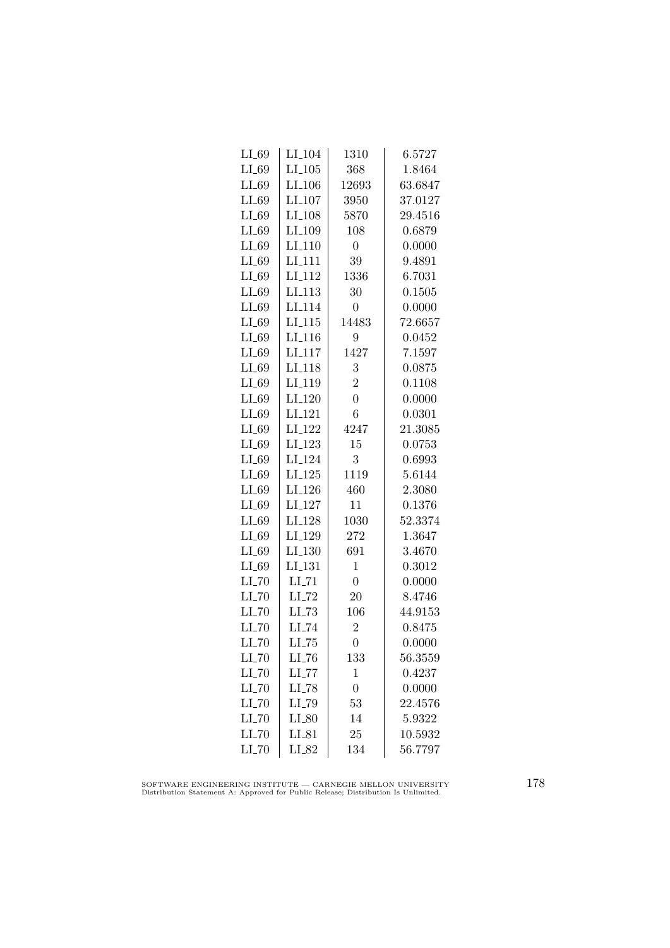| $LI_69$             | LI <sub>-104</sub>   | 1310           | 6.5727  |
|---------------------|----------------------|----------------|---------|
| $LI_69$             | $LI$ <sub>-105</sub> | 368            | 1.8464  |
| $LI_69$             | LI <sub>-106</sub>   | 12693          | 63.6847 |
| $LI_69$             | LI <sub>-107</sub>   | 3950           | 37.0127 |
| $LI_69$             | LI <sub>-108</sub>   | 5870           | 29.4516 |
| $LI_69$             | LI_109               | 108            | 0.6879  |
| $LI_69$             | $LI_110$             | $\overline{0}$ | 0.0000  |
| $LI_69$             | LI <sub>-111</sub>   | 39             | 9.4891  |
| $LI_69$             | LI <sub>-112</sub>   | 1336           | 6.7031  |
| $LI_69$             | LI <sub>-113</sub>   | 30             | 0.1505  |
| $LI_69$             | LI <sub>114</sub>    | $\overline{0}$ | 0.0000  |
| $LI_69$             | LI <sub>-115</sub>   | 14483          | 72.6657 |
| $LI_69$             | LI <sub>-116</sub>   | 9              | 0.0452  |
| $LI_69$             | $LI_117$             | 1427           | 7.1597  |
| $LI_69$             | LI <sub>-118</sub>   | 3              | 0.0875  |
| $LI_69$             | LI_119               | $\overline{2}$ | 0.1108  |
| $LI_69$             | LI <sub>-120</sub>   | $\overline{0}$ | 0.0000  |
| $LI_69$             | LI <sub>-121</sub>   | 6              | 0.0301  |
| LI_69               | LI <sub>-122</sub>   | 4247           | 21.3085 |
| $LI_69$             | $LI_123$             | 15             | 0.0753  |
| $LI_69$             | LI <sub>-124</sub>   | 3              | 0.6993  |
| $LI_69$             | $LI_125$             | 1119           | 5.6144  |
| $LI_69$             | LI <sub>-126</sub>   | 460            | 2.3080  |
| $LI_69$             | LI <sub>-127</sub>   | 11             | 0.1376  |
| $LI_69$             | LI <sub>-128</sub>   | 1030           | 52.3374 |
| $LI_69$             | LI <sub>-129</sub>   | 272            | 1.3647  |
| $LI_69$             | LI <sub>-130</sub>   | 691            | 3.4670  |
| $LI_69$             | LI_131               | $\mathbf{1}$   | 0.3012  |
| $LI$ <sub>-70</sub> | $LI$ <sub>-71</sub>  | $\overline{0}$ | 0.0000  |
| $LI$ <sub>-70</sub> | $LI$ <sub>-72</sub>  | 20             | 8.4746  |
| $LI$ <sub>-70</sub> | LL73                 | 106            | 44.9153 |
| $LI$ <sub>-70</sub> | LI_74                | $\overline{2}$ | 0.8475  |
| $LI$ <sub>-70</sub> | $LI$ <sub>-75</sub>  | $\overline{0}$ | 0.0000  |
| $LI$ <sub>-70</sub> | $LI$ <sub>-76</sub>  | 133            | 56.3559 |
| $LI$ <sub>-70</sub> | $LI$ <sub>-77</sub>  | 1              | 0.4237  |
| $LI$ <sub>-70</sub> | $LI$ <sub>-78</sub>  | $\overline{0}$ | 0.0000  |
| $LI$ <sub>-70</sub> | LI_79                | 53             | 22.4576 |
| $LI$ <sub>-70</sub> | $LI_80$              | 14             | 5.9322  |
| LL70                | $LI_81$              | 25             | 10.5932 |
| $LI$ <sub>-70</sub> | LI_82                | 134            | 56.7797 |

SOFTWARE ENGINEERING INSTITUTE — CARNEGIE MELLON UNIVERSITY Distribution Statement A: Approved for Public Release; Distribution Is Unlimited.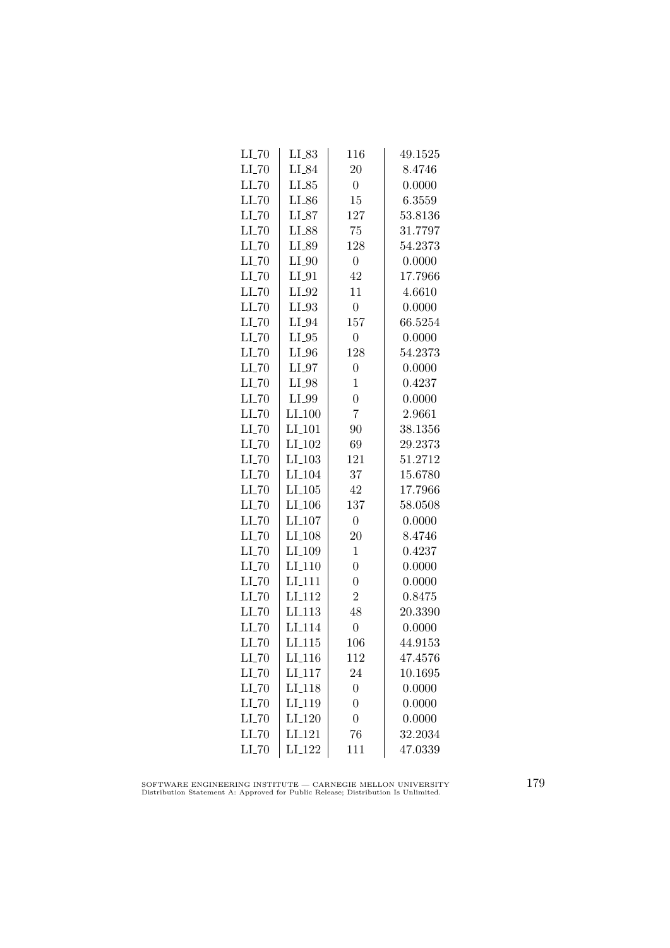| $LI$ <sub>-70</sub> | $LL_{.83}$           | 116              | 49.1525 |
|---------------------|----------------------|------------------|---------|
| $LI$ <sub>-70</sub> | $LI_84$              | 20               | 8.4746  |
| $LI$ <sub>-70</sub> | $LI_85$              | $\overline{0}$   | 0.0000  |
| $LI$ <sub>-70</sub> | LI_86                | 15               | 6.3559  |
| $LI$ <sub>-70</sub> | $LI_87$              | 127              | 53.8136 |
| $LI$ <sub>-70</sub> | LI_88                | 75               | 31.7797 |
| $LI$ <sub>-70</sub> | LI_89                | 128              | 54.2373 |
| $LI$ <sub>-70</sub> | $LI_0$               | $\overline{0}$   | 0.0000  |
| $LI$ <sub>-70</sub> | $LI_01$              | 42               | 17.7966 |
| $LI$ <sub>-70</sub> | $LI_02$              | 11               | 4.6610  |
| $LL$ <sub>-70</sub> | $LI_93$              | $\boldsymbol{0}$ | 0.0000  |
| $LI$ <sub>-70</sub> | $LI_04$              | 157              | 66.5254 |
| $LI$ <sub>-70</sub> | $LI_05$              | $\overline{0}$   | 0.0000  |
| $LI$ <sub>-70</sub> | $LI_0$               | 128              | 54.2373 |
| $LI$ <sub>-70</sub> | $LI_0$               | $\overline{0}$   | 0.0000  |
| $LI$ <sub>-70</sub> | $LI_98$              | $\mathbf 1$      | 0.4237  |
| $LI$ <sub>-70</sub> | LI_99                | $\overline{0}$   | 0.0000  |
| $LI$ <sub>-70</sub> | LI.100               | $\overline{7}$   | 2.9661  |
| $LL$ <sub>-70</sub> | LI <sub>-101</sub>   | 90               | 38.1356 |
| $LI$ <sub>-70</sub> | LI <sub>-102</sub>   | 69               | 29.2373 |
| $LI$ <sub>-70</sub> | $LI_103$             | 121              | 51.2712 |
| $LI$ <sub>-70</sub> | LI <sub>-104</sub>   | 37               | 15.6780 |
| $LL$ <sub>-70</sub> | $LI$ <sub>-105</sub> | 42               | 17.7966 |
| $LI$ <sub>-70</sub> | LI <sub>-106</sub>   | 137              | 58.0508 |
| $LI$ <sub>-70</sub> | LI <sub>-107</sub>   | $\boldsymbol{0}$ | 0.0000  |
| $LI$ <sub>-70</sub> | LI <sub>-108</sub>   | 20               | 8.4746  |
| $LI$ <sub>-70</sub> | LI <sub>-109</sub>   | $\mathbf 1$      | 0.4237  |
| $LI$ <sub>-70</sub> | $LI_110$             | $\overline{0}$   | 0.0000  |
| $LI$ <sub>-70</sub> | LI <sub>-111</sub>   | $\overline{0}$   | 0.0000  |
| $LI$ <sub>-70</sub> | LI <sub>-112</sub>   | $\overline{2}$   | 0.8475  |
| $LI$ <sub>-70</sub> | LI <sub>-113</sub>   | 48               | 20.3390 |
| $LI$ <sub>-70</sub> | LI <sub>-114</sub>   | $\overline{0}$   | 0.0000  |
| $LI$ <sub>-70</sub> | LI <sub>-115</sub>   | 106              | 44.9153 |
| $LI$ <sub>-70</sub> | LI <sub>-116</sub>   | 112              | 47.4576 |
| $LI$ <sub>-70</sub> | LI <sub>-117</sub>   | 24               | 10.1695 |
| $LI$ <sub>-70</sub> | LI <sub>-118</sub>   | $\overline{0}$   | 0.0000  |
| $LI$ <sub>-70</sub> | LI <sub>-119</sub>   | $\overline{0}$   | 0.0000  |
| $LI$ <sub>-70</sub> | LI <sub>-120</sub>   | $\overline{0}$   | 0.0000  |
| $LI$ <sub>-70</sub> | LI <sub>-121</sub>   | 76               | 32.2034 |
| $LI$ <sub>-70</sub> | LI <sub>-122</sub>   | 111              | 47.0339 |

SOFTWARE ENGINEERING INSTITUTE — CARNEGIE MELLON UNIVERSITY Distribution Statement A: Approved for Public Release; Distribution Is Unlimited.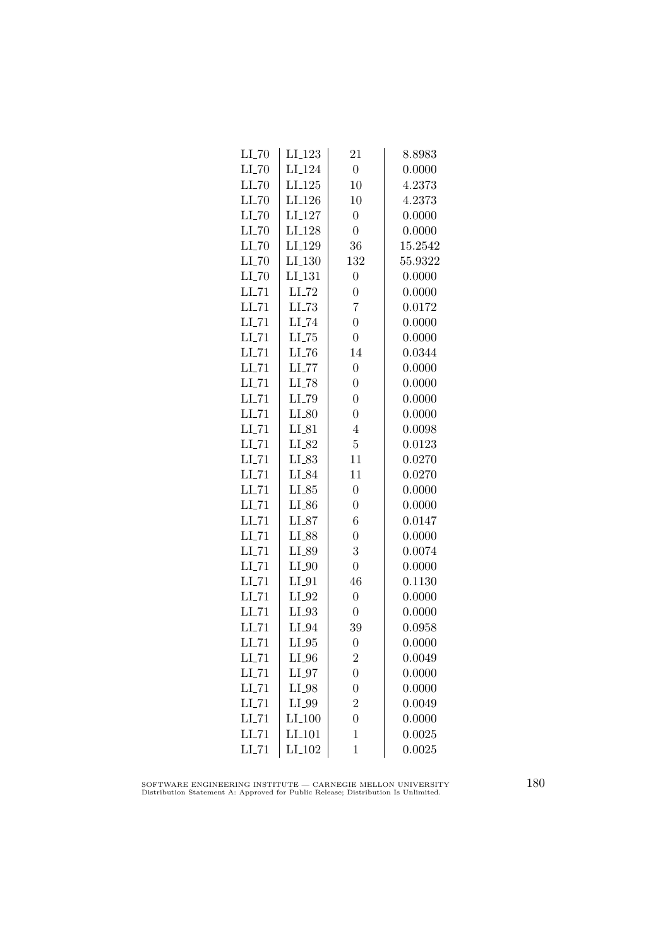| $LI$ <sub>-70</sub> | LI <sub>-123</sub>  | 21               | 8.8983  |
|---------------------|---------------------|------------------|---------|
| $LI$ <sub>-70</sub> | LI <sub>-124</sub>  | $\boldsymbol{0}$ | 0.0000  |
| $LI$ <sub>-70</sub> | LI <sub>-125</sub>  | 10               | 4.2373  |
| $LI$ <sub>-70</sub> | LI <sub>-126</sub>  | 10               | 4.2373  |
| $LI$ <sub>-70</sub> | LI <sub>-127</sub>  | $\overline{0}$   | 0.0000  |
| $LI$ <sub>-70</sub> | LI <sub>-128</sub>  | $\overline{0}$   | 0.0000  |
| $LI$ <sub>-70</sub> | LI <sub>-129</sub>  | 36               | 15.2542 |
| $LI$ <sub>-70</sub> | LI <sub>-130</sub>  | 132              | 55.9322 |
| $LI$ <sub>-70</sub> | LI <sub>-131</sub>  | $\overline{0}$   | 0.0000  |
| $LI$ <sub>-71</sub> | $LI$ <sub>-72</sub> | $\overline{0}$   | 0.0000  |
| $LI$ <sub>-71</sub> | $LL-73$             | 7                | 0.0172  |
| $LI$ <sub>-71</sub> | LI_74               | $\overline{0}$   | 0.0000  |
| $LI$ <sub>-71</sub> | $LL-75$             | $\overline{0}$   | 0.0000  |
| $LI$ <sub>-71</sub> | $LI$ <sub>-76</sub> | 14               | 0.0344  |
| $LI$ <sub>-71</sub> | $LI$ <sub>-77</sub> | $\overline{0}$   | 0.0000  |
| $LI$ <sub>-71</sub> | $LI$ <sub>-78</sub> | $\overline{0}$   | 0.0000  |
| $LI$ <sub>-71</sub> | LI_79               | $\overline{0}$   | 0.0000  |
| $LI$ <sub>-71</sub> | $LI_80$             | $\overline{0}$   | 0.0000  |
| $LI$ <sub>-71</sub> | $LI_81$             | $\overline{4}$   | 0.0098  |
| $LI$ <sub>-71</sub> | $LI_82$             | $\overline{5}$   | 0.0123  |
| $LI$ <sub>-71</sub> | LI_83               | 11               | 0.0270  |
| $LI$ <sub>-71</sub> | LI_84               | 11               | 0.0270  |
| $LL-71$             | $LI_85$             | $\overline{0}$   | 0.0000  |
| $LI$ <sub>-71</sub> | LL86                | $\overline{0}$   | 0.0000  |
| $LI$ <sub>-71</sub> | $LI_87$             | 6                | 0.0147  |
| $LI$ <sub>-71</sub> | LI_88               | $\overline{0}$   | 0.0000  |
| $LI$ <sub>-71</sub> | LI_89               | 3                | 0.0074  |
| $LI$ <sub>-71</sub> | $LI_0$              | $\overline{0}$   | 0.0000  |
| $LI$ <sub>-71</sub> | $LI_01$             | 46               | 0.1130  |
| $LL-71$             | $LI_02$             | $\overline{0}$   | 0.0000  |
| $LI$ <sub>-71</sub> | $LI_93$             | $\overline{0}$   | 0.0000  |
| LL71                | LI_94               | 39               | 0.0958  |
| $LI$ <sub>-71</sub> | $LI_05$             | $\overline{0}$   | 0.0000  |
| $LI$ <sub>-71</sub> | $LI_0$              | $\overline{2}$   | 0.0049  |
| $LI$ <sub>-71</sub> | $LI_97$             | $\overline{0}$   | 0.0000  |
| $LI$ <sub>-71</sub> | $LI_98$             | $\overline{0}$   | 0.0000  |
| $LI$ <sub>-71</sub> | LI_99               | $\overline{2}$   | 0.0049  |
| $LI$ <sub>-71</sub> | LI <sub>-100</sub>  | $\overline{0}$   | 0.0000  |
| $LI$ <sub>-71</sub> | LI_101              | $\mathbf{1}$     | 0.0025  |
| $LI$ <sub>-71</sub> | LI <sub>-102</sub>  | $\mathbf{1}$     | 0.0025  |

SOFTWARE ENGINEERING INSTITUTE — CARNEGIE MELLON UNIVERSITY Distribution Statement A: Approved for Public Release; Distribution Is Unlimited.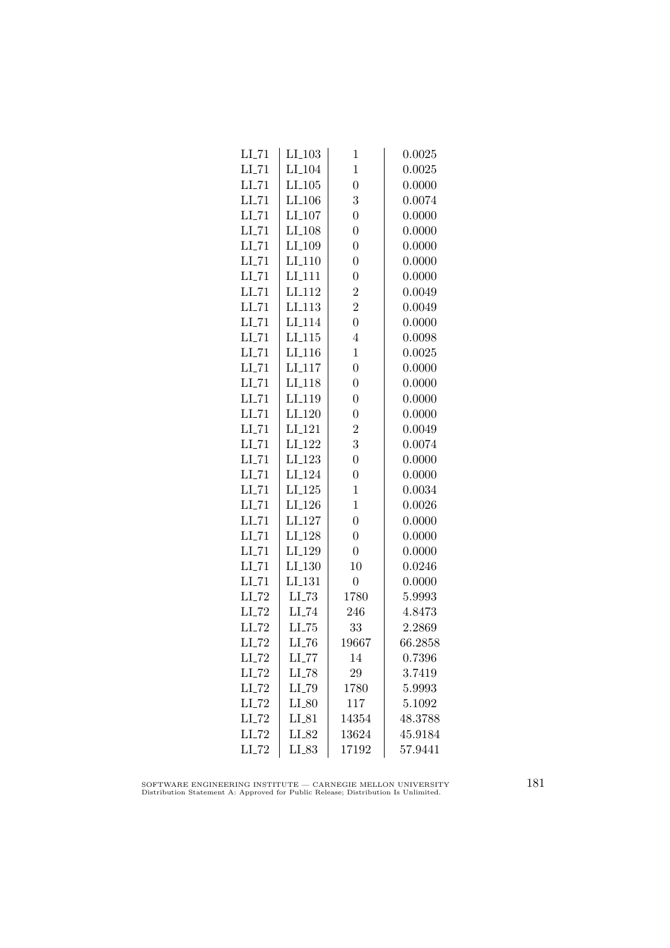| $LI_103$             | $\mathbf 1$    | 0.0025  |
|----------------------|----------------|---------|
| $LI$ <sub>-104</sub> | $\mathbf 1$    | 0.0025  |
| $LI_105$             | $\overline{0}$ | 0.0000  |
| LI <sub>-106</sub>   | 3              | 0.0074  |
| LI <sub>-107</sub>   | $\overline{0}$ | 0.0000  |
| $LI_108$             | $\overline{0}$ | 0.0000  |
| LI <sub>-109</sub>   | $\overline{0}$ | 0.0000  |
| $LI-110$             | $\overline{0}$ | 0.0000  |
| LI <sub>-111</sub>   | $\overline{0}$ | 0.0000  |
| LI <sub>-112</sub>   | $\overline{2}$ | 0.0049  |
| LI <sub>-113</sub>   | $\overline{2}$ | 0.0049  |
| LI <sub>-114</sub>   | $\overline{0}$ | 0.0000  |
| $LI_115$             | $\overline{4}$ | 0.0098  |
| LI <sub>-116</sub>   | $\mathbf{1}$   | 0.0025  |
| LI <sub>-117</sub>   | $\overline{0}$ | 0.0000  |
| LI <sub>-118</sub>   | $\overline{0}$ | 0.0000  |
| LI <sub>-119</sub>   | $\overline{0}$ | 0.0000  |
| LI <sub>-120</sub>   | $\overline{0}$ | 0.0000  |
| LI <sub>-121</sub>   | $\overline{2}$ | 0.0049  |
| LI <sub>-122</sub>   | 3              | 0.0074  |
| LI <sub>-123</sub>   | $\overline{0}$ | 0.0000  |
| LI <sub>-124</sub>   | $\overline{0}$ | 0.0000  |
| $LI-125$             | 1              | 0.0034  |
| LI <sub>-126</sub>   | $\mathbf{1}$   | 0.0026  |
| $LI_127$             | $\overline{0}$ | 0.0000  |
| LI <sub>-128</sub>   | $\overline{0}$ | 0.0000  |
| LI <sub>-129</sub>   | $\overline{0}$ | 0.0000  |
| $LI_130$             | 10             | 0.0246  |
| LI <sub>-131</sub>   | $\overline{0}$ | 0.0000  |
| $LI$ <sub>-73</sub>  | 1780           | 5.9993  |
| LI_74                | 246            | 4.8473  |
| $LL-75$              | 33             | 2.2869  |
| $LI$ <sub>-76</sub>  | 19667          | 66.2858 |
| $LI$ <sub>-77</sub>  | 14             | 0.7396  |
| $LI$ <sub>-78</sub>  | 29             | 3.7419  |
| LI_79                | 1780           | 5.9993  |
| $LI_80$              | 117            | 5.1092  |
| $LI_81$              | 14354          | 48.3788 |
| LI_82                | 13624          | 45.9184 |
| LI_83                | 17192          | 57.9441 |
|                      |                |         |

SOFTWARE ENGINEERING INSTITUTE — CARNEGIE MELLON UNIVERSITY Distribution Statement A: Approved for Public Release; Distribution Is Unlimited.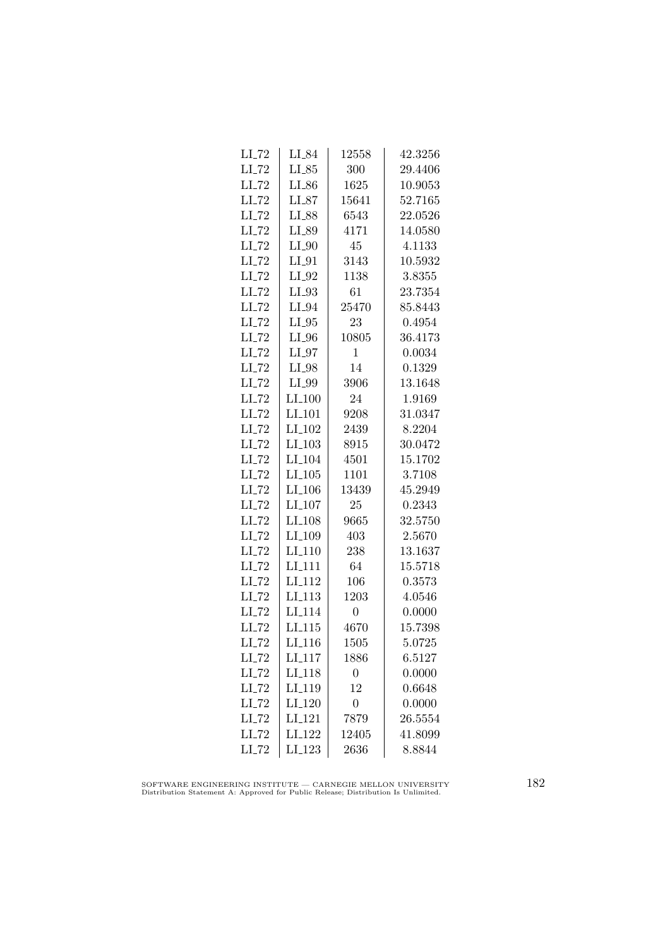| $LI$ <sub>-72</sub> | LI_84               | 12558          | 42.3256 |
|---------------------|---------------------|----------------|---------|
| $LI$ <sub>-72</sub> | $LI_85$             | 300            | 29.4406 |
| $LI$ <sub>-72</sub> | $LI_{.86}$          | 1625           | 10.9053 |
| $LI$ <sub>-72</sub> | $LI_87$             | 15641          | 52.7165 |
| LI_72               | LI_88               | 6543           | 22.0526 |
| $LI$ <sub>-72</sub> | LI_89               | 4171           | 14.0580 |
| $LI$ <sub>-72</sub> | $LI_0$              | 45             | 4.1133  |
| $LI$ <sub>-72</sub> | $LI_01$             | 3143           | 10.5932 |
| $LI$ <sub>-72</sub> | $LI_02$             | 1138           | 3.8355  |
| $LL-72$             | $LI_033$            | 61             | 23.7354 |
| $LI$ <sub>-72</sub> | LI_94               | 25470          | 85.8443 |
| $LI$ <sub>-72</sub> | $LI_05$             | 23             | 0.4954  |
| $LI$ <sub>-72</sub> | $LI_0$              | 10805          | 36.4173 |
| $LI$ <sub>-72</sub> | $LI_97$             | $\mathbf{1}$   | 0.0034  |
| $LI$ <sub>-72</sub> | $LI_98$             | 14             | 0.1329  |
| $LI$ <sub>-72</sub> | LI_99               | 3906           | 13.1648 |
| LL72                | $LI_100$            | 24             | 1.9169  |
| $LL-72$             | LI <sub>-101</sub>  | 9208           | 31.0347 |
| LI_72               | LI <sub>-102</sub>  | 2439           | 8.2204  |
| $LI$ <sub>-72</sub> | $LI_103$            | 8915           | 30.0472 |
| $LI$ <sub>-72</sub> | $LI_104$            | 4501           | 15.1702 |
| $LI$ <sub>-72</sub> | $LI_105$            | 1101           | 3.7108  |
| $LI$ <sub>-72</sub> | LI <sub>-106</sub>  | 13439          | 45.2949 |
| $LI$ <sub>-72</sub> | $LI_107$            | 25             | 0.2343  |
| $LI$ <sub>-72</sub> | LI <sub>-108</sub>  | 9665           | 32.5750 |
| LI_72               | LI <sub>-109</sub>  | 403            | 2.5670  |
| $LI$ <sub>-72</sub> | $LI_110$            | 238            | 13.1637 |
| $LI$ <sub>-72</sub> | LI_111              | 64             | 15.5718 |
| $LI$ <sub>-72</sub> | $LI-112$            | 106            | 0.3573  |
| $LI$ <sub>-72</sub> | $LI$ <sub>113</sub> | 1203           | 4.0546  |
| $LI$ <sub>-72</sub> | LI <sub>-114</sub>  | $\overline{0}$ | 0.0000  |
| $LI$ <sub>-72</sub> | LI <sub>-115</sub>  | 4670           | 15.7398 |
| $LI$ <sub>-72</sub> | LI <sub>-116</sub>  | 1505           | 5.0725  |
| $LI$ <sub>-72</sub> | LI <sub>-117</sub>  | 1886           | 6.5127  |
| $LI$ <sub>-72</sub> | LI <sub>-118</sub>  | $\overline{0}$ | 0.0000  |
| $LI$ <sub>-72</sub> | LI <sub>-119</sub>  | 12             | 0.6648  |
| $LI$ <sub>-72</sub> | LI <sub>-120</sub>  | $\overline{0}$ | 0.0000  |
| $LI$ <sub>-72</sub> | $LI_121$            | 7879           | 26.5554 |
| LI_72               | LI <sub>-122</sub>  | 12405          | 41.8099 |
| $LI$ <sub>-72</sub> | $LI_123$            | 2636           | 8.8844  |

SOFTWARE ENGINEERING INSTITUTE — CARNEGIE MELLON UNIVERSITY Distribution Statement A: Approved for Public Release; Distribution Is Unlimited.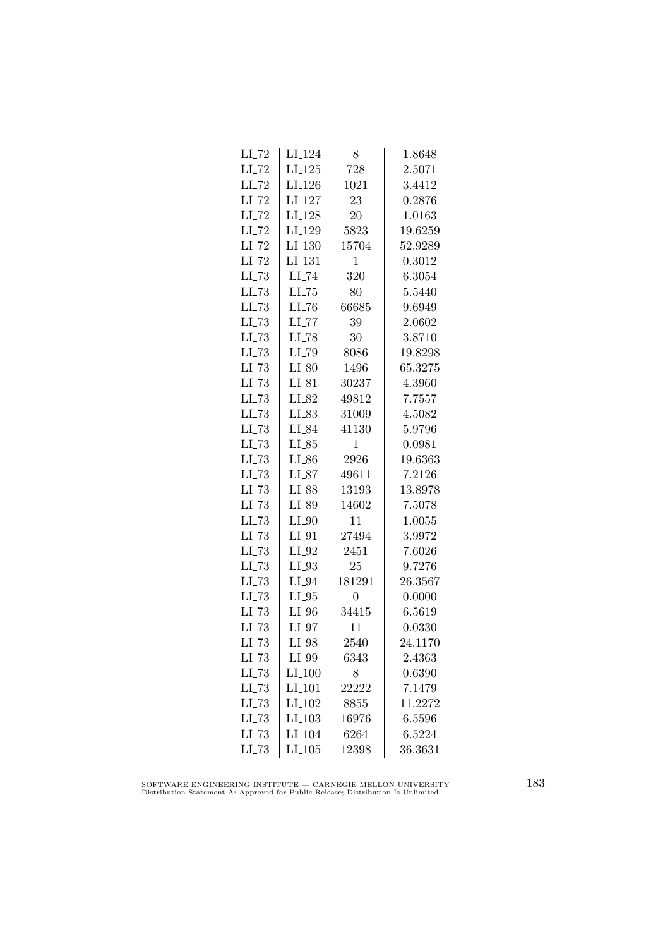| $LI$ <sub>-72</sub> | LI <sub>-124</sub>   | 8            | 1.8648  |
|---------------------|----------------------|--------------|---------|
| $LI$ <sub>-72</sub> | $LI_125$             | 728          | 2.5071  |
| $LI$ <sub>-72</sub> | LI <sub>-126</sub>   | 1021         | 3.4412  |
| $LL$ <sub>72</sub>  | LI <sub>-127</sub>   | 23           | 0.2876  |
| $LI$ <sub>-72</sub> | LI <sub>-128</sub>   | 20           | 1.0163  |
| $LI$ <sub>-72</sub> | LI_129               | 5823         | 19.6259 |
| $LI$ <sub>-72</sub> | $LI_130$             | 15704        | 52.9289 |
| $LI$ <sub>-72</sub> | LI <sub>-131</sub>   | $\mathbf{1}$ | 0.3012  |
| $LL-73$             | LI <sub>-74</sub>    | 320          | 6.3054  |
| $LL-73$             | $LL-75$              | 80           | 5.5440  |
| $LL-73$             | LL76                 | 66685        | 9.6949  |
| $LL-73$             | $LL$ <sub>77</sub>   | 39           | 2.0602  |
| $LL-73$             | $LI$ <sub>-78</sub>  | 30           | 3.8710  |
| $LI$ <sub>-73</sub> | LI_79                | 8086         | 19.8298 |
| $LL-73$             | $LI_80$              | 1496         | 65.3275 |
| $LL-73$             | $LI_81$              | 30237        | 4.3960  |
| $LL-73$             | $LI_82$              | 49812        | 7.7557  |
| $LL-73$             | $LI_83$              | 31009        | 4.5082  |
| $LL-73$             | LI_84                | 41130        | 5.9796  |
| $LL-73$             | $LI_85$              | 1            | 0.0981  |
| $LI$ <sub>-73</sub> | $LI_86$              | 2926         | 19.6363 |
| $LL-73$             | $LI_87$              | 49611        | 7.2126  |
| $LL-73$             | LI_88                | 13193        | 13.8978 |
| $LL-73$             | LL89                 | 14602        | 7.5078  |
| $LL-73$             | $LI_0$               | 11           | 1.0055  |
| $LL-73$             | $LI_01$              | 27494        | 3.9972  |
| $LL-73$             | $LI_02$              | 2451         | 7.6026  |
| $LI$ <sub>-73</sub> | $LI_93$              | 25           | 9.7276  |
| $LI$ <sub>-73</sub> | $LI_04$              | 181291       | 26.3567 |
| $LL-73$             | $LI_05$              | 0            | 0.0000  |
| $LL-73$             | $LI_0$               | 34415        | 6.5619  |
| $LL-73$             | $LI_97$              | 11           | 0.0330  |
| $LL-73$             | LI_98                | 2540         | 24.1170 |
| $LL-73$             | $LI_99$              | 6343         | 2.4363  |
| $LL-73$             | $LI_100$             | 8            | 0.6390  |
| $LL-73$             | $LI_101$             | 22222        | 7.1479  |
| $LL-73$             | $LI_102$             | 8855         | 11.2272 |
| $LL-73$             | $LI$ <sub>-103</sub> | 16976        | 6.5596  |
| LL73                | LI <sub>-104</sub>   | 6264         | 6.5224  |
| $LL-73$             | $LI_105$             | 12398        | 36.3631 |
|                     |                      |              |         |

SOFTWARE ENGINEERING INSTITUTE — CARNEGIE MELLON UNIVERSITY Distribution Statement A: Approved for Public Release; Distribution Is Unlimited.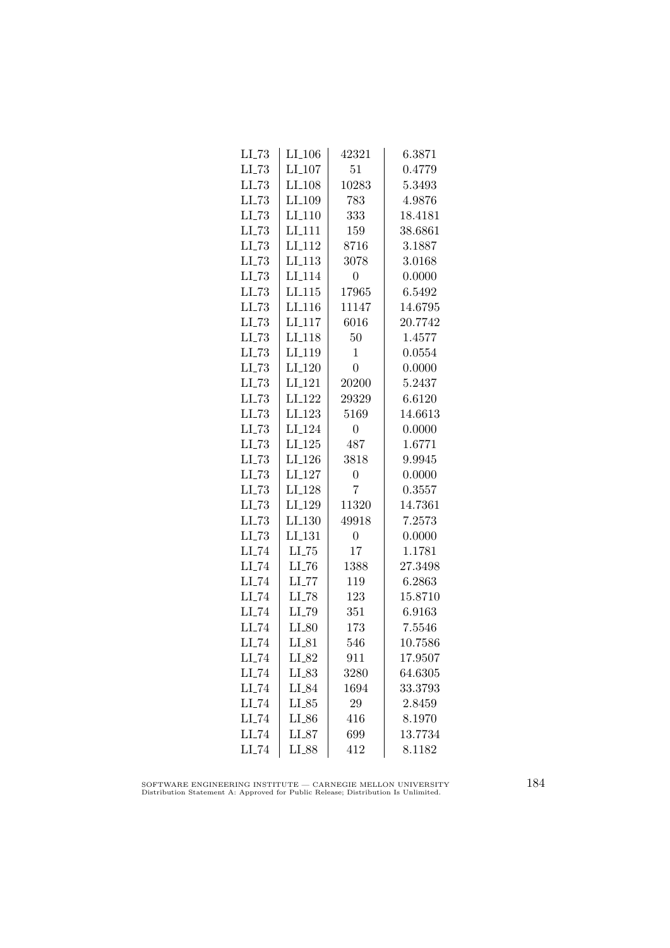| $LL-73$             | $LI_106$            | 42321            | 6.3871  |
|---------------------|---------------------|------------------|---------|
| $LL-73$             | $LI_107$            | 51               | 0.4779  |
| $LL-73$             | LI <sub>-108</sub>  | 10283            | 5.3493  |
| $LL-73$             | LI <sub>-109</sub>  | 783              | 4.9876  |
| $LL-73$             | LI <sub>-110</sub>  | 333              | 18.4181 |
| $LL-73$             | LI <sub>-111</sub>  | 159              | 38.6861 |
| $LI$ <sub>-73</sub> | LI <sub>-112</sub>  | 8716             | 3.1887  |
| $LI$ <sub>-73</sub> | LI <sub>-113</sub>  | 3078             | 3.0168  |
| $LL-73$             | LI <sub>-114</sub>  | $\boldsymbol{0}$ | 0.0000  |
| $LL-73$             | LI.115              | 17965            | 6.5492  |
| $LL-73$             | LI <sub>-116</sub>  | 11147            | 14.6795 |
| LL73                | LI <sub>-117</sub>  | 6016             | 20.7742 |
| $LL-73$             | LI <sub>118</sub>   | 50               | 1.4577  |
| $LL-73$             | LI <sub>-119</sub>  | 1                | 0.0554  |
| $LI$ <sub>-73</sub> | $LI_120$            | $\overline{0}$   | 0.0000  |
| $LI$ <sub>-73</sub> | LI <sub>-121</sub>  | 20200            | 5.2437  |
| $LL-73$             | LI <sub>-122</sub>  | 29329            | 6.6120  |
| $LL-73$             | LI <sub>-123</sub>  | 5169             | 14.6613 |
| LL73                | LI <sub>-124</sub>  | $\overline{0}$   | 0.0000  |
| $LI$ <sub>-73</sub> | $LI_125$            | 487              | 1.6771  |
| $LL-73$             | $LI_126$            | 3818             | 9.9945  |
| $LL-73$             | $LI_127$            | $\overline{0}$   | 0.0000  |
| $LL-73$             | LI <sub>-128</sub>  | $\overline{7}$   | 0.3557  |
| LL73                | LI <sub>-129</sub>  | 11320            | 14.7361 |
| $LL-73$             | LI.130              | 49918            | 7.2573  |
| $LL-73$             | LI <sub>-131</sub>  | $\overline{0}$   | 0.0000  |
| LI_74               | $LL-75$             | 17               | 1.1781  |
| $LI$ <sub>-74</sub> | $LI$ <sub>-76</sub> | 1388             | 27.3498 |
| $LI$ <sub>-74</sub> | $LI$ <sub>-77</sub> | 119              | 6.2863  |
| $LI$ <sub>-74</sub> | $LI$ <sub>-78</sub> | 123              | 15.8710 |
| LI_74               | LI_79               | 351              | 6.9163  |
| LI_74               | $LI_80$             | 173              | 7.5546  |
| $LI$ <sub>-74</sub> | $LI_81$             | 546              | 10.7586 |
| $LI$ <sub>-74</sub> | $LI_82$             | 911              | 17.9507 |
| $LI$ <sub>-74</sub> | $LL_{.83}$          | 3280             | 64.6305 |
| $LI$ <sub>-74</sub> | $LI_84$             | 1694             | 33.3793 |
| $LI$ <sub>-74</sub> | $LI_85$             | 29               | 2.8459  |
| LI_74               | LI_86               | 416              | 8.1970  |
| $LI$ <sub>-74</sub> | LI_87               | 699              | 13.7734 |
| LI_74               | LI_88               | 412              | 8.1182  |

SOFTWARE ENGINEERING INSTITUTE — CARNEGIE MELLON UNIVERSITY Distribution Statement A: Approved for Public Release; Distribution Is Unlimited.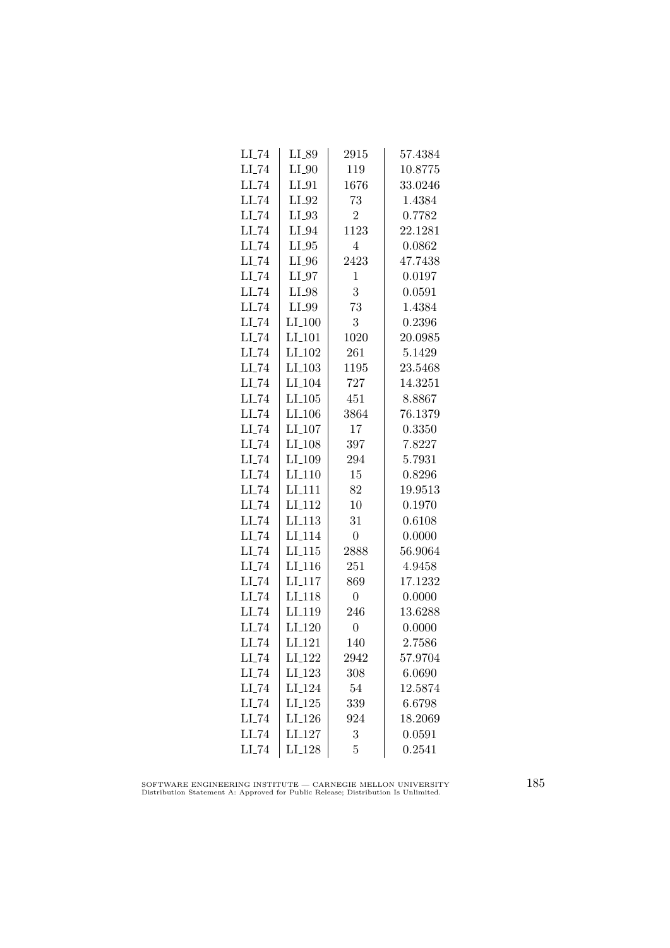| LI_89                | 2915           | 57.4384 |
|----------------------|----------------|---------|
| $LI_0$               | 119            | 10.8775 |
| $LI_01$              | 1676           | 33.0246 |
| $LI_02$              | 73             | 1.4384  |
| LI_93                | $\overline{2}$ | 0.7782  |
| LI_94                | 1123           | 22.1281 |
| $LI_05$              | $\overline{4}$ | 0.0862  |
| $LI_0$               | 2423           | 47.7438 |
| $LI_07$              | $\mathbf 1$    | 0.0197  |
| LI_98                | 3              | 0.0591  |
| LI_99                | 73             | 1.4384  |
| $LI_100$             | 3              | 0.2396  |
| $LI_101$             | 1020           | 20.0985 |
|                      | 261            | 5.1429  |
| $LI$ <sub>-103</sub> | 1195           | 23.5468 |
| $LI_104$             | 727            | 14.3251 |
| LL105                | 451            | 8.8867  |
| LI <sub>-106</sub>   | 3864           | 76.1379 |
| LI <sub>-107</sub>   | 17             | 0.3350  |
| LI_108               | 397            | 7.8227  |
| LI <sub>-109</sub>   | 294            | 5.7931  |
| $LI_110$             | 15             | 0.8296  |
| LI <sub>-111</sub>   | 82             | 19.9513 |
| LI <sub>-112</sub>   | 10             | 0.1970  |
| LI <sub>113</sub>    | 31             | 0.6108  |
| LI <sub>-114</sub>   | $\overline{0}$ | 0.0000  |
| $LI_115$             | 2888           | 56.9064 |
| $LI_116$             | 251            | 4.9458  |
| $LI_117$             | 869            | 17.1232 |
| LI <sub>-118</sub>   | $\overline{0}$ | 0.0000  |
| LI <sub>-119</sub>   | 246            | 13.6288 |
| LI <sub>-120</sub>   | $\overline{0}$ | 0.0000  |
| $LI_121$             | 140            | 2.7586  |
| LI <sub>-122</sub>   | 2942           | 57.9704 |
| LI <sub>-123</sub>   | 308            | 6.0690  |
| LI <sub>-124</sub>   | 54             | 12.5874 |
| $LI-125$             | 339            | 6.6798  |
| LI <sub>-126</sub>   | 924            | 18.2069 |
| LI <sub>-127</sub>   | 3              | 0.0591  |
| LI <sub>-128</sub>   | 5              | 0.2541  |
|                      | $LI_102$       |         |

SOFTWARE ENGINEERING INSTITUTE — CARNEGIE MELLON UNIVERSITY Distribution Statement A: Approved for Public Release; Distribution Is Unlimited.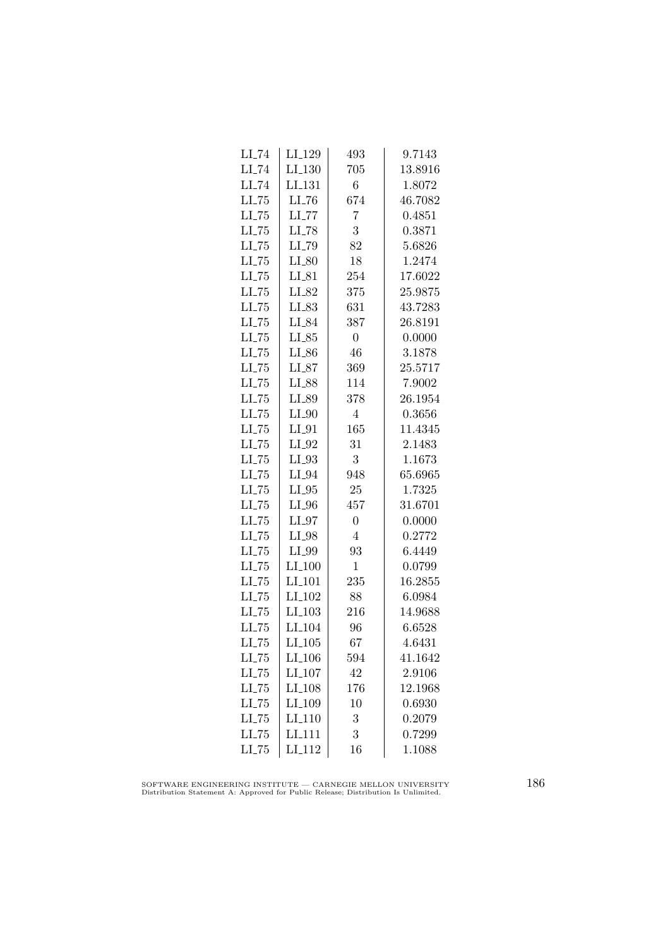| $LI$ <sub>-74</sub> | LI_129               | 493            | 9.7143  |
|---------------------|----------------------|----------------|---------|
| $LI$ <sub>-74</sub> | $LI_130$             | 705            | 13.8916 |
| $LI$ <sub>-74</sub> | LI <sub>-131</sub>   | 6              | 1.8072  |
| $LL-75$             | LI_76                | 674            | 46.7082 |
| LL75                | $LI$ <sub>-77</sub>  | 7              | 0.4851  |
| $LL-75$             | $LI$ <sub>-78</sub>  | 3              | 0.3871  |
| $LL-75$             | LI_79                | 82             | 5.6826  |
| $LI$ <sub>-75</sub> | $LI_80$              | 18             | 1.2474  |
| $LL-75$             | $LI_81$              | 254            | 17.6022 |
| $LL-75$             | LI_82                | 375            | 25.9875 |
| LL75                | LI_83                | 631            | 43.7283 |
| LL75                | LI_84                | 387            | 26.8191 |
| $LI$ <sub>-75</sub> | $LI_85$              | $\overline{0}$ | 0.0000  |
| $LL-75$             | $LI_86$              | 46             | 3.1878  |
| $LI$ <sub>-75</sub> | $LI_87$              | 369            | 25.5717 |
| $LL-75$             | LI_88                | 114            | 7.9002  |
| $LL-75$             | LI_89                | 378            | 26.1954 |
| $LL-75$             | $LI_0$               | $\overline{4}$ | 0.3656  |
| LL75                | $LI_01$              | 165            | 11.4345 |
| $LI$ <sub>-75</sub> | $LI_02$              | 31             | 2.1483  |
| $LI$ <sub>-75</sub> | $LI_93$              | 3              | 1.1673  |
| $LL-75$             | $LI_04$              | 948            | 65.6965 |
| $LI$ <sub>-75</sub> | $LI_05$              | 25             | 1.7325  |
| $LL-75$             | $LI_0$               | 457            | 31.6701 |
| LL75                | $LI_97$              | $\overline{0}$ | 0.0000  |
| $LL-75$             | LI_98                | 4              | 0.2772  |
| $LL-75$             | LI_99                | 93             | 6.4449  |
| $LI$ <sub>-75</sub> | $LI_100$             | $\mathbf{1}$   | 0.0799  |
| $LL-75$             | $LI_101$             | 235            | 16.2855 |
| $LL-75$             | LI <sub>-102</sub>   | 88             | 6.0984  |
| LL75                | $LI$ <sub>-103</sub> | 216            | 14.9688 |
| LL75                | LI <sub>-104</sub>   | 96             | 6.6528  |
| $LL-75$             | $LI_105$             | 67             | 4.6431  |
| $LL-75$             | $LI_106$             | 594            | 41.1642 |
| $LI$ <sub>-75</sub> | $LI_107$             | 42             | 2.9106  |
| $LL-75$             | $LI_108$             | 176            | 12.1968 |
| $LL-75$             | LI_109               | 10             | 0.6930  |
| LL75                | LI <sub>-110</sub>   | 3              | 0.2079  |
| LL75                | LI <sub>111</sub>    | 3              | 0.7299  |
| $LL-75$             | $LI_112$             | 16             | 1.1088  |

SOFTWARE ENGINEERING INSTITUTE — CARNEGIE MELLON UNIVERSITY Distribution Statement A: Approved for Public Release; Distribution Is Unlimited.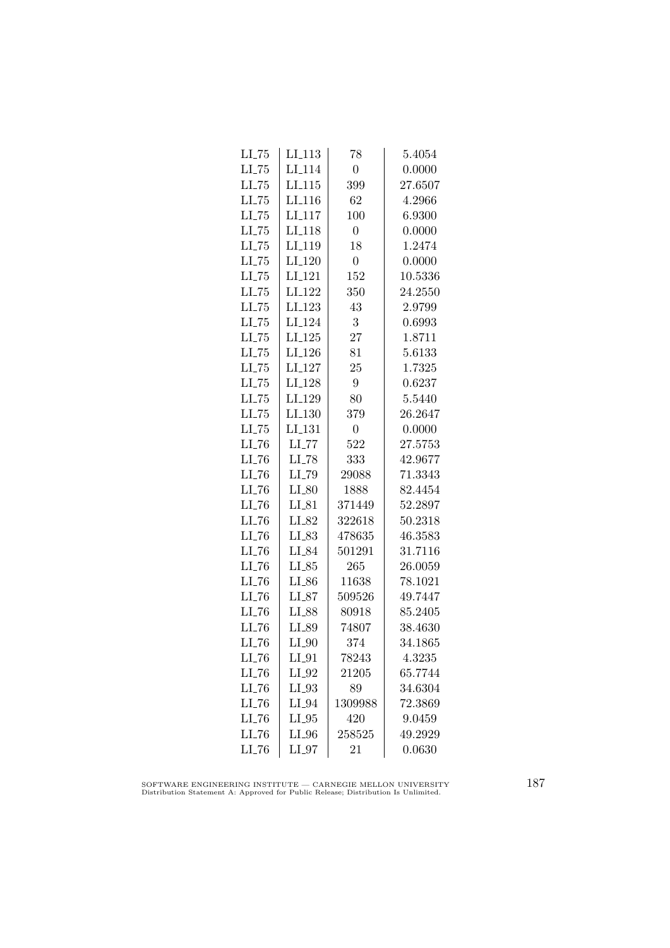| $LL-75$             | $LI_113$            | 78              | 5.4054  |
|---------------------|---------------------|-----------------|---------|
| $LI$ <sub>-75</sub> | LI <sub>-114</sub>  | $\overline{0}$  | 0.0000  |
| $LL-75$             | LI.115              | 399             | 27.6507 |
| $LL-75$             | LI <sub>-116</sub>  | 62              | 4.2966  |
| LL75                | LI <sub>117</sub>   | 100             | 6.9300  |
| $LL-75$             | LI <sub>-118</sub>  | $\overline{0}$  | 0.0000  |
| $LI$ <sub>-75</sub> | LI <sub>-119</sub>  | 18              | 1.2474  |
| $LL-75$             | LI <sub>-120</sub>  | $\overline{0}$  | 0.0000  |
| $LI$ <sub>-75</sub> | LI <sub>-121</sub>  | 152             | 10.5336 |
| $LL-75$             | LI <sub>-122</sub>  | 350             | 24.2550 |
| $LL-75$             | LI <sub>-123</sub>  | 43              | 2.9799  |
| $LL-75$             | LI <sub>-124</sub>  | 3               | 0.6993  |
| $LI$ <sub>-75</sub> | $LI_125$            | 27              | 1.8711  |
| $LI$ <sub>-75</sub> | $LI_126$            | 81              | 5.6133  |
| $LL-75$             | LI <sub>-127</sub>  | 25              | 1.7325  |
| $LL-75$             | LI <sub>-128</sub>  | $9\phantom{.0}$ | 0.6237  |
| $LI$ <sub>-75</sub> | LI <sub>-129</sub>  | 80              | 5.5440  |
| $LL-75$             | LI <sub>-130</sub>  | 379             | 26.2647 |
| $LL-75$             | LI <sub>-131</sub>  | $\overline{0}$  | 0.0000  |
| $LL-76$             | $LL$ <sub>-77</sub> | 522             | 27.5753 |
| $LI$ <sub>-76</sub> | $LI$ <sub>-78</sub> | 333             | 42.9677 |
| $LI$ <sub>-76</sub> | LI_79               | 29088           | 71.3343 |
| $LI$ <sub>-76</sub> | $LI_80$             | 1888            | 82.4454 |
| $LI$ <sub>-76</sub> | $LI_81$             | 371449          | 52.2897 |
| $LI$ <sub>-76</sub> | LI_82               | 322618          | 50.2318 |
| $LL-76$             | LI_83               | 478635          | 46.3583 |
| $LI$ <sub>-76</sub> | LI_84               | 501291          | 31.7116 |
| $LI$ <sub>-76</sub> | $LL_{.85}$          | 265             | 26.0059 |
| $LI$ <sub>-76</sub> | $LI_86$             | 11638           | 78.1021 |
| $LL-76$             | $LI_87$             | 509526          | 49.7447 |
| $LI$ <sub>-76</sub> | LI_88               | 80918           | 85.2405 |
| $LI$ <sub>-76</sub> | LI_89               | 74807           | 38.4630 |
| $LI$ <sub>-76</sub> | $LI_0$              | 374             | 34.1865 |
| $LI$ <sub>-76</sub> | $LI_01$             | 78243           | 4.3235  |
| $LL-76$             | $LI_02$             | 21205           | 65.7744 |
| $LI$ <sub>-76</sub> | $LI_93$             | 89              | 34.6304 |
| $LI$ <sub>-76</sub> | LI_94               | 1309988         | 72.3869 |
| LL76                | $LI_05$             | 420             | 9.0459  |
| LI_76               | $LI_0$              | 258525          | 49.2929 |
| $LI$ <sub>-76</sub> | $LI_07$             | 21              | 0.0630  |

SOFTWARE ENGINEERING INSTITUTE — CARNEGIE MELLON UNIVERSITY Distribution Statement A: Approved for Public Release; Distribution Is Unlimited.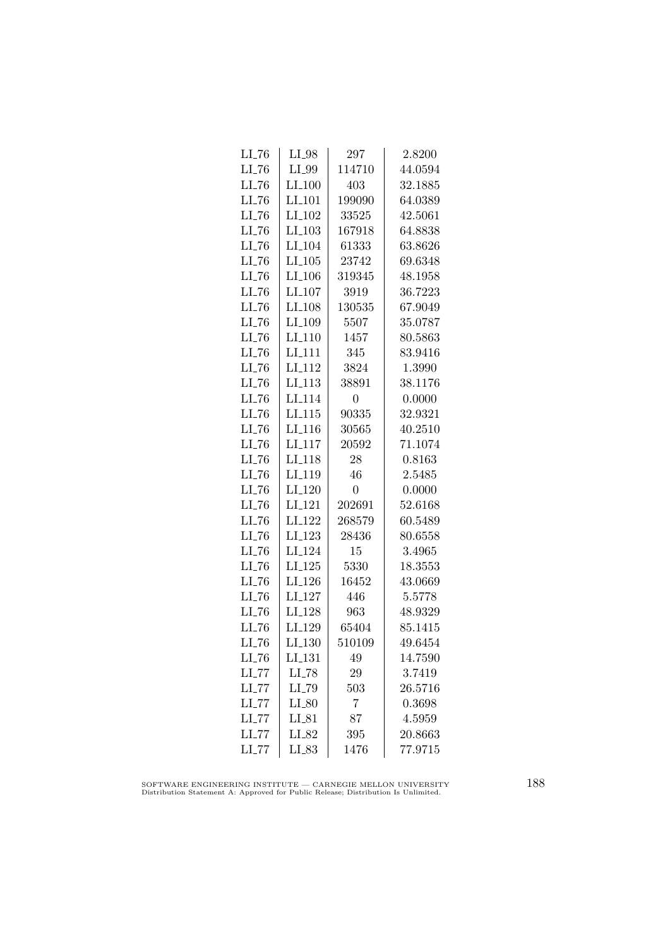| $LI$ <sub>-76</sub> | $LI_98$              | 297              | 2.8200  |
|---------------------|----------------------|------------------|---------|
| $LI$ <sub>-76</sub> | LI_99                | 114710           | 44.0594 |
| $LL-76$             | $LI_100$             | 403              | 32.1885 |
| LL76                | LI_101               | 199090           | 64.0389 |
| LL76                | LI <sub>-102</sub>   | 33525            | 42.5061 |
| $LI$ <sub>-76</sub> | $LI_103$             | 167918           | 64.8838 |
| $LI$ <sub>-76</sub> | LI <sub>-104</sub>   | 61333            | 63.8626 |
| $LI$ <sub>-76</sub> | $LI_105$             | 23742            | 69.6348 |
| $LL-76$             | $LI$ <sub>-106</sub> | 319345           | 48.1958 |
| $LL-76$             | LI <sub>-107</sub>   | 3919             | 36.7223 |
| LI_76               | LI <sub>-108</sub>   | 130535           | 67.9049 |
| LL76                | LI <sub>-109</sub>   | 5507             | 35.0787 |
| $LI$ <sub>-76</sub> | $LI_110$             | 1457             | 80.5863 |
| $LI$ <sub>-76</sub> | $LI_111$             | 345              | 83.9416 |
| $LI$ <sub>-76</sub> | LI <sub>-112</sub>   | 3824             | 1.3990  |
| $LI$ <sub>-76</sub> | LI <sub>-113</sub>   | 38891            | 38.1176 |
| $LI$ <sub>-76</sub> | LI <sub>-114</sub>   | $\boldsymbol{0}$ | 0.0000  |
| $LL-76$             | LI.115               | 90335            | 32.9321 |
| LL76                | LI <sub>-116</sub>   | 30565            | 40.2510 |
| $LI$ <sub>-76</sub> | LI <sub>-117</sub>   | 20592            | 71.1074 |
| $LI$ <sub>-76</sub> | $LI_118$             | 28               | 0.8163  |
| $LI$ <sub>-76</sub> | LI <sub>-119</sub>   | 46               | 2.5485  |
| $LI$ <sub>-76</sub> | LI <sub>-120</sub>   | 0                | 0.0000  |
| LL76                | LI <sub>-121</sub>   | 202691           | 52.6168 |
| LI_76               | $LI_122$             | 268579           | 60.5489 |
| $LL-76$             | LI <sub>-123</sub>   | 28436            | 80.6558 |
| $LI$ <sub>-76</sub> | LI <sub>-124</sub>   | 15               | 3.4965  |
| $LI$ <sub>-76</sub> | $LI_125$             | 5330             | 18.3553 |
| $LI$ <sub>-76</sub> | $LI$ <sub>-126</sub> | 16452            | 43.0669 |
| $LI$ <sub>-76</sub> | LI <sub>-127</sub>   | 446              | 5.5778  |
| LL76                | LI_128               | 963              | 48.9329 |
| $LI$ <sub>-76</sub> | LI <sub>-129</sub>   | 65404            | 85.1415 |
| LL76                | LI <sub>-130</sub>   | 510109           | 49.6454 |
| $LI$ <sub>-76</sub> | LI <sub>-131</sub>   | 49               | 14.7590 |
| $LI$ <sub>-77</sub> | $LI$ <sub>-78</sub>  | 29               | 3.7419  |
| $LI$ <sub>-77</sub> | $LI$ <sub>-79</sub>  | 503              | 26.5716 |
| $LI$ <sub>-77</sub> | $LI_80$              | 7                | 0.3698  |
| LI_77               | $LI_81$              | 87               | 4.5959  |
| $LI$ <sub>-77</sub> | LI_82                | 395              | 20.8663 |
| $LI$ <sub>-77</sub> | LI_83                | 1476             | 77.9715 |
|                     |                      |                  |         |

SOFTWARE ENGINEERING INSTITUTE — CARNEGIE MELLON UNIVERSITY Distribution Statement A: Approved for Public Release; Distribution Is Unlimited.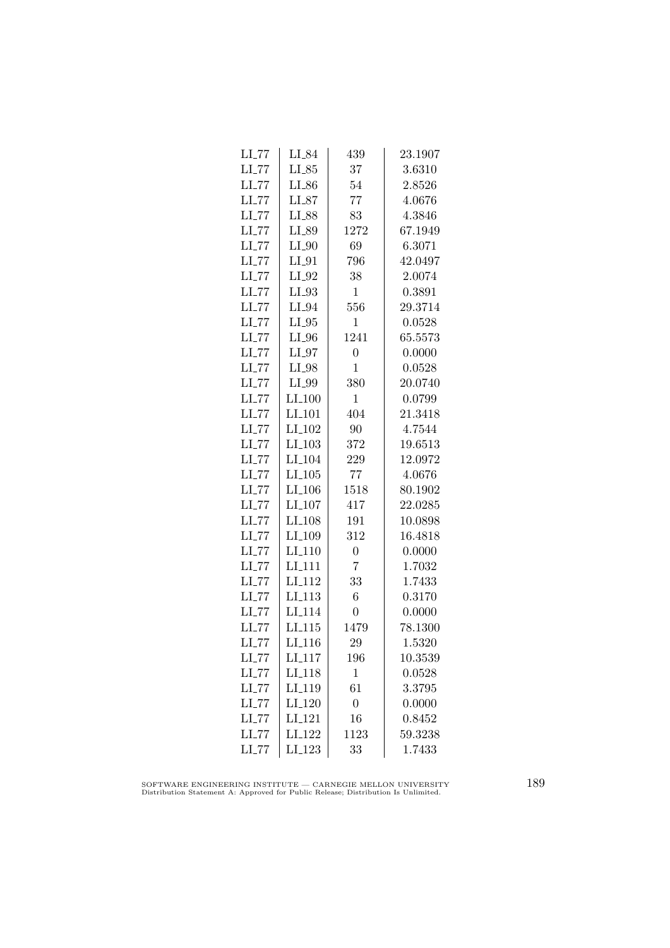| $LI$ <sub>-77</sub> | LI_84                | 439            | 23.1907 |
|---------------------|----------------------|----------------|---------|
| $LI$ <sub>-77</sub> | $LI_85$              | 37             | 3.6310  |
| $LL$ <sub>-77</sub> | $LI_86$              | 54             | 2.8526  |
| $LI$ <sub>-77</sub> | $LI_87$              | 77             | 4.0676  |
| $LL$ <sub>77</sub>  | LI_88                | 83             | 4.3846  |
| $LI$ <sub>-77</sub> | LI_89                | 1272           | 67.1949 |
| $LL$ <sub>-77</sub> | $LI_0$               | 69             | 6.3071  |
| $LI$ <sub>-77</sub> | $LI_01$              | 796            | 42.0497 |
| $LI$ <sub>-77</sub> | $LI_02$              | 38             | 2.0074  |
| $LL$ <sub>-77</sub> | $LI_93$              | $\mathbf{1}$   | 0.3891  |
| $LL$ <sub>-77</sub> | LI_94                | 556            | 29.3714 |
| $LI$ <sub>-77</sub> | $LI_05$              | 1              | 0.0528  |
| $LL$ <sub>-77</sub> | $LI_0$               | 1241           | 65.5573 |
| $LI$ <sub>-77</sub> | $LI_97$              | $\overline{0}$ | 0.0000  |
| $LL$ <sub>-77</sub> | $LI_98$              | $\mathbf 1$    | 0.0528  |
| $LI$ <sub>-77</sub> | LI_99                | 380            | 20.0740 |
| $LI$ <sub>-77</sub> | $LI_100$             | $\mathbf{1}$   | 0.0799  |
| $LL$ <sub>77</sub>  | LI <sub>-101</sub>   | 404            | 21.3418 |
| LI_77               | LI <sub>-102</sub>   | 90             | 4.7544  |
| $LI$ <sub>-77</sub> | $LI_103$             | 372            | 19.6513 |
| $LI$ <sub>-77</sub> | LI <sub>-104</sub>   | 229            | 12.0972 |
| $LI$ <sub>-77</sub> | $LI_105$             | 77             | 4.0676  |
| $LI$ <sub>-77</sub> | $LI$ <sub>-106</sub> | 1518           | 80.1902 |
| LL77                | LI <sub>-107</sub>   | 417            | 22.0285 |
| LL77                | LI <sub>-108</sub>   | 191            | 10.0898 |
| $LI$ <sub>-77</sub> | LI <sub>-109</sub>   | 312            | 16.4818 |
| $LI$ <sub>-77</sub> | $LI_110$             | $\overline{0}$ | 0.0000  |
| $LI$ <sub>-77</sub> | $LI_111$             | 7              | 1.7032  |
| $LI$ <sub>-77</sub> | LI <sub>-112</sub>   | 33             | 1.7433  |
| $LL$ <sub>-77</sub> | LI <sub>-113</sub>   | 6              | 0.3170  |
| LL77                | LI <sub>114</sub>    | $\overline{0}$ | 0.0000  |
| $LI$ <sub>-77</sub> | LI <sub>-115</sub>   | 1479           | 78.1300 |
| $LL$ <sub>77</sub>  | LI <sub>-116</sub>   | 29             | 1.5320  |
| $LL$ <sub>-77</sub> | LI <sub>-117</sub>   | 196            | 10.3539 |
| $LI$ <sub>-77</sub> | LI <sub>-118</sub>   | 1              | 0.0528  |
| $LI$ <sub>-77</sub> | LI <sub>-119</sub>   | 61             | 3.3795  |
| $LI$ <sub>-77</sub> | $LI_120$             | $\overline{0}$ | 0.0000  |
| LL77                | LI <sub>-121</sub>   | 16             | 0.8452  |
| $LI$ <sub>-77</sub> | LI <sub>-122</sub>   | 1123           | 59.3238 |
| $LI$ <sub>-77</sub> | LI <sub>-123</sub>   | 33             | 1.7433  |

SOFTWARE ENGINEERING INSTITUTE — CARNEGIE MELLON UNIVERSITY Distribution Statement A: Approved for Public Release; Distribution Is Unlimited.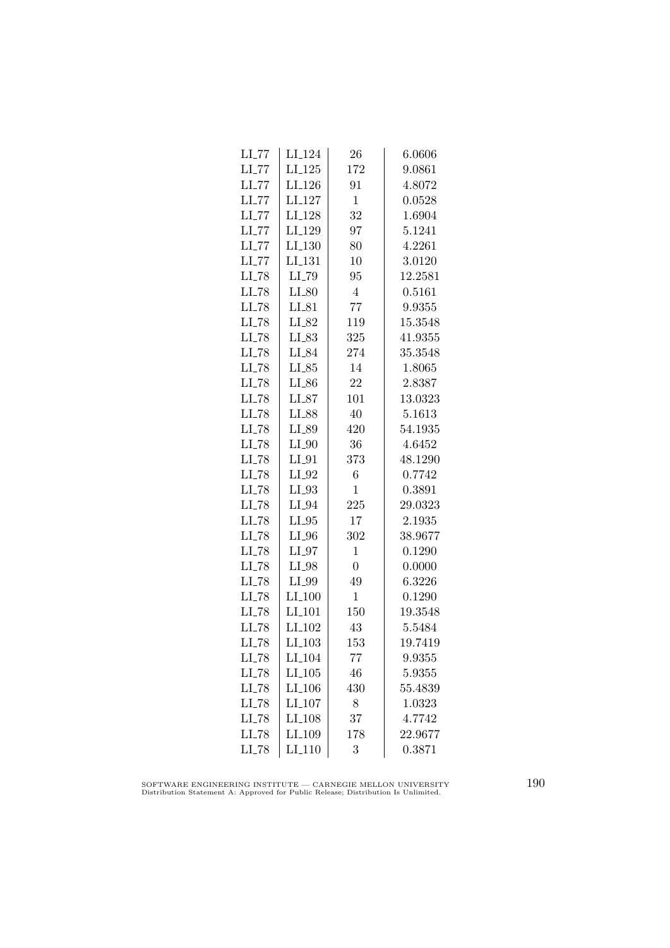| $LI$ <sub>-77</sub> | LI <sub>-124</sub>  | 26             | 6.0606  |
|---------------------|---------------------|----------------|---------|
| $LI$ <sub>-77</sub> | $LI_125$            | 172            | 9.0861  |
| $LL$ <sub>-77</sub> | LI <sub>-126</sub>  | 91             | 4.8072  |
| $LL$ <sub>77</sub>  | LI <sub>-127</sub>  | $\mathbf{1}$   | 0.0528  |
| $LL$ <sub>77</sub>  | LI <sub>-128</sub>  | 32             | 1.6904  |
| $LI$ <sub>-77</sub> | LI <sub>-129</sub>  | 97             | 5.1241  |
| $LI$ <sub>-77</sub> | LI <sub>-130</sub>  | 80             | 4.2261  |
| $LI$ <sub>-77</sub> | LI <sub>-131</sub>  | 10             | 3.0120  |
| $LI$ <sub>-78</sub> | $LI$ <sub>-79</sub> | 95             | 12.2581 |
| $LI$ <sub>-78</sub> | $LI_80$             | $\overline{4}$ | 0.5161  |
| $LI$ <sub>-78</sub> | $LI_81$             | 77             | 9.9355  |
| LI_78               | LI_82               | 119            | 15.3548 |
| $LI$ <sub>-78</sub> | LI_83               | 325            | 41.9355 |
| $LI$ <sub>-78</sub> | LI_84               | 274            | 35.3548 |
| $LI$ <sub>-78</sub> | $LI_85$             | 14             | 1.8065  |
| $LI$ <sub>-78</sub> | $LI_86$             | 22             | 2.8387  |
| $LI$ <sub>-78</sub> | $LI_87$             | 101            | 13.0323 |
| $LI$ <sub>-78</sub> | LI_88               | 40             | 5.1613  |
| LI_78               | LI_89               | 420            | 54.1935 |
| $LI$ <sub>-78</sub> | $LI_0$              | 36             | 4.6452  |
| $LI$ <sub>-78</sub> | $LI_01$             | 373            | 48.1290 |
| $LI$ <sub>-78</sub> | $LI_02$             | 6              | 0.7742  |
| $LL-78$             | $LI_03$             | $\mathbf 1$    | 0.3891  |
| $LI$ <sub>-78</sub> | $LI_04$             | 225            | 29.0323 |
| LI_78               | $LI_05$             | 17             | 2.1935  |
| $LI$ <sub>-78</sub> | $LI_0$              | 302            | 38.9677 |
| $LI$ <sub>-78</sub> | $LI_97$             | $\mathbf 1$    | 0.1290  |
| $LI$ <sub>-78</sub> | $LI_98$             | $\overline{0}$ | 0.0000  |
| $LI$ <sub>-78</sub> | LI_99               | 49             | 6.3226  |
| $LL-78$             | $LI_100$            | $\mathbf 1$    | 0.1290  |
| LI_78               | LI <sub>-101</sub>  | 150            | 19.3548 |
| LI_78               | LI_102              | 43             | 5.5484  |
| LI_78               | LL103               | 153            | 19.7419 |
| $LI$ <sub>-78</sub> | LI <sub>-104</sub>  | 77             | 9.9355  |
| $LI$ <sub>-78</sub> | $LI_105$            | 46             | 5.9355  |
| $LI$ <sub>-78</sub> | LI <sub>-106</sub>  | 430            | 55.4839 |
| $LI$ <sub>-78</sub> | $LI_107$            | 8              | 1.0323  |
| LI_78               | LI <sub>-108</sub>  | 37             | 4.7742  |
| LI_78               | LI_109              | 178            | 22.9677 |
| $LI$ <sub>-78</sub> | LI <sub>-110</sub>  | 3              | 0.3871  |

SOFTWARE ENGINEERING INSTITUTE — CARNEGIE MELLON UNIVERSITY Distribution Statement A: Approved for Public Release; Distribution Is Unlimited.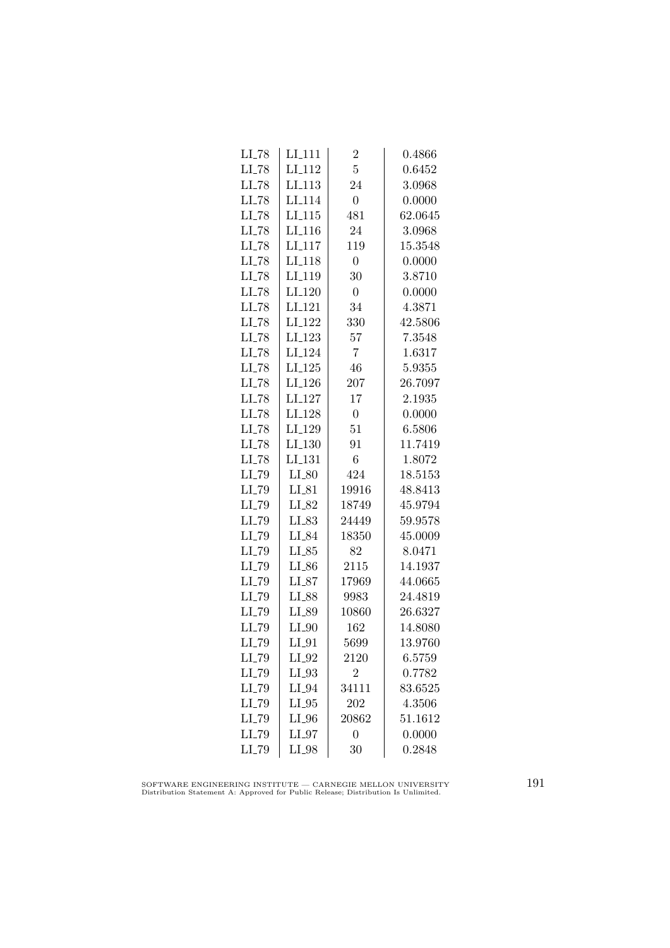| $LI_111$           | $\overline{2}$   | 0.4866  |
|--------------------|------------------|---------|
| LI <sub>-112</sub> | $\overline{5}$   | 0.6452  |
| LI <sub>-113</sub> | 24               | 3.0968  |
| LI <sub>-114</sub> | $\overline{0}$   | 0.0000  |
| LI <sub>115</sub>  | 481              | 62.0645 |
| LI <sub>-116</sub> | 24               | 3.0968  |
| $LI_117$           | 119              | 15.3548 |
| LI <sub>-118</sub> | $\overline{0}$   | 0.0000  |
| LI <sub>-119</sub> | 30               | 3.8710  |
| LI <sub>-120</sub> | $\overline{0}$   | 0.0000  |
| LI <sub>-121</sub> | 34               | 4.3871  |
| LI <sub>-122</sub> | 330              | 42.5806 |
| $LI_123$           | 57               | 7.3548  |
| LI <sub>-124</sub> | 7                | 1.6317  |
| $LI-125$           | 46               | 5.9355  |
| LI <sub>-126</sub> | 207              | 26.7097 |
| LI <sub>-127</sub> | 17               | 2.1935  |
| LI <sub>-128</sub> | $\boldsymbol{0}$ | 0.0000  |
| LI <sub>-129</sub> | 51               | 6.5806  |
| LI <sub>-130</sub> | 91               | 11.7419 |
| LI <sub>-131</sub> | 6                | 1.8072  |
| $LI_80$            | 424              | 18.5153 |
| $LI_{-}81$         | 19916            | 48.8413 |
| LI_82              | 18749            | 45.9794 |
| LI_83              | 24449            | 59.9578 |
| LI_84              | 18350            | 45.0009 |
| $LI_85$            | 82               | 8.0471  |
| $LI_86$            | 2115             | 14.1937 |
| $LI_87$            | 17969            | 44.0665 |
| $LI_88$            | 9983             | 24.4819 |
| LI_89              | 10860            | 26.6327 |
| $LI_0$             | 162              | 14.8080 |
| $LI_01$            | 5699             | 13.9760 |
| $LI_02$            | 2120             | 6.5759  |
| $LI_93$            | $\overline{2}$   | 0.7782  |
| $LI_04$            | 34111            | 83.6525 |
| $LI_05$            | 202              | 4.3506  |
| $LI_0$             | 20862            | 51.1612 |
| $LI_0$             | 0                | 0.0000  |
| LI_98              | 30               | 0.2848  |
|                    |                  |         |

SOFTWARE ENGINEERING INSTITUTE — CARNEGIE MELLON UNIVERSITY Distribution Statement A: Approved for Public Release; Distribution Is Unlimited.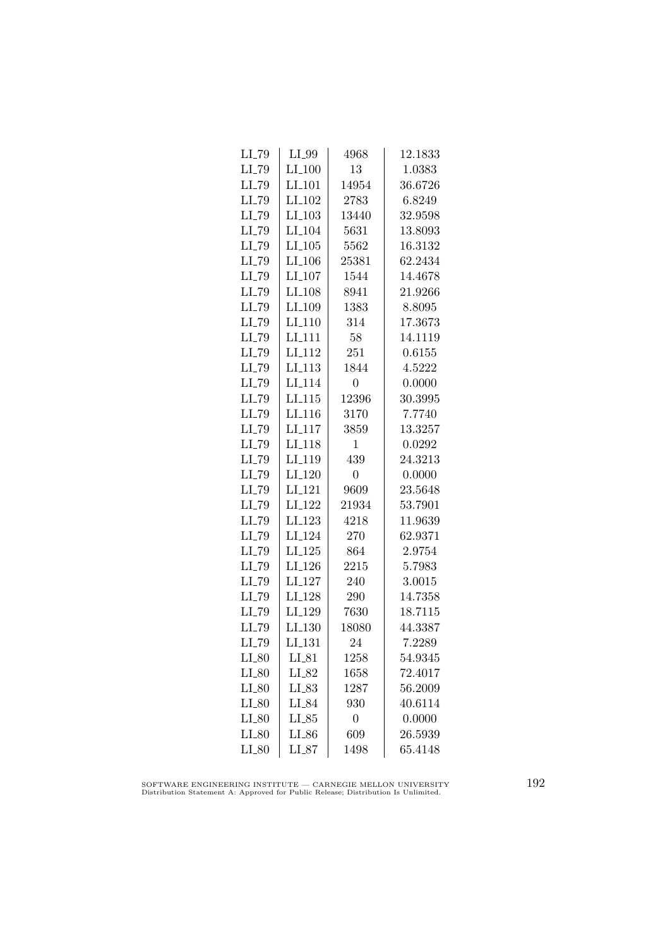| LI_79               | $LI_99$              | 4968           | 12.1833 |
|---------------------|----------------------|----------------|---------|
| LI_79               | $LI_100$             | 13             | 1.0383  |
| LI_79               | LI <sub>-101</sub>   | 14954          | 36.6726 |
| LI_79               | LI <sub>-102</sub>   | 2783           | 6.8249  |
| LI_79               | $LI_103$             | 13440          | 32.9598 |
| $LI$ <sub>-79</sub> | LI <sub>-104</sub>   | 5631           | 13.8093 |
| LI_79               | $LI_105$             | 5562           | 16.3132 |
| $LI$ <sub>-79</sub> | $LI_106$             | 25381          | 62.2434 |
| LI_79               | $LI_107$             | 1544           | 14.4678 |
| LI_79               | LI <sub>-108</sub>   | 8941           | 21.9266 |
| LI_79               | LI_109               | 1383           | 8.8095  |
| LI_79               | LI <sub>-110</sub>   | 314            | 17.3673 |
| LI_79               | $LI$ <sub>111</sub>  | 58             | 14.1119 |
| $LI$ <sub>-79</sub> | $LI$ <sub>-112</sub> | 251            | 0.6155  |
| LI <sub>-79</sub>   | $LI$ <sub>-113</sub> | 1844           | 4.5222  |
| LI_79               | LI <sub>-114</sub>   | $\overline{0}$ | 0.0000  |
| LI_79               | LL115                | 12396          | 30.3995 |
| LI_79               | LI <sub>-116</sub>   | 3170           | 7.7740  |
| LI_79               | LI <sub>-117</sub>   | 3859           | 13.3257 |
| LI_79               | LI_118               | 1              | 0.0292  |
| LI_79               | LI <sub>-119</sub>   | 439            | 24.3213 |
| LI_79               | $LI_120$             | $\theta$       | 0.0000  |
| LI_79               | LI <sub>-121</sub>   | 9609           | 23.5648 |
| LL79                | $LI_122$             | 21934          | 53.7901 |
| LI_79               | LI <sub>-123</sub>   | 4218           | 11.9639 |
| LI_79               | LI <sub>-124</sub>   | 270            | 62.9371 |
| LI_79               | $LI_125$             | 864            | 2.9754  |
| $LI$ <sub>-79</sub> | $LI_126$             | 2215           | 5.7983  |
| $LI$ <sub>-79</sub> | LI <sub>-127</sub>   | 240            | 3.0015  |
| LI_79               | LI <sub>-128</sub>   | 290            | 14.7358 |
| LI_79               | LI_129               | 7630           | 18.7115 |
| LI_79               | LI.130               | 18080          | 44.3387 |
| LI_79               | LI <sub>-131</sub>   | 24             | 7.2289  |
| $LI_80$             | $LI_81$              | 1258           | 54.9345 |
| $LI_80$             | LI_82                | 1658           | 72.4017 |
| $LI_80$             | $LI_83$              | 1287           | 56.2009 |
| $LI_80$             | LI_84                | 930            | 40.6114 |
| $LI_80$             | $LI_85$              | $\overline{0}$ | 0.0000  |
| $LI_80$             | LI_86                | 609            | 26.5939 |
| $LI_80$             | $LI_87$              | 1498           | 65.4148 |
|                     |                      |                |         |

SOFTWARE ENGINEERING INSTITUTE — CARNEGIE MELLON UNIVERSITY Distribution Statement A: Approved for Public Release; Distribution Is Unlimited.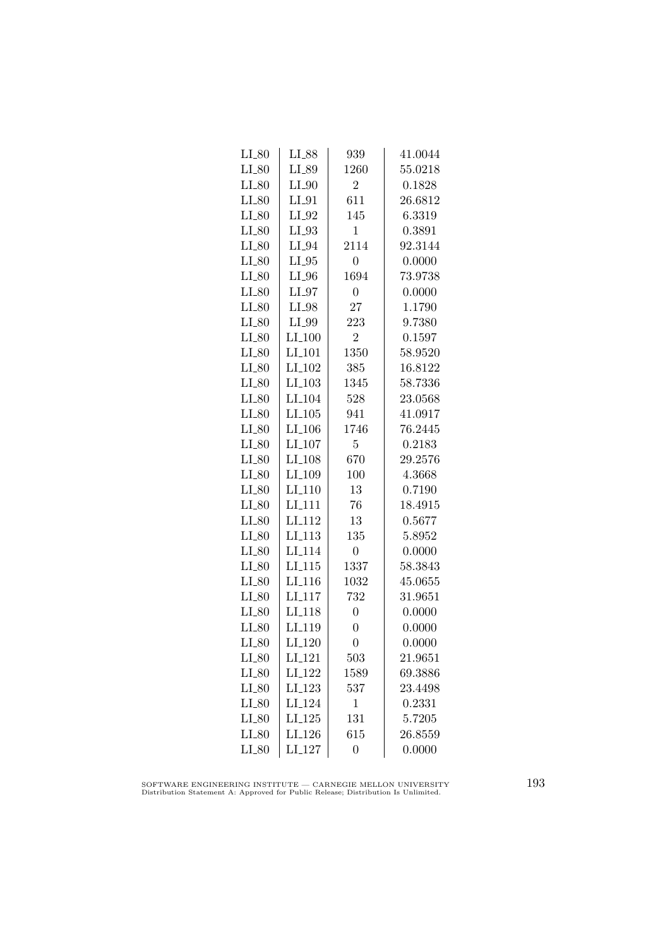| $LI_80$    | LI_88                | 939            | 41.0044 |
|------------|----------------------|----------------|---------|
| $LI_80$    | LI_89                | 1260           | 55.0218 |
| $LI_80$    | $LI_0$               | $\overline{2}$ | 0.1828  |
| $LI_80$    | $LI_01$              | 611            | 26.6812 |
| $LI_80$    | $LI_02$              | 145            | 6.3319  |
| $LI_80$    | $LI_93$              | $\mathbf{1}$   | 0.3891  |
| $LI_80$    | $LI_04$              | 2114           | 92.3144 |
| $LI_80$    | $LI_05$              | $\overline{0}$ | 0.0000  |
| $LI_80$    | $LI_0$               | 1694           | 73.9738 |
| $LI_80$    | $LI_97$              | $\overline{0}$ | 0.0000  |
| $LI_80$    | LI_98                | 27             | 1.1790  |
| $LI_80$    | LI_99                | 223            | 9.7380  |
| $LI_80$    | $LI_100$             | $\overline{2}$ | 0.1597  |
| $LI_80$    | $LI_101$             | 1350           | 58.9520 |
| $LI_80$    | $LI_102$             | 385            | 16.8122 |
| $LI_80$    | $LI$ <sub>-103</sub> | 1345           | 58.7336 |
| $LI_80$    | LI <sub>-104</sub>   | 528            | 23.0568 |
| $LI_80$    | LI.105               | 941            | 41.0917 |
| $LI_80$    | LI <sub>-106</sub>   | 1746           | 76.2445 |
| $LI_80$    | $LI_107$             | $\overline{5}$ | 0.2183  |
| $LI_80$    | LI <sub>-108</sub>   | 670            | 29.2576 |
| $LI_80$    | LI <sub>-109</sub>   | 100            | 4.3668  |
| $LI_80$    | $LI-110$             | 13             | 0.7190  |
| $LI_80$    | LI <sub>111</sub>    | 76             | 18.4915 |
| $LI_80$    | LI <sub>-112</sub>   | 13             | 0.5677  |
| $LI_80$    | LI <sub>-113</sub>   | 135            | 5.8952  |
| $LI_80$    | LI <sub>-114</sub>   | $\overline{0}$ | 0.0000  |
| $LI_80$    | $LI_115$             | 1337           | 58.3843 |
| $LI_80$    | LI <sub>-116</sub>   | 1032           | 45.0655 |
| $LI_80$    | LI <sub>-117</sub>   | 732            | 31.9651 |
| $LI_80$    | LI <sub>118</sub>    | $\overline{0}$ | 0.0000  |
| $LI_80$    | LI <sub>-119</sub>   | $\overline{0}$ | 0.0000  |
| $LI_80$    | LI <sub>-120</sub>   | $\overline{0}$ | 0.0000  |
| $LI_80$    | LI <sub>-121</sub>   | 503            | 21.9651 |
| $LI_80$    | LI <sub>-122</sub>   | 1589           | 69.3886 |
| $LI_80$    | $LI-123$             | 537            | 23.4498 |
| $LI_{-}80$ | LI <sub>-124</sub>   | $\mathbf 1$    | 0.2331  |
| $LI_80$    | LI.125               | 131            | 5.7205  |
| $LI_80$    | LI_126               | 615            | 26.8559 |
| $LI_80$    | LI <sub>-127</sub>   | $\overline{0}$ | 0.0000  |

SOFTWARE ENGINEERING INSTITUTE — CARNEGIE MELLON UNIVERSITY Distribution Statement A: Approved for Public Release; Distribution Is Unlimited.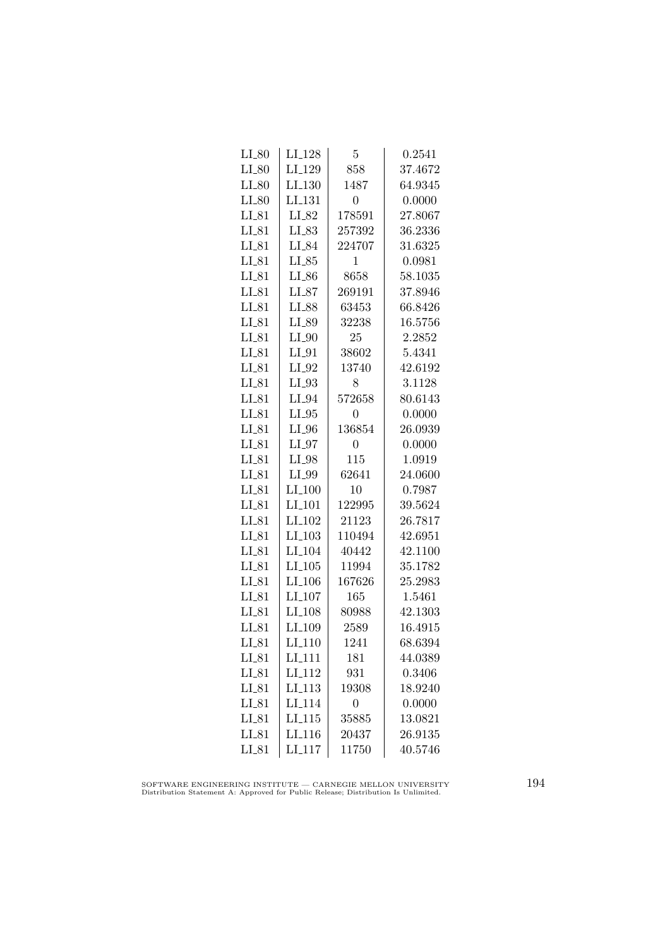| $LI_80$    | LI <sub>-128</sub>  | 5                | 0.2541  |
|------------|---------------------|------------------|---------|
| $LI_80$    | LI <sub>-129</sub>  | 858              | 37.4672 |
| $LI_80$    | LI.130              | 1487             | 64.9345 |
| $LI_80$    | LI <sub>-131</sub>  | $\overline{0}$   | 0.0000  |
| $LI_81$    | LI_82               | 178591           | 27.8067 |
| $LI_81$    | LI_83               | 257392           | 36.2336 |
| $LI_81$    | $LI_84$             | 224707           | 31.6325 |
| $LI_81$    | $LI_85$             | 1                | 0.0981  |
| $LI_81$    | $LI_86$             | 8658             | 58.1035 |
| $LI_81$    | LI_87               | 269191           | 37.8946 |
| $LI_81$    | LI_88               | 63453            | 66.8426 |
| $LI_81$    | LI_89               | 32238            | 16.5756 |
| $LI_81$    | $LI_0$              | 25               | 2.2852  |
| $LI_81$    | $LI_01$             | 38602            | 5.4341  |
| $LI_81$    | $LI_02$             | 13740            | 42.6192 |
| $LI_81$    | $LI_03$             | 8                | 3.1128  |
| $LI_81$    | $LI_04$             | 572658           | 80.6143 |
| $LI_81$    | $LI_05$             | $\boldsymbol{0}$ | 0.0000  |
| $LI_81$    | $LI_0$              | 136854           | 26.0939 |
| $LI_81$    | $LI_0$              | 0                | 0.0000  |
| $LI_81$    | $LI_98$             | 115              | 1.0919  |
| $LI_81$    | LI_99               | 62641            | 24.0600 |
| $LI_81$    | $LI_100$            | 10               | 0.7987  |
| $LI_81$    | $LI$ <sub>101</sub> | 122995           | 39.5624 |
| $LI_81$    | LI <sub>-102</sub>  | 21123            | 26.7817 |
| $LI_81$    | $LI_103$            | 110494           | 42.6951 |
| $LI_81$    | $LI_104$            | 40442            | 42.1100 |
| $LI_81$    | $LI_105$            | 11994            | 35.1782 |
| $LI_81$    | $LI_106$            | 167626           | 25.2983 |
| $LI_81$    | $LI_107$            | 165              | 1.5461  |
| $LI_81$    | LI <sub>-108</sub>  | 80988            | 42.1303 |
| $LI_81$    | LI <sub>-109</sub>  | 2589             | 16.4915 |
| $LI_81$    | LI <sub>-110</sub>  | 1241             | 68.6394 |
| $LI_81$    | LI <sub>-111</sub>  | 181              | 44.0389 |
| $LI_81$    | LI <sub>-112</sub>  | 931              | 0.3406  |
| $LI_{-}81$ | LI <sub>-113</sub>  | 19308            | 18.9240 |
| $LI_81$    | LI <sub>-114</sub>  | $\overline{0}$   | 0.0000  |
| $LI_81$    | LI.115              | 35885            | 13.0821 |
| $LI_81$    | LI <sub>-116</sub>  | 20437            | 26.9135 |
| $LI_81$    | LI <sub>-117</sub>  | 11750            | 40.5746 |

SOFTWARE ENGINEERING INSTITUTE — CARNEGIE MELLON UNIVERSITY Distribution Statement A: Approved for Public Release; Distribution Is Unlimited.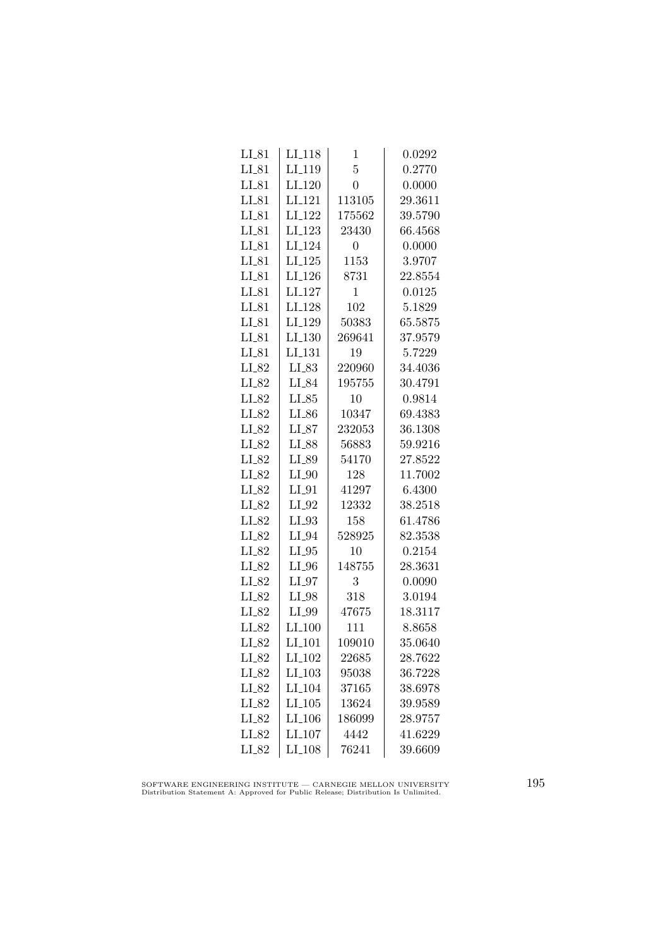| $LI_118$           | 1              | 0.0292  |
|--------------------|----------------|---------|
| LI <sub>-119</sub> | $\overline{5}$ | 0.2770  |
| $LI_120$           | $\overline{0}$ | 0.0000  |
| LI <sub>-121</sub> | 113105         | 29.3611 |
| LI <sub>-122</sub> | 175562         | 39.5790 |
| LI <sub>-123</sub> | 23430          | 66.4568 |
| LI_124             | $\overline{0}$ | 0.0000  |
| $LI-125$           | 1153           | 3.9707  |
| $LI_126$           | 8731           | 22.8554 |
| LI <sub>-127</sub> | $\mathbf{1}$   | 0.0125  |
| LI <sub>-128</sub> | 102            | 5.1829  |
| LI_129             | 50383          | 65.5875 |
| $LI_130$           | 269641         | 37.9579 |
| LI <sub>-131</sub> | 19             | 5.7229  |
| $LI_83$            | 220960         | 34.4036 |
| LI_84              | 195755         | 30.4791 |
| $LI_85$            | 10             | 0.9814  |
| LI_86              | 10347          | 69.4383 |
| $LI_87$            | 232053         | 36.1308 |
| LI_88              | 56883          | 59.9216 |
| LI_89              | 54170          | 27.8522 |
| $LI_0$             | 128            | 11.7002 |
| $LI_01$            | 41297          | 6.4300  |
| $LI_02$            | 12332          | 38.2518 |
| $LI_93$            | 158            | 61.4786 |
| $LI_04$            | 528925         | 82.3538 |
| $LI_05$            | 10             | 0.2154  |
| $LI_0$             | 148755         | 28.3631 |
| $LI_07$            | 3              | 0.0090  |
| LI_98              | 318            | 3.0194  |
| $LI_99$            | 47675          | 18.3117 |
| $LI_100$           | 111            | 8.8658  |
| LI <sub>-101</sub> | 109010         | 35.0640 |
| LI <sub>-102</sub> | 22685          | 28.7622 |
| $LI_103$           | 95038          | 36.7228 |
| LI <sub>-104</sub> | 37165          | 38.6978 |
| $LI_105$           | 13624          | 39.9589 |
| LI <sub>-106</sub> | 186099         | 28.9757 |
| $LI_107$           | 4442           | 41.6229 |
| LI <sub>-108</sub> | 76241          | 39.6609 |
|                    |                |         |

SOFTWARE ENGINEERING INSTITUTE — CARNEGIE MELLON UNIVERSITY Distribution Statement A: Approved for Public Release; Distribution Is Unlimited.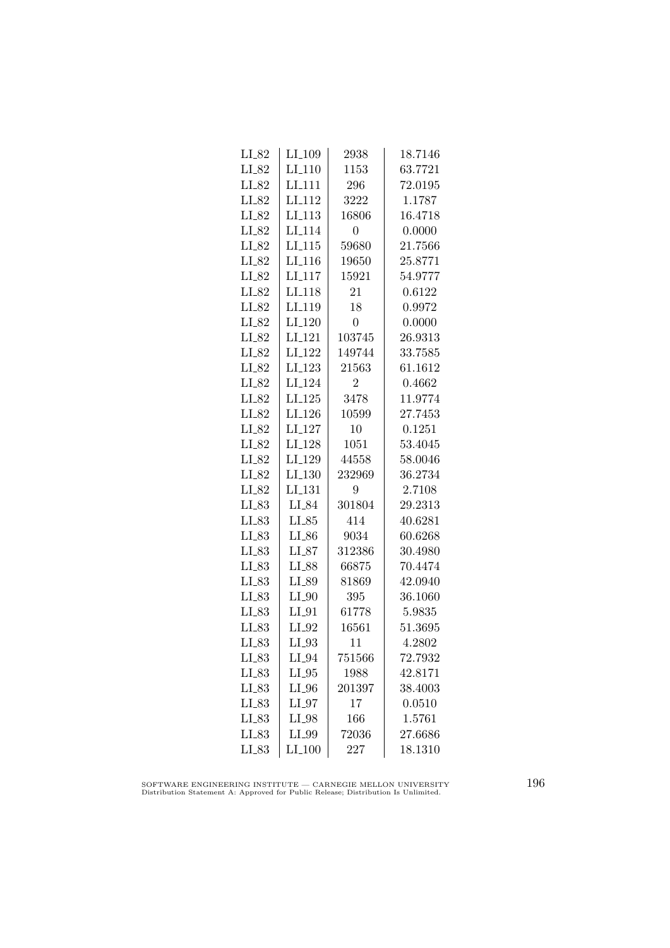| $LI_82$    | LI <sub>-109</sub>   | 2938           | 18.7146 |
|------------|----------------------|----------------|---------|
| $LI_82$    | $LI-110$             | 1153           | 63.7721 |
| $LI_82$    | LI <sub>-111</sub>   | 296            | 72.0195 |
| LI_82      | LI <sub>112</sub>    | 3222           | 1.1787  |
| LI_82      | LI <sub>113</sub>    | 16806          | 16.4718 |
| $LI_82$    | LI <sub>-114</sub>   | 0              | 0.0000  |
| $LI_82$    | $LI_115$             | 59680          | 21.7566 |
| $LI_82$    | $LI_116$             | 19650          | 25.8771 |
| $LI_82$    | $LI-117$             | 15921          | 54.9777 |
| $LI_82$    | LI <sub>-118</sub>   | 21             | 0.6122  |
| LI_82      | LI <sub>-119</sub>   | 18             | 0.9972  |
| LI_82      | LI <sub>-120</sub>   | 0              | 0.0000  |
| LI_82      | $LI_121$             | 103745         | 26.9313 |
| $LI_82$    | LI_122               | 149744         | 33.7585 |
| $LI_82$    | LI <sub>-123</sub>   | 21563          | 61.1612 |
| $LI_82$    | LI <sub>-124</sub>   | $\overline{2}$ | 0.4662  |
| $LI_82$    | LI <sub>-125</sub>   | 3478           | 11.9774 |
| LI_82      | LI <sub>-126</sub>   | 10599          | 27.7453 |
| LI_82      | LI <sub>-127</sub>   | 10             | 0.1251  |
| $LI_82$    | LI <sub>-128</sub>   | 1051           | 53.4045 |
| $LI_82$    | LI_129               | 44558          | 58.0046 |
| $LI_82$    | $LI_130$             | 232969         | 36.2734 |
| $LI_82$    | $LI$ <sub>-131</sub> | 9              | 2.7108  |
| LL83       | LI_84                | 301804         | 29.2313 |
| $LI_83$    | $LI_85$              | 414            | 40.6281 |
| $LI_83$    | $LI_86$              | 9034           | 60.6268 |
| LL83       | $LI_87$              | 312386         | 30.4980 |
| $LI_83$    | LI_88                | 66875          | 70.4474 |
| $LI_83$    | LI_89                | 81869          | 42.0940 |
| $LL_{.83}$ | $LI_0$               | 395            | 36.1060 |
| LL83       | $LI_01$              | 61778          | 5.9835  |
| $LI_83$    | $LI_02$              | 16561          | 51.3695 |
| $LI_83$    | $LI_93$              | 11             | 4.2802  |
| $LI_83$    | $LI_04$              | 751566         | 72.7932 |
| $LI_83$    | $LI_05$              | 1988           | 42.8171 |
| $LI_83$    | $LI_0$               | 201397         | 38.4003 |
| $LI_83$    | $LI_07$              | 17             | 0.0510  |
| $LI_83$    | $LI_98$              | 166            | 1.5761  |
| $LI_83$    | LI_99                | 72036          | 27.6686 |
| $LI_83$    | $LI_100$             | 227            | 18.1310 |
|            |                      |                |         |

SOFTWARE ENGINEERING INSTITUTE — CARNEGIE MELLON UNIVERSITY Distribution Statement A: Approved for Public Release; Distribution Is Unlimited.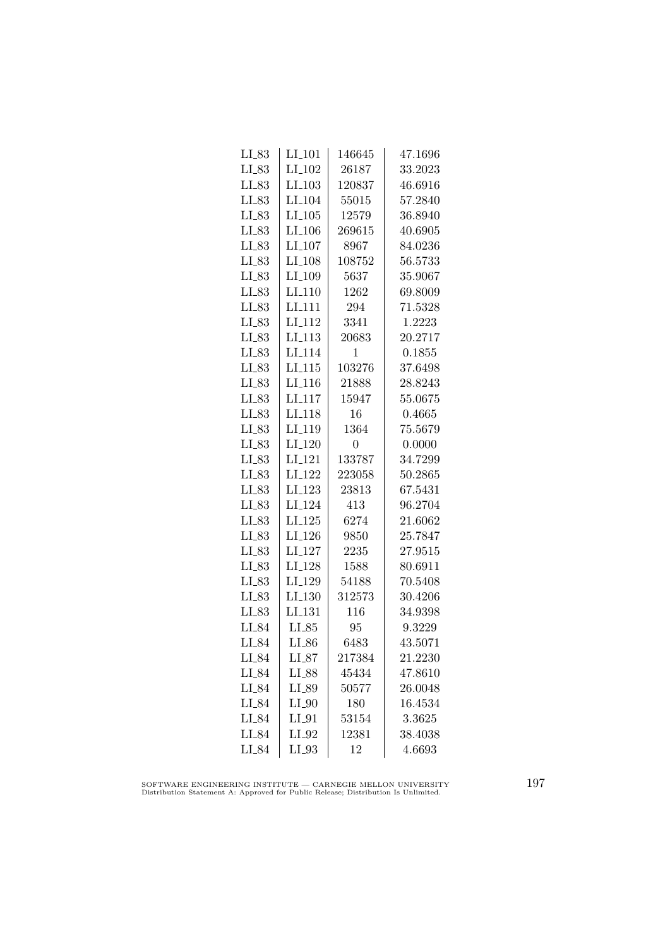| $LI_83$ | $LI_101$             | 146645 | 47.1696 |
|---------|----------------------|--------|---------|
| $LI_83$ | $LI_102$             | 26187  | 33.2023 |
| $LI_83$ | $LI$ <sub>-103</sub> | 120837 | 46.6916 |
| $LI_83$ | LI <sub>-104</sub>   | 55015  | 57.2840 |
| $LI_83$ | $LI_105$             | 12579  | 36.8940 |
| $LI_83$ | LI <sub>-106</sub>   | 269615 | 40.6905 |
| $LI_83$ | $LI_107$             | 8967   | 84.0236 |
| $LI_83$ | LI <sub>-108</sub>   | 108752 | 56.5733 |
| $LI_83$ | $LI_109$             | 5637   | 35.9067 |
| LL83    | LI <sub>-110</sub>   | 1262   | 69.8009 |
| LI_83   | LI <sub>111</sub>    | 294    | 71.5328 |
| $LI_83$ | LI <sub>-112</sub>   | 3341   | 1.2223  |
| $LI_83$ | $LI_113$             | 20683  | 20.2717 |
| $LI_83$ | LI <sub>-114</sub>   | 1      | 0.1855  |
| $LI_83$ | $LI$ <sub>-115</sub> | 103276 | 37.6498 |
| $LI_83$ | $LI$ <sub>-116</sub> | 21888  | 28.8243 |
| $LI_83$ | LI <sub>-117</sub>   | 15947  | 55.0675 |
| $LI_83$ | LI <sub>-118</sub>   | 16     | 0.4665  |
| LI_83   | LI <sub>-119</sub>   | 1364   | 75.5679 |
| $LI_83$ | LI <sub>-120</sub>   | 0      | 0.0000  |
| $LI_83$ | $LI_121$             | 133787 | 34.7299 |
| $LI_83$ | $LI_122$             | 223058 | 50.2865 |
| $LI_83$ | LI <sub>-123</sub>   | 23813  | 67.5431 |
| $LI_83$ | LI <sub>-124</sub>   | 413    | 96.2704 |
| $LI_83$ | LI.125               | 6274   | 21.6062 |
| $LI_83$ | LI <sub>-126</sub>   | 9850   | 25.7847 |
| $LI_83$ | LI <sub>-127</sub>   | 2235   | 27.9515 |
| $LI_83$ | LI <sub>-128</sub>   | 1588   | 80.6911 |
| $LI_83$ | LI <sub>-129</sub>   | 54188  | 70.5408 |
| LL83    | $LI_130$             | 312573 | 30.4206 |
| $LI_83$ | LI <sub>-131</sub>   | 116    | 34.9398 |
| $LI_84$ | $LI_85$              | 95     | 9.3229  |
| $LI_84$ | $LI_86$              | 6483   | 43.5071 |
| LI_84   | $LI_87$              | 217384 | 21.2230 |
| $LI_84$ | LI_88                | 45434  | 47.8610 |
| $LI_84$ | $LI_89$              | 50577  | 26.0048 |
| LI_84   | $LI_0$               | 180    | 16.4534 |
| LI_84   | $LI_01$              | 53154  | 3.3625  |
| LI_84   | $LI_02$              | 12381  | 38.4038 |
| LI_84   | $LI_93$              | 12     | 4.6693  |

SOFTWARE ENGINEERING INSTITUTE — CARNEGIE MELLON UNIVERSITY Distribution Statement A: Approved for Public Release; Distribution Is Unlimited.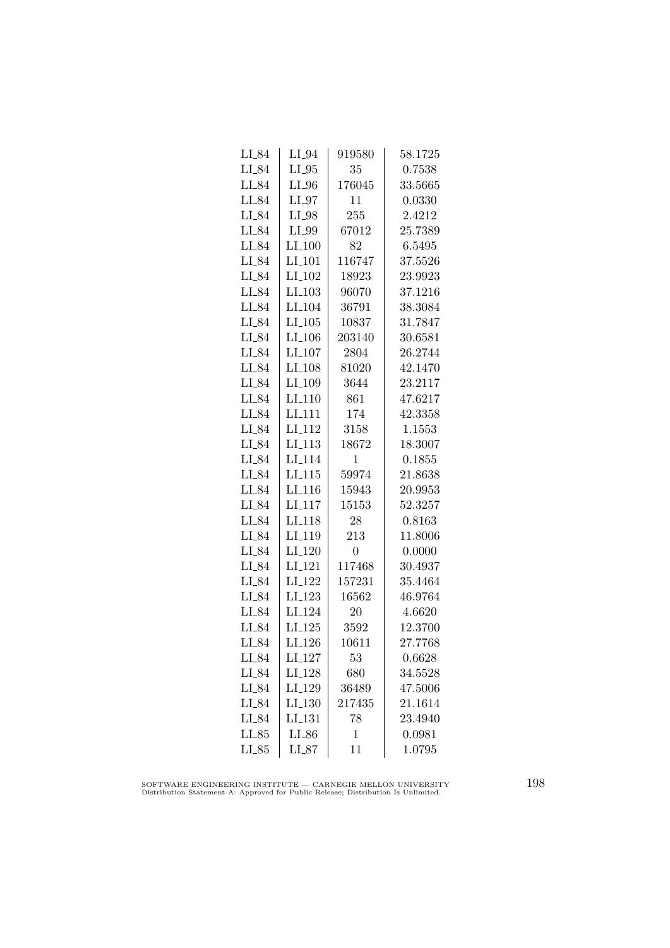| LI_84   | $LI_04$              | 919580         | 58.1725     |
|---------|----------------------|----------------|-------------|
| $LI_84$ | $LI_05$              | 35             | 0.7538      |
| LI_84   | $LI_0$               | 176045         | 33.5665     |
| LI_84   | $LI_97$              | 11             | ${ 0.0330}$ |
| $LI_84$ | LI_98                | 255            | 2.4212      |
| LI_84   | LI_99                | 67012          | 25.7389     |
| LI_84   | $LI_100$             | 82             | 6.5495      |
| LI_84   | $LI$ <sub>-101</sub> | 116747         | 37.5526     |
| $LI_84$ | $LI_102$             | 18923          | 23.9923     |
| $LI_84$ | $LI$ <sub>-103</sub> | 96070          | 37.1216     |
| LI_84   | LI <sub>-104</sub>   | 36791          | 38.3084     |
| $LI_84$ | $LI$ <sub>-105</sub> | 10837          | 31.7847     |
| $LI_84$ | $LI_106$             | 203140         | 30.6581     |
| LI_84   | LI <sub>-107</sub>   | 2804           | 26.2744     |
| $LI_84$ | LI <sub>-108</sub>   | 81020          | 42.1470     |
| LI_84   | LI <sub>-109</sub>   | 3644           | 23.2117     |
| LI_84   | $LI_110$             | 861            | 47.6217     |
| LI_84   | LI <sub>111</sub>    | 174            | 42.3358     |
| LI_84   | LI <sub>-112</sub>   | 3158           | 1.1553      |
| LI_84   | $LI_113$             | 18672          | 18.3007     |
| $LI_84$ | LI <sub>-114</sub>   | 1              | 0.1855      |
| $LI_84$ | $LI$ <sub>-115</sub> | 59974          | 21.8638     |
| $LI_84$ | $LI$ <sub>-116</sub> | 15943          | 20.9953     |
| LI_84   | $LI$ <sub>117</sub>  | 15153          | 52.3257     |
| LI_84   | LI <sub>118</sub>    | 28             | 0.8163      |
| $LI_84$ | LI <sub>-119</sub>   | 213            | 11.8006     |
| LI_84   | LI <sub>-120</sub>   | $\overline{0}$ | 0.0000      |
| LI_84   | $LI_121$             | 117468         | 30.4937     |
| LI_84   | $LI_122$             | 157231         | 35.4464     |
| LI_84   | $LI-123$             | 16562          | 46.9764     |
| LI_84   | LI <sub>-124</sub>   | 20             | 4.6620      |
| $LI_84$ | LI.125               | 3592           | 12.3700     |
| LI_84   | LI <sub>-126</sub>   | 10611          | 27.7768     |
| $LI_84$ | $LI_127$             | 53             | 0.6628      |
| $LI_84$ | LI <sub>-128</sub>   | 680            | 34.5528     |
| LI_84   | LI <sub>-129</sub>   | 36489          | 47.5006     |
| $LI_84$ | LI.130               | 217435         | 21.1614     |
| LI_84   | LI <sub>-131</sub>   | 78             | 23.4940     |
| $LI_85$ | $LI_{.86}$           | 1              | 0.0981      |
| $LI_85$ | LL87                 | 11             | 1.0795      |

SOFTWARE ENGINEERING INSTITUTE — CARNEGIE MELLON UNIVERSITY Distribution Statement A: Approved for Public Release; Distribution Is Unlimited.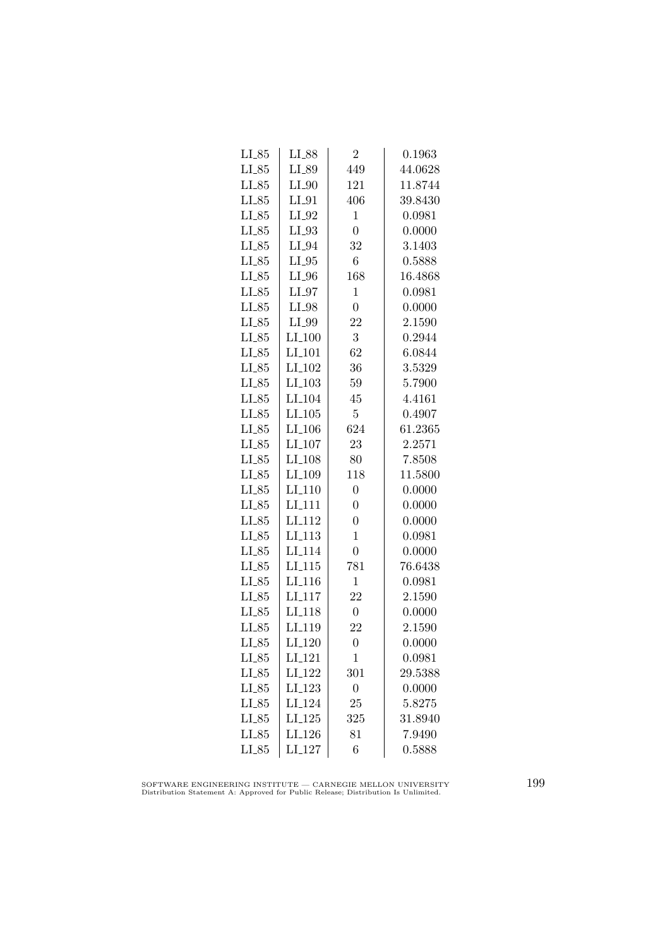| $LL_{.85}$ | LI_88                | $\overline{2}$   | 0.1963  |
|------------|----------------------|------------------|---------|
| $LI_85$    | LI_89                | 449              | 44.0628 |
| $LI_85$    | $LI_0$               | 121              | 11.8744 |
| $LI_85$    | $LI_01$              | 406              | 39.8430 |
| $LI_85$    | $LI_02$              | $\mathbf{1}$     | 0.0981  |
| $LI_85$    | $LI_93$              | $\overline{0}$   | 0.0000  |
| $LI_85$    | LI_94                | 32               | 3.1403  |
| $LI_85$    | $LI_05$              | $\overline{6}$   | 0.5888  |
| $LI_85$    | $LI_0$               | 168              | 16.4868 |
| $LI_85$    | $LI_97$              | $\mathbf{1}$     | 0.0981  |
| $LI_85$    | $LI_98$              | $\overline{0}$   | 0.0000  |
| $LI_85$    | LI_99                | 22               | 2.1590  |
| $LI_85$    | $LI_100$             | 3                | 0.2944  |
| $LI_85$    | $LI_101$             | 62               | 6.0844  |
| $LI_85$    | LI <sub>-102</sub>   | 36               | 3.5329  |
| $LI_85$    | LI <sub>-103</sub>   | 59               | 5.7900  |
| $LI_85$    | LI <sub>-104</sub>   | 45               | 4.4161  |
| $LI_85$    | LI.105               | $\overline{5}$   | 0.4907  |
| $LI_85$    | LI <sub>-106</sub>   | 624              | 61.2365 |
| $LI_85$    | $LI_107$             | 23               | 2.2571  |
| $LI_85$    | LI <sub>-108</sub>   | 80               | 7.8508  |
| $LI_85$    | LI <sub>-109</sub>   | 118              | 11.5800 |
| $LI_85$    | $LI_110$             | $\overline{0}$   | 0.0000  |
| $LI_85$    | LI <sub>111</sub>    | $\overline{0}$   | 0.0000  |
| $LI_85$    | LI <sub>112</sub>    | $\overline{0}$   | 0.0000  |
| $LI_85$    | LI <sub>-113</sub>   | $\mathbf{1}$     | 0.0981  |
| $LI_85$    | LI <sub>-114</sub>   | $\overline{0}$   | 0.0000  |
| $LI_85$    | $LI_115$             | 781              | 76.6438 |
| $LI_85$    | $LI_116$             | $\mathbf{1}$     | 0.0981  |
| $LI_85$    | $LI$ <sub>-117</sub> | 22               | 2.1590  |
| $LI_85$    | LI <sub>-118</sub>   | $\boldsymbol{0}$ | 0.0000  |
| $LI_85$    | LI <sub>-119</sub>   | 22               | 2.1590  |
| $LI_85$    | LI <sub>-120</sub>   | $\overline{0}$   | 0.0000  |
| $LI_85$    | LI <sub>-121</sub>   | 1                | 0.0981  |
| $LI_85$    | LI <sub>-122</sub>   | 301              | 29.5388 |
| $LI_85$    | $LI-123$             | $\boldsymbol{0}$ | 0.0000  |
| $LI_85$    | LI <sub>-124</sub>   | 25               | 5.8275  |
| $LI_85$    | LI.125               | 325              | 31.8940 |
| $LI_85$    | LI <sub>-126</sub>   | 81               | 7.9490  |
| $LI_85$    | LI <sub>-127</sub>   | 6                | 0.5888  |

SOFTWARE ENGINEERING INSTITUTE — CARNEGIE MELLON UNIVERSITY Distribution Statement A: Approved for Public Release; Distribution Is Unlimited.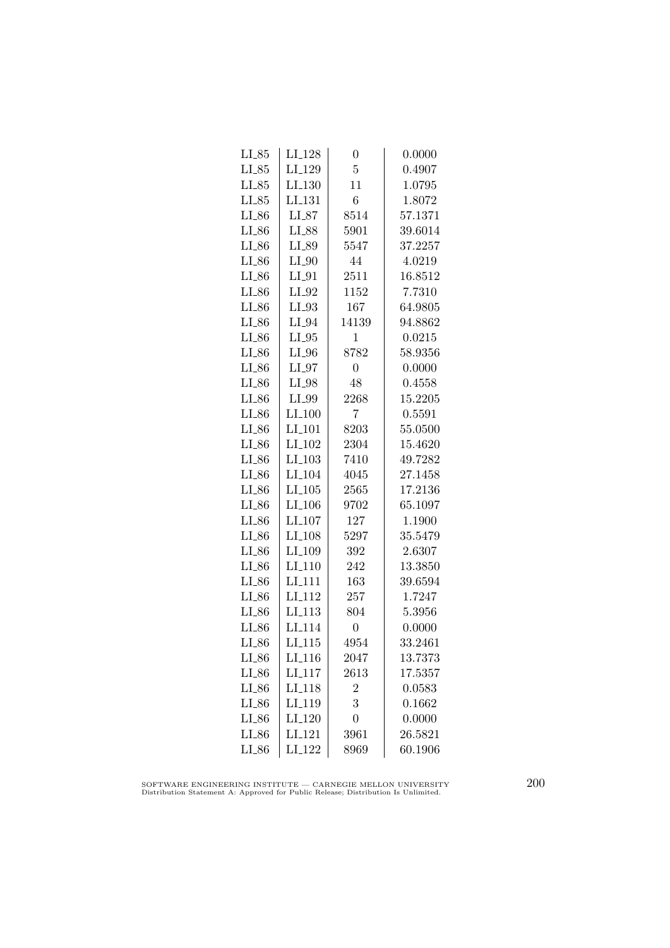| $LI_85$    | LI <sub>-128</sub>   | 0              | 0.0000  |
|------------|----------------------|----------------|---------|
| $LI_85$    | LI <sub>-129</sub>   | $\overline{5}$ | 0.4907  |
| $LI_85$    | LI <sub>-130</sub>   | 11             | 1.0795  |
| $LI_85$    | LI <sub>-131</sub>   | 6              | 1.8072  |
| $LI_86$    | $LI_87$              | 8514           | 57.1371 |
| $LI_86$    | LI_88                | 5901           | 39.6014 |
| $LI_86$    | LI_89                | 5547           | 37.2257 |
| $LI_86$    | $LI_0$               | 44             | 4.0219  |
| $LI_86$    | $LI_0$               | 2511           | 16.8512 |
| $LI_86$    | $LI_02$              | 1152           | 7.7310  |
| $LI_86$    | $LI_93$              | 167            | 64.9805 |
| $LI_86$    | $LI_04$              | 14139          | 94.8862 |
| $LI_86$    | $LI_05$              | $\mathbf 1$    | 0.0215  |
| $LI_86$    | $LI_0$               | 8782           | 58.9356 |
| $LI_86$    | $LI_97$              | $\overline{0}$ | 0.0000  |
| $LI_86$    | $LI_98$              | 48             | 0.4558  |
| LI_86      | LI_99                | 2268           | 15.2205 |
| $LI_86$    | $LI_100$             | 7              | 0.5591  |
| $LI_86$    | LI <sub>-101</sub>   | 8203           | 55.0500 |
| $LI_86$    | LI <sub>-102</sub>   | 2304           | 15.4620 |
| $LI_86$    | $LI_103$             | 7410           | 49.7282 |
| $LI_86$    | LI <sub>-104</sub>   | 4045           | 27.1458 |
| $LI_86$    | $LI$ <sub>-105</sub> | 2565           | 17.2136 |
| $LI_86$    | LI <sub>-106</sub>   | 9702           | 65.1097 |
| $LI_86$    | LI <sub>-107</sub>   | 127            | 1.1900  |
| $LI_86$    | LI <sub>-108</sub>   | 5297           | 35.5479 |
| $LI_86$    | LI_109               | 392            | 2.6307  |
| $LI_86$    | $LI_110$             | 242            | 13.3850 |
| $LI_86$    | LI <sub>-111</sub>   | 163            | 39.6594 |
| $LI_86$    | LI <sub>-112</sub>   | 257            | 1.7247  |
| $LI_86$    | LI <sub>113</sub>    | 804            | 5.3956  |
| $LI_86$    | LI <sub>114</sub>    | $\overline{0}$ | 0.0000  |
| $LI_86$    | LI <sub>-115</sub>   | 4954           | 33.2461 |
| $LI_86$    | $LI_116$             | 2047           | 13.7373 |
| $LI_86$    | LI <sub>-117</sub>   | 2613           | 17.5357 |
| $LI_{-86}$ | LI <sub>-118</sub>   | $\overline{2}$ | 0.0583  |
| $LI_86$    | LI <sub>-119</sub>   | 3              | 0.1662  |
| $LI_86$    | LI <sub>-120</sub>   | $\overline{0}$ | 0.0000  |
| $LI_86$    | LI <sub>-121</sub>   | 3961           | 26.5821 |
| $LI_86$    | LI <sub>-122</sub>   | 8969           | 60.1906 |

SOFTWARE ENGINEERING INSTITUTE — CARNEGIE MELLON UNIVERSITY Distribution Statement A: Approved for Public Release; Distribution Is Unlimited.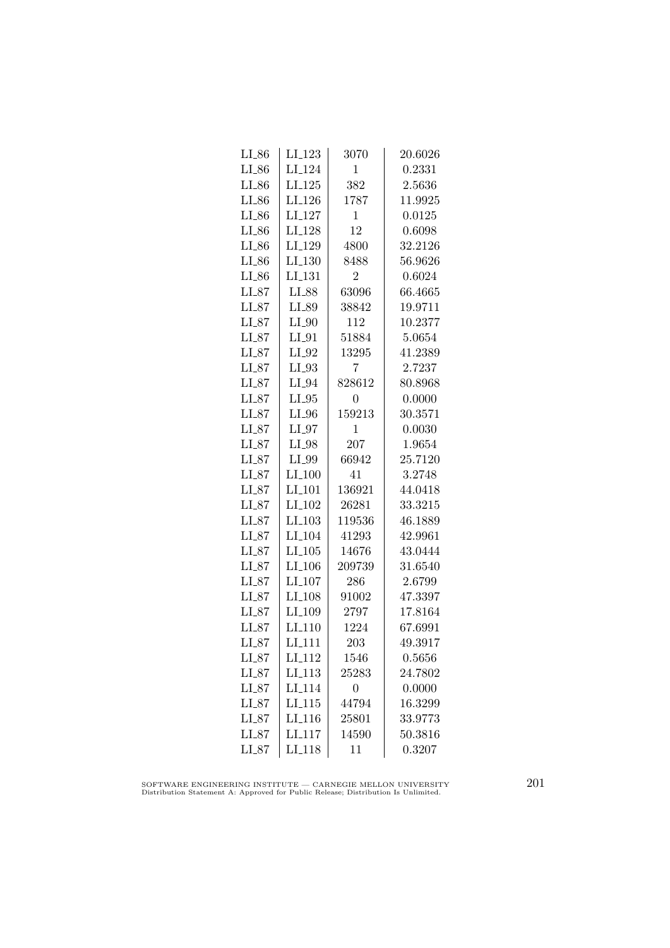| $LI_86$    | LI <sub>-123</sub>   | 3070             | 20.6026 |
|------------|----------------------|------------------|---------|
| $LI_86$    | LI <sub>-124</sub>   | 1                | 0.2331  |
| $LI_86$    | $LI-125$             | 382              | 2.5636  |
| $LI_86$    | LI <sub>-126</sub>   | 1787             | 11.9925 |
| $LI_86$    | LI <sub>-127</sub>   | $\mathbf{1}$     | 0.0125  |
| $LI_86$    | LI <sub>-128</sub>   | 12               | 0.6098  |
| $LI_86$    | LI <sub>-129</sub>   | 4800             | 32.2126 |
| $LI_{-86}$ | $LI_130$             | 8488             | 56.9626 |
| $LI_86$    | LI <sub>-131</sub>   | $\overline{2}$   | 0.6024  |
| $LI_87$    | LI_88                | 63096            | 66.4665 |
| $LI_87$    | LI_89                | 38842            | 19.9711 |
| LL87       | $LI_0$               | 112              | 10.2377 |
| $LI_87$    | $LI_01$              | 51884            | 5.0654  |
| $LI_87$    | $LI_02$              | 13295            | 41.2389 |
| $LI_87$    | $LI_03$              | 7                | 2.7237  |
| $LI_87$    | $LI_04$              | 828612           | 80.8968 |
| $LI_87$    | $LI_05$              | $\boldsymbol{0}$ | 0.0000  |
| $LI_87$    | $LI_0$               | 159213           | 30.3571 |
| $LI_87$    | $LI_07$              | 1                | 0.0030  |
| $LI_87$    | $LI_98$              | 207              | 1.9654  |
| $LI_87$    | LI_99                | 66942            | 25.7120 |
| $LI_87$    | $LI_100$             | 41               | 3.2748  |
| $LI_87$    | $LI$ <sub>-101</sub> | 136921           | 44.0418 |
| $LI_87$    | LI <sub>-102</sub>   | 26281            | 33.3215 |
| $LI_87$    | $LI_103$             | 119536           | 46.1889 |
| LL87       | LI <sub>-104</sub>   | 41293            | 42.9961 |
| $LI_87$    | $LI_105$             | 14676            | 43.0444 |
| $LI_87$    | $LI_106$             | 209739           | 31.6540 |
| $LI_87$    | LI <sub>-107</sub>   | 286              | 2.6799  |
| LL87       | LI <sub>-108</sub>   | 91002            | 47.3397 |
| $LI_87$    | LI <sub>-109</sub>   | 2797             | 17.8164 |
| $LI_87$    | LI <sub>-110</sub>   | 1224             | 67.6991 |
| $LI_87$    | $LI_111$             | 203              | 49.3917 |
| $LI_87$    | LI <sub>-112</sub>   | 1546             | 0.5656  |
| $LI_87$    | LI <sub>-113</sub>   | 25283            | 24.7802 |
| $LI_87$    | LI <sub>-114</sub>   | $\overline{0}$   | 0.0000  |
| $LI_87$    | LI <sub>-115</sub>   | 44794            | 16.3299 |
| $LI_87$    | LI <sub>-116</sub>   | 25801            | 33.9773 |
| $LI_87$    | LI <sub>117</sub>    | 14590            | 50.3816 |
| $LI_87$    | $LI$ <sub>-118</sub> | 11               | 0.3207  |

SOFTWARE ENGINEERING INSTITUTE — CARNEGIE MELLON UNIVERSITY Distribution Statement A: Approved for Public Release; Distribution Is Unlimited.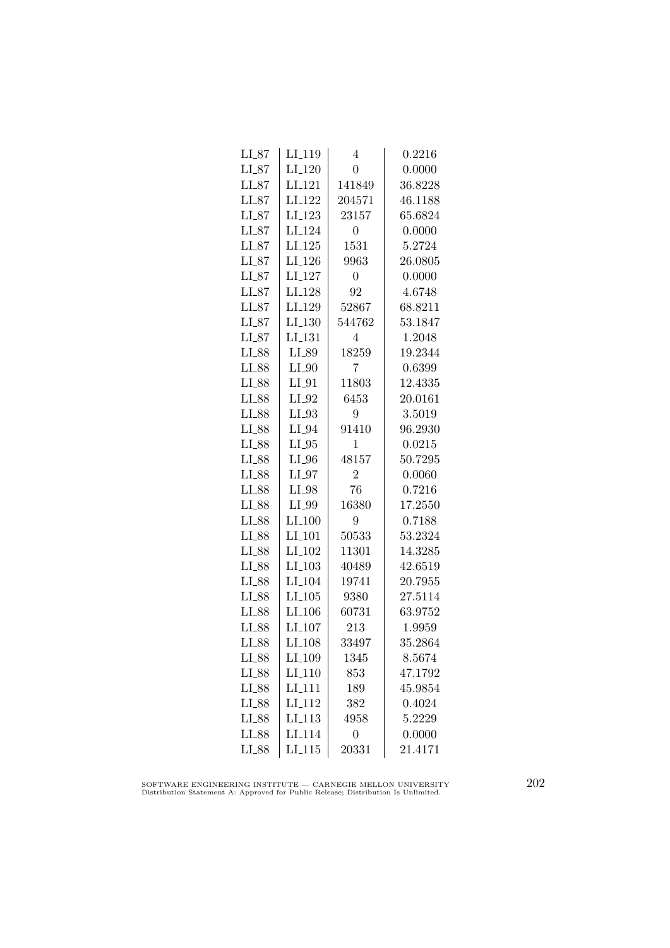| $LI_87$ | LI <sub>-119</sub>   | 4                | 0.2216  |
|---------|----------------------|------------------|---------|
| $LI_87$ | $LI_120$             | $\overline{0}$   | 0.0000  |
| LL87    | LI <sub>-121</sub>   | 141849           | 36.8228 |
| $LI_87$ | LI <sub>-122</sub>   | 204571           | 46.1188 |
| $LI_87$ | LI_123               | 23157            | 65.6824 |
| $LI_87$ | LI <sub>-124</sub>   | $\overline{0}$   | 0.0000  |
| $LI_87$ | $LI_125$             | 1531             | 5.2724  |
| $LI_87$ | $LI_126$             | 9963             | 26.0805 |
| $LI_87$ | $LI_127$             | $\overline{0}$   | 0.0000  |
| $LI_87$ | LI <sub>-128</sub>   | 92               | 4.6748  |
| $LI_87$ | LI <sub>-129</sub>   | 52867            | 68.8211 |
| $LI_87$ | LI <sub>-130</sub>   | 544762           | 53.1847 |
| $LI_87$ | LI <sub>-131</sub>   | 4                | 1.2048  |
| $LI_88$ | $LI_89$              | 18259            | 19.2344 |
| $LI_88$ | $LI_0$               | 7                | 0.6399  |
| $LI_88$ | $LI_01$              | 11803            | 12.4335 |
| $LI_88$ | $LI_02$              | 6453             | 20.0161 |
| $LI_88$ | $LI_03$              | 9                | 3.5019  |
| LI_88   | LI_94                | 91410            | 96.2930 |
| $LI_88$ | $LI_05$              | 1                | 0.0215  |
| $LI_88$ | $LI_0$               | 48157            | 50.7295 |
| LI_88   | $LI_07$              | $\overline{2}$   | 0.0060  |
| LI_88   | $LI_98$              | 76               | 0.7216  |
| LI_88   | LI_99                | 16380            | 17.2550 |
| LI_88   | $LI_100$             | 9                | 0.7188  |
| LI_88   | LI <sub>-101</sub>   | 50533            | 53.2324 |
| LI_88   | LI <sub>-102</sub>   | 11301            | 14.3285 |
| LI_88   | $LI_103$             | 40489            | 42.6519 |
| LI_88   | LI <sub>-104</sub>   | 19741            | 20.7955 |
| $LI_88$ | $LI$ <sub>-105</sub> | 9380             | 27.5114 |
| LI_88   | LI <sub>-106</sub>   | 60731            | 63.9752 |
| $LI_88$ | LI <sub>-107</sub>   | 213              | 1.9959  |
| LI_88   | LI <sub>-108</sub>   | 33497            | 35.2864 |
| LI_88   | LI <sub>-109</sub>   | 1345             | 8.5674  |
| LI_88   | $LI_110$             | 853              | 47.1792 |
| $LI_88$ | $LI-111$             | 189              | 45.9854 |
| $LI_88$ | LI <sub>-112</sub>   | 382              | 0.4024  |
| LI_88   | LI <sub>-113</sub>   | 4958             | 5.2229  |
| LI_88   | LI <sub>114</sub>    | $\boldsymbol{0}$ | 0.0000  |
| LI_88   | LI.115               | 20331            | 21.4171 |

SOFTWARE ENGINEERING INSTITUTE — CARNEGIE MELLON UNIVERSITY Distribution Statement A: Approved for Public Release; Distribution Is Unlimited.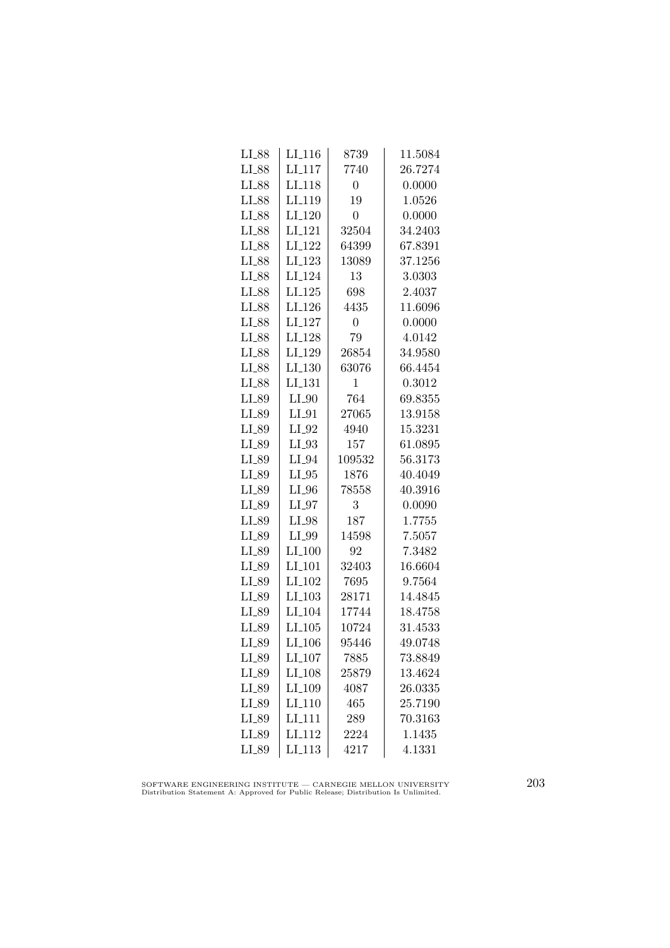| $LI_88$ | $LI_116$             | 8739           | 11.5084 |
|---------|----------------------|----------------|---------|
| $LI_88$ | $LI-117$             | 7740           | 26.7274 |
| $LI_88$ | LI <sub>-118</sub>   | $\overline{0}$ | 0.0000  |
| LI_88   | LI <sub>-119</sub>   | 19             | 1.0526  |
| LI_88   | $LI_120$             | $\overline{0}$ | 0.0000  |
| $LI_88$ | LI <sub>-121</sub>   | 32504          | 34.2403 |
| LI_88   | LI <sub>-122</sub>   | 64399          | 67.8391 |
| $LI_88$ | LI <sub>-123</sub>   | 13089          | 37.1256 |
| LI_88   | LI <sub>-124</sub>   | 13             | 3.0303  |
| LI_88   | $LI_125$             | 698            | 2.4037  |
| LI_88   | LI <sub>-126</sub>   | 4435           | 11.6096 |
| $LI_88$ | LI <sub>-127</sub>   | 0              | 0.0000  |
| $LI_88$ | $LI_128$             | 79             | 4.0142  |
| $LI_88$ | LI_129               | 26854          | 34.9580 |
| $LI_88$ | $LI_130$             | 63076          | 66.4454 |
| LI_88   | LI <sub>-131</sub>   | 1              | 0.3012  |
| LI_89   | $LI_0$               | 764            | 69.8355 |
| $LI_89$ | LI_91                | 27065          | 13.9158 |
| LI_89   | LI_92                | 4940           | 15.3231 |
| LI_89   | $LI_93$              | 157            | 61.0895 |
| LI_89   | $LI_04$              | 109532         | 56.3173 |
| LI_89   | $LI_05$              | 1876           | 40.4049 |
| LI_89   | $LI_0$               | 78558          | 40.3916 |
| LI_89   | $LI_97$              | 3              | 0.0090  |
| LI_89   | $LI_98$              | 187            | 1.7755  |
| $LI_89$ | LI_99                | 14598          | 7.5057  |
| LI_89   | $LI_100$             | 92             | 7.3482  |
| LI_89   | $LI_101$             | 32403          | 16.6604 |
| $LI_89$ | $LI_102$             | 7695           | 9.7564  |
| $LI_89$ | $LI$ <sub>-103</sub> | 28171          | 14.4845 |
| LI_89   | LI <sub>-104</sub>   | 17744          | 18.4758 |
| LI_89   | LI.105               | 10724          | 31.4533 |
| $LI_89$ | LI <sub>-106</sub>   | 95446          | 49.0748 |
| LI_89   | $LI_107$             | 7885           | 73.8849 |
| LI_89   | LI <sub>-108</sub>   | 25879          | 13.4624 |
| $LI_89$ | LI <sub>-109</sub>   | 4087           | 26.0335 |
| LI_89   | LI <sub>-110</sub>   | 465            | 25.7190 |
| LI_89   | LI <sub>-111</sub>   | 289            | 70.3163 |
| LI_89   | LI <sub>112</sub>    | 2224           | 1.1435  |
| LI_89   | $LI$ <sub>-113</sub> | 4217           | 4.1331  |

SOFTWARE ENGINEERING INSTITUTE — CARNEGIE MELLON UNIVERSITY Distribution Statement A: Approved for Public Release; Distribution Is Unlimited.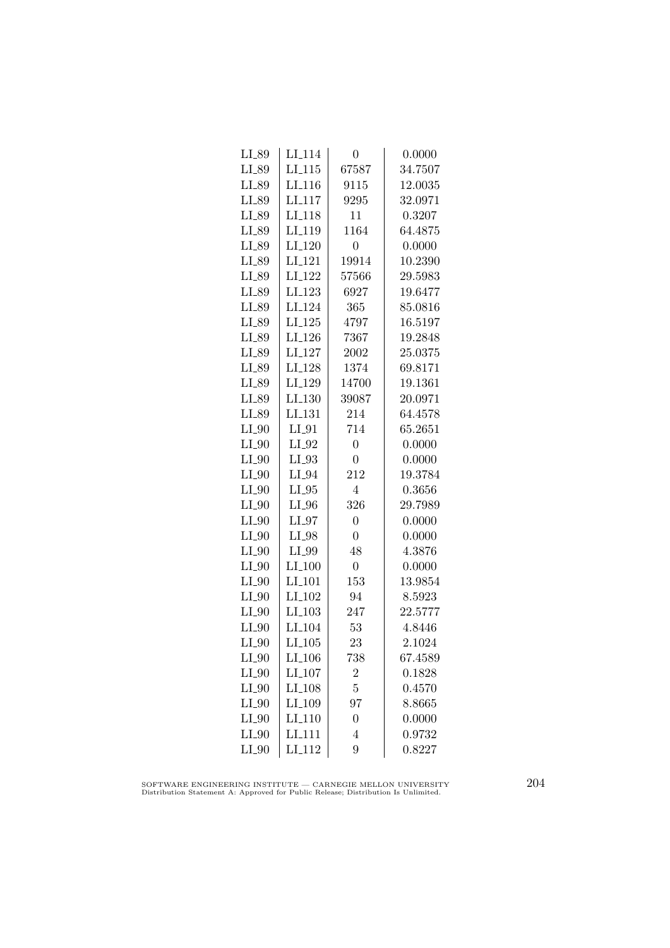| LI_89   | LI <sub>-114</sub>   | 0                | 0.0000  |
|---------|----------------------|------------------|---------|
| $LI_89$ | LI.115               | 67587            | 34.7507 |
| LI_89   | LI <sub>-116</sub>   | 9115             | 12.0035 |
| LI_89   | LI <sub>117</sub>    | 9295             | 32.0971 |
| LI_89   | LI <sub>-118</sub>   | 11               | 0.3207  |
| $LI_89$ | LI <sub>-119</sub>   | 1164             | 64.4875 |
| LI_89   | $LI_120$             | 0                | 0.0000  |
| LI_89   | $LI-121$             | 19914            | 10.2390 |
| LI_89   | $LI_122$             | 57566            | 29.5983 |
| LI_89   | LI <sub>-123</sub>   | 6927             | 19.6477 |
| LI_89   | LI <sub>-124</sub>   | 365              | 85.0816 |
| LI_89   | LI <sub>-125</sub>   | 4797             | 16.5197 |
| LI_89   | LI <sub>-126</sub>   | 7367             | 19.2848 |
| $LI_89$ | LI <sub>-127</sub>   | 2002             | 25.0375 |
| LI_89   | LI <sub>-128</sub>   | 1374             | 69.8171 |
| $LI_89$ | LI <sub>-129</sub>   | 14700            | 19.1361 |
| LI_89   | LI <sub>-130</sub>   | 39087            | 20.0971 |
| LI_89   | LI <sub>-131</sub>   | 214              | 64.4578 |
| $LI_0$  | $LI_01$              | 714              | 65.2651 |
| $LI_0$  | $LI_02$              | $\overline{0}$   | 0.0000  |
| $LI_0$  | $LI_93$              | $\overline{0}$   | 0.0000  |
| $LI_0$  | $LI_04$              | 212              | 19.3784 |
| $LI_0$  | $LI_05$              | $\overline{4}$   | 0.3656  |
| $LI_0$  | $LI_0$               | 326              | 29.7989 |
| $LI_0$  | $LI_97$              | $\overline{0}$   | 0.0000  |
| $LI_0$  | LI_98                | $\overline{0}$   | 0.0000  |
| $LI_0$  | LI_99                | 48               | 4.3876  |
| $LI_0$  | $LI_100$             | $\overline{0}$   | 0.0000  |
| $LI_0$  | $LI$ <sub>-101</sub> | 153              | 13.9854 |
| $LI_0$  | LI <sub>-102</sub>   | 94               | 8.5923  |
| $LI_0$  | LI <sub>-103</sub>   | 247              | 22.5777 |
| $LI_0$  | LI <sub>-104</sub>   | 53               | 4.8446  |
| $LI_0$  | $LI_105$             | 23               | 2.1024  |
| $LI_0$  | LI <sub>-106</sub>   | 738              | 67.4589 |
| $LI_0$  | LI <sub>-107</sub>   | $\overline{2}$   | 0.1828  |
| $LI_0$  | LI <sub>-108</sub>   | $\overline{5}$   | 0.4570  |
| $LI_0$  | LI <sub>-109</sub>   | 97               | 8.8665  |
| $LI_0$  | LI <sub>-110</sub>   | $\boldsymbol{0}$ | 0.0000  |
| $LI_0$  | LI <sub>111</sub>    | 4                | 0.9732  |
| $LI_0$  | LI <sub>-112</sub>   | 9                | 0.8227  |

SOFTWARE ENGINEERING INSTITUTE — CARNEGIE MELLON UNIVERSITY Distribution Statement A: Approved for Public Release; Distribution Is Unlimited.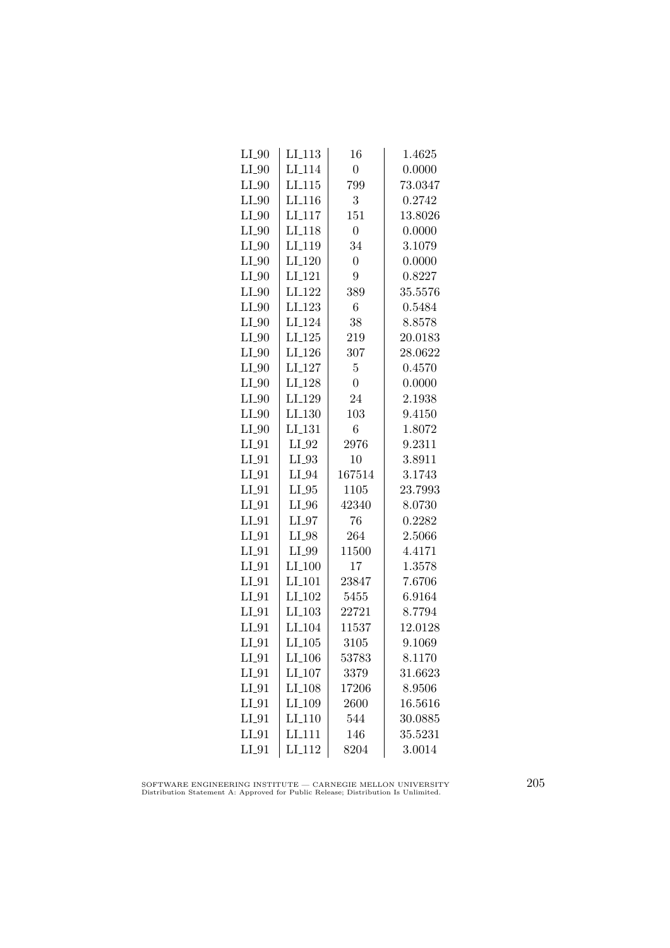| $LI_0$  | LI_113             | 16               | 1.4625  |
|---------|--------------------|------------------|---------|
| $LI_0$  | LI <sub>-114</sub> | $\boldsymbol{0}$ | 0.0000  |
| $LI_0$  | LI.115             | 799              | 73.0347 |
| $LI_0$  | LI <sub>-116</sub> | 3                | 0.2742  |
| $LI_0$  | LI <sub>117</sub>  | 151              | 13.8026 |
| $LI_0$  | LI <sub>-118</sub> | $\overline{0}$   | 0.0000  |
| $LI_0$  | LI <sub>-119</sub> | 34               | 3.1079  |
| $LI_0$  | $LI_120$           | $\overline{0}$   | 0.0000  |
| $LI_0$  | LI <sub>-121</sub> | 9                | 0.8227  |
| $LI_0$  | LI <sub>-122</sub> | 389              | 35.5576 |
| $LI_0$  | LI <sub>-123</sub> | 6                | 0.5484  |
| $LI_0$  | LI <sub>-124</sub> | 38               | 8.8578  |
| $LI_0$  | $LI_125$           | 219              | 20.0183 |
| $LI_0$  | $LI_126$           | 307              | 28.0622 |
| $LI_0$  | LI <sub>-127</sub> | $\overline{5}$   | 0.4570  |
| $LI_0$  | LI <sub>-128</sub> | $\overline{0}$   | 0.0000  |
| $LI_90$ | LI <sub>-129</sub> | 24               | 2.1938  |
| $LI_90$ | LI_130             | 103              | 9.4150  |
| $LI_0$  | LI <sub>-131</sub> | 6                | 1.8072  |
| $LI_01$ | $LI_02$            | 2976             | 9.2311  |
| $LI_01$ | $LI_93$            | 10               | 3.8911  |
| $LI_01$ | $LI_04$            | 167514           | 3.1743  |
| $LI_01$ | $LI_05$            | 1105             | 23.7993 |
| $LI_01$ | $LI_0$             | 42340            | 8.0730  |
| $LI_01$ | $LI_97$            | 76               | 0.2282  |
| $LI_01$ | LI_98              | 264              | 2.5066  |
| $LI_01$ | LI_99              | 11500            | 4.4171  |
| $LI_01$ | $LI_100$           | 17               | 1.3578  |
| $LI_01$ | LI <sub>-101</sub> | 23847            | 7.6706  |
| $LI_01$ | LI <sub>-102</sub> | 5455             | 6.9164  |
| $LI_91$ | LI <sub>-103</sub> | 22721            | 8.7794  |
| $LI_91$ | LI <sub>-104</sub> | 11537            | 12.0128 |
| $LI_01$ | $LI_105$           | 3105             | 9.1069  |
| $LI_01$ | $LI_106$           | 53783            | 8.1170  |
| $LI_01$ | $LI_107$           | 3379             | 31.6623 |
| $LI_01$ | $LI_108$           | 17206            | 8.9506  |
| $LI_01$ | LI <sub>-109</sub> | 2600             | 16.5616 |
| $LI_01$ | LI <sub>-110</sub> | 544              | 30.0885 |
| $LI_01$ | LI_111             | 146              | 35.5231 |
| $LI_01$ | LI <sub>-112</sub> | 8204             | 3.0014  |

SOFTWARE ENGINEERING INSTITUTE — CARNEGIE MELLON UNIVERSITY Distribution Statement A: Approved for Public Release; Distribution Is Unlimited.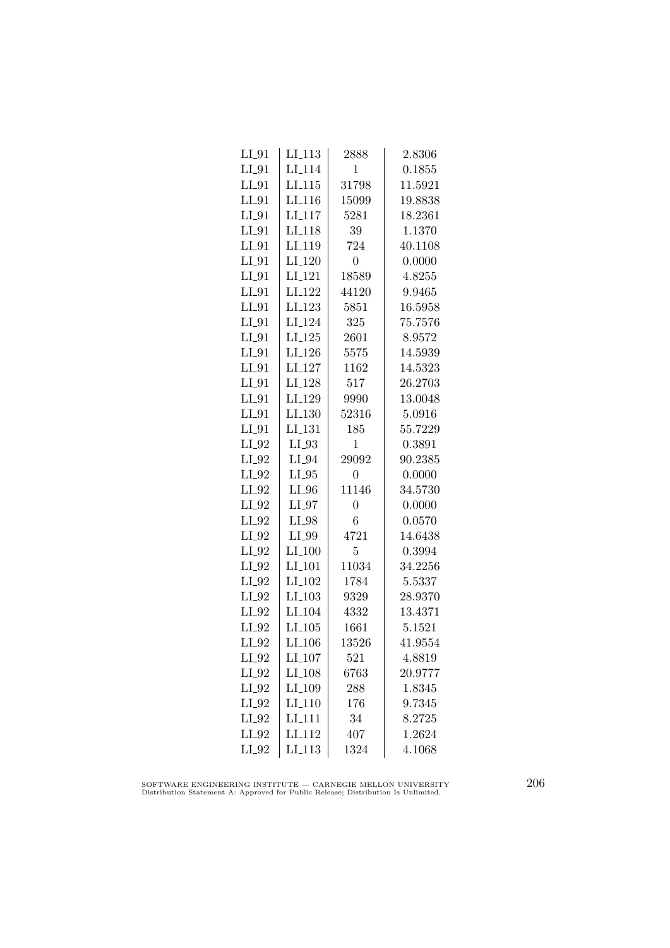| $LI_01$ | LI <sub>-113</sub>   | 2888           | 2.8306  |
|---------|----------------------|----------------|---------|
| $LI_01$ | LI <sub>-114</sub>   | $\mathbf{1}$   | 0.1855  |
| $LI_01$ | LI.115               | 31798          | 11.5921 |
| $LI_01$ | LI <sub>-116</sub>   | 15099          | 19.8838 |
| $LI_01$ | LI <sub>117</sub>    | 5281           | 18.2361 |
| $LI_01$ | LI <sub>-118</sub>   | 39             | 1.1370  |
| $LI_01$ | LI <sub>-119</sub>   | 724            | 40.1108 |
| $LI_01$ | LI <sub>-120</sub>   | $\overline{0}$ | 0.0000  |
| $LI_01$ | LI <sub>-121</sub>   | 18589          | 4.8255  |
| $LI_01$ | LI <sub>-122</sub>   | 44120          | 9.9465  |
| $LI_01$ | LI <sub>-123</sub>   | 5851           | 16.5958 |
| $LI_01$ | LI <sub>-124</sub>   | 325            | 75.7576 |
| $LI_01$ | $LI_125$             | 2601           | 8.9572  |
| $LI_01$ | $LI_126$             | 5575           | 14.5939 |
| $LI_01$ | LI <sub>-127</sub>   | 1162           | 14.5323 |
| $LI_01$ | LI <sub>-128</sub>   | 517            | 26.2703 |
| $LI_01$ | LI <sub>-129</sub>   | 9990           | 13.0048 |
| $LI_0$  | LI.130               | 52316          | 5.0916  |
| $LI_01$ | LI <sub>-131</sub>   | 185            | 55.7229 |
| $LI_92$ | $LI_93$              | $\mathbf{1}$   | 0.3891  |
| $LI_02$ | $LI_04$              | 29092          | 90.2385 |
| $LI_02$ | $LI_05$              | $\overline{0}$ | 0.0000  |
| $LI_02$ | $LI_0$               | 11146          | 34.5730 |
| $LI_92$ | $LI_97$              | $\overline{0}$ | 0.0000  |
| $LI_92$ | LI_98                | 6              | 0.0570  |
| $LI_92$ | LI_99                | 4721           | 14.6438 |
| $LI_02$ | $LI_100$             | 5              | 0.3994  |
| $LI_02$ | $LI_101$             | 11034          | 34.2256 |
| $LI_02$ | $LI$ <sub>-102</sub> | 1784           | 5.5337  |
| $LI_02$ | $LI$ <sub>-103</sub> | 9329           | 28.9370 |
| $LI_92$ | LI <sub>-104</sub>   | 4332           | 13.4371 |
| $LI_02$ | $LI_105$             | 1661           | 5.1521  |
| $LI_02$ | LI <sub>-106</sub>   | 13526          | 41.9554 |
| $LI_02$ | $LI_107$             | 521            | 4.8819  |
| $LI_02$ | LI_108               | 6763           | 20.9777 |
| $LI_02$ | LI <sub>-109</sub>   | 288            | 1.8345  |
| $LI_92$ | LI <sub>-110</sub>   | 176            | 9.7345  |
| $LI_92$ | LI <sub>-111</sub>   | 34             | 8.2725  |
| $LI_02$ | LI <sub>-112</sub>   | 407            | 1.2624  |
| $LI_92$ | $LI$ <sub>113</sub>  | 1324           | 4.1068  |
|         |                      |                |         |

SOFTWARE ENGINEERING INSTITUTE — CARNEGIE MELLON UNIVERSITY Distribution Statement A: Approved for Public Release; Distribution Is Unlimited.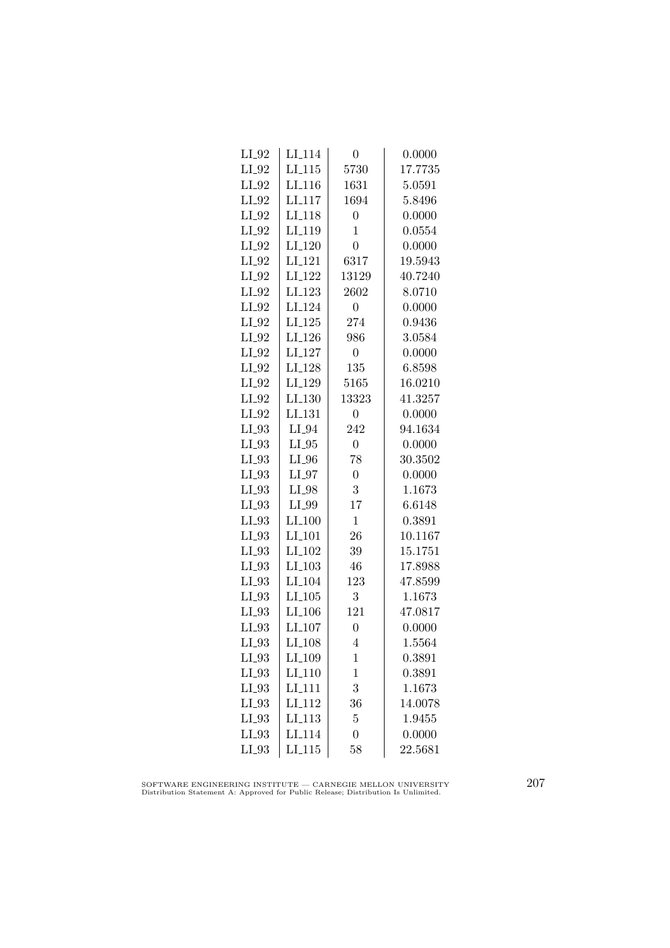| $LI_114$             | 0                | 0.0000  |
|----------------------|------------------|---------|
| LI.115               | 5730             | 17.7735 |
| LI <sub>-116</sub>   | 1631             | 5.0591  |
| LI <sub>117</sub>    | 1694             | 5.8496  |
| LI <sub>118</sub>    | $\overline{0}$   | 0.0000  |
| LI <sub>-119</sub>   | $\mathbf{1}$     | 0.0554  |
| $LI_120$             | $\overline{0}$   | 0.0000  |
| $LI-121$             | 6317             | 19.5943 |
| LI <sub>-122</sub>   | 13129            | 40.7240 |
| LI <sub>-123</sub>   | 2602             | 8.0710  |
| LI <sub>-124</sub>   | $\overline{0}$   | 0.0000  |
| LI <sub>-125</sub>   | 274              | 0.9436  |
| LI <sub>-126</sub>   | 986              | 3.0584  |
| $LI_127$             | $\overline{0}$   | 0.0000  |
| LI <sub>-128</sub>   | 135              | 6.8598  |
| LI <sub>-129</sub>   | 5165             | 16.0210 |
| LI <sub>-130</sub>   | 13323            | 41.3257 |
| LL131                | $\boldsymbol{0}$ | 0.0000  |
| LI_94                | 242              | 94.1634 |
| $LI_05$              | $\overline{0}$   | 0.0000  |
| $LI_0$               | 78               | 30.3502 |
| $LI_07$              | $\overline{0}$   | 0.0000  |
| LI_98                | 3                | 1.1673  |
| LI_99                | 17               | 6.6148  |
| $LI_100$             | $\mathbf{1}$     | 0.3891  |
| LI <sub>-101</sub>   | 26               | 10.1167 |
| LI <sub>-102</sub>   | 39               | 15.1751 |
| $LI_103$             | 46               | 17.8988 |
| LI <sub>-104</sub>   | 123              | 47.8599 |
| $LI$ <sub>-105</sub> | 3                | 1.1673  |
| LI <sub>-106</sub>   | 121              | 47.0817 |
| LI <sub>-107</sub>   | $\overline{0}$   | 0.0000  |
| LI <sub>-108</sub>   | 4                | 1.5564  |
| LI <sub>-109</sub>   | 1                | 0.3891  |
| $LI_110$             | $\mathbf 1$      | 0.3891  |
| LI <sub>-111</sub>   | 3                | 1.1673  |
| LI <sub>-112</sub>   | 36               | 14.0078 |
| LI <sub>-113</sub>   | $\overline{5}$   | 1.9455  |
| LI <sub>114</sub>    | $\overline{0}$   | 0.0000  |
| $LI$ <sub>-115</sub> | 58               | 22.5681 |
|                      |                  |         |

SOFTWARE ENGINEERING INSTITUTE — CARNEGIE MELLON UNIVERSITY Distribution Statement A: Approved for Public Release; Distribution Is Unlimited.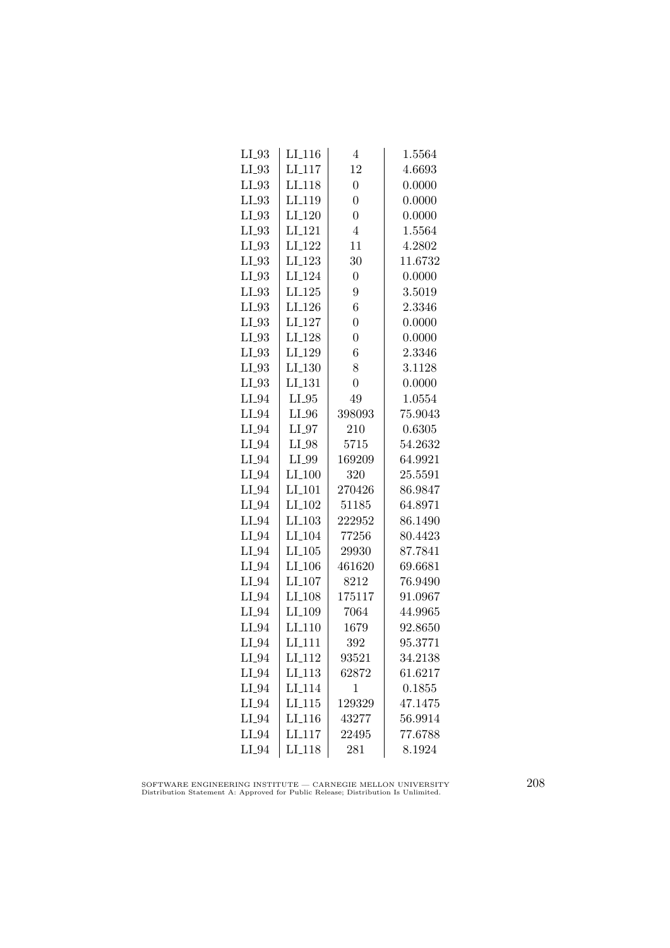| $LL_{.93}$ | $LI_116$             | 4              | 1.5564  |
|------------|----------------------|----------------|---------|
| $LI_93$    | $LI$ <sub>117</sub>  | 12             | 4.6693  |
| $LI_93$    | LI <sub>-118</sub>   | $\overline{0}$ | 0.0000  |
| $LI_93$    | LI <sub>-119</sub>   | $\overline{0}$ | 0.0000  |
| $LI_03$    | LI <sub>-120</sub>   | $\overline{0}$ | 0.0000  |
| $LI_03$    | LI <sub>-121</sub>   | $\overline{4}$ | 1.5564  |
| $LI_93$    | LI <sub>-122</sub>   | 11             | 4.2802  |
| $LI_93$    | LI <sub>-123</sub>   | 30             | 11.6732 |
| $LI_93$    | LI <sub>-124</sub>   | $\overline{0}$ | 0.0000  |
| $LI_03$    | $LI_125$             | 9              | 3.5019  |
| $LI_93$    | LI_126               | 6              | 2.3346  |
| $LI_93$    | LI <sub>-127</sub>   | $\overline{0}$ | 0.0000  |
| $LI_03$    | LI <sub>-128</sub>   | $\overline{0}$ | 0.0000  |
| $LI_03$    | LI <sub>-129</sub>   | 6              | 2.3346  |
| $LI_03$    | $LI_130$             | 8              | 3.1128  |
| $LI_93$    | LI <sub>-131</sub>   | $\overline{0}$ | 0.0000  |
| $LI_94$    | $LI_05$              | 49             | 1.0554  |
| $LI_94$    | $LI_0$               | 398093         | 75.9043 |
| $LI_94$    | $LI_0$               | 210            | 0.6305  |
| $LI_94$    | LI_98                | 5715           | 54.2632 |
| $LI_94$    | LI_99                | 169209         | 64.9921 |
| $LI_04$    | $LI_100$             | 320            | 25.5591 |
| $LI_04$    | $LI$ <sub>-101</sub> | 270426         | 86.9847 |
| $LI_94$    | LI <sub>-102</sub>   | 51185          | 64.8971 |
| $LI_04$    | $LI$ <sub>-103</sub> | 222952         | 86.1490 |
| $LI_94$    | LI <sub>-104</sub>   | 77256          | 80.4423 |
| $LI_94$    | $LI_105$             | 29930          | 87.7841 |
| $LI_94$    | $LI_106$             | 461620         | 69.6681 |
| $LI_04$    | $LI_107$             | 8212           | 76.9490 |
| $LI_94$    | LI <sub>-108</sub>   | 175117         | 91.0967 |
| $LI_94$    | LI_109               | 7064           | 44.9965 |
| $LI_94$    | LI <sub>-110</sub>   | 1679           | 92.8650 |
| $LI_04$    | $LI_111$             | 392            | 95.3771 |
| $LI_94$    | LI <sub>-112</sub>   | 93521          | 34.2138 |
| $LI_04$    | LI <sub>-113</sub>   | 62872          | 61.6217 |
| $LI_04$    | LI <sub>-114</sub>   | $\mathbf 1$    | 0.1855  |
| $LI_04$    | LI.115               | 129329         | 47.1475 |
| $LI_04$    | LI <sub>-116</sub>   | 43277          | 56.9914 |
| $LI_94$    | LI <sub>-117</sub>   | 22495          | 77.6788 |
| $LI_04$    | $LI-118$             | 281            | 8.1924  |

SOFTWARE ENGINEERING INSTITUTE — CARNEGIE MELLON UNIVERSITY Distribution Statement A: Approved for Public Release; Distribution Is Unlimited.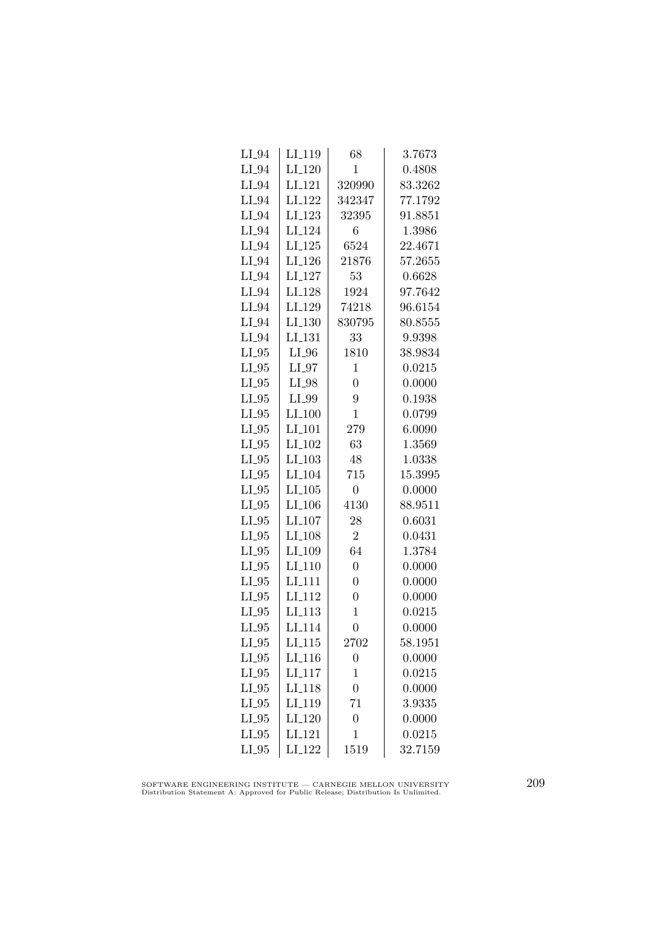| LI <sub>-119</sub> | 68             | 3.7673  |
|--------------------|----------------|---------|
| $LI_120$           | 1              | 0.4808  |
| LI <sub>-121</sub> | 320990         | 83.3262 |
| LI <sub>-122</sub> | 342347         | 77.1792 |
| $LI_123$           | 32395          | 91.8851 |
| LI <sub>-124</sub> | 6              | 1.3986  |
| $LI_125$           | 6524           | 22.4671 |
| $LI_126$           | 21876          | 57.2655 |
| $LI_127$           | 53             | 0.6628  |
| LI <sub>-128</sub> | 1924           | 97.7642 |
| LI <sub>-129</sub> | 74218          | 96.6154 |
| LI <sub>-130</sub> | 830795         | 80.8555 |
| LI <sub>-131</sub> | 33             | 9.9398  |
| $LI_0$             | 1810           | 38.9834 |
| $LI_07$            | $\mathbf 1$    | 0.0215  |
| LI_98              | $\overline{0}$ | 0.0000  |
| LI_99              | 9              | 0.1938  |
| $LI_100$           | $\mathbf 1$    | 0.0799  |
| LI <sub>-101</sub> | 279            | 6.0090  |
| LI <sub>-102</sub> | 63             | 1.3569  |
| $LI_103$           | 48             | 1.0338  |
| LI <sub>-104</sub> | 715            | 15.3995 |
| $LI_105$           | $\overline{0}$ | 0.0000  |
| LI <sub>-106</sub> | 4130           | 88.9511 |
| LI <sub>-107</sub> | 28             | 0.6031  |
| LI <sub>-108</sub> | $\overline{2}$ | 0.0431  |
| LI <sub>-109</sub> | 64             | 1.3784  |
| $LI_110$           | $\overline{0}$ | 0.0000  |
| LI <sub>-111</sub> | $\overline{0}$ | 0.0000  |
| LI <sub>-112</sub> | $\overline{0}$ | 0.0000  |
| LI <sub>-113</sub> | $\mathbf 1$    | 0.0215  |
| LI <sub>114</sub>  | $\overline{0}$ | 0.0000  |
| $LI_115$           | 2702           | 58.1951 |
| LI <sub>-116</sub> | $\overline{0}$ | 0.0000  |
| $LI_117$           | $\mathbf 1$    | 0.0215  |
| LI <sub>-118</sub> | $\overline{0}$ | 0.0000  |
| LI <sub>-119</sub> | 71             | 3.9335  |
| $LI_120$           | $\overline{0}$ | 0.0000  |
| LI <sub>-121</sub> | $\mathbf 1$    | 0.0215  |
| LI <sub>-122</sub> | 1519           | 32.7159 |
|                    |                |         |

SOFTWARE ENGINEERING INSTITUTE — CARNEGIE MELLON UNIVERSITY Distribution Statement A: Approved for Public Release; Distribution Is Unlimited.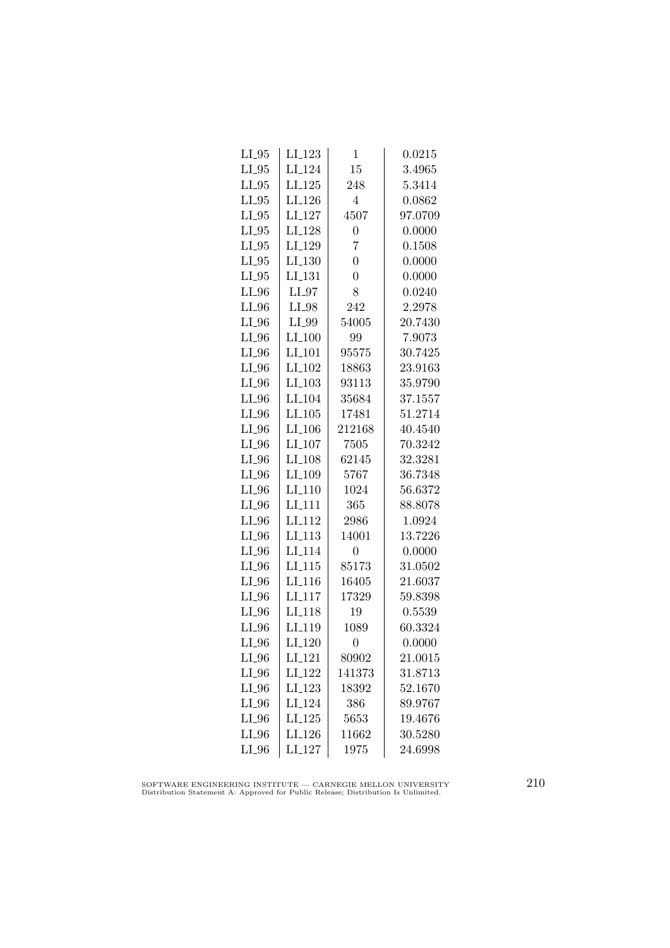| $LL_{.95}$ | LI <sub>-123</sub>   | 1              | $\,0.0215\,$ |
|------------|----------------------|----------------|--------------|
| $LI_05$    | LI <sub>-124</sub>   | 15             | 3.4965       |
| $LI_05$    | $LI_125$             | 248            | 5.3414       |
| $LI_05$    | LI <sub>-126</sub>   | 4              | 0.0862       |
| $LI_05$    | LI <sub>-127</sub>   | 4507           | 97.0709      |
| $LI_05$    | LI <sub>-128</sub>   | $\overline{0}$ | 0.0000       |
| $LI_05$    | LI_129               | 7              | 0.1508       |
| $LI_05$    | $LI_130$             | $\overline{0}$ | 0.0000       |
| $LI_05$    | $LI$ <sub>-131</sub> | $\overline{0}$ | 0.0000       |
| $LI_0$     | $LI_97$              | 8              | 0.0240       |
| $LI_0$     | $LI_98$              | 242            | 2.2978       |
| $LI_0$     | LI_99                | 54005          | 20.7430      |
| $LI_0$     | $LI_100$             | 99             | 7.9073       |
| $LI_0$     | $LI_101$             | 95575          | 30.7425      |
| $LI_0$     | LI <sub>-102</sub>   | 18863          | 23.9163      |
| $LI_0$     | LI <sub>-103</sub>   | 93113          | 35.9790      |
| $LI_0$     | LI <sub>-104</sub>   | 35684          | 37.1557      |
| $LI_0$     | LI.105               | 17481          | 51.2714      |
| $LI_0$     | LI <sub>-106</sub>   | 212168         | 40.4540      |
| $LI_0$     | $LI_107$             | 7505           | 70.3242      |
| $LI_0$     | $LI_108$             | 62145          | 32.3281      |
| $LI_0$     | LI <sub>-109</sub>   | 5767           | 36.7348      |
| $LI_0$     | $LI-110$             | 1024           | 56.6372      |
| $LI_0$     | LI <sub>-111</sub>   | 365            | 88.8078      |
| $LI_0$     | LI <sub>112</sub>    | 2986           | 1.0924       |
| $LI_0$     | LI <sub>-113</sub>   | 14001          | 13.7226      |
| $LI_0$     | LI <sub>-114</sub>   | $\overline{0}$ | 0.0000       |
| $LI_0$     | $LI_115$             | 85173          | 31.0502      |
| $LI_0$     | LI <sub>-116</sub>   | 16405          | 21.6037      |
| $LI_0$     | LI <sub>-117</sub>   | 17329          | 59.8398      |
| $LI_0$     | LI <sub>-118</sub>   | 19             | 0.5539       |
| $LI_0$     | LI <sub>-119</sub>   | 1089           | 60.3324      |
| $LI_0$     | $LI_120$             | $\overline{0}$ | 0.0000       |
| $LI_0$     | LI <sub>-121</sub>   | 80902          | 21.0015      |
| $LI_0$     | LI <sub>-122</sub>   | 141373         | 31.8713      |
| $LI_0$     | LI <sub>-123</sub>   | 18392          | 52.1670      |
| $LI_0$     | LI <sub>-124</sub>   | 386            | 89.9767      |
| $LI_96$    | $LI_125$             | 5653           | 19.4676      |
| $LI_0$     | LI <sub>-126</sub>   | 11662          | 30.5280      |
| $LI_0$     | $LI_127$             | 1975           | 24.6998      |
|            |                      |                |              |

SOFTWARE ENGINEERING INSTITUTE — CARNEGIE MELLON UNIVERSITY Distribution Statement A: Approved for Public Release; Distribution Is Unlimited.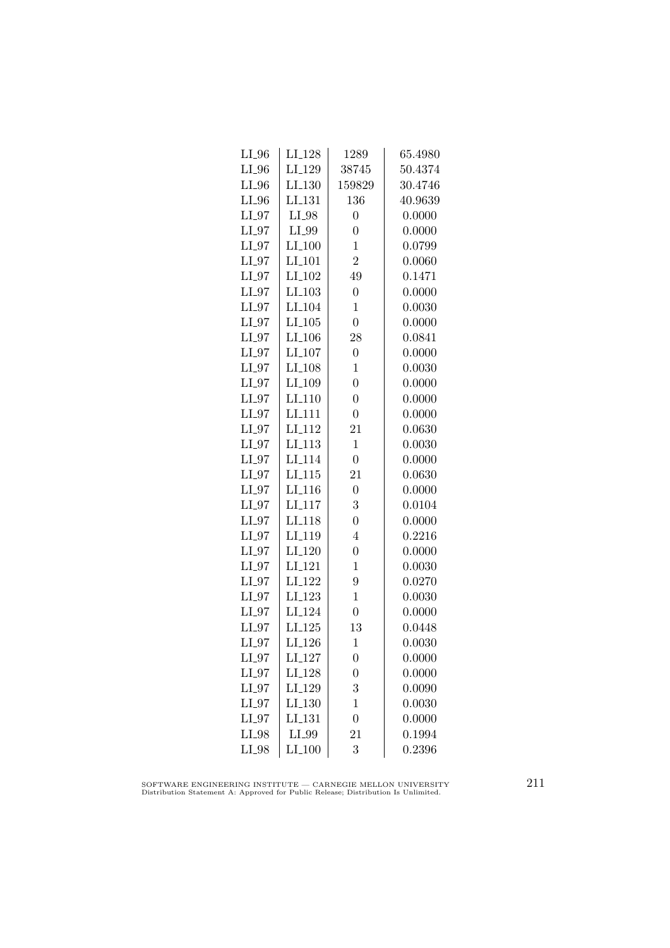| $LI_0$  | $LI_128$             | 1289             | 65.4980 |
|---------|----------------------|------------------|---------|
| $LI_0$  | LI <sub>-129</sub>   | 38745            | 50.4374 |
| $LI_0$  | LI.130               | 159829           | 30.4746 |
| $LI_0$  | LI <sub>-131</sub>   | 136              | 40.9639 |
| $LI_97$ | LI_98                | $\overline{0}$   | 0.0000  |
| LI_97   | LI_99                | $\overline{0}$   | 0.0000  |
| $LI_97$ | $LI_100$             | $\mathbf{1}$     | 0.0799  |
| $LI_97$ | $LI$ <sub>-101</sub> | $\overline{2}$   | 0.0060  |
| $LI_97$ | LI <sub>-102</sub>   | 49               | 0.1471  |
| $LI_97$ | $LI$ <sub>-103</sub> | $\overline{0}$   | 0.0000  |
| $LI_97$ | LI <sub>-104</sub>   | $\mathbf{1}$     | 0.0030  |
| $LI_97$ | LI.105               | $\overline{0}$   | 0.0000  |
| $LI_97$ | $LI_106$             | 28               | 0.0841  |
| $LI_97$ | $LI_107$             | $\overline{0}$   | 0.0000  |
| $LI_07$ | LI <sub>-108</sub>   | $\mathbf 1$      | 0.0030  |
| $LI_97$ | LI_109               | $\overline{0}$   | 0.0000  |
| $LI_97$ | LI <sub>-110</sub>   | $\overline{0}$   | 0.0000  |
| $LI_97$ | LI <sub>111</sub>    | $\overline{0}$   | 0.0000  |
| $LI_97$ | LI <sub>-112</sub>   | 21               | 0.0630  |
| $LI_97$ | $LI_113$             | $\mathbf 1$      | 0.0030  |
| $LI_97$ | LI <sub>-114</sub>   | $\overline{0}$   | 0.0000  |
| $LI_97$ | $LI$ <sub>-115</sub> | 21               | 0.0630  |
| $LI_97$ | $LI$ <sub>-116</sub> | $\overline{0}$   | 0.0000  |
| $LI_97$ | LI <sub>-117</sub>   | 3                | 0.0104  |
| $LI_97$ | LI <sub>-118</sub>   | $\overline{0}$   | 0.0000  |
| $LI_97$ | LI <sub>-119</sub>   | $\overline{4}$   | 0.2216  |
| $LI_97$ | LI <sub>-120</sub>   | $\overline{0}$   | 0.0000  |
| $LI_97$ | $LI_121$             | $\mathbf 1$      | 0.0030  |
| $LI_97$ | LI <sub>-122</sub>   | 9                | 0.0270  |
| $LI_97$ | $LI-123$             | $\mathbf{1}$     | 0.0030  |
| $LI_97$ | LI <sub>-124</sub>   | $\overline{0}$   | 0.0000  |
| $LI_97$ | LI <sub>-125</sub>   | 13               | 0.0448  |
| $LI_97$ | LI <sub>-126</sub>   | $\mathbf 1$      | 0.0030  |
| $LI_97$ | $LI_127$             | $\boldsymbol{0}$ | 0.0000  |
| $LI_97$ | LI <sub>-128</sub>   | $\overline{0}$   | 0.0000  |
| $LI_07$ | LI <sub>-129</sub>   | 3                | 0.0090  |
| $LI_97$ | LI.130               | $\mathbf{1}$     | 0.0030  |
| $LI_97$ | LI <sub>-131</sub>   | $\overline{0}$   | 0.0000  |
| LI_98   | LI_99                | 21               | 0.1994  |
| LI_98   | $LI_100$             | 3                | 0.2396  |

SOFTWARE ENGINEERING INSTITUTE — CARNEGIE MELLON UNIVERSITY Distribution Statement A: Approved for Public Release; Distribution Is Unlimited.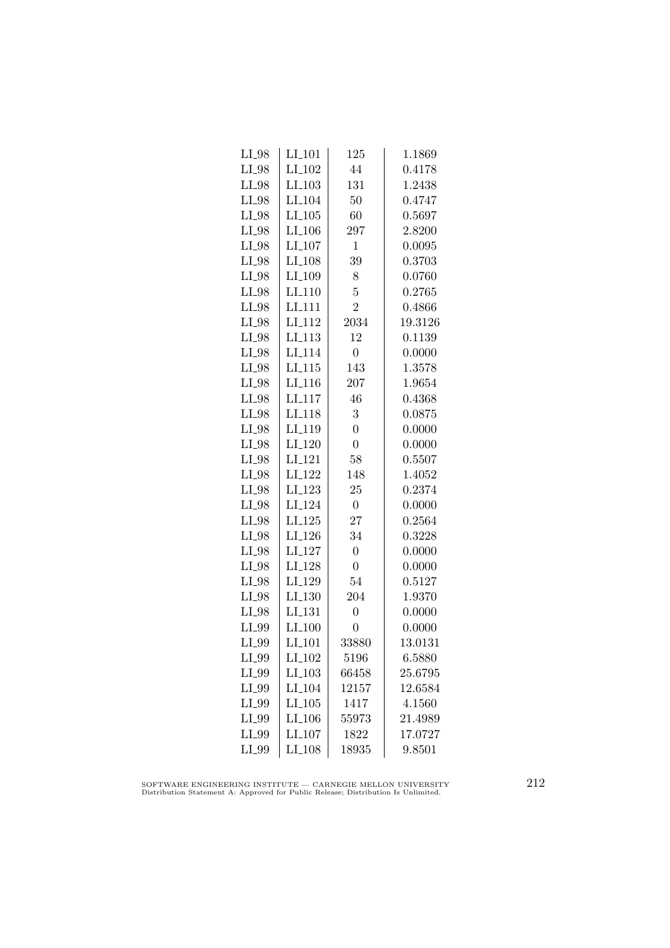| $LI_98$ | $LI_101$             | 125              | 1.1869  |
|---------|----------------------|------------------|---------|
| $LI_98$ | $LI_102$             | 44               | 0.4178  |
| $LI_98$ | $LI$ <sub>-103</sub> | 131              | 1.2438  |
| $LI_98$ | LI <sub>-104</sub>   | 50               | 0.4747  |
| LI_98   | LI.105               | 60               | 0.5697  |
| LI_98   | $LI_106$             | 297              | 2.8200  |
| $LI_98$ | $LI_107$             | $\mathbf{1}$     | 0.0095  |
| $LI_98$ | $LI_108$             | 39               | 0.3703  |
| $LI_98$ | LI <sub>-109</sub>   | 8                | 0.0760  |
| $LI_98$ | LI <sub>-110</sub>   | $\overline{5}$   | 0.2765  |
| $LI_98$ | LI <sub>-111</sub>   | $\overline{2}$   | 0.4866  |
| LI_98   | LI <sub>-112</sub>   | 2034             | 19.3126 |
| LI_98   | LI <sub>-113</sub>   | 12               | 0.1139  |
| $LI_98$ | LI <sub>-114</sub>   | $\overline{0}$   | 0.0000  |
| $LI_98$ | LI.115               | 143              | 1.3578  |
| $LI_98$ | $LI$ <sub>-116</sub> | 207              | 1.9654  |
| LI_98   | LI <sub>-117</sub>   | 46               | 0.4368  |
| $LI_98$ | LI <sub>-118</sub>   | 3                | 0.0875  |
| LI_98   | LI <sub>-119</sub>   | $\overline{0}$   | 0.0000  |
| $LI_98$ | LI <sub>-120</sub>   | $\overline{0}$   | 0.0000  |
| $LI_98$ | LI <sub>-121</sub>   | 58               | 0.5507  |
| $LI_98$ | LI <sub>-122</sub>   | 148              | 1.4052  |
| $LI_98$ | LI <sub>-123</sub>   | 25               | 0.2374  |
| $LI_98$ | LI <sub>-124</sub>   | $\boldsymbol{0}$ | 0.0000  |
| LI_98   | LI.125               | 27               | 0.2564  |
| LI_98   | LI <sub>-126</sub>   | 34               | 0.3228  |
| $LI_98$ | LI <sub>-127</sub>   | $\overline{0}$   | 0.0000  |
| $LI_98$ | LI <sub>-128</sub>   | $\overline{0}$   | 0.0000  |
| LI_98   | LI_129               | 54               | 0.5127  |
| $LI_98$ | LI.130               | 204              | 1.9370  |
| $LI_98$ | LI <sub>-131</sub>   | $\overline{0}$   | 0.0000  |
| LI_99   | LI <sub>-100</sub>   | $\overline{0}$   | 0.0000  |
| LI_99   | LI <sub>-101</sub>   | 33880            | 13.0131 |
| LI_99   | LI <sub>-102</sub>   | 5196             | 6.5880  |
| LI_99   | $LI_103$             | 66458            | 25.6795 |
| $LI_99$ | LI <sub>-104</sub>   | 12157            | 12.6584 |
| $LI_99$ | $LI_105$             | 1417             | 4.1560  |
| LI_99   | $LI$ <sub>-106</sub> | 55973            | 21.4989 |
| LI_99   | LI <sub>-107</sub>   | 1822             | 17.0727 |
| LI_99   | LI <sub>-108</sub>   | 18935            | 9.8501  |
|         |                      |                  |         |

SOFTWARE ENGINEERING INSTITUTE — CARNEGIE MELLON UNIVERSITY Distribution Statement A: Approved for Public Release; Distribution Is Unlimited.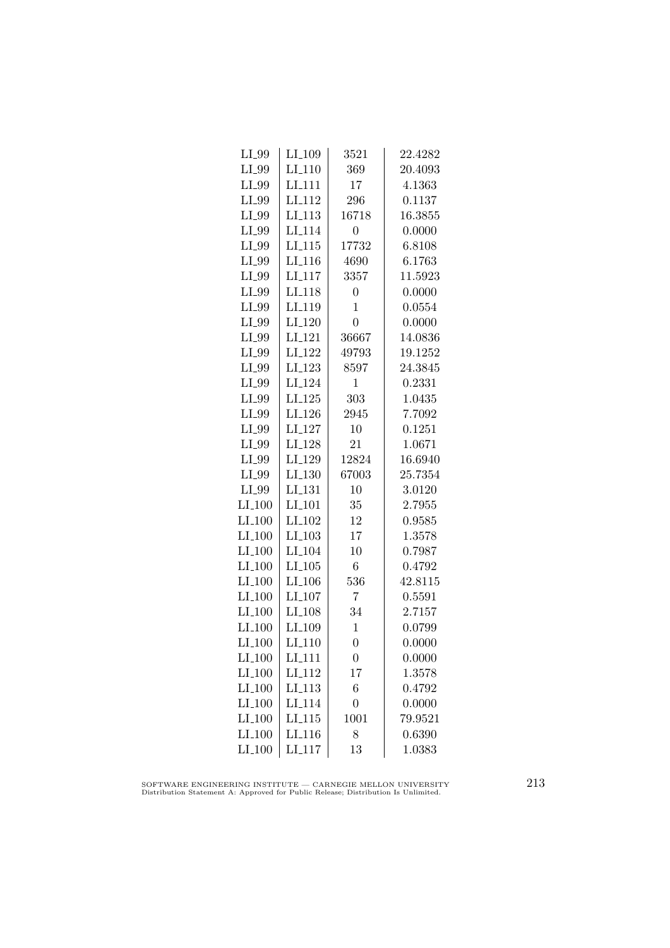| $LI_09$            | $LI_109$             | 3521             | 22.4282 |
|--------------------|----------------------|------------------|---------|
| LI_99              | $LI-110$             | 369              | 20.4093 |
| LI_99              | $LI-111$             | 17               | 4.1363  |
| LI_99              | LI <sub>-112</sub>   | 296              | 0.1137  |
| LI_99              | $LI_113$             | 16718            | 16.3855 |
| LI_99              | LI <sub>-114</sub>   | $\boldsymbol{0}$ | 0.0000  |
| LI_99              | $LI_115$             | 17732            | 6.8108  |
| LI_99              | $LI$ <sub>-116</sub> | 4690             | 6.1763  |
| LI_99              | $LI_117$             | 3357             | 11.5923 |
| LI_99              | LI <sub>-118</sub>   | $\overline{0}$   | 0.0000  |
| LI_99              | LI <sub>-119</sub>   | $\overline{1}$   | 0.0554  |
| LI_99              | LI <sub>-120</sub>   | $\overline{0}$   | 0.0000  |
| LI_99              | LI <sub>-121</sub>   | 36667            | 14.0836 |
| LI_99              | $LI_122$             | 49793            | 19.1252 |
| $LI_99$            | $LI-123$             | 8597             | 24.3845 |
| LI_99              | LI <sub>-124</sub>   | $\mathbf{1}$     | 0.2331  |
| LI_99              | LI <sub>-125</sub>   | 303              | 1.0435  |
| LI_99              | LI <sub>-126</sub>   | 2945             | 7.7092  |
| LI_99              | LI <sub>-127</sub>   | 10               | 0.1251  |
| LI_99              | LI <sub>-128</sub>   | 21               | 1.0671  |
| $LI_99$            | LI_129               | 12824            | 16.6940 |
| LI_99              | $LI_130$             | 67003            | 25.7354 |
| $LI_99$            | LI <sub>-131</sub>   | 10               | 3.0120  |
| $LI_100$           | LI <sub>-101</sub>   | 35               | 2.7955  |
| LI <sub>-100</sub> | LI <sub>-102</sub>   | 12               | 0.9585  |
| LI <sub>-100</sub> | LI <sub>-103</sub>   | 17               | 1.3578  |
| $LI_100$           | LI <sub>-104</sub>   | 10               | 0.7987  |
| $LI_100$           | $LI_105$             | $\overline{6}$   | 0.4792  |
| $LI_100$           | $LI_106$             | 536              | 42.8115 |
| $LI_100$           | LL107                | $\overline{7}$   | 0.5591  |
| $LI_100$           | LI <sub>-108</sub>   | 34               | 2.7157  |
| LI <sub>-100</sub> | LI <sub>-109</sub>   | $\mathbf{1}$     | 0.0799  |
| $LI_100$           | LI <sub>-110</sub>   | $\overline{0}$   | 0.0000  |
| $LI_100$           | $LI_111$             | $\overline{0}$   | 0.0000  |
| $LI_100$           | LI <sub>-112</sub>   | 17               | 1.3578  |
| $LI_100$           | LI <sub>-113</sub>   | 6                | 0.4792  |
| $LI_100$           | LI <sub>-114</sub>   | $\overline{0}$   | 0.0000  |
| $LI_100$           | LI <sub>-115</sub>   | 1001             | 79.9521 |
| $LI_100$           | $LI_116$             | 8                | 0.6390  |
| $LI_100$           | LI <sub>-117</sub>   | 13               | 1.0383  |

SOFTWARE ENGINEERING INSTITUTE — CARNEGIE MELLON UNIVERSITY Distribution Statement A: Approved for Public Release; Distribution Is Unlimited.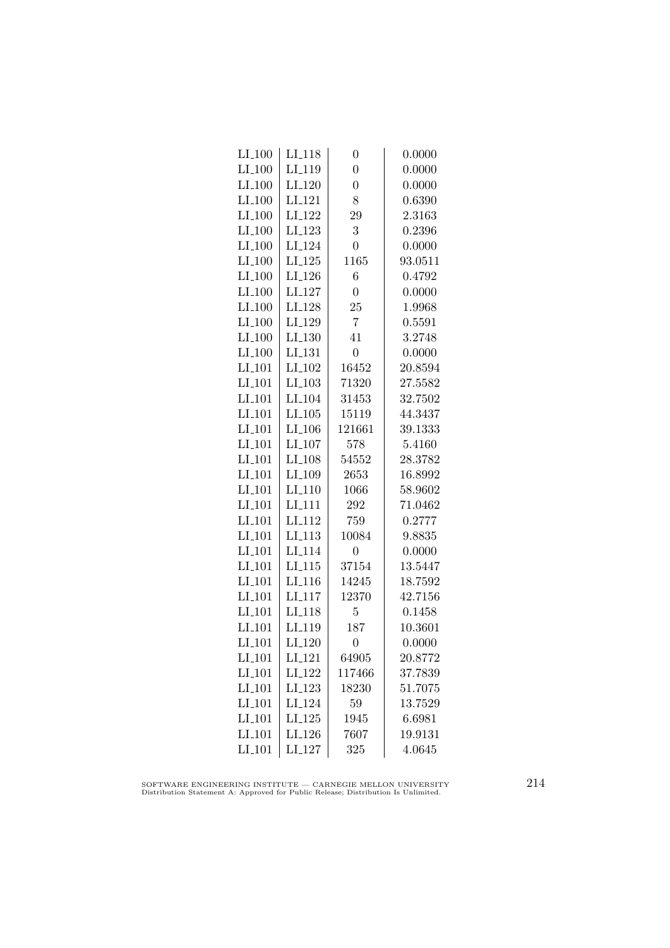| $LI_100$             | LI <sub>-</sub> 118 | $\overline{0}$ | 0.0000  |
|----------------------|---------------------|----------------|---------|
| $LI_100$             | LI <sub>-119</sub>  | $\overline{0}$ | 0.0000  |
| $LI_100$             | $LI_120$            | $\overline{0}$ | 0.0000  |
| $LI_100$             | LI <sub>-121</sub>  | 8              | 0.6390  |
| $LI_100$             | LI <sub>-122</sub>  | 29             | 2.3163  |
| $LI_100$             | LI <sub>-123</sub>  | 3              | 0.2396  |
| $LI_100$             | LI <sub>-124</sub>  | $\overline{0}$ | 0.0000  |
| $LI_100$             | $LI_125$            | 1165           | 93.0511 |
| $LI_100$             | $LI_126$            | 6              | 0.4792  |
| $LI_100$             | LI <sub>-127</sub>  | $\overline{0}$ | 0.0000  |
| $LI_100$             | LI <sub>-128</sub>  | 25             | 1.9968  |
| $LI_100$             | LI <sub>-129</sub>  | $\overline{7}$ | 0.5591  |
| $LI_100$             | LI <sub>-130</sub>  | 41             | 3.2748  |
| $LI_100$             | LI <sub>-131</sub>  | $\overline{0}$ | 0.0000  |
| $LI_101$             | LI <sub>-102</sub>  | 16452          | 20.8594 |
| $LI_101$             | LI <sub>-103</sub>  | 71320          | 27.5582 |
| LI <sub>-101</sub>   | LI <sub>-104</sub>  | 31453          | 32.7502 |
| LI <sub>-101</sub>   | LI_105              | 15119          | 44.3437 |
| LI_101               | LI <sub>-106</sub>  | 121661         | 39.1333 |
| $LI_101$             | LI_107              | 578            | 5.4160  |
| $LI_101$             | LI <sub>-108</sub>  | 54552          | 28.3782 |
| $LI_101$             | LI <sub>-109</sub>  | 2653           | 16.8992 |
| $LI$ <sub>-101</sub> | LI <sub>-110</sub>  | 1066           | 58.9602 |
| LI <sub>-101</sub>   | LI <sub>-111</sub>  | 292            | 71.0462 |
| LI <sub>-101</sub>   | LI <sub>112</sub>   | 759            | 0.2777  |
| LI <sub>-101</sub>   | LI <sub>113</sub>   | 10084          | 9.8835  |
| $LI_101$             | LI <sub>-114</sub>  | $\overline{0}$ | 0.0000  |
| $LI_101$             | $LI_115$            | 37154          | 13.5447 |
| $LI_101$             | $LI_116$            | 14245          | 18.7592 |
| $LI_101$             | LI <sub>-117</sub>  | 12370          | 42.7156 |
| $LI$ <sub>101</sub>  | LI <sub>-118</sub>  | $\overline{5}$ | 0.1458  |
| LI <sub>-101</sub>   | LI <sub>-119</sub>  | 187            | 10.3601 |
| LI <sub>-101</sub>   | LI <sub>-120</sub>  | $\overline{0}$ | 0.0000  |
| $LI_101$             | LI <sub>-121</sub>  | 64905          | 20.8772 |
| $LI_101$             | LI <sub>-122</sub>  | 117466         | 37.7839 |
| $LI_101$             | LI <sub>-123</sub>  | 18230          | 51.7075 |
| $LI_101$             | LI <sub>-124</sub>  | 59             | 13.7529 |
| $LI$ <sub>-101</sub> | LI.125              | 1945           | 6.6981  |
| LI <sub>-101</sub>   | LI <sub>-126</sub>  | 7607           | 19.9131 |
| LI <sub>-101</sub>   | LI <sub>-127</sub>  | 325            | 4.0645  |
|                      |                     |                |         |

SOFTWARE ENGINEERING INSTITUTE — CARNEGIE MELLON UNIVERSITY Distribution Statement A: Approved for Public Release; Distribution Is Unlimited.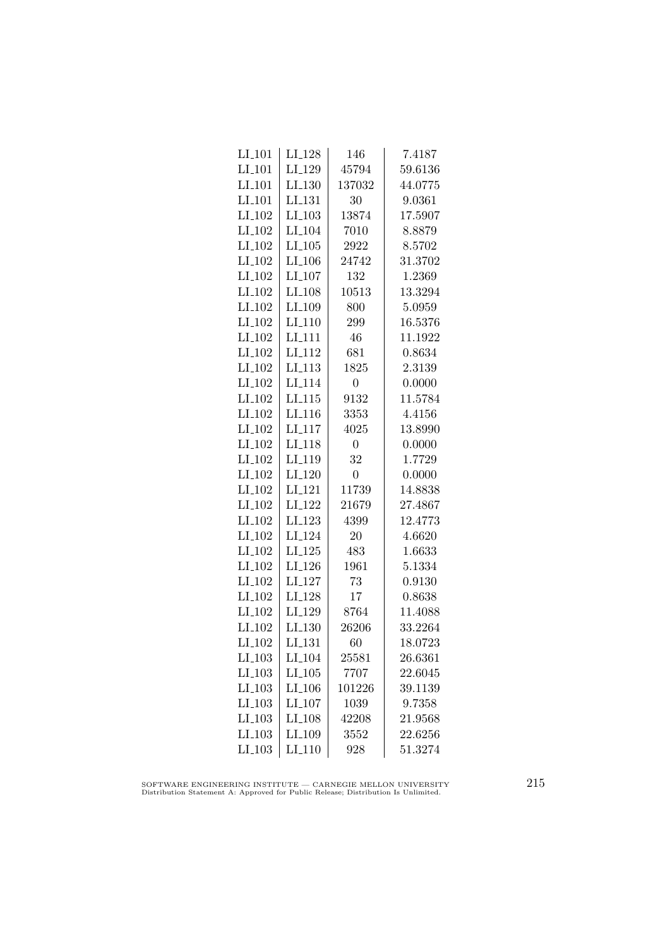| $LI_101$             | LI <sub>-128</sub>   | 146            | 7.4187  |
|----------------------|----------------------|----------------|---------|
| $LI_101$             | LI <sub>-129</sub>   | 45794          | 59.6136 |
| LI <sub>-101</sub>   | LI.130               | 137032         | 44.0775 |
| LI <sub>-101</sub>   | LI <sub>-131</sub>   | 30             | 9.0361  |
| LI <sub>-102</sub>   | LI <sub>-103</sub>   | 13874          | 17.5907 |
| $LI_102$             | LI <sub>-104</sub>   | 7010           | 8.8879  |
| $LI_102$             | $LI_105$             | 2922           | 8.5702  |
| $LI_102$             | $LI_106$             | 24742          | 31.3702 |
| LI <sub>-102</sub>   | $LI_107$             | 132            | 1.2369  |
| LI <sub>-102</sub>   | LI <sub>-108</sub>   | 10513          | 13.3294 |
| LI <sub>-102</sub>   | LI <sub>-109</sub>   | 800            | 5.0959  |
| LI <sub>-102</sub>   | LI <sub>-110</sub>   | 299            | 16.5376 |
| LI <sub>-102</sub>   | LI <sub>-111</sub>   | 46             | 11.1922 |
| LI <sub>-102</sub>   | LI <sub>-112</sub>   | 681            | 0.8634  |
| $LI_102$             | $LI$ <sub>-113</sub> | 1825           | 2.3139  |
| LI <sub>-102</sub>   | LI <sub>-114</sub>   | 0              | 0.0000  |
| LI <sub>-102</sub>   | LL115                | 9132           | 11.5784 |
| LI <sub>-102</sub>   | LI <sub>-116</sub>   | 3353           | 4.4156  |
| LI <sub>-102</sub>   | LI <sub>117</sub>    | 4025           | 13.8990 |
| LI <sub>-102</sub>   | LI <sub>-118</sub>   | 0              | 0.0000  |
| $LI_102$             | LI <sub>-119</sub>   | 32             | 1.7729  |
| $LI_102$             | $LI_120$             | $\overline{0}$ | 0.0000  |
| LI <sub>-102</sub>   | LI <sub>-121</sub>   | 11739          | 14.8838 |
| LI <sub>-102</sub>   | LI <sub>-122</sub>   | 21679          | 27.4867 |
| LI <sub>-102</sub>   | LI <sub>-123</sub>   | 4399           | 12.4773 |
| LI <sub>-102</sub>   | LI <sub>-124</sub>   | 20             | 4.6620  |
| LI <sub>-102</sub>   | $LI_125$             | 483            | 1.6633  |
| LI <sub>-102</sub>   | LI <sub>-126</sub>   | 1961           | 5.1334  |
| $LI_102$             | LI <sub>-127</sub>   | 73             | 0.9130  |
| $LI_102$             | LI <sub>-128</sub>   | 17             | 0.8638  |
| LI <sub>-102</sub>   | LI <sub>-129</sub>   | 8764           | 11.4088 |
| LI_102               | LI <sub>-130</sub>   | 26206          | 33.2264 |
| LI <sub>-102</sub>   | LI <sub>-131</sub>   | 60             | 18.0723 |
| $LI_103$             | LI <sub>-104</sub>   | 25581          | 26.6361 |
| $LI_103$             | $LI_105$             | 7707           | 22.6045 |
| $LI_103$             | $LI_106$             | 101226         | 39.1139 |
| $LI_103$             | $LI_107$             | 1039           | 9.7358  |
| $LI$ <sub>-103</sub> | $LI_108$             | 42208          | 21.9568 |
| LI <sub>-103</sub>   | LI_109               | 3552           | 22.6256 |
| $LI$ <sub>-103</sub> | LI <sub>-110</sub>   | 928            | 51.3274 |
|                      |                      |                |         |

SOFTWARE ENGINEERING INSTITUTE — CARNEGIE MELLON UNIVERSITY Distribution Statement A: Approved for Public Release; Distribution Is Unlimited.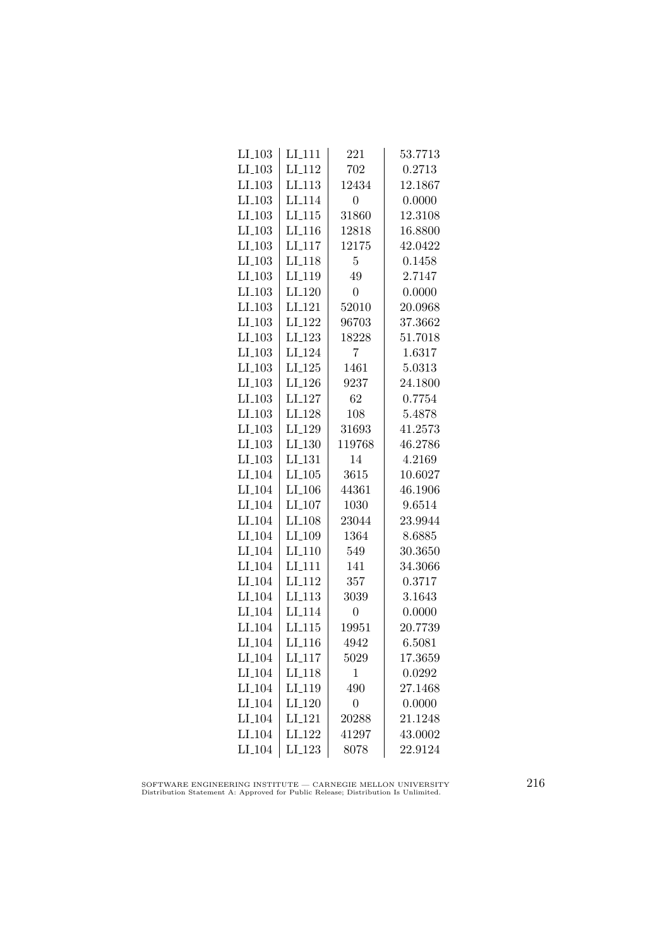| $LI_103$             | $LI_111$           | 221            | 53.7713 |
|----------------------|--------------------|----------------|---------|
| $LI_103$             | LI <sub>-112</sub> | 702            | 0.2713  |
| $LI$ <sub>-103</sub> | LI <sub>-113</sub> | 12434          | 12.1867 |
| LI <sub>-103</sub>   | LI <sub>114</sub>  | 0              | 0.0000  |
| LI.103               | LI <sub>115</sub>  | 31860          | 12.3108 |
| $LI_103$             | LI <sub>-116</sub> | 12818          | 16.8800 |
| $LI_103$             | $LI_117$           | 12175          | 42.0422 |
| $LI_103$             | LI <sub>-118</sub> | $\overline{5}$ | 0.1458  |
| $LI_103$             | LI <sub>-119</sub> | 49             | 2.7147  |
| $LI_103$             | LI <sub>-120</sub> | $\overline{0}$ | 0.0000  |
| LI <sub>-103</sub>   | LI <sub>-121</sub> | 52010          | 20.0968 |
| LI <sub>-103</sub>   | $LI_122$           | 96703          | 37.3662 |
| $LI_103$             | LI_123             | 18228          | 51.7018 |
| $LI_103$             | LI <sub>-124</sub> | 7              | 1.6317  |
| $LI$ <sub>-103</sub> | LI <sub>-125</sub> | 1461           | 5.0313  |
| $LI_103$             | LI <sub>-126</sub> | 9237           | 24.1800 |
| LI <sub>-103</sub>   | LI <sub>-127</sub> | 62             | 0.7754  |
| $LI$ <sub>-103</sub> | LI <sub>-128</sub> | 108            | 5.4878  |
| LI <sub>-103</sub>   | LI <sub>-129</sub> | 31693          | 41.2573 |
| $LI_103$             | $LI_130$           | 119768         | 46.2786 |
| $LI_103$             | $LI_131$           | 14             | 4.2169  |
| $LI$ <sub>-104</sub> | $LI_105$           | 3615           | 10.6027 |
| LI <sub>-104</sub>   | LI <sub>-106</sub> | 44361          | 46.1906 |
| $LI$ <sub>-104</sub> | LI <sub>-107</sub> | 1030           | 9.6514  |
| LI <sub>-104</sub>   | LI <sub>-108</sub> | 23044          | 23.9944 |
| LI <sub>-104</sub>   | LI <sub>-109</sub> | 1364           | 8.6885  |
| LI <sub>-104</sub>   | LI <sub>-110</sub> | 549            | 30.3650 |
| LI <sub>-104</sub>   | $LI_111$           | 141            | 34.3066 |
| $LI_104$             | LI <sub>-112</sub> | 357            | 0.3717  |
| LI <sub>-104</sub>   | LI <sub>-113</sub> | 3039           | 3.1643  |
| LI <sub>-104</sub>   | LI <sub>114</sub>  | $\overline{0}$ | 0.0000  |
| LI <sub>-104</sub>   | LI <sub>-115</sub> | 19951          | 20.7739 |
| LI <sub>-104</sub>   | LI <sub>-116</sub> | 4942           | 6.5081  |
| LI <sub>-104</sub>   | LI <sub>-117</sub> | 5029           | 17.3659 |
| LI <sub>-104</sub>   | LI_118             | 1              | 0.0292  |
| LI <sub>-104</sub>   | LI <sub>-119</sub> | 490            | 27.1468 |
| $LI_104$             | LI <sub>-120</sub> | $\overline{0}$ | 0.0000  |
| LI <sub>-104</sub>   | LI <sub>-121</sub> | 20288          | 21.1248 |
| LI <sub>-104</sub>   | LI <sub>-122</sub> | 41297          | 43.0002 |
| $LI_104$             | $LI_123$           | 8078           | 22.9124 |

SOFTWARE ENGINEERING INSTITUTE — CARNEGIE MELLON UNIVERSITY Distribution Statement A: Approved for Public Release; Distribution Is Unlimited.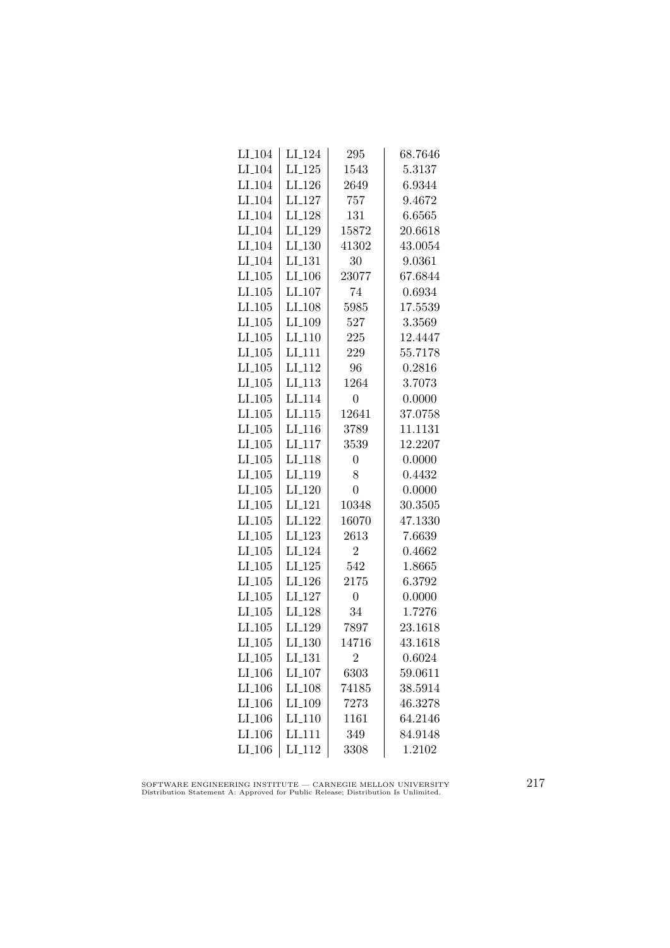| $LI_104$             | LI <sub>-124</sub>   | 295            | 68.7646 |
|----------------------|----------------------|----------------|---------|
| $LI$ <sub>-104</sub> | $LI_125$             | 1543           | 5.3137  |
| LI <sub>-104</sub>   | LI <sub>-126</sub>   | 2649           | 6.9344  |
| LI <sub>-104</sub>   | LI <sub>-127</sub>   | 757            | 9.4672  |
| LI <sub>-104</sub>   | LI <sub>-128</sub>   | 131            | 6.6565  |
| LI <sub>-104</sub>   | LI <sub>-129</sub>   | 15872          | 20.6618 |
| LI <sub>-104</sub>   | $LI_130$             | 41302          | 43.0054 |
| LI <sub>-104</sub>   | LI <sub>-131</sub>   | 30             | 9.0361  |
| $LI_105$             | $LI$ <sub>-106</sub> | 23077          | 67.6844 |
| $LI$ <sub>-105</sub> | LI <sub>-107</sub>   | 74             | 0.6934  |
| $LI$ <sub>-105</sub> | LI <sub>-108</sub>   | 5985           | 17.5539 |
| LI.105               | LI <sub>-109</sub>   | 527            | 3.3569  |
| $LI_105$             | LI <sub>-110</sub>   | 225            | 12.4447 |
| $LI_105$             | $LI_111$             | 229            | 55.7178 |
| $LI_105$             | LI <sub>-112</sub>   | 96             | 0.2816  |
| $LI_105$             | LI <sub>-113</sub>   | 1264           | 3.7073  |
| $LI$ <sub>-105</sub> | LI <sub>-114</sub>   | $\overline{0}$ | 0.0000  |
| LI.105               | LI.115               | 12641          | 37.0758 |
| $LI_105$             | LI <sub>116</sub>    | 3789           | 11.1131 |
| $LI_105$             | LI <sub>-117</sub>   | 3539           | 12.2207 |
| $LI_105$             | LI <sub>-118</sub>   | $\overline{0}$ | 0.0000  |
| $LI_105$             | LI <sub>-119</sub>   | 8              | 0.4432  |
| $LI$ <sub>-105</sub> | LI <sub>-120</sub>   | $\overline{0}$ | 0.0000  |
| $LI$ <sub>-105</sub> | LI <sub>-121</sub>   | 10348          | 30.3505 |
| $LI_105$             | LI <sub>-122</sub>   | 16070          | 47.1330 |
| $LI_105$             | LI <sub>-123</sub>   | 2613           | 7.6639  |
| $LI_105$             | LI <sub>-124</sub>   | $\overline{2}$ | 0.4662  |
| $LI_105$             | LI <sub>-125</sub>   | 542            | 1.8665  |
| $LI_105$             | LI <sub>-126</sub>   | 2175           | 6.3792  |
| $LI_105$             | LI <sub>-127</sub>   | $\overline{0}$ | 0.0000  |
| $LI_105$             | LI <sub>-128</sub>   | 34             | 1.7276  |
| LI.105               | LI <sub>-129</sub>   | 7897           | 23.1618 |
| $LI_105$             | LI <sub>-130</sub>   | 14716          | 43.1618 |
| $LI_105$             | LI <sub>-131</sub>   | $\overline{2}$ | 0.6024  |
| $LI_106$             | LI <sub>-107</sub>   | 6303           | 59.0611 |
| $LI_106$             | LI <sub>-108</sub>   | 74185          | 38.5914 |
| $LI_106$             | LI <sub>-109</sub>   | 7273           | 46.3278 |
| $LI$ <sub>-106</sub> | LI <sub>-110</sub>   | 1161           | 64.2146 |
| LI <sub>-106</sub>   | LI <sub>111</sub>    | 349            | 84.9148 |
| $LI_106$             | LI <sub>-112</sub>   | 3308           | 1.2102  |

SOFTWARE ENGINEERING INSTITUTE — CARNEGIE MELLON UNIVERSITY Distribution Statement A: Approved for Public Release; Distribution Is Unlimited.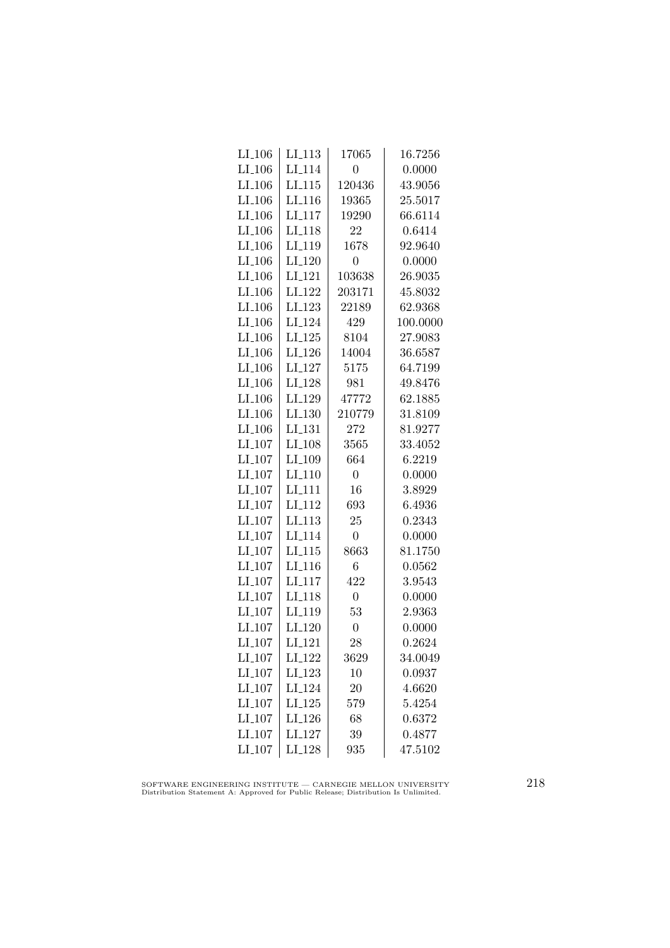| $LI_106$             | LI <sub>-113</sub> | 17065            | 16.7256  |
|----------------------|--------------------|------------------|----------|
| $LI_106$             | LI <sub>-114</sub> | $\overline{0}$   | 0.0000   |
| LI <sub>-106</sub>   | $LI-115$           | 120436           | 43.9056  |
| LI <sub>-106</sub>   | LI <sub>-116</sub> | 19365            | 25.5017  |
| LI <sub>-106</sub>   | LI <sub>-117</sub> | 19290            | 66.6114  |
| $LI_106$             | LI <sub>-118</sub> | 22               | 0.6414   |
| $LI_106$             | LI <sub>-119</sub> | 1678             | 92.9640  |
| $LI_106$             | $LI_120$           | 0                | 0.0000   |
| $LI_106$             | LI <sub>-121</sub> | 103638           | 26.9035  |
| $LI$ <sub>-106</sub> | LI <sub>-122</sub> | 203171           | 45.8032  |
| LI <sub>-106</sub>   | LI <sub>-123</sub> | 22189            | 62.9368  |
| LI <sub>-106</sub>   | LI <sub>-124</sub> | 429              | 100.0000 |
| LI <sub>-106</sub>   | $LI_125$           | 8104             | 27.9083  |
| $LI_106$             | $LI_126$           | 14004            | 36.6587  |
| $LI_106$             | LI <sub>-127</sub> | 5175             | 64.7199  |
| $LI_106$             | LI <sub>-128</sub> | 981              | 49.8476  |
| LI <sub>-106</sub>   | LI_129             | 47772            | 62.1885  |
| $LI$ <sub>-106</sub> | LI <sub>-130</sub> | 210779           | 31.8109  |
| $LI_106$             | LI <sub>-131</sub> | 272              | 81.9277  |
| $LI_107$             | LI_108             | 3565             | 33.4052  |
| $LI_107$             | LI <sub>-109</sub> | 664              | 6.2219   |
| $LI_107$             | $LI-110$           | $\overline{0}$   | 0.0000   |
| $LI_107$             | LI <sub>-111</sub> | 16               | 3.8929   |
| LI <sub>-107</sub>   | LI <sub>-112</sub> | 693              | 6.4936   |
| LI <sub>-107</sub>   | LI <sub>-113</sub> | 25               | 0.2343   |
| LI <sub>-107</sub>   | LI <sub>-114</sub> | $\overline{0}$   | 0.0000   |
| $LI_107$             | $LI_115$           | 8663             | 81.1750  |
| $LI_107$             | $LI_116$           | 6                | 0.0562   |
| $LI_107$             | LI <sub>-117</sub> | 422              | 3.9543   |
| LI <sub>-107</sub>   | LI <sub>-118</sub> | $\boldsymbol{0}$ | 0.0000   |
| LI <sub>-107</sub>   | LI <sub>-119</sub> | 53               | 2.9363   |
| LI <sub>-107</sub>   | LI <sub>-120</sub> | $\boldsymbol{0}$ | 0.0000   |
| LI <sub>-107</sub>   | $LI_121$           | 28               | 0.2624   |
| LI <sub>-107</sub>   | LI <sub>-122</sub> | 3629             | 34.0049  |
| $LI_107$             | $LI_123$           | 10               | 0.0937   |
| $LI_107$             | LI <sub>-124</sub> | 20               | 4.6620   |
| $LI_107$             | $LI_125$           | 579              | 5.4254   |
| LI <sub>-107</sub>   | LI <sub>-126</sub> | 68               | 0.6372   |
| LI <sub>-107</sub>   | LI <sub>-127</sub> | 39               | 0.4877   |
| LI <sub>-107</sub>   | LI_128             | 935              | 47.5102  |

SOFTWARE ENGINEERING INSTITUTE — CARNEGIE MELLON UNIVERSITY Distribution Statement A: Approved for Public Release; Distribution Is Unlimited.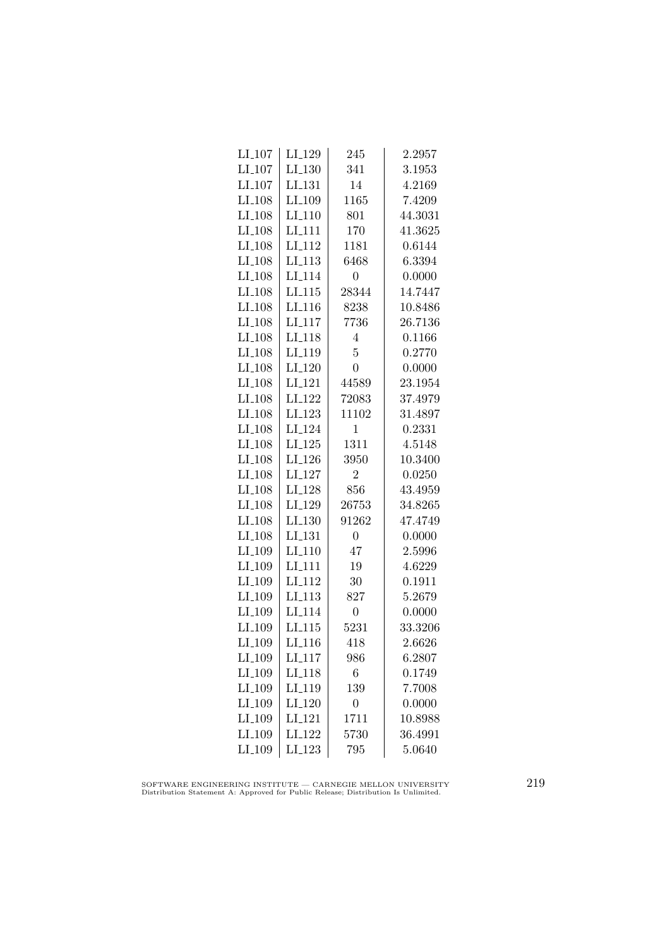| $LI_107$            | LI_129             | 245            | 2.2957  |
|---------------------|--------------------|----------------|---------|
| $LI_107$            | $LI_130$           | 341            | 3.1953  |
| $LI_107$            | LI <sub>-131</sub> | 14             | 4.2169  |
| $LI$ <sub>108</sub> | LI_109             | 1165           | 7.4209  |
| LI <sub>-108</sub>  | LI <sub>-110</sub> | 801            | 44.3031 |
| $LI_108$            | LI <sub>-111</sub> | 170            | 41.3625 |
| $LI_108$            | LI <sub>-112</sub> | 1181           | 0.6144  |
| $LI_108$            | LI <sub>-113</sub> | 6468           | 6.3394  |
| $LI_108$            | LI <sub>-114</sub> | $\overline{0}$ | 0.0000  |
| $LI_108$            | LI.115             | 28344          | 14.7447 |
| LI <sub>-108</sub>  | LI <sub>-116</sub> | 8238           | 10.8486 |
| LI <sub>-108</sub>  | LI <sub>117</sub>  | 7736           | 26.7136 |
| $LI_108$            | LI <sub>-118</sub> | $\overline{4}$ | 0.1166  |
| $LI_108$            | LI <sub>-119</sub> | $\overline{5}$ | 0.2770  |
| $LI_108$            | LI <sub>-120</sub> | $\overline{0}$ | 0.0000  |
| LI <sub>-108</sub>  | $LI_121$           | 44589          | 23.1954 |
| LI <sub>-108</sub>  | LI <sub>-122</sub> | 72083          | 37.4979 |
| LI <sub>-108</sub>  | $LI_123$           | 11102          | 31.4897 |
| LI <sub>-108</sub>  | LI <sub>-124</sub> | $\mathbf 1$    | 0.2331  |
| LI <sub>-108</sub>  | $LI_125$           | 1311           | 4.5148  |
| $LI_108$            | LI <sub>-126</sub> | 3950           | 10.3400 |
| $LI_108$            | $LI_127$           | $\overline{2}$ | 0.0250  |
| LI <sub>-108</sub>  | LI <sub>-128</sub> | 856            | 43.4959 |
| LI <sub>-108</sub>  | LI <sub>-129</sub> | 26753          | 34.8265 |
| LI <sub>-108</sub>  | LI.130             | 91262          | 47.4749 |
| LI <sub>-108</sub>  | LI <sub>-131</sub> | $\overline{0}$ | 0.0000  |
| LI <sub>-109</sub>  | $LI_110$           | 47             | 2.5996  |
| $LI_109$            | $LI-111$           | 19             | 4.6229  |
| LI <sub>-109</sub>  | LI <sub>-112</sub> | 30             | 0.1911  |
| LI <sub>-109</sub>  | LI <sub>-113</sub> | 827            | 5.2679  |
| LI <sub>-109</sub>  | LI <sub>-114</sub> | $\overline{0}$ | 0.0000  |
| LI <sub>-109</sub>  | LL115              | 5231           | 33.3206 |
| LI_109              | LI <sub>-116</sub> | 418            | 2.6626  |
| LI <sub>-109</sub>  | LI <sub>-117</sub> | 986            | 6.2807  |
| $LI_109$            | LI <sub>-118</sub> | 6              | 0.1749  |
| $LI_109$            | LI <sub>-119</sub> | 139            | 7.7008  |
| LI_109              | $LI_120$           | $\overline{0}$ | 0.0000  |
| LI <sub>-109</sub>  | LI <sub>-121</sub> | 1711           | 10.8988 |
| LI <sub>-109</sub>  | LI <sub>-122</sub> | 5730           | 36.4991 |
| $LI_109$            | LI <sub>-123</sub> | 795            | 5.0640  |
|                     |                    |                |         |

SOFTWARE ENGINEERING INSTITUTE — CARNEGIE MELLON UNIVERSITY Distribution Statement A: Approved for Public Release; Distribution Is Unlimited.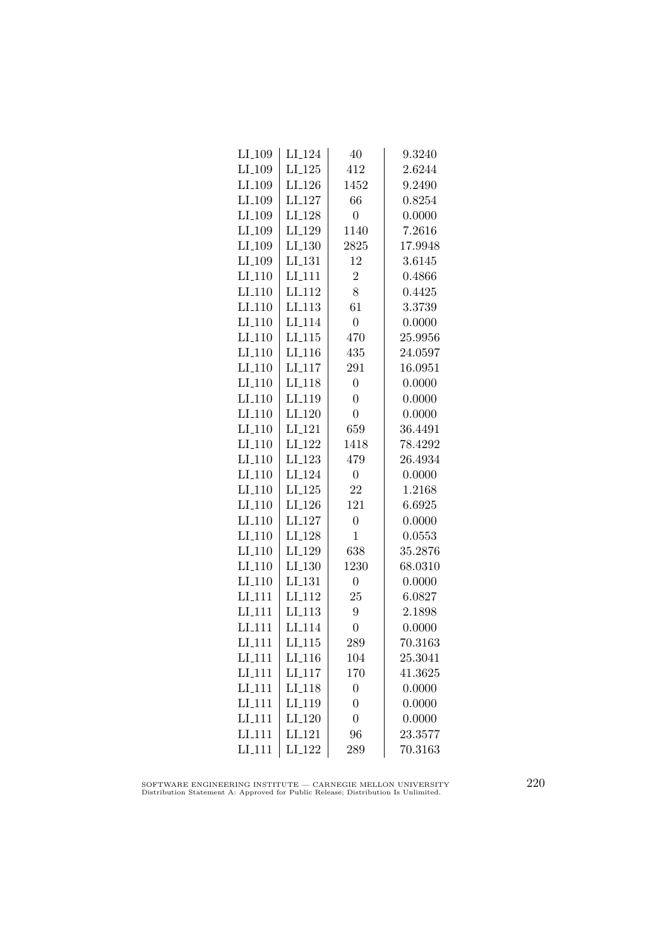| $LI_109$             | LI <sub>-124</sub>   | 40               | 9.3240  |
|----------------------|----------------------|------------------|---------|
| LI_109               | $LI_125$             | 412              | 2.6244  |
| LI <sub>-109</sub>   | LI <sub>-126</sub>   | 1452             | 9.2490  |
| LI <sub>-109</sub>   | LI <sub>-127</sub>   | 66               | 0.8254  |
| LI <sub>-109</sub>   | LI <sub>-128</sub>   | $\overline{0}$   | 0.0000  |
| LI_109               | LI <sub>-129</sub>   | 1140             | 7.2616  |
| LI_109               | $LI_130$             | 2825             | 17.9948 |
| LI <sub>-109</sub>   | LI <sub>-131</sub>   | 12               | 3.6145  |
| $LI_110$             | LI <sub>-111</sub>   | $\overline{2}$   | 0.4866  |
| LI.110               | LI <sub>-112</sub>   | 8                | 0.4425  |
| $LI_110$             | LI <sub>-113</sub>   | 61               | 3.3739  |
| LI <sub>-110</sub>   | LI <sub>114</sub>    | $\overline{0}$   | 0.0000  |
| $LI_110$             | $LI$ <sub>-115</sub> | 470              | 25.9956 |
| $LI_110$             | $LI_116$             | 435              | 24.0597 |
| $LI_110$             | $LI_117$             | 291              | 16.0951 |
| $LI_110$             | LI <sub>-118</sub>   | $\overline{0}$   | 0.0000  |
| $LI-110$             | LI_119               | $\overline{0}$   | 0.0000  |
| LI <sub>-110</sub>   | LI <sub>-120</sub>   | $\overline{0}$   | 0.0000  |
| LI <sub>-110</sub>   | $LI_121$             | 659              | 36.4491 |
| $LI_110$             | LI <sub>-122</sub>   | 1418             | 78.4292 |
| $LI_110$             | LI <sub>-123</sub>   | 479              | 26.4934 |
| $LI-110$             | LI <sub>-124</sub>   | $\overline{0}$   | 0.0000  |
| LI <sub>-110</sub>   | $LI-125$             | 22               | 1.2168  |
| LI <sub>-110</sub>   | LI <sub>-126</sub>   | 121              | 6.6925  |
| LI.110               | LI <sub>-127</sub>   | $\overline{0}$   | 0.0000  |
| LI.110               | LI <sub>-128</sub>   | 1                | 0.0553  |
| $LI_110$             | LI <sub>-129</sub>   | 638              | 35.2876 |
| $LI_110$             | $LI_130$             | 1230             | 68.0310 |
| $LI_110$             | LI <sub>-131</sub>   | $\boldsymbol{0}$ | 0.0000  |
| LI <sub>-111</sub>   | $LI-112$             | 25               | 6.0827  |
| LI <sub>-111</sub>   | LI <sub>-113</sub>   | 9                | 2.1898  |
| LI <sub>111</sub>    | LI <sub>-114</sub>   | $\overline{0}$   | 0.0000  |
| LI <sub>_111</sub>   | LI.115               | 289              | 70.3163 |
| $LI_111$             | LI <sub>-116</sub>   | 104              | 25.3041 |
| $LI-111$             | $LI_117$             | 170              | 41.3625 |
| $LI$ <sub>-111</sub> | LI <sub>-118</sub>   | $\overline{0}$   | 0.0000  |
| LI <sub>-111</sub>   | LI <sub>-119</sub>   | $\overline{0}$   | 0.0000  |
| LI <sub>-111</sub>   | LI <sub>-120</sub>   | $\overline{0}$   | 0.0000  |
| LI <sub>-111</sub>   | LI <sub>-121</sub>   | 96               | 23.3577 |
| LI_111               | LI <sub>-122</sub>   | 289              | 70.3163 |
|                      |                      |                  |         |

SOFTWARE ENGINEERING INSTITUTE — CARNEGIE MELLON UNIVERSITY Distribution Statement A: Approved for Public Release; Distribution Is Unlimited.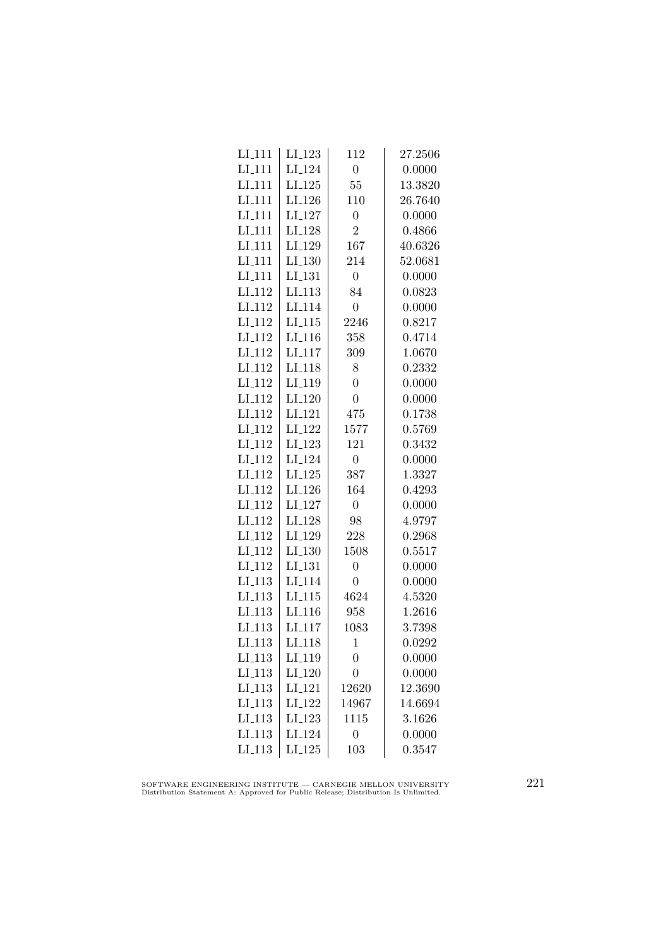| $LI-111$           | LI <sub>-123</sub> | 112              | 27.2506 |
|--------------------|--------------------|------------------|---------|
| LI <sub>-111</sub> | LI <sub>-124</sub> | $\overline{0}$   | 0.0000  |
| LI <sub>-111</sub> | $LI-125$           | 55               | 13.3820 |
| LI <sub>-111</sub> | LI <sub>-126</sub> | 110              | 26.7640 |
| LI <sub>111</sub>  | LI_127             | $\overline{0}$   | 0.0000  |
| $LI-111$           | LI <sub>-128</sub> | $\overline{2}$   | 0.4866  |
| LI <sub>-111</sub> | LI_129             | 167              | 40.6326 |
| $LI-111$           | LI <sub>-130</sub> | 214              | 52.0681 |
| $LI-111$           | LI <sub>-131</sub> | $\overline{0}$   | 0.0000  |
| LI <sub>-112</sub> | LI <sub>-113</sub> | 84               | 0.0823  |
| LI <sub>-112</sub> | LI <sub>114</sub>  | $\overline{0}$   | 0.0000  |
| LI <sub>-112</sub> | LI <sub>-115</sub> | 2246             | 0.8217  |
| LI <sub>-112</sub> | LI <sub>-116</sub> | 358              | 0.4714  |
| $LI_112$           | LI <sub>-117</sub> | 309              | 1.0670  |
| LI <sub>-112</sub> | LI <sub>-118</sub> | 8                | 0.2332  |
| LI <sub>-112</sub> | LI <sub>-119</sub> | $\overline{0}$   | 0.0000  |
| LI <sub>-112</sub> | LI <sub>-120</sub> | $\overline{0}$   | 0.0000  |
| LI <sub>-112</sub> | LI <sub>-121</sub> | 475              | 0.1738  |
| LI <sub>-112</sub> | LI <sub>-122</sub> | 1577             | 0.5769  |
| LI <sub>-112</sub> | LI <sub>-123</sub> | 121              | 0.3432  |
| $LI_112$           | LI <sub>-124</sub> | $\overline{0}$   | 0.0000  |
| LI <sub>-112</sub> | $LI_125$           | 387              | 1.3327  |
| LI <sub>-112</sub> | LI <sub>-126</sub> | 164              | 0.4293  |
| LI <sub>-112</sub> | LI <sub>-127</sub> | $\overline{0}$   | 0.0000  |
| LI <sub>-112</sub> | LI <sub>-128</sub> | 98               | 4.9797  |
| LI <sub>-112</sub> | LI <sub>-129</sub> | 228              | 0.2968  |
| LI <sub>-112</sub> | $LI_130$           | 1508             | 0.5517  |
| LI <sub>-112</sub> | LI <sub>-131</sub> | $\overline{0}$   | 0.0000  |
| $LI-113$           | LI <sub>-114</sub> | $\overline{0}$   | 0.0000  |
| LI.113             | LI <sub>-115</sub> | 4624             | 4.5320  |
| LI <sub>-113</sub> | LI <sub>-116</sub> | 958              | 1.2616  |
| LI <sub>-113</sub> | LI <sub>-117</sub> | 1083             | 3.7398  |
| $LI_113$           | LI <sub>118</sub>  | $\mathbf{1}$     | 0.0292  |
| $LI_113$           | LI_119             | $\boldsymbol{0}$ | 0.0000  |
| $LI_113$           | LI_120             | $\overline{0}$   | 0.0000  |
| $LI-113$           | LI <sub>-121</sub> | 12620            | 12.3690 |
| LI.113             | LI <sub>-122</sub> | 14967            | 14.6694 |
| LI <sub>-113</sub> | LI <sub>-123</sub> | 1115             | 3.1626  |
| LI <sub>-113</sub> | LI <sub>-124</sub> | $\overline{0}$   | 0.0000  |
| $LI_113$           | LI <sub>-125</sub> | 103              | 0.3547  |

SOFTWARE ENGINEERING INSTITUTE — CARNEGIE MELLON UNIVERSITY Distribution Statement A: Approved for Public Release; Distribution Is Unlimited.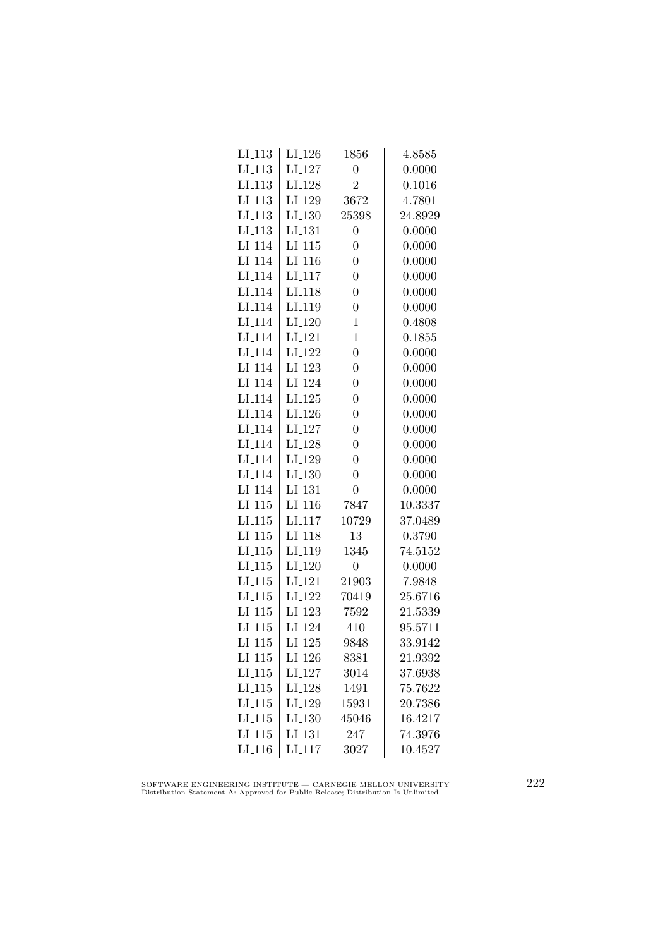| $LI_113$             | $LI_126$             | 1856             | 4.8585  |
|----------------------|----------------------|------------------|---------|
| $LI$ <sub>-113</sub> | LI <sub>-127</sub>   | $\overline{0}$   | 0.0000  |
| LI.113               | LI_128               | $\overline{2}$   | 0.1016  |
| LI <sub>113</sub>    | LI <sub>-129</sub>   | 3672             | 4.7801  |
| LI.113               | LI <sub>-130</sub>   | 25398            | 24.8929 |
| LI.113               | LI <sub>-131</sub>   | $\overline{0}$   | 0.0000  |
| LI <sub>-114</sub>   | $LI_115$             | $\overline{0}$   | 0.0000  |
| LI <sub>-114</sub>   | $LI_116$             | $\overline{0}$   | 0.0000  |
| LI <sub>-114</sub>   | $LI_117$             | $\overline{0}$   | 0.0000  |
| LI <sub>-114</sub>   | LI <sub>-118</sub>   | $\overline{0}$   | 0.0000  |
| LI <sub>-114</sub>   | LI <sub>-119</sub>   | $\overline{0}$   | 0.0000  |
| LI <sub>114</sub>    | LI <sub>-120</sub>   | $\mathbf{1}$     | 0.4808  |
| LI <sub>-114</sub>   | LI <sub>-121</sub>   | $\mathbf{1}$     | 0.1855  |
| LI <sub>-114</sub>   | $LI_122$             | $\overline{0}$   | 0.0000  |
| LI.114               | LI <sub>-123</sub>   | $\overline{0}$   | 0.0000  |
| LI <sub>-114</sub>   | LI <sub>-124</sub>   | $\overline{0}$   | 0.0000  |
| LI <sub>-114</sub>   | $LI_125$             | $\overline{0}$   | 0.0000  |
| LI <sub>114</sub>    | LI <sub>-126</sub>   | $\overline{0}$   | 0.0000  |
| LI <sub>-114</sub>   | LI_127               | $\overline{0}$   | 0.0000  |
| LI <sub>-114</sub>   | LI <sub>-128</sub>   | $\overline{0}$   | 0.0000  |
| LI <sub>-114</sub>   | LI <sub>-129</sub>   | $\overline{0}$   | 0.0000  |
| LI <sub>-114</sub>   | $LI_130$             | $\overline{0}$   | 0.0000  |
| LI <sub>-114</sub>   | LI <sub>-131</sub>   | $\overline{0}$   | 0.0000  |
| LI.115               | LI <sub>-116</sub>   | 7847             | 10.3337 |
| LI.115               | LI <sub>117</sub>    | 10729            | 37.0489 |
| LI.115               | LI <sub>118</sub>    | 13               | 0.3790  |
| $LI_115$             | LI <sub>-119</sub>   | 1345             | 74.5152 |
| $LI_115$             | LI <sub>-120</sub>   | $\boldsymbol{0}$ | 0.0000  |
| LI.115               | LI <sub>-121</sub>   | 21903            | 7.9848  |
| LI.115               | LI <sub>-122</sub>   | 70419            | 25.6716 |
| LI.115               | LI <sub>-123</sub>   | 7592             | 21.5339 |
| LI <sub>115</sub>    | LI <sub>-124</sub>   | 410              | 95.5711 |
| LI.115               | $LI_125$             | 9848             | 33.9142 |
| $LI_115$             | LI <sub>-126</sub>   | 8381             | 21.9392 |
| $LI_115$             | $LI_127$             | 3014             | 37.6938 |
| $LI_115$             | LI <sub>-128</sub>   | 1491             | 75.7622 |
| LI.115               | LI <sub>-129</sub>   | 15931            | 20.7386 |
| LI <sub>-115</sub>   | LI.130               | 45046            | 16.4217 |
| LI <sub>115</sub>    | LI_131               | 247              | 74.3976 |
| LI <sub>-116</sub>   | $LI$ <sub>-117</sub> | 3027             | 10.4527 |
|                      |                      |                  |         |

SOFTWARE ENGINEERING INSTITUTE — CARNEGIE MELLON UNIVERSITY Distribution Statement A: Approved for Public Release; Distribution Is Unlimited.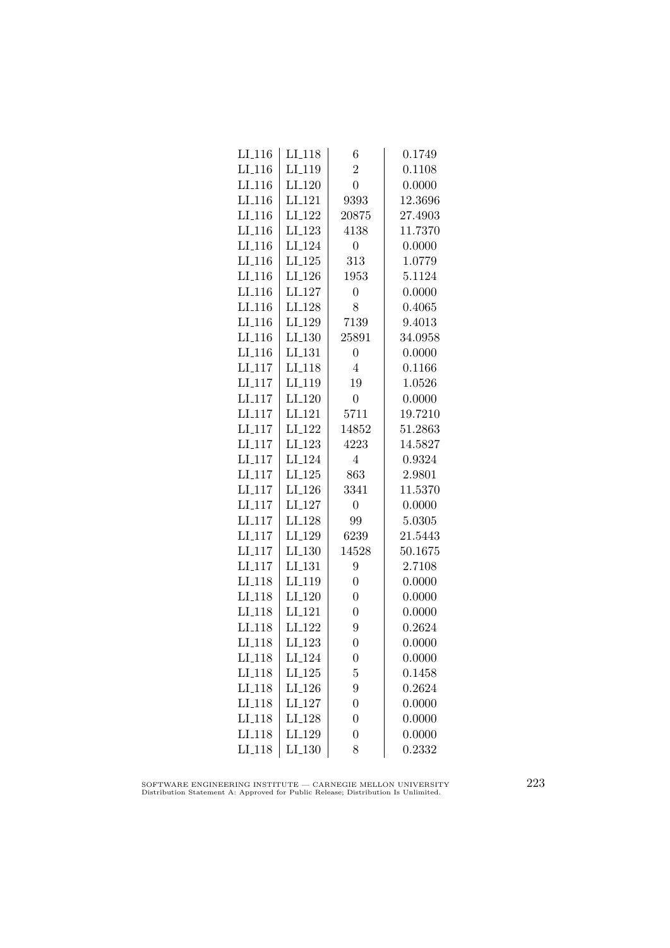| $LI_116$             | LI <sub>-118</sub>   | 6                | 0.1749  |
|----------------------|----------------------|------------------|---------|
| $LI$ <sub>-116</sub> | LI <sub>-119</sub>   | $\overline{2}$   | 0.1108  |
| $LI$ <sub>-116</sub> | LI <sub>-120</sub>   | $\overline{0}$   | 0.0000  |
| LI <sub>-116</sub>   | LI <sub>-121</sub>   | 9393             | 12.3696 |
| LI <sub>-116</sub>   | LI <sub>-122</sub>   | 20875            | 27.4903 |
| $LI_116$             | LI <sub>-123</sub>   | 4138             | 11.7370 |
| $LI_116$             | LI <sub>-124</sub>   | $\overline{0}$   | 0.0000  |
| $LI_116$             | $LI_125$             | 313              | 1.0779  |
| $LI_116$             | LI <sub>-126</sub>   | 1953             | 5.1124  |
| $LI$ <sub>116</sub>  | LI <sub>-127</sub>   | $\overline{0}$   | 0.0000  |
| LI <sub>-116</sub>   | LI <sub>-128</sub>   | 8                | 0.4065  |
| LI <sub>-116</sub>   | LI <sub>-129</sub>   | 7139             | 9.4013  |
| $LI_116$             | LI <sub>-130</sub>   | 25891            | 34.0958 |
| $LI_116$             | $LI$ <sub>-131</sub> | 0                | 0.0000  |
| $LI_117$             | LI <sub>-118</sub>   | $\overline{4}$   | 0.1166  |
| $LI_117$             | LI <sub>-119</sub>   | 19               | 1.0526  |
| LI <sub>-117</sub>   | LI <sub>-120</sub>   | $\overline{0}$   | 0.0000  |
| LI <sub>117</sub>    | LI <sub>-121</sub>   | 5711             | 19.7210 |
| LI <sub>-117</sub>   | LI <sub>-122</sub>   | 14852            | 51.2863 |
| $LI_117$             | LI <sub>-123</sub>   | 4223             | 14.5827 |
| $LI_117$             | LI <sub>-124</sub>   | $\overline{4}$   | 0.9324  |
| $LI$ <sub>-117</sub> | $LI_125$             | 863              | 2.9801  |
| $LI-117$             | LI <sub>-126</sub>   | 3341             | 11.5370 |
| $LI$ <sub>117</sub>  | LI <sub>-127</sub>   | $\overline{0}$   | 0.0000  |
| LI <sub>117</sub>    | LI <sub>-128</sub>   | 99               | 5.0305  |
| LI <sub>-117</sub>   | LI <sub>-129</sub>   | 6239             | 21.5443 |
| $LI_117$             | $LI_130$             | 14528            | 50.1675 |
| $LI_117$             | LI <sub>-131</sub>   | 9                | 2.7108  |
| LI <sub>-118</sub>   | LI <sub>-119</sub>   | $\overline{0}$   | 0.0000  |
| LI <sub>-118</sub>   | $LI_120$             | $\overline{0}$   | 0.0000  |
| LI <sub>118</sub>    | LI <sub>-121</sub>   | $\overline{0}$   | 0.0000  |
| LI <sub>-118</sub>   | LI <sub>-122</sub>   | 9                | 0.2624  |
| LI <sub>-118</sub>   | LI <sub>-123</sub>   | $\overline{0}$   | 0.0000  |
| LI <sub>-118</sub>   | LI <sub>-124</sub>   | $\boldsymbol{0}$ | 0.0000  |
| $LI_118$             | $LI_125$             | 5                | 0.1458  |
| LI <sub>-118</sub>   | $LI_126$             | 9                | 0.2624  |
| LI <sub>-118</sub>   | LI <sub>-127</sub>   | $\overline{0}$   | 0.0000  |
| LI <sub>118</sub>    | LI <sub>128</sub>    | $\boldsymbol{0}$ | 0.0000  |
| LI <sub>118</sub>    | LI <sub>-129</sub>   | $\boldsymbol{0}$ | 0.0000  |
| LI <sub>-118</sub>   | LI <sub>-130</sub>   | 8                | 0.2332  |
|                      |                      |                  |         |

SOFTWARE ENGINEERING INSTITUTE — CARNEGIE MELLON UNIVERSITY Distribution Statement A: Approved for Public Release; Distribution Is Unlimited.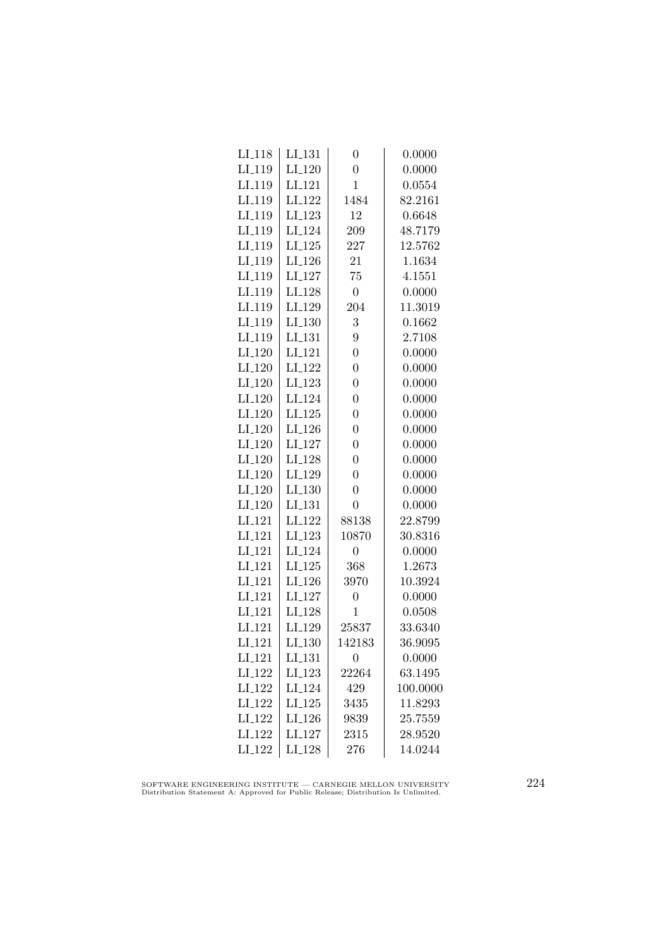| LI <sub>-118</sub> | LI_131             | $\overline{0}$   | 0.0000   |
|--------------------|--------------------|------------------|----------|
| LI <sub>-119</sub> | $LI_120$           | $\overline{0}$   | 0.0000   |
| LI <sub>-119</sub> | LI <sub>-121</sub> | $\mathbf{1}$     | 0.0554   |
| LI <sub>-119</sub> | LI <sub>-122</sub> | 1484             | 82.2161  |
| LI <sub>-119</sub> | LI <sub>-123</sub> | 12               | 0.6648   |
| LI <sub>-119</sub> | LI <sub>-124</sub> | 209              | 48.7179  |
| LI <sub>-119</sub> | $LI_125$           | 227              | 12.5762  |
| LI <sub>-119</sub> | LI <sub>-126</sub> | 21               | 1.1634   |
| LI <sub>-119</sub> | $LI_127$           | 75               | 4.1551   |
| LI <sub>-119</sub> | LI <sub>-128</sub> | $\boldsymbol{0}$ | 0.0000   |
| LI <sub>-119</sub> | LI <sub>-129</sub> | 204              | 11.3019  |
| LI <sub>-119</sub> | LI <sub>-130</sub> | 3                | 0.1662   |
| LI <sub>-119</sub> | LI <sub>-131</sub> | $9\phantom{.0}$  | 2.7108   |
| $LI_120$           | LI <sub>-121</sub> | $\overline{0}$   | 0.0000   |
| $LI_120$           | LI <sub>-122</sub> | $\overline{0}$   | 0.0000   |
| $LI_120$           | $LI-123$           | $\overline{0}$   | 0.0000   |
| LI <sub>-120</sub> | LI <sub>-124</sub> | $\overline{0}$   | 0.0000   |
| $LI_120$           | LI <sub>-125</sub> | $\overline{0}$   | 0.0000   |
| $LI_120$           | LI <sub>-126</sub> | $\overline{0}$   | 0.0000   |
| $LI_120$           | LI <sub>-127</sub> | $\overline{0}$   | 0.0000   |
| $LI_120$           | LI <sub>-128</sub> | $\overline{0}$   | 0.0000   |
| $LI_120$           | LI <sub>-129</sub> | $\overline{0}$   | 0.0000   |
| $LI_120$           | LI <sub>-130</sub> | $\overline{0}$   | 0.0000   |
| LI <sub>-120</sub> | LI <sub>-131</sub> | $\overline{0}$   | 0.0000   |
| LI <sub>-121</sub> | LI <sub>-122</sub> | 88138            | 22.8799  |
| LI <sub>-121</sub> | LI <sub>-123</sub> | 10870            | 30.8316  |
| LI <sub>-121</sub> | LI <sub>-124</sub> | $\overline{0}$   | 0.0000   |
| LI <sub>-121</sub> | $LI_125$           | 368              | 1.2673   |
| LI <sub>-121</sub> | LI <sub>-126</sub> | 3970             | 10.3924  |
| $LI_121$           | LI <sub>-127</sub> | $\overline{0}$   | 0.0000   |
| LI <sub>-121</sub> | LI <sub>-128</sub> | 1                | 0.0508   |
| LI <sub>-121</sub> | LI <sub>-129</sub> | 25837            | 33.6340  |
| LI <sub>-121</sub> | LI <sub>-130</sub> | 142183           | 36.9095  |
| $LI_121$           | LI_131             | 0                | 0.0000   |
| $LI_122$           | LI <sub>-123</sub> | 22264            | 63.1495  |
| LI <sub>-122</sub> | LI <sub>-124</sub> | 429              | 100.0000 |
| LI <sub>-122</sub> | $LI-125$           | 3435             | 11.8293  |
| LI <sub>-122</sub> | LI <sub>-126</sub> | 9839             | 25.7559  |
| LI <sub>122</sub>  | LI <sub>-127</sub> | 2315             | 28.9520  |
| LI <sub>-122</sub> | LI <sub>-128</sub> | 276              | 14.0244  |
|                    |                    |                  |          |

SOFTWARE ENGINEERING INSTITUTE — CARNEGIE MELLON UNIVERSITY Distribution Statement A: Approved for Public Release; Distribution Is Unlimited.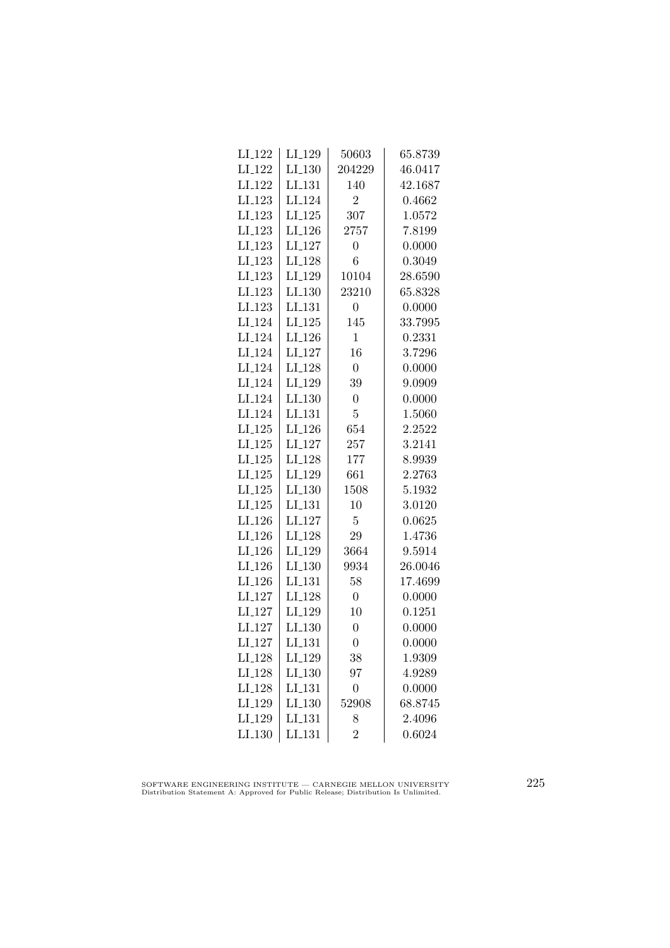| LI_129               | 50603            | 65.8739 |
|----------------------|------------------|---------|
| LI <sub>-130</sub>   | 204229           | 46.0417 |
| LI <sub>-131</sub>   | 140              | 42.1687 |
| LI <sub>-124</sub>   | $\overline{2}$   | 0.4662  |
| LI <sub>-125</sub>   | 307              | 1.0572  |
| LI <sub>-126</sub>   | 2757             | 7.8199  |
| LI <sub>-127</sub>   | $\overline{0}$   | 0.0000  |
| LI <sub>-128</sub>   | 6                | 0.3049  |
| LI_129               | 10104            | 28.6590 |
| LI.130               | 23210            | 65.8328 |
| LI <sub>-131</sub>   | $\overline{0}$   | 0.0000  |
| LI <sub>-125</sub>   | 145              | 33.7995 |
| LI <sub>-126</sub>   | $\mathbf{1}$     | 0.2331  |
| $LI_127$             | 16               | 3.7296  |
| LI <sub>-128</sub>   | $\overline{0}$   | 0.0000  |
| LI <sub>-129</sub>   | 39               | 9.0909  |
| $LI_130$             | $\overline{0}$   | 0.0000  |
| LI <sub>-131</sub>   | $\overline{5}$   | 1.5060  |
| LI <sub>-126</sub>   | 654              | 2.2522  |
| LI <sub>-127</sub>   | 257              | 3.2141  |
| LI <sub>-128</sub>   | 177              | 8.9939  |
| LI <sub>-129</sub>   | 661              | 2.2763  |
| LI <sub>-130</sub>   | 1508             | 5.1932  |
| LI <sub>-131</sub>   | 10               | 3.0120  |
| LI <sub>-127</sub>   | 5                | 0.0625  |
| LI <sub>-128</sub>   | 29               | 1.4736  |
| LI <sub>-129</sub>   | 3664             | 9.5914  |
| $LI_130$             | 9934             | 26.0046 |
| LI <sub>-131</sub>   | 58               | 17.4699 |
| LI <sub>-128</sub>   | $\overline{0}$   | 0.0000  |
| LI <sub>-129</sub>   | 10               | 0.1251  |
| LI <sub>-130</sub>   | $\overline{0}$   | 0.0000  |
| LI <sub>-131</sub>   | $\overline{0}$   | 0.0000  |
| LI <sub>-129</sub>   | 38               | 1.9309  |
| LI <sub>-130</sub>   | 97               | 4.9289  |
| $LI$ <sub>-131</sub> | $\boldsymbol{0}$ | 0.0000  |
| LI.130               | 52908            | 68.8745 |
| LI <sub>-131</sub>   | 8                | 2.4096  |
| LI <sub>-131</sub>   | $\overline{2}$   | 0.6024  |
|                      |                  |         |

SOFTWARE ENGINEERING INSTITUTE — CARNEGIE MELLON UNIVERSITY Distribution Statement A: Approved for Public Release; Distribution Is Unlimited.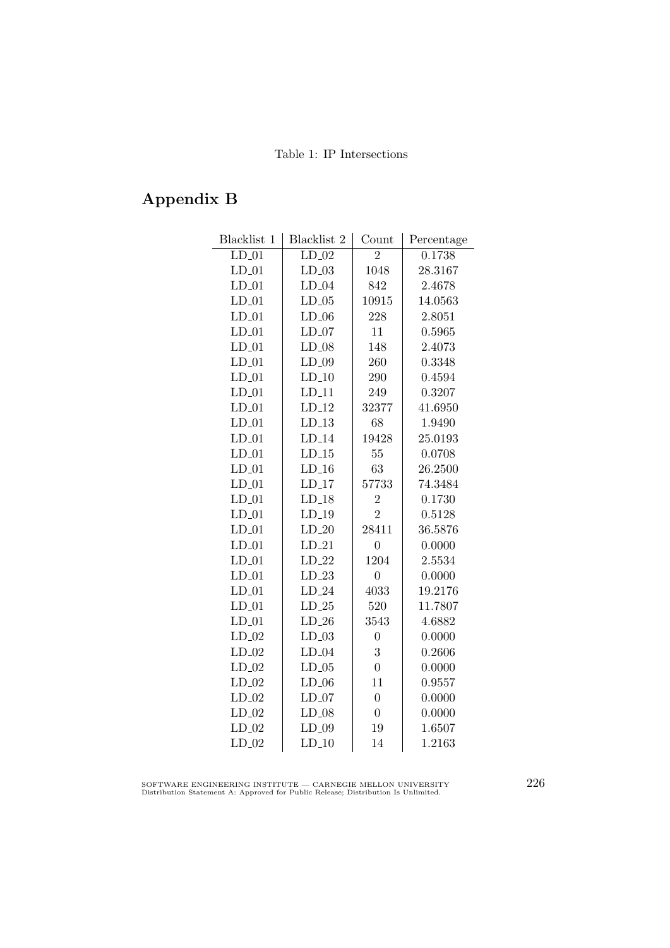## Appendix B

| Blacklist 1 | Blacklist 2         | Count            | Percentage |
|-------------|---------------------|------------------|------------|
| $LD_01$     | $\overline{LD}$ -02 | $\overline{2}$   | 0.1738     |
| $LD_01$     | $LD_03$             | 1048             | 28.3167    |
| $LD_01$     | $LD_04$             | 842              | 2.4678     |
| $LD_01$     | $LD_05$             | 10915            | 14.0563    |
| $LD_01$     | $LD_06$             | 228              | 2.8051     |
| $LD_01$     | $LD_07$             | 11               | 0.5965     |
| $LD_01$     | ${\rm LD}\_{08}$    | 148              | 2.4073     |
| $LD_01$     | $LD_09$             | 260              | 0.3348     |
| $LD_01$     | $LD_10$             | 290              | 0.4594     |
| $LD_01$     | $LD_11$             | 249              | 0.3207     |
| $LD_01$     | $LD_12$             | 32377            | 41.6950    |
| $LD_01$     | $LD_13$             | 68               | 1.9490     |
| $LD_01$     | $LD_14$             | 19428            | 25.0193    |
| $LD_01$     | $LD_15$             | 55               | 0.0708     |
| $LD_01$     | $LD-16$             | 63               | 26.2500    |
| $LD_01$     | $LD_17$             | 57733            | 74.3484    |
| $LD_01$     | $LD_18$             | $\overline{2}$   | 0.1730     |
| $LD_01$     | $LD_19$             | $\overline{2}$   | 0.5128     |
| $LD_01$     | $LD_20$             | 28411            | 36.5876    |
| $LD_01$     | $LD_21$             | $\overline{0}$   | 0.0000     |
| $LD_01$     | $LD_22$             | 1204             | 2.5534     |
| $LD_01$     | $LD_23$             | $\overline{0}$   | 0.0000     |
| $LD_01$     | $LD_24$             | 4033             | 19.2176    |
| $LD_01$     | $LD_25$             | 520              | 11.7807    |
| $LD_01$     | $LD_26$             | 3543             | 4.6882     |
| $LD_02$     | $LD_03$             | $\boldsymbol{0}$ | 0.0000     |
| $LD_02$     | $LD_04$             | 3                | 0.2606     |
| $LD_02$     | $LD_05$             | $\overline{0}$   | 0.0000     |
| $LD_02$     | $LD_06$             | 11               | 0.9557     |
| $LD_02$     | $LD_07$             | $\overline{0}$   | 0.0000     |
| $LD_02$     | $LD_08$             | $\overline{0}$   | 0.0000     |
| $LD_02$     | $LD_09$             | 19               | 1.6507     |
| $LD_02$     | $LD_10$             | 14               | 1.2163     |

SOFTWARE ENGINEERING INSTITUTE — CARNEGIE MELLON UNIVERSITY Distribution Statement A: Approved for Public Release; Distribution Is Unlimited.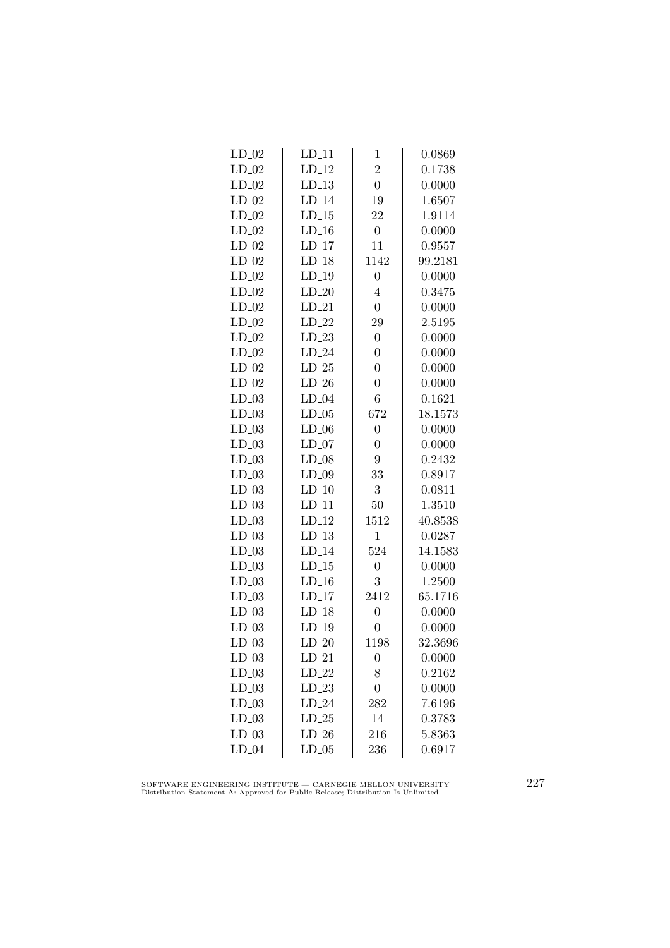| $LD_11$  | $\mathbf{1}$     | 0.0869  |
|----------|------------------|---------|
| $LD_12$  | $\overline{2}$   | 0.1738  |
| $LD_13$  | $\overline{0}$   | 0.0000  |
| $LD_14$  | 19               | 1.6507  |
| $LD_15$  | 22               | 1.9114  |
| $LD_16$  | $\boldsymbol{0}$ | 0.0000  |
| $LD_17$  | 11               | 0.9557  |
| $LD-18$  | 1142             | 99.2181 |
| $LD-19$  | $\overline{0}$   | 0.0000  |
| $LD_20$  | $\overline{4}$   | 0.3475  |
| $LD_21$  | $\boldsymbol{0}$ | 0.0000  |
| $LD_22$  | 29               | 2.5195  |
| $LD_23$  | $\overline{0}$   | 0.0000  |
| $LD_24$  | $\overline{0}$   | 0.0000  |
| $LD-25$  | $\overline{0}$   | 0.0000  |
| $LD_26$  | $\overline{0}$   | 0.0000  |
| $LD_04$  | $\overline{6}$   | 0.1621  |
| $LD_05$  | 672              | 18.1573 |
| $LD_06$  | $\overline{0}$   | 0.0000  |
| $LD_07$  | $\overline{0}$   | 0.0000  |
| $LD_08$  | 9                | 0.2432  |
| $LD_09$  | 33               | 0.8917  |
| $LD-10$  | 3                | 0.0811  |
| $LD_11$  | 50               | 1.3510  |
| $LD_12$  | 1512             | 40.8538 |
| $LD_13$  | $\mathbf{1}$     | 0.0287  |
| $LD_114$ | 524              | 14.1583 |
| $LD_15$  | $\overline{0}$   | 0.0000  |
| $LD_16$  | 3                | 1.2500  |
| $LD_17$  | 2412             | 65.1716 |
| $LD_18$  | $\overline{0}$   | 0.0000  |
| $LD_19$  | $\overline{0}$   | 0.0000  |
| $LD_20$  | 1198             | 32.3696 |
| $LD_21$  | $\boldsymbol{0}$ | 0.0000  |
| $LD_22$  | 8                | 0.2162  |
| $LD_23$  | $\overline{0}$   | 0.0000  |
| $LD_24$  | 282              | 7.6196  |
| $LD_25$  | 14               | 0.3783  |
| $LD_26$  | 216              | 5.8363  |
| $LD_05$  | 236              | 0.6917  |
|          |                  |         |

SOFTWARE ENGINEERING INSTITUTE — CARNEGIE MELLON UNIVERSITY Distribution Statement A: Approved for Public Release; Distribution Is Unlimited.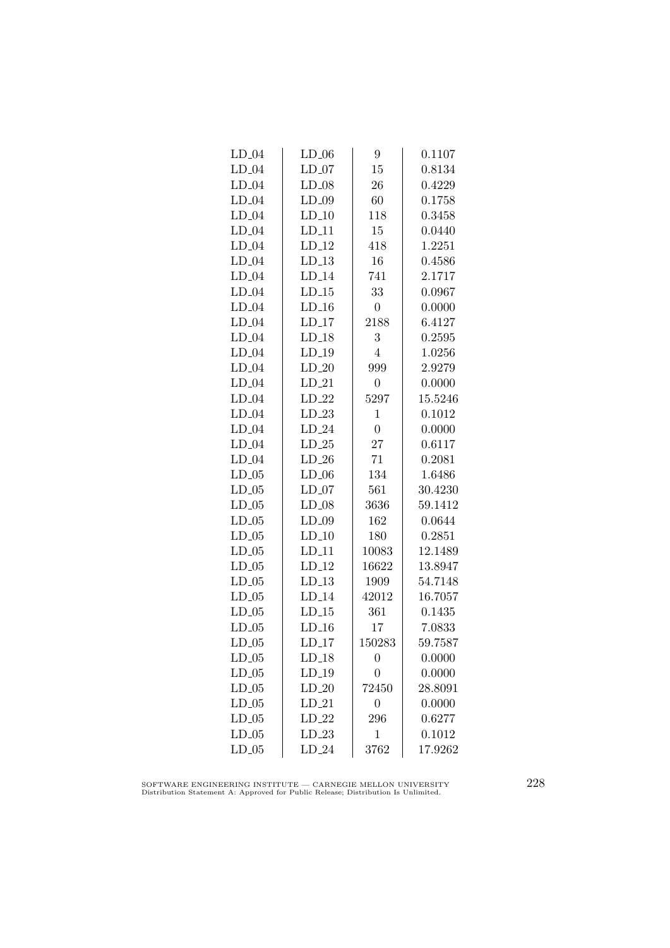| $LD_04$ | $LD_06$  | 9                | 0.1107  |
|---------|----------|------------------|---------|
| $LD_04$ | $LD_07$  | 15               | 0.8134  |
| $LD_04$ | $LD_08$  | 26               | 0.4229  |
| $LD_04$ | $LD_09$  | 60               | 0.1758  |
| $LD_04$ | $LD_10$  | 118              | 0.3458  |
| $LD_04$ | $LD_11$  | 15               | 0.0440  |
| $LD_04$ | $LD_12$  | 418              | 1.2251  |
| $LD_04$ | $LD-13$  | 16               | 0.4586  |
| $LD_04$ | $LD_14$  | 741              | 2.1717  |
| $LD_04$ | $LD_15$  | 33               | 0.0967  |
| $LD_04$ | $LD_16$  | $\boldsymbol{0}$ | 0.0000  |
| $LD_04$ | $LD_17$  | 2188             | 6.4127  |
| $LD_04$ | $LD_18$  | $\sqrt{3}$       | 0.2595  |
| $LD_04$ | $LD_19$  | $\overline{4}$   | 1.0256  |
| $LD_04$ | $LD_20$  | 999              | 2.9279  |
| $LD_04$ | $LD_21$  | $\boldsymbol{0}$ | 0.0000  |
| $LD_04$ | $LD_22$  | 5297             | 15.5246 |
| $LD_04$ | $LD_23$  | $\mathbf{1}$     | 0.1012  |
| $LD_04$ | $LD_24$  | $\overline{0}$   | 0.0000  |
| $LD_04$ | $LD_25$  | 27               | 0.6117  |
| $LD_04$ | $LD_26$  | 71               | 0.2081  |
| $LD_05$ | $LD_06$  | 134              | 1.6486  |
| $LD_05$ | $LD_07$  | 561              | 30.4230 |
| $LD_05$ | $LD_08$  | 3636             | 59.1412 |
| $LD_05$ | $LD_09$  | 162              | 0.0644  |
| $LD_05$ | $LD_10$  | 180              | 0.2851  |
| $LD_05$ | $LD_11$  | 10083            | 12.1489 |
| $LD_05$ | $LD_12$  | 16622            | 13.8947 |
| $LD_05$ | $LD-13$  | 1909             | 54.7148 |
| $LD_05$ | $LD_14$  | 42012            | 16.7057 |
| $LD_05$ | $LD_15$  | 361              | 0.1435  |
| $LD_05$ | $LD_16$  | 17               | 7.0833  |
| $LD_05$ | $LD_117$ | 150283           | 59.7587 |
| $LD_05$ | $LD_18$  | $\boldsymbol{0}$ | 0.0000  |
| $LD_05$ | $LD_19$  | $\overline{0}$   | 0.0000  |
| $LD_05$ | $LD_20$  | 72450            | 28.8091 |
| $LD_05$ | $LD_21$  | $\boldsymbol{0}$ | 0.0000  |
| $LD_05$ | $LD_22$  | 296              | 0.6277  |
| $LD_05$ | $LD_23$  | $\mathbf 1$      | 0.1012  |
| $LD_05$ | $LD_24$  | 3762             | 17.9262 |
|         |          |                  |         |

SOFTWARE ENGINEERING INSTITUTE — CARNEGIE MELLON UNIVERSITY Distribution Statement A: Approved for Public Release; Distribution Is Unlimited.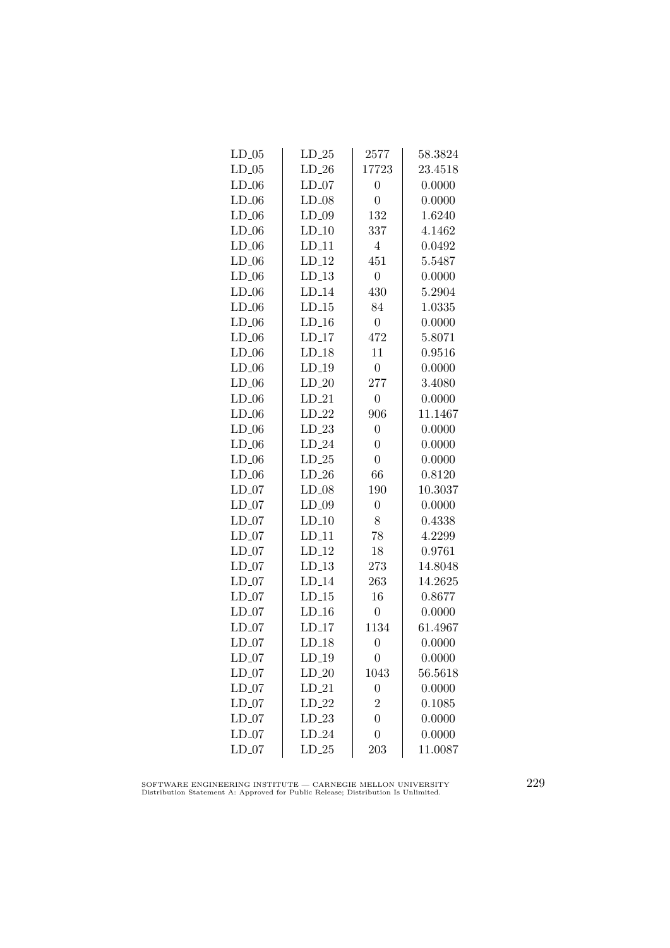| $LD_05$ | $LD_25$  | 2577             | 58.3824 |
|---------|----------|------------------|---------|
| $LD_05$ | $LD_26$  | 17723            | 23.4518 |
| $LD_06$ | $LD_07$  | $\overline{0}$   | 0.0000  |
| $LD_06$ | $LD_08$  | $\overline{0}$   | 0.0000  |
| $LD_06$ | $LD_09$  | 132              | 1.6240  |
| $LD_06$ | $LD_10$  | 337              | 4.1462  |
| $LD_06$ | $LD_11$  | $\overline{4}$   | 0.0492  |
| $LD_06$ | $LD-12$  | 451              | 5.5487  |
| $LD_06$ | $LD_13$  | $\overline{0}$   | 0.0000  |
| $LD_06$ | $LD_114$ | 430              | 5.2904  |
| $LD_06$ | $LD_15$  | 84               | 1.0335  |
| $LD_06$ | $LD_16$  | $\overline{0}$   | 0.0000  |
| $LD_06$ | $LD_17$  | 472              | 5.8071  |
| $LD_06$ | $LD_18$  | 11               | 0.9516  |
| $LD_06$ | $LD-19$  | $\boldsymbol{0}$ | 0.0000  |
| $LD_06$ | $LD_20$  | 277              | 3.4080  |
| $LD_06$ | $LD_21$  | $\boldsymbol{0}$ | 0.0000  |
| $LD_06$ | $LD_22$  | 906              | 11.1467 |
| $LD_06$ | $LD_23$  | $\overline{0}$   | 0.0000  |
| $LD_06$ | $LD_24$  | $\overline{0}$   | 0.0000  |
| $LD_06$ | $LD_25$  | $\overline{0}$   | 0.0000  |
| $LD_06$ | $LD_26$  | 66               | 0.8120  |
| $LD_07$ | $LD_08$  | 190              | 10.3037 |
| $LD_07$ | $LD_09$  | $\overline{0}$   | 0.0000  |
| $LD_07$ | $LD_10$  | 8                | 0.4338  |
| $LD_07$ | $LD_11$  | 78               | 4.2299  |
| $LD_07$ | $LD_12$  | 18               | 0.9761  |
| $LD_07$ | $LD_13$  | 273              | 14.8048 |
| $LD_07$ | $LD_114$ | 263              | 14.2625 |
| $LD_07$ | $LD_15$  | 16               | 0.8677  |
| $LD_07$ | $LD_16$  | $\boldsymbol{0}$ | 0.0000  |
| $LD_07$ | $LD_17$  | 1134             | 61.4967 |
| $LD_07$ | $LD_18$  | $\overline{0}$   | 0.0000  |
| $LD_07$ | $LD_19$  | 0                | 0.0000  |
| $LD_07$ | $LD_20$  | 1043             | 56.5618 |
| $LD_07$ | $LD_21$  | $\overline{0}$   | 0.0000  |
| $LD_07$ | $LD_22$  | $\overline{2}$   | 0.1085  |
| $LD_07$ | $LD_23$  | $\overline{0}$   | 0.0000  |
| $LD_07$ | $LD_24$  | $\overline{0}$   | 0.0000  |
| $LD_07$ | $LD_25$  | 203              | 11.0087 |

SOFTWARE ENGINEERING INSTITUTE — CARNEGIE MELLON UNIVERSITY Distribution Statement A: Approved for Public Release; Distribution Is Unlimited.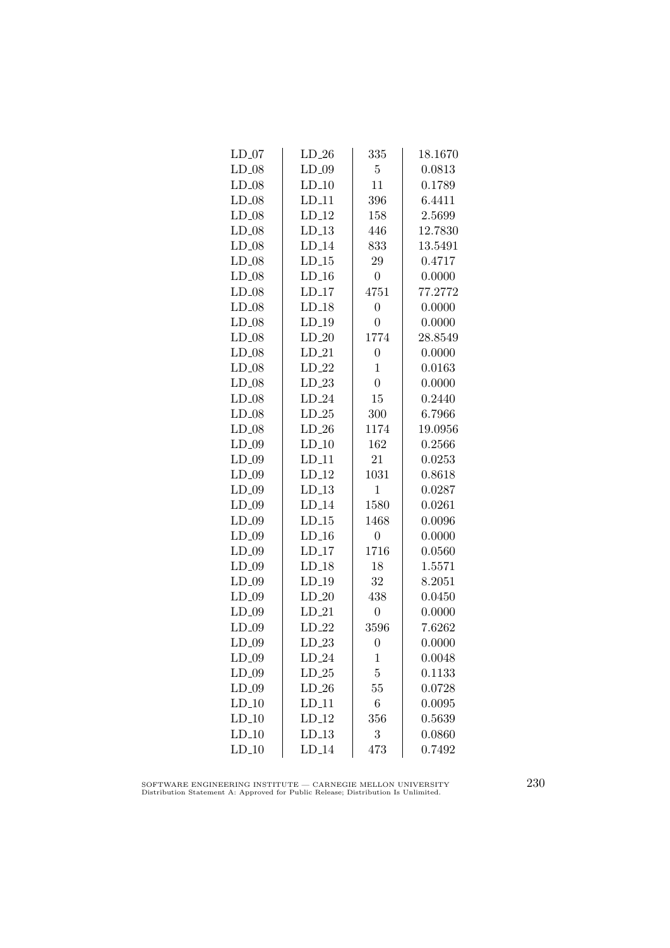| $LD_07$ | $LD_26$  | 335              | 18.1670 |
|---------|----------|------------------|---------|
| $LD_08$ | $LD_09$  | $\overline{5}$   | 0.0813  |
| $LD_08$ | $LD_10$  | 11               | 0.1789  |
| $LD_08$ | $LD_11$  | 396              | 6.4411  |
| $LD_08$ | $LD_12$  | 158              | 2.5699  |
| $LD_08$ | $LD_13$  | 446              | 12.7830 |
| $LD_08$ | $LD_14$  | 833              | 13.5491 |
| $LD_08$ | $LD-15$  | 29               | 0.4717  |
| $LD_08$ | $LD-16$  | $\overline{0}$   | 0.0000  |
| $LD_08$ | $LD_17$  | 4751             | 77.2772 |
| $LD_08$ | $LD_18$  | $\overline{0}$   | 0.0000  |
| $LD_08$ | $LD_19$  | $\overline{0}$   | 0.0000  |
| $LD_08$ | $LD_20$  | 1774             | 28.8549 |
| $LD_08$ | $LD_21$  | $\overline{0}$   | 0.0000  |
| $LD_08$ | $LD-22$  | $\mathbf{1}$     | 0.0163  |
| $LD_08$ | $LD_23$  | $\overline{0}$   | 0.0000  |
| $LD_08$ | $LD_24$  | 15               | 0.2440  |
| $LD_08$ | $LD_25$  | 300              | 6.7966  |
| $LD_08$ | $LD_26$  | 1174             | 19.0956 |
| $LD_09$ | $LD_10$  | 162              | 0.2566  |
| $LD_09$ | $LD_11$  | 21               | 0.0253  |
| $LD_09$ | $LD-12$  | 1031             | 0.8618  |
| $LD_09$ | $LD-13$  | $\mathbf{1}$     | 0.0287  |
| $LD_09$ | $LD_14$  | 1580             | 0.0261  |
| $LD_09$ | $LD_15$  | 1468             | 0.0096  |
| $LD_09$ | $LD_16$  | $\boldsymbol{0}$ | 0.0000  |
| $LD_09$ | $LD_117$ | 1716             | 0.0560  |
| $LD_09$ | $LD_18$  | 18               | 1.5571  |
| $LD_09$ | $LD_19$  | 32               | 8.2051  |
| $LD_09$ | $LD_20$  | 438              | 0.0450  |
| $LD_09$ | $LD_21$  | $\boldsymbol{0}$ | 0.0000  |
| $LD_09$ | $LD_22$  | 3596             | 7.6262  |
| $LD_09$ | $LD_23$  | $\overline{0}$   | 0.0000  |
| $LD_09$ | $LD_24$  | 1                | 0.0048  |
| $LD_09$ | $LD_25$  | $\overline{5}$   | 0.1133  |
| $LD_09$ | $LD_26$  | 55               | 0.0728  |
| $LD_10$ | $LD_11$  | $\,6$            | 0.0095  |
| $LD_10$ | $LD_12$  | 356              | 0.5639  |
| $LD_10$ | $LD_13$  | 3                | 0.0860  |
| $LD_10$ | $LD_114$ | 473              | 0.7492  |

SOFTWARE ENGINEERING INSTITUTE — CARNEGIE MELLON UNIVERSITY Distribution Statement A: Approved for Public Release; Distribution Is Unlimited.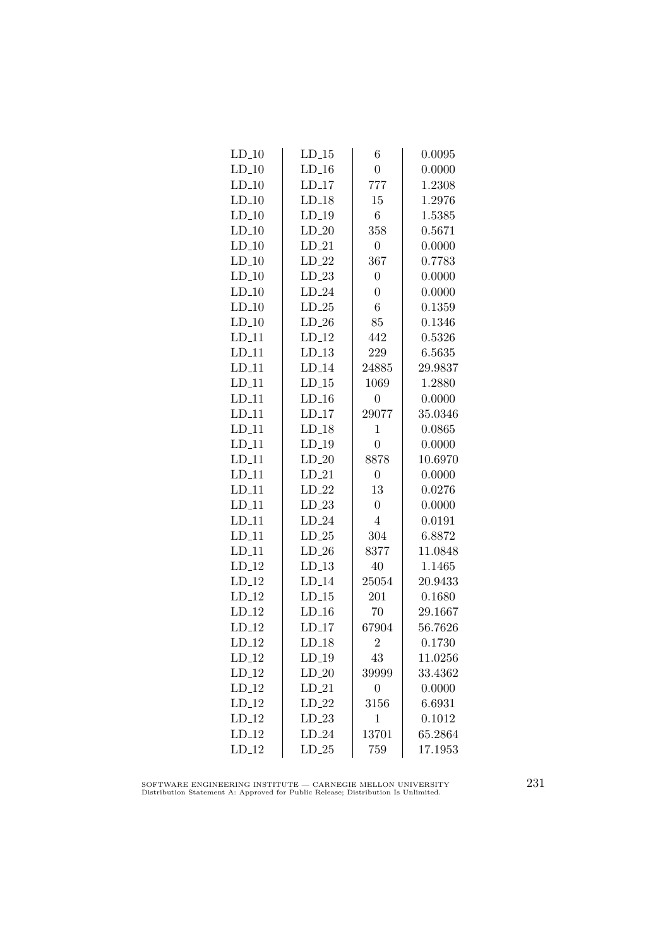| $LD_10$ | $LD_15$ | 6                | 0.0095  |
|---------|---------|------------------|---------|
| $LD_10$ | $LD-16$ | $\overline{0}$   | 0.0000  |
| $LD_10$ | $LD_17$ | 777              | 1.2308  |
| $LD_10$ | $LD_18$ | 15               | 1.2976  |
| $LD_10$ | $LD_19$ | $\,6$            | 1.5385  |
| $LD_10$ | $LD_20$ | 358              | 0.5671  |
| $LD_10$ | $LD_21$ | $\boldsymbol{0}$ | 0.0000  |
| $LD-10$ | $LD_22$ | 367              | 0.7783  |
| $LD_10$ | $LD-23$ | $\overline{0}$   | 0.0000  |
| $LD_10$ | $LD_24$ | $\overline{0}$   | 0.0000  |
| $LD_10$ | $LD_25$ | 6                | 0.1359  |
| $LD_10$ | $LD_26$ | 85               | 0.1346  |
| $LD_11$ | $LD_12$ | 442              | 0.5326  |
| $LD_11$ | $LD_13$ | 229              | 6.5635  |
| $LD-11$ | $LD-14$ | 24885            | 29.9837 |
| $LD_11$ | $LD-15$ | 1069             | 1.2880  |
| $LD_11$ | $LD_16$ | $\overline{0}$   | 0.0000  |
| $LD_11$ | $LD_17$ | 29077            | 35.0346 |
| $LD_11$ | $LD_18$ | $\mathbf{1}$     | 0.0865  |
| $LD_11$ | $LD_19$ | $\boldsymbol{0}$ | 0.0000  |
| $LD_11$ | $LD_20$ | 8878             | 10.6970 |
| $LD_11$ | $LD_21$ | $\overline{0}$   | 0.0000  |
| $LD_11$ | $LD_22$ | 13               | 0.0276  |
| $LD_11$ | $LD_23$ | $\boldsymbol{0}$ | 0.0000  |
| $LD_11$ | $LD_24$ | $\overline{4}$   | 0.0191  |
| $LD_11$ | $LD_25$ | 304              | 6.8872  |
| $LD_11$ | $LD_26$ | 8377             | 11.0848 |
| $LD_12$ | $LD_13$ | 40               | 1.1465  |
| $LD-12$ | $LD_14$ | 25054            | 20.9433 |
| $LD_12$ | $LD-15$ | 201              | 0.1680  |
| $LD_12$ | $LD_16$ | 70               | 29.1667 |
| $LD_12$ | $LD_17$ | 67904            | 56.7626 |
| $LD_12$ | $LD_18$ | $\overline{2}$   | 0.1730  |
| $LD_12$ | $LD_19$ | 43               | 11.0256 |
| $LD_12$ | $LD_20$ | 39999            | 33.4362 |
| $LD_12$ | $LD_21$ | $\overline{0}$   | 0.0000  |
| $LD_12$ | $LD_22$ | 3156             | 6.6931  |
| $LD_12$ | $LD_23$ | $\mathbf 1$      | 0.1012  |
| $LD_12$ | $LD_24$ | 13701            | 65.2864 |
| $LD_12$ | $LD_25$ | 759              | 17.1953 |

SOFTWARE ENGINEERING INSTITUTE — CARNEGIE MELLON UNIVERSITY Distribution Statement A: Approved for Public Release; Distribution Is Unlimited.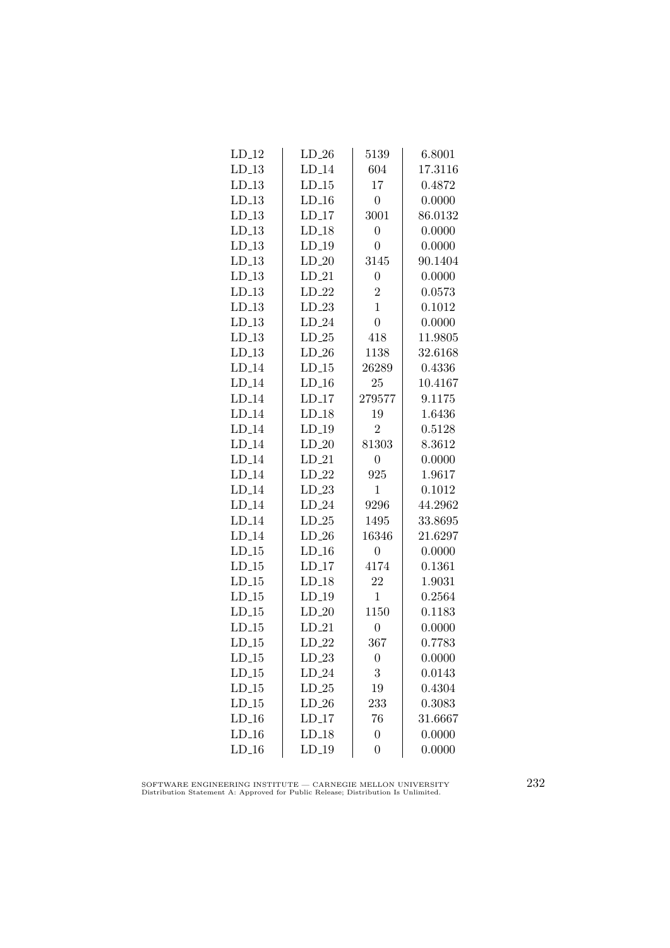| $LD_12$  | $LD_26$  | 5139             | 6.8001  |
|----------|----------|------------------|---------|
| $LD_13$  | $LD_14$  | 604              | 17.3116 |
| $LD_13$  | $LD_15$  | 17               | 0.4872  |
| $LD_13$  | $LD_16$  | $\boldsymbol{0}$ | 0.0000  |
| $LD_13$  | $LD_17$  | 3001             | 86.0132 |
| $LD_13$  | $LD_18$  | $\overline{0}$   | 0.0000  |
| $LD_13$  | $LD_19$  | $\overline{0}$   | 0.0000  |
| $LD-13$  | $LD_20$  | 3145             | 90.1404 |
| $LD-13$  | $LD_21$  | $\overline{0}$   | 0.0000  |
| $LD_13$  | $LD_22$  | $\overline{2}$   | 0.0573  |
| $LD_13$  | $LD_23$  | $\overline{1}$   | 0.1012  |
| $LD_13$  | $LD_24$  | $\overline{0}$   | 0.0000  |
| $LD_13$  | $LD_25$  | 418              | 11.9805 |
| $LD_13$  | $LD_26$  | 1138             | 32.6168 |
| $LD_114$ | $LD-15$  | 26289            | 0.4336  |
| $LD_14$  | $LD-16$  | 25               | 10.4167 |
| $LD_14$  | $LD_17$  | 279577           | 9.1175  |
| $LD_14$  | $LD_18$  | 19               | 1.6436  |
| $LD_114$ | $LD_19$  | $\overline{2}$   | 0.5128  |
| $LD_114$ | $LD_20$  | 81303            | 8.3612  |
| $LD_14$  | $LD_21$  | $\overline{0}$   | 0.0000  |
| $LD_114$ | $LD_22$  | 925              | 1.9617  |
| $LD_14$  | $LD_23$  | $\mathbf{1}$     | 0.1012  |
| $LD_14$  | $LD_24$  | 9296             | 44.2962 |
| $LD_14$  | $LD_25$  | 1495             | 33.8695 |
| $LD_14$  | $LD_26$  | 16346            | 21.6297 |
| $LD_15$  | $LD_16$  | $\overline{0}$   | 0.0000  |
| $LD_15$  | $LD_117$ | 4174             | 0.1361  |
| $LD-15$  | $LD_18$  | 22               | 1.9031  |
| $LD-15$  | $LD_19$  | $\mathbf{1}$     | 0.2564  |
| $LD-15$  | $LD_20$  | 1150             | 0.1183  |
| $LD_15$  | $LD_21$  | $\overline{0}$   | 0.0000  |
| $LD_15$  | $LD_22$  | 367              | 0.7783  |
| $LD_15$  | $LD_23$  | $\boldsymbol{0}$ | 0.0000  |
| $LD_15$  | $LD_24$  | 3                | 0.0143  |
| $LD-15$  | $LD_25$  | 19               | 0.4304  |
| $LD-15$  | $LD_26$  | 233              | 0.3083  |
| $LD_16$  | $LD_17$  | 76               | 31.6667 |
| $LD_16$  | $LD_18$  | $\overline{0}$   | 0.0000  |
| $LD_16$  | $LD_19$  | $\overline{0}$   | 0.0000  |
|          |          |                  |         |

SOFTWARE ENGINEERING INSTITUTE — CARNEGIE MELLON UNIVERSITY Distribution Statement A: Approved for Public Release; Distribution Is Unlimited.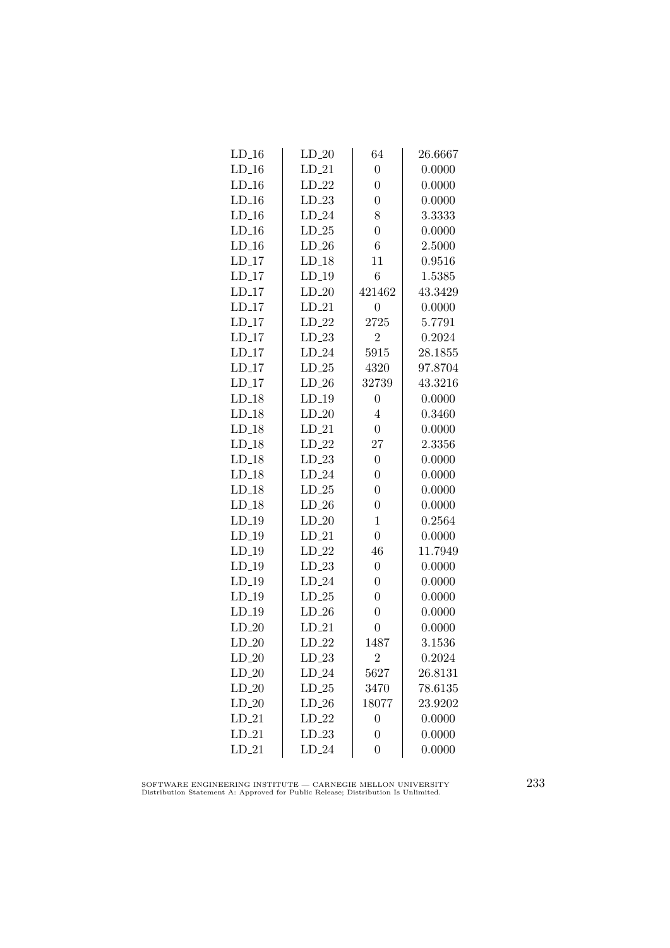| $LD_16$  | $LD_20$ | 64               | 26.6667 |
|----------|---------|------------------|---------|
| $LD-16$  | $LD_21$ | $\overline{0}$   | 0.0000  |
| $LD_16$  | $LD_22$ | $\overline{0}$   | 0.0000  |
| $LD_16$  | $LD_23$ | $\overline{0}$   | 0.0000  |
| $LD_16$  | $LD_24$ | 8                | 3.3333  |
| $LD_16$  | $LD_25$ | $\overline{0}$   | 0.0000  |
| $LD_16$  | $LD_26$ | $\overline{6}$   | 2.5000  |
| $LD-17$  | $LD-18$ | 11               | 0.9516  |
| $LD_17$  | $LD-19$ | $\boldsymbol{6}$ | 1.5385  |
| $LD_17$  | $LD_20$ | 421462           | 43.3429 |
| $LD_17$  | $LD_21$ | $\overline{0}$   | 0.0000  |
| $LD_17$  | $LD_22$ | 2725             | 5.7791  |
| $LD_117$ | $LD_23$ | $\overline{2}$   | 0.2024  |
| $LD_17$  | $LD_24$ | 5915             | 28.1855 |
| $LD-17$  | $LD-25$ | 4320             | 97.8704 |
| $LD_17$  | $LD_26$ | 32739            | 43.3216 |
| $LD_18$  | $LD_19$ | $\overline{0}$   | 0.0000  |
| $LD_18$  | $LD_20$ | $\overline{4}$   | 0.3460  |
| $LD_18$  | $LD_21$ | $\boldsymbol{0}$ | 0.0000  |
| $LD_18$  | $LD_22$ | 27               | 2.3356  |
| $LD_18$  | $LD_23$ | $\boldsymbol{0}$ | 0.0000  |
| $LD-18$  | $LD_24$ | $\overline{0}$   | 0.0000  |
| $LD-18$  | $LD_25$ | $\overline{0}$   | 0.0000  |
| $LD_18$  | $LD_26$ | $\overline{0}$   | 0.0000  |
| $LD_19$  | $LD_20$ | $\mathbf{1}$     | 0.2564  |
| $LD_19$  | $LD_21$ | $\boldsymbol{0}$ | 0.0000  |
| $LD_19$  | $LD_22$ | 46               | 11.7949 |
| $LD_19$  | $LD_23$ | $\boldsymbol{0}$ | 0.0000  |
| $LD-19$  | $LD_24$ | $\overline{0}$   | 0.0000  |
| $LD-19$  | $LD_25$ | $\overline{0}$   | 0.0000  |
| $LD_19$  | $LD_26$ | $\overline{0}$   | 0.0000  |
| $LD_20$  | $LD_21$ | $\overline{0}$   | 0.0000  |
| $LD_20$  | $LD_22$ | 1487             | 3.1536  |
| $LD_20$  | $LD_23$ | 2                | 0.2024  |
| $LD_20$  | $LD_24$ | 5627             | 26.8131 |
| $LD_20$  | $LD-25$ | 3470             | 78.6135 |
| $LD_20$  | $LD_26$ | 18077            | 23.9202 |
| $LD_21$  | $LD_22$ | $\boldsymbol{0}$ | 0.0000  |
| $LD_21$  | $LD_23$ | $\overline{0}$   | 0.0000  |
| $LD_21$  | $LD_24$ | $\overline{0}$   | 0.0000  |

SOFTWARE ENGINEERING INSTITUTE — CARNEGIE MELLON UNIVERSITY Distribution Statement A: Approved for Public Release; Distribution Is Unlimited.